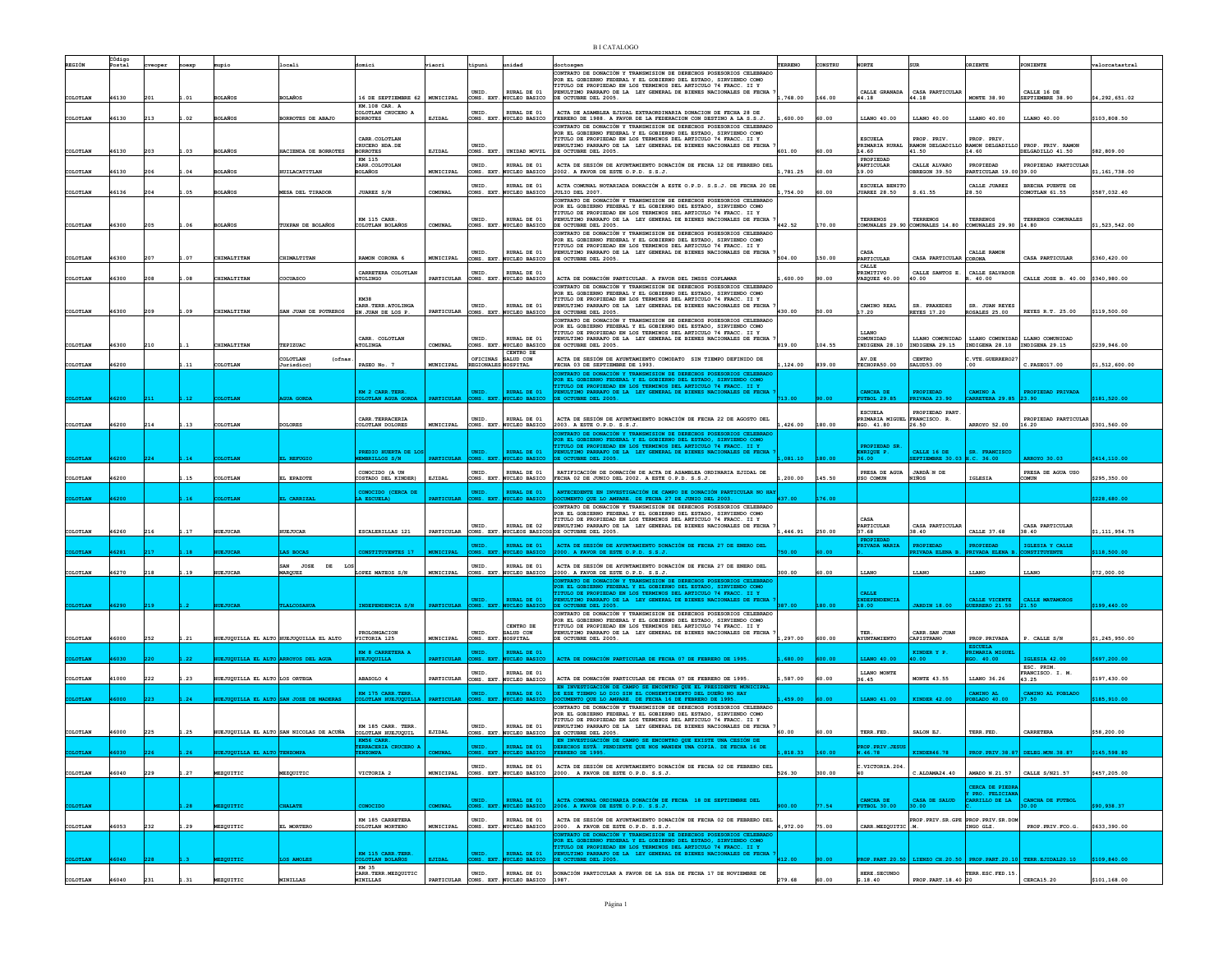|                 | CÓdigo |     |        |                                 |                                                        |                                         |                   |                              |                                               |                                                                                                                                         |           |         |                                       |                                                                          |                                                     |                                                       |                |
|-----------------|--------|-----|--------|---------------------------------|--------------------------------------------------------|-----------------------------------------|-------------------|------------------------------|-----------------------------------------------|-----------------------------------------------------------------------------------------------------------------------------------------|-----------|---------|---------------------------------------|--------------------------------------------------------------------------|-----------------------------------------------------|-------------------------------------------------------|----------------|
|                 | Postal |     |        |                                 | ocali                                                  | domici                                  | riaori            | tipuni                       | unidad                                        | loctosger<br>CONTRATO DE DONACIÓN Y TRANSMISION DE DERECHOS POSESORIOS CELEBRADO                                                        | TERRENO   | CONSTRU | NORTE                                 |                                                                          | RIENTE                                              | PONIENTE                                              | valorcatastral |
|                 |        |     |        |                                 |                                                        |                                         |                   |                              |                                               | OR EL GOBIERNO FEDERAL Y EL GOBIERNO DEL ESTADO, SIRVIENDO COMO<br>ITULO DE PROPIEDAD EN LOS TERMINOS DEL ARTICULO 74 FRACC. II Y       |           |         |                                       |                                                                          |                                                     |                                                       |                |
|                 |        |     |        |                                 |                                                        |                                         |                   | UNID.                        | RURAL DE 01                                   | PENULTIMO PARRAFO DE LA LEY GENERAL DE BIENES NACIONALES DE FECHA                                                                       |           |         | CALLE GRANADA                         | CASA PARTICULAR                                                          |                                                     | CALLE 16 DE                                           |                |
| COLOTLAN        | 46130  | 201 | .01    | <b>BOLAÑOS</b>                  | <b>BOLAÑOS</b>                                         | 16 DE SEPTIEMBRE 62<br>KM.108 CAR. A    | MUNICIPAL         | CONS. EXT.                   | <b>NUCLEO BASICO</b>                          | DE OCTUBRE DEL 2005.                                                                                                                    | .768.00   | 166.00  | 44.18                                 | 44.18                                                                    | <b>MONTE 38.90</b>                                  | SEPTIEMBRE 38.90                                      | \$4,292,651.02 |
| COLOTLAN        | 46130  | 213 | .02    | <b>BOLAÑOS</b>                  | BORROTES DE ABAJO                                      | COLOTLAN CRUCERO A<br><b>BORROTES</b>   | EJIDAL            | UNID                         | RURAL DE 01<br>CONS. EXT. NUCLEO BASICO       | ACTA DE ASAMBLEA EJIDAL EXTRAORDINARIA DONACION DE FECHA 28 DE<br>FEBRERO DE 1988. A FAVOR DE LA FEDERACION CON DESTINO A LA S.S.J.     | 600.00    | 60.00   | LLANO 40.00                           | LLANO 40.00                                                              | LLANO 40.00                                         | LLANO 40.00                                           | \$103,808.50   |
|                 |        |     |        |                                 |                                                        |                                         |                   |                              |                                               | ONTRATO DE DONACIÓN Y TRANSMISION DE DERECHOS POSESORIOS CELEBRADO                                                                      |           |         |                                       |                                                                          |                                                     |                                                       |                |
|                 |        |     |        |                                 |                                                        | CARR. COLOTLAN                          |                   |                              |                                               | FOR EL GOBIERNO FEDERAL Y EL GOBIERNO DEL ESTADO, SIRVIENDO COMO<br>TITULO DE PROPIEDAD EN LOS TERMINOS DEL ARTICULO 74 FRACC. II Y     |           |         | <b>ESCUELA</b>                        | PROP. PRIV.                                                              | PROP. PRIV.                                         |                                                       |                |
| COLOTLAN        | 46130  | 203 | .03    | <b>BOLAÑOS</b>                  | HACTENDA DE BORROTES                                   | CRUCERO HDA.DE<br><b>BORROTES</b>       | EJIDAL            | UNID<br>CONS. EXT.           | UNIDAD MOVIL                                  | NULTIMO PARRAFO DE LA LEY GENERAL DE BIENES NACIONALES DE FECHA<br>DE OCTUBRE DEL 2005.                                                 | 601.00    | 60.00   | PRIMARIA RURAL<br>14.60               | RAMON DELGADILLO<br>41.50                                                | 14.60                                               | MMON DELGADILLO PROP. PRIV. RAMON<br>DELGADILLO 41.50 | \$82,809.00    |
|                 |        |     |        |                                 |                                                        | KM 115                                  |                   |                              |                                               |                                                                                                                                         |           |         | PROPIEDAD                             |                                                                          |                                                     |                                                       |                |
| COLOTLAN        | 46130  | 206 | .04    | <b>BOLAÑOS</b>                  | HUILACATITLAN                                          | CARR COLOTOLAN<br><b>BOLAÑOS</b>        | MUNICIPAL         | UNID.                        | RURAL DE 01<br>CONS. EXT. NUCLEO BASICO       | ACTA DE SESIÓN DE AYINTAMIENTO DONACIÓN DE FECHA 12 DE FEBRERO DEL<br>2002. A FAVOR DE ESTE O.P.D. S.S.J.                               | ,781.25   | 60.00   | PARTICULAR<br>19.00                   | CALLE ALVARO<br>BREGON 39.50                                             | PROPIEDAD<br>ARTICULAR 19.00 39.00                  | PROPIEDAD PARTICULAR                                  | \$1,161,738.00 |
|                 |        |     |        |                                 |                                                        |                                         |                   |                              |                                               |                                                                                                                                         |           |         |                                       |                                                                          |                                                     |                                                       |                |
| COLOTLAN        | 46136  |     | .05    | <b>BOLAÑO</b>                   | ESA DEL TIRADOR                                        | JUAREZ S/N                              | COMUNAL           | UNID.<br>ONS. EXT.           | RURAL DE 01<br>NUCLEO BASICO                  | ACTA COMUNAL NOTARIADA DONACIÓN A ESTE O.P.D. S.S.J. DE FECHA 20 DE<br>JULIO DEL 2007.                                                  | ,754.00   | 60.00   | ESCUELA BENITO<br><b>JUAREZ 28.50</b> | s.61.55                                                                  | CALLE JUAREZ<br>8.50                                | BRECHA PUENTE DE<br>COMOTIAN 61.55                    | \$587,032.40   |
|                 |        |     |        |                                 |                                                        |                                         |                   |                              |                                               | CONTRATO DE DONACIÓN Y TRANSMISION DE DERECHOS POSESORIOS CELEBRADO                                                                     |           |         |                                       |                                                                          |                                                     |                                                       |                |
|                 |        |     |        |                                 |                                                        |                                         |                   |                              |                                               | POR EL GOBIERNO FEDERAL Y EL GOBIERNO DEL ESTADO, SIRVIENDO COMO<br>TITULO DE PROPIEDAD EN LOS TERMINOS DEL ARTICULO 74 FRACC. II Y     |           |         |                                       |                                                                          |                                                     |                                                       |                |
| COLOTLAN        | 46300  | 205 | .06    | <b>BOLAÑOS</b>                  | TUXPAN DE BOLAÑOS                                      | <b>KM 115 CARR.</b><br>COLOTLAN BOLAÑOS | COMUNAL           | UNID.                        | RURAL DE 01<br>CONS. EXT. NUCLEO BASICO       | PENULTIMO PARRAFO DE LA LEY GENERAL DE BIENES NACIONALES DE FECHA<br>DE OCTUBRE DEL 2005.                                               | 442.52    | 170.00  | <b>TERRENOS</b>                       | <b>TERRENOS</b><br>COMUNALES 29.90 COMUNALES 14.80 COMUNALES 29.90 14.80 | <b>TERRENOS</b>                                     | TERRENOS COMUNALES                                    | \$1,523,542.00 |
|                 |        |     |        |                                 |                                                        |                                         |                   |                              |                                               | ONTRATO DE DONACIÓN Y TRANSMISION DE DERECHOS POSESORIOS CELEBRADO                                                                      |           |         |                                       |                                                                          |                                                     |                                                       |                |
|                 |        |     |        |                                 |                                                        |                                         |                   |                              |                                               | OR EL GOBIERNO FEDERAL Y EL GOBIERNO DEL ESTADO, SIRVIENDO COMO<br>TITULO DE PROPIEDAD EN LOS TERMINOS DEL ARTICULO 74 FRACC. II Y      |           |         |                                       |                                                                          |                                                     |                                                       |                |
| COLOTLAN        | 16300  | 207 | .07    | CHIMALTITAN                     | CHIMALTITAN                                            | RAMON CORONA 6                          | <b>MUNICIPAL</b>  | UNID.                        | RURAL DE 01<br>CONS. EXT. NUCLEO BASICO       | PENULTIMO PARRAFO DE LA LEY GENERAL DE BIENES NACIONALES DE FECHA<br>DE OCTUBRE DEL 2005.                                               | 504.00    | 150.00  | CASA<br>PARTICULAR                    | CASA PARTICULAR                                                          | CALLE RAMON<br>ORONA                                | CASA PARTICULAR                                       | \$360,420.00   |
|                 |        |     |        |                                 |                                                        |                                         |                   |                              |                                               |                                                                                                                                         |           |         | CALLE                                 |                                                                          |                                                     |                                                       |                |
| COLOTLAN        | 46300  | 208 | .08    | CHIMALTITAN                     | COCUASCO                                               | CARRETERA COLOTLAN<br>ATOLINGO          | PARTICULAR        | UNID.                        | RURAL DE 01<br>CONS. EXT. NUCLEO BASICO       | ACTA DE DONACIÓN PARTICULAR. A FAVOR DEL IMSSS COPLAMAR                                                                                 | , 600.00  | 90.00   | PRIMITIVO<br><b>VAZQUEZ 40.00</b>     | CALLE SANTOS E<br>40.00                                                  | CALLE SALVADOR<br>.40.00                            | CALLE JOSE B. 40.00 \$340,980.00                      |                |
|                 |        |     |        |                                 |                                                        |                                         |                   |                              |                                               | CONTRATO DE DONACIÓN Y TRANSMISION DE DERECHOS POSESORIOS CELEBRADO<br>POR EL GOBIERNO FEDERAL Y EL GOBIERNO DEL ESTADO, SIRVIENDO COMO |           |         |                                       |                                                                          |                                                     |                                                       |                |
|                 |        |     |        |                                 |                                                        | KM38                                    |                   |                              |                                               | TITULO DE PROPIEDAD EN LOS TERMINOS DEL ARTICULO 74 FRACC. II Y                                                                         |           |         |                                       |                                                                          |                                                     |                                                       |                |
| COLOTLAN        | 46300  | 209 | .09    | CHIMALTITAN                     | SAN JUAN DE POTREROS                                   | CARR.TERR.ATOLINGA<br>SN.JUAN DE LOS P. | PARTICULAR        | UNID.                        | RURAL DE 01<br>CONS. EXT. NUCLEO BASICO       | PENULTIMO PARRAFO DE LA LEY GENERAL DE BIENES NACIONALES DE FECHA<br>DE OCTUBRE DEL 2005.                                               | 430.00    | 50.00   | CAMINO REAL<br>17.20                  | SR. PRAXEDES<br><b>REYES 17.20</b>                                       | SR. JUAN REYES<br>ROSALES 25.00                     | REYES R.T. 25.00                                      | \$119,500.00   |
|                 |        |     |        |                                 |                                                        |                                         |                   |                              |                                               | CONTRATO DE DONACIÓN Y TRANSMISION DE DERECHOS POSESORIOS CELEBRADO<br>FOR EL GOBIERNO FEDERAL Y EL GOBIERNO DEL ESTADO. SIRVIENDO COMO |           |         |                                       |                                                                          |                                                     |                                                       |                |
|                 |        |     |        |                                 |                                                        |                                         |                   |                              |                                               | ITULO DE PROPIEDAD EN LOS TERMINOS DEL ARTICULO 74 FRACC. II Y                                                                          |           |         | LLANO                                 |                                                                          |                                                     |                                                       |                |
| COLOTLAN        | 46300  | 210 |        | CHIMALTITAN                     | TEPIZUAC                                               | CARR. COLOTLAN<br><b>ATOLINGA</b>       | COMUNAL           | UNID.<br>CONS. EXT.          | RURAL DE 01<br>NUCLEO BASICO                  | PENULTIMO PARRAFO DE LA LEY GENERAL DE BIENES NACIONALES DE FECHA<br>E OCTUBRE DEL 2005.                                                | 819.00    | 104.55  | COMUNIDAD<br>INDIGENA 28.10           | LLANO COMUNIDAD<br>INDIGENA 29.15                                        | INDIGENA 28.10 INDIGENA 29.15                       | LLANO COMUNIDAD LLANO COMUNIDAD                       | \$239,946.00   |
|                 |        |     |        |                                 | COLOTLAN<br>(ofnas                                     |                                         |                   | OFICINAS                     | CENTRO DE<br>SALUD CON                        | ACTA DE SESIÓN DE AYUNTAMIENTO COMODATO SIN TIEMPO DEFINIDO DE                                                                          |           |         | AV.DE                                 | CENTRO                                                                   | .VTE. GUERRERO27                                    |                                                       |                |
| COLOTLAN        | 46200  |     | .11    | COLOTLAN                        | Jurisdice)                                             | PASEO No. 7                             | MUNICIPAL         | <b>REGIONALES HOSPITAL</b>   |                                               | FECHA 03 DE SEPTIEMBRE DE 1993.                                                                                                         | ,124.00   | 839.00  | TECHOPA50.00                          | SALUD53.00                                                               |                                                     | C.PASE017.00                                          | \$1,512,600.00 |
|                 |        |     |        |                                 |                                                        |                                         |                   |                              |                                               | CONTRATO DE DONACIÓN Y TRANSMISION DE DERECHOS POSESORIOS CELEBRADO<br>POR EL GOBIERNO FEDERAL Y EL GOBIERNO DEL ESTADO, SIRVIENDO COMO |           |         |                                       |                                                                          |                                                     |                                                       |                |
|                 |        |     |        |                                 |                                                        | <b>RM 2 CARR. TERR</b>                  |                   | UNID.                        | RURAL DE 01                                   | TITULO DE PROPIEDAD EN LOS TERMINOS DEL ARTICULO 74 FRACC. II Y                                                                         |           |         | <b>CANCHA DE</b>                      | PROPIEDAD                                                                | CAMINO A                                            | PROPIEDAD PRIVADA                                     |                |
|                 |        |     |        |                                 | <b>UA GORDI</b>                                        | OTLAN AGUA GORDA                        | PARTICULAR        | ONS. EXT.                    | UCLEO BASICO                                  | PENULTIMO PARRAFO DE LA LEY GENERAL DE BIENES NACIONALES DE FECHA<br>DE OCTUBRE DEL 2005.                                               | 13.00     |         | <b>FBOL 29.85</b>                     | RIVADA 23.90                                                             | ARRETERA 29.85 23.90                                |                                                       | \$181,520.00   |
|                 |        |     |        |                                 |                                                        |                                         |                   |                              |                                               |                                                                                                                                         |           |         | <b>ESCUELA</b>                        | PROPTEDAD PART                                                           |                                                     |                                                       |                |
|                 |        |     |        |                                 |                                                        | CARR. TERRACERIA                        |                   | UNID.                        | RURAL DE 01                                   | ACTA DE SESIÓN DE AYUNTAMIENTO DONACIÓN DE FECHA 22 DE AGOSTO DEL                                                                       |           |         | PRIMARIA MIGUEL FRANCISCO. R.         |                                                                          |                                                     | PROPIEDAD PARTICULAR                                  |                |
| <b>COLOTLAN</b> | 46200  |     | .13    | COLOTLAN                        | <b>OLORES</b>                                          | COLOTLAN DOLORES                        | MUNICIPAL         | CONS. EXT.                   | <b>NUCLEO BASICO</b>                          | 2003. A ESTE O.P.D. S.S.J.<br><b>TTRATO DE DONACIÓN Y TRANSMISION DE DERECHOS POSESORIOS CELEBRADO</b>                                  | ,426.00   | 180.00  | HGO. 41.80                            | 26.50                                                                    | ARROYO 52.00                                        | 16.20                                                 | \$301,560.00   |
|                 |        |     |        |                                 |                                                        |                                         |                   |                              |                                               | OR EL GOBIERNO FEDERAL Y EL GOBIERNO DEL ESTADO, SIRVIENDO COMO<br>TITULO DE PROPIEDAD EN LOS TERMINOS DEL ARTICULO 74 FRACC. II Y      |           |         | PROPIEDAD SR                          |                                                                          |                                                     |                                                       |                |
|                 |        |     |        |                                 |                                                        | PREDIO HUERTA DE LOS                    |                   | UNID.                        | <b>RURAL DE 01</b>                            | PENULTIMO PARRAFO DE LA LEY GENERAL DE BIENES NACIONALES DE FECHA                                                                       |           |         | ENRIQUE P.<br>16.00                   | CALLE 16 DE                                                              | SR. FRANCISCO                                       |                                                       |                |
|                 |        |     |        |                                 |                                                        | <b>BRILLOS S/N</b>                      |                   |                              | CLEO BASICO                                   | <b>OCTUBRE DEL 2005</b>                                                                                                                 | 081.10    |         |                                       |                                                                          | 2.36.00                                             | ROYO 30.03                                            |                |
|                 | 46200  |     | .15    | COLOTLAN                        | EL EPAZOTE                                             | CONOCIDO (A UN<br>COSTADO DEL KINDER)   |                   | UNID.                        | RURAL DE 01<br>CONS. EXT. NUCLEO BASICO       | RATIFICACIÓN DE DONACIÓN DE ACTA DE ASAMBLEA ORDINARIA EJIDAL DE                                                                        | .200.00   | 145.50  | PRESA DE AGUA<br><b>JSO COMUN</b>     | JARDÂ N DE<br>NIÑOS                                                      | IGLESIA                                             | PRESA DE AGUA USO<br>COMUN                            | \$295,350.00   |
|                 |        |     |        |                                 |                                                        |                                         |                   |                              |                                               |                                                                                                                                         |           |         |                                       |                                                                          |                                                     |                                                       |                |
| COLOTLAN        |        |     |        |                                 |                                                        |                                         | EJIDAL            |                              |                                               | FECHA 02 DE JUNIO DEL 2002. A ESTE O.P.D. S.S.J.                                                                                        |           |         |                                       |                                                                          |                                                     |                                                       |                |
|                 | 6200   |     |        | LOTLAN                          |                                                        | CONOCIDO (CERCA DE<br>LA ESCUELA)       | <b>PARTICULAR</b> | UNID.                        | <b>RURAL DE 01</b>                            | ANTECEDENTE EN INVESTIGACIÓN DE CAMPO DE DONACIÓN PARTICULAR NO HAN                                                                     | 437.00    | 176.00  |                                       |                                                                          |                                                     |                                                       |                |
|                 |        |     |        |                                 | CARRIZAL                                               |                                         |                   | CONS. EXT.                   | <b>NUCLEO BASICO</b>                          | OCUMENTO QUE LO AMPARE. DE FECHA 27 DE JUNIO DEL 2003.<br>CONTRATO DE DONACIÓN Y TRANSMISION DE DERECHOS POSESORIOS CELEBRADO           |           |         |                                       |                                                                          |                                                     |                                                       | \$228,680.00   |
|                 |        |     |        |                                 |                                                        |                                         |                   |                              |                                               | POR EL GOBIERNO FEDERAL Y EL GOBIERNO DEL ESTADO. SIRVIENDO COMO                                                                        |           |         | CASA                                  |                                                                          |                                                     |                                                       |                |
|                 |        |     |        |                                 |                                                        |                                         |                   | UNID.                        | RURAL DE 02                                   | TITULO DE PROPIEDAD EN LOS TERMINOS DEL ARTICULO 74 FRACC. II Y<br>PENULTIMO PARRAFO DE LA LEY GENERAL DE BIENES NACIONALES DE FECHA    |           |         | PARTICULAR                            | CASA PARTICULAR                                                          |                                                     | CASA PARTICULAR                                       |                |
| COLOTLAN        | 46260  | 216 | .17    | <b>HUEJUCAR</b>                 | <b>UEJUCAR</b>                                         | <b>ESCALERILLAS 121</b>                 | PARTICULAR        |                              |                                               | CONS. EXT. NUCLEOS BASICOS DE OCTUBRE DEL 2005.                                                                                         | .446.91   | 250.00  | 37.68                                 | 38.40                                                                    | CALLE 37.68                                         | 38.40                                                 | \$1,111,954.75 |
| LOTLAN          | 6281   |     |        | <b>EJUCAF</b>                   | LAS BOCAS                                              | CONSTITUYENTES 17                       | <b>MUNICIPAL</b>  | UNID.                        | <b>RURAL DE 01</b><br>ONS. EXT. NUCLEO BASICO | ACTA DE SESIÓN DE AYUNTAMIENTO DONACIÓN DE FECHA 27 DE ENERO DEL<br>000. A FAVOR DE ESTE O.P.D. S.S.J.                                  | 50.00     |         | PRIVADA MARIA                         | PROPIEDAD<br>RIVADA ELENA B                                              | <b>PROPIEDAD</b><br>PRIVADA ELENA B                 | IGLESIA Y CALLE<br>CONSTITUYENTE                      | \$118,500.00   |
|                 |        |     |        |                                 |                                                        |                                         |                   |                              |                                               |                                                                                                                                         |           |         |                                       |                                                                          |                                                     |                                                       |                |
| COLOTLAN        | 46270  | 218 | . . 19 | <b>HUEJUCAR</b>                 | SAN<br><b>JOSE</b><br>DE<br>LO <sub>2</sub><br>MARQUEZ | LOPEZ MATEOS S/N                        | MUNICIPAL         | UNID.                        | RURAL DE 01<br>CONS. EXT. NUCLEO BASICO       | ACTA DE SESIÓN DE AYUNTAMIENTO DONACIÓN DE FECHA 27 DE ENERO DEL<br>2000. A FAVOR DE ESTE O.P.D. S.S.J.                                 | 300.00    | 60.00   | LLANO                                 | LLANO                                                                    | LLANO                                               | LLANO                                                 | \$72,000.00    |
|                 |        |     |        |                                 |                                                        |                                         |                   |                              |                                               | <b>NYTRATO DE DONACIÓN Y TRANSMISION DE DERECHOS POSESORIOS CELEBRADO</b>                                                               |           |         |                                       |                                                                          |                                                     |                                                       |                |
|                 |        |     |        |                                 |                                                        |                                         |                   |                              |                                               | FOR EL GOBIERNO FEDERAL Y EL GOBIERNO DEL ESTADO, SIRVIENDO COMO<br>PITULO DE PROPIEDAD EN LOS TERMINOS DEL ARTICULO 74 FRACC. II Y     |           |         | <b>CALLE</b>                          |                                                                          |                                                     |                                                       |                |
|                 |        |     |        |                                 |                                                        | NDEPENDENCIA S/N                        | PARTICULAR        | UNID.<br>ONS. EXT.           | <b>RURAL DE 01</b><br>CLEO BASICO             | ENULTIMO PARRAFO DE LA LEY GENERAL DE BIENES NACIONALES DE FECHA<br>E OCTUBRE DEL 2005                                                  | 87.00     | 180.00  | INDEPENDENCIA<br>18.00                | <b>ARDIN 18.00</b>                                                       | CALLE VICENTE<br>ERRERO 21.50                       | <b>CALLE MATAMOROS</b>                                | \$199,440.00   |
|                 |        |     |        |                                 |                                                        |                                         |                   |                              |                                               | CONTRATO DE DONACIÓN Y TRANSMISION DE DERECHOS POSESORIOS CELEBRADO                                                                     |           |         |                                       |                                                                          |                                                     |                                                       |                |
|                 |        |     |        |                                 |                                                        |                                         |                   |                              | CENTRO DE                                     | POR EL GOBIERNO FEDERAL Y EL GOBIERNO DEL ESTADO, SIRVIENDO COMO<br>TITULO DE PROPIEDAD EN LOS TERMINOS DEL ARTICULO 74 FRACC. II Y     |           |         |                                       |                                                                          |                                                     |                                                       |                |
| OLOTLAN         | 46000  | 252 | 1.21   |                                 | HUEJUQUILLA EL ALTO HUEJUQUILLA EL ALTO                | PROLONGACION<br>VICTORIA 125            | MUNICIPAL         | UNID.<br>CONS. EXT. HOSPITAL | SALUD CON                                     | PENULTIMO PARRAFO DE LA LEY GENERAL DE BIENES NACIONALES DE FECHA<br>DE OCTUBRE DEL 2005.                                               | L, 297.00 | 600.00  | TER.<br><b>AYUNTAMIENTO</b>           | CARR. SAN JUAN<br>CAPISTRANO                                             | PROP. PRIVADA                                       | P. CALLE S/N                                          | \$1,245,950.00 |
|                 |        |     |        |                                 |                                                        |                                         |                   | UNID.                        | RURAL DE 01                                   |                                                                                                                                         |           |         |                                       | KINDER Y P.                                                              | <b>ESCUELA</b><br><b>PRIMARIA MIGUEL</b>            |                                                       |                |
|                 |        |     |        | <b>JILLA EL ALTO</b>            | ROYOS DEL AGUA                                         | KM 8 CARRETERA A<br>EJUQUILLA           |                   |                              | CLEO BASICO                                   | CTA DE DONACIÓN PARTICULAR DE FECHA 07 DE FEBRERO DE 1995                                                                               | 680.00    |         | LANO 40.00                            |                                                                          | 0.40.01                                             | GLESIA 42.00                                          | \$697,200.00   |
|                 |        |     |        |                                 |                                                        |                                         |                   | UNID                         | RURAL DE 01                                   |                                                                                                                                         |           |         | LLANO MONTE                           |                                                                          |                                                     | ESC. PRIM.<br>FRANCISCO. I. M.                        |                |
| COLOTLAN        | 41000  | 222 | 1.23   | HUE TIOUTLLA EL ALTO LOS ORTEGA |                                                        | ABASOLO 4                               | PARTICULAR        |                              | CONS. EXT. NUCLEO BASICO                      | ACTA DE DONACIÓN PARTICULAR DE FECHA 07 DE FEBRERO DE 1995.                                                                             | .587.00   | 60.00   | 36.45                                 | <b>MONTE 43.55</b>                                                       | LLANO 36.26                                         | 43.25                                                 | \$197,430.00   |
|                 |        |     |        |                                 |                                                        | <b>KM 175 CARR. TERR</b>                |                   | UNID.                        | RURAL DE 01                                   | EN INVESTIGACIÓN DE CAMPO SE ENCONTRO QUE EL PRESIDENTE MUNICIPAL<br>DE ESE TIEMPO LO DIO SIN EL CONSENTIMIENTO DEL DURÃO NO HAY        |           |         |                                       |                                                                          | CAMINO AL                                           | CAMINO AL POBLADO                                     |                |
|                 |        |     |        |                                 | JUQUILLA EL ALTO SAN JOSE DE MADERAS                   | OLOTLAN HUEJUOUILLA                     | <b>PARTICULAR</b> | TONS. EXT.                   | CLEO BASICO                                   | CUMENTO OUE LO AMPARE. DE FECHA 16 DE FEBRERO DE 1995.<br>CONTRATO DE DONACIÓN Y TRANSMISION DE DERECHOS POSESORIOS CELEBRADO           | 459.00    | 60.00   | LLANO 41.00                           | KINDER 42.00                                                             | OBLADO 40.00                                        | 37.50                                                 | \$185,910.00   |
|                 |        |     |        |                                 |                                                        |                                         |                   |                              |                                               | FOR EL GOBIERNO FEDERAL Y EL GOBIERNO DEL ESTADO. SIRVIENDO COMO                                                                        |           |         |                                       |                                                                          |                                                     |                                                       |                |
|                 |        |     |        |                                 |                                                        | KM 185 CARR. TERR                       |                   | UNID.                        | RURAL DE 01                                   | TITULO DE PROPIEDAD EN LOS TERMINOS DEL ARTICULO 74 FRACC. II Y<br>PENULTIMO PARRAFO DE LA LEY GENERAL DE BIENES NACIONALES DE FECHA    |           |         |                                       |                                                                          |                                                     |                                                       |                |
| COLOTLAN        | 46000  | 225 | .25    |                                 | UEJUQUILLA EL ALTO SAN NICOLAS DE ACUÑA                | COLOTIAN HUEJUQUIL<br>KM56 CARI         | EJIDAL            |                              | CONS. EXT. NUCLEO BASICO                      | DE OCTUBRE DEL 2005.                                                                                                                    | 60.00     | 60.00   | TERR. FED.                            | SALON EJ.                                                                | TERR. FED.                                          | CARRETERA                                             | \$58,200.00    |
|                 |        |     |        |                                 |                                                        | TERRACERTA CRUCERO                      |                   | UNID.                        | RURAL DE 01                                   | EN INVESTIGACIÓN DE CAMPO SE ENCONTRO QUE EXISTE UNA CESIÓN DE DERECHOS ESTÃ PENDIENTE QUE NOS MANDEN UNA COPIA. DE FECHA 16 DE         |           |         | <b>PROP. PRIV. JESUS</b>              |                                                                          |                                                     |                                                       |                |
|                 |        |     |        |                                 |                                                        |                                         |                   |                              |                                               |                                                                                                                                         |           |         |                                       |                                                                          |                                                     |                                                       |                |
|                 | 46040  | 229 | .27    |                                 |                                                        | VICTORIA 2                              | MUNICIPAL         | UNID.                        | RURAL DE 01                                   | ACTA DE SESIÓN DE AYUNTAMIENTO DONACIÓN DE FECHA 02 DE FEBRERO DEL                                                                      | 526.30    | 300.00  | .VICTORIA.204                         |                                                                          | C.ALDAMA24.40 AMADO N.21.57 CALLE S/N21.57          |                                                       | \$457,205.00   |
| COLOTLAN        |        |     |        | MEZQUITIC                       | MEZQUITIC                                              |                                         |                   |                              |                                               | CONS. EXT. NUCLEO BASICO 2000. A FAVOR DE ESTE O.P.D. S.S.J.                                                                            |           |         |                                       |                                                                          |                                                     |                                                       |                |
|                 |        |     |        |                                 |                                                        |                                         |                   |                              |                                               |                                                                                                                                         |           |         |                                       |                                                                          | CERCA DE PIEDR                                      |                                                       |                |
| LOTLAN          |        |     |        | ZQUITIC                         | <b>HALATE</b>                                          | CONOCIDO                                | <b>COMUNAL</b>    | UNID.<br>ONS. EXT.           | <b>RURAL DE 01</b><br><b>NUCLEO BASICO</b>    | ACTA COMUNAL ORDINARIA DONACIÓN DE FECHA 18 DE SEPTIEMBRE DEL<br>2006. A FAVOR DE ESTE O.P.D. S.S.J.                                    | 0.00      | 7.54    | CANCHA DE<br>TBOL 30.00               | CASA DE SALUD                                                            | Y PRO. FELICIANA<br>CARRILLO DE LA                  | CANCHA DE FUTBOL<br>00.                               |                |
|                 |        |     |        |                                 |                                                        |                                         |                   |                              |                                               |                                                                                                                                         |           |         |                                       |                                                                          |                                                     |                                                       | 90,938.37      |
| COLOTLAN        | 46053  | 232 | 1.29   | MEZQUITIC                       | EL MORTERO                                             | KM 185 CARRETERA<br>COLOTLAN MORTERO    | MUNICIPAL         | UNID.                        | RURAL DE 01<br>CONS. EXT. NUCLEO BASICO       | ACTA DE SESIÓN DE AYUNTAMIENTO DONACIÓN DE FECHA 02 DE FEBRERO DEL<br>2000. A FAVOR DE ESTE O.P.D. S.S.J.                               | 1.972.00  | 75.00   | CARR.MEZQUITIC .M.                    |                                                                          | ROP. PRIV. SR. GPE PROP. PRIV. SR. DOM<br>INGO GLZ. | PROP. PRIV. FCO.G.                                    | \$633,390.00   |
|                 |        |     |        |                                 |                                                        |                                         |                   |                              |                                               | NTRATO DE DONACIÓN Y TRANSMISION DE DERECHOS                                                                                            |           |         |                                       |                                                                          |                                                     |                                                       |                |
|                 |        |     |        |                                 |                                                        |                                         |                   |                              |                                               | OR EL GOBIERNO FEDERAL Y EL GOBIERNO DEL ESTADO, SIRVIENDO COMO<br>TITULO DE PROPIEDAD EN LOS TERMINOS DEL ARTICULO 74 FRACC. II Y      |           |         |                                       |                                                                          |                                                     |                                                       |                |
|                 |        |     |        |                                 | S AMOLE                                                | KM 115 CARR. TERR.<br>COLOTLAN BOLAÑOS  |                   | UNID.                        | RURAL DE 01<br><b>JCLEO BASICO</b>            | PENULTIMO PARRAFO DE LA LEY GENERAL DE BIENES NACIONALES DE FECHA<br>OCTUBRE DEL 2005                                                   |           |         | P.PART.20.5                           | LIENZO CH.20.50                                                          |                                                     | $PROP. PART.20.10$ TERR.EJIDAL20.10                   | \$109,840.00   |
|                 |        |     |        |                                 |                                                        | KM 35<br>CARR. TERR. MEZQUITIC          |                   | UNID.                        | RURAL DE 01                                   | ONACIÓN PARTICULAR A FAVOR DE LA SSA DE FECHA 17 DE NOVIEMBRE DE                                                                        |           |         | HERE. SECUNDO                         |                                                                          | ERR. ESC. FED. 15                                   |                                                       |                |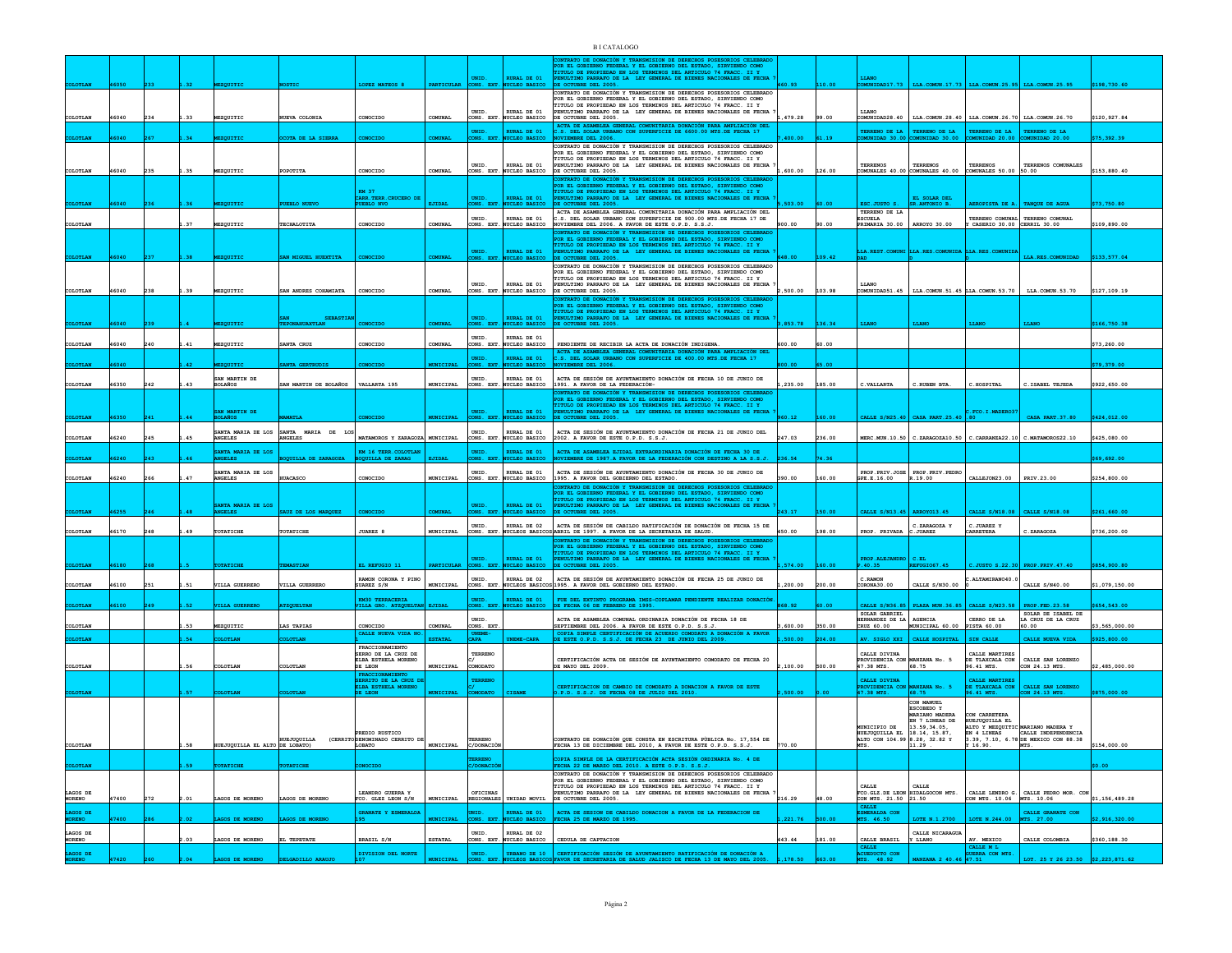|                                                   |       |           |                                     |                      |                                                               |                     | UNID.<br>MS. EXT              | RURAL DE 01                             | CONTRATO DE DONACIÓN Y TRANSMISION DE DERECHOS POSESORIOS CELEBRA<br>POR EL GOBIERNO FEDERAL Y EL GOBIERNO DEL ESTADO, SIRVIENDO COMO<br>NULLE DE PROPIEDAD EN LOS TENNINOS DEL ARTICULO 74 FRACC. II Y<br>ENULLE DE PROPIEDAD EN LOS TENNINOS DEL ARTICULO 74 FRACC. II Y<br>ENULTIMO PARRAFO DE LA LEY GENERAL DE BIENES NACIONALES DE FECHA<br>DE OCTUBRE DEL 2005. |          |        | LLANO<br>UNIDAD17.73                                                                       | LLA. COMUN. 17.73                                            |                                                            | LLA. COMUN. 25.95 LLA. COMUN. 25.95                                                                                             |                |
|---------------------------------------------------|-------|-----------|-------------------------------------|----------------------|---------------------------------------------------------------|---------------------|-------------------------------|-----------------------------------------|------------------------------------------------------------------------------------------------------------------------------------------------------------------------------------------------------------------------------------------------------------------------------------------------------------------------------------------------------------------------|----------|--------|--------------------------------------------------------------------------------------------|--------------------------------------------------------------|------------------------------------------------------------|---------------------------------------------------------------------------------------------------------------------------------|----------------|
|                                                   |       |           |                                     |                      |                                                               |                     | UNID.                         | RURAL DE 01                             | CONTRATO DE DONACIÓN Y TRANSMISION DE DERECHOS POSESORIOS CELEBRADO<br>SOMETHOLOGICAL TRANSPORTATION OF THE STAND, SINVIERDO COMO POR EL GOBIERNO FEDERAL Y EL GOBIERNO DEL ESTADO, SINVIERDO COMO TITULO DE PECHA EN CONTENENTADO DE LA LEY GENERAL DE BIERES NACIONALES DE FECHA PECHA PECHA PECHA                                                                   |          |        | LLANO                                                                                      |                                                              |                                                            |                                                                                                                                 |                |
| COLOTLAN                                          | 46040 |           | EZQUITIC                            | EVA COLONIA          | CONOCIDO                                                      |                     |                               | CONS. EXT. NUCLEO BASICO                | DE OCTUBRE DEL 2005.<br>ACTA DE ASAMBLEA GENERAL COMUNITARIA DONACIÓN PARA AMPLIACIÓN DEL                                                                                                                                                                                                                                                                              | 479.28   | 99.00  | COMUNIDAD28.40                                                                             | LLA. COMUN. 28.40   LLA. COMUN. 26.70   LLA. COMUN. 26.70    |                                                            |                                                                                                                                 | \$120.927.84   |
|                                                   |       |           |                                     | TA DE LA SIE         |                                                               |                     | UNID.<br>NS. EXT              | <b>RURAL DE 01</b>                      | .S. DEL SOLAR URBANO CON SUPERFICIE DE 6600.00 MTS.DE FECHA 17<br>VIEMBRE DEL 2006.<br>CONTRATO DE DONACIÓN Y TRANSMISION DE DERECHOS POSESORIOS CELEBRADO                                                                                                                                                                                                             |          |        | TERRENO DE LA<br><b>UNIDAD 30.00</b>                                                       | TERRENO DE LA<br>COMUNIDAD 30.00                             | TERRENO DE LA<br>COMUNIDAD 20.00                           | <b>TERRENO DE LA<br/>COMUNIDAD 20.00</b>                                                                                        | 75,392.3       |
| OLOTLAN                                           | 46040 |           | <b>EZOUITIC</b>                     | POTITA               | CONOCIDO                                                      | COMITNAT            | UNID.                         | RURAL DE 01<br>CONS. EXT. NUCLEO BASICO | POR EL GOBIERNO FEDERAL Y EL GOBIERNO DEL ESTADO, SIRVIENDO COMO<br>TITULO DE PROPIEDAD EN LOS TERMINOS DEL ARTICULO 74 FRACC. II Y<br>ENULTIMO PARRAFO DE LA LEY GENERAL DE BIENES NACIONALES DE FECHA<br>DE OCTUBRE DEL 2005.                                                                                                                                        | .600.00  | 126.00 | TERRENOS                                                                                   | <b>TERRENOS</b><br>COMUNALES 40.00 COMUNALES 40.00           | TERRENOS<br>COMUNALES 50.00 50.00                          | TERRENOS COMUNALES                                                                                                              | \$153.880.40   |
|                                                   |       |           |                                     |                      | KM 37<br>CARR.TERR.CRUCERO DE<br><b>EBLO NVO</b>              |                     | UNID.<br>CONS. EXT.           | RURAL DE 01                             | ONTRATO DE DONACIÓN Y TRANSMISION DE DERECHOS POSESORIOS CELEBRAD<br>CONLINIO DE RODINAL Y EL GOBIERNO DEL ESTADO, SIRVIERDO CONO<br>TITULO DE RODIEDAD EN LOS TERNINOS DEL ARTICULO 74 FRACO. II Y PER<br>PENULTIMO PARRAFO DE LA LEY GENERAL DE BIERES NACIONALES DE FECHA<br>PENULTIMO PARRAFO DE LA LEY<br>DE OCTUBRE DEL 2005.                                    |          |        | SC.JUSTO S.                                                                                | $\overline{\text{EL}}$ SOLAR DEL                             | EROPISTA DE A.                                             | TANQUE DE AGUA                                                                                                                  | 73.750.80      |
| LOTLAN                                            |       |           | EZQUITIC                            | <b>CHALOTITA</b>     | CONOCIDO                                                      |                     | UNID.                         | RURAL DE 01<br>ONS. EXT. NUCLEO BASICO  | ACTA DE ASAMBLEA GENERAL COMUNITARIA DONACIÓN PARA AMPLIACIÓN DEL<br>ACAS DEL SOLAR URBANO CON SUPERFICIE DE 900.00 MTS.DE FECHA 17 DE<br>NOVIEMBRE DEL 2006. A FAVOR DE ESTE O.P.D. S.S.J.                                                                                                                                                                            |          |        | TERRENO DE LA<br>ESCUELA<br>PRIMARIA 30.00                                                 | ARROYO 30.00                                                 | TERRENO COMUNAL TERRENO COM<br>CASERIO 30.00 CERRIL 30.00  | TERRENO COMUNAL                                                                                                                 | \$109,890.00   |
|                                                   |       |           |                                     |                      |                                                               |                     | UNID.                         | <b>RURAL DE 01</b>                      | ATO DE DONACIÓN Y TRANSMISION DE DERECHOS POS<br>POR EL GOBIERNO FEDERAL Y EL GOBIERNO DEL ESTADO, SIRVIENDO COMO<br>FORTLO GOLDANO PROFIEDA EN LOS TERMINOS DEL ARTICULO 74 FRACI. II Y<br>PENULTIMO PARRAFO DE LA LEY GENERAL DE BIENES NACIONALES DE FECHA<br>PENULTIMO PARRAFO DE LA LEY GENERAL DE BIENES NACIONALES DE FECHA<br>DE OCTUBRE DEL 2005.             |          |        |                                                                                            | LA.REST.COMUNI LLA.RES.COMUNIDA                              | LLA.RES.COMUNID                                            |                                                                                                                                 |                |
|                                                   |       |           |                                     |                      |                                                               |                     | ONS. EXT.                     | <b>UCLEO BASICO</b>                     | CONTRATO DE DONACIÓN Y TRANSMISION DE DERECHOS POSESORIOS CELEBRADO                                                                                                                                                                                                                                                                                                    |          |        |                                                                                            |                                                              |                                                            | <b>LLA.RES.COMUNIDAD</b>                                                                                                        | \$133,577.04   |
| COLOTLAN                                          | 46040 |           | EZQUITIC                            | NN ANDRES COHAMIATA  | CONOCTDO                                                      | <b>OMTINAT</b>      | UNID.                         | RURAL DE 01<br>CONS. EXT. NUCLEO BASICO | POR EL GOBIERNO FEDERAL Y EL GOBIERNO DEL ESTADO, SIRVIENDO COMO TITULO DE PROPIEDAD EN LOS TERMINOS DEL ARTICULO 74 FRACC. II Y<br>PENULTIMO PARRAFO DE LA LEY GENERAL DE BIENES NACIONALES DE FECHA<br>DE OCTUBRE DEL 2005.                                                                                                                                          | 0.500.00 | 103.98 | LLANO<br>COMINIDAD51.45                                                                    |                                                              | LLA. COMUN. 51.45 LLA. COMUN. 53.70                        | LLA.COMUN.53.70                                                                                                                 | \$127.109.19   |
|                                                   |       |           |                                     | <b>SEBASTIA</b>      |                                                               |                     | UNID.                         | <b>RURAL DE 01</b>                      | CONTRATO DE DONACIÓN Y TRANSMISION DE DERECHOS POSESORIOS CELEBRAD<br>FOR EL GOBIERNO FEDERAL Y EL GOBIERNO DEL ESTADO, SIRVIENDO COMO<br>TITULO DE PROFIEDAD EN LOS TERMINOS DEL ARTICULO 74 FRACC. II Y<br>PENULTIMO PARRAFO DE LA LEY GENERAL DE BIENES NACIONALES DE FECHA<br>CCTUBRE DEL 2005.                                                                    | 853.78   | 36.34  |                                                                                            |                                                              |                                                            |                                                                                                                                 |                |
| COLOTLAN                                          | 46040 | .41       | EZQUITIC                            | ANTA CRUZ            | CONOCIDO                                                      |                     | UNID.                         | RURAL DE 01<br>ONS. EXT. NUCLEO BASICO  | PENDIENTE DE RECIBIR LA ACTA DE DONACIÓN INDIGENA.                                                                                                                                                                                                                                                                                                                     | 00.00    | 60.00  |                                                                                            |                                                              |                                                            |                                                                                                                                 | \$73,260.00    |
|                                                   |       |           |                                     |                      |                                                               |                     | UNID.                         | <b>RURAL DE 01</b>                      | ACTA DE ASAMBLEA GENERAL COMUNITARIA DONACIÓN PARA AMPLIACIÓN DEL<br>C.S. DEL SOLAR URBANO CON SUPERFICIE DE 400.00 MTS.DE FECHA 17                                                                                                                                                                                                                                    |          |        |                                                                                            |                                                              |                                                            |                                                                                                                                 |                |
|                                                   |       |           | SAN MARTIN DE                       |                      |                                                               |                     | UNID.                         | <b>TRO BASTCO</b><br>RURAL DE 01        | <b>RE DEL 2006.</b><br>ACTA DE SESIÓN DE AYUNTAMIENTO DONACIÓN DE FECHA 10 DE JUNIO DE                                                                                                                                                                                                                                                                                 |          |        |                                                                                            |                                                              |                                                            |                                                                                                                                 | 19,379.0       |
| COLOTLAN                                          | 46350 |           | <b>BOLAÑOS</b>                      | AN MARTIN DE BOLAÑOS | VALLARTA 195                                                  | MUNICIPAL           | CONS. EXT                     | NUCLEO BASICO                           | 1991. A FAVOR DE LA FEDERACIÓN-<br>ONTRATO DE DONACIÓN Y TRANSMISION DE DERECHOS POSESORIOS CELEBRAD                                                                                                                                                                                                                                                                   | .235.00  | 185.00 | C. VALLARTA                                                                                | C.RUBEN BTA.                                                 | $c$ . HOSPITAL                                             | ${\tt C. \, ISABEL}$ TEJEDA                                                                                                     | \$922,650.00   |
|                                                   |       |           | AN MARTIN DE                        |                      |                                                               |                     |                               | <b>RURAL DE 01</b>                      | FOR EL GOBIERNO FEDERAL Y EL GOBIERNO DEL ESTADO, SIRVIENDO COMO<br>ITTULO DE PROPIEDAD EN LOS TERMINOS DEL ARTICULO 74 FRACC. II Y<br>FENULTIMO FARRAFO DE LA LEY GENERAL DE BIERES NACIONALES DE FECHA                                                                                                                                                               |          |        |                                                                                            |                                                              | FCO. I. MADERO3                                            |                                                                                                                                 |                |
| <b>PT.AN</b>                                      |       |           | <b>ROÑATC</b>                       |                      | ONOCTRO                                                       | <b>UNICIPAL</b>     | UNID.<br>XONS. EXT.           | CLEO BASICO                             | E OCTUBRE DEL 2005.                                                                                                                                                                                                                                                                                                                                                    | 60.12    | 60.00  |                                                                                            | CALLE $s$ /N25.40 $\overline{\phantom{a}}$ CASA PART.25.40   |                                                            | CASA PART. 37.80                                                                                                                | \$424,012.00   |
| COLOTLAN                                          | 46240 |           | SANTA MARTA DE LOS<br><b>NGELES</b> | SANTA MARIA DE LO    | MATAMOROS Y ZARAGOZA MUNICIPAL                                |                     | INTD.<br>CONS. EXT.           | RURAL DE 01<br>NUCLEO BASICO            | ACTA DE SESIÓN DE AYUNTAMIENTO DONACIÓN DE FECHA 21 DE JUNIO DEL<br>2002. A FAVOR DE ESTE O.P.D. S.S.J.                                                                                                                                                                                                                                                                | 247.03   | 236.00 |                                                                                            |                                                              |                                                            | ERC.MUN.10.50 C.ZARAGOZA10.50 C.CARRANZA22.10 C.MATAMOROS22.10                                                                  | \$425,080.00   |
|                                                   |       |           | SANTA MARIA DE LOS<br><b>SELES</b>  | <b>JILLA DE</b>      | KM 16 TERR.COLOTLAN<br>OQUILLA DE ZARAG                       |                     | UNID.<br>NS. EXT              | RURAL DE 01<br><b>JCLEO BASICO</b>      | ACTA DE ASAMBLEA EJIDAL EXTRAORDINARIA DONACIÓN DE FECHA 30 DE<br>VIEMBRE DE 1987.A FAVOR DE LA FEDERACIÓN CON DESTINO A LA S.S.J.                                                                                                                                                                                                                                     | 36.54    | 4.36   |                                                                                            |                                                              |                                                            |                                                                                                                                 | 69.692.00      |
| COLOTLAN                                          | 46240 | 47        | SANTA MARIA DE LOS<br>ANGELES       |                      | CONOCIDO                                                      | MUNICIPAL           | INTD.<br>ONS. EXT             | RURAL DE 01<br>UCLEO BASICO             | ACTA DE SESIÓN DE AYUNTAMIENTO DONACIÓN DE FECHA 30 DE JUNIO DE<br>1995. A FAVOR DEL GOBIERNO DEL ESTADO.                                                                                                                                                                                                                                                              | 390.00   | 60.00  | GPE.E.16.00                                                                                | PROP.PRIV.JOSE PROP.PRIV.PEDRO<br>R.19.00                    | CALLEJON23.00                                              | PRIV.23.00                                                                                                                      | \$254,800.00   |
|                                                   |       |           |                                     |                      |                                                               |                     |                               |                                         |                                                                                                                                                                                                                                                                                                                                                                        |          |        |                                                                                            |                                                              |                                                            |                                                                                                                                 |                |
|                                                   |       |           | TA MARIA DE LOS                     | JZ DE LOS MARQUE     |                                                               |                     | UNID.                         | RURAL DE 01                             | CONTRATO DE DORACIÓN Y FRANSMISION DE DERECHOS POESORIOS CELEBRADY<br>POR EL CORIENTO PERSENISION DE DERECHOS POESORIOS CELEBRADY<br>TITULO DE PROFIERAD EN LOS TENHINOS DEL ARTICULO 74 FRACC. II Y<br>FENULTRO PARANTO DE LA LEY GENE                                                                                                                                |          | 50.00  | CALLE S/N13.45                                                                             | ARROYO13.45                                                  | CALLE S/N18.08                                             | CALLE S/N18.08                                                                                                                  | \$261.660.0    |
| OLOTLAN                                           | 46170 | 49        | <b>COTATICHE</b>                    | TATICHE              | <b>JUAREZ 8</b>                                               | MUNICIPAL           | UNID.<br>ONS. EXT             | RURAL DE 02                             | ACTA DE SESIÓN DE CABILDO RATIFICACIÓN DE DONACIÓN DE FECHA 15 DE<br>UCLEOS BASICOS ABRIL DE 1997. A FAVOR DE LA SECRETARIA DE SALUD.                                                                                                                                                                                                                                  | 450.00   | 198.00 | PROP. PRIVADA                                                                              | C.ZARAGOZA Y<br>. JUAREZ                                     | C.JUAREZ Y<br><b>ARRETERA</b>                              | C.ZARAGOZA                                                                                                                      | 3736,200.00    |
|                                                   |       |           |                                     |                      |                                                               |                     |                               |                                         | CONTRATO DE DONACIÓN Y TRANSMISION DE DERECHOS POSESORIOS CELEBRAD<br>POR EL GOBIERNO FEDERAL Y EL GOBIERNO DEL ESTADO, SIRVIENDO COMO                                                                                                                                                                                                                                 |          |        |                                                                                            |                                                              |                                                            |                                                                                                                                 |                |
|                                                   |       |           |                                     |                      |                                                               |                     | UNID.                         | RURAT, DR. 01<br><b>CLEO BASICO</b>     | TITULO DE PROPIEDAD EN LOS TERMINOS DEL ARTICULO 74 FRACC. II Y PENULTIMO PARRATO DE LA LEY GENERAL DE BIERES NACIONALES DE FECHA DE OCTUBRE DEL 2005.                                                                                                                                                                                                                 |          |        | PROP ALEJANDRO<br>.40.35                                                                   | c. et.                                                       |                                                            |                                                                                                                                 |                |
|                                                   |       |           |                                     |                      | LL REFUGIO 13<br>RAMON CORONA Y PINO                          |                     | UNID.                         | RURAL DE 02                             | ACTA DE SESIÓN DE AYUNTAMIENTO DONACIÓN DE FECHA 25 DE JUNIO DE                                                                                                                                                                                                                                                                                                        |          |        | C. RAMON                                                                                   |                                                              | JUSTO 8.22.3<br>ALTAMIRANO40.0                             | <b>PROP.PRIV.47.4</b>                                                                                                           | 854,900.8      |
| <b>COLOTLAN</b>                                   | 46100 | .51       | VILLA GUERRERO                      | VILLA GUERRERC       | SUAREZ S/N                                                    | MUNICIPAL           | CONS. EXT                     |                                         | UCLEOS BASICOS 1995. A FAVOR DEL GOBIERNO DEL ESTADO.                                                                                                                                                                                                                                                                                                                  | ,200.00  | 200.00 | CORONA30.00                                                                                | CALLE S/N30.00                                               |                                                            | CALLE S/N40.00                                                                                                                  | \$1,079,150.0  |
|                                                   |       |           |                                     |                      | <b>KM30 TERRACERIA</b><br>VILLA GRO. ATZQUI                   |                     | mtn.                          | RURAT, DR. 01                           | FUE DEL EXTINTO PROGRAMA IMSS-COPLAMAR PENDIENTE REALIZAR DONACIÓN                                                                                                                                                                                                                                                                                                     |          |        |                                                                                            |                                                              |                                                            |                                                                                                                                 | 54,543.0       |
| COLOTLAN                                          |       |           |                                     |                      |                                                               |                     |                               |                                         | FECHA 06 DE FEBRERO DE 1995.                                                                                                                                                                                                                                                                                                                                           |          |        | ALLE S/N36.85                                                                              | PLAZA MUN.36.85                                              | CALLE S/N23.58   PROP.FED.23.58                            |                                                                                                                                 |                |
| LOTLAN                                            |       | 53        | zourric                             | AS TAPIAS            | CONOCIDO                                                      | COMUNAL             | UNID.<br>ONS. EXT             |                                         | ACTA DE ASAMBLEA COMUNAL ORDINARIA DONACIÓN DE FECHA 18 DE<br>SEPTIEMBRE DEL 2006. A FAVOR DE ESTE O.P.D. S.S.J.                                                                                                                                                                                                                                                       | 600.00   | 50.00  | SOLAR GABRIEL<br>HERNANDEZ DE LA<br>CRUZ 60.00                                             | AGENCIA<br>MUNICIPAL 60.00                                   | CERRO DE LA<br><b>PISTA 60.00</b>                          | SOLAR DE ISABEL DE<br>LA CRUZ DE LA CRUZ<br>60.00                                                                               | 3.565.000.0    |
|                                                   |       | <b>R4</b> | <b>OTTAN</b>                        | <b>OTTAN</b>         | CALLE NUEVA VIDA :                                            | ESTATAT.            | CAPA                          | NEME-CAPA                               | COPIA SIMPLE CERTIFICACIÓN DE ACUERDO COMODATO A DO                                                                                                                                                                                                                                                                                                                    | 500.00   | 04.00  | AV. SIGLO XXI                                                                              | CALLE HOSPITAL                                               | SIN CALLE                                                  | CALLE NUEVA VIDA                                                                                                                | \$925,800.00   |
|                                                   |       |           |                                     |                      | FRACCIONAMIENTO<br>SERRO DE LA CRUZ DE<br>ELBA ESTHELA MORENO |                     | TERRENO                       |                                         | CERTIFICACIÓN ACTA DE SESIÓN DE AYUNTAMIENTO COMODATO DE FECHA 20                                                                                                                                                                                                                                                                                                      |          |        | CALLE DIVINA                                                                               | WZANA No. 5                                                  | CALLE MARTIRES                                             | CALLE SAN LORENZO                                                                                                               |                |
| COLOTLAN                                          |       | .56       | LOTLAN                              | OLOTLAN              | DE LEON<br>FRACCIONAMIENTO                                    | MUNICIPAL           | COMODATO                      |                                         | E MAYO DEL 2009.                                                                                                                                                                                                                                                                                                                                                       | 2,100.00 | 500.00 | PROVIDENCIA CON                                                                            | 68.75                                                        | DE TLAXCALA CON<br>96.41 MTS.                              | CON 24.13 MTS.                                                                                                                  | \$2,485,000.00 |
|                                                   |       |           |                                     |                      | SERRITO DE LA CRUZ DELBA ESTHELA MORENO<br>E LEON             |                     | TERRENO                       |                                         | CERTIFICACION DE CAMBIO DE COMODATO A DONACION A FAVOR DE ESTE<br>.P.D. S.S.J. DE FECHA 08 DE JULIO DEL 2010.                                                                                                                                                                                                                                                          |          |        | CALLE DIVINA<br>PROVIDENCIA CON<br>47.38 MTS.                                              | <b>CANZANA No.</b><br>68.75                                  | CALLE MARTIRES<br>DE TLAXCALA CON<br>96.41 MTS.            | CALLE SAN LORENZO<br>CON 24.13 MTS.                                                                                             |                |
|                                                   |       |           |                                     |                      |                                                               |                     |                               |                                         |                                                                                                                                                                                                                                                                                                                                                                        |          |        |                                                                                            | CON MANUEL<br>ESCOBEDO Y<br>MARIANO MADERA<br>EN 7 LINEAS DE | CON CARRETERA                                              |                                                                                                                                 |                |
|                                                   |       |           |                                     | <b>IUEJUQUILLA</b>   | PREDIO RUSTICO<br>(CERRITO DENOMINADO CERRITO DE              |                     | TERRENO                       |                                         | ONTRATO DE DONACIÓN QUE CONSTA EN ESCRITURA PÚBLICA No. 17,554 DE                                                                                                                                                                                                                                                                                                      |          |        | MUNICIPIO DE 13.59,34.05,<br>HUEJUQUILLA EL 18.14, 15.87,<br>ALTO CON 104.99 8.28, 32.82 Y |                                                              |                                                            | CON CHARLINE EL<br>ALTO Y MEZQUITIC MARIANO MADERA Y<br>EN 4 LINEAS CALLE INDEPENDENCIA<br>3.39, 7.10, 6.78 DE MEXICO CON 88.38 |                |
|                                                   |       | <b>58</b> | HUEJUQUILLA EL ALTO DE LOBATO)      |                      | LOBATO                                                        | MUNICIPAL C/DONACIÓ |                               |                                         | FECHA 13 DE DICIEMBRE DEL 2010. A FAVOR DE ESTE O.P.D. S.S.J.                                                                                                                                                                                                                                                                                                          |          |        |                                                                                            | 11.29                                                        | ¥ 16.90.                                                   | MTS.                                                                                                                            | \$154,000.00   |
|                                                   |       |           |                                     |                      |                                                               |                     | ERRENO                        |                                         | PIA SIMPLE DE LA CERTIFICACIÓN ACTA SESIÓN ORDINARIA No. 4 DE<br>ECHA 22 DE MARZO DEL 2010. A ESTE O.P.D. S.S.J.<br>CONTRATO DE DONACIÓN Y TRANSMISION DE DERECHOS POSESORIOS CELEBRADO                                                                                                                                                                                |          |        |                                                                                            |                                                              |                                                            |                                                                                                                                 |                |
|                                                   | 47400 |           | GOS DE MORENO                       | AGOS DE MORENO       | LEANDRO GUERRA Y<br>FCO. GLEZ LEON S/N                        | MUNICIPAL           | OFICINAS<br><b>REGIONALES</b> | UNIDAD MOVIL                            | POR EL GOBIERNO FEDERAL Y EL GOBIERNO DEL ESTADO, SIRVIENDO COMO TITULO DE PROPIEDAD EN LOS TERMINOS DEL ARTICULO 74 FRACC. II Y<br>ENULTIMO PARRAFO DE LA LEY GENERAL DE BIENES NACIONALES DE FECHA<br>DE OCTUBRE DEL 2005.                                                                                                                                           | 216.29   |        | CALLE<br>FCO. GLZ. DE LEON HIDALGOCON MTS.<br>CON MTS. 21.50 21.50                         | <b>CALLE</b>                                                 | CON MTS. 10.06 MTS. 10.06                                  | CALLE LENDRO G. CALLE PEDRO MOR. CON                                                                                            | \$1,156,489.28 |
| COLOTLAN<br>LAGOS DE<br><b>MORENO</b><br>LAGOS DE |       |           |                                     | GOS DE MORE          | GRANATE Y ESMERALDA                                           |                     | ern.                          | RURAL DE 01<br>NUCLEO BASICO            | ACTA DE SESION DE CABILDO DONACION A FAVOR DE LA FEDERACION DE FECHA 25 DE MARZO DE 1995.                                                                                                                                                                                                                                                                              | 221.76   |        | <b>CALLE</b><br>ESMERALDA CON<br>MTS. 46.50                                                | OTE N.1.2700                                                 | LOTE N.244.00                                              | CALLE GRANATE CON<br>MTS. 27.00                                                                                                 | 2,916,320.     |
| AGOS DE                                           |       |           |                                     |                      |                                                               |                     | UNID.                         | RURAL DE 02                             |                                                                                                                                                                                                                                                                                                                                                                        |          |        |                                                                                            | CALLE NICARAGUI                                              |                                                            |                                                                                                                                 |                |
| <b>MORENO</b><br>LAGOS DE                         |       | .03       | AGOS DE MORENO                      | EL TEPETATE          | <b>BRASIL S/N</b><br>DIVISION DEL NORTE                       | <b>ESTATAL</b>      | ONS. EXT<br>UNID.             | NUCLEO BASICO<br>URBANO DE 10           | CEDULA DE CAPTACION<br>CERTIFICACIÓN SESIÓN DE AYUNTAMIENTO RATIFICACIÓN DE I                                                                                                                                                                                                                                                                                          | 443.44   | 181.00 | CALLE BRASIL<br><b>CALLE</b><br>ACUEDUCTO CON<br>ms. 48.92                                 | Y LLANO                                                      | AV. MEXICO<br>CALLE M L<br><b>JUERRA CON MTS.</b><br>47.51 | CALLE COLOMBIA                                                                                                                  | \$360,188.30   |

**4720 2.04 2.04 2.04 2.04 2.05 2.05 <b>2.23 2.23 2.23 2.23 2.23 2.23 2.23 2.23 2.23 2.23 2.23 2.23 2.23 2.23 2.23 2.23 2.23 2.23 2.23 2.23 2.23 2.23 2.23 2.23 2.23**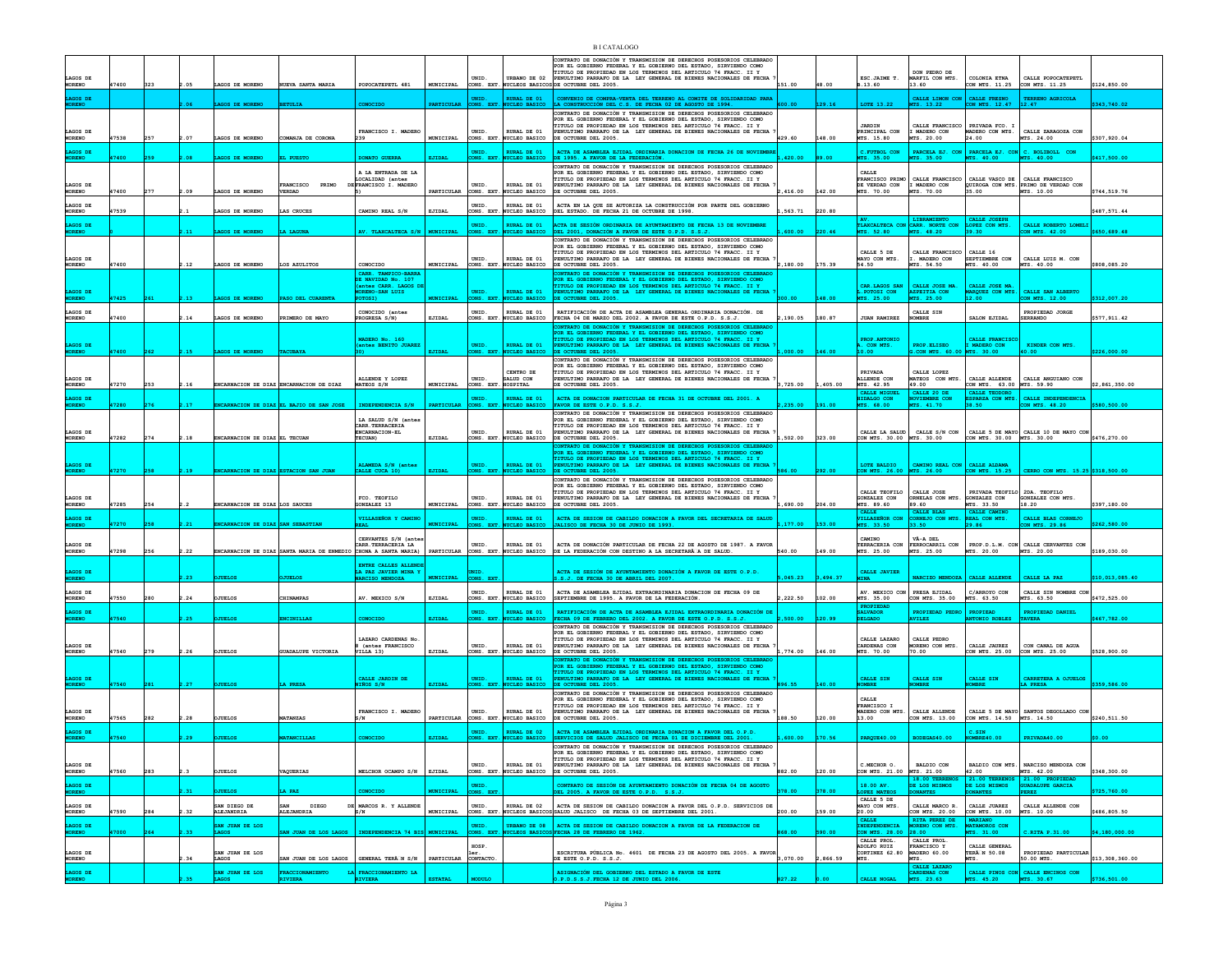|                            |       |     |      |                                  |                                                                 |                                             |                   |                     |                                            | <b>BI CATALOGO</b>                                                                                                                                                                                   |          |        |                                           |                                                                |                                              |                                                          |                 |
|----------------------------|-------|-----|------|----------------------------------|-----------------------------------------------------------------|---------------------------------------------|-------------------|---------------------|--------------------------------------------|------------------------------------------------------------------------------------------------------------------------------------------------------------------------------------------------------|----------|--------|-------------------------------------------|----------------------------------------------------------------|----------------------------------------------|----------------------------------------------------------|-----------------|
|                            |       |     |      |                                  |                                                                 |                                             |                   |                     |                                            | CONTRATO DE DONACIÓN Y TRANSMISION DE DERECHOS POSESORIOS CELEBRADO<br>POR EL GOBIERNO FEDERAL Y EL GOBIERNO DEL ESTADO, SIRVIENDO COMO                                                              |          |        |                                           |                                                                |                                              |                                                          |                 |
| LAGOS DE                   |       |     |      |                                  |                                                                 |                                             |                   | UNID.               |                                            | TITULO DE PROPIEDAD EN LOS TERMINOS DEL ARTICULO 74 FRACC. II Y<br>URBANO DE 02 PENULTIMO PARRAFO DE LA LEY GENERAL DE BIENES NACIONALES DE FECHA                                                    |          |        | ESC.JAIME T.                              | DON PEDRO DE<br>MARFIL CON MTS.                                | COLONIA ETNA                                 | CALLE POPOCATEPETL                                       |                 |
| MORENO                     | 47400 | 323 | .05  | LAGOS DE MORENO                  | NUEVA SANTA MARIA                                               | POPOCATEPETL 481                            | MUNICIPAL         |                     |                                            | CONS. EXT. NUCLEOS BASICOS DE OCTUBRE DEL 2005.                                                                                                                                                      | 151.00   |        | .13.60                                    |                                                                | CON MTS. 11.25                               | CON MTS. 11.25                                           | \$124,850.00    |
| AGOS DE                    |       |     |      |                                  |                                                                 |                                             | PARTICULAR        | UNID.               | <b>RURAL DE 01</b><br><b>BICLEO BASTCO</b> | CONVENIO DE COMPRA-VENTA DEL TERRENO AL COMITE DE SOLIDARIDAD PARA                                                                                                                                   |          |        |                                           | CALLE LIMON CON                                                | CALLE FRESNO                                 | TERRENO AGRICOLA                                         |                 |
| ORENO                      |       |     |      |                                  |                                                                 | CONOCTDO                                    |                   | ONS. EXT.           |                                            | A CONSTRUCCIÓN DEL C.S. DE FECHA 02 DE AGOSTO DE 1994.<br>CONTRATO DE DONACIÓN Y TRANSMISION DE DERECHOS POSESORIOS CELEBRADO                                                                        |          |        | OTE 13.22                                 | TS. 13.22                                                      | ON MTS. 12.47                                | 2.47                                                     | 343.740.02      |
|                            |       |     |      |                                  |                                                                 |                                             |                   |                     |                                            | POR EL GOBIERNO FEDERAL Y EL GOBIERNO DEL ESTADO. SIRVIENDO COMO<br>TITULO DE PROPIEDAD EN LOS TERMINOS DEL ARTICULO 74 FRACC. II Y                                                                  |          |        | <b>JARDIN</b>                             |                                                                | CALLE FRANCISCO   PRIVADA FCO. I             |                                                          |                 |
| LAGOS DE<br>MORENO         | 17538 | 257 | 07   | LAGOS DE MORENO                  | OMANJA DE CORONA                                                | FRANCISCO I. MADERO<br>239                  | MUNICIPAL         | UNID.<br>CONS. EXT  | <b>RURAL DE 01</b><br><b>WCLEO BASICO</b>  | PENULTIMO PARRAFO DE LA LEY GENERAL DE BIENES NACIONALES DE FECHA<br>DE OCTUBRE DEL 2005                                                                                                             | 429.60   | 48.00  | PRINCIPAL CON<br>MTS. 15.80               | I MADERO CON<br>MTS. 20.00                                     | MADERO CON MTS.<br>24.00                     | CALLE ZARAGOZA CON<br>MTS. 24.00                         | \$307,920.04    |
|                            |       |     |      |                                  |                                                                 |                                             |                   |                     |                                            | ACTA DE ASAMBLEA EJIDAL ORDINARIA DONACION DE FECHA 26 DE NOVIEMB                                                                                                                                    |          |        |                                           |                                                                |                                              |                                                          |                 |
| AGOS DE<br><b>IORENO</b>   | 7400  |     |      | AGOS DE MORENO                   | EL PUESTO                                                       | <b>DONATO GUERRA</b>                        | EJIDAI            | UNID                | RURAL DE 01<br>NS. EXT. NUCLEO BASICO      | DE 1995. A FAVOR DE LA FEDERACIÓN                                                                                                                                                                    | 420.00   |        | .FUTBOL CON<br>MTS. 35.00                 | PARCELA EJ. CON<br>MTS. 35.00                                  | MTS. 40.00                                   | PARCELA EJ. CON C. BOLIBOLL CON<br>MTS. 40.00 MTS. 40.00 | \$417,500.00    |
|                            |       |     |      |                                  |                                                                 | A LA ENTRADA DE LA                          |                   |                     |                                            | CONTRATO DE DONACIÓN Y TRANSMISION DE DERECHOS POSESORIOS CELEBRADO<br>POR EL GOBIERNO FEDERAL Y EL GOBIERNO DEL ESTADO. SIRVIENDO COMO                                                              |          |        | CALLE                                     |                                                                |                                              |                                                          |                 |
| LAGOS DE                   |       |     |      |                                  | RANCISCO<br>PRIMO                                               | LOCALIDAD (antes<br>DE FRANCISCO I. MADERO  |                   | UNID.               | RURAL DE 01                                | TITULO DE PROPIEDAD EN LOS TERMINOS DEL ARTICULO 74 FRACC. II Y<br>ENULTIMO PARRAFO DE LA LEY GENERAL DE BIENES NACIONALES DE FECHA                                                                  |          |        | DE VERDAD CON                             | FRANCISCO PRIMO CALLE FRANCISCO CALLE VASCO DE<br>I MADERO CON |                                              | CALLE FRANCISCO<br>QUIROGA CON MTS. PRIMO DE VERDAD CON  |                 |
| <b>MORENO</b>              | 7400  |     | .09  | LAGOS DE MORENO                  | VERDAD                                                          |                                             | PARTICULAR        |                     | ONS. EXT. NUCLEO BASICO                    | DE OCTUBRE DEL 2005.                                                                                                                                                                                 | .416.00  | 142.00 | MTS. 70.00                                | MTS. 70.00                                                     | 35.00                                        | MTS. 10.00                                               | \$744.519.76    |
| LAGOS DE                   |       |     |      |                                  |                                                                 | CAMINO REAL S/N                             |                   | UNID.               | RURAL DE 01                                | ACTA EN LA OUE SE AUTORIZA LA CONSTRUCCIÓN POR PARTE DEL GOBIERNO                                                                                                                                    |          |        |                                           |                                                                |                                              |                                                          |                 |
| <b>MORENO</b>              | 17539 |     |      | LAGOS DE MORENO                  | LAS CRUCES                                                      |                                             | EJIDAL            |                     | ONS. EXT. NUCLEO BASICO                    | DEL ESTADO. DE FECHA 21 DE OCTUBRE DE 1998.                                                                                                                                                          | ,563.71  | 220.80 | AV.                                       | <b>LIBRAMIENT</b>                                              | <b>CALLE JOSEPH</b>                          |                                                          | \$487,571.44    |
| LAGOS DE<br>ORENO          |       |     |      |                                  |                                                                 | V. TLAXCALTECA S/I                          | UNICIPA           | UNID.               | <b>RURAL DE 01</b><br><b>CLEO BASICO</b>   | ACTA DE SESIÓN ORDINARIA DE AYUNTAMIENTO DE FECHA 13 DE NOVIEMBRE<br>DEL 2001, DONACIÓN A FAVOR DE ESTE O.P.D. S.S.J                                                                                 |          |        | ms. 52.80                                 | TLAXCALTECA CON CARR. NORTE CON<br>MTS. 48.20                  | LOPEZ CON MTS.                               | CALLE ROBERTO LOMELI<br>ON MTS. 42.00                    | \$650,689.48    |
|                            |       |     |      |                                  |                                                                 |                                             |                   |                     |                                            | CONTRATO DE DONACIÓN Y TRANSMISION DE DERECHOS POSESORIOS CELEBRADO                                                                                                                                  |          |        |                                           |                                                                |                                              |                                                          |                 |
|                            |       |     |      |                                  |                                                                 |                                             |                   |                     |                                            | POR EL GOBIERNO FEDERAL Y EL GOBIERNO DEL ESTADO, SIRVIENDO COMO<br>TITULO DE PROPIEDAD EN LOS TERMINOS DEL ARTICULO 74 FRACC. II Y                                                                  |          |        | CALLE 5 DE                                | CALLE FRANCISCO                                                | CALLE 16                                     |                                                          |                 |
| LAGOS DE<br>MORENO         | 17400 |     | .12  | LAGOS DE MOREN                   | OS AZULITOS                                                     | CONOCIDO                                    | MUNICIPAL         | UNID.<br>ONS. EXT.  | RURAL DE 01<br>UCLEO BASICO                | PENULTIMO PARRAFO DE LA LEY GENERAL DE BIENES NACIONALES DE FECHA<br>DE OCTUBRE DEL 2005.                                                                                                            | 180.00   | 175.39 | MAYO CON MTS.<br>54.50                    | I. MADERO CON<br>TS. 54.50                                     | SEPTIEMBRE CON<br>MTS. 40.00                 | CALLE LUIS M. CON<br>TS. 40.00                           | \$808,085.20    |
|                            |       |     |      |                                  |                                                                 | CARR. TAMPICO-BARRA<br>E NAVIDAD No. 107    |                   |                     |                                            | CONTRATO DE DONACIÓN Y TRANSMISION DE DERECHOS POSESORIOS CELEBRADO<br>FOR EL GOBIERNO FEDERAL Y EL GOBIERNO DEL ESTADO, SIRVIENDO COMO                                                              |          |        |                                           |                                                                |                                              |                                                          |                 |
|                            |       |     |      |                                  |                                                                 | (antes CARR. LAGOS D<br>ORENO-SAN LUIS      |                   |                     |                                            | TITULO DE PROPIEDAD EN LOS TERMINOS DEL ARTICULO 74 FRACC. II Y                                                                                                                                      |          |        | CAR. LAGOS SAN                            | CALLE JOSE MA                                                  | CALLE JOSE MA                                | CALLE SAN ALBERTO                                        |                 |
| <b>LAGOS DE<br/>MORENO</b> | 7425  |     |      | <b>AGOS DE MORENO</b>            | PASO DEL CUARENTI                                               | OSI)                                        | <b>MUNICIPAL</b>  | UNID.<br>ONS. EXT.  | RURAL DE 01<br><b>NUCLEO BASICO</b>        | PENULTIMO PARRAFO DE LA LEY GENERAL DE BIENES NACIONALES DE FECHA<br>E OCTUBRE DEL 2005.                                                                                                             |          | 48.00  | L.POTOSI CON<br>WTS. 25.00                | AZPEITIA CON<br>MTS. 25.00                                     | MARQUEZ CON MTS.<br>12.00                    | ON MTS. 12.00                                            | \$312,007.20    |
| LAGOS DE                   |       |     |      |                                  |                                                                 | CONOCIDO (antes                             |                   | UNID.               | RURAL DE 01                                | RATIFICACIÓN DE ACTA DE ASAMBLEA GENERAL ORDINARIA DONACIÓN. DE                                                                                                                                      |          |        |                                           | CALLE SIN                                                      |                                              | PROPIEDAD JORGE                                          |                 |
| MORENO                     | 17400 |     | 14   | LAGOS DE MORENO                  | PRIMERO DE MAYO                                                 | PROGRESA S/N)                               | EJIDAL            |                     | ONS. EXT. NUCLEO BASICO                    | FECHA 04 DE MARZO DEL 2002. A FAVOR DE ESTE O.P.D. S.S.J.<br><b>NYTRATO DE DONACIÓN Y TRANSMISION DE DERECHOS POSESORIOS CELEBRAD</b>                                                                | ,190.05  | 180.87 | <b>JUAN RAMIREZ</b>                       | <b>NOMBRE</b>                                                  | SALON EJIDAL                                 | <b>SERRANDO</b>                                          | \$577,911.42    |
|                            |       |     |      |                                  |                                                                 |                                             |                   |                     |                                            | POR EL GOBIERNO FEDERAL Y EL GOBIERNO DEL ESTADO, SIRVIENDO COMO                                                                                                                                     |          |        |                                           |                                                                |                                              |                                                          |                 |
| LAGOS DE                   | 7400  |     |      |                                  |                                                                 | MADERO No. 160<br>(antes BENITO JUAREZ      |                   | UNID.               | <b>RURAL DE 01</b><br>CLEO BASICO          | TITULO DE PROPIEDAD EN LOS TERMINOS DEL ARTICULO 74 FRACC. II Y<br>PENULTIMO PARRAFO DE LA LEY GENERAL DE BIENES NACIONALES DE FECHA                                                                 | 000.00   |        | PROP. ANTONIO<br>A. CON MTS.<br>10.00     | PROP.ELISEO                                                    | CALLE FRANCISC<br><b>MADERO CON</b>          | KINDER CON MTS.                                          |                 |
| <b>MORENO</b>              |       |     |      | <b>GOS DE MORENC</b>             | <b>CUBAYA</b>                                                   |                                             | EJIDAL            | ONS. EXT            |                                            | DE OCTUBRE DEL 2005.<br>CONTRATO DE DONACTÓN Y TRANSMISION DE DERECHOS POSESORIOS CELEBRADO                                                                                                          |          | 146.00 |                                           | .CON MTS. 60.00                                                | MTS. 30.00                                   | 0.00                                                     | \$226,000.00    |
|                            |       |     |      |                                  |                                                                 |                                             |                   |                     | CENTRO DE                                  | POR EL GOBIERNO FEDERAL Y EL GOBIERNO DEL ESTADO. SIRVIENDO COMO<br>TITULO DE PROPIEDAD EN LOS TERMINOS DEL ARTICULO 74 FRACC. II Y                                                                  |          |        | PRIVADA                                   | CALLE LOPEZ                                                    |                                              |                                                          |                 |
| LAGOS DE<br><b>MORENO</b>  | 17270 | 253 | : 16 |                                  | ENCARNACION DE DIAZ ENCARNACION DE DIAZ                         | ALLENDE Y LOPEZ<br>MATEOS S/N               | MUNICIPAL         | INTD.<br>CONS. EXT. | SALUD CON<br>HOSPITAL                      | PENULTIMO PARRAFO DE LA LEY GENERAL DE BIENES NACIONALES DE FECHA<br>DE OCTUBRE DEL 2005.                                                                                                            | 3,725.00 | 405.00 | ALLENDE CON<br>MTS. 42.95                 | MATEOS CON MTS.<br>49.00                                       | CATTE ATTENDE<br>CON MTS. 63.00              | CALLE ANGUIANO CON<br>MTS. 59.90                         | \$2,861,350.00  |
|                            |       |     |      |                                  |                                                                 |                                             |                   |                     |                                            |                                                                                                                                                                                                      |          |        | CALLE MIGUE                               | CALLE 20 DI                                                    | <b>CALLE TEODOR</b>                          |                                                          |                 |
| LAGOS DE<br>ORENO          | 280   |     |      |                                  | NACION DE DIAZ EL BAJIO DE SAN JOSE                             | INDEPENDENCIA S/N                           | PARTICULAR        | UNID.<br>MS. EXT.   | <b>RURAL DE 01</b>                         | ACTA DE DONACION PARTICULAR DE FECHA 31 DE OCTUBRE DEL 2001. A<br>NOR DE ESTE O.P.D. S.S.J.                                                                                                          | 235.00   |        | <b>IDALGO CON</b><br>TS. 68.00            | <b>NOVIEMBRE CON</b><br>TS. 41.70                              | ESPARZA CON MTS.                             | CALLE INDEPENDENCIA<br>ON MTS. 48.20                     | \$580,500.00    |
|                            |       |     |      |                                  |                                                                 | LA SALUD S/N (antes                         |                   |                     |                                            | CONTRATO DE DONACIÓN Y TRANSMISION DE DERECHOS POSESORIOS CELEBRADO<br>POR EL GOBIERNO FEDERAL Y EL GOBIERNO DEL ESTADO. SIRVIENDO COMO                                                              |          |        |                                           |                                                                |                                              |                                                          |                 |
| LAGOS DE                   |       |     |      |                                  |                                                                 | CARR. TERRACERIA<br>ENCARNACION-EL          |                   | UNID.               | RURAL DE 01                                | TITULO DE PROPIEDAD EN LOS TERMINOS DEL ARTICULO 74 FRACC. II Y<br>PENULTIMO PARRAFO DE LA LEY GENERAL DE BIENES NACIONALES DE FECHA                                                                 |          |        |                                           | CALLE LA SALUD CALLE S/N CON                                   |                                              | CALLE 5 DE MAYO CALLE 10 DE MAYO CON                     |                 |
| <b>MORENO</b>              | 47282 | 274 | .18  | ENCARNACION DE DIAZ EL TECUAN    |                                                                 | TECUAN)                                     | EJIDAI            |                     | ONS. EXT. NUCLEO BASICO                    | DE OCTUBRE DEL 2005.                                                                                                                                                                                 | 502.00   | 323.00 | CON MTS. 30.00 MTS. 30.00                 |                                                                | CON MTS. 30.00 MTS. 30.00                    |                                                          | \$476,270.00    |
|                            |       |     |      |                                  |                                                                 |                                             |                   |                     |                                            | NTRATO DE DONACIÓN Y TRANSMISION DE DERECHOS POSESORIOS CELEBRAD<br>POR EL GOBIERNO FEDERAL Y EL GOBIERNO DEL ESTADO, SIRVIENDO COMO TITULO DE PROPIEDAD EN LOS TERMINOS DEL ARTICULO 74 FRACC. II Y |          |        |                                           |                                                                |                                              |                                                          |                 |
| LAGOS DE                   |       |     |      |                                  |                                                                 | ALAMEDA S/N (antes                          |                   | UNID.               | RURAL DE 01                                | ENULTIMO PARRAFO DE LA LEY GENERAL DE BIENES NACIONALES DE FECHA                                                                                                                                     |          |        | LOTE BALDIO                               | CAMINO REAL CON                                                | CALLE ALDAMA                                 |                                                          |                 |
| <b>CORENO</b>              | 7270  |     |      |                                  | CARNACION DE DIAZ ESTACION SAN JUAN                             | TALLE CUCA 10)                              | <b>LTTDAT.</b>    | MS. EXT.            | <b>NUCLEO BASICO</b>                       | DE OCTUBRE DEL 2005.<br>CONTRATO DE DONACIÓN Y TRANSMISION DE DERECHOS POSESORIOS CELEBRADO                                                                                                          |          |        | ON MTS. 26.00 MTS. 26.00                  |                                                                | ON MTS. 15.25                                | CERRO CON MTS. 15.25 \$318.500.00                        |                 |
|                            |       |     |      |                                  |                                                                 |                                             |                   |                     |                                            | POR EL GOBIERNO FEDERAL Y EL GOBIERNO DEL ESTADO. SIRVIENDO COMO                                                                                                                                     |          |        |                                           |                                                                |                                              |                                                          |                 |
| LAGOS DE                   |       |     |      |                                  |                                                                 | FCO. TEOFILO                                |                   | UNID.               | RURAL DE 01                                | TITULO DE PROPIEDAD EN LOS TERMINOS DEL ARTICULO 74 FRACC. II Y<br>ENULTIMO PARRAFO DE LA LEY GENERAL DE BIENES NACIONALES DE FECHA                                                                  |          |        | CALLE TEOFILO   CALLE JOSE<br>ONZALEZ CON | ORNELAS CON MTS.                                               | PRIVADA TEOFILO 2DA. TEOFILO<br>GONZALEZ CON | GONZALEZ CON MTS.                                        |                 |
| <b>MORENO</b>              | 47285 | 254 |      | ENCARNACION DE DIAZ LOS SAUCES   |                                                                 | GONZALEZ <sub>13</sub>                      | MUNICIPAL         |                     | CONS. EXT. NUCLEO BASICO                   | DE OCTUBRE DEL 2005.                                                                                                                                                                                 | .690.00  | 204.00 | MTS. 89.60                                | 89.60<br>CALLE BLA                                             | MTS. 33.50<br>CALLE CAM                      | 18.20                                                    | \$397,180.00    |
| LAGOS DE<br><b>CORENO</b>  | 17270 |     |      | NCARNACION DE DIAZ SAN SEBASTIAN |                                                                 | VILLASEÑOR Y CAMINO<br>RAT.                 | <b>MUNICIPAL</b>  | UNID.<br>ONS. EXT   | RURAL DE 01<br>UCLEO BASICO                | ACTA DE SESION DE CABILDO DONACION A FAVOR DEL SECRETARIA DE SALUD<br><b>JALISCO DE FECHA 30 DE JUNIO DE 1993.</b>                                                                                   | 177.00   |        | <b>VILLASEÑOR CON</b><br>MTS. 33.50       | CORNEJO CON MTS.<br>33.50                                      | REAL CON MTS.<br>29.86                       | CALLE BLAS CORNEJO<br>ON MTS. 29.86                      | \$262.580.00    |
|                            |       |     |      |                                  |                                                                 |                                             |                   |                     |                                            |                                                                                                                                                                                                      |          |        |                                           |                                                                |                                              |                                                          |                 |
| LAGOS DE                   |       |     |      |                                  |                                                                 | CERVANTES S/N (ante:<br>CARR. TERRACERIA LA |                   | UNID.               | RURAL DE 01                                | ACTA DE DONACIÓN PARTICULAR DE FECHA 22 DE AGOSTO DE 1987. A FAVOR                                                                                                                                   |          |        | CAMINO                                    | VÃ-A DEL<br>TERRACERIA CON FERROCARRIL CON                     |                                              | PROP.D.L.M. CON CALLE CERVANTES CON                      |                 |
| <b>MORENO</b>              | 47298 | 256 | .22  |                                  | ENCARNACION DE DIAZ SANTA MARIA DE ENMEDIO CHONA A SANTA MARIA) |                                             | PARTICULAR        |                     | CONS. EXT. NUCLEO BASICO                   | DE LA FEDERACIÓN CON DESTINO A LA SECRETARÃ A DE SALUD.                                                                                                                                              | 540.00   | 49.00  | MTS. 25.00                                | MTS. 25.00                                                     | MTS. 20.00                                   | MTS. 20.00                                               | \$189,030.00    |
| LAGOS DE                   |       |     |      |                                  |                                                                 | ENTRE CALLES ALLEND<br>LA PAZ JAVIER MINA Y |                   | <b>MID</b>          |                                            | ACTA DE SESIÓN DE AYUNTAMIENTO DONACIÓN A FAVOR DE ESTE O.P.D.                                                                                                                                       |          |        | <b>CALLE JAVIER</b>                       |                                                                |                                              |                                                          |                 |
| MORENO                     |       |     |      |                                  |                                                                 | <b>WARCISO MENDOZA</b>                      | <b>MUNICIPAL</b>  | ONS. EXT            |                                            | .S.J. DE FECHA 30 DE ABRIL DEL 2007.                                                                                                                                                                 | 045.23   | 494.37 | <b>MINA</b>                               | NARCIZO MENDOZA                                                | CALLE ALLENDE                                | CALLE LA PAZ                                             | \$10,013,085.40 |
| LAGOS DE                   |       |     |      |                                  |                                                                 |                                             |                   | UNID.               | RURAL DE 01                                | ACTA DE ASAMBLEA EJIDAL EXTRAORDINARIA DONACION DE FECHA 09 DE                                                                                                                                       |          |        | AV. MEXICO CON PRESA EJIDAL               |                                                                | C/ARROYO CON                                 | CALLE SIN NOMBRE CON                                     |                 |
| <b>MORENO</b>              | 47550 |     | 2.24 | OJUELOS                          | CHINAMPAS                                                       | AV. MEXICO S/N                              | EJIDAI            |                     | ONS. EXT. NUCLEO BASICO                    | SEPTIEMBRE DE 1995. A FAVOR DE LA FEDERACIÓN.                                                                                                                                                        | 222.50   | 102.00 | MTS. 35.00<br>PROPIEDA                    | CON MTS. 35.00                                                 | MTS. 63.50                                   | MTS. 63.50                                               | \$472,525.00    |
| GOS DE<br><b>MORENO</b>    | 17540 |     | .25  | <b>TIRLOS</b>                    | <b>CINILLAS</b>                                                 | CONOCIDO                                    | EJIDAL            | ONS. EXT.           | UCLEO BASICO                               | RATIFICACIÓN DE ACTA DE ASAMBLEA EJIDAL EXTRAORDINARIA DONACIÓN DE<br>FECHA 09 DE FEBRERO DEL 2002. A FAVOR DE ESTE O.P.D. S.S.J.                                                                    | .500.00  | 120.99 | LVADOR<br>DELGADO                         | <b>ROPIEDAD PEDRO</b><br>VILEZ                                 | PROPIEAL<br><b>TONIO ROBLES</b>              | ROPIEDAD DANIEL<br><b>AVERA</b>                          | \$467.782.00    |
|                            |       |     |      |                                  |                                                                 |                                             |                   |                     |                                            | CONTRATO DE DONACIÓN Y TRANSMISION DE DERECHOS POSESORIOS CELEBRADO                                                                                                                                  |          |        |                                           |                                                                |                                              |                                                          |                 |
|                            |       |     |      |                                  |                                                                 | LAZARO CARDENAS No                          |                   |                     |                                            | POR EL GOBIERNO FEDERAL Y EL GOBIERNO DEL ESTADO, SIRVIENDO COMO<br>TITULO DE PROPIEDAD EN LOS TERMINOS DEL ARTICULO 74 FRACC. II Y                                                                  |          |        | CALLE LAZARO                              | CALLE PEDRO                                                    |                                              |                                                          |                 |
| LAGOS DE<br>MORENO         | 17540 | 279 | .26  | <b>OJUELOS</b>                   | <b>JUADALUPE VICTORIA</b>                                       | (antes FRANCISCO<br>VILLA 13)               | EJIDAL            | UNID.<br>CONS. EXT  | RURAL DE 01<br>UCLEO BASICO                | PENULTIMO PARRAFO DE LA LEY GENERAL DE BIENES NACIONALES DE FECHA<br>DE OCTUBRE DEL 2005.                                                                                                            | ,774.00  | 146.00 | CARDENAS CON<br>MTS. 70.00                | MORENO CON MTS.<br>70.00                                       | CALLE JAUREZ<br>CON MTS. 25.00               | CON CANAL DE AGUA<br>CON MTS. 25.00                      | \$528,900.00    |
|                            |       |     |      |                                  |                                                                 |                                             |                   |                     |                                            | <b>CONTRATO DE DONACIÓN Y TRANSMISION DE DERECHOS POSESORIOS CELEBRAD</b><br>OR EL GOBIERNO FEDERAL Y EL GOBIERNO DEL ESTADO, SIRVIENDO COMO                                                         |          |        |                                           |                                                                |                                              |                                                          |                 |
|                            |       |     |      |                                  |                                                                 |                                             |                   |                     |                                            | TITULO DE PROPIEDAD EN LOS TERMINOS DEL ARTICULO 74 FRACC. II Y<br>PENULTIMO PARRAFO DE LA LEY GENERAL DE BIENES NACIONALES DE FECHA                                                                 |          |        |                                           |                                                                |                                              |                                                          |                 |
| LAGOS DE<br><b>IORENO</b>  | 540   |     |      |                                  | A PRESA                                                         | CALLE JARDIN DE<br>IÑOS S/N                 | <b>EJIDAI</b>     | UNID.<br>MS. EXT.   | RURAL DE 01<br><b>JCLEO BASICO</b>         | E OCTUBRE DEL 2005.                                                                                                                                                                                  |          |        | CALLE SIN                                 | CALLE SIN                                                      | CALLE SIN                                    | CARRETERA A OJUELOS<br><b>PRESA</b>                      | 359,586.00      |
|                            |       |     |      |                                  |                                                                 |                                             |                   |                     |                                            | CONTRATO DE DONACIÓN Y TRANSMISION DE DERECHOS POSESORIOS CELEBRADO<br>POR EL GOBIERNO FEDERAL Y EL GOBIERNO DEL ESTADO, SIRVIENDO COMO                                                              |          |        | <b>CALLE</b>                              |                                                                |                                              |                                                          |                 |
| LAGOS DE                   |       |     |      |                                  |                                                                 | FRANCISCO I. MADERO                         |                   | UNID.               | RURAL DE 01                                | TITULO DE PROPIEDAD EN LOS TERMINOS DEL ARTICULO 74 FRACC. II Y<br>PENULTIMO PARRAFO DE LA LEY GENERAL DE BIENES NACIONALES DE FECHA                                                                 |          |        | FRANCISCO I<br>MADERO CON MTS.            | CALLE ALLENDE                                                  |                                              | CALLE 5 DE MAYO SANTOS DEGOLLADO CON                     |                 |
| MORENO                     | 17565 | 282 | .28  | <b>JUELOS</b>                    | <b>ATANZAS</b>                                                  | S/N                                         | <b>PARTICULAR</b> |                     | CONS. EXT. NUCLEO BASICO                   | DE OCTUBRE DEL 2005.                                                                                                                                                                                 | 188.50   |        | 13.00                                     | CON MTS. 13.00                                                 | CON MTS. 14.50 MTS. 14.50                    |                                                          | \$240,511.50    |
| LAGOS DE                   |       |     |      |                                  |                                                                 |                                             |                   | UNID.               | <b>RURAL DE 02</b>                         | ACTA DE ASAMBLEA EJIDAL ORDINARIA DONACION A FAVOR DEL O.P.D.                                                                                                                                        |          |        |                                           |                                                                | C.SIN                                        |                                                          |                 |
|                            |       |     |      |                                  |                                                                 |                                             |                   | NS. E               |                                            | O DE FECHA 01 DE DI<br>CONTRATO DE DONACIÓN Y TRANSMISION DE DERECHOS POSESORIOS CELEBRADO                                                                                                           |          |        |                                           |                                                                |                                              |                                                          |                 |
|                            |       |     |      |                                  |                                                                 |                                             |                   |                     |                                            | POR EL GOBIERNO FEDERAL Y EL GOBIERNO DEL ESTADO, SIRVIENDO COMO<br>TITULO DE PROPIEDAD EN LOS TERMINOS DEL ARTICULO 74 FRACC. II Y                                                                  |          |        |                                           |                                                                |                                              |                                                          |                 |
| LAGOS DE                   | 47560 | 283 | .3   | OJUELOS                          | VAQUERIAS                                                       | MELCHOR OCAMPO S/N                          | EJIDAL            | UNID.               | RURAL DE 01                                | PENIILTIMO PARRAFO DE LA LEY GENERAL DE RIENES NACIONALES DE FECHA                                                                                                                                   | 882.00   | 120.00 | C.MECHOR O.<br>CON MTS. 21.00 MTS. 21.00  | BALDIO CON                                                     | BALDIO CON MTS.                              | NARCISO MENDOZA CON                                      | \$348,300.00    |
| <b>MORENO</b>              |       |     |      |                                  |                                                                 |                                             |                   |                     | CONS. EXT. NUCLEO BASICO                   | DE OCTUBRE DEL 2005.                                                                                                                                                                                 |          |        |                                           | 18.00 TERRENOS                                                 | 42.00<br><b>21.00 TERRENOS</b>               | MTS. 42.00<br>21.00 PROPIEDAL                            |                 |
| LAGOS DE<br><b>MORENO</b>  |       |     |      | TPTAC                            | A PAZ                                                           | CONOCTRO                                    | <b>MINTCTPAT</b>  | UNID.<br>ONS. EXT   |                                            | CONTRATO DE SESIÓN DE AYUNTAMIENTO DONACIÓN DE FECHA 04 DE AGOSTO DEL 2005. A FAVOR DE ESTE O.P.D. S.S.J.                                                                                            |          | 78.00  | 18.00 AV<br>OPEZ MATEOS                   | DE LOS MISMOS<br><b>CONANTES</b>                               | DE LOS MISMOS<br><b>ONANTES</b>              | GUADALUPE GARCIA<br><b>RREZ</b>                          | \$725,760.00    |
| LAGOS DE                   |       |     |      | SAN DIEGO DE                     | DIEGO<br>SAN                                                    | DE MARCOS R. Y ALLENDE                      |                   | UNID.               | RURAL DE 02                                | ACTA DE SESION DE CABILDO DONACION A FAVOR DEL O.P.D. SERVICIOS DE                                                                                                                                   |          |        | CALLE 5 DE<br>MAYO CON MTS.               | CALLE MARCO R.                                                 | CALLE JUAREZ                                 | CALLE ALLENDE CON                                        |                 |
| <b>MORENO</b>              | 17590 | 284 | .32  | ALEJANDRIA                       | <b>ALEJANDRIA</b>                                               | S/N                                         | MUNICIPAL         |                     |                                            | CONS. EXT. NUCLEOS BASICOS SALUD JALISCO DE FECHA 03 DE SEPTIEMBRE DEL 2001.                                                                                                                         | 200.00   | 59.00  | 20.00                                     | CON MTS. 20.00                                                 | CON MTS. 10.00                               | MTS. 10.00                                               | \$486,805.50    |
|                            |       |     |      |                                  |                                                                 |                                             |                   |                     | URBANO DE 08                               | ACTA DE SESION DE CARILDO DONACION A FAVOR DE LA FEDERACION DE                                                                                                                                       |          |        | CALLE<br>INDEPENDENCIA                    | RITA PEREZ DE<br>MORENO CON MTS.                               | <b>MARIANO</b><br>MATAMOROS CON              |                                                          |                 |
| LAGOS DE                   |       |     |      | SAN JUAN DE LOS                  |                                                                 |                                             |                   | <b>IBITD</b>        |                                            |                                                                                                                                                                                                      |          |        |                                           |                                                                |                                              |                                                          |                 |
| <b>IORENO</b>              | 7000  |     |      |                                  | AN JUAN DE LOS LAGOS                                            | INDEPENDENCIA 74 BIS MUNICIPAL              |                   | ONS. EXT.           | UCLEOS BASIC                               | FECHA 28 DE FEBRERO DE 1962.                                                                                                                                                                         | 68.00    | 90.00  | CON MTS. 28.00 28.00                      |                                                                | TS. 31.00                                    | RITA P.31.00                                             | \$4,180,000.00  |
|                            |       |     |      |                                  |                                                                 |                                             |                   | HOSP.               |                                            |                                                                                                                                                                                                      |          |        | CALLE PROL.<br>ADOLFO RUIZ                | CALLE PROL.<br>FRANCISCO Y                                     | CALLE GENERAL                                |                                                          |                 |
| LAGOS DE<br>MORENO         |       |     | .34  | SAN JUAN DE LOS<br>LAGOS         | AN JUAN DE LOS LAGOS                                            | GENERAL TERÂ N S/N                          | PARTICULAR        | ler.<br>CONTACTO    |                                            | ESCRITURA PÚBLICA No. 4601 DE FECHA 23 DE AGOSTO DEL 2005. A FAVOL<br>DE ESTE O.P.D. S.S.J.                                                                                                          | 3.070.00 | 866.59 | CORTINEZ 62.80<br>MTS.                    | MADERO 60.00<br>MTS.                                           | <b>TERÂ N 50.08</b><br>MTS.                  | PROPIEDAD PARTICULAR<br>50.00 MTS.                       | \$13,308,360.00 |
| LAGOS DE<br><b>ORENO</b>   |       |     |      | SAN JUAN DE LOS                  | <b>FRACCIONAMIENTO</b><br>T.A<br><b>IVIERA</b>                  | FRACCIONAMIENTO LA<br><b>RIVIERA</b>        |                   |                     |                                            | ASIGNACIÓN DEL GOBIERNO DEL ESTADO A FAVOR DE ESTE<br>P.D.S.S.J.FECHA 12 DE JUNIO DEL 2006                                                                                                           |          |        | ALLE NOGAL                                | CALLE LAZA<br><b>CARDENAS CON</b><br>MTS. 23.63                |                                              | CALLE PINOS CON CALLE ENCINOS CON                        |                 |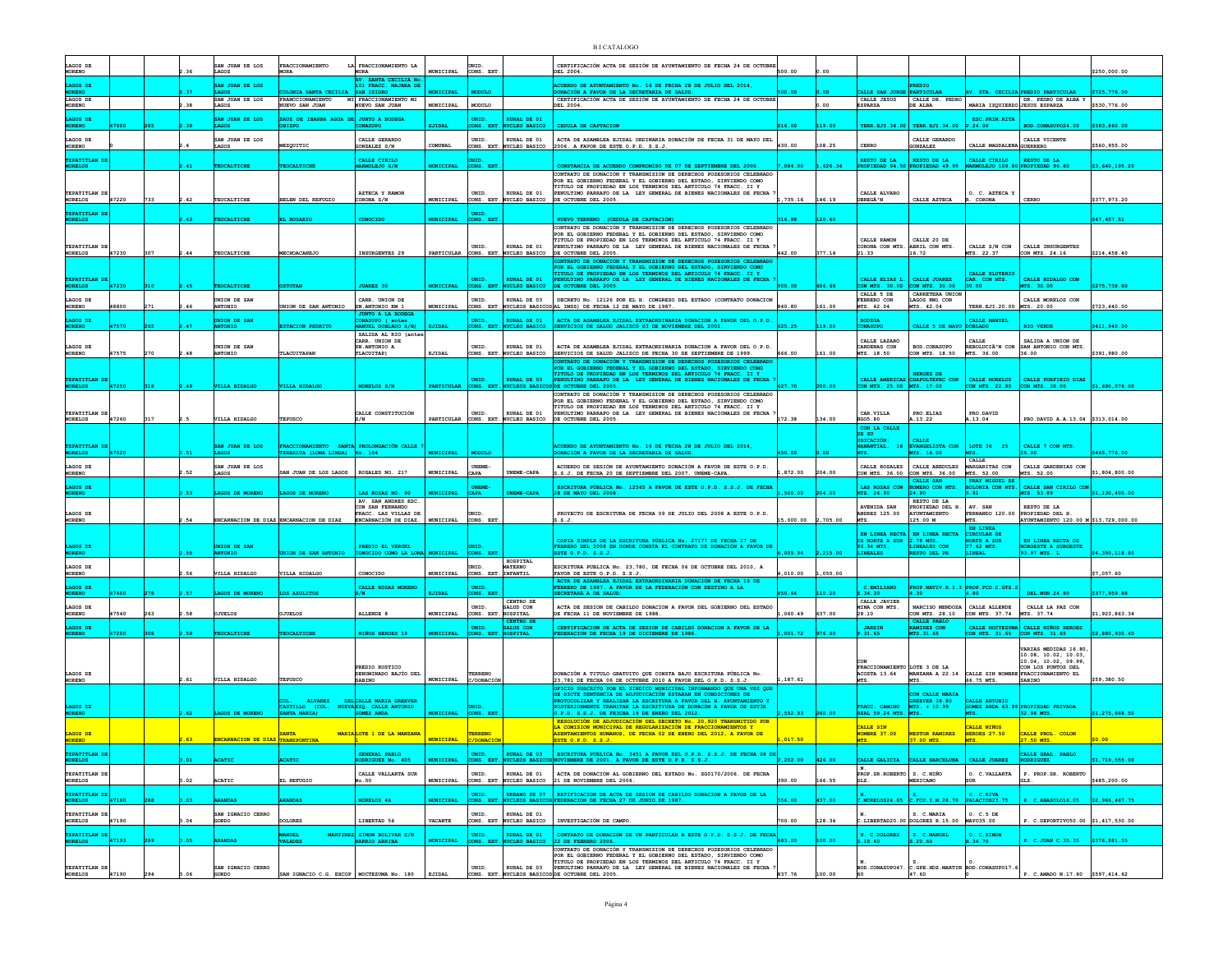| LAGOS DE                              |       |     |       | AN JUAN DE LOS                          | FRACCIONAMIENTO                                                           | LA FRACCIONAMIENTO LA                                               |                  | UNID.                        |                                                    | CERTIFICACIÓN ACTA DE SESIÓN DE AYUNTAMIENTO DE FECHA 24 DE OCTUBRE                                                                                                                                                                                       | 500.00            |          |                                         |                                                        |                                                |                                                                    |                |
|---------------------------------------|-------|-----|-------|-----------------------------------------|---------------------------------------------------------------------------|---------------------------------------------------------------------|------------------|------------------------------|----------------------------------------------------|-----------------------------------------------------------------------------------------------------------------------------------------------------------------------------------------------------------------------------------------------------------|-------------------|----------|-----------------------------------------|--------------------------------------------------------|------------------------------------------------|--------------------------------------------------------------------|----------------|
| MORENO<br>AGOS DE                     |       |     |       | AGOS<br>SAN JUAN DE LOS                 | <b>IORA</b>                                                               | <b>MORA</b><br>SANTA CECILIA N<br>101 FRACC. MAJARA DE              | <b>MUNICIPAL</b> | CONS. EX!                    |                                                    | DEL 2004.<br>UERDO DE AYUNTAMIENTO No. 16 DE FECHA 28 DE JULIO DEL 2014,                                                                                                                                                                                  |                   |          |                                         |                                                        |                                                |                                                                    | \$250,000.00   |
| LAGOS DE                              |       |     |       | SAN JUAN DE LOS                         | ONIA SANTA CECILIA<br>FRANCCIONAMIENTO                                    | SAN ISIDRO<br>MI FRACCIONAMIENTO MI                                 | <b>MUNICIPAL</b> | <b>MODITIZ</b>               |                                                    | DONACIÓN A FAVOR DE LA SECRETARIA DE SALUD<br>CERTIFICACIÓN ACTA DE SESIÓN DE AYUNTAMIENTO DE FECHA 24 DE OCTUBR                                                                                                                                          |                   |          | ALLE SAN JORGI<br>CALLE JESUS           | <b>PARTICULAR</b><br>CALLE DR. PEDRO                   | CECILIA                                        | <b>REDIO PARTICULAE</b><br>DR. PEDRO DE ALBA Y                     | \$725,776.00   |
| <b>MORENO</b>                         |       |     |       | LAGOS                                   | NUEVO SAN JUAN                                                            | NUEVO SAN JUAN                                                      | MUNICIPAL        | MODULO                       |                                                    | DEL 2004.                                                                                                                                                                                                                                                 |                   | 00       | <b>ESPARZA</b>                          | DE ALBA                                                | MARIA IZOUIERDO JESUS ESPARZA                  |                                                                    | \$530,776.00   |
| <b>AGOS DE</b><br><b>CORENO</b>       |       |     |       | SAN JUAN DE LOS<br>LAGOS                | SAUZ DE IBARRA AGUA<br><b>BISPO</b>                                       | <b>JUNTO A BODEGA</b><br><b>CONASUPO</b>                            | EJIDAL           | UNID<br>ONS. EXT.            | <b>RURAL DE 01</b><br><b>NUCLEO BASICO</b>         | CEDULA DE CAPTACION                                                                                                                                                                                                                                       | 316.00            | 119.00   |                                         | TERR.EJI.34.00 TERR.EJI.34.00                          | ESC. PRIM. RITA<br>P.24.00                     | BOD.CONASUPO24.00                                                  | \$383,860.00   |
| LAGOS DE<br>MORENO                    |       |     |       | SAN JUAN DE LOS<br>AGOS                 | EZQUITIC                                                                  | CALLE GERARDO<br><b>JONZALEZ S/N</b>                                | COMUNAL          | UNID.<br>ONS. EXT.           | RURAL DE 01<br>NUCLEO BASICO                       | ACTA DE ASAMBLEA EJIDAL ORDINARIA DONACIÓN DE FECHA 31 DE MAYO DEL<br>2006. A FAVOR DE ESTE O.P.D. S.S.J.                                                                                                                                                 | 430.00            | 108.25   | CERRO                                   | CALLE GERARDO<br><b>GONZALEZ</b>                       | CALLE MAGDALENA GUERRERO                       | CALLE VICENTE                                                      | \$560,955.00   |
| <b>PATITLAN D</b>                     |       |     |       |                                         |                                                                           | CALLE CIRILO                                                        |                  |                              |                                                    |                                                                                                                                                                                                                                                           |                   |          | RESTO DE LA                             | RESTO DE LA                                            | CALLE CIRILO                                   | RESTO DE LA                                                        |                |
| ORELOS                                |       |     |       | <b>EOCALTICHE</b>                       | EOCALTICHE                                                                | RMOLEJO S/N                                                         | <b>MUNICIPAL</b> | CONS. EX!                    |                                                    | ONSTANCIA DE ACUERDO COMPROMISO DE 07 DE SEPTIEMBRE DEL 2000<br>CONTRATO DE DONACIÓN Y TRANSMISION DE DERECHOS POSESORIOS CELEBRADO                                                                                                                       | 084.00            | 626.34   | PROPTEDAD 94 50 PROPTEDAD 49.95         |                                                        | MARMOLEJO 109.80 PROPIEDAD 96.80               |                                                                    | \$3.640.195.20 |
| TEPATITLAN DE                         |       |     |       |                                         |                                                                           | AZTECA Y RAMON                                                      |                  | UNID.                        | RURAL DE 01                                        | POR EL GOBIERNO FEDERAL Y EL GOBIERNO DEL ESTADO, SIRVIENDO COMO<br>TITULO DE PROPIEDAD EN LOS TERMINOS DEL ARTICULO 74 FRACC. II Y<br>PENULTIMO PARRAFO DE LA LEY GENERAL DE BIENES NACIONALES DE FECHA                                                  |                   |          | CALLE ALVARO                            |                                                        | O. C. AZTECA Y                                 |                                                                    |                |
| <b>MORELOS</b>                        | 47220 | 733 | 2.42  | TEOCALTICHE                             | ELEN DEL REFUGIO                                                          | CORONA S/N                                                          | <b>MUNICIPAL</b> |                              | CONS. EXT. NUCLEO BASICO                           | DE OCTUBRE DEL 2005.                                                                                                                                                                                                                                      | 1,735.16          | 146.19   | OBREGÃ <sup>3</sup> N                   | CALLE AZTECA                                           | . CORONA                                       | CERRO                                                              | \$377,973.20   |
| <b>EPATTTLAN</b><br>ORELOS            |       |     |       | <b>ROCAL/PTCHE</b>                      | <b>ROSARTO</b>                                                            | CONOCTDO                                                            | <b>MINTCTPAT</b> | mith<br>ONS. EXT             |                                                    | <b>NURVO TERRENO</b> (CEDULA DE CAPTACIÓN)                                                                                                                                                                                                                | 316.88            | 120.60   |                                         |                                                        |                                                |                                                                    | \$47.457.51    |
|                                       |       |     |       |                                         |                                                                           |                                                                     |                  |                              |                                                    | CONTRATO DE DONACIÓN Y TRANSMISION DE DERECHOS POSESORIOS CELEBRADO<br>POR EL GOBIERNO FEDERAL Y EL GOBIERNO DEL ESTADO, SIRVIENDO COMO                                                                                                                   |                   |          |                                         |                                                        |                                                |                                                                    |                |
| TEPATITLAN DE                         | 47230 | 307 | $-44$ | TEOCALTICHE                             | CHOACANEJO                                                                | INSURGENTES 29                                                      |                  | UNID                         | RURAL DE 01<br>NUCLEO BASICO                       | TITULO DE PROPIEDAD EN LOS TERMINOS DEL ARTICULO 74 FRACC. II Y<br>PENULTIMO PARRAFO DE LA LEY GENERAL DE BIENES NACIONALES DE FECHA<br>DE OCTUBRE DEL 2005.                                                                                              | 442.00            | 377.14   | CALLE RAMON<br>CORONA CON MTS.<br>21.33 | CALLE 20 DE<br>ABRIL CON MTS.<br>16.72                 | CALLE S/N CON<br>MTS. 22.37                    | CALLE INSURGENTES<br>CON MTS. 24.16                                |                |
| MORELOS                               |       |     |       |                                         |                                                                           |                                                                     | PARTICULAR       | CONS. EXT                    |                                                    | CONTRATO DE DONACIÓN Y TRANSMISION DE DERECHOS POSESORIOS CELEBRAD<br>POR EL GOBIERNO FEDERAL Y EL GOBIERNO DEL ESTADO, SIRVIENDO COMO                                                                                                                    |                   |          |                                         |                                                        |                                                |                                                                    | \$214,458.40   |
| EPATITLAN DI                          |       |     |       |                                         |                                                                           |                                                                     |                  | UNID.                        | <b>RURAL DE 01</b>                                 | TITULO DE PROPIEDAD EN LOS TERMINOS DEL ARTICULO 74 FRACC. II Y<br>PENULTIMO PARRAFO DE LA LEY GENERAL DE BIENES NACIONALES DE FECHA                                                                                                                      |                   |          | CALLE ELIAS L.                          | CALLE JUAREZ                                           | CALLE ELUTERIO<br>CAR. CON MTS.                | CALLE HIDALGO CON                                                  |                |
| RELOS                                 | 47230 |     |       | <b>OCALTICHE</b>                        |                                                                           | <b>HIAREZ 30</b>                                                    | <b>MINTCTPA</b>  | <b>MS RX</b>                 | <b>STRO BASTO</b>                                  | OCTUBER DEL 2005                                                                                                                                                                                                                                          |                   |          | X MTS. 30.00<br>CALLE 5 DE              | <b>N MTS. 30.00</b><br>CARRETERA UNION                 | 30.00                                          | 30.00                                                              | 275.738.80     |
| LAGOS DE<br><b>MORENO</b>             | 18800 |     |       | UNION DE SAN<br><b>OINOTHA</b>          | NION DE SAN ANTONIO                                                       | CARR. INTON DE<br>SN.ANTONIO KM 1                                   | MUNICIPAL        | UNID.                        | RURAL DE 03                                        | DECRETO No. 12126 POR EL H. CONGRESO DEL ESTADO (CONTRATO DONACION<br>CONS. EXT. NUCLEOS BASICOS AL IMSS) DE FECHA 12 DE MAYO DE 1987.                                                                                                                    | 840.80            |          | FEBRERO CON<br>MTS. 42.04               | LAGOS KM1 CON<br>MTS. 42.04                            | TERR.EJI.20.00 MTS. 20.00                      | CALLE MORELOS CON                                                  | \$723,440.00   |
| LAGOS DE<br><b>CORENO</b>             |       |     |       | UNION DE SAN<br><b>ANTONIO</b>          | <b>STACION PEDRIT</b>                                                     | <b>JUNTO A LA BODEGA</b><br>CONASUPO ( antes<br>MANUEL DOBLADO S/N) | EJIDAL           | UNID<br>ONS. EXT             | <b>RURAL DE 01</b><br>UCLEO BASICO                 | ACTA DE ASAMBLEA EJIDAL EXTRAORDINARIA DONACION A FAVOR DEL O.P.D.<br>SERVICIOS DE SALUD JALISCO 03 DE NOVIEMBRE DEL 2001.                                                                                                                                | 625.25            |          | <b>BODEGA</b><br><b>ONASUPO</b>         | ALLE 5 DE MAYO                                         | <b>CALLE MANUEL</b><br>OOBLADO                 | RIO VERDE                                                          | \$411,940.00   |
|                                       |       |     |       |                                         |                                                                           | SALIDA AL RIO (antes<br>CARR. UNION DE                              |                  |                              |                                                    |                                                                                                                                                                                                                                                           |                   |          | CALLE LAZARO                            |                                                        | CALLE                                          | SALIDA A UNION DE                                                  |                |
| LAGOS DE<br><b>MORENO</b>             | 17575 | 270 | 48    | UNION DE SAN<br><b>ANTONIO</b>          | LACUITAPAN                                                                | SN.ANTONIO A<br>TLACUITAP)                                          | EJIDAL           | UNID.<br>CONS. EXT.          | RURAL DE 01<br>NUCLEO BASICO                       | ACTA DE ASAMBLEA EJIDAL EXTRAORDINARIA DONACION A FAVOR DEL O.P.D.<br>SERVICIOS DE SALUD JALISCO DE FECHA 30 DE SEPTIEMBRE DE 1999.                                                                                                                       | 666.00            | 161.00   | CARDENAS CON<br>MTS. 18.50              | <b>BOD. CONASUPO</b><br>CON MTS. 18.50                 | REBOLUCIÃ <sup>3</sup> N CON<br>MTS. 36.00     | SAN ANTONIO CON MTS.<br>36.00                                      | \$391.980.00   |
|                                       |       |     |       |                                         |                                                                           |                                                                     |                  |                              |                                                    | CONTRATO DE DONACIÓN Y TRANSMISION DE DERECHOS POSESORIOS CELEBRADO<br>OR EL GOBIERNO FEDERAL Y EL GOBIERNO DEL ESTADO, SIRVIENDO COMO<br>TITULO DE PROPIEDAD EN LOS TERMINOS DEL ARTICULO 74 FRACC. II Y                                                 |                   |          |                                         | <b>HEROES DE</b>                                       |                                                |                                                                    |                |
| TEPATITLAN DI<br><b>RELOS</b>         | 47250 |     |       | <b>VILLA HIDALGO</b>                    | ILLA HIDALGO                                                              | MORELOS S/1                                                         | PARTICULAR       | UNID.<br>CONS. EXT           | RURAL DE 03<br><b>NUCLEOS BASIC</b>                | PENULTIMO PARRAFO DE LA LEY GENERAL DE BIENES NACIONALES DE FECHA<br>DE OCTUBRE DEL 2005                                                                                                                                                                  |                   |          | CON MTS. 25.00 MTS. 17.00               | CALLE AMERICAS CHAPULTEPEC CON                         | CALLE MORELOS<br>CON MTS. 22.80                | CALLE PORFIRIO DIAZ<br>CON MTS. 30.00                              | \$1,690,076.00 |
|                                       |       |     |       |                                         |                                                                           |                                                                     |                  |                              |                                                    | CONTRATO DE DONACIÓN Y TRANSMISION DE DERECHOS POSESORIOS CELEBRADO<br>POR EL GOBIERNO FEDERAL Y EL GOBIERNO DEL ESTADO, SIRVIENDO COMO                                                                                                                   |                   |          |                                         |                                                        |                                                |                                                                    |                |
| TEPATITLAN DE<br>MORELOS              | 47260 | 317 |       | VILLA HIDALGO                           | TEPUSCO                                                                   | CALLE CONSTITUCIÓN<br>S/N                                           |                  | UNID.                        | RURAL DE 01<br>PARTICULAR CONS. EXT. NUCLEO BASICO | TITULO DE PROPIEDAD EN LOS TERMINOS DEL ARTICULO 74 FRACC. II Y<br>PENULTIMO PARRAFO DE LA LEY GENERAL DE BIENES NACIONALES DE FECHA<br>DE OCTUBRE DEL 2005                                                                                               | 172.38            | 134.00   | CAR. VILLA<br><b>HGO5.80</b>            | PRO.ELIAS<br>.13.22                                    | PRO.DAVID<br>.13.04                            | PRO.DAVID A.A.13.04 \$313,014.00                                   |                |
|                                       |       |     |       |                                         |                                                                           |                                                                     |                  |                              |                                                    |                                                                                                                                                                                                                                                           |                   |          | CON LA CALLE<br>DE SU                   |                                                        |                                                |                                                                    |                |
| TEPATITLAN D<br>MORELOS               |       |     |       | SAN JUAN DE LOS                         | FRACCIONAMIENTO SANTA PROLONGACIÓN CALLE<br>EERESITA (LOMA LINDA) No. 104 |                                                                     |                  |                              |                                                    | <b>ACUERDO DE AYUNTAMIENTO No. 16 DE FECHA 28 DE JULIO DEL 2014,<br/>DONACIÓN A FAVOR DE LA SECRETARIA DE SALUD.</b>                                                                                                                                      |                   |          | <b>UBICACIÓN:</b><br>MANANTIAL.<br>16   | CALLE<br>EVANGELISTA CON                               | LOTE 36 25                                     | CALLE 7 CON MTS                                                    |                |
|                                       | 47020 |     |       | LAGOS<br>SAN JUAN DE LOS                |                                                                           |                                                                     | MUNICIPAL        | MODULO                       |                                                    |                                                                                                                                                                                                                                                           | 50.00             |          | MTS.                                    | MTS. 16.00                                             | CALLE                                          | 5.00                                                               | \$465,776.00   |
| LAGOS DE                              |       |     |       |                                         |                                                                           |                                                                     |                  |                              |                                                    |                                                                                                                                                                                                                                                           |                   |          |                                         |                                                        |                                                |                                                                    |                |
| MORENO                                |       |     |       | LAGOS                                   | N JUAN DE LOS LAGOS                                                       | ROSALES NO. 217                                                     | MUNICIPAL        | UNEME-<br>CAPA               | <b>JNEME-CAPA</b>                                  | ACUERDO DE SESTÓN DE AYUNTAMIENTO DONACIÓN A FAVOR DE ESTE O P.D.<br>.S.J. DE FECHA 20 DE SEPTIEMBRE DEL 2007. UNEME-CAPA.                                                                                                                                | 872.00            |          | CALLE ROSALES<br>CON MTS. 36.00         | CALLE ABEDULES<br>CON MTS. 36.00                       | MARGARITAS CON<br>MTS. 52.00                   | CALLE GARDENIAS CON<br>MTS. 52.00                                  | \$1,804,800.00 |
| LAGOS DE<br><b>IORENO</b>             |       |     |       | AGOS DE MORENO                          | <b>AGOS DE MORENO</b>                                                     | TAS ROSAS NO. 90                                                    | <b>MUNICIPAL</b> | CAPA                         | NEME-CAPA                                          | ESCRITURA PÚBLICA No. 12565 A FAVOR DE ESTE O.P.D. S.S.J. DE FECHA<br>28 DE MAYO DEL 2008.                                                                                                                                                                | 500.00            |          | LAS ROSAS CON<br>MTS. 24.90             | CALLE SAN<br>MERO CON MTS<br>24.90                     | FRAY MIGUEL DE<br>LONIA CON MTS.<br><b>CA1</b> | CALLE SAN CIRILO CON<br>ms. 53.89                                  | \$1,130,400.00 |
|                                       |       |     |       |                                         |                                                                           | AV. SAN ANDRES ESC.<br>CON SAN FERNANDO                             |                  |                              |                                                    |                                                                                                                                                                                                                                                           |                   |          | <b>AVENTDA SAN</b>                      | RESTO DE LA<br>PROPIEDAD DEL H.                        | AV SAN                                         | RESTO DE LA                                                        |                |
| LAGOS DE<br>MORENO                    |       |     |       |                                         | NCARNACION DE DIAZ ENCARNACION DE DIAZ                                    | FRACC. LAS VILLAS DE<br>ENCARNACIÓN DE DIAZ.                        | MUNICIPAL        | UNID.<br>CONS. EXT           |                                                    | PROYECTO DE ESCRITURA DE FECHA 09 DE JULIO DEL 2008 A ESTE O.P.D.<br>.S.J                                                                                                                                                                                 | 15,000.00         | 2,705.00 | <b>ANDRES 125.00</b>                    | AYUNTAMIENTO<br>125.00 M                               | FERNANDO 120.00<br>MTS.<br>EN LINEA            | PROPIEDAD DEL H<br>AYUNTAMIENTO 120.00 M \$13,729,000.00           |                |
|                                       |       |     |       |                                         |                                                                           |                                                                     |                  |                              |                                                    | COPIA SIMPLE DE LA ESCRITURA PÚBLICA No. 27177 DE FECHA 17 DE                                                                                                                                                                                             |                   |          | EN LINEA RECTA<br>DE NORTE A SUR        | EN LINEA RECTA<br>2.78 MTS.                            | CIRCULAR DE<br><b>ORTE A SUP</b>               | EN LINEA RECTA DE                                                  |                |
| AGOS DE<br><b>IORENO</b>              |       |     |       | UNION DE SAN<br><b>NTONIO</b>           | NION DE SAN ANTONIO                                                       | PREDIO EL VERGEL<br>ONOCIDO COMO LA LOMA MUNICIPAL                  |                  | UNID<br>CONS. EXT            |                                                    | FEBRERO DEL 2008 EN DONDE CONSTA EL CONTRATO DE DONACIÓN A FAVOR DE<br>ESTE O.P.D. S.S.J.                                                                                                                                                                 | ,005.94           | ,215.00  | 86.34 MTS.<br>LINEALES                  | LINEALES CON<br><b>ESTO DEL PR</b>                     | 27.62 MTS.<br>LINEAL                           | NOROESTE A SUROESTE<br>93.97 MTS. L                                | \$4,350,118.80 |
| LAGOS DE<br>MORENO                    |       |     | .56   | VILLA HIDALGO                           | <b>TILLA HIDALGO</b>                                                      | CONOCIDO                                                            | MUNICIPAL        | UNID.<br>CONS. EXT. INFANTIL | HOSPITAL<br><b>MATERNO</b>                         | ESCRITURA PUBLICA No. 23,780, DE FECHA 06 DE OCTUBRE DEL 2010, A<br>FAVOR DE ESTE O.P.D. S.S.J.                                                                                                                                                           | ,010.00           | 1,050.00 |                                         |                                                        |                                                |                                                                    | \$7,057.60     |
| GOS DE                                |       |     |       |                                         |                                                                           | CALLE ROSAS MORENO                                                  |                  |                              |                                                    | ACTA DE ASAMBLEA EJIDAL EXTRAORDINARIA DONACIÓN DE FECHA 16 DE<br>FEBRERO DE 1987. A FAVOR DE LA FEDERACIÓN CON DESTINO A LA                                                                                                                              |                   |          | C.EMILIANO                              |                                                        | OP.NATIV.R.I.3 PROP.FCO.C.GTZ.                 |                                                                    |                |
| <b>IORENO</b>                         | 7400  |     |       | GOS DE MORENO                           | $s$ azultros                                                              |                                                                     | <b>ETTDAT</b>    | ONS. EXT                     | CENTRO DE                                          | SECRETARÀ A DE SALUD.                                                                                                                                                                                                                                     | 50.64             |          | 2.34.30<br>CALLE JAVIER                 | 4.30.                                                  | 4.80                                           | DEL.MUN.24.80                                                      | \$377.959.88   |
| LAGOS DE<br><b>MORENO</b>             | 17540 |     | .58   | <b>JUELOS</b>                           | <b>TUELOS</b>                                                             | ALLENDE 8                                                           | MUNICIPAL        | UNID.<br>CONS. EXT           | SALUD CON<br>HOSPITAL<br>CENTRO DI                 | ACTA DE SESION DE CABILDO DONACION A FAVOR DEL GOBIERNO DEL ESTADO<br>DE FECHA 11 DE NOVIEMBRE DE 1988.                                                                                                                                                   | 060.49            | 637.00   | MINA CON MTS.<br>28.10                  | NARCISO MENDOZA<br>CON MTS. 28.10<br>CALLE PARLO       | CALLE ALLENDE<br>CON MTS. 37.74 MTS. 37.74     | CALLE LA PAZ CON                                                   | \$1,923,863.34 |
| LAGOS DE<br><b>MORENO</b>             |       |     |       | OCALTICH                                | CALTICH                                                                   | <b>NIÑOS HEROES 19</b>                                              | <b>MUNICIPAL</b> | UNID.<br>ONS. EXT            | <b>SALUD CON</b><br><b>HOSPITAL</b>                | CERTIFICACION DE ACTA DE SESION DE CABILDO DONACION A FAVOR DE LA<br>DERACION DE FECHA 19 DE DICIEMBRE DE 1986.                                                                                                                                           | 001.72            |          | <b>JARDIN</b>                           | <b>AMIREZ CON</b><br>TS.31.65                          | ON MTS. 31.65                                  | CALLE MOCTEZUMA CALLE NIÑOS HEROES<br>CON MTS. 31.65               | 2,880,930.4    |
|                                       |       |     |       |                                         |                                                                           |                                                                     |                  |                              |                                                    |                                                                                                                                                                                                                                                           |                   |          |                                         |                                                        |                                                | VARIAS MEDIDAS 16.80                                               |                |
|                                       |       |     |       |                                         |                                                                           | PREDIO RUSTICO                                                      |                  |                              |                                                    |                                                                                                                                                                                                                                                           |                   |          | CON<br>FRACCIONAMIENTO LOTE 3 DE LA     |                                                        |                                                | 10.08, 10.02, 10.03,<br>10.04, 10.02, 09.99,<br>CON LOS PUNTOS DEL |                |
| LAGOS DE<br>MORENO                    |       |     | : 61  | VILLA HIDALGO                           | TEPUSCO                                                                   | <b>DENOMINADO BAJÍO DEL</b><br><b>SABINO</b>                        | MUNICIPAL        | TERRENO<br>C/DONACIÓN        |                                                    | ONACIÓN A TITULO GRATUITO QUE CONSTA BAJO ESCRITURA PÚBLICA No.<br>23,781 DE FECHA 06 DE OCTUBRE 2010 A FAVOR DEL O.P.D. S.S.J.                                                                                                                           | .187.61           |          | ACOSTA 13.64<br>MTS.                    | <b>MANZANA A 22.14</b><br>MTS.                         | 66.75 MTS.                                     | CALLE SIN NOMBRE FRACCIONAMIENTO EL<br>SABINO                      | \$59,380.50    |
|                                       |       |     |       |                                         |                                                                           |                                                                     |                  |                              |                                                    | OFICIO SUSCRITO POR EL SINDICO MUNICIPAL INFORMANDO QUE UNA VEZ QUE<br>SE DICTE SENTENCIA DE ADJUDICACIÓN ESTARAN EN CONDICIONES DE                                                                                                                       |                   |          |                                         | ON CALLE MARIA                                         |                                                |                                                                    |                |
| LAGOS DE<br><b>MORENC</b>             |       |     |       | GOS DE MORENO                           |                                                                           | ALVAREZ DELCALLE MARIA GREEVER                                      | <b>UNICIPAL</b>  | UNID.<br>ONS. EXT            |                                                    | PROTOCOLIZAR Y REALIZAR LA ESCRITURA A FAVOR DEL H. AYUNTAMIENTO 1<br><b>POSTERIORMENTE TRAMITAR LA ESCRITYURA DE DONACÓN A FAVOR DE EST3E</b><br>P.D. S.S.J. DE FE3CHA 19 DE ENERO DEL 2012.                                                             | 552.93            |          | FRACC. CAMINO<br><b>REAL 59.24 MTS</b>  | GREEVER 38 80<br>MTS. + 10.99                          | CALLE ANTONIO                                  | GOMEZ ANDA 63.99 PROPIEDAD PRIVADA<br>32.98 MTS                    | 1,275,668.50   |
|                                       |       |     |       |                                         | CASTILLO (COL. NUEVA ESQ. CALLE ANTONIO SANTA MARIA) GOMEZ ANDA           |                                                                     |                  |                              |                                                    | RESOLUCIÓN DE ADJUDICACIÓN DEL DECRETO No. 20,920 TRANSMITIDO POR<br>LA COMISION MUNICIPAL DE REGULARIZACIÓN DE FRACCIONAMIENTOS Y                                                                                                                        |                   |          | CALLE SIN                               |                                                        | ZALLE NIÑOS                                    |                                                                    |                |
| LAGOS DE<br><b>MORENO</b>             |       |     |       | <b>INCARNACION DE DIAZ TRANSPONTINA</b> | <b>SANTA</b>                                                              | MARIA LOTE 1 DE LA MANZANA                                          | <b>MUNICIPAL</b> | TERRENO<br><b>DONACI</b>     |                                                    | ASENTAMIENTOS HUMANOS, DE FECHA 02 DE ENERO DEL 2012, A FAVOR DE<br>ESTE O.P.D. S.S.J.                                                                                                                                                                    | 017.50            |          | NOMBRE 37.00                            | NESTOR RAMIREZ<br>37.00 MTS.                           | HEROES 27.50                                   | CALLE PROL. COLON<br>7.50 MTS                                      |                |
| <b>EPATITLAN DE</b><br><b>MORELOS</b> |       |     | 3.01  |                                         |                                                                           | GENERAL                                                             |                  |                              |                                                    |                                                                                                                                                                                                                                                           |                   |          |                                         |                                                        |                                                | CALLE GRAL. PABLO                                                  |                |
| TEPATITLAN DE                         |       |     |       | ACATIC                                  | <b>ACATIC</b>                                                             | RODRIGUEZ No. 405<br>CALLE VALLARTA SUR                             |                  | UNID.                        | RURAL DE 01                                        | UNID.   RURAL DE 03   ESCRITURA PUBLICA No. 3451 A FAVOR DEL O.P.D. S.S.J. DE FECHA 09 DE   MUNICIPAL   CONS. EXT. NUCLEOS BASICOS   NOVIMBRE DE 2001. A FAVOR DE ESTE O.P.D. S.S.J.<br>ACTA DE DONACIÓN AL GOBIERNO DEL ESTADO No. SG0170/2006. DE FECHA | $2,202.00$ 426.00 |          | N.<br>PROP.SR.ROBERTO S. C.NIÑO         | CALLE GALICIA CALLE BARCELONA CALLE JUAREZ RODRIGUEZ   | O. C.VALLARTA                                  | P. PROP.SR. ROBERTO                                                | \$1,719,555.00 |
| <b>MORELOS</b>                        |       |     | 3.02  | ACATIC                                  | EL REFUGIO                                                                | o.50                                                                | MUNICIPAL        |                              | CONS. EXT. NUCLEO BASICO                           | 21 DE NOVIEMBRE DEL 2006.                                                                                                                                                                                                                                 | 390.00            | 166.55   | GLZ.                                    | MEXICANO                                               |                                                |                                                                    | \$485,200.00   |
| TEPATITLAN DE<br>MORELOS              | 47180 |     |       | RANDAS                                  | <b>RANDAS</b>                                                             | MORELOS 46                                                          | <b>MUNICIPAL</b> | UNID.                        | CONS. EXT. NUCLEOS BASICO                          | URBANO DE 07 RATIFICACION DE ACTA DE SESION DE CABILDO DONACION A FAVOR DE LA NUCLEOS BASICOS FEDERACION DE FECHA 27 DE JUNIO DE 1987.                                                                                                                    | 556.00            | 437.00   |                                         | $C.MORELOS24.85$ $C.FCO.I.M.28.70$                     | 0. C.RIVA<br>PALACIOS23.75                     | P. C.ABASOLO16.05                                                  | \$2,966,467.75 |
| TEPATITLAN DE<br><b>MORELOS</b>       | 47190 |     | 3.04  | SAN IGNACIO CERRO<br>GORDO              | <b>DOLORES</b>                                                            | LIBERTAD 56                                                         | <b>VACANTE</b>   | UNID.                        | RURAL DE 01                                        | CONS. EXT. NUCLEO BASICO   INVESTIGACIÓN DE CAMPO.                                                                                                                                                                                                        | 700.00            | 128.34   |                                         | S. C.MARIA<br>C.LIBERTAD20.00 DOLORES R.15.00          | 0. C.5 DE<br>MAY035.00                         | P. C.DEPORTIVO50.00 \$1,417,530.00                                 |                |
| PATITLAN D                            |       |     |       |                                         | <b>ANUEL</b><br><b>MARTINEZ</b>                                           | SIMON BOLIVAR S/N                                                   |                  | UNID.                        | RURAL DE 01                                        | CONTRATO DE DONACIÓN DE UN PARTICULAR A ESTE O.P.D. S.S.J. DE FECHA                                                                                                                                                                                       |                   |          | N. C.DOLORES                            | S. C.MANUEL                                            | O. C. SIMON                                    |                                                                    |                |
| <b>MORELOS</b>                        | 47193 |     |       | <b>EANDAS</b>                           | <b>VALADEZ</b>                                                            | <b>BARRIO ARRIBA</b>                                                |                  | ONS. EXT                     | <b>JCLEO BASICO</b>                                | 22 DE FEBRERO 2006.<br>CONTRATO DE DONACIÓN Y TRANSMISION DE DERECHOS POSESORIOS CELEBRADO                                                                                                                                                                |                   |          | G.18.40                                 | S.20.60                                                | .34.70                                         | $\therefore$ C.JUAN C.35.35                                        | \$376,881.55   |
| TEPATITLAN DE                         |       |     |       | SAN IGNACIO CERRO                       | SAN IGNACIO C.G. EXCOP   MOCTEZUMA No. 180   EJIDAL                       |                                                                     |                  | UNID.                        | RURAL DE 03                                        | POR EL GOBIERNO FEDERAL Y EL GOBIERNO DEL ESTADO, SIRVIENDO COMO<br>TITULO DE PROPIEDAD EN LOS TERMINOS DEL ARTICULO 74 FRACC. II Y<br>PENULTIMO PARRAFO DE LA LEY GENERAL DE BIENES NACIONALES DE FECHA                                                  |                   | 100.00   |                                         | BOD. CONASUPO47. C. GPE. HDZ. MARTIN BOD. CONASUPO17.6 |                                                | P. C.AMADO N.17.60 \$597,414.62                                    |                |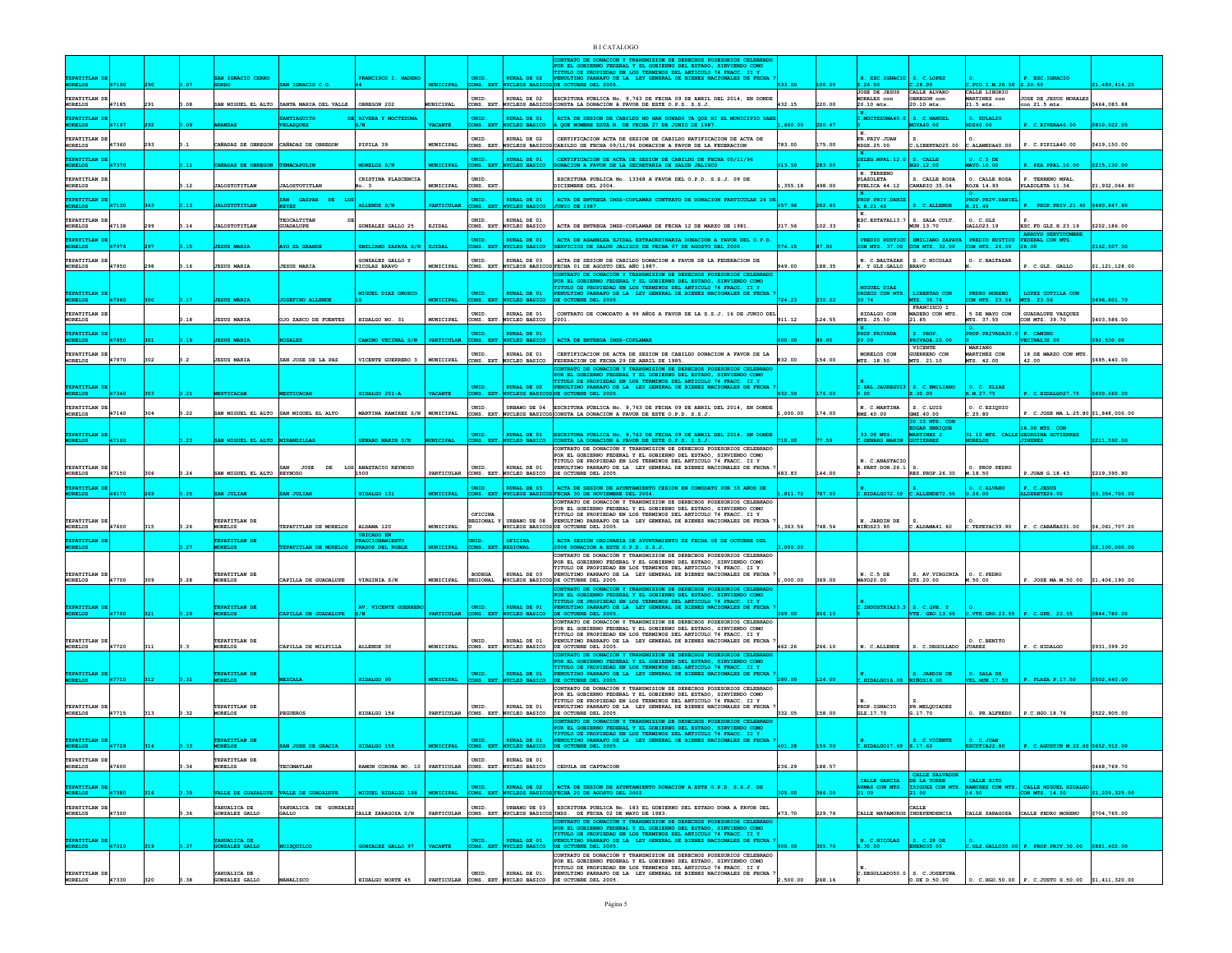|                                 |       |                  |                                 |                                                        |                                                         |                  |                              |                                                    | <b>NTRATO DE DONACIÓN Y TRANSMISION DE DERECHOS POSESORIOS CELEBI</b><br>POR EL GOBIERNO FEDERAL Y EL GOBIERNO DEL ESTADO, SIRVIENDO COMO<br>TITULO DE PROPIEDAD EN LOS TERMINOS DEL ARTICULO 74 FRACC. II Y |           |        |                                                                                                                                         |                                              |                                               |                                                       |                |
|---------------------------------|-------|------------------|---------------------------------|--------------------------------------------------------|---------------------------------------------------------|------------------|------------------------------|----------------------------------------------------|--------------------------------------------------------------------------------------------------------------------------------------------------------------------------------------------------------------|-----------|--------|-----------------------------------------------------------------------------------------------------------------------------------------|----------------------------------------------|-----------------------------------------------|-------------------------------------------------------|----------------|
| TEPATITLAN DE<br><b>MORELOS</b> | 47190 |                  | SAN IGNACIO CERRO               |                                                        | FRANCISCO I. MADERO                                     |                  | UNID.                        | <b>RURAL DE 02</b><br>CLEOS BASE                   | PENULTIMO PARRAFO DE LA LEY GENERAL DE BIENES NACIONALES DE FECHA<br>CCTUBRE DEL 2005                                                                                                                        |           |        | N. ESC.IGNACIO                                                                                                                          | S. C.LOPEZ                                   |                                               | P. ESC.IGNACIO                                        | \$1,459,414    |
| TEPATITLAN DE                   |       |                  |                                 |                                                        |                                                         |                  | UNID.                        | RURAL DE 02                                        | ESCRITURA PÚBLICA No. 9,763 DE FECHA 09 DE ABRIL DEL 2014, EN DONDE                                                                                                                                          |           |        | JOSE DE JESUS<br>MORALES con                                                                                                            | CALLE ALVARO<br>OBREGON con                  | CALLE LIBORIO<br>MARTINEZ con                 | JOSE DE JESUS MORALES                                 |                |
| MORELOS                         | 47185 | 291<br>0.08      |                                 | SAN MIGUEL EL ALTO SANTA MARIA DEL VALLE   OBREGON 202 |                                                         | MUNICIPAL        |                              |                                                    | CONS. EXT. NUCLEOS BASICOS CONSTA LA DONACIÓN A FAVOR DE ESTE O.P.D. S.S.J.                                                                                                                                  | 432.15    | 220.00 | 20.10 mts.                                                                                                                              | 20.10 mts.                                   | $21.5$ mts.                                   | con 21.5 mts.                                         | \$464,083.88   |
| TEPATITLAN DI<br><b>MORELOS</b> | 47197 | .09              |                                 | ANTIAGUITO<br>VELAZQUEZ                                | RIVERA Y MOCTEZUMA                                      | VACANTE          | UNID.<br>ONS. EXT            | RURAL DE 01<br>UCLEO BASICO                        | ACTA DE SESION DE CABILDO NO HAN DONADO YA QUE NI EL MUNICIPIO SABE<br>A QUE NOMBRE ESTÂNN. DE FECHA 27 DE JUNIO DE 1987.                                                                                    | L, 600.00 | 200.47 | C.MOCTEZUMA40.                                                                                                                          | S. C. MANUEL<br>00.0AYO                      | O. EULALIC<br>DZ40.00                         | C.RIVERA40.00                                         | \$810,022.05   |
| TEPATITLAN DE<br>MORELOS        | 47360 |                  |                                 | CAÑADAS DE OBREGON CAÑADAS DE OBREGON                  | PIPILA 39                                               | MUNICIPAL        | UNID.<br>CONS. EXT           | URAL DE 02<br><b>CLEOS BASICOS</b>                 | CERTIFICACION ACTA DE SESION DE CABILDO RATIFICACION DE ACTA DE<br>CABILDO DE FECHA 09/11/96 DONACION A FAVOR DE LA FEDERACION                                                                               | 783.00    | 175.00 | IN.<br>PR. PRIV. JUAN<br>RDGZ.25.00                                                                                                     | LIBERTAD25.00                                | C.ALAMEDA40.00                                | P. C.PIPILA40.00                                      | \$419,150.00   |
| TEPATITLAN DI                   |       |                  |                                 |                                                        |                                                         |                  | UNID                         | URAL DE 01                                         | CERTIFICACION DE ACTA DE SESION DE CABILDO DE FECHA 05/11/96                                                                                                                                                 |           |        | DELEG.MPAL.12.0                                                                                                                         | S. CALLI                                     | 0. C.5 DE                                     |                                                       |                |
| <b>MORELOS</b>                  |       | 11.              | <b>NADAS DE OBREGON</b>         | TEMACAPULIN                                            | <b>MORELOS S/N</b>                                      | UNICIPAL         | ONS. EXT                     | <b>UCLEO BASICO</b>                                | <b>ONACION A FAVOR DE LA SECRETARIA DE SALUD JALISCO</b>                                                                                                                                                     |           | 283.00 | N. TERRENO                                                                                                                              | GO.12.00                                     | MAYO.10.00                                    | PZA PPAL. 10.00                                       | \$215,130.00   |
| TEPATITLAN DE<br><b>MORELOS</b> |       | 1.12             | <b>JALOSTOTITLAN</b>            | <b>JALOSTOTITLAN</b>                                   | CRISTINA PLASCENCIA<br>o. 3                             | MUNICIPAL        | UNID.<br>CONS. EXT           |                                                    | ESCRITURA PUBLICA No. 13368 A FAVOR DEL O.P.D. S.S.J. 09 DE<br>ICIEMBRE DEL 2004                                                                                                                             | 1,355.18  | 498.00 | <b>PLAZOLETA</b><br>PUBLICA 44.12                                                                                                       | S. CALLE ROSA<br>CANARIO 35.04               | O. CALLE ROSA<br>ROJA 14.93                   | P. TERRENO MPAL.<br>PLAZOLETA 11.34                   | \$1,932,064.80 |
| TEPATITLAN DE<br><b>MORELOS</b> | 47130 | .13              |                                 | <b>GASPAR</b><br>DE                                    | ALLENDE S/I                                             | <b>ARTICULAR</b> | UNID.<br>ONS. EXT            | <b>RURAL DE 01</b><br><b>UCLEO BASICO</b>          | ACTA DE ENTREGA IMSS-COPLAMAR CONTRATO DE DONACION PARTICULAR 24 DI<br>UNIO DE 1987.                                                                                                                         | 457.96    | 282.40 | <b>PROP. PRIV. DANIE</b><br>L R.21.40                                                                                                   | C. ALLENDE                                   | PROP. PRIV. DANIEI<br>R.21.40                 | PROP. PRIV. 21.40 \$480.847.6                         |                |
| TEPATITLAN DE                   |       |                  |                                 | TEOCALTITAN                                            |                                                         |                  | UNID.                        | RURAL DE 01                                        |                                                                                                                                                                                                              |           |        | ١N.<br>ESC. ESTATAL13.7   S. SALA CULT.                                                                                                 |                                              | O. C.GLZ                                      |                                                       |                |
| MORELOS<br>TEPATITLAN DI        | 47138 | 1.14<br>299      | <b>JALOSTOTITLAN</b>            | <b>GUADALUPE</b>                                       | GONZALEZ GALLO 25                                       | EJIDAL           | UNID.                        | CONS. EXT. NUCLEO BASICO<br>RURAL DE 01            | ACTA DE ENTREGA IMSS-COPLAMAR DE FECHA 12 DE MARZO DE 1981<br>ACTA DE ASAMBLEA EJIDAL EXTRAORDINARIA DONACION A FAVOR DEL O.P.D.                                                                             | 317.56    | 102.33 | PREDIO RUSTICO                                                                                                                          | MUN.13.70<br><b>EMILIANO ZAPATA</b>          | GALL023.19<br>PREDIO RUSTICO FEDERAL CON MTS. | ESC. FD. GLZ. H. 23.19<br><b>ARROYO SERVIDE</b>       | \$202,186.00   |
| <b>MORELOS</b>                  | 47976 | 1.15             | <b>ESUS MARIA</b>               | AYO EL GRANDE                                          | EMILIANO ZAPATA S/N   EJIDAL                            |                  | ONS. EXT.                    | NUCLEO BASICO                                      | BERVICIOS DE SALUD JALISCO DE FECHA 07 DE AGOSTO DEL 2000.                                                                                                                                                   | 574.15    | 87.00  |                                                                                                                                         | CON MTS. 37.00 CON MTS. 32.00                | CON MTS. 26.00                                | 26.00                                                 | \$162,507.00   |
| TEPATITLAN DE<br>MORELOS        | 47950 | 1.16             | <b>JESUS MARIA</b>              | <b>JESUS MARIA</b>                                     | GONZALEZ GALLO Y<br><b>IICOLAS BRAVO</b>                | MUNICIPAL        | UNID.<br>CONS. EXT.          | RURAL DE 03                                        | ACTA DE SESION DE CABILDO DONACION A FAVOR DE LA FEDERACION DE<br>UCLEOS BASICOS FECHA 01 DE AGOSTO DEL AÑO 1987.                                                                                            | 949.00    | 188.35 | N. C.BALTAZAR   S. C.NICOLAS<br>. Y GLZ. GALLO BRAVO                                                                                    |                                              | O. C. BALTAZAR                                | P. C.GLZ. GALLO                                       | 1,121,128.0    |
|                                 |       |                  |                                 |                                                        |                                                         |                  |                              |                                                    | NTRATO DE DONACIÓN Y TRANSMISION DE DERECHOS POSESORIOS CELEBRAD<br>OR EL GOBIERNO FEDERAL Y EL GOBIERNO DEL ESTADO, SIRVIENDO COMO                                                                          |           |        |                                                                                                                                         |                                              |                                               |                                                       |                |
| TEPATITLAN DE<br><b>MORELOS</b> |       |                  | <b>ISUS MARI</b>                |                                                        | MIGUEL DIAZ OROZCO                                      |                  | UNID.                        | <b>RURAL DE 01</b><br><b>CLEO BASICO</b>           | TITULO DE PROPIEDAD EN LOS TERMINOS DEL ARTICULO 74 FRACC. II Y PENULTIMO PARRAFO DE LA LEY GENERAL DE BIENES NACIONALES DE FECHA<br><b>OCTUBRE DEL 2005</b>                                                 |           |        | MIGUEL DIAZ<br>ROZCO CON MTS<br>30.74                                                                                                   | LIBERTAD CON<br>MTS. 30.74                   | PEDRO MORENO<br>CON MTS. 23.56                | LOPEZ COTILLA CON<br>MTS. 23.56                       | 496,801.7      |
| TEPATITLAN DE                   |       |                  |                                 |                                                        |                                                         |                  | UNID.                        | RURAL DE 01                                        | CONTRATO DE COMODATO A 99 AÑOS A FAVOR DE LA S.S.J. 16 DE JUNIO DEL                                                                                                                                          |           |        | HIDALGO CON                                                                                                                             | FRANCISCO I<br>ADERO CON MTS.                | 5 DE MAYO CON                                 | GUADALUPE VAZQUEZ                                     |                |
| MORELOS                         |       | 3.18             | <b>JESUS MARIA</b>              | JO ZARCO DE FUENTES                                    | HIDALGO NO. 31                                          | MUNICIPAL        |                              | CONS. EXT. NUCLEO BASICO                           | 2001.                                                                                                                                                                                                        | 911.12    | 124.55 | MTS. 25.50                                                                                                                              | 21.85                                        | MTS. 37.55                                    | CON MTS. 39.70                                        | \$403,586.00   |
| TEPATITLAN D<br>MORELOS         | 47950 | .19              | <b>ESUS MARIA</b>               | <b>SALES</b>                                           | CAMINO VECINAL S/N                                      | PARTICULAR       |                              | UNID. RURAL DE 01<br>CONS. EXT. NUCLEO BASICO      | ACTA DE ENTREGA IMSS-COPLAMAR                                                                                                                                                                                | 00.00     | 89.00  | PROP.PRIVADA<br>20.00                                                                                                                   | <b>S. PROP</b><br><b>PRIVADA.20.00</b>       | PROP. PRIVADA30.                              | <b>P. CAMTNO</b><br>VECINAL30.00                      | \$92,530.00    |
| TEPATITLAN DE<br><b>MORELOS</b> | 47970 |                  | <b>JESUS MARIA</b>              | N JOSE DE LA PAZ                                       | VICENTE GUERRERO 3                                      | MUNICIPAL        | UNID.                        | RURAL DE 01<br>CONS. EXT. NUCLEO BASICO            | CERTIFICACION DE ACTA DE SESION DE CABILDO DONACION A FAVOR DE LA<br>FEDERACION DE FECHA 29 DE ABRIL DE 1985.                                                                                                | 832.00    | 154.00 | MORELOS CON<br>MTS. 18.50                                                                                                               | VICENTE<br><b>GUERRERO CON</b><br>MTS. 21.10 | <b>MARTANO</b><br>MARTINEZ CON<br>MTS. 42.00  | 18 DE MARZO CON MTS.<br>42.00                         | \$695,440.00   |
|                                 |       |                  |                                 |                                                        |                                                         |                  |                              |                                                    | <b>ONTRATO DE DONACIÓN Y TRANSMISION DE DERECHOS POSESORIOS CELEBRADO</b><br>FOR EL GOBIERNO FEDERAL Y EL GOBIERNO DEL ESTADO, SIRVIENDO COMO                                                                |           |        |                                                                                                                                         |                                              |                                               |                                                       |                |
| TEPATITLAN DE                   |       |                  |                                 |                                                        |                                                         |                  | UNID.                        | <b>RURAL DE 02</b>                                 | TITULO DE PROPIEDAD EN LOS TERMINOS DEL ARTICULO 74 FRACC. II Y<br>PENULTIMO PARRAFO DE LA LEY GENERAL DE BIENES NACIONALES DE FECHA                                                                         |           |        | C.SAL.JAUREGUI3 S. C.EMILIANO                                                                                                           |                                              | O. C. ELIAS<br>R.M. 27.75                     |                                                       |                |
| <b>MORELOS</b>                  | 47340 | .21              | <b>EXTICACAN</b>                | MEXTICACAN                                             | HIDALGO 251-A                                           | <b>VACANTE</b>   | ONS. EXT.                    | <b>NUCLEOS BASIC</b>                               | DE OCTUBRE DEL 2005.                                                                                                                                                                                         | 832.50    | 176.00 | 0.00                                                                                                                                    | Z.30.00                                      |                                               | C.HIDALGO27.75                                        | \$600,660.00   |
| TEPATITLAN DE<br>MORELOS        | 47140 | 3.22<br>304      |                                 | SAN MIGUEL EL ALTO SAN MIGUEL EL ALTO                  | MARTINA RAMIREZ S/N   MUNICIPAL                         |                  | UNID.                        |                                                    | URBANO DE 04 ESCRITURA PÚBLICA No. 9,763 DE FECHA 09 DE ABRIL DEL 2014, EN DONDE<br>CONS. EXT. NUCLEOS BASICOS CONSTA LA DONACIÓN A FAVOR DE ESTE O.P.D. S.S.J.                                              | ,000.00   | 174.00 | N. C.MARTINA<br>RMZ.40.00                                                                                                               | S. C.LUIS<br>GMZ.40.00<br>30.15 MTS. COM     | O. C.EZIQUIO<br>C.25.80                       | P. C.JOSE MA.L.25.80 \$1,848,000.00                   |                |
|                                 |       |                  |                                 |                                                        |                                                         |                  | UNID.                        |                                                    |                                                                                                                                                                                                              |           |        |                                                                                                                                         | DGAR ENRIQUE<br>MARTINEZ J.                  |                                               | 16.00 MTS. COM<br>31.10 MTS. CALLE GEORGINA GUTIERREZ |                |
| TEPATITLAN DE                   | 47160 | .23 <sub>1</sub> | SAN MIGUEL EL ALTO MIRANDILLAS  |                                                        | GENARO MARIN S/N                                        | UNICIPAL         | ONS. EXT.                    | RURAL DE 01<br>NUCLEO BASICO                       | ESCRITURA PÚBLICA No. 9,763 DE FECHA 09 DE ABRIL DEL 2014, EN DONDE CONSTA LA DONACIÓN A FAVOR DE ESTE O.P.D. S.S.J.<br>ONTRATO DE DONACIÓN Y TRANSMISION DE DERECHOS POSESORIOS CELEBRADO                   | 0.00      | 77.59  | 33.00 MTS.<br>C.GENARO MARIN                                                                                                            | TIERREZ                                      |                                               |                                                       | \$211,592.00   |
|                                 |       |                  |                                 |                                                        |                                                         |                  |                              |                                                    | POR EL GOBIERNO FEDERAL Y EL GOBIERNO DEL ESTADO. SIRVIENDO COMO<br>TITULO DE PROPIEDAD EN LOS TERMINOS DEL ARTICULO 74 FRACC. II Y                                                                          |           |        | N. C.ANASTACIO                                                                                                                          |                                              |                                               |                                                       |                |
| TEPATITLAN DE<br><b>MORELOS</b> | 47150 | 3.24             | SAN MTGUEL EL ALTO REYNOSO      | <b>JOSE</b><br>DE                                      | LOS ANASTACIO REYNOSO<br>1500                           |                  | UNID.                        | RURAL DE 01<br>PARTICULAR CONS. EXT. NUCLEO BASICO | ENULTIMO PARRAFO DE LA LEY GENERAL DE BIENES NACIONALES DE FECHA<br>DE OCTUBBE DEL 2005.                                                                                                                     | 483.83    | 144.00 | R. PART. DON. 26.1                                                                                                                      | RES. PROP. 26.30                             | O. PROP. PEDRO<br>M.18.50                     | P.JUAN G.18.43                                        | \$219,395.80   |
| TEPATITLAN DI<br><b>MORELOS</b> | 44170 | .25              | SAN JULIAN                      | AN JULIAN                                              | HIDALGO 13                                              |                  | UNID.<br>ONS. EXT.           | RURAL DE 03<br><b>CLEOS BASIC</b>                  | ACTA DE SESION DE AYUNTAMIENTO CESION EN COMODATO POR 33 AÑOS DE<br>FECHA 30 DE NOVIEMBRE DEL 2004.                                                                                                          | 811.70    | 787.00 | $c.\mathtt{HIDALGO72.50}$                                                                                                               | C. ATTRNDR72 50                              | O. C.ALVARO<br>0.26.00                        | P. C.JESUS<br>LDERETE26.0                             | 1.354.700      |
|                                 |       |                  |                                 |                                                        |                                                         |                  |                              |                                                    | CONTRATO DE DONACIÓN Y TRANSMISION DE DERECHOS POSESORIOS CELEBRADO<br>FOR EL GOBIERNO FEDERAL Y EL GOBIERNO DEL ESTADO. SIRVIENDO COMO                                                                      |           |        |                                                                                                                                         |                                              |                                               |                                                       |                |
| TEPATITLAN DE<br><b>MORELOS</b> | 47600 | .26              | TEPATITLAN DE<br><b>MORELOS</b> | TEPATITLAN DE MORELOS                                  | ALDAMA 120                                              | MUNICIPAL        | OFICINA<br><b>REGIONAL Y</b> | <b>URBANO DE OR</b>                                | TITULO DE PROPIEDAD EN LOS TERMINOS DEL ARTICULO 74 FRACC. II Y<br>PENULTIMO PARRAFO DE LA LEY GENERAL DE BIENES NACIONALES DE FECHA<br>UCLEOS BASICOS DE OCTUBRE DEL 2005.                                  | 1,363.56  | 748.54 | N. JARDIN DE<br>NIÑOS23.90                                                                                                              | C.ALDAMA41.60                                | C.TEPEYAC39.90                                | P. C.CABAÑAS31.00                                     | \$4,061,707.20 |
| TEPATITLAN DE                   |       |                  | TEPATITLAN DE                   |                                                        | <b>UBICADO EN</b><br>FRACCIONAMIENTO                    |                  | UNID.                        | OFICINA                                            | ACTA SESIÓN ORDINARIA DE AYUNTAMIENTO DE FECHA 08 DE OCTUBRE DEL                                                                                                                                             |           |        |                                                                                                                                         |                                              |                                               |                                                       |                |
| MORELOS                         |       |                  | ORELOS                          | <b>ATITLAN DE MORELOS</b>                              | PRADOS DEL ROBLE                                        | <b>CONICIPAL</b> | CONS. EXT.                   |                                                    | 108 DONACIÓN A ESTE O.P.D. S.S.J.<br>CONTRATO DE DONACIÓN Y TRANSMISION DE DERECHOS POSESORIOS CELEBRADO                                                                                                     | 000.00    |        |                                                                                                                                         |                                              |                                               |                                                       | 12, 100, 000.  |
|                                 |       |                  | TEPATITLAN DE                   |                                                        |                                                         |                  | <b>BODEGA</b>                | RURAL DE 03                                        | FOR EL GOBIERNO FEDERAL Y EL GOBIERNO DEL ESTADO, SIRVIENDO COMO<br>TITULO DE PROPIEDAD EN LOS TERMINOS DEL ARTICULO 74 FRACC. II Y                                                                          |           |        | N. C.5 DE                                                                                                                               |                                              | O. C. PEDRO                                   |                                                       |                |
| TEPATITLAN DE<br><b>MORELOS</b> | 47700 | 309              | <b>MORELOS</b>                  | CAPILLA DE GUADALUPE                                   | VIRGINIA S/N                                            | MUNICIPAL        | REGIONAL                     |                                                    | PENULTIMO PARRAFO DE LA LEY GENERAL DE BIENES NACIONALES DE FECHA<br>NUCLEOS BASICOS DE OCTUBRE DEL 2005.<br>ONTRATO DE DONACIÓN Y TRANSMISION DE DERECHOS POSESORIOS CELEBRADO                              | 000.00    | 369.00 | MAY020.00                                                                                                                               | S. AV. VIRGINIA<br>GTZ.20.00                 | M.50.00                                       | P. JOSE MA.M.50.00 \$1,406,190.00                     |                |
|                                 |       |                  |                                 |                                                        |                                                         |                  |                              |                                                    | POR EL GOBIERNO FEDERAL Y EL GOBIERNO DEL ESTADO, SIRVIENDO COMO TITULO DE PROPIEDAD EN LOS TERMINOS DEL ARTICULO 74 FRACC. II Y                                                                             |           |        |                                                                                                                                         |                                              |                                               |                                                       |                |
| TEPATITLAN DE<br><b>MORELOS</b> | 47700 | 1.29             | TEPATITLAN DE<br><b>IORELOS</b> | <b>APILLA DE GUADALUPE</b>                             | AV. VICENTE GUERREF                                     | PARTICULAR       | UNID.                        | RURAL DE 01<br>CONS. EXT. NUCLEO BASICO            | ENULTIMO PARRAFO DE LA LEY GENERAL DE BIENES NACIONALES DE FECHA<br>DE OCTUBRE DEL 2005.                                                                                                                     | 69.00     | 266.10 | C. INDUSTRIA23.5 S. C. GPE. Y<br>5 VTE. GRO.13.60                                                                                       |                                              | c.vTE.GRO.23.55                               | P. C.GPE. 23.55                                       | \$844,780.00   |
|                                 |       |                  |                                 |                                                        |                                                         |                  |                              |                                                    | CONTRATO DE DONACIÓN Y TRANSMISION DE DERECHOS POSESORIOS CELEBRADO<br>POR EL GOBIERNO FEDERAL Y EL GOBIERNO DEL ESTADO, SIRVIENDO COMO<br>TITULO DE PROPIEDAD EN LOS TERMINOS DEL ARTICULO 74 FRACC. II Y   |           |        |                                                                                                                                         |                                              |                                               |                                                       |                |
| TEPATITLAN DE<br>MORELOS        | 47720 |                  | TEPATITLAN DE<br><b>MORELOS</b> | CAPILLA DE MILPILLA                                    | ALLENDE 30                                              | MUNICIPAL        | UNID.                        | RURAL DE 01<br>CONS. EXT. NUCLEO BASICO            | PENULTIMO PARRAFO DE LA LEY GENERAL DE BIENES NACIONALES DE FECHA<br>DE OCTUBRE DEL 2005.                                                                                                                    | 462.26    | 266.10 | N. C.ALLENDE                                                                                                                            | S. C.DEGOLLADO                               | O. C.BENITO<br><b>JUAREZ</b>                  | P. C.HIDALGO                                          | \$931,399.20   |
|                                 |       |                  |                                 |                                                        |                                                         |                  |                              |                                                    | <b>NYRATO DE DONACIÓN Y TRANSMISION DE DERECHOS POSESORIOS CELEBRAI</b><br>FOR EL GOBIERNO FEDERAL Y EL GOBIERNO DEL ESTADO, SIRVIENDO COMO TIUJO DE PROPIEDAD EN LOS TERMINOS DEL ESTADO, SIRVIENDO COMO    |           |        |                                                                                                                                         |                                              |                                               |                                                       |                |
| TEPATITLAN DE<br><b>MORELOS</b> | 47710 |                  | TEPATITLAN DE<br><b>IORELOS</b> |                                                        | IIDALGO 90                                              | UNICIPAL         | UNID.<br>ONS. EXT.           | RURAL DE 01<br><b>WCLEO BASICO</b>                 | PENULTIMO PARRAFO DE LA LEY GENERAL DE BIENES NACIONALES DE FECHA<br>DE OCTUBRE DEL 2005                                                                                                                     |           | 124.00 | .HIDALGO16.00                                                                                                                           | S. JARDIN DE<br>NIÑOS16.00                   | O. SALA DE<br><b>VEL.MUN.17.50</b>            | PLAZA P.17.50                                         | \$502,440.     |
|                                 |       |                  |                                 |                                                        |                                                         |                  |                              |                                                    | CONTRATO DE DONACIÓN Y TRANSMISION DE DERECHOS POSESORIOS CELEBRADO<br>POR EL GOBIERNO FEDERAL Y EL GOBIERNO DEL ESTADO, SIRVIENDO COMO                                                                      |           |        |                                                                                                                                         |                                              |                                               |                                                       |                |
| TEPATITIAN DE                   |       |                  | TEPATITIAN DE                   |                                                        |                                                         |                  | UNID.                        | RURAL DE 01                                        | TITULO DE PROPIEDAD EN LOS TERMINOS DEL ARTICULO 74 FRACC. II Y<br>PENULTIMO PARRAFO DE LA LEY GENERAL DE BIENES NACIONALES DE FECHA                                                                         |           |        | PROP. IGNACIO                                                                                                                           | PR MELOUTADEZ                                |                                               |                                                       |                |
| <b>MORELOS</b>                  | 47715 | 313<br>.32       | <b>MORELOS</b>                  | <b>EGUEROS</b>                                         | HIDALGO 156                                             |                  |                              | PARTICULAR CONS. EXT. NUCLEO BASICO                | DE OCTUBRE DEL 2005.<br>CONTRATO DE DONACIÓN Y TRANSMISION DE DERECHOS POSESORIOS CELEBRADO<br>POR EL GOBIERNO FEDERAL Y EL GOBIERNO DEL ESTADO, SIRVIENDO COMO                                              | 332.05    | 158.00 | GLZ.17.70                                                                                                                               | G.17.70                                      | O. PR.ALFREDO                                 | P.C.HGO.18.76                                         | \$522,905.00   |
|                                 |       |                  | TEPATITLAN DE                   |                                                        |                                                         |                  |                              |                                                    | TITULO DE PROPIEDAD EN LOS TERMINOS DEL ARTICULO 74 FRACC. II Y                                                                                                                                              |           |        |                                                                                                                                         |                                              |                                               |                                                       |                |
| TEPATITLAN DE<br>MORELOS        | 47728 | .33<br>314       | MORELOS                         | AN JOSE DE GRACIA                                      | HIDALGO 155                                             | <b>MUNICIPAL</b> |                              | UNID. RURAL DE 01<br>CONS. EXT. NUCLEO BASICO      | PENULTIMO PARRAFO DE LA LEY GENERAL DE BIENES NACIONALES DE FECHA DE OCTUBRE DEL 2005.                                                                                                                       | 401.28    | 159.00 | N. $\begin{array}{ l l } \hline \text{N.} & \text{s. C.VICENTE} \\ \hline \text{C.HIDALGO17.60} & \text{s.17.60} \\ \hline \end{array}$ |                                              | $0. C.JUAN$<br>ESCUTIA22.80                   | P. C.AGUSTIN M.22.80 \$652,912.0                      |                |
| TEPATITLAN DE<br>MORELOS        | 47600 |                  | TEPATITLAN DE<br><b>MORELOS</b> | TECOMATLAN                                             | RAMON CORONA NO. 10 PARTICULAR CONS. EXT. NUCLEO BASICO |                  | UNID.                        | RURAL DE 01                                        | CEDULA DE CAPTACION                                                                                                                                                                                          | 236.29    | 188.57 |                                                                                                                                         |                                              |                                               |                                                       | \$468,769.70   |
|                                 |       |                  |                                 |                                                        |                                                         |                  |                              |                                                    |                                                                                                                                                                                                              |           |        | CALLE GARCIA                                                                                                                            | <b>CALLE SALVADOR</b><br>DE LA TORRE         | CALLE RITO                                    |                                                       |                |
| TEPATITLAN D<br><b>MORELOS</b>  | 47380 | 3.35             |                                 | VALLE DE GUADALUPE VALLE DE GUADALUPE                  | MIGUEL HIDALGO 198   MUNICIPAL                          |                  |                              |                                                    | UNID. RURAL DE 02 ACTA DE SESIÓN DE AYUNTAMIENTO DONACIÓN A ESTE O.P.D. S.S.J. DE CONS. EXT. NUCLEOS BASICOS FECHA 20 DE AGOSTO DEL 2002.                                                                    | 05.00     | 366.00 | ARMAS CON MTS.                                                                                                                          | IñIGUEZ CON MTS.<br>21.00                    |                                               | RAMIREZ CON MTS. CALLE MIGUEL HIDALGO                 | \$1,209,325.00 |
| <b>TEPATITIAN DE</b><br>MORELOS | 47300 | .36              | YAHUALICA DE<br>GONZALEZ GALLO  | YAHUALICA DE GONZALEZ<br>GALLO                         | CALLE ZARAGOZA S/N                                      | PARTICULAR       | UNID.                        |                                                    | URBANO DE 03 ESCRITURA PUBLICA No. 183 EL GOBIERNO DEL ESTADO DONA A FAVOR DEL<br>CONS. EXT. NUCLEOS BASICOS IMSS. DE FECHA 02 DE MAYO DE 1983.                                                              | 473.70    | 229.76 | CALLE MATAMOROS INDEPENDENCIA                                                                                                           | CALLE                                        |                                               | CALLE ZARAGOZA CALLE PEDRO MORENO \$704,765.00        |                |
|                                 |       |                  |                                 |                                                        |                                                         |                  |                              |                                                    | CONTRATO DE DONACIÓN Y TRANSMISION DE DERECHOS POSESORIOS CELEBRAD<br>POR EL GOBIERNO FEDERAL Y EL GOBIERNO DEL ESTADO, SIRVIENDO COMO                                                                       |           |        |                                                                                                                                         |                                              |                                               |                                                       |                |
| TEPATITLAN DE<br>MORELOS        | 47310 |                  | YAHUALICA DE<br>GONZALEZ GALLO  | ISOUILCO                                               | GONZALEZ GALLO 97                                       | <b>VACANTE</b>   |                              | UNID. RURAL DE 01<br>CONS. EXT. NUCLEO BASICO      | TITULO DE PROPIEDAD EN LOS TERMINOS DEL ARTICULO 74 FRACC. II Y<br>PENULTIMO PARRAFO DE LA LEY GENERAL DE BIENES NACIONALES DE FECHA DE OCTUBRE DEL 2005.                                                    |           | 305.70 | $N. C.NICOLAS$ $S. C.28 DE$<br>B.30.00                                                                                                  |                                              |                                               | C.GLZ.GALLO30.00 P. PROP.PRIV.30.00 \$881,402.00      |                |
|                                 |       |                  |                                 |                                                        |                                                         |                  |                              |                                                    | CONTRATO DE DONACIÓN Y TRANSMISION DE DERECHOS POSESORIOS CELEBRADO<br>POR EL GOBIERNO FEDERAL Y EL GOBIERNO DEL ESTADO, SIRVIENDO COMO                                                                      |           |        |                                                                                                                                         |                                              |                                               |                                                       |                |
| TEPATITLAN DE                   |       |                  | YAHUALICA DE                    |                                                        |                                                         |                  | UNID.                        | RURAL DE 01                                        | TITULO DE PROPIEDAD EN LOS TERMINOS DEL ARTICULO 74 FRACC. II Y<br>PENULTIMO PARRAFO DE LA LEY GENERAL DE BIENES NACIONALES DE FECHA                                                                         |           |        | $c.$ DEGOLLADO50.0 $\vert$ S. C. JOSEFINA                                                                                               |                                              |                                               |                                                       |                |
| <b>MORELOS</b>                  | 47330 | .38<br>320       | GONZALEZ GALLO                  | MANALISCO                                              | HIDALGO NORTE 45                                        |                  |                              |                                                    | PARTICULAR CONS. EXT. NUCLEO BASICO DE OCTUBRE DEL 2005.                                                                                                                                                     | 2.500.00  | 268.16 |                                                                                                                                         | $0.$ DE $D.50.00$                            |                                               | 0. C.HGO.50.00   P. C.JUSTO S.50.00   \$1,411,320.00  |                |

**TEPATITLAN DE MORELOS**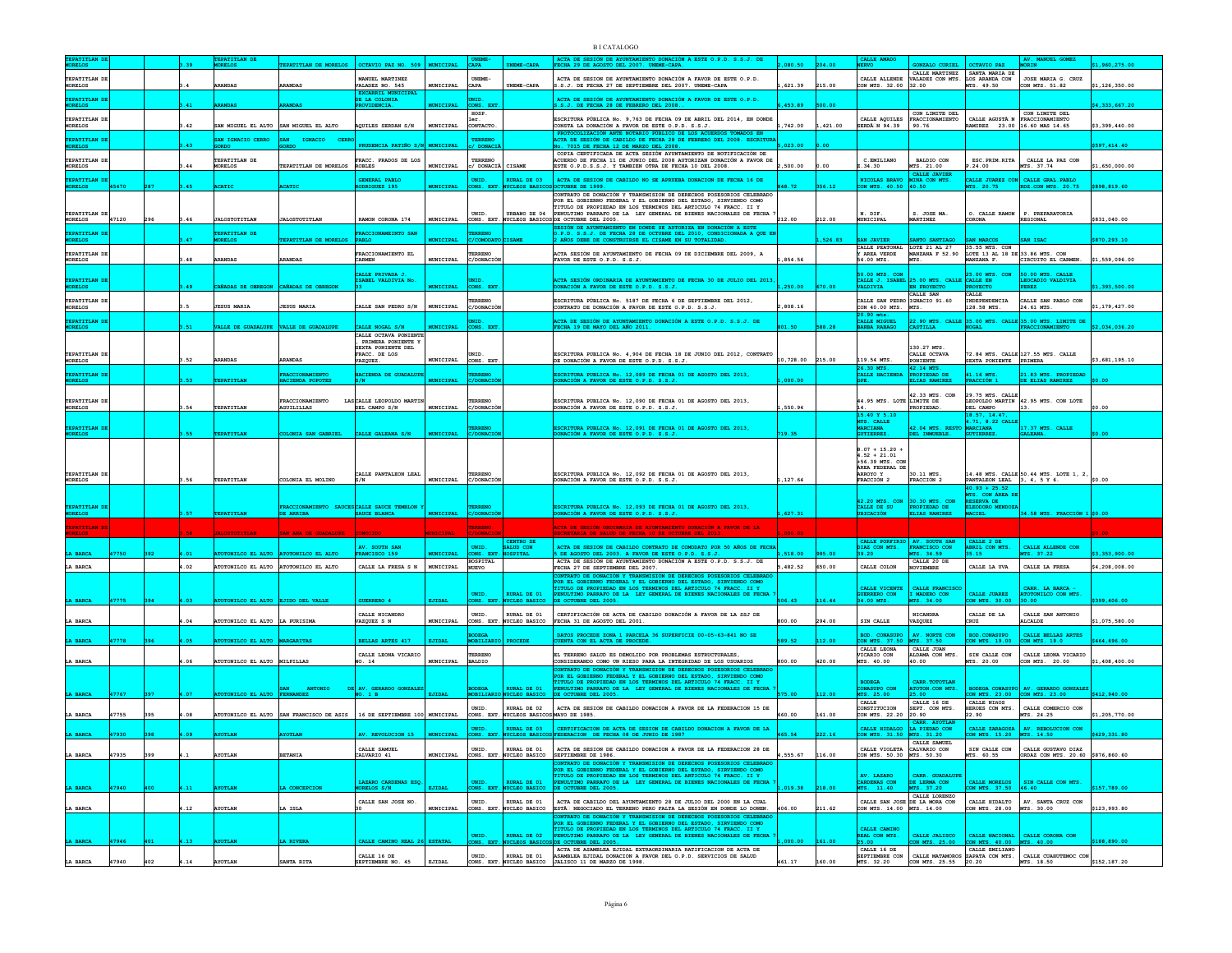|                                       |       |     |      |                                       |                                                                           |                                                               |                     |                                   |                                               | B LCATALOGO                                                                                                                                                                                |           |         |                                                          |                                                                                                             |                                                   |                                                                       |                |
|---------------------------------------|-------|-----|------|---------------------------------------|---------------------------------------------------------------------------|---------------------------------------------------------------|---------------------|-----------------------------------|-----------------------------------------------|--------------------------------------------------------------------------------------------------------------------------------------------------------------------------------------------|-----------|---------|----------------------------------------------------------|-------------------------------------------------------------------------------------------------------------|---------------------------------------------------|-----------------------------------------------------------------------|----------------|
|                                       |       |     |      | <b>TEPATITLAN</b><br>MORELOS          | EEPATITLAN DE MORELOS   OCTAVIO PAZ NO. 509   MUNICIPAL                   |                                                               |                     | CAPA <sup>C</sup>                 | NEME-CAPA                                     | ECHA 29 DE AGOSTO DEL 2007. UNEME-CAPA                                                                                                                                                     | 080.50    | 204.00  |                                                          | <b>CONZALO CURIEL</b>                                                                                       | <b>OCTAVIO PAZ</b>                                | <b>ORTN</b>                                                           | 1,960,275.00   |
| TEPATITLAN DE                         |       |     |      |                                       |                                                                           | MANUEL MARTINEZ                                               |                     | UNEME-                            |                                               | ACTA DE SESION DE AYUNTAMIENTO DONACIÓN A FAVOR DE ESTE O.P.D.                                                                                                                             |           |         |                                                          | CALLE MARTINEZ SANTA MARIA DE<br>CALLE ALLENDE VALADEZ CON MTS. LOS ARANDA CON                              |                                                   | JOSE MARIA G. CRUZ                                                    |                |
| <b>MORELOS</b>                        |       |     |      | <b>ARANDAS</b>                        | RANDAS                                                                    | VALADEZ NO. 545                                               | MUNICIPAL           | <b>CAPA</b>                       | UNEME-CAPA                                    | S.S.J. DE FECHA 27 DE SEPTIEMBRE DEL 2007. UNEME-CAPA                                                                                                                                      | 621.39    | 215.00  | CON MTS. 32.00 32.00                                     |                                                                                                             | MTS. 49.50                                        | CON MTS. 51.82                                                        | \$1,126,350.00 |
| <b>FEPATITLAN D</b><br>ORELOS         |       |     |      |                                       |                                                                           | <b>EXCARRIL MUNICIPAL</b><br>DE LA COLONIA<br><b>WIDENCTA</b> | UNICIPAL            | UNID<br>CONS. EXT                 |                                               | ACTA DE SESIÓN DE AYUNTAMIENTO DONACIÓN A FAVOR DE ESTE O.P.D.<br>S.J. DE FECHA 28 DE FEBRERO DEL 2008.                                                                                    | 453.89    | 500.00  |                                                          |                                                                                                             |                                                   |                                                                       | 4,333,667.20   |
| TEPATITLAN D                          |       |     |      |                                       |                                                                           |                                                               |                     | HOSP.                             |                                               |                                                                                                                                                                                            |           |         |                                                          | CON LIMITE DEL                                                                                              | CALLE AGUSTA N FRACCIONAMIENTO                    | CON LIMITE DEL                                                        |                |
| <b>MORELOS</b>                        |       |     | .42  | SAN MIGUEL EL ALTO SAN MIGUEL EL ALTO |                                                                           | AQUILES SERDAN S/N                                            | MUNICIPAL           | CONTACTO                          |                                               | ESCRITURA PÚBLICA No. 9,763 DE FECHA 09 DE ABRIL DEL 2014, EN DONDE<br>CONSTA LA DONACIÓN A FAVOR DE ESTE O.P.D. S.S.J.                                                                    | .742.00   | .421.00 | SERDÄN 94.39 90.76                                       | CALLE AQUILES FRACCIONAMIENTO                                                                               | RAMIREZ 23.00 16.60 MAS 14.65                     |                                                                       | \$3,399,440.00 |
| TEPATITLAN DI                         |       |     | .43  | SAN IGNACIO CERRO                     | IGNACIO<br><b>SAN</b><br><b>CERRO</b>                                     |                                                               |                     | <b>TERRENO</b>                    |                                               | ROTOCOLIZACIÓN ANTE NOTARIO PÚBLICO DE LOS ACUERDOS TOMADOS EN<br>CTA DE SESIÓN DE CABILDO DE FECHA 28 DE FEBRERO DEL 2008. ESCRITUR                                                       |           | , 00    |                                                          |                                                                                                             |                                                   |                                                                       |                |
| <b>MORELOS</b>                        |       |     |      | <b>GORDO</b>                          | <b>GORDO</b>                                                              | PRUDENCIA PATIÑO S/N MUNICIPAL                                |                     | / DONACI                          |                                               | o. 7015 DE FECHA 12 DE MARZO DEL 2008.<br>COPIA CERTIFICADA DE ACTA SESIÓN AYUNTAMIENTO DE NOTIFICACIÓN DE                                                                                 | 5,023.00  |         |                                                          |                                                                                                             |                                                   |                                                                       | \$597,414.40   |
| TEPATITLAN DE<br><b>MORELOS</b>       |       |     | .44  | TEPATITLAN DE<br>MORELOS              | TEPATITLAN DE MORELOS                                                     | FRACC. PRADOS DE LOS<br><b>ROBLES</b>                         | MUNICIPAL           | TERRENO<br>/ DONACIÃ              | CISAME                                        | ACUERDO DE FECHA 11 DE JUNIO DEL 2008 AUTORIZAN DONACIÓN A FAVOR DE<br>ESTE O.P.D.S.S.J. Y TAMBIEN OTRA DE FECHA 10 DEL 2008.                                                              | ,500.00   | .00     | C.EMILIANO<br>.34.30                                     | <b>BALDIO CON</b><br>MTS. 21.00                                                                             | ESC. PRIM. RITA<br>.24.00                         | CALLE LA PAZ CON<br>MTS. 37.74                                        | \$1,650,000.00 |
| <b>FEPATITLAN D</b>                   |       |     |      |                                       |                                                                           | GENERAL PABLO                                                 |                     | UNID.                             | RURAL DE 03                                   | ACTA DE SESION DE CABILDO NO SE APRUEBA DONACION DE FECHA 16 DE                                                                                                                            |           |         | NICOLAS BRAVO                                            | CALLE JAVIER<br><b>MINA CON MTS</b>                                                                         |                                                   | CALLE JUAREZ CON CALLE GRAL. PABLO                                    |                |
| <b>MORELOS</b>                        | 45470 |     | 45   | <b>ACATIC</b>                         | <b>ACATIC</b>                                                             | ODRIGUEZ 195                                                  | <b>MUNICIPAL</b>    |                                   | CONS. EXT. NUCLEOS BASICO                     | OCTUBRE DE 1999.<br>CONTRATO DE DONACIÓN Y TRANSMISION DE DERECHOS POSESORIOS CELEBRADO                                                                                                    | 48.72     | 356.12  | CON MTS. 40.50 40.50                                     |                                                                                                             | MTS. 20.75                                        | RDZ.CON MTS. 20.75                                                    | \$898,819.60   |
|                                       |       |     |      |                                       |                                                                           |                                                               |                     |                                   |                                               | POR EL GOBIERNO FEDERAL Y EL GOBIERNO DEL ESTADO, SIRVIENDO COMO TITULO DE PROPIEDAD EN LOS TERMINOS DEL ARTICULO 74 FRACC. II Y                                                           |           |         |                                                          |                                                                                                             |                                                   |                                                                       |                |
| TEPATITLAN DE<br><b>MORELOS</b>       | 47120 | 296 | 3.46 | <b>JALOSTOTITLAN</b>                  | <b>JALOSTOTITLAN</b>                                                      | RAMON CORONA 174                                              | MUNICIPAL           | UNID.                             | URBANO DE 04                                  | PENULTIMO PARRAFO DE LA LEY GENERAL DE BIENES NACIONALES DE FECHA<br>CONS. EXT. NUCLEOS BASICOS DE OCTUBRE DEL 2005.                                                                       | 212.00    | 212.00  | N. DIF.<br><b>MUNICIPAL</b>                              | S. JOSE MA.<br><b>MARTINEZ</b>                                                                              | O. CALLE RAMON<br><b>CORONA</b>                   | P. PREPARATORIA<br>REGIONAL                                           | \$831,040.00   |
| <b>EPATTTLAN D</b>                    |       |     |      | TEPATITLAN DE                         |                                                                           | RACCIONAMEINTO SAN                                            |                     | ERRENO                            |                                               | BESIÓN DE AYUNTAMIENTO EN DONDE SE AUTORIZA EN DONACIÓN A ESTI<br>).P.D. S.S.J. DE FECHA 28 DE OCTUBRE DEL 2010, CONDICIONADA A QUE EN AÑOS DEBE DE CONSTRUIRSE EL CISAME EN SU TOTALIDAD. |           |         |                                                          |                                                                                                             |                                                   |                                                                       |                |
| <b>MORELOS</b>                        |       |     |      | MORELOS                               | TEPATITLAN DE MORELOS                                                     | <b>PABLO</b>                                                  | <b>MUNICIPAL</b>    | с/сомора                          |                                               |                                                                                                                                                                                            |           | 526.83  | SAN JAVIER                                               | SANTO SANTIAGO<br>CALLE PEATONAL LOTE 21 AL 27 35.55 MTS. CON Y AREA VERDE MANZANA F 52.90 LOTE 13 AL 18 DE | <b>SAN MARCOS</b>                                 | SAN ISAC                                                              | \$870,293.10   |
| TEPATITLAN DI<br><b>MORELOS</b>       |       |     | .48  | <b>ARANDAS</b>                        | <b>ARANDAS</b>                                                            | FRACCIONAMIENTO EL<br>CARMEN                                  | MUNICIPAL           | TERRENO<br>C/DONACIÓN             |                                               | ACTA SESIÓN DE AYUNTAMIENTO DE FECHA 09 DE DICIEMBRE DEL 2009, A<br>FAVOR DE ESTE O.P.D. S.S.J.                                                                                            | 854.56    |         | 54.00 MTS.                                               | MTS.                                                                                                        | LOTE 13 AL 18 DE 33.86 MTS. CON<br>MANZANA F.     | CIRCUITO EL CARMEN.                                                   | \$1,559,096.00 |
|                                       |       |     |      |                                       |                                                                           | CALLE PRIVADA J.                                              |                     |                                   |                                               |                                                                                                                                                                                            |           |         | 50.00 MTS. CON                                           |                                                                                                             | 25.00 MTS. CON                                    | 50.00 MTS. CALLE                                                      |                |
| EPATITLAN D<br><b>CORELOS</b>         |       |     | 49   | cañadas de obregon cañadas de obregon |                                                                           | ISABEL VALDIVIA No                                            | <b>MUNICIPAL</b>    | CONS. EXT                         |                                               | ACTA SESIÓN ORDINARIA DE AYUNTAMIENTO DE FECHA 30 DE JULIO DEL 2013<br>ONACIÓN A FAVOR DE ESTE O.P.D. S.S.J.                                                                               | 250.00    |         | <b>VALDIVIA</b>                                          | CALLE J. ISABEL 25.00 MTS. CALLE CALLE EN<br><b>EN PROYECTO</b>                                             | <b>PROYECTO</b>                                   | LEOCADIO VALDIVIA<br><b>EREZ</b>                                      | \$1,393,500.00 |
| TEPATITLAN DE                         |       |     |      |                                       |                                                                           |                                                               |                     | TERRENO                           |                                               | ESCRITURA PÚBLICA No. 5187 DE FECHA 6 DE SEPTIEMBRE DEL 2012.                                                                                                                              |           |         | CALLE SAN PEDRO IGNACIO 91.60                            | CALLE SAN                                                                                                   | CALLE<br>INDEPENDENCIA                            | CALLE SAN PABLO CON                                                   |                |
| <b>MORELOS</b>                        |       |     |      | <b>JESUS MARIA</b>                    | <b>JESUS MARIA</b>                                                        | CALLE SAN PEDRO S/N                                           | MUNICIPAL           | C/DONACIÓN                        |                                               | CONTRATO DE DONACIÓN A FAVOR DE ESTE O.P.D. S.S.J.                                                                                                                                         | ,808.16   |         | CON 40.00 MTS. MTS.<br>20.90 mts.                        |                                                                                                             | 128.58 MTS.                                       | 24.61 MTS.                                                            | \$1,179,427.00 |
| TEPATITLAN DE<br><b>MORELOS</b>       |       |     |      | VALLE DE GUADALUPE VALLE DE GUADALUPE |                                                                           | CALLE NOGAL S/N                                               | <b>MUNICIPAL</b>    | DNID.<br>CONS.                    |                                               | ACTA DE SESIÓN DE AYUNTAMIENTO DONACIÓN A ESTE O.P.D. S.S.J. DE<br>ECHA 19 DE MAYO DEL AÑO 2011.                                                                                           | 01.50     |         | CALLE MIGUEL<br><b>BARBA RABAGO</b>                      | CASTILLA                                                                                                    | <b>NOGAL</b>                                      | 22.90 MTS. CALLE 35.00 MTS. CALLE 35.00 MTS. LIMITE DE                | \$2,034,036.20 |
|                                       |       |     |      |                                       |                                                                           | CALLE OCTAVA PONIENTE<br>PRIMERA PONIENTE Y                   |                     |                                   |                                               |                                                                                                                                                                                            |           |         |                                                          |                                                                                                             |                                                   |                                                                       |                |
| TEPATITLAN DI                         |       |     |      |                                       |                                                                           | SEXTA PONTENTE DEL<br>FRACC. DE LOS                           |                     | UNID.                             |                                               | ESCRITURA PUBLICA No. 4,904 DE FECHA 18 DE JUNIO DEL 2012, CONTRATO                                                                                                                        |           |         |                                                          | 130.27 MTS.<br>CALLE OCTAVA                                                                                 |                                                   | 72.84 MTS. CALLE 127.55 MTS. CALLE                                    |                |
| <b>MORELOS</b>                        |       |     | .52  | ARANDAS                               | <b>ARANDAS</b>                                                            | VAZQUEZ.                                                      | MUNICIPAL CONS. EXT |                                   |                                               | DE DONACIÓN A FAVOR DE ESTE O.P.D. S.S.J.                                                                                                                                                  | 10,728.00 | 215.00  | 119.54 MTS.<br>26.30 MTS.                                | PONIENTE<br>42.14 MTS                                                                                       | SEXTA PONIENTE PRIMERA                            |                                                                       | \$3,681,195.10 |
| <b>FEPATITLAN D</b><br><b>MORELOS</b> |       |     | 3.53 | TEPATITLAN                            | FRACCIONAMIENTO<br>HACIENDA POPOTES                                       | <b>ACIENDA DE GUADALU</b><br>S/N                              | <b>MUNICIPAL</b>    | ERRENO<br>:/DONACIO               |                                               | CRITURA PUBLICA No. 12,089 DE FECHA 01 DE AGOSTO DEL 2013<br><b>ONACIÓN A FAVOR DE ESTE O.P.D. S.S.J.</b>                                                                                  | .000.00   |         | CALLE HACIENDA<br>GPE.                                   | PROPIEDAD DE<br>ELIAS RAMIREZ                                                                               | 41.16 MTS<br>FRACCIÓN 1                           | 21.83 MTS. PROPIEDAD<br>DE ELIAS RAMIREZ                              | 50.00          |
|                                       |       |     |      |                                       |                                                                           |                                                               |                     |                                   |                                               |                                                                                                                                                                                            |           |         |                                                          | 42.33 MTS. CON                                                                                              | 29.75 MTS. CALLE                                  |                                                                       |                |
| TEPATITLAN DI<br>MORELOS              |       |     | .54  | TEPATITLA                             | FRACCIONAMIENTO<br><b>AGUILILLAS</b>                                      | LASCALLE LEOPOLDO MARTI<br>DEL CAMPO S/N                      | MUNICIPAL           | TERRENO<br>C/DONACIÓ              |                                               | ESCRITURA PUBLICA No. 12,090 DE FECHA 01 DE AGOSTO DEL 2013.<br>DONACIÓN A FAVOR DE ESTE O.P.D. S.S.J.                                                                                     | 550.94    |         | 44.95 MTS. LOTE LIMITE DE                                | PROPIEDAD                                                                                                   | DEL CAMPO                                         | LEOPOLDO MARTIN 42.95 MTS. CON LOTE<br> 13.                           | \$0.00         |
|                                       |       |     |      |                                       |                                                                           |                                                               |                     |                                   |                                               |                                                                                                                                                                                            |           |         | 15.40 Y 5.10                                             |                                                                                                             | 18.57. 14.47.                                     |                                                                       |                |
| TEPATITLAN DE<br><b>ORELOS</b>        |       |     | 55   | TEPATITLAN                            | LONIA SAN GABRIEL                                                         | CALLE GALEANA S/N                                             | <b>MUNICIPAL</b>    | <b>TERRENC</b><br>C/DONACIÓ       |                                               | SCRITURA PUBLICA No. 12,091 DE FECHA 01 DE AGOSTO DEL 2013,<br><b>ONACIÓN A FAVOR DE ESTE O.P.D. S.S.J.</b>                                                                                | 19.35     |         | MTS. CALLE<br><b>MARCIANA</b><br><b>GUTIERREZ.</b>       | 42.04 MTS. RESTO MARCIANA<br>DEL INMUEBLE.                                                                  | 4.71, 8.22 CALLE<br>GUTIERREZ.                    | 17.37 MTS. CALLE<br>GALEANA.                                          |                |
|                                       |       |     |      |                                       |                                                                           |                                                               |                     |                                   |                                               |                                                                                                                                                                                            |           |         |                                                          |                                                                                                             |                                                   |                                                                       |                |
|                                       |       |     |      |                                       |                                                                           |                                                               |                     |                                   |                                               |                                                                                                                                                                                            |           |         | $8.07 + 15.20 +$<br>$4.52 + 21.01$                       |                                                                                                             |                                                   |                                                                       |                |
| TEPATITLAN DI                         |       |     |      |                                       |                                                                           |                                                               |                     | TERRENO                           |                                               | ESCRITURA PUBLICA No. 12.092 DE FECHA 01 DE AGOSTO DEL 2013.                                                                                                                               |           |         | +56.39 MTS. CON<br>ÁREA FEDERAL DE<br>ARROYO Y           | 30.11 MTS.                                                                                                  |                                                   |                                                                       |                |
| <b>MORELOS</b>                        |       |     | 1.56 | TEPATITLAN                            | COLONIA EL MOLINO                                                         | CALLE PANTALEON LEAL<br>IS/N                                  | MUNICIPAL           | C/DONACIÓN                        |                                               | DONACIÓN A FAVOR DE ESTE O.P.D. S.S.J.                                                                                                                                                     | 127.64    |         | <b>FRACCIÓN 2</b>                                        | FRACCIÓN 2                                                                                                  | PANTALEON LEAL 3, 4, 5 Y 6.                       | 14.48 MTS. CALLE 50.44 MTS. LOTE 1, 2,                                | \$0.00         |
|                                       |       |     |      |                                       |                                                                           |                                                               |                     |                                   |                                               |                                                                                                                                                                                            |           |         |                                                          |                                                                                                             | $40.93 + 25.52$<br>MTS. CON AREA DI               |                                                                       |                |
| TEPATITLAN DE                         |       |     | 57   |                                       |                                                                           | CALLE SAUCE TEMBLON                                           |                     |                                   |                                               | SCRITURA PUBLICA No. 12,093 DE FECHA 01 DE AGOSTO DEL 2013,                                                                                                                                | 627.31    |         | 42.20 MTS. CON 30.30 MTS. CON<br>CALLE DE SU             | PROPIEDAD DE                                                                                                | RESERVA DE<br>ELEODORO MENDOZI                    |                                                                       |                |
| ORELOS                                |       |     |      | TEPATITLAN                            | DE ARRIBA                                                                 | <b>SAUCE BLANCA</b>                                           | <b>MUNICIPAL</b>    | <b>C/DONACIÓN</b>                 |                                               | DONACIÓN A FAVOR DE ESTE O.P.D. S.S.J.                                                                                                                                                     |           |         | UBICACIÓN                                                |                                                                                                             | <b>MACIEL</b>                                     | 34.58 MTS. FRACCIÓN 1 \$0.00                                          |                |
| <b>EPATITLAN DE</b>                   |       |     |      |                                       |                                                                           |                                                               |                     | <b>TERRENO</b>                    |                                               | ACTA DE SESIÓN ORDINARIA DE AYUNTAMIENTO DONACIÓN A FAVOR DE LA<br>SALUD DE FECHA 10 DE                                                                                                    |           |         |                                                          |                                                                                                             |                                                   |                                                                       |                |
|                                       |       |     |      |                                       |                                                                           | AV. SOUTH SAN                                                 |                     | UNID.                             | CENTRO DE<br>SALUD CON                        | ACTA DE SESION DE CABILDO CONTRATO DE COMODATO POR 50 AÑOS DE FECHA                                                                                                                        |           |         | CALLE PORFIRIO NV. SOUTH SAN<br>DIAZ CON MTS.            | FRANCISCO CON                                                                                               | CALLE 2 DE<br>ABRIL CON MTS.                      | CALLE ALLENDE CON                                                     |                |
|                                       |       |     |      |                                       | TONILCO EL ALTO                                                           |                                                               |                     | ONS. EXT<br><b>HOSPITAL</b>       |                                               | DE AGOSTO DEL 2003. A FAVOR DE ESTE O.P.D. S.S.J.<br>ACTA DE SESIÓN DE AYUNTAMIENTO DONACIÓN A ESTE O.P.D. S.S.J. DE                                                                       | 518.00    |         |                                                          | MTS. 34.59<br>CALLE 20 DE                                                                                   | 5.15                                              | .37.22                                                                | 3.353.900.0    |
| LA BARCA                              |       |     | .02  |                                       | FOTONILCO EL ALTO ATOTONILCO EL ALTO                                      | CALLE LA FRESA S N                                            | MUNICIPAL           | <b>NUEVO</b>                      |                                               | FECHA 27 DE SEPTIEMBRE DEL 2007.<br>CONTRATO DE DONACIÓN Y TRANSMISION DE DERECHOS POSESORIOS CELEBRAD                                                                                     | ,482.52   | 650.00  | CALLE COLON                                              | NOVIEMBRE                                                                                                   | CALLE LA UVA                                      | CALLE LA FRESA                                                        | \$4,208,008.00 |
|                                       |       |     |      |                                       |                                                                           |                                                               |                     |                                   |                                               | OR EL GOBIERNO FEDERAL Y EL GOBIERNO DEL ESTADO, SIRVIENDO COMO<br>TITULO DE PROPIEDAD EN LOS TERMINOS DEL ARTICULO 74 FRACC. II Y                                                         |           |         | CALLE VICENTE                                            | CALLE FRANCISCO                                                                                             |                                                   | CARR. LA BARCA -                                                      |                |
| <b>BARCA</b>                          |       |     |      | NILCO EL ALTO                         | EJIDO DEL VALLE                                                           | UERRERO <sub>4</sub>                                          | <b>EJIDAI</b>       | UNID.<br>ONS. EXT                 | RURAL DE 01<br><b>CLEO BASICO</b>             | PENULTIMO PARRAFO DE LA LEY GENERAL DE BIENES NACIONALES DE FECHA<br><b>OCTUBRE DEL 2005</b>                                                                                               |           |         | <b>JUERRERO CON</b><br>34.00 MTS                         | I MADERO CON<br>TS. 34.00                                                                                   | CALLE JUAREZ<br>ON MTS. 30.00                     | ATOTONILCO CON MTS.<br>0.00                                           | 399,406.00     |
|                                       |       |     |      |                                       |                                                                           | CALLE NICANDRO                                                |                     | UNID.                             | RURAL DE 01                                   | CERTIFICACIÓN DE ACTA DE CABILDO DONACIÓN A FAVOR DE LA SSJ DE                                                                                                                             |           |         |                                                          | NICANDRA                                                                                                    | CALLE DE LA                                       | CALLE SAN ANTONIO                                                     |                |
| LA BARCA                              |       |     | .04  | ATOTONILCO EL ALTO LA PURISIMA        |                                                                           | VAZOUEZ S N                                                   | <b>MUNICIPAL</b>    |                                   | CONS. EXT. NUCLEO BASICO                      | FECHA 31 DE AGOSTO DEL 2001.                                                                                                                                                               | 300.00    | 294.00  | SIN CALLE                                                | VAZQUEZ                                                                                                     | CRUZ                                              | <b>ALCALDE</b>                                                        | \$1,075,580.00 |
| A BARCA                               | 7778  |     | 4.05 | ATOTONILCO EL ALTO MARGARITAS         |                                                                           | BELLAS ARTES 417                                              | EJIDAL              | ODEGA<br>MOBILIARIO               | <b>PROCEDE</b>                                | DATOS PROCEDE ZONA 1 PARCELA 36 SUPERFICIE 00-05-63-841 NO SE<br><b>CUENTA CON EL ACTA DE PROCEDE.</b>                                                                                     | 89.52     |         | <b>BOD. CONASUPO</b><br>CON MTS. 37.50                   | AV. NORTE CON<br>MTS. 37.50                                                                                 | BOD. CONASUPO<br>CON MTS. 19.00                   | CALLE BELLAS ARTES<br>CON MTS. 19.0                                   | \$464,696.00   |
|                                       |       |     |      |                                       |                                                                           | CALLE LEONA VICARIO                                           |                     | TERRENO                           |                                               | EL TERRENO SALUD ES DEMOLIDO POR PROBLEMAS ESTRUCTURALES,                                                                                                                                  |           |         | CALLE LEONA<br>VICARIO CON                               | CALLE JUAN<br>ALDAMA CON MTS.                                                                               | SIN CALLE CON                                     | CALLE LEONA VICARIO                                                   |                |
| LA BARCA                              |       |     | .06  | ATOTONILCO EL ALTO MILPILLAS          |                                                                           | NO. 14                                                        | MUNICIPAL           | <b>BALDIO</b>                     |                                               | CONSIDERANDO COMO UN RIESO PARA LA INTEGRIDAD DE LOS USUARIOS<br>CONTRATO DE DONACIÓN Y TRANSMISION DE DERECHOS POSESORIOS CELEBRADO                                                       | 60.008    | 120.00  | MTS. 40.00                                               | 40.00                                                                                                       | MTS. 20.00                                        | CON MTS. 20.00                                                        | \$1,408,400.00 |
|                                       |       |     |      |                                       |                                                                           |                                                               |                     |                                   |                                               | POR EL GOBIERNO FEDERAL Y EL GOBIERNO DEL ESTADO, SIRVIENDO COMO<br>TITULO DE PROPIEDAD EN LOS TERMINOS DEL ARTICULO 74 FRACC. II Y                                                        |           |         | $\texttt{BODEGA}$                                        | CARR. TOTOTLAN                                                                                              |                                                   |                                                                       |                |
| A BARCA                               | 47767 |     |      | TONILCO EL ALTO FERNANDEZ             | ANTONIO<br><b>SAN</b>                                                     | DE AV. GERARDO GONZALES<br>NO. 1 B                            | <b>EJIDAL</b>       | <b>BODEGA</b><br><b>MOBILIARI</b> | RURAL DE 01<br>UCLEO BASICO                   | PENULTIMO PARRAFO DE LA LEY GENERAL DE BIENES NACIONALES DE FECHA<br>DE OCTUBRE DEL 2005.                                                                                                  |           |         | CONASUPO CON<br>MTS. 25.00                               | ATOTON.CON MTS.<br>25.00                                                                                    |                                                   | BODEGA CONASUPO AV. GERARDO GONZALEZ<br>CON MTS. 23.00 CON MTS. 23.00 | \$412,940.00   |
|                                       |       |     |      |                                       |                                                                           |                                                               |                     | UNID.                             | RURAL DE 02                                   | ACTA DE SESION DE CABILDO DONACION A FAVOR DE LA FEDERACION 15 DE                                                                                                                          |           |         | CALLE<br>CONSTITUCION                                    | CALLE 16 DE<br>SEPT. CON MTS.                                                                               | CALLE NIÑOS<br>HEROES CON MTS.                    | CALLE COMERCIO CON                                                    |                |
| LA BARCA                              | 47755 | 395 | 4.08 |                                       | ATOTONILCO EL ALTO SAN FRANCISCO DE ASIS   16 DE SEPTIEMBRE 100 MUNICIPAL |                                                               |                     |                                   | CONS. EXT. NUCLEOS BASICOS MAYO DE 1985.      |                                                                                                                                                                                            | 660.00    | 161.00  | CON MTS. 22.20 20.90                                     | CARR. AYOTLAN                                                                                               | 22.90                                             | MTS. 24.25                                                            | \$1,205,770.00 |
| <b>BARCA</b>                          | 17930 |     | 09   | <b>AYOTLAN</b>                        | <b>OTLAN</b>                                                              | AV. REVOLUCION 15                                             | <b>MUNICIPAL</b>    | UNID.                             |                                               | RURAL DE 03 CERTIFICACION DE ACTA DE SESION DE CABILDO DONACION A FAVOR DE LA<br>CONS. EXT. NUCLEOS BASICOS FEDERACION DE FECHA 08 DE JUNIO DE 1987                                        | 465.54    |         | CALLE HIDALGO LA PIEDAD CON<br>CON MTS. 31.50 MTS. 31.20 |                                                                                                             | CON MTS. 15.20 MTS. 14.50                         | CALLE ZARAGOZA   AV. REBOLUCION CON                                   | \$429,331.80   |
|                                       |       |     |      |                                       |                                                                           | CALLE SAMUEL                                                  |                     | UNID.                             | RURAL DE 01                                   | ACTA DE SESION DE CABILDO DONACION A FAVOR DE LA FEDERACION 28 DE                                                                                                                          |           |         | CALLE VIOLETA CALVARIO CON                               | CALLE SAMIEL                                                                                                | SIN CALLE CON                                     | CALLE GUSTAVO DIAZ                                                    |                |
| LA BARCA                              | 47935 | 399 |      | <b>AYOTLAN</b>                        | <b>BETANIA</b>                                                            | CALVARIO 41                                                   | MUNICIPAL           |                                   |                                               | CONS. EXT. NUCLEO BASICO SEPTIEMBRE DE 1986.<br>CONTRATO DE DONACIÓN Y TRANSMISION DE DERECHOS POSESORIOS CELEBRADO                                                                        | 555.67    | 116.00  | CON MTS. 50.30 MTS. 50.30                                |                                                                                                             | MTS. 60.55                                        | ORDAZ CON MTS. 20.60 \$876,860.60                                     |                |
|                                       |       |     |      |                                       |                                                                           |                                                               |                     |                                   |                                               | POR EL GOBIERNO FEDERAL Y EL GOBIERNO DEL ESTADO, SIRVIENDO COMO TITULO DE PROPIEDAD EN LOS TERMINOS DEL ARTICULO 74 FRACC. II Y                                                           |           |         | AV. LAZARO                                               | CARR. GUADALUPE                                                                                             |                                                   |                                                                       |                |
| A BARCA                               | 47940 |     | .11  | COTLAN                                | LA CONCEPCION                                                             | LAZARO CARDENAS ESQ<br>MORELOS S/N                            | EJIDAL              |                                   | UNID. RURAL DE 01<br>CONS. EXT. NUCLEO BASICO | PENULTIMO PARRAFO DE LA LEY GENERAL DE BIENES NACIONALES DE FECHA DE OCTUBRE DEL 2005.                                                                                                     | 019.38    |         | CARDENAS CON<br>MTS. 11.40                               | DE LERMA CON<br>MTS. 37.20                                                                                  |                                                   | CALLE MORELOS SIN CALLE CON MTS.<br>CON MTS. $37.50$ 46.40            | \$157,789.00   |
|                                       |       |     |      |                                       |                                                                           | CALLE SAN JOSE NO.                                            |                     | UNID.                             | RURAL DE 01                                   | ACTA DE CABILDO DEL AYUNTAMIENTO 28 DE JULIO DEL 2000 EN LA CUAL                                                                                                                           |           |         |                                                          | CALLE LORENZO<br>CALLE SAN JOSE DE LA MORA CON                                                              |                                                   | CALLE HIDALTO   AV. SANTA CRUZ CON                                    |                |
| LA BARCA                              |       |     | .12  | <b>AYOTLAN</b>                        | LA ISLA                                                                   |                                                               | MUNICIPAL           |                                   |                                               | CONS. EXT. NUCLEO BASICO ESTÃ <sup>I</sup> NEGOCIADO EL TERRENO PERO FALTA LA SESIÓN EN DONDE LO DONEN. 406.00<br>CONTRATO DE DONACIÓN Y TRANSMISION DE DERECHOS POSESORIOS CELEBRADO      |           | 211.62  | CON MTS. 14.00 MTS. 14.00                                |                                                                                                             | CON MTS. 28.00 MTS. 30.00                         |                                                                       | \$123,993.80   |
|                                       |       |     |      |                                       |                                                                           |                                                               |                     |                                   |                                               | POR EL GOBIERNO FEDERAL Y EL GOBIERNO DEL ESTADO, SIRVIENDO COMO<br>TITULO DE PROPIEDAD EN LOS TERMINOS DEL ARTICULO 74 FRACC. II Y                                                        |           |         | CALLE CAMINO                                             |                                                                                                             |                                                   |                                                                       |                |
| A BARCA                               | 47946 |     | 4.13 | <b>AYOTLAN</b>                        | LA RIVERA                                                                 | CALLE CAMINO REAL 26 ESTATAL                                  |                     | UNID.                             | RURAL DE 02<br>ONS. EXT. NUCLEOS BASICO       | PENULTIMO PARRAFO DE LA LEY GENERAL DE BIENES NACIONALES DE FECHA<br>DE OCTUBRE DEL 2005.                                                                                                  | ,000.00   |         | REAL CON MTS.<br>25.00                                   | CALLE JALISCO<br>CON MTS. 25.00                                                                             | CON MTS. 40.00 MTS. 40.00                         | CALLE NACIONAL CALLE CORONA CON                                       | \$188,890.00   |
|                                       |       |     |      |                                       |                                                                           | CALLE 16 DE                                                   |                     | UNID.                             | RURAL DE 01                                   | ACTA DE ASAMBLEA EJIDAL EXTRAORDINARIA RATIFICACIÓN DE ACTA DE<br>ASAMBLEA EJIDAL DONACION A FAVOR DEL O.P.D. SERVICIOS DE SALUD                                                           |           |         | CALLE 16 DE<br>SEPTIEMBRE CON                            |                                                                                                             | CALLE EMILIANO<br>CALLE MATAMOROS ZAPATA CON MTS. | CALLE CUAHUTEMOC CON                                                  |                |
| LA BARCA                              | 47940 |     | .14  | <b>AYOTLAN</b>                        | SANTA RITA                                                                | EPTIEMBRE NO. 45                                              | EJIDAL              |                                   |                                               | CONS. EXT. NUCLEO BASICO JALISCO 11 DE MARZO DE 1998.                                                                                                                                      | 61.17     |         | MTS. 32.20                                               | CON MTS. 25.55 20.20                                                                                        |                                                   | TS. 18.50                                                             | \$152,187.20   |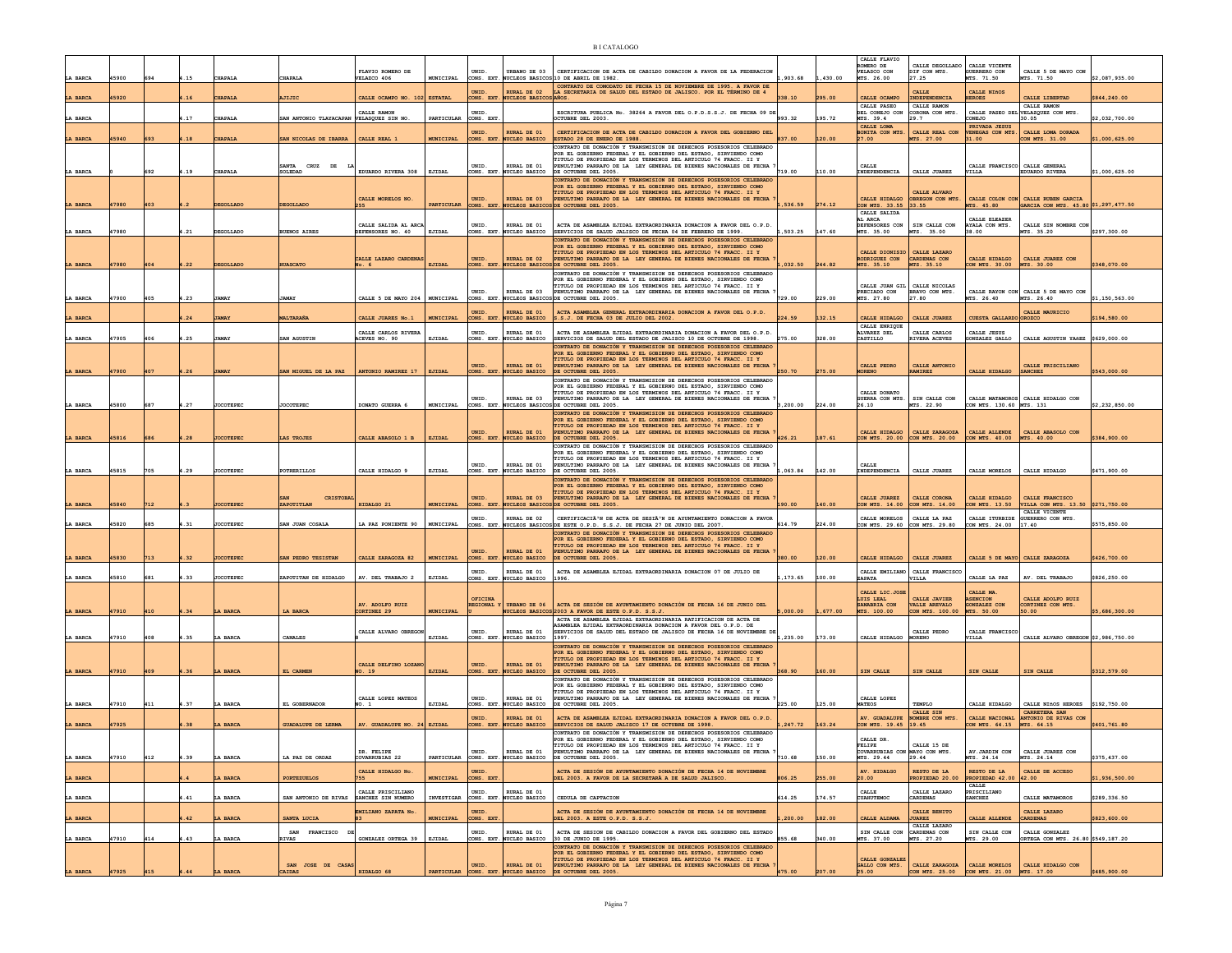|              |       |     |      |                  |                                         |                                           |                   |                          |                                                | <b>BICATALOGO</b>                                                                                                                                                                                          |          |          |                                                                    |                                                         |                                                    |                                                                            |                |
|--------------|-------|-----|------|------------------|-----------------------------------------|-------------------------------------------|-------------------|--------------------------|------------------------------------------------|------------------------------------------------------------------------------------------------------------------------------------------------------------------------------------------------------------|----------|----------|--------------------------------------------------------------------|---------------------------------------------------------|----------------------------------------------------|----------------------------------------------------------------------------|----------------|
| LA BARCA     | 45900 |     | .15  | CHAPALA          | CHAPALA                                 | FLAVIO ROMERO DE<br>VELAZCO 406           | MUNICIPAL         | UNID.<br>CONS. EXT       |                                                | URBANO DE 03 CERTIFICACION DE ACTA DE CABILDO DONACION A FAVOR DE LA FEDERACION<br>UCLEOS BASICOS 10 DE ABRIL DE 1982.                                                                                     | 903.68   | 1,430.00 | CALLE FLAVIO<br>ROMERO DE<br>VELASCO CON<br>MTS. 26.00             | CATTE DECOTTABO<br>DIF CON MTS.<br>27.25                | CALLE VICENTE<br><b>GUERRERO CON</b><br>4TS. 71.50 | CALLE 5 DE MAYO CON<br>TS. 71.50                                           | \$2,087,935.00 |
| A BARCA      | 15920 |     | .16  | <b>CHAPALI</b>   | <b>MIJIC</b>                            | CALLE OCAMPO NO. 102                      | <b>ESTATAL</b>    | UNID.                    | RURAL DE 02<br>CONS. EXT. NUCLEOS BASICOS AÑOS | CONTRATO DE COMODATO DE FECHA 15 DE NOVTEMBRE DE 1995. A FAVOR DE<br>LA SECRETARIA DE SALUD DEL ESTADO DE JALISCO. POR EL TÉRMINO DE 4                                                                     | 38.10    | 295.00   | CALLE OCAMPO                                                       | CALLE<br>INDEPENDENCIA                                  | CALLE NIÑOS<br><b>IEROES</b>                       | CALLE LIBERTAD                                                             | \$844,240.00   |
| LA BARCA     |       |     | 1.17 | CHAPALA          | SAN ANTONIO TLAYACAPAN VELASQUEZ SIN NO | CALLE RAMON                               | PARTICULAR        | <b>INTD</b><br>CONS. EXT |                                                | ESCRITURA PUBLICA No. 38264 A FAVOR DEL O.P.D.S.S.J. DE FECHA 09 DI<br>OCTUBRE DEL 2003.                                                                                                                   | 993.32   | 195.72   | CALLE PASEO<br>DEL CONEJO CON<br>MTS. 39.4                         | CALLE RAMON<br>CORONA CON MTS.<br>29.7                  | ONEJO                                              | CALLE RAMON<br>CALLE PASEO DEL VELAZQUEZ CON MTS.<br>30.05                 | \$2,032,700.00 |
|              |       |     |      |                  |                                         |                                           |                   | UNID.                    | RURAL DE 01                                    | CERTIFICACION DE ACTA DE CABILDO DONACION A FAVOR DEL GOBIERNO DEL                                                                                                                                         |          |          | CALLE LOMA<br>BONITA CON MTS.                                      | CALLE REAL CON                                          | PRIVADA JESUS<br>ENEGAS CON MTS                    | CALLE LOMA DORADA                                                          |                |
| LA BARCA     | 15940 | 693 | .18  | <b>CHAPALI</b>   | SAN NICOLAS DE IBARRA                   | CALLE REAL 1                              | <b>MUNICIPAL</b>  |                          | CONS. EXT. NUCLEO BASICO                       | ESTADO 28 DE ENERO DE 1988.<br>CONTRATO DE DONACIÓN Y TRANSMISION DE DERECHOS POSESORIOS CELEBRADO<br>FOR EL GOBIERNO FEDERAL Y EL GOBIERNO DEL ESTADO, SIRVIENDO COMO                                     | 837.00   |          | 27.00                                                              | MTS. 27.00                                              | 31.00                                              | CON MTS. 31.00                                                             | \$1,000,625.00 |
| LA BARCA     |       | 692 | .19  | CHAPALA          | SANTA CRUZ DE<br>SOLEDAD                | EDUARDO RIVERA 308                        | EJIDAL            | UNID.                    | RURAL DE 01<br>CONS. EXT. NUCLEO BASICO        | TITULO DE PROPIEDAD EN LOS TERMINOS DEL ARTICULO 74 FRACC. II Y<br>PENULTIMO PARRAFO DE LA LEY GENERAL DE BIENES NACIONALES DE FECHA<br>DE OCTUBRE DEL 2005.                                               | 719.00   | 110.00   | CALLE<br>INDEPENDENCIA                                             | CALLE JUAREZ                                            | CALLE FRANCISCO CALLE GENERAL<br>VILLA             | <b>EDUARDO RIVERA</b>                                                      | \$1,000,625.00 |
|              |       |     |      |                  |                                         |                                           |                   |                          |                                                | ONTRATO DE DONACIÓN Y TRANSMISION DE DERECHOS POSESORIOS CELEBRADO<br>POR EL GOBIERNO FEDERAL Y EL GOBIERNO DEL ESTADO, SIRVIENDO COMO                                                                     |          |          |                                                                    |                                                         |                                                    |                                                                            |                |
| LA BARCA     | 47980 | 403 |      | DEGOLLADO        | <b>DEGOLLADO</b>                        | CALLE MORELOS NO<br>255                   | PARTICULAR        | UNID.                    | <b>RURAL DE 03</b>                             | TITULO DE PROPIEDAD EN LOS TERMINOS DEL ARTICULO 74 FRACC. II Y<br>PENULTIMO PARRAFO DE LA LEY GENERAL DE BIENES NACIONALES DE FECHA<br>CONS. EXT. NUCLEOS BASECOS DE OCTUBER DEL 2005.                    | .536.59  | 274.12   | CALLE HIDALGO<br>CON MTS 33.55                                     | CALLE ALVARO<br>OBREGON CON MTS.<br>33.55               | MTS. 45.80                                         | CALLE COLON CON CALLE RUBEN GARCIA<br>GARCIA CON MTS. 45.80 \$1.297.477.50 |                |
|              |       |     |      |                  |                                         | CALLE SALIDA AL ARCA                      |                   | UNID.                    | RURAL DE 01                                    | ACTA DE ASAMBLEA EJIDAL EXTRAORDINARIA DONACION A FAVOR DEL O.P.D.                                                                                                                                         |          |          | CALLE SALIDA<br>AL ARCA<br>DEFENSORES CON                          | SIN CALLE CON                                           | CALLE ELEAZER<br>AYALA CON MTS.                    | CALLE SIN NOMBRE CON                                                       |                |
| LA BARCA     | 47980 |     | .21  | DEGOLLADO        | <b>BUENOS AIRES</b>                     | DEFENSORES NO. 40                         | EJIDAI            |                          | CONS. EXT. NUCLEO BASICO                       | SERVICIOS DE SALUD JALISCO DE FECHA 04 DE FEBRERO DE 1999.<br>CONTRATO DE DONACIÓN Y TRANSMISION DE DERECHOS POSESORIOS CELEBRADO                                                                          | ,503.25  | 147.60   | MTS. 35.00                                                         | MTS. 35.00                                              | 38.00                                              | MTS. 35.20                                                                 | \$297,300.00   |
|              |       |     |      |                  |                                         | CALLE LAZARO CARDENAS                     |                   | UNID.                    | <b>RURAL DE 02</b>                             | POR EL GOBIERNO FEDERAL Y EL GOBIERNO DEL ESTADO, SIRVIENDO COMO<br>TITULO DE PROPIEDAD EN LOS TERMINOS DEL ARTICULO 74 FRACC. II Y<br>PENULTIMO PARRAFO DE LA LEY GENERAL DE BIENES NACIONALES DE FECHA   |          |          | CALLE DIONISIO<br>RODRIGUEZ CON                                    | CALLE LAZARO<br><b>CARDENAS CON</b>                     | CALLE HIDALGO                                      | CALLE JUAREZ CON                                                           |                |
| LA BARCA     | 47980 | 404 | 1.22 | DEGOLLADO        | <b>IUASCATO</b>                         | No. 6                                     | <b>EJIDAL</b>     |                          |                                                | CONS. EXT. NUCLEOS BASICOS DE OCTUBRE DEL 2005.<br>CONTRATO DE DONACIÓN Y TRANSMISION DE DERECHOS POSESORIOS CELEBRADO<br>FOR EL GOBIERNO FEDERAL Y EL GOBIERNO DEL ESTADO, SIRVIENDO COMO                 | ,032.50  | 244.82   | MTS. 35.10                                                         | MTS. 35.10                                              | ON MTS. 30.00                                      | MTS. 30.00                                                                 | \$348,070.00   |
|              |       |     |      |                  |                                         |                                           |                   | UNID.                    | RURAL DE 03                                    | TITULO DE PROPIEDAD EN LOS TERMINOS DEL ARTICULO 74 FRACC. II Y<br>PENULTIMO PARRAFO DE LA LEY GENERAL DE BIENES NACIONALES DE FECHA                                                                       |          | 229.00   | PRECIADO CON                                                       | CALLE JUAN GIL CALLE NICOLAS<br>BRAVO CON MTS.<br>27.80 |                                                    | CALLE RAYON CON CALLE 5 DE MAYO CON                                        |                |
| LA BARCA     | 47900 | 405 | .23  | JAMAY            | <b>JAMAY</b>                            | CALLE 5 DE MAYO 204   MUNICIPAL           |                   | UNID.                    | <b>RURAL DE 01</b>                             | CONS. EXT. NUCLEOS BASICOS DE OCTUBRE DEL 2005.<br>ACTA ASAMBLEA GENERAL EXTRAORDINARIA DONACION A FAVOR DEL O.P.D.                                                                                        | 729.00   |          | MTS. 27.80                                                         |                                                         | MTS. 26.40                                         | MTS. 26.40<br>CALLE MAURICIO                                               | \$1,150,563.00 |
| LA BARCA     |       |     | .24  | <b>JAMAY</b>     | ialtaraña                               | CALLE JUARES No.1                         | <b>MUNICIPAL</b>  | UNID.                    | CONS. EXT. NUCLEO BASICO<br>RURAL DE 01        | 8.S.J. DE FECHA 03 DE JULIO DEL 2002.<br>ACTA DE ASAMBLEA EJIDAL EXTRAORDINARIA DONACION A FAVOR DEL O.P.D.                                                                                                | 224.59   | 132.15   | CALLE HIDALGO<br>CALLE ENRIQUE<br>ALVAREZ DEL                      | CALLE JUAREZ<br>CALLE CARLOS                            | <b>CUESTA GALLARDO OROZCO</b><br>CALLE JESUS       |                                                                            | \$194,580.00   |
| LA BARCA     | 47905 | 406 | 4.25 | JAMAY            | SAN AGUSTIN                             | CALLE CARLOS RIVERA<br>ACEVES NO. 90      | EJIDAL            | CONS. EXT.               | NUCLEO BASICO                                  | SERVICIOS DE SALUD DEL ESTADO DE JALISCO 10 DE OCTUBRE DE 1998.<br>CONTRATO DE DONACIÓN Y TRANSMISION DE DERECHOS POSESORIOS CELEBRADO                                                                     | 275.00   | 328.00   | CASTILLO                                                           | RIVERA ACEVES                                           | GONZALEZ GALLO                                     | CALLE AGUSTIN YAREZ \$629,000.00                                           |                |
|              |       |     |      |                  |                                         |                                           |                   | UNID.                    | RURAL DE 01                                    | OR EL GOBIERNO FEDERAL Y EL GOBIERNO DEL ESTADO, SIRVIENDO COMO<br>TITULO DE PROPIEDAD EN LOS TERMINOS DEL ARTICULO 74 FRACC. II Y<br>PENULTIMO PARRAFO DE LA LEY GENERAL DE BIENES NACIONALES DE FECHA    |          |          | CALLE PEDRO                                                        | CALLE ANTONIO                                           |                                                    | CALLE PRISCILIANO                                                          |                |
| LA BARCA     | 47900 | 407 | .26  | <b>JAMAY</b>     | SAN MIGUEL DE LA PAZ                    | ANTONIO RAMIREZ 17                        | $\tt{EJIDAL}$     |                          | CONS. EXT. NUCLEO BASICO                       | DE OCTUBRE DEL 2005.<br>CONTRATO DE DONACIÓN Y TRANSMISION DE DERECHOS POSESORIOS CELEBRADO<br>OR EL GOBIERNO FEDERAL Y EL GOBIERNO DEL ESTADO, SIRVIENDO COMO                                             | 250.70   | 275.00   | <b>MORENO</b>                                                      | AMIREZ                                                  | CALLE HIDALGO                                      | <b>SANCHEZ</b>                                                             | \$543,000.00   |
|              |       |     |      |                  |                                         |                                           |                   | UNID.                    | RURAL DE 03                                    | TITULO DE PROPIEDAD EN LOS TERMINOS DEL ARTICULO 74 FRACC. II Y<br>PENULTIMO PARRAFO DE LA LEY GENERAL DE BIENES NACIONALES DE FECHA                                                                       |          |          | CALLE DONATO<br>GUERRA CON MTS.                                    | SIN CALLE CON                                           |                                                    | CALLE MATAMOROS CALLE HIDALGO CON                                          |                |
| LA BARCA     | 45800 | 687 | .27  | JOCOTEPEC        | JOCOTEPEC                               | DONATO GUERRA 6                           | MUNICIPAL         | CONS. EXT.               | <b>WCLEOS BASICO</b>                           | DE OCTUBRE DEL 2005.<br>CONTRATO DE DONACIÓN Y TRANSMISION DE DERECHOS POSESORIOS CELEBRADO<br>POR EL GOBIERNO FEDERAL Y EL GOBIERNO DEL ESTADO, SIRVIENDO COMO                                            | 3,200.00 | 224.00   | 26.10                                                              | MTS. 22.90                                              | CON MTS. 130.60 MTS. 131                           |                                                                            | \$2,232,850.00 |
| LA BARCA     | 45816 | 686 | 1.28 | <b>JOCOTEPEC</b> | LAS TROJES                              | CALLE ABASOLO 1 B                         | EJIDAL            | UNID.                    | <b>RURAL DE 01</b><br>CONS. EXT. NUCLEO BASICO | ITULO DE PROPIEDAD EN LOS TERMINOS DEL ARTICULO 74 FRACC. II Y<br>PENULTIMO PARRAFO DE LA LEY GENERAL DE BIENES NACIONALES DE FECHA<br>DE OCTUBRE DEL 2005.                                                | 426.21   | 187.61   | CALLE HIDALGO                                                      | CALLE ZARAGOZA<br>CON MTS. 20.00 CON MTS. 20.00         | CALLE ALLENDE<br>CON MTS. 40.00 MTS. 40.00         | CALLE ABASOLO CON                                                          | \$384,900.00   |
|              |       |     |      |                  |                                         |                                           |                   |                          |                                                | ONTRATO DE DONACIÓN Y TRANSMISION DE DERECHOS POSESORIOS CELEBRADO<br>POR EL GORTERNO FEDERAL Y EL GORTERNO DEL ESTADO, STRVIENDO COMO                                                                     |          |          |                                                                    |                                                         |                                                    |                                                                            |                |
| LA BARCA     | 45815 | 705 | 1.29 | JOCOTEPEC        | POTRERILLOS                             | CALLE HIDALGO 9                           | EJIDAL            | UNID.                    | RURAL DE 01<br>CONS. EXT. NUCLEO BASICO        | TITULO DE PROPIEDAD EN LOS TERMINOS DEL ARTICULO 74 FRACC. II Y<br>INULTIMO PARRAFO DE LA LEY GENERAL DE BIENES NACIONALES DE FECHA<br>DE OCTUBRE DEL 2005.                                                | 063.84   | 142.00   | CALLE<br>INDEPENDENCIA                                             | CALLE JUAREZ                                            | CALLE MORELOS                                      | CALLE HIDALGO                                                              | \$471,900.00   |
|              |       |     |      |                  |                                         |                                           |                   |                          |                                                | ONTRATO DE DONACIÓN Y TRANSMISION DE DERECHOS POSESORIOS CELEBRADO<br>POR EL GOBIERNO FEDERAL Y EL GOBIERNO DEL ESTADO, SIRVIENDO COMO<br>TITULO DE PROPIEDAD EN LOS TERMINOS DEL ARTICULO 74 FRACC. II Y  |          |          |                                                                    |                                                         |                                                    |                                                                            |                |
| A BARCA      | 15840 | 712 |      | <b>JOCOTEPEC</b> | CRISTOBA<br>ZAPOTITLAN                  | HIDALGO 21                                | <b>MUNICIPAL</b>  | UNID.                    | RURAL DE 03                                    | ENULTIMO PARRAFO DE LA LEY GENERAL DE BIENES NACIONALES DE FECHA<br>CONS. EXT. NUCLEOS BASICOS DE OCTUBRE DEL 2005.                                                                                        | 190.00   | 140.00   | CALLE JUAREZ<br>CON MTS. 14.00                                     | CALLE CORONA<br>CON MTS. 14.00                          | CALLE HIDALGO<br>CON MTS. 13.50                    | CALLE FRANCISCO<br>VILLA CON MTS. 13.50 \$271,750.00                       |                |
| LA BARCA     | 45820 | 685 | 1.31 | JOCOTEPEC        | SAN JUAN COSALA                         | LA PAZ PONIENTE 90                        | MUNICIPAL         | UNID.                    | RURAL DE 02                                    | CERTIFICACIÃ <sup>3</sup> N DE ACTA DE SESIÃ <sup>3</sup> N DE AYUNTAMIENTO DONACION A FAVOR<br>CONS. EXT. NUCLEOS BASICOS DE ESTE O.P.D. S.S.J. DE FECHA 27 DE JUNIO DEL 2007.                            | 614.79   | 224.00   | CALLE MORELOS                                                      | CALLE LA PAZ<br>CON MTS. 29.60 CON MTS. 29.80           | CON MTS. 24.00                                     | CALLE VICENTE<br>CALLE ITURBIDE GUERRERO CON MTS.<br>17.40                 | \$575,850.00   |
|              |       |     |      |                  |                                         |                                           |                   |                          |                                                | CONTRATO DE DONACIÓN Y TRANSMISION DE DERECHOS POSESORIOS CELEBRADO<br>POR EL GOBIERNO FEDERAL Y EL GOBIERNO DEL ESTADO. SIRVIENDO COMO<br>TITULO DE PROPIEDAD EN LOS TERMINOS DEL ARTICULO 74 FRACC. II Y |          |          |                                                                    |                                                         |                                                    |                                                                            |                |
| LA BARCA     | 45830 | 713 | .32  | <b>JOCOTEPEC</b> | SAN PEDRO TESISTAN                      | CALLE ZARAGOZA 82                         | <b>MUNICIPAL</b>  |                          | <b>RURAL DE 01</b><br>CONS. EXT. NUCLEO BASICO | ENULTIMO PARRAFO DE LA LEY GENERAL DE BIENES NACIONALES DE FECHA<br>DE OCTUBRE DEL 2005.                                                                                                                   | 380.00   | 120.00   | CALLE HIDALGO                                                      | CALLE JUAREZ                                            |                                                    | CALLE 5 DE MAYO   CALLE ZARAGOZA                                           | \$426,700.00   |
| LA BARCA     | 45810 | 681 | .33  | JOCOTEPEC        | ZAPOTITAN DE HIDALGO                    | AV. DEL TRABAJO 2                         | EJIDAL            | UNID.                    | RURAL DE 01<br>CONS. EXT. NUCLEO BASICO        | ACTA DE ASAMBLEA EJIDAL EXTRAORDINARIA DONACION 07 DE JULIO DE<br>1996.                                                                                                                                    | ,173.65  | 100.00   | ZAPATA                                                             | CALLE EMILIANO CALLE FRANCISCO<br>VILLA                 | CALLE LA PAZ                                       | AV. DEL TRABAJO                                                            | \$826,250.00   |
|              |       |     |      |                  |                                         |                                           |                   | OFICINA                  |                                                |                                                                                                                                                                                                            |          |          | CALLE LIC.JOSE<br>LUIS LEAL                                        | CALLE JAVIER                                            | CALLE MA.<br><b>ASENCION</b>                       | CALLE ADOLFO RUIZ                                                          |                |
| LA BARCA     | 47910 | 410 | .34  | LA BARCA         | LA BARCA                                | AV. ADOLFO RUIZ<br>CORTINEZ <sub>29</sub> | <b>MUNICIPAL</b>  | <b>REGIONAL</b>          | URBANO DE 06                                   | ACTA DE SESIÓN DE AYUNTAMIENTO DONACIÓN DE FECHA 16 DE JUNIO DEL<br>NUCLEOS BASICOS 2003 A FAVOR DE ESTE O.P.D. S.S.J.                                                                                     | .000.00  | .677.00  | SANABRIA CON<br>MTS. 100.00                                        | <b>VALLE AREVALO</b><br>CON MTS. 100.00                 | GONZALEZ CON<br>MTS. 50.00                         | CORTINEZ CON MTS.<br>50.00                                                 | \$5,686,300.00 |
|              |       |     |      |                  |                                         | CALLE ALVARO OBREGO                       |                   | UNID.                    | RURAL DE 01                                    | ACTA DE ASAMBLEA EJIDAL EXTRAORDINARIA RATIFICACION DE ACTA DE<br>SAMBLEA EJIDAL EXTRAORDINARIA DONACION A FAVOR DEL O.P.D. DE<br>SERVICIOS DE SALUD DEL ESTADO DE JALISCO DE FECHA 16 DE NOVIEMBRE DE     |          |          |                                                                    | CALLE PEDRO                                             | CALLE FRANCISCO                                    |                                                                            |                |
| LA BARCA     | 47910 | 408 | .35  | LA BARCA         | CANALES                                 |                                           | EJIDAL            | CONS. EXT.               | <b>WCLEO BASICO</b>                            | 997<br>CONTRATO DE DONACIÓN Y TRANSMISION DE DERECHOS POSESORIOS CELEBRADO<br>POR EL GOBIERNO FEDERAL Y EL GOBIERNO DEL ESTADO. SIRVIENDO COMO                                                             | , 235.00 | 173.00   | CALLE HIDALGO                                                      | <b>IORENO</b>                                           | <b>JILLA</b>                                       | CALLE ALVARO OBREGON \$2,986,750.00                                        |                |
| LA BARCA     | 47910 | 409 | 1.36 | LA BARCA         | EL CARMEN                               | CALLE DELFINO LOZANO<br>NO. 19            | <b>EJIDAL</b>     | UNID.                    | <b>RURAL DE 01</b><br>CONS. EXT. NUCLEO BASICO | TITULO DE PROPIEDAD EN LOS TERMINOS DEL ARTICULO 74 FRACC. II Y<br>PENULTIMO PARRAFO DE LA LEY GENERAL DE BIENES NACIONALES DE FECHA<br>DE OCTUBRE DEL 2005.                                               | 368.90   | 160.00   | SIN CALLE                                                          | SIN CALLE                                               | SIN CALLE                                          | SIN CALLE                                                                  | \$312,579.00   |
|              |       |     |      |                  |                                         |                                           |                   |                          |                                                | CONTRATO DE DONACIÓN Y TRANSMISION DE DERECHOS POSESORIOS CELEBRADO<br>POR EL GOBIERNO FEDERAL Y EL GOBIERNO DEL ESTADO. SIRVIENDO COMO                                                                    |          |          |                                                                    |                                                         |                                                    |                                                                            |                |
| LA BARCA     | 47910 | 411 | .37  | LA BARCA         | EL GOBERNADOR                           | CALLE LOPEZ MATEOS<br>NO. 1               | EJIDAL            | UNID                     | RURAL DE 01<br>CONS. EXT. NUCLEO BASICO        | TITULO DE PROPIEDAD EN LOS TERMINOS DEL ARTICULO 74 FRACC. II Y<br>PENULTIMO PARRAFO DE LA LEY GENERAL DE BIENES NACIONALES DE FECHA<br>DE OCTUBRE DEL 2005.                                               | 225.00   | 125.00   | CALLE LOPEZ<br><b>MATEOS</b>                                       | TEMPLO                                                  | CALLE HIDALGO                                      | CALLE NIñOS HEROES \$192,750.00                                            |                |
| LA BARCA     | 47925 |     | 38   | LA BARCA         | <b>GUADALUPE DE LERMA</b>               | AV. GUADALUPE NO. 24 EJIDAL               |                   | UNID.                    | RURAL DE 01<br>CONS. EXT. NUCLEO BASICO        | ACTA DE ASAMBLEA EJIDAL EXTRAORDINARIA DONACION A FAVOR DEL O.P.D.<br>SERVICIOS DE SALUD JALISCO 17 DE OCTUBRE DE 1998.                                                                                    | , 247.72 | 163.24   | AV. GUADALUPE<br>CON MTS. 19.45 19.45                              | CALLE SIN<br>NOMBRE CON MTS.                            | CALLE NACIONAL<br>CON MTS. 64.15                   | CARRETERA SAN<br>ANTONIO DE RIVAS CON<br>MTS. 64.15                        | \$401,761.80   |
|              |       |     |      |                  |                                         |                                           |                   |                          |                                                | CONTRATO DE DONACIÓN Y TRANSMISION DE DERECHOS POSESORIOS CELEBRADO<br><b>GOBIERNO FEDERAL</b><br>Y EL GOBIE<br>) DEL ESTADO. SIRVIEN                                                                      |          |          |                                                                    |                                                         |                                                    |                                                                            |                |
| LA BARCA     | 47910 | 412 | 4.39 | LA BARCA         | LA PAZ DE ORDAZ                         | DR. FELIPE<br><b>COVARRUBIAS 22</b>       | PARTICULAR        | UNID.                    | RURAL DE 01<br>CONS. EXT. NUCLEO BASICO        | TITULO DE PROPIEDAD EN LOS TERMINOS DEL ARTICULO 74 FRACC. II Y<br>PENULTIMO PARRAFO DE LA LEY GENERAL DE BIENES NACIONALES DE FECHA<br>DE OCTUBRE DEL 2005.                                               | 710.68   | 150.00   | <b>FELIPE</b><br>COVARRUBIAS CON MAYO CON MTS.<br>MTS. 29.44 29.44 | CALLE 15 DE                                             | AV.JARDIN CON<br>MTS. 24.14                        | CALLE JUAREZ CON<br>MTS. 24.14                                             | \$375,437.00   |
|              |       |     |      |                  | <b>PORTEZUELOS</b>                      | CALLE HIDALGO No                          | <b>UNICIPAL</b>   | UNID.<br>CONS. EXT       |                                                | ACTA DE SESIÓN DE AYUNTAMIENTO DONACIÓN DE FECHA 14 DE NOVIEMBRE<br>EL 2003. A FAVOR DE LA SECRETARÃ A DE SALUD JALISCO                                                                                    |          |          | AV. HIDALGO                                                        | RESTO DE LA                                             | RESTO DE LA                                        | CALLE DE ACCESO<br>42.00                                                   | \$1,936,500.00 |
| LA BARCA     |       |     |      |                  |                                         | CALLE PRISCILIANO                         |                   | UNID.                    | RURAL DE 01                                    |                                                                                                                                                                                                            |          |          | CALLE                                                              | ROPIEDAD 20.00<br>CALLE LAZARO                          | PROPIEDAD 42.00<br>CALLE<br><b>RISCILIANO</b>      |                                                                            |                |
| LA BARCA     |       |     | .41  | LA BARCA         | SAN ANTONIO DE RIVAS SANCHEZ SIN NUMERO | EMILIANO ZAPATA No                        | <b>INVESTIGAR</b> | UNID                     | CONS. EXT. NUCLEO BASICO                       | CEDITA DE CAPTACION<br>ACTA DE SESIÓN DE AYUNTAMIENTO DONACIÓN DE FECHA 14 DE NOVIEMBRE                                                                                                                    | 514.25   | 174.57   | CUAHUTEMOC                                                         | <b>CARDENAS</b><br>CALLE BENITO                         | <b>SANCHEZ</b>                                     | CALLE MATAMOROS<br>CALLE LAZARO                                            | \$289,336.50   |
| LA BARCA     |       |     | .42  | LA BARCA         | SANTA LUCIA                             |                                           | <b>MUNICIPAL</b>  | CONS. EXT                |                                                | DEL 2003. A ESTE O.P.D. S.S.J.                                                                                                                                                                             | , 200.00 | 182.00   | CALLE ALDAMA                                                       | <b>JUAREZ</b><br>CALLE LAZARO                           | CALLE ALLENDE                                      | <b>CARDENAS</b>                                                            | \$823,600.00   |
| LA BARCA     | 47910 | 414 | .43  | LA BARCA         | SAN FRANCISCO<br><b>RIVAS</b>           | GONZALEZ ORTEGA 39                        | EJIDAL            | UNID.                    | RURAL DE 01<br>CONS. EXT. NUCLEO BASICO        | ACTA DE SESION DE CABILDO DONACION A FAVOR DEL GOBIERNO DEL ESTADO<br>30 DE JUNIO DE 1995.<br>CONTRATO DE DONACIÓN Y TRANSMISION DE DERECHOS POSESORIOS CELEBRADO                                          | 355.68   | 340.00   | SIN CALLE CON<br>MTS. 37.00                                        | <b>CARDENAS CON</b><br>MTS. 27.20                       | SIN CALLE CON<br>MTS. 29.00                        | CALLE GONZALEZ<br>ORTEGA CON MTS. 26.80 \$549,187.20                       |                |
|              |       |     |      |                  | SAN JOSE DE CASAS                       |                                           |                   | UNID.                    | <b>RURAL DE 01</b>                             | POR EL GOBIERNO FEDERAL Y EL GOBIERNO DEL ESTADO. SIRVIENDO COMO<br>TITULO DE PROPIEDAD EN LOS TERMINOS DEL ARTICULO 74 FRACC. II Y<br>PENULTIMO PARRAFO DE LA LEY GENERAL DE BIENES NACIONALES DE FECHA   |          |          | CALLE GONZALEZ<br>GALLO CON MTS.                                   | CALLE ZARAGOZA                                          | CALLE MORELOS                                      | CALLE HIDALGO CON                                                          |                |
| <b>BARCA</b> | 17925 |     |      |                  | CAIDAS                                  | HIDALGO 68                                | PARTICULAR        |                          |                                                | CONS. EXT. NUCLEO BASICO DE OCTUBRE DEL 2005.                                                                                                                                                              |          |          | 25.00                                                              | CON MTS. 25.00                                          | CON MTS. 21.00                                     | MTS. 17.00                                                                 | \$485,900.00   |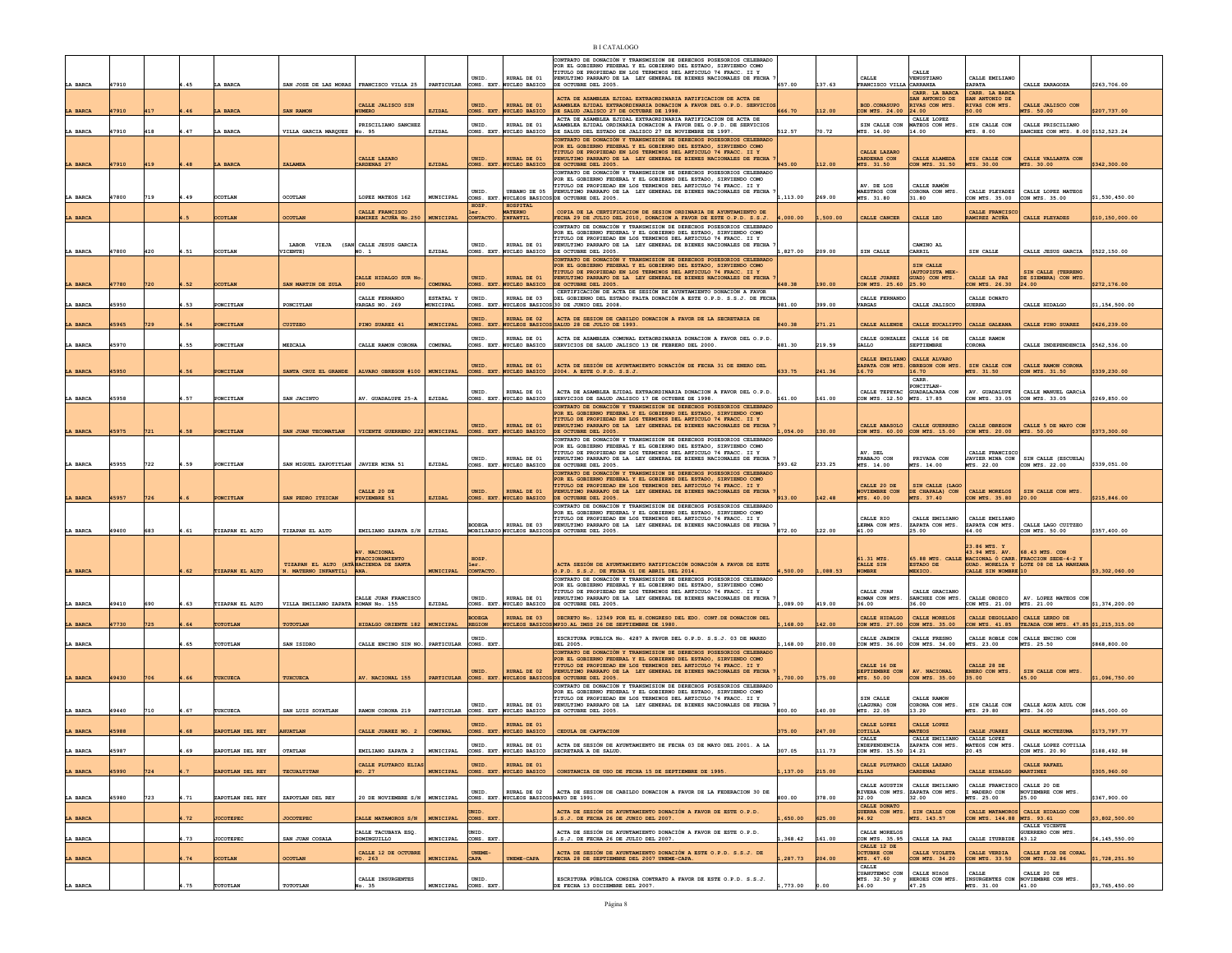|                |       |     |      |                  |                                                                                  |                                           |                     |                         |                                                | CONTRATO DE DONACIÓN Y TRANSMISION DE DERECHOS POSESORIOS CELEBRADO<br>POR EL GOBIERNO FEDERAL Y EL GOBIERNO DEL ESTADO, SIRVIENDO COMO<br>TITULO DE PROPIEDAD EN LOS TERMINOS DEL ARTICULO 74 FRACC. II Y |              |          |                                                | CALLE                                                             |                                             |                                                                         |                 |
|----------------|-------|-----|------|------------------|----------------------------------------------------------------------------------|-------------------------------------------|---------------------|-------------------------|------------------------------------------------|------------------------------------------------------------------------------------------------------------------------------------------------------------------------------------------------------------|--------------|----------|------------------------------------------------|-------------------------------------------------------------------|---------------------------------------------|-------------------------------------------------------------------------|-----------------|
| LA BARCA       | 47910 |     | .45  | LA BARCA         | SAN JOSE DE LAS MORAS   FRANCISCO VILLA 25   PARTICULAR CONS. EXT. NUCLEO BASICO |                                           |                     | UNID.                   | RURAL DE 01                                    | PENULTIMO PARRAFO DE LA LEY GENERAL DE BIENES NACIONALES DE FECHA<br>DE OCTUBRE DEL 2005                                                                                                                   | 657.00       | 137.63   | CALLE<br>FRANCISCO VILLA CARRANZA              | VENUSTIANO                                                        | CALLE EMILIANO<br>ZAPATA                    | CALLE ZARAGOZA                                                          | \$263,706.00    |
|                |       |     |      |                  |                                                                                  |                                           |                     |                         |                                                | ACTA DE ASAMBLEA EJIDAL EXTRAORDINARIA RATIFICACION DE ACTA DE                                                                                                                                             |              |          |                                                | CARR. LA BARCA<br>AN ANTONIO DE                                   | CARR. LA BARCA<br>SAN ANTONIO DE            |                                                                         |                 |
| LA BARCA       | 17910 | 417 | .46  | LA BARCA         | <b>SAN RAMON</b>                                                                 | CALLE JALISCO SIN<br><b>IUMERO</b>        | EJIDAL              | UNID.                   | <b>RURAL DE 01</b><br>CONS. EXT. NUCLEO BASICO | ASAMBLEA EJIDAL EXTRAORDINARIA DONACION A FAVOR DEL O.P.D. SERVICIOS<br>DE SALUD JALISCO 27 DE OCTUBRE DE 1998.                                                                                            | 666.70       | 112.00   | <b>BOD. CONASUPO</b><br>CON MTS. 24.00 24.00   | RIVAS CON MTS.                                                    | <b>RIVAS CON MTS.</b><br>50.00              | CALLE JALISCO CON<br>MTS. 50.00                                         | \$207,737.00    |
|                |       |     |      |                  |                                                                                  | PRISCILIANO SANCHEZ                       |                     | UNID.                   | RURAL DE 01                                    | ACTA DE ASAMBLEA EJIDAL EXTRAORDINARIA RATIFICACION DE ACTA DE<br>ASAMBLEA EJIDAL ORDINARIA DONACION A FAVOR DEL O.P.D. DE SERVICIOS                                                                       |              |          | SIN CALLE CON                                  | CALLE LOPEZ<br>MATEOS CON MTS.                                    | SIN CALLE CON                               | CALLE PRISCILIANO                                                       |                 |
| LA BARCA       | 7910  | 418 | .47  | LA BARCI         | VILLA GARCIA MARQUEZ                                                             | No. 95                                    | EJIDAI              |                         | CONS. EXT. NUCLEO BASICO                       | DE SALUD DEL ESTADO DE JALISCO 27 DE NOVIEMBRE DE 1997                                                                                                                                                     | 512.57       | 70.72    | MTS. 14.00                                     | 14.00                                                             | MTS. 8.00                                   | SANCHEZ CON MTS. 8.00 \$152,523.24                                      |                 |
|                |       |     |      |                  |                                                                                  |                                           |                     |                         |                                                | CONTRATO DE DONACIÓN Y TRANSMISION DE DERECHOS POSESORIOS CELEBRADO<br>POR EL GOBIERNO FEDERAL Y EL GOBIERNO DEL ESTADO, SIRVIENDO COMO                                                                    |              |          |                                                |                                                                   |                                             |                                                                         |                 |
|                |       |     |      |                  |                                                                                  | CALLE LAZARO                              |                     | UNID.                   | <b>RURAL DE 01</b>                             | TITULO DE PROPIEDAD EN LOS TERMINOS DEL ARTICULO 74 FRACC. II Y<br>PENULTIMO PARRAFO DE LA LEY GENERAL DE BIENES NACIONALES DE FECHA                                                                       |              |          | CALLE LAZARO<br>CARDENAS CON                   | CALLE ALAMEDA                                                     | SIN CALLE CON                               | CALLE VALLARTA CON                                                      |                 |
| LA BARCA       | 17910 | 419 | .48  | LA BARCA         | ZALAMEA                                                                          | CARDENAS <sub>27</sub>                    | EJIDAL              |                         |                                                | CONS. EXT. NUCLEO BASICO DE OCTUBRE DEL 2005.<br>CONTRATO DE DONACIÓN Y TRANSMISION DE DERECHOS POSESORIOS CELEBRADO                                                                                       | 945.00       | 112.00   | MTS. 31.50                                     | CON MTS. 31.50                                                    | MTS. 30.00                                  | MTS. 30.00                                                              | \$342,300.00    |
|                |       |     |      |                  |                                                                                  |                                           |                     |                         |                                                | POR EL GOBIERNO FEDERAL Y EL GOBIERNO DEL ESTADO, SIRVIENDO COMO<br>TITULO DE PROPIEDAD EN LOS TERMINOS DEL ARTICULO 74 FRACC. II Y                                                                        |              |          | AV. DE LOS                                     | CALLE RAMÓN                                                       |                                             |                                                                         |                 |
| LA BARCA       | 47800 | 719 | 1.49 | <b>OCOTLAN</b>   | OCOTLAN                                                                          | LOPEZ MATEOS 162                          | MUNICIPAL           | UNID.                   |                                                | URBANO DE 05 PENULTIMO PARRAFO DE LA LEY GENERAL DE BIENES NACIONALES DE FECHA<br>CONS. EXT. NUCLEOS BASICOS DE OCTUBRE DEL 2005.                                                                          | .113.00      | 269.00   | MAESTROS CON<br>MTS. 31.80                     | CORONA CON MTS.<br>31.80                                          | CALLE PLEYADES<br>CON MTS. 35.00            | CALLE LOPEZ MATEOS<br>CON MTS. 35.00                                    | \$1,530,450.00  |
|                |       |     |      |                  |                                                                                  | CALLE FRANCISCO                           |                     | HOSP.<br>1er.           | HOSPITAL<br><b>MATERNO</b>                     | COPIA DE LA CERTIFICACION DE SESION ORDINARIA DE AYUNTAMIENTO DE                                                                                                                                           |              |          |                                                |                                                                   | CALLE FRANCISCO                             |                                                                         |                 |
| LA BARCA       |       |     |      | <b>OCOTLAN</b>   | <b>OCOTLAN</b>                                                                   | AMIREZ ACUÑA No.250 MUNICIPAL             |                     | CONTACTO.               | INFANTIL                                       | FECHA 29 DE JULIO DEL 2010, DONACION A FAVOR DE ESTE O.P.D. S.S.J.                                                                                                                                         | ,000.00      | ,500.00  | CALLE CANCER                                   | CALLE LEO                                                         | RAMIREZ ACUÑA                               | CALLE PLEYADES                                                          | \$10,150,000.00 |
|                |       |     |      |                  |                                                                                  |                                           |                     |                         |                                                | CONTRATO DE DONACIÓN Y TRANSMISION DE DERECHOS POSESORIOS CELEBRADO<br>POR EL GOBIERNO FEDERAL Y EL GOBIERNO DEL ESTADO, SIRVIENDO COMO                                                                    |              |          |                                                |                                                                   |                                             |                                                                         |                 |
|                | 47800 |     | 4.51 |                  | LABOR VIEJA (SAN CALLE JESUS GARCIA                                              |                                           | EJIDAL              | UNID.                   | RURAL DE 01                                    | TITULO DE PROPIEDAD EN LOS TERMINOS DEL ARTICULO 74 FRACC. II Y<br>PENULTIMO PARRAFO DE LA LEY GENERAL DE BIENES NACIONALES DE FECHA<br>DE OCTUBRE DEL 2005.                                               | L, 827.00    | 209.00   | SIN CALLE                                      | CAMINO AL                                                         | SIN CALLE                                   | CALLE JESUS GARCIA \$522.150.00                                         |                 |
| LA BARCA       |       | 420 |      | <b>OCOTLAN</b>   | VICENTE)                                                                         | NO. 1                                     |                     |                         | CONS. EXT. NUCLEO BASICO                       | CONTRATO DE DONACIÓN Y TRANSMISION DE DERECHOS POSESORIOS CELEBRADO                                                                                                                                        |              |          |                                                | CARRIL                                                            |                                             |                                                                         |                 |
|                |       |     |      |                  |                                                                                  |                                           |                     |                         |                                                | POR EL GORTERNO FEDERAL Y EL GORTERNO DEL ESTADO, STRVIENDO COMO<br>TITULO DE PROPIEDAD EN LOS TERMINOS DEL ARTICULO 74 FRACC. II Y                                                                        |              |          |                                                | SIN CALLE<br>(AUTOPISTA MEX-                                      |                                             | SIN CALLE (TERRENO                                                      |                 |
| <b>A BARCA</b> | 7780  |     | 52   | <b>DCOTLAN</b>   | SAN MARTIN DE ZULA                                                               | CALLE HIDALGO SUR No                      | COMEDIAT.           | UNID.<br>ONS. EXT       | <b>RURAL DE 01</b><br>NUCLEO BASICO            | PENULTIMO PARRAFO DE LA LEY GENERAL DE BIENES NACIONALES DE FECHA<br>DE OCTUBRE DEL 2005.                                                                                                                  | <b>48.38</b> | 190.00   | CALLE JUAREZ<br>CON MTS. 25.60                 | GUAD) CON MTS.<br>25.90                                           | CALLE LA PAZ<br>ON MTS. 26.30               | DE SIEMBRA) CON MTS.<br>24.00                                           | \$272,176.00    |
|                |       |     |      |                  |                                                                                  | CALLE FERNANDO                            | ESTATAL Y           | UNID.                   | RURAL DE 03                                    | CERTIFICACIÓN DE ACTA DE SESIÓN DE AYUNTAMIENTO DONACIÓN A FAVOR<br>DEL GOBIERNO DEL ESTADO FALTA DONACIÓN A ESTE O.P.D. S.S.J. DE FECHA                                                                   |              |          | CALLE FERNANDO                                 |                                                                   | CALLE DONATO                                |                                                                         |                 |
| LA BARCA       | 15950 |     | .53  | PONCITLAN        | PONCITLAN                                                                        | VARGAS NO. 269                            | MUNICIPAL           | CONS. EXT               | NUCLEOS BASICO                                 |                                                                                                                                                                                                            | 981.00       | 399.00   | <b><i>VARGAS</i></b>                           | CALLE JALISCO                                                     | <b>GUERRA</b>                               | CALLE HIDALGO                                                           | \$1,154,500.00  |
| LA BARCA       | 5965  |     | 54   | PONCITLAN        | CUITZEO                                                                          | PINO SUAREZ 41                            | <b>MUNICIPAL</b>    | UNID.<br>CONS. EXT.     | URAL DE 02                                     | ACTA DE SESION DE CABILDO DONACION A FAVOR DE LA SECRETARIA DE<br>NUCLEOS BASICOS SALUD 28 DE JULIO DE 1993.                                                                                               | 840.38       | 271.21   | CALLE ALLENDE                                  | CALLE EUCALIPTO                                                   | CALLE GALEANA                               | CALLE PINO SUAREZ                                                       | \$426,239.00    |
|                |       |     |      |                  |                                                                                  |                                           |                     | <b>INTD</b>             | RURAL DE 01                                    | ACTA DE ASAMBLEA COMUNAL EXTAORDINARIA DONACION A FAVOR DEL O.P.D.                                                                                                                                         |              |          | CALLE GONZALEZ CALLE 16 DE                     |                                                                   | CALLE RAMON                                 |                                                                         |                 |
| LA BARCA       | 45970 |     | 1.55 | PONCITLAN        | MEZCALA                                                                          | CALLE RAMON CORONA                        | COMUNAL             |                         | CONS. EXT. NUCLEO BASICO                       | SERVICIOS DE SALUD JALISCO 13 DE FEBRERO DEL 2000                                                                                                                                                          | 481.30       | 219.59   | GALLO                                          | <b>SEPTIEMBRE</b>                                                 | CORONA                                      | CALLE INDEPENDENCIA \$562.536.00                                        |                 |
|                |       |     |      |                  |                                                                                  |                                           |                     |                         |                                                |                                                                                                                                                                                                            |              |          | CALLE EMILIANO CALLE ALVARO                    |                                                                   |                                             |                                                                         |                 |
| LA BARCA       | 5950  |     | 56   | PONCITLAN        | ANTA CRUZ EL GRANDE                                                              | ALVARO OBREGON #100   MUNICIPAL           |                     | UNID.                   | RURAL DE 01<br>CONS. EXT. NUCLEO BASICO        | ACTA DE SESIÓN DE AYUNTAMIENTO DONACIÓN DE FECHA 31 DE ENERO DEL<br>2004. A ESTE O.P.D. S.S.J.                                                                                                             | 533.75       | 241.36   | 16.70                                          | ZAPATA CON MTS. OBREGON CON MTS.<br>16.70                         | SIN CALLE CON<br>4TS. 31.50                 | CALLE RAMON CORONA<br>CON MTS. 31.50                                    | \$339,230.00    |
|                |       |     |      |                  |                                                                                  |                                           |                     |                         |                                                |                                                                                                                                                                                                            |              |          |                                                | CARR.<br>PONCITLAN                                                |                                             |                                                                         |                 |
| LA BARCA       | 45958 |     | .57  | PONCITLAN        | SAN JACINTO                                                                      | AV. GUADALUPE 25-A                        | EJIDAL              | UNID.                   | RURAL DE 01<br>CONS. EXT. NUCLEO BASICO        | ACTA DE ASAMBLEA EJIDAL EXTRAORDINARIA DONACION A FAVOR DEL O.P.D.<br>SERVICIOS DE SALUD JALISCO 17 DE OCTUBRE DE 1998.                                                                                    | 161.00       | 161.00   | CON MTS. 12.50 MTS. 17.85                      | CALLE TEPEYAC GUADALAJARA CON                                     | AV. GUADALUPE<br>CON MTS. 33.05             | CALLE MANUEL GARCIA<br>CON MTS. 33.05                                   | \$269,850.00    |
|                |       |     |      |                  |                                                                                  |                                           |                     |                         |                                                | CONTRATO DE DONACIÓN Y TRANSMISION DE DERECHOS POSESORIOS CELEBRADO                                                                                                                                        |              |          |                                                |                                                                   |                                             |                                                                         |                 |
|                |       |     |      |                  |                                                                                  |                                           |                     |                         |                                                | POR EL GOBIERNO FEDERAL Y EL GOBIERNO DEL ESTADO, SIRVIENDO COMO<br>TITULO DE PROPIEDAD EN LOS TERMINOS DEL ARTICULO 74 FRACC. II Y                                                                        |              |          |                                                |                                                                   |                                             |                                                                         |                 |
| LA BARCA       | 45975 | 721 | .58  | PONCITLAN        | SAN JUAN TECOMATLAN                                                              | VICENTE GUERRERO 222 MINICIPAL            |                     | UNID.                   | RURAL DE 01                                    | PENULTIMO PARRAFO DE LA LEY GENERAL DE BIENES NACIONALES DE FECHA<br>CONS. EXT. NUCLEO BASICO DE OCTUBRE DEL 2005.                                                                                         | .054.00      | 130.00   | CALLE ABASOLO<br>CON MTS. 60.00 CON MTS. 15.00 | CALLE GUERRERO                                                    | CALLE OBREGON<br>CON MTS. 20.00 MTS. 50.00  | CALLE 5 DE MAYO CON                                                     | \$373,300.00    |
|                |       |     |      |                  |                                                                                  |                                           |                     |                         |                                                | CONTRATO DE DONACIÓN Y TRANSMISION DE DERECHOS POSESORIOS CELEBRADO<br>POR EL GOBIERNO FEDERAL Y EL GOBIERNO DEL ESTADO, SIRVIENDO COMO                                                                    |              |          |                                                |                                                                   |                                             |                                                                         |                 |
|                |       |     |      |                  |                                                                                  |                                           |                     | UNID.                   | RURAL DE 01                                    | TITULO DE PROPIEDAD EN LOS TERMINOS DEL ARTICULO 74 FRACC. II Y<br>PENULTIMO PARRAFO DE LA LEY GENERAL DE BIENES NACIONALES DE FECHA                                                                       |              |          | AV. DEL<br>TRABAJO CON                         | PRIVADA CON                                                       | CALLE FRANCISCO<br>JAVIER MINA CON          | SIN CALLE (ESCUELA)                                                     |                 |
| LA BARCA       | 45955 | 722 | 1.59 | PONCITLAN        | SAN MIGUEL ZAPOTITLAN JAVIER MINA 51                                             |                                           | EJIDAL              |                         | CONS. EXT. NUCLEO BASICO                       | DE OCTUBRE DEL 2005.<br>CONTRATO DE DONACIÓN Y TRANSMISION DE DERECHOS POSESORIOS CELEBRADO                                                                                                                | 593.62       | 233.25   | MTS. 14.00                                     | MTS. 14.00                                                        | MTS. 22.00                                  | CON MTS. 22.00                                                          | \$339,051.00    |
|                |       |     |      |                  |                                                                                  |                                           |                     |                         |                                                | POR EL GOBIERNO FEDERAL Y EL GOBIERNO DEL ESTADO, SIRVIENDO COMO<br>TITULO DE PROPIEDAD EN LOS TERMINOS DEL ARTICULO 74 FRACC. II Y                                                                        |              |          | CALLE 20 DE                                    | SIN CALLE (LAGO                                                   |                                             |                                                                         |                 |
| LA BARCA       | 15957 | 726 |      | PONCITLAN        | SAN PEDRO ITZICAN                                                                | CALLE 20 DE<br>NOVIEMBRE 51               | <b>EJIDAL</b>       | UNID.                   | RURAL DE 01                                    | PENULTIMO PARRAFO DE LA LEY GENERAL DE BIENES NACIONALES DE FECHA<br>CONS. EXT. NUCLEO BASICO DE OCTUBRE DEL 2005.                                                                                         | 913.00       | 142.48   | NOVIEMBRE CON<br>MTS. 40.00                    | DE CHAPALA) CON<br>MTS. 37.40                                     | CALLE MORELOS<br>CON MTS. 35.80             | SIN CALLE CON MTS.<br>20.00                                             | \$215,846.00    |
|                |       |     |      |                  |                                                                                  |                                           |                     |                         |                                                | CONTRATO DE DONACIÓN Y TRANSMISION DE DERECHOS POSESORIOS CELEBRADO<br>POR EL GOBIERNO FEDERAL Y EL GOBIERNO DEL ESTADO, SIRVIENDO COMO                                                                    |              |          |                                                |                                                                   |                                             |                                                                         |                 |
|                |       |     |      |                  |                                                                                  |                                           |                     | <b>BODEGA</b>           | RURAL DE 03                                    | TITULO DE PROPIEDAD EN LOS TERMINOS DEL ARTICULO 74 FRACC. II Y<br>PENULTIMO PARRAFO DE LA LEY GENERAL DE BIENES NACIONALES DE FECHA                                                                       |              |          | CALLE RIO<br>LERMA CON MTS.                    | CALLE EMILIANO<br>ZAPATA CON MTS.                                 | CALLE EMILIANO<br>ZAPATA CON MTS.           | CALLE LAGO CUITZEO                                                      |                 |
| LA BARCA       | 49400 | 683 | 4.61 | TIZAPAN EL ALTO  | TIZAPAN EL ALTO                                                                  | EMILIANO ZAPATA S/N EJIDAL                |                     |                         |                                                | MOBILIARIO NUCLEOS BASICOS DE OCTUBRE DEL 2005                                                                                                                                                             | 872.00       | 122.00   | 41.00                                          | 25.00                                                             | 64.00                                       | CON MTS. 50.00                                                          | \$357,400.00    |
|                |       |     |      |                  |                                                                                  |                                           |                     |                         |                                                |                                                                                                                                                                                                            |              |          |                                                |                                                                   | 23.86 MTS. Y                                |                                                                         |                 |
|                |       |     |      |                  | TIZAPAN EL ALTO (ATÂHACIENDA DE SANTA                                            | AV. NACIONAL<br>FRACCIONAMIENTO           |                     | HOSP.                   |                                                |                                                                                                                                                                                                            |              |          | 61.31 MTS.                                     |                                                                   | 43.94 MTS. AV.                              | 68.43 MTS. CON<br>65.88 MTS. CALLE NACIONAL Ó CARR. FRACCION SEDE-4-2 Y |                 |
| LA BARCA       |       |     | .62  | TIZAPAN EL ALTO  | N. MATERNO INFANTIL) ANA.                                                        |                                           | MUNICIPAL           | 1er.<br>CONTACTO        |                                                | ACTA SESIÓN DE AYUNTAMIENTO RATIFICACIÓN DONACIÓN A FAVOR DE ESTE<br>O.P.D. S.S.J. DE FECHA 01 DE ABRIL DEL 2014.                                                                                          | ,500.00      | 1,088.53 | CALLE SIN<br>NOMBRE                            | <b>ESTADO DE</b><br>MEXICO.                                       | CALLE SIN NOMBRE 10                         | GUAD. MORELIA Y LOTE 08 DE LA MANZANA                                   | \$3,302,060.00  |
|                |       |     |      |                  |                                                                                  |                                           |                     |                         |                                                | CONTRATO DE DONACIÓN Y TRANSMISION DE DERECHOS POSESORIOS CELEBRADO<br>POR EL GOBIERNO FEDERAL Y EL GOBIERNO DEL ESTADO. SIRVIENDO COMO                                                                    |              |          |                                                |                                                                   |                                             |                                                                         |                 |
|                |       |     |      |                  |                                                                                  | CALLE JUAN FRANCISCO                      |                     | UNID.                   | RURAL DE 01                                    | TITULO DE PROPIEDAD EN LOS TERMINOS DEL ARTICULO 74 FRACC. II Y<br>PENULTIMO PARRAFO DE LA LEY GENERAL DE BIENES NACIONALES DE FECHA                                                                       |              |          | CALLE JUAN<br>ROMAN CON MTS.                   | CALLE GRACIANO<br>SANCHEZ CON MTS.                                | CALLE OROZCO                                | AV. LOPEZ MATEOS CON                                                    |                 |
| LA BARCA       | 19410 | 690 | .63  | TIZAPAN EL ALTO  | VILLA EMILIANO ZAPATA ROMAN No. 155                                              |                                           | EJIDAL              |                         | CONS. EXT. NUCLEO BASICO                       | DE OCTUBRE DEL 2005.                                                                                                                                                                                       | 089.00       | 419.00   | 36.00                                          | 36.00                                                             | CON MTS. 21.00 MTS. 21.00                   |                                                                         | \$1,374,200.00  |
| LA BARCA       | 7730  | 725 | .64  | TOTOTLAN         | TOTOTLAN                                                                         | HIDALGO ORIENTE 182   MUNICIPAL           |                     | BODEGA<br><b>REGION</b> | <b>RURAL DE 03</b>                             | DECRETO No. 12349 POR EL H. CONGRESO DEL EDO. CONT. DE DONACION DEL<br>NUCLEOS BASICOS MPIO.AL IMSS 26 DE SEPTIEMBRE DE 1980.                                                                              | ,168.00      | 142.00   | CALLE HIDALGO<br>CON MTS. 27.00 CON MTS. 35.00 | CALLE MORELOS                                                     | CALLE DEGOLLADO CALLE LERDO DE              | CON MTS. 41.85 TEJADA CON MTS. 47.85 \$1,215,315.00                     |                 |
|                |       |     |      |                  |                                                                                  |                                           |                     | UNID.                   |                                                | ESCRITURA PUBLICA No. 4287 A FAVOR DEL O.P.D. S.S.J. 03 DE MARZO                                                                                                                                           |              |          | CALLE JAZMIN                                   | CALLE FRESNO                                                      |                                             | CALLE ROBLE CON CALLE ENCINO CON                                        |                 |
| LA BARCA       |       |     | .65  | TOTOTLAN         | SAN ISIDRO                                                                       | CALLE ENCINO SIN NO. PARTICULAR CONS. EXT |                     |                         |                                                | DEL 2005.<br>CONTRATO DE DONACIÓN Y TRANSMISION DE DERECHOS POSESORIOS CELEBRADO                                                                                                                           | 168.00       | 200.00   | CON MTS. 36.00 CON MTS. 34.00                  |                                                                   | MTS. 23.00                                  | MTS. 25.50                                                              | \$868,800.00    |
|                |       |     |      |                  |                                                                                  |                                           |                     |                         |                                                | POR EL GOBIERNO FEDERAL Y EL GOBIERNO DEL ESTADO, SIRVIENDO COMO<br>TITULO DE PROPIEDAD EN LOS TERMINOS DEL ARTICULO 74 FRACC. II Y                                                                        |              |          | CALLE 16 DE                                    |                                                                   | CALLE 28 DE                                 |                                                                         |                 |
| LA BARCA       | 19430 |     |      |                  |                                                                                  | AV. NACIONAL 155                          | PARTICULAR          | UNID.                   | RURAL DE 02                                    | PENULTIMO PARRAFO DE LA LEY GENERAL DE BIENES NACIONALES DE FECHA<br>CONS. EXT. NUCLEOS BASICOS DE OCTUBRE DEL 2005.                                                                                       | 700.00       |          | SEPTIEMBRE CON<br>TS. 50.00                    | AV. NACIONAL<br>CON MTS. 35.00                                    | ENERO CON MTS.<br>35.00                     | SIN CALLE CON MTS.<br>15.00                                             | \$1,096,750.00  |
|                |       |     |      |                  |                                                                                  |                                           |                     |                         |                                                | CONTRATO DE DONACIÓN Y TRANSMISION DE DERECHOS POSESORIOS CELEBRADO                                                                                                                                        |              |          |                                                |                                                                   |                                             |                                                                         |                 |
|                |       |     |      |                  |                                                                                  |                                           |                     | UNID.                   | RURAL DE 01                                    | POR EL GOBIERNO FEDERAL Y EL GOBIERNO DEL ESTADO, SIRVIENDO COMO<br>TITULO DE PROPIEDAD EN LOS TERMINOS DEL ARTICULO 74 FRACC. II Y<br>PENULTIMO PARRAFO DE LA LEY GENERAL DE BIENES NACIONALES DE FECHA   |              |          | STN CALLE<br>(LAGUNA) CON                      | CALLE RAMON<br>CORONA CON MTS.                                    | SIN CALLE CON                               | CALLE AGUA AZUL CON                                                     |                 |
| LA BARCA       | 49440 | 710 | .67  | TUXCUECI         | SAN LUIS SOYATLAN                                                                | RAMON CORONA 219                          | PARTICULAR          |                         | CONS. EXT. NUCLEO BASICO                       | DE OCTUBRE DEL 2005.                                                                                                                                                                                       | 800.00       | 140.00   | MTS. 22.05                                     | 13.20                                                             | MTS. 29.80                                  | MTS. 34.00                                                              | 845,000.00      |
|                |       |     |      |                  |                                                                                  |                                           |                     | UNID.                   | RURAL DE 01                                    |                                                                                                                                                                                                            |              |          | CALLE LOPEZ                                    | CALLE LOPEZ                                                       |                                             |                                                                         |                 |
| <b>BARCA</b>   | 15988 |     | 68   | ZAPOTLAN DEL REY | AHUATLAN                                                                         | CALLE JUAREZ NO. 2                        | COMUNAL             |                         | CONS. EXT. NUCLEO BASICO                       | CEDULA DE CAPTACION                                                                                                                                                                                        | 375.00       | 247.00   | COTILLA<br><b>CALLE</b>                        | <b>MATEOS</b><br>CALLE EMILIANO                                   | CALLE JUAREZ<br>CALLE LOPEZ                 | CALLE MOCTEZUMA                                                         | \$173,797.77    |
|                |       |     |      |                  |                                                                                  |                                           |                     | UNID.                   | RURAL DE 01                                    | ACTA DE SESIÓN DE AYUNTAMIENTO DE FECHA 03 DE MAYO DEL 2001. A LA                                                                                                                                          |              |          | INDEPENDENCIA<br>N MTS 15                      | ZAPATA CON MTS.<br>4.21                                           | MATEOS CON MTS.<br>0.45                     | CALLE LOPEZ COTILLA                                                     | 188.492.98      |
|                |       |     |      |                  |                                                                                  | CALLE PLUTARCO ELIAS                      |                     | UNID.                   | <b>RURAL DE 01</b>                             |                                                                                                                                                                                                            |              |          | CALLE PLUTARCO CALLE LAZARO                    |                                                                   |                                             | CALLE RAFAEL                                                            |                 |
| LA BARCA       | 45990 | 724 |      | ZAPOTLAN DEL REY | TECUALTITAN                                                                      | NO. 27                                    | <b>MUNICIPAL</b>    |                         | CONS. EXT. NUCLEO BASICO                       | CONSTANCIA DE USO DE FECHA 15 DE SEPTIEMBRE DE 1995                                                                                                                                                        | ,137.00      | 215.00   | <b>ELIAS</b>                                   | <b>CARDENAS</b>                                                   | CALLE HIDALGO                               | <b>MARTINEZ</b>                                                         | \$305,960.00    |
|                |       |     |      |                  |                                                                                  |                                           |                     | UNID.                   | RURAL DE 02                                    | ACTA DE SESION DE CABILDO DONACION A FAVOR DE LA FEDERACION 30 DE                                                                                                                                          |              |          |                                                | CALLE AGUSTIN   CALLE EMILIANO<br>RIVERA CON MTS. ZAPATA CON MTS. | CALLE FRANCISCO CALLE 20 DE<br>I MADERO CON |                                                                         |                 |
| LA BARCA       |       |     |      |                  |                                                                                  | 20 DE NOVIEMBRE S/N   MUNICIPAL           |                     |                         | CONS. EXT. NUCLEOS BASICOS MAYO DE 1991.       |                                                                                                                                                                                                            | 00.00        | 378.00   | 32.00                                          | 32.00                                                             | MTS. 25.00                                  | NOVIEMBRE CON MTS.<br>25.00                                             | \$367,900.00    |
|                | 45980 | 723 | 4.71 | ZAPOTLAN DEL REY | ZAPOTLAN DEL REY                                                                 |                                           |                     |                         |                                                |                                                                                                                                                                                                            |              |          |                                                |                                                                   |                                             |                                                                         |                 |
|                |       |     |      |                  |                                                                                  |                                           |                     | UNID.                   |                                                | ACTA DE SESIÓN DE AYUNTAMIENTO DONACIÓN A FAVOR DE ESTE O.P.D.                                                                                                                                             |              |          | CALLE DONATO<br>GUERRA CON MTS. SIN CALLE CON  |                                                                   |                                             | CALLE MATAMOROS CALLE HIDALGO CON                                       |                 |
| LA BARCA       |       |     | .72  | <b>JOCOTEPEC</b> | <b>JOCOTEPEC</b>                                                                 | CALLE MATAMOROS S/N                       | <b>MUNICIPAL</b>    | CONS. EXT               |                                                | S.S.J. DE FECHA 26 DE JUNIO DEL 2007.                                                                                                                                                                      | 650.00       | 625.00   | 94.92                                          | MTS. 143.57                                                       | CON MTS. 144.88 MTS. 93.61                  | CALLE VICENTE                                                           | \$3,802,500.00  |
| LA BARCA       |       |     | .73  | <b>JOCOTEPEC</b> | SAN JUAN COSALA                                                                  | CALLE TACUBAYA ESQ.<br>DOMINGUILLO        | MUNICIPAL           | UNID.<br>CONS. EXT      |                                                | ACTA DE SESIÓN DE AYUNTAMIENTO DONACIÓN A FAVOR DE ESTE O.P.D.<br>3.S.J. DE FECHA 26 DE JULIO DEL 2007.                                                                                                    | 368.42       | 161.00   | CALLE MORELOS<br>CON MTS. 35.95                | CALLE LA PAZ                                                      | CALLE ITURBIDE 43.12                        | GUERRERO CON MTS.                                                       | \$4,145,550.00  |
|                |       |     |      |                  |                                                                                  | CALLE 12 DE OCTUBRI                       |                     |                         |                                                | ACTA DE SESIÓN DE AYUNTAMIENTO DONACIÓN A ESTE O.P.D. S.S.J. DE                                                                                                                                            |              |          | CALLE 12 DE<br>OCTUBRE CON                     | CALLE VIOLETA                                                     | CALLE VERDIA                                | CALLE FLOR DE CORAL                                                     |                 |
| LA BARCA       |       |     | 74   | <b>DCOTLAN</b>   | <b>OCOTLAN</b>                                                                   | NO. 263                                   | <b>MUNICIPAL</b>    | <b>CAPA</b>             | UNEME-CAPA                                     | FECHA 28 DE SEPTIEMBRE DEL 2007 UNEME-CAPA.                                                                                                                                                                | 287.73       | 04.00    | MTS. 47.60<br>CALLE                            | CON MTS. 34.20                                                    | CON MTS. 33.50                              | CON MTS. 32.86                                                          | \$1,728,251.50  |
| LA BARCA       |       |     | 1.75 | TOTOTLAN         | TOTOTLAN                                                                         | CALLE INSURGENTES<br>No. 35               | MUNICIPAL CONS. EXT | UNID.                   |                                                | ESCRITURA PÚBLICA CONSINA CONTRATO A FAVOR DE ESTE O.P.D. S.S.J.<br>DE FECHA 13 DICIEMBRE DEL 2007.                                                                                                        | 773.00       |          | CUAHUTEMOC CON<br>MTS. 32.50 y<br>16.00        | CALLE NIñOS<br>HEROES CON MTS.<br>47.25                           | CALLE<br>MTS. 31.00                         | CALLE 20 DE<br>INSURGENTES CON NOVIEMBRE CON MTS.<br>41.00              | \$3,765,450.00  |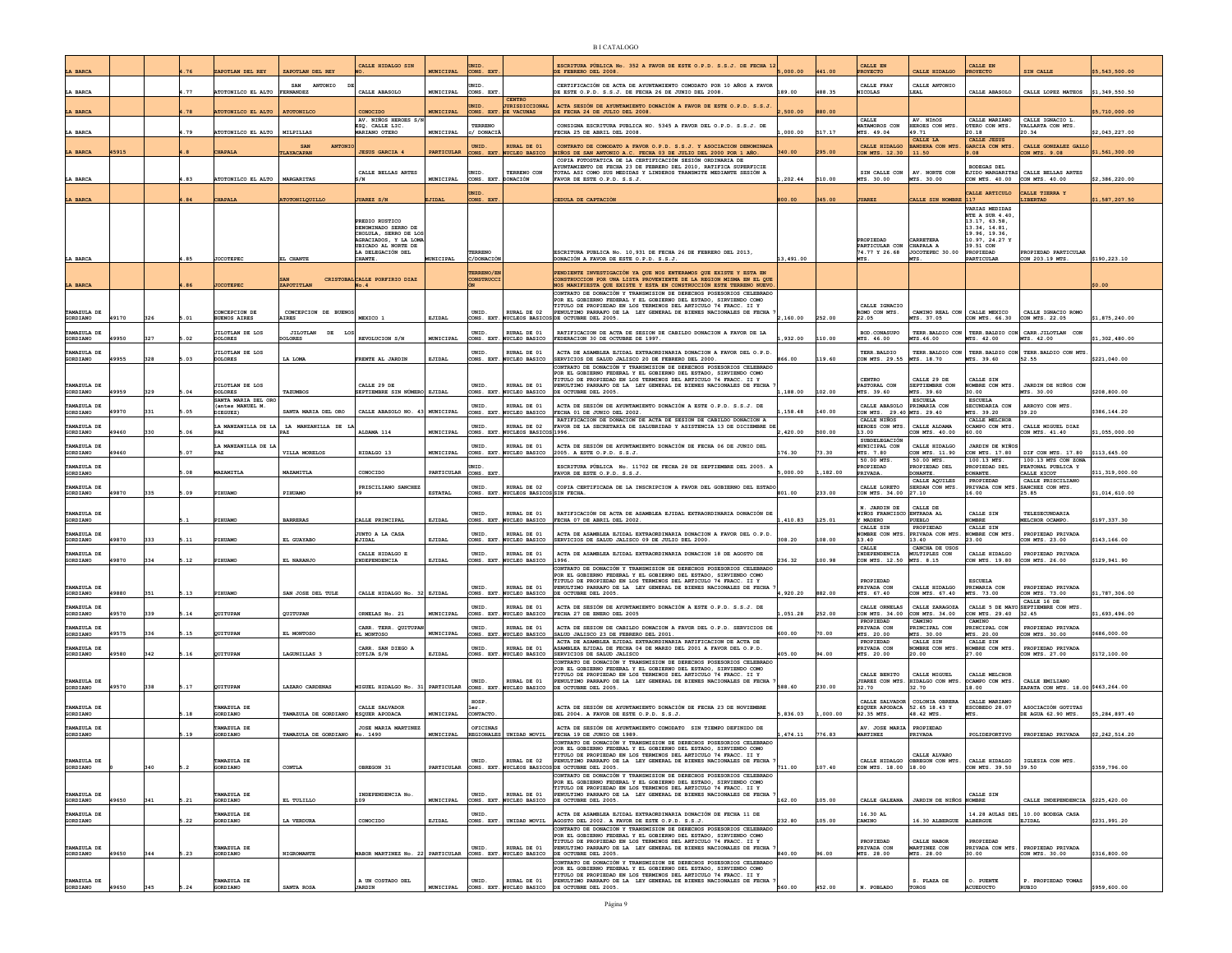| LA BARCA                |       |     |                | APOTLAN DEL REY                                           | ZAPOTLAN DEL RE'                    | CALLE HIDALGO SIN                                                     | <b>MUNICIPAL</b>  | ONS. EX'                            |                                                | ESCRITURA PÚBLICA No. 352 A FAVOR DE ESTE O.P.D. S.S.J. DE FECHA 12<br>DE FEBRERO DEL 2008                                                                                                                      | 000.00    | 41.00    | ROYECTO                                            | CALLE HIDALGO                                | <b>PROYECTO</b>                                 | SIN CALLE                                         | 5,543,500.00    |
|-------------------------|-------|-----|----------------|-----------------------------------------------------------|-------------------------------------|-----------------------------------------------------------------------|-------------------|-------------------------------------|------------------------------------------------|-----------------------------------------------------------------------------------------------------------------------------------------------------------------------------------------------------------------|-----------|----------|----------------------------------------------------|----------------------------------------------|-------------------------------------------------|---------------------------------------------------|-----------------|
|                         |       |     |                |                                                           | SAN<br>ANTONIO                      |                                                                       |                   | NTD.                                |                                                | CERTIFICACIÓN DE ACTA DE AYUNTAMIENTO COMODATO POR 10 AÑOS A FAVOR                                                                                                                                              |           |          | CALLE FRAY                                         | CALLE ANTONIO                                |                                                 |                                                   |                 |
| LA BARCA                |       |     | .77            | TOTONILCO EL ALTO FERNANDEZ                               |                                     | CALLE ABASOLO                                                         | <b>MUNICIPAL</b>  | CONS. EXT                           | CENTRO                                         | DE ESTE O.P.D. S.S.J. DE FECHA 26 DE JUNIO DEL 2008                                                                                                                                                             | 189.00    | 488.35   | <b>NICOLAS</b>                                     | LEAL                                         | OJDRARA SJLTAD                                  | CALLE LOPEZ MATEOS                                | \$1,349,550.50  |
| LA BARCA                |       |     | 1.78           | OTONILCO EL ALTO                                          | ATOTONILCO                          | CONOCIDO                                                              | <b>MUNICIPAL</b>  | MID.                                | <b>TIRISDICCIONAL</b><br>CONS. EXT. DE VACUNAS | ACTA SESIÓN DE AYUNTAMIENTO DONACIÓN A FAVOR DE ESTE O.P.D. S.S.J.<br>DE FECHA 24 DE JULIO DEL 2008.                                                                                                            | ,500.00   | 880.00   |                                                    |                                              |                                                 |                                                   | \$5,710,000.00  |
| A BARCA                 |       |     | .79            | OTONILCO EL ALTO                                          | MILPILLAS                           | AV. NIÑOS HEROES S/I<br>ESQ. CALLE LIC.<br>MARIANO OTERO              | MUNICIPAL         | TERRENG<br>/ DONACI                 |                                                | CONSIGNA ESCRITURA PUBLICA NO. 5345 A FAVOR DEL O.P.D. S.S.J. DE<br>FECHA 25 DE ABRIL DEL 2008                                                                                                                  | 000.00    |          | CALLE<br>MATAMOROS CON<br>MTS. 49.04               | AV. NIÑOS<br>HEROES CON MTS<br>49.71         | CALLE MARIANO<br>OTERO CON MTS.<br>20.18        | CALLE IGNACIO L.<br>ALLARTA CON MTS.<br>20.34     | \$2,043,227.00  |
|                         |       |     |                |                                                           | <b>SAN</b><br><b>ANTON</b>          |                                                                       |                   | <b>UNID</b>                         | <b>RURAL DE 01</b>                             | CONTRATO DE COMODATO A FAVOR O.P.D. S.S.J. Y ASOCIACION DENOMINADA                                                                                                                                              |           |          | CALLE HIDALGO                                      | CALLE LA<br>BANDERA CON MTS.                 | <b>CALLE JESUS</b><br>GARCIA CON MTS.           | CALLE GONZALEZ GALL                               |                 |
| LA BARCA                | 5915  |     |                | <b>HAPALI</b>                                             | LAYACAPAN                           | <b>JESUS GARCIA 4</b>                                                 | <b>PARTICULAR</b> | CONS. EXT                           | <b>NUCLEO BASICO</b>                           | NIÑOS DE SAN ANTONIO A.C. FECHA 03 DE JULIO DEL 2000 POR 1 AÑO.<br>COPIA FOTOSTATICA DE LA CERTIFICACIÓN SESIÓN ORDINARIA DE                                                                                    | 340.00    |          | CON MTS. 12.30                                     | 11.50                                        | 9.08                                            | CON MTS. 9.08                                     | \$1,561,300.00  |
|                         |       |     | .83            |                                                           |                                     | CALLE BELLAS ARTES                                                    | MUNICIPAL         | UNID.                               | TERRENO CON                                    | YUNTAMIENTO DE FECHA 23 DE FEBRERO DEL 2010, RATIFICA SUPERFICIE<br>TOTAL ASI COMO SUS MEDIDAS Y LINDEROS TRANSMITE MEDIANTE SESIÓN A                                                                           | ,202.44   | 510.00   | SIN CALLE CON                                      | AV. NORTE CON<br>MTS. 30.00                  | <b>BODEGAS DEL</b>                              | EJIDO MARGARITAS CALLE BELLAS ARTES               |                 |
| LA BARCA                |       |     |                | TOTONILCO EL ALTO                                         | MARGARITAS                          |                                                                       |                   | CONS. EXT<br><b>NID</b>             | <b>DNACIÓN</b>                                 | FAVOR DE ESTE O.P.D. S.S.J                                                                                                                                                                                      |           |          | MTS. 30.00                                         |                                              | CON MTS. 40.00<br>CALLE ARTICULO                | CON MTS. 40.00<br>ALLE TIERRA Y                   | \$2,386,220.00  |
| LA BARCA                |       |     | .84            | <b>HAPALA</b>                                             | TOTONILQUILLO                       | <b>JUAREZ S/N</b>                                                     | <b>EJIDAL</b>     | CONS. EXT                           |                                                | CEDULA DE CAPTACIÓN                                                                                                                                                                                             | 800.00    | 345.00   | <b>JUAREZ</b>                                      | CALLE SIN NOMBRE                             | 117<br><b>VARIAS MEDIDAS</b>                    | <b>LIBERTAD</b>                                   | \$1,587,207.50  |
|                         |       |     |                |                                                           |                                     | PREDIO RUSTICO                                                        |                   |                                     |                                                |                                                                                                                                                                                                                 |           |          |                                                    |                                              | NTE A SUR 4.40<br>13.17, 63.58,                 |                                                   |                 |
|                         |       |     |                |                                                           |                                     | DENOMINADO SERRO DE<br>CHOLULA, SERRO DE LOS<br>AGRACIADOS, Y LA LOMA |                   |                                     |                                                |                                                                                                                                                                                                                 |           |          | PROPIEDAD                                          | ARRETERA                                     | 13.34.14.81.<br>19.96, 19.36.<br>10.97, 24.27 Y |                                                   |                 |
|                         |       |     |                |                                                           |                                     | UBICADO AL NORTE DE<br>LA DELEGACIÓN DEL                              |                   | TERRENO                             |                                                | ESCRITURA PUBLICA No. 10,931 DE FECHA 26 DE FEBRERO DEL 2013,                                                                                                                                                   |           |          | PARTICULAR CON<br>74.77 Y 26.68                    | CHAPALA A<br>JOCOTEPEC 30.00                 | 39.51 CON<br>PROPIEDAD                          | PROPIEDAD PARTICULAR                              |                 |
| LA BARCA                |       |     | .85            | <b>JOCOTEPEC</b>                                          | EL CHANTE                           | CHANTE.                                                               | MUNICIPAL         | C/DONACIC                           |                                                | DONACIÓN A FAVOR DE ESTE O.P.D. S.S.J.                                                                                                                                                                          | 13,491.00 |          |                                                    |                                              | PARTICULAR                                      | CON 203.19 MTS                                    | \$190,223.10    |
| <b>LA BARCA</b>         |       |     | .86            | <b>OCOTEPEC</b>                                           | ZAPOTITLAN                          | CRISTOBAL CALLE PORFIRIO DIAZ<br>No.4                                 |                   | <b>ERRENO/E</b><br><b>CONSTRUCC</b> |                                                | PENDIENTE INVESTIGACIÓN YA OUE NOS ENTERAMOS OUE EXISTE Y ESTA EN<br>CONSTRUCCION POR UNA LISTA PROVENIENTE DE LA REGION MISMA EN EL QUE<br>NOS MANIFIESTA QUE EXISTE Y ESTA EN CONSTRUCCIÓN ESTE TERRENO NUEVO |           |          |                                                    |                                              |                                                 |                                                   | \$0.00          |
|                         |       |     |                |                                                           |                                     |                                                                       |                   |                                     |                                                | CONTRATO DE DONACIÓN Y TRANSMISION DE DERECHOS POSESORIOS CELEBRADO<br>POR EL GOBIERNO FEDERAL Y EL GOBIERNO DEL ESTADO. SIRVIENDO COMO                                                                         |           |          |                                                    |                                              |                                                 |                                                   |                 |
| <b>TAMAZULA DE</b>      |       |     |                | ONCEPCION DE                                              | CONCEPCION DE BUEN                  |                                                                       |                   | <b>INTD</b>                         | RURAL DE 02                                    | TITULO DE PROPIEDAD EN LOS TERMINOS DEL ARTICULO 74 FRACC. II Y<br>PENULTIMO PARRAFO DE LA LEY GENERAL DE BIENES NACIONALES DE FECHA                                                                            |           |          | CALLE IGNACIO<br>ROMO CON MTS.                     | CAMINO REAL CON CALLE MEXICO                 |                                                 | CALLE IGNACIO ROMO                                |                 |
| <b>GORDIANO</b>         | 19170 | 326 | 5.01           | <b>JUENOS AIRES</b>                                       | <b>IRES</b>                         | MEXICO <sub>1</sub>                                                   | EJIDAL            | ONS. EXT                            |                                                | NUCLEOS BASICOS DE OCTUBRE DEL 2005.                                                                                                                                                                            | .160.00   | 252.00   | 22.05                                              | TS. 37.05                                    | CON MTS. 66.30                                  | CON MTS. 22.05                                    | \$1,875,240.00  |
| TAMAZULA DE<br>GORDIANO | 19950 | 327 | .02            | <b>JILOTLAN DE LOS</b><br><b>OLORES</b>                   | JILOTLAN DE<br><b>OLORES</b>        | REVOLUCION S/N                                                        | MUNICIPAL         | UNID.<br>ONS. EXT.                  | RURAL DE 01<br>NUCLEO BASICO                   | RATIFICACION DE ACTA DE SESION DE CABILDO DONACION A FAVOR DE LA<br>FEDERACION 30 DE OCTUBRE DE 1997.                                                                                                           | 932.00    | 110.00   | BOD. CONASUPO<br>MTS. 46.00                        | TERR. BALDIO CON<br>MTS.46.00                | MTS. 42.00                                      | TERR. BALDIO CON CARR. JILOTLAN CON<br>MTS. 42.00 | \$1,302,480.00  |
| TAMAZULA DE<br>GORDIANO | 19955 | 328 | .03            | <b>JILOTLAN DE LOS</b><br><b>OLORES</b>                   | LA LOMA                             | FRENTE AL JARDIN                                                      | EJIDAL            | JNID                                | RURAL DE 01<br>ONS. EXT. NUCLEO BASICO         | ACTA DE ASAMBLEA EJIDAL EXTRAORDINARIA DONACION A FAVOR DEL O.P.D.<br>SERVICIOS DE SALUD JALISCO 20 DE FEBRERO DEL 2000                                                                                         | 366.00    | 119.60   | TERR.BALDIO<br>CON MTS. 29.55                      | TERR. BALDIO CON<br>MTS. 18.70               | MTS. 39.60                                      | TERR. BALDIO CON TERR. BALDIO CON MTS<br>52.55    | \$221,040.00    |
|                         |       |     |                |                                                           |                                     |                                                                       |                   |                                     |                                                | CONTRATO DE DONACIÓN Y TRANSMISION DE DERECHOS POSESORIOS CELEBRADO<br>POR EL GOBIERNO FEDERAL Y EL GOBIERNO DEL ESTADO, SIRVIENDO COMO                                                                         |           |          |                                                    |                                              |                                                 |                                                   |                 |
| TAMAZULA DE             |       |     |                | <b>JILOTLAN DE LOS</b>                                    |                                     | CALLE 29 DE                                                           |                   | UNID.                               | RURAL DE 01                                    | TITULO DE PROPIEDAD EN LOS TERMINOS DEL ARTICULO 74 FRACC. II Y<br>PENULTIMO PARRAFO DE LA LEY GENERAL DE BIENES NACIONALES DE FECHA                                                                            |           |          | CENTRO<br>PASTORAT, CON                            | CALLE 29 DE<br>SEPTEMBER CON                 | CALLE SIN<br>COMBRE CON MTS.                    | JARDIN DE NIÑOS CON                               |                 |
| GORDIANO<br>AMAZULA DE  | 19959 | 329 | 5.04           | <b>DOLORES</b><br>SANTA MARIA DEL ORO<br>(antes MANUEL M. | TAZUMBOS                            | SEPTIEMBRE SIN NÚMERO EJIDAL                                          |                   | ONS. EXT<br>JNID                    | NUCLEO BASICO<br>RURAL DE 01                   | DE OCTUBRE DEL 2005.<br>ACTA DE SESIÓN DE AYUNTAMIENTO DONACIÓN A ESTE O.P.D. S.S.J. DE                                                                                                                         | ,188.00   | 102.00   | MTS. 39.60<br>CALLE ABASOLO                        | MTS. 39.60<br><b>ESCUELA</b><br>PRIMARIA CON | 30.00<br><b>ESCUELA</b><br>ECUNDARIA CON        | MTS. 30.00<br>ARROYO CON MTS                      | \$208,800.00    |
| GORDIANO                | 19970 | 331 | 05             | IEGUEZ)                                                   | SANTA MARIA DEL ORO                 | CALLE ABASOLO NO. 43 MUNICIPAL                                        |                   | ONS. EXT                            | <b>WCLEO BASICO</b>                            | FECHA 01 DE JUNIO DEL 2002.<br>RATIFICACION DE DONACION DE ACTA DE SESION DE CABILDO DONACION A                                                                                                                 | 158.48    | 140.00   | CON MTS. 29.40 MTS. 29.40<br>CALLE NIÑOS           |                                              | MTS. 39.20<br>CALLE MELCHOP                     | 19.20                                             | \$386,144.20    |
| TAMAZULA DE<br>GORDIANO | 19460 | 330 | .06            | MANZANILLA DE LA                                          | LA MANZANILLA DE                    | ALDAMA 114                                                            | MUNICIPAL         | JNID<br>CONS. EXT                   | SURAT, DR 02<br>NUCLEOS BASICOS 1996.          | FAVOR DE LA SECRETARIA DE SALUBRIDAD Y ASISTENCIA 13 DE DICIEMBRE DI                                                                                                                                            | ,420.00   | 500.00   | HEROES CON MTS<br>13.00                            | CALLE ALDAMA<br>CON MTS. 40.00               | CAMPO CON MTS.<br>60.00                         | CALLE MIGUEL DIAZ<br>CON MTS. 41.40               | \$1,055,000.00  |
| TAMAZULA DE<br>GORDIANO | 19460 |     | 5.07           | MANZANILLA DE L                                           | VILLA MORELOS                       | HIDALGO 13                                                            | MUNICIPAL         | JNID<br>CONS. EXT.                  | RURAL DE 01<br>NUCLEO BASICO                   | ACTA DE SESIÓN DE AYUNTAMIENTO DONACIÓN DE FECHA 06 DE JUNIO DEL<br>2005. A ESTE O.P.D. S.S.J.                                                                                                                  | 176.30    | 73.30    | <b>SUBDELEGACIÓN</b><br>MUNICIPAL CON<br>MTS. 7.80 | CALLE HIDALGO<br>CON MTS. 11.90              | JARDIN DE NIÑOS<br>CON MTS. 17.80               | DIF CON MTS. 17.80                                | \$113,645.00    |
| MAZULA DE               |       |     |                | PAZ                                                       |                                     |                                                                       |                   |                                     |                                                | ESCRITURA PÚBLICA No. 11702 DE FECHA 28 DE SEPTIEMBRE DEL 2005. J                                                                                                                                               |           |          | 50.00 MTS.<br>ROPIEDAD                             | 50.00 MTS.<br>ROPIEDAD DEI                   | 100.13 MTS.<br>ROPIEDAD DEL                     | 100.13 MTS CON ZONA<br>EATONAL PUBLICA Y          |                 |
| GORDIANO                |       |     | 0 <sub>R</sub> | <b>AZAMITLJ</b>                                           | MAZAMITLA                           | CONOCIDO                                                              | PARTICULAR        | CONS. EXT                           |                                                | FAVOR DE ESTE O.P.D. S.S.J                                                                                                                                                                                      | ,000.00   | 182.00   | PRIVADA.                                           | DONANTE.<br>CALLE AQUILES                    | DONANTE<br>PROPIEDAD                            | CALLE XICOT<br>CALLE PRISCILIANO                  | \$11,319,000.00 |
| TAMAZULA DE<br>GORDIANO | 19870 | 335 | .09            | <b>IHUAMO</b>                                             | PIHUAMO                             | PRISCILIANO SANCHEZ                                                   | <b>ESTATAL</b>    | UNID.<br>CONS. EXT.                 | RURAL DE 02<br>NUCLEOS BASICOS SIN FECHA       | COPIA CERTIFICADA DE LA INSCRIPCION A FAVOR DEL GOBIERNO DEL ESTADO                                                                                                                                             | 801.00    | 233.00   | CALLE LORETO<br>CON MTS. 34.00                     | SERDAN CON MTS.<br>27.10                     | PRIVADA CON MTS<br>16.00                        | SANCHEZ CON MTS.<br>25.85                         | \$1,014,610.00  |
| TAMAZULA DE             |       |     |                |                                                           |                                     |                                                                       |                   | UNID.                               | RURAL DE 01                                    | RATIFICACIÓN DE ACTA DE ASAMBLEA EJIDAL EXTRAORDINARIA DONACIÓN DE                                                                                                                                              |           |          | N. JARDIN DE<br>NIÑOS FRANCISCO ENTRADA AL         | CALLE DE                                     | CALLE SIN                                       | TELESECUNDARIA                                    |                 |
| GORDIANO                |       |     |                | <b>IHUAMO</b>                                             | <b>BARRERAS</b>                     | CALLE PRINCIPAL                                                       | EJIDAL            | ONS. EXT                            | NUCLEO BASICO                                  | FECHA 07 DE ABRIL DEL 2002.                                                                                                                                                                                     | 410.83    | 125.01   | Y MADERO<br>CALLE SIN                              | PUEBLO<br>PROPIEDAD                          | <b>OMBRE</b><br>CALLE SIN                       | ELCHOR OCAMPO                                     | \$197,337.30    |
| TAMAZULA DE<br>GORDIANO | 19870 | 333 | .11            | <b>IHUAMO</b>                                             | EL GUAYABO                          | JUNTO A LA CASA<br>EJIDAL                                             | EJIDAL            | UNID.<br>CONS. EXT.                 | RURAL DE 01<br>NUCLEO BASICO                   | ACTA DE ASAMBLEA EJIDAL EXTRAORDINARIA DONACION A FAVOR DEL O.P.D.<br>SERVICIOS DE SALUD JALISCO 09 DE JULIO DEL 2000.                                                                                          | 308.20    | 108.00   | OMBRE CON MTS<br>13.40                             | RIVADA CON MTS.<br>13.40                     | OMBRE CON MTS.<br>23.00                         | PROPIEDAD PRIVADA<br>CON MTS. 23.00               | \$143,166.00    |
| TAMAZULA DE<br>GORDIANO | 19870 | 334 | 5.12           | IHUAMO                                                    | EL NARANJO                          | CALLE HIDALGO E<br>INDEPENDENCIA                                      | EJIDAL            | UNID.                               | RURAL DE 01<br>ONS. EXT. NUCLEO BASICO         | ACTA DE ASAMBLEA EJIDAL EXTRAORDINARIA DONACION 18 DE AGOSTO DE<br>1996.                                                                                                                                        | 236.32    | 100.98   | CALLE<br>INDEPENDENCIA<br>CON MTS. 12.50           | CANCHA DE USOS<br>MULTIPLES CON<br>MTS. 8.15 | CALLE HIDALGO<br>CON MTS. 19.80                 | PROPIEDAD PRIVADA<br>CON MTS. 26.00               | \$129,941.90    |
|                         |       |     |                |                                                           |                                     |                                                                       |                   |                                     |                                                | CONTRATO DE DONACIÓN Y TRANSMISION DE DERECHOS POSESORIOS CELEBRADO<br>POR EL GOBIERNO FEDERAL Y EL GOBIERNO DEL ESTADO. SIRVIENDO COMO                                                                         |           |          |                                                    |                                              |                                                 |                                                   |                 |
| TAMAZULA DE             |       |     |                |                                                           |                                     |                                                                       |                   | UNID.                               | RURAL DE 01                                    | TITULO DE PROPIEDAD EN LOS TERMINOS DEL ARTICULO 74 FRACC. II Y<br>PENULTIMO PARRAFO DE LA LEY GENERAL DE BIENES NACIONALES DE FECHA                                                                            |           |          | PROPIEDAD<br>PRIVADA CON                           | CALLE HIDALGO                                | <b>ESCUELA</b><br>PRIMARIA CON                  | PROPIEDAD PRIVADA                                 |                 |
| GORDIANO                | 19880 | 351 | 5.13           | PIHUAMO                                                   | SAN JOSE DEL TULE                   | CALLE HIDALGO No. 32 EJIDAL                                           |                   | ONS. EXT                            | <b><i>QUCLEO BASICO</i></b>                    | DE OCTUBRE DEL 2005                                                                                                                                                                                             | ,920.20   | 882.00   | MTS. 67.40                                         | CON MTS. 67.40                               | MTS. 73.00                                      | ON MTS. 73.00<br>CALLE 16 DE                      | \$1,787,306.00  |
| TAMAZULA DE<br>GORDIANO | 19570 | 339 | .14            | QUITUPAN                                                  | QUITUPAN                            | ORNELAS No. 21                                                        | MUNICIPAL         | UNID.<br>ONS. EXT                   | RURAL DE 01<br>NUCLEO BASICO                   | ACTA DE SESIÓN DE AYUNTAMIENTO DONACIÓN A ESTE O.P.D. S.S.J. DE<br>FECHA 27 DE ENERO DEL 2005                                                                                                                   | 051.28    | 252.00   | CALLE ORNELAS<br>CON MTS. 34.00<br>PROPIEDAD       | CALLE ZARAGOZA<br>CON MTS. 34.00<br>CAMINO   | CON MTS. 29.40<br>CAMINO                        | CALLE 5 DE MAYO SEPTIEMBRE CON MTS.<br>32.45      | \$1,693,496.00  |
| TAMAZULA DE<br>GORDIANO | 19575 | 336 | .15            | <b>UITUPAN</b>                                            | EL MONTOSO                          | CARR. TERR. QUITUPA<br>EL MONTOSO                                     | MUNICIPAL         | JNID<br>CONS. EXT                   | NUCLEO BASICO                                  | ACTA DE SESION DE CABILDO DONACION A FAVOR DEL O.P.D. SERVICIOS DE<br>SALUD JALISCO 23 DE FEBRERO DEL 2001.                                                                                                     | 00.00     | 0.00     | PRIVADA CON<br>MTS. 20.00                          | PRINCIPAL CON<br>MTS. 30.00                  | PRINCIPAL CON<br>MTS. 20.00                     | PROPIEDAD PRIVADA<br>CON MTS. 30.00               | \$686,000.00    |
| TAMAZULA DE             |       |     |                |                                                           |                                     | CARR. SAN DIEGO A                                                     |                   | <b>INTD</b>                         | RURAL DE 01                                    | ACTA DE ASAMBLEA EJIDAL EXTRAORDINARIA RATIFICACION DE ACTA DE<br>ASAMBLEA EJIDAL DE FECHA 04 DE MARZO DEL 2001 A FAVOR DEL O.P.D.                                                                              |           |          | PROPIEDAD<br><b>PRIVADA CON</b>                    | CALLE SIN<br>NOMBRE CON MTS.                 | CALLE SIN<br><b>OMBRE CON MTS.</b>              | PROPIEDAD PRIVADA                                 |                 |
| GORDIANO                | 19580 | 342 | 5.16           | QUITUPAN                                                  | LAGUNILLAS 3                        | COTIJA S/N                                                            | EJIDAL            | ONS. EXT                            | NUCLEO BASICO                                  | SERVICIOS DE SALUD JALISCO<br>CONTRATO DE DONACIÓN Y TRANSMISION DE DERECHOS POSESORIOS CELEBRADO                                                                                                               | 105.00    | 94.00    | MTS. 20.00                                         | 20.00                                        | 27.00                                           | ON MTS. 27.00                                     | \$172,100.00    |
| TAMAZULA DE             |       |     |                |                                                           |                                     |                                                                       |                   | UNID.                               | RURAL DE 01                                    | POR EL GOBIERNO FEDERAL Y EL GOBIERNO DEL ESTADO, SIRVIENDO COMO<br>TITULO DE PROPIEDAD EN LOS TERMINOS DEL ARTICULO 74 FRACC. II Y<br>PENULTIMO PARRAFO DE LA LEY GENERAL DE BIENES NACIONALES DE FECHA        |           |          | CALLE BENITO<br>JUAREZ CON MTS                     | CALLE MIGUEL<br>HIDALGO CON MTS.             | CALLE MELCHOP<br>OCAMPO CON MTS.                | CALLE EMILIANO                                    |                 |
| GORDIANO                | 49570 | 338 | 5.17           | OUITUPAN                                                  | LAZARO CARDENAS                     | MIGUEL HIDALGO No. 31 PARTICULAR                                      |                   | CONS. EXT                           | NUCLEO BASICO                                  | DE OCTUBRE DEL 2005                                                                                                                                                                                             | 588.60    | 230.00   | 32.70                                              | 32.70                                        | 18.00                                           | ZAPATA CON MTS. 18.00 \$463.264.00                |                 |
| TAMAZULA DE             |       |     |                | PAMAZULA DE                                               |                                     | CALLE SALVADOR                                                        |                   | HOSP                                |                                                | ACTA DE SESIÓN DE AYUNTAMIENTO DONACIÓN DE FECHA 23 DE NOVIEMBRE                                                                                                                                                |           |          | CALLE SALVADOR<br>ESOUER APODACA 52.65 18.43 Y     | COLONIA OBRERA                               | CALLE MARIANO<br>ESCOBEDO 28.07                 | ASOCIACIÓN GOTITAS                                |                 |
| GORDIANO<br>AMAZULA DE  |       |     | .18            | GORDIANO<br>MAZULA DE                                     | TAMAZULA DE GORDIANO ESQUER APODACA | <b>JOSE MARIA MARTINES</b>                                            | MUNICIPAL         | CONTACTO<br>DFICINAS                |                                                | DEL 2004. A FAVOR DE ESTE O.P.D. S.S.J.                                                                                                                                                                         | ,836.03   | 1,000.00 | 92.35 MTS<br>AV. JOSE MARIA                        | 48.42 MTS.<br>PROPIEDAD                      |                                                 | DE AGUA 62.90 MTS.                                | \$5,284,897.40  |
| GORDIANO                |       |     | .19            | GORDIANO                                                  | TAMAZULA DE GORDIANO                | No. 1490                                                              | MUNICIPAL         | REGIONALES                          | UNIDAD MOVIL                                   | ACTA DE SESIÓN DE AYUNTAMIENTO COMODATO SIN TIEMPO DEFINIDO DE<br>FECHA 19 DE JUNIO DE 1989.<br>CONTRATO DE DONACIÓN Y TRANSMISION DE DERECHOS POSESORIOS CELEBRADO                                             | 474.11    | 776.83   | <b>MARTINEZ</b>                                    | PRIVADA                                      | ${\tt POLIDEPORTIVO}$                           | PROPIEDAD PRIVADA                                 | \$2,242,514.20  |
|                         |       |     |                |                                                           |                                     |                                                                       |                   |                                     |                                                | POR EL GOBIERNO FEDERAL Y EL GOBIERNO DEL ESTADO, SIRVIENDO<br>TITULO DE PROPIEDAD EN LOS TERMINOS DEL ARTICULO 74 FRACC. II Y                                                                                  |           |          |                                                    | CALLE ALVARO                                 |                                                 |                                                   |                 |
| TAMAZULA DE<br>GORDIANO |       | 340 |                | AMAZULA DE<br>ORDIANO                                     | CONTLA                              | OBREGON 31                                                            | PARTICULAR        | UNID.<br>ONS. EXT.                  | RURAL DE 02                                    | PENULTIMO PARRAFO DE LA LEY GENERAL DE BIENES NACIONALES DE FECHA<br>NUCLEOS BASICOS DE OCTUBRE DEL 2005.                                                                                                       | 711.00    | 107.40   | CALLE HIDALGO<br>CON MTS. 18.00                    | OBREGON CON MTS.<br>18.00                    | CALLE HIDALGO<br>CON MTS. 39.50                 | IGLESIA CON MTS.<br>39.50                         | \$359,796.00    |
|                         |       |     |                |                                                           |                                     |                                                                       |                   |                                     |                                                | CONTRATO DE DONACIÓN Y TRANSMISION DE DERECHOS POSESORIOS CELEBRADO<br>POR EL GOBIERNO FEDERAL Y EL GOBIERNO DEL ESTADO, SIRVIENDO COMO<br>TITULO DE PROPIEDAD EN LOS TERMINOS DEL ARTICULO 74 FRACC. II Y      |           |          |                                                    |                                              |                                                 |                                                   |                 |
| TAMAZULA DE<br>GORDIANO | 19650 | 341 | .21            | AMAZULA DE<br><b>CORDIANO</b>                             | EL TULILLO                          | INDEPENDENCIA No<br>109                                               | MUNICIPAL         | UNID.<br>CONS. EXT                  | RURAL DE 01<br>NUCLEO BASICO                   | PENULTIMO PARRAFO DE LA LEY GENERAL DE BIENES NACIONALES DE FECHA<br>DE OCTUBRE DEL 2005.                                                                                                                       | 162.00    | 105.00   | CALLE GALEANA                                      | JARDIN DE NIÑOS                              | CALLE SIN<br><b>NOMBRE</b>                      | CALLE INDEPENDENCIA \$225,420.00                  |                 |
| TAMAZULA DE<br>GORDIANO |       |     | .22            | AMAZULA DE<br>GORDIANO                                    | LA VERDURA                          | CONOCIDO                                                              | EJIDAL            | JNID.<br>CONS. EXT.                 | UNIDAD MOVIL                                   | ACTA DE ASAMBLEA EJIDAL EXTRAORDINARIA DONACIÓN DE FECHA 11 DE                                                                                                                                                  | 232.80    | 105.00   | 16.30 AL<br>CAMINO                                 | 16.30 ALBERGUE                               |                                                 | 14.28 AULAS DEL 10.00 BODEGA CASA<br>EJIDAL       | \$231,991.20    |
|                         |       |     |                |                                                           |                                     |                                                                       |                   |                                     |                                                | AGOSTO DEL 2002. A FAVOR DE ESTE O.P.D. S.S.J.<br>CONTRATO DE DONACIÓN Y TRANSMISION DE DERECHOS POSESORIOS CELEBRADO<br>POR EL GOBIERNO FEDERAL Y EL GOBIERNO DEL ESTADO, SIRVIENDO COMO                       |           |          |                                                    |                                              | ALBERGUE                                        |                                                   |                 |
| TAMAZULA DE             |       |     |                | TAMAZULA DE                                               |                                     |                                                                       |                   | UNID.                               | RURAL DE 01                                    | TITULO DE PROPIEDAD EN LOS TERMINOS DEL ARTICULO 74 FRACC. II Y<br>PENULTIMO PARRAFO DE LA LEY GENERAL DE BIENES NACIONALES DE FECHA                                                                            |           |          | PROPIEDAD<br>PRIVADA CON                           | CALLE NABOR<br>MARTINEZ CON                  | PROPIEDAD<br>PRIVADA CON MTS.                   | PROPIEDAD PRIVADA                                 |                 |
| GORDIANO                | 49650 | 344 | 5.23           | GORDIANO                                                  | NIGROMANTE                          | WABOR MARTINEZ No. 22 PARTICULAR CONS. EXT. NUCLEO BASICO             |                   |                                     |                                                | DE OCTUBRE DEL 2005.<br>CONTRATO DE DONACIÓN Y TRANSMISION DE DERECHOS POSESORIOS CELEBRADO                                                                                                                     | 840.00    | 96.00    | MTS. 28.00                                         | MTS. 28.00                                   | 30.00                                           | CON MTS. 30.00                                    | \$316,800.00    |
| TAMAZULA DE             |       |     |                | TAMAZULA DE                                               |                                     | A UN COSTADO DEL                                                      |                   | UNID.                               | RURAL DE 01                                    | POR EL GOBIERNO FEDERAL Y EL GOBIERNO DEL ESTADO, SIRVIENDO COMO<br>TITULO DE PROPIEDAD EN LOS TERMINOS DEL ARTICULO 74 FRACC. II Y<br>PENULTIMO PARRAFO DE LA LEY GENERAL DE BIENES NACIONALES DE FECHA        |           |          |                                                    | S. PLAZA DE                                  | O. PUENTE                                       | P. PROPIEDAD TOMAS                                |                 |
| GORDIANO                | 49650 |     |                | GORDIANO                                                  | SANTA ROSA                          | JARDIN                                                                | MUNICIPAL         |                                     |                                                | CONS. EXT. NUCLEO BASICO DE OCTUBRE DEL 2005.                                                                                                                                                                   | 560.00    | 452.00   | N. POBLADO                                         | TOROS                                        | <b>ACUEDUCTO</b>                                | RUBIO                                             | \$959,600.00    |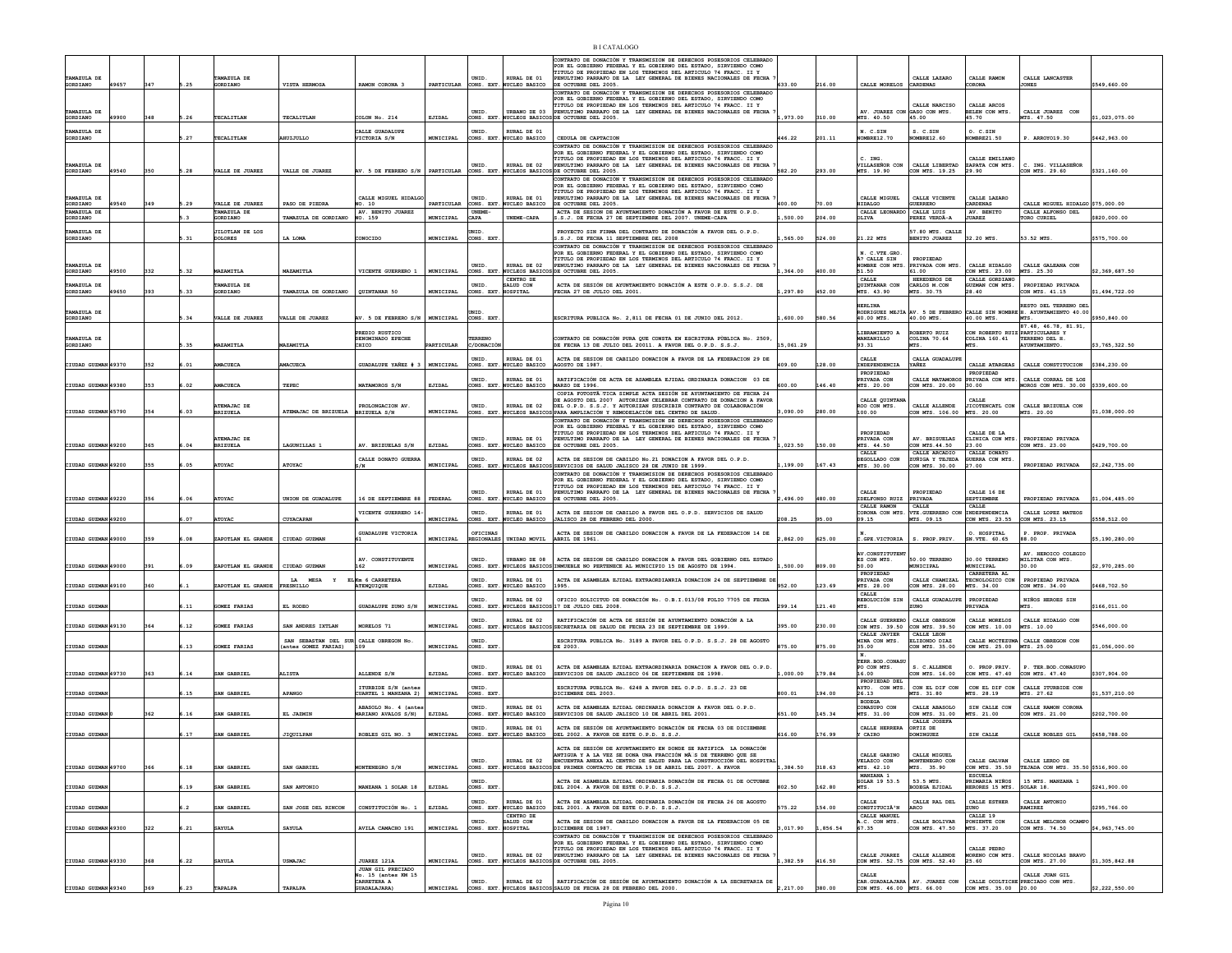|                         |       |     |      |                                         |                                                               |                                            |                  |                              |                                                     | B LCATALOGO                                                                                                                                                                                                                                                                                             |           |        |                                                |                                                           |                                                    |                                                                                                          |                |
|-------------------------|-------|-----|------|-----------------------------------------|---------------------------------------------------------------|--------------------------------------------|------------------|------------------------------|-----------------------------------------------------|---------------------------------------------------------------------------------------------------------------------------------------------------------------------------------------------------------------------------------------------------------------------------------------------------------|-----------|--------|------------------------------------------------|-----------------------------------------------------------|----------------------------------------------------|----------------------------------------------------------------------------------------------------------|----------------|
| TAMAZULA DE             |       | 347 |      | TAMAZULA DE<br>GORDIANO                 | VISTA HERMOSA                                                 | RAMON CORONA 3                             |                  | UNID.                        | RURAL DE 01                                         | CONTRATO DE DONACIÓN Y TRANSMISION DE DERECHOS POSESORIOS CELEBRADO<br>POR EL GOBIERNO FEDERAL Y EL GOBIERNO DEL ESTADO, SIRVIENDO COMO<br>TITULO DE PROPIEDAD EN LOS TERMINOS DEL ARTICULO 74 FRACC. II Y<br>PENULTIMO PARRAFO DE LA LEY GENERAL DE BIENES NACIONALES DE FECHA                         |           |        | CALLE MORELOS CARDENAS                         | CALLE LAZARO                                              | CALLE RAMON<br>CORONA                              | CALLE LANCASTER<br><b>JONES</b>                                                                          |                |
| GORDIANO<br>TAMAZULA DE | 49657 |     | .25  |                                         |                                                               |                                            |                  | UNID.                        | PARTICULAR CONS. EXT. NUCLEO BASICO<br>URBANO DE 03 | DE OCTUBRE DEL 2005.<br>CONTRATO DE DONACIÓN Y TRANSMISION DE DERECHOS POSESORIOS CELEBRADO<br>POR EL GOBIERNO FEDERAL Y EL GOBIERNO DEL ESTADO, SIRVIENDO COMO<br>TITULO DE PROPIEDAD EN LOS TERMINOS DEL ARTICULO 74 FRACC. II Y<br>PENULTIMO PARRAFO DE LA LEY GENERAL DE BIENES NACIONALES DE FECHA | 533.00    | 216.00 | AV. JUAREZ CON GASO CON MTS.                   | CALLE NARCISO                                             | CALLE ARCOS<br>BELEN CON MTS                       | CALLE JUAREZ CON                                                                                         | \$549,660.00   |
| GORDIANO                | 19900 | 348 | 5.26 | TECALITLAN                              | TECALITLAN                                                    | COLON No. 214                              | EJIDAL           |                              |                                                     | CONS. EXT. NUCLEOS BASICOS DE OCTUBRE DEL 2005                                                                                                                                                                                                                                                          | ,973.00   | 310.00 | MTS. 40.50                                     | 45.00                                                     | 15.70                                              | MTS. 47.50                                                                                               | \$1,023,075.00 |
| TAMAZULA DE<br>GORDIANO |       |     | .27  | TECALITLAN                              | HUIJULLO                                                      | CALLE GUADALUPE<br>VICTORIA S/N            | MUNICIPAL        | UNID.                        | RURAL DE 01<br>CONS. EXT. NUCLEO BASICO             | CEDULA DE CAPTACION<br>CONTRATO DE DONACIÓN Y TRANSMISION DE DERECHOS POSESORIOS CELEBRADO                                                                                                                                                                                                              | 146.22    | 201.11 | N. C.SIN<br>NOMBRE12.70                        | S. C.SIN<br>NOMBRE12.60                                   | O. C.SIN<br><b>#OMBRE21.50</b>                     | P. ARROYO19.30                                                                                           | \$442,963.00   |
| TAMAZULA DE<br>GORDIANO | 19540 | 350 | 5.28 | VALLE DE JUAREZ                         | VALLE DE JUARES                                               | AV. 5 DE FEBRERO S/N                       | PARTICULAR       | UNID.<br>CONS. EXT           | RURAL DE 02<br>UCLEOS BASICO                        | POR EL GOBIERNO FEDERAL Y EL GOBIERNO DEL ESTADO, SIRVIENDO COMO<br>TITULO DE PROPIEDAD EN LOS TERMINOS DEL ARTICULO 74 FRACC. II Y<br>PENULTIMO PARRAFO DE LA LEY GENERAL DE BIENES NACIONALES DE FECHA<br>DE OCTUBRE DEL 2005.                                                                        | 582.20    | 293.00 | C. ING.<br>VILLASEÑOR CON<br>MTS. 19.90        | CALLE LIBERTAD<br>CON MTS. 19.25                          | CALLE EMILIANO<br>ZAPATA CON MTS.<br>29.90         | C. ING. VILLASEÑOR<br>CON MTS. 29.60                                                                     | \$321,160.00   |
|                         |       |     |      |                                         |                                                               |                                            |                  |                              |                                                     | CONTRATO DE DONACIÓN Y TRANSMISION DE DERECHOS POSESORIOS CELEBRADO<br>POR EL GOBIERNO FEDERAL Y EL GOBIERNO DEL ESTADO, SIRVIENDO COMO                                                                                                                                                                 |           |        |                                                |                                                           |                                                    |                                                                                                          |                |
| TAMAZULA DE<br>GORDIANO | 19540 | 349 | 5.29 | VALLE DE JUAREZ                         | PASO DE PIEDRA                                                | CALLE MIGUEL HIDALG<br>NO. 10              | PARTICULAR       | UNID.                        | RURAL DE 01<br>CONS. EXT. NUCLEO BASICO             | TITULO DE PROPIEDAD EN LOS TERMINOS DEL ARTICULO 74 FRACC. II Y<br>PENULTIMO PARRAFO DE LA LEY GENERAL DE BIENES NACIONALES DE FECHA<br>DE OCTUBRE DEL 2005.                                                                                                                                            | 100.00    | 70.00  | CALLE MIGUEL<br>HIDALGO                        | CALLE VICENTE<br><b>GUERRERO</b>                          | CALLE LAZARO<br>CARDENAS                           | CALLE MIGUEL HIDALGO \$75,000.00                                                                         |                |
| TAMAZULA DE<br>GORDIANO |       |     |      | TAMAZULA DE<br>GORDIANO                 | TAMAZULA DE GORDIANO                                          | AV. BENITO JUAREZ<br>NO. 159               | MUNICIPAL        | UNEME-<br>CAPA               |                                                     | ACTA DE SESION DE AYUNTAMIENTO DONACIÓN A FAVOR DE ESTE O.P.D.<br>3.S.J. DE FECHA 27 DE SEPTIEMBRE DEL 2007. UNEME-CAPA                                                                                                                                                                                 | 500.00    | 204.00 | CALLE LEONARDO CALLE LUIS<br>OLIVA             | PEREZ VERDÂ-A                                             | AV. BENITO<br><b>JUAREZ</b>                        | CALLE ALFONSO DEL<br>TORO CURIEL                                                                         | 820,000.00     |
| TAMAZULA DE<br>GORDIANO |       |     | 5.31 | <b>ILOTLAN DE LOS</b><br><b>DOLORES</b> | LA LOMA                                                       | CONOCIDO                                   | <b>MUNICIPAL</b> | UNID<br>CONS. EXT            |                                                     | PROYECTO SIN FIRMA DEL CONTRATO DE DONACIÓN A FAVOR DEL O.P.D.<br>.S.J. DE FECHA 11 SEPTIEMBRE DEL 2008                                                                                                                                                                                                 | 565.00    | 524.00 | 21.22 MTS                                      | 57.80 MTS. CALLI<br>BENITO JUAREZ                         | 32.20 MTS                                          | 53.52 MTS                                                                                                | \$575,700.00   |
|                         |       |     |      |                                         |                                                               |                                            |                  |                              |                                                     | CONTRATO DE DONACIÓN Y TRANSMISION DE DERECHOS POSESORIOS CELEBRADO<br>POR EL GOBIERNO FEDERAL Y EL GOBIERNO DEL ESTADO. SIRVIENDO COMO                                                                                                                                                                 |           |        | . C.VTE.GRO                                    |                                                           |                                                    |                                                                                                          |                |
| TAMAZULA DE<br>GORDIANO | 19500 | 332 | .32  | MAZAMITLA                               | MAZAMITLA                                                     | VICENTE GUERRERO 1                         | MUNICIPAL        | UNID.                        | RURAL DE 02                                         | TITULO DE PROPIEDAD EN LOS TERMINOS DEL ARTICULO 74 FRACC. II Y<br>PENULTIMO PARRAFO DE LA LEY GENERAL DE BIENES NACIONALES DE FECHA<br>CONS. EXT. NUCLEOS BASICOS DE OCTUBRE DEL 2005.                                                                                                                 | ,364.00   | 400.00 | A? CALLE SIN<br><b>NOMBRE CON MTS</b><br>51.50 | PROPIEDAD<br>PRIVADA CON MTS.<br>61.00                    | CALLE HIDALGO<br>CON MTS. 23.00                    | CALLE GALEANA CON<br>MTS. 25.30                                                                          | \$2,369,687.50 |
| TAMAZULA DE             |       |     |      | AMAZULA DE                              |                                                               |                                            |                  | UNID.                        | CENTRO DE<br>ALUD CON                               | ACTA DE SESIÓN DE AYUNTAMIENTO DONACIÓN A ESTE O.P.D. S.S.J. DE                                                                                                                                                                                                                                         |           |        | <b>CALLE</b><br>QUINTANAR CON                  | HEREDEROS DE<br>CARLOS M.CON                              | CALLE GORDIANO<br><b>JZMAN CON MTS.</b>            | PROPIEDAD PRIVADA                                                                                        |                |
| GORDIANO                | 19650 | 393 | 5.33 | <b>GORDIANO</b>                         | TAMAZULA DE GORDIANO                                          | OUINTANAR 50                               | MUNICIPAL        | CONS. EXT.                   | <b>HOSPITAL</b>                                     | FECHA 27 DE JULIO DEL 2001.                                                                                                                                                                                                                                                                             | .297.80   | 452.00 | MTS. 43.90                                     | MTS. 30.75                                                | 28.40                                              | CON MTS. 41.15                                                                                           | 1,494,722.00   |
| TAMAZULA DE<br>GORDIANO |       |     | 5.34 | VALLE DE JUAREZ                         | VALLE DE JUAREZ                                               | AV. 5 DE FEBRERO S/N   MUNICIPAL           |                  | UNID.<br>CONS. EXT           |                                                     | ESCRITURA PUBLICA No. 2,811 DE FECHA 01 DE JUNIO DEL 2012                                                                                                                                                                                                                                               | 600.00    | 580.56 | HERT.TNA<br>40.00 MTS.                         | 40.00 MTS.                                                | 40.00 MTS.                                         | RESTO DEL TERRENO DEI<br>RODRIGUEZ MEJÌA AV. 5 DE FEBRERO CALLE SIN NOMBRE H. AYUNTAMIENTO 40.00<br>MTS. | \$950,840.00   |
|                         |       |     |      |                                         |                                                               | PREDIO RUSTICO                             |                  |                              |                                                     |                                                                                                                                                                                                                                                                                                         |           |        | IBRAMIENTO A                                   | <b>OBERTO RUIZ</b>                                        | CON ROBERTO RUIZ PARTICULARES Y                    | 87.48. 46.78. 81.91.                                                                                     |                |
| TAMAZULA DE<br>GORDIANO |       |     | .35  | MAZAMITLA                               | MAZAMITLA                                                     | DENOMINADO EPECHE<br>CHICO                 | PARTICULAR       | TERRENO<br>C/DONACIÓ         |                                                     | CONTRATO DE DONACIÓN PURA QUE CONSTA EN ESCRITURA PÚBLICA No. 2509<br>DE FECHA 13 DE JULIO DEL 20011. A FAVOR DEL O.P.D. S.S.J.                                                                                                                                                                         | 15.061.29 |        | MANZANILLO<br>93.31                            | COLINA 70.64<br><b>MTS</b>                                | COLINA 160.41<br>MTS.                              | TERRENO DEL H<br>AYUNTAMIENTO.                                                                           | 3,765,322.50   |
| CIUDAD GUZMAN 49370     |       | 352 | 6.01 | <b>MACUECA</b>                          | MACUECA                                                       | GUADALUPE YAÑEZ # 3                        | MUNICIPAL        | UNID.                        | RURAL DE 01<br>CONS. EXT. NUCLEO BASICO             | ACTA DE SESION DE CABILDO DONACION A FAVOR DE LA FEDERACION 29 DE<br>AGOSTO DE 1987.                                                                                                                                                                                                                    | 409.00    | 128.00 | CALLE<br>INDEPENDENCIA                         | CALLA GUADALUPE<br>YAÑEZ                                  | CALLE ATARGEAS                                     | CALLE CONSTITUCION                                                                                       | \$384,230.00   |
|                         |       |     |      |                                         |                                                               |                                            |                  | UNID.                        | RURAL DE 01                                         | RATIFICACIÓN DE ACTA DE ASAMBLEA EJIDAL ORDINARIA DONACION 03 DE                                                                                                                                                                                                                                        |           |        | PROPIEDAD<br><b>RIVADA CO</b>                  | CALLE MATAMORO                                            | PROPIEDAD<br>RIVADA CON MTS.                       | CALLE CORRAL DE LOS                                                                                      |                |
| CIUDAD GUZMAN 49380     |       | 353 | .02  | MACUECA                                 | TEPEC                                                         | MATAMOROS S/N                              | EJIDAL           | ONS. EXT                     | UCLEO BASICO                                        | MARZO DE 1996.<br>COPIA FOTOSTÀ TICA SIMPLE ACTA SESIÓN DE AYUNTAMIENTO DE FECHA 24<br>E AGOSTO DEL 2007 AUTORIZAN CELEBRAR CONTRATO DE DONACION A FAVOR                                                                                                                                                | 500.00    | 46.40  | MTS. 20.00<br>CALLE QUINTAN                    | ON MTS. 20.00                                             | 30.00                                              | MOROS CON MTS. 30.00 \$339,600.00                                                                        |                |
| CIUDAD GUZMAN 45790     |       | 354 | 6.03 | ATEMAJAC DE<br><b>BRIZUELA</b>          | ATEMAJAC DE BRIZUELA BRIZUELA S/N                             | PROLONGACION AV.                           | MUNICIPAL        | UNID.<br>CONS. EXT.          | RURAL DE 02                                         | DEL O.P.D. S.S.J. Y AUTORIZAN SUSCRIBIR CONTRATO DE COLABORACIÓN<br>NUCLEOS BASICOS PARA AMPLIACIÓN Y REMODELACIÓN DEL CENTRO DE SALUD.<br>CONTRATO DE DONACIÓN Y TRANSMISION DE DERECHOS POSESORIOS CELEBRADO<br>POR EL GOBIERNO FEDERAL Y EL GOBIERNO DEL ESTADO. SIRVIENDO COMO                      | ,090.00   | 280.00 | ROO CON MTS.<br>100.00                         | CALLE ALLENDE<br>CON MTS. 106.00                          | JICOTENCATL CON<br>MTS. 20.00                      | CALLE BRIZUELA CON<br>MTS. 20.00                                                                         | \$1,038,000.00 |
|                         |       |     |      | ATEMAJAC DE                             |                                                               |                                            |                  | UNID.                        | RURAL DE 01                                         | TITULO DE PROPIEDAD EN LOS TERMINOS DEL ARTICULO 74 FRACC. II Y<br>PENULTIMO PARRAFO DE LA LEY GENERAL DE BIENES NACIONALES DE FECHA                                                                                                                                                                    |           |        | PROPIEDAD<br>PRIVADA CON                       | AV. BRISUELAS                                             | CALLE DE LA<br>CLINICA CON MTS.                    | PROPIEDAD PRIVADA                                                                                        |                |
| CIUDAD GUZMAN 49200     |       | 365 | 5.04 | <b>BRIZUELA</b>                         | LAGUNILLAS 1                                                  | AV. BRIZUELAS S/N                          | EJIDAL           | CONS. EXT                    | NUCLEO BASICO                                       | DE OCTUBRE DEL 2005.                                                                                                                                                                                                                                                                                    | .023.50   | 150.00 | MTS. 44.50<br>CALLE                            | CON MTS. 44.50<br>CALLE ARCADIO<br><b>ZUÑTGA Y TEJEDA</b> | 23.00<br>CALLE DONATO                              | CON MTS. 23.00                                                                                           | \$429,700.00   |
| CIUDAD GUZMAN 49200     |       | 355 | .05  | <b>ATOYAC</b>                           | ATOYAC                                                        | CALLE DONATO GUERRA<br>S/N                 | MUNICIPAL        | UNID.                        | RURAL DE 02                                         | ACTA DE SESION DE CABILDO No.21 DONACION A FAVOR DEL O.P.D.<br>CONS. EXT. NUCLEOS BASICOS SERVICIOS DE SALUD JALISCO 28 DE JUNIO DE 1999.<br>CONTRATO DE DONACIÓN Y TRANSMISION DE DERECHOS POSESORIOS CELEBRADO                                                                                        | 199.00    | 167.43 | DEGOLLADO CON<br>MTS. 30.00                    | CON MTS. 30.00                                            | GUERRA CON MTS.<br>27.00                           | PROPIEDAD PRIVADA                                                                                        | \$2,242,735.00 |
|                         |       |     |      |                                         |                                                               |                                            |                  | UNID.                        | RURAL DE 01                                         | POR EL GOBIERNO FEDERAL Y EL GOBIERNO DEL ESTADO, SIRVIENDO COMO<br>TITULO DE PROPIEDAD EN LOS TERMINOS DEL ARTICULO 74 FRACC. II Y                                                                                                                                                                     |           |        | CALLE                                          | PROPIEDAD                                                 | CALLE 16 DE                                        |                                                                                                          |                |
| CIUDAD GUZMAN 49220     |       | 356 | .06  | <b>ATOYAC</b>                           | UNION DE GUADALUPE                                            | 16 DE SEPTIEMBRE 88                        | FEDERAL          |                              | CONS. EXT. NUCLEO BASICO                            | PENULTIMO PARRAFO DE LA LEY GENERAL DE BIENES NACIONALES DE FECHA<br>DE OCTUBRE DEL 2005.                                                                                                                                                                                                               | 496.00    | 480.00 | IDELFONSO RUIZ PRIVADA<br>CALLE RAMON          | <b>CALLE</b>                                              | SEPTIEMBRE<br>CALLE                                | PROPIEDAD PRIVADA                                                                                        | \$1,004,485.00 |
| CIUDAD GUZMAN 49200     |       |     | .07  | <b>ATOYAC</b>                           | CUYACAPAN                                                     | VICENTE GUERRERO 14                        | MUNICIPAL        | UNID.                        | RURAL DE 01<br>CONS. EXT. NUCLEO BASICO             | ACTA DE SESION DE CABILDO A FAVOR DEL O.P.D. SERVICIOS DE SALUD<br>JALISCO 28 DE FEBRERO DEL 2000                                                                                                                                                                                                       | 208.25    | 95.00  | 09.15                                          | CORONA CON MTS. VTE. GUERRERO CON<br>MTS. 09.15           | INDEPENDENCIA<br>CON MTS. 23.55                    | CALLE LOPEZ MATEOS<br>CON MTS. 23.15                                                                     | \$558,512.00   |
| CIUDAD GUZMAN 49000     |       | 359 | 5.08 | ZAPOTLAN EL GRANDE                      | CIUDAD GUZMAN                                                 | <b>GUADALUPE VICTORIA</b>                  | MUNICIPAL        | OFICINAS                     | REGIONALES UNIDAD MOVIL                             | ACTA DE SESION DE CABILDO DONACION A FAVOR DE LA FEDERACION 14 DE<br>ABRIL DE 1961.                                                                                                                                                                                                                     | .862.00   | 625.00 | C.GPE.VICTORIA                                 | S. PROP. PRIV.                                            | O. HOSPITAL<br>SN.VTE. 60.65                       | P. PROP. PRIVADA<br>88.00                                                                                | \$5,190,280.00 |
|                         |       |     |      |                                         |                                                               |                                            |                  |                              |                                                     |                                                                                                                                                                                                                                                                                                         |           |        | AV.CONSTITUTENT                                |                                                           |                                                    | AV. HEROICO COLEGIO                                                                                      |                |
| CIUDAD GUZMAN 49000     |       | 391 | 6.09 | ZAPOTLAN EL GRANDE                      | CIUDAD GUZMAN                                                 | AV. CONSTITUYENTE                          | MUNICIPAL        | UNID.                        |                                                     | URBANO DE 08   ACTA DE SESION DE CABILDO DONACION A FAVOR DEL GOBIERNO DEL ESTADO<br>CONS. EXT. NUCLEOS BASICOS INMUEBLE NO PERTENECE AL MUNICIPIO 15 DE AGOSTO DE 1994.                                                                                                                                | 500.00    | 809.00 | ES CON MTS.<br>50.00<br>PROPIEDAD              | 50.00 TERRENO<br>MUNICIPAL                                | 30.00 TERRENO<br>MUNICIPAL<br>CARRETERA AL         | MILITAR CON MTS.<br>30.00                                                                                | \$2,970,285.00 |
| CIUDAD GUZMAN 49100     |       | 360 |      | APOTLAN EL GRANDE                       | LA MESA<br>RESNILLO                                           | ELKm 6 CARRETERA<br>ATENQUIQUE             | EJIDAL           | UNID.<br>CONS. EXT           | RURAL DE 01<br>NUCLEO BASICO                        | ACTA DE ASAMBLEA EJIDAL EXTRAORDIANRIA DONACION 24 DE SEPTIEMBRE DI<br>1995                                                                                                                                                                                                                             | 952.00    | 123.69 | PRIVADA CON<br>MTS. 28.00                      | CALLE CHAMIZAL<br>CON MTS. 28.00                          | TECNOLOGICO CON<br>MTS. 34.00                      | PROPIEDAD PRIVADA<br>CON MTS. 34.00                                                                      | 468,702.50     |
| CIUDAD GUZMA            |       |     | 5.11 | <b>GOMEZ FARIAS</b>                     | EL RODEO                                                      | GUADALUPE ZUNO S/N                         | MUNICIPAL        | UNID.                        | RURAL DE 02                                         | OFICIO SOLICITUD DE DONACIÓN No. O.B.I.013/08 FOLIO 7705 DE FECHA<br>CONS. EXT. NUCLEOS BASICOS 17 DE JULIO DEL 2008.                                                                                                                                                                                   | 299.14    | 121.40 | CALLE<br><b>REBOLUCIÓN SIN</b><br>MTS.         | CALLE GUADALUPE<br>ZUNO.                                  | PROPIEDAD<br>PRIVADA                               | NIÑOS HEROES SIN<br><b>MTS</b>                                                                           | \$166,011.00   |
|                         |       |     |      |                                         |                                                               |                                            |                  | UNID.                        | RURAL DE 02                                         | RATIFICACIÓN DE ACTA DE SESIÓN DE AYUNTAMIENTO DONACIÓN A LA                                                                                                                                                                                                                                            |           |        | CALLE GUERRERO CALLE OBREGON                   |                                                           | CALLE MORELOS                                      | CALLE HIDALGO CON                                                                                        |                |
| CIUDAD GUZMAN 49130     |       | 364 | 6.12 | GOMEZ FARIAS                            | SAN ANDRES IXTLAN                                             | MORELOS 71                                 | MUNICIPAL        | UNID.                        |                                                     | CONS. EXT. NUCLEOS BASICOS SECRETARIA DE SALUD DE FECHA 23 DE SEPTIEMBRE DE 1999.                                                                                                                                                                                                                       | 395.00    | 230.00 | CON MTS. 39.50 CON MTS. 39.50<br>CALLE JAVIER  | CALLE LEON                                                | CON MTS. 10.00                                     | MTS. 10.00<br>CALLE MOCTEZUMA CALLE OBREGON CON                                                          | \$546,000.00   |
| CIUDAD GUZMA            |       |     | 13   | GOMEZ FARIAS                            | SAN SEBASTAN DEL SUR CALLE OBREGON No.<br>antes GOMEZ FARIAS) | 109                                        | MUNICIPAL        | CONS. EXT                    |                                                     | ESCRITURA PUBLICA No. 3189 A FAVOR DEL O.P.D. S.S.J. 28 DE AGOSTO<br>DE 2003.                                                                                                                                                                                                                           | 75.00     | 375.00 | INA CON MTS.<br>35.00<br>N.                    | ELIZONDO DIAZ<br>CON MTS. 35.00                           | CON MTS. 25.00                                     | MTS. 25.00                                                                                               | 1,056,000.00   |
| CIUDAD GUZMAN 49730     |       |     |      |                                         |                                                               |                                            |                  | UNID.                        | RURAL DE 01                                         | ACTA DE ASAMBIEA EJIDAL EXTRAORDINARIA DONACION A FAVOR DEL O P.D.                                                                                                                                                                                                                                      |           |        | TERR. BOD. CONASU<br>PO CON MTS.               | S. C.ALLENDE                                              | O. PROP PRTV.                                      | P. TER. BOD. CONASUPO                                                                                    |                |
|                         |       | 363 | 6.14 | SAN GABRIEL                             | <b>ALISTA</b>                                                 | ALLENDE S/N<br>ITURBIDE S/N (antes         | EJIDAL           | CONS. EXT<br>UNID.           | <b>NUCLEO BASICO</b>                                | SERVICIOS DE SALUD JALISCO 06 DE SEPTIEMBRE DE 1998.<br>ESCRITURA PUBLICA No. 6248 A FAVOR DEL O.P.D. S.S.J. 23 DE                                                                                                                                                                                      | ,000.00   | 179.84 | 16.00<br>PROPIEDAD DEL<br>AYTO. CON MTS.       | CON MTS. 16.00<br>CON EL DIF CON                          | CON MTS. 47.40<br>CON EL DIF CON                   | CON MTS. 47.40<br>CALLE ITURBIDE CON                                                                     | \$307,904.00   |
| CIUDAD GUZMA            |       |     | 15   | SAN GABRIEL                             | <b>APANGO</b>                                                 | UARTEL 1 MANZANA 2)                        | MUNICIPAL        | CONS. EXT                    |                                                     | ICIEMBRE DEL 2003                                                                                                                                                                                                                                                                                       | 00.01     | 194.00 | 26.13<br><b>BODEGA</b>                         | MTS. 31.80                                                | TS. 28.19                                          | MTS. 27.62                                                                                               | 1,537,210.00   |
| CIUDAD GUZMAN           |       | 362 | .16  | SAN GABRIEL                             | EL JAZMIN                                                     | ABASOLO No. 4 (ante<br>MARIANO AVALOS S/N) | EJIDAL           | UNID.<br>CONS. EXT.          | RURAL DE 01<br><b>NUCLEO BASICO</b>                 | ACTA DE ASAMBLEA EJIDAL ORDINARIA DONACION A FAVOR DEL O.P.D<br>SERVICIOS DE SALUD JALISCO 10 DE ABRIL DEL 2001                                                                                                                                                                                         | 51.00     | 145.34 | CONASUPO CON<br>MTS. 31.00                     | CALLE ABASOLO<br>CON MTS. 31.00<br>CALLE JOSEFA           | SIN CALLE CON<br>MTS. 21.00                        | CALLE RAMON CORONA<br>CON MTS. 21.00                                                                     | \$202,700.00   |
| CIUDAD GUZMAN           |       |     | 6.17 | SAN GABRIEL                             | <b>JIQUILPAN</b>                                              | ROBLES GIL NO. 3                           | MUNICIPAL        | UNID.                        | RURAL DE 01                                         | ACTA DE SESTÓN DE AYUNTAMIENTO DONACIÓN DE FECHA 03 DE DICIEMBRE<br>CONS. EXT. NUCLEO BASICO DEL 2002. A FAVOR DE ESTE O.P.D. S.S.J.                                                                                                                                                                    | 616.00    | 176.99 | CALLE HERRERA<br>Y CAIRO                       | ORTIZ DE<br>DOMINGUEZ                                     | SIN CALLE                                          | CALLE ROBLES GIL                                                                                         | \$458,788.00   |
|                         |       |     |      |                                         |                                                               |                                            |                  |                              |                                                     | ACTA DE SESIÓN DE AYUNTAMIENTO EN DONDE SE RATIFICA LA DONACIÓN<br>ANTIGUA Y A LA VEZ SE DONA UNA FRACCIÓN MÃ S DE TERRENO QUE SE                                                                                                                                                                       |           |        | CALLE GABINO                                   | CALLE MIGUEL                                              |                                                    |                                                                                                          |                |
| CIUDAD GUZMAN 49700     |       | 366 | 6.18 | SAN GABRIEL                             | SAN GABRIEL                                                   | MONTENEGRO S/N                             | MUNICIPAL        | <b>INTD</b>                  | RURAL DE 02                                         | ENCUENTRA ANEXA AL CENTRO DE SALUD PARA LA CONSTRUCCIÓN DEL HOSPITAL<br>CONS. EXT. NUCLEOS BASICOS DE PRIMER CONTACTO DE FECHA 19 DE ABRIL DEL 2007. A FAVOR                                                                                                                                            | .384.50   | 318.63 | VELAZCO CON<br>MTS. 42.10                      | MONTENEGRO CON<br>MTS. 35.90                              | CALLE GALVAN<br>CON MTS. 35.50                     | CALLE LERDO DE<br>TEJADA CON MTS. 35.50 \$516,900.00                                                     |                |
| CIUDAD GUZMA            |       |     |      | SAN GABRIEL                             | SAN ANTONIO                                                   | MANZANA 1 SOLAR 18                         | EJIDAL           | UNID.<br>CONS. EXT           |                                                     | ACTA DE ASAMBLEA EJIDAL ORDINARIA DONACIÓN DE FECHA 01 DE OCTUBRE<br>DEL 2004. A FAVOR DE ESTE O.P.D. S.S.J.                                                                                                                                                                                            | 02.50     | 162.80 | MANZANA 1<br>SOLAR 19 53.5<br>MTS.             | 53.5 MTS.<br><b>ODEGA EJIDAI</b>                          | <b>ESCURLA</b><br>PRIMARIA NIÑOS<br>ERORES 15 MTS. | 15 MTS. MANZANA 1<br>SOLAR 18.                                                                           | \$241,900.00   |
|                         |       |     |      |                                         |                                                               |                                            |                  | UNID.                        | RURAL DE 01                                         | ACTA DE ASAMBLEA EJIDAL ORDINARIA DONACIÓN DE FECHA 26 DE AGOSTO                                                                                                                                                                                                                                        |           |        | CALLE                                          | CALLE RAL DEL                                             | CALLE ESTHER                                       | CALLE ANTONIO                                                                                            |                |
| CIUDAD GUZMAI           |       |     |      | SAN GABRIEL                             | SAN JOSE DEL RINCON                                           | CONSTITUCIÓN No. 1                         | EJIDAL           |                              | CONS. EXT. NUCLEO BASICO<br>CENTRO DE               | DEL 2001. A FAVOR DE ESTE O.P.D. S.S.J.                                                                                                                                                                                                                                                                 | 575.22    | 154.00 | CONSTITUCIÀ'N<br>CALLE MANUEL                  | ARCO                                                      | CUNO<br>CALLE 19                                   | RAMIREZ                                                                                                  | \$295,766.00   |
| CIUDAD GUZMAN 49300     |       | 322 | 6.21 | <b>SAYULA</b>                           | <b>SAYULA</b>                                                 | AVILA CAMACHO 191                          | MUNICIPAL        | INTD.<br>CONS. EXT. HOSPITAL | SATJID CON                                          | ACTA DE SESION DE CABILDO DONACION A FAVOR DE LA FEDERACION 05 DE<br>DICIEMBRE DE 1987.<br>CONTRATO DE DONACIÓN Y TRANSMISION DE DERECHOS POSESORIOS CELEBRADO                                                                                                                                          | ,017.90   | 856.54 | .C. CON MTS.<br>67.35                          | CALLE BOLTVAR<br>CON MTS. 47.50                           | PONIENTE CON<br>MTS. 37.20                         | CALLE MELCHOR OCAMP<br>CON MTS. 74.50                                                                    | \$4,963,745.00 |
|                         |       |     |      |                                         |                                                               |                                            |                  |                              |                                                     | POR EL GOBIERNO FEDERAL Y EL GOBIERNO DEL ESTADO. SIRVIENDO COMO<br>TITULO DE PROPIEDAD EN LOS TERMINOS DEL ARTICULO 74 FRACC. II Y                                                                                                                                                                     |           |        |                                                |                                                           | CALLE PEDRO                                        |                                                                                                          |                |
| CIUDAD GUZMAN 49330     |       | 368 | 6.22 | <b>SAYULA</b>                           | <b>USMAJAC</b>                                                | JUAREZ 121A<br><b>JUAN GIL PRECIADO</b>    | MUNICIPAL        | UNID.                        | RURAL DE 02                                         | PENULTIMO PARRAFO DE LA LEY GENERAL DE BIENES NACIONALES DE FECHA<br>CONS. EXT. NUCLEOS BASICOS DE OCTUBRE DEL 2005.                                                                                                                                                                                    | 382.59    | 416.50 | CALLE JUAREZ<br>CON MTS. 52.75 CON MTS. 52.40  | CALLE ALLENDE                                             | MORENO CON MTS.<br>25.60                           | CALLE NICOLAS BRAVO<br>CON MTS. 27.00                                                                    | \$1,305,842.88 |
|                         |       |     |      |                                         |                                                               | No. 15 (antes KM 15<br>CARRETERA A         |                  | UNID.                        | RURAL DE 02                                         | RATIFICACIÓN DE SESIÓN DE AYUNTAMIENTO DONACIÓN A LA SECRETARIA DE                                                                                                                                                                                                                                      |           |        | <b>CALLE</b>                                   | CAR. GUADALAJARA   AV. JUAREZ CON                         |                                                    | CALLE JUAN GIL<br>CALLE OCOLTICHE PRECIADO CON MTS.                                                      |                |
| CIUDAD GUZMAN 49340     |       | 369 | 6.23 | TAPALPA                                 | TAPALPA                                                       | <b>GUADALAJARA</b>                         | MUNICIPAL        |                              |                                                     | CONS. EXT. NUCLEOS BASICOS SALUD DE FECHA 28 DE FEBRERO DEL 2000.                                                                                                                                                                                                                                       | 2,217.00  | 380.00 | CON MTS. 46.00 MTS. 66.00                      |                                                           | CON MTS. 35.00 20.00                               |                                                                                                          | \$2,222,550.00 |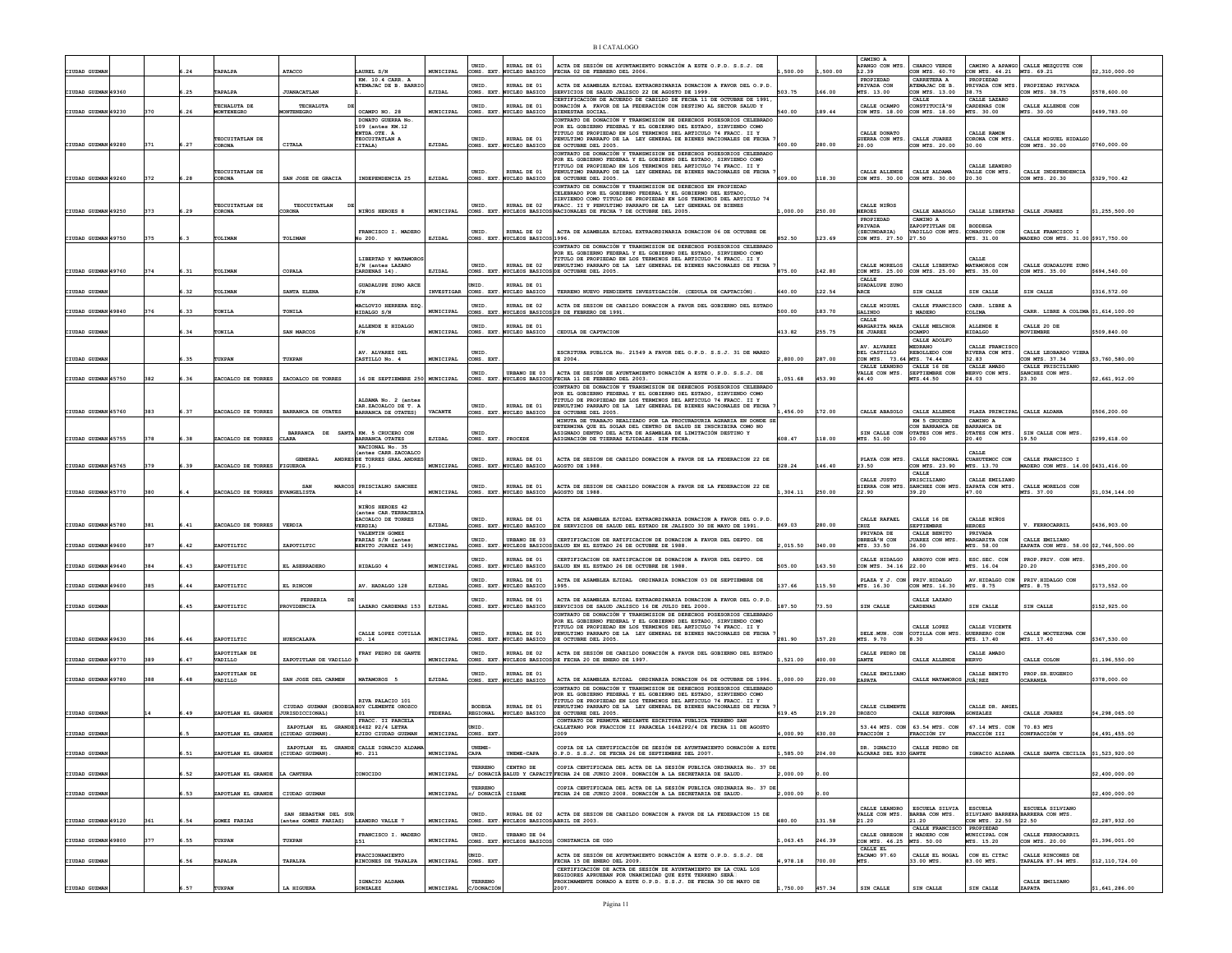| CIUDAD GUZMA        |     |       | TAPALPA                              | <b>ATACCO</b>                                                | AUREL S/N                                            | MUNICIPAL      | UNID.<br>CONS. EXT               | RURAL DE 01<br><b>WCLEO BASICO</b>             | ACTA DE SESIÓN DE AYUNTAMIENTO DONACIÓN A ESTE O.P.D. S.S.J. DE<br>FECHA 02 DE FEBRERO DEL 2006.                                                                                             | 500.00   | ,500.00 | CAMINO A<br>APANGO CON MTS.<br>12.39                   | CHARCO VERDE<br>CON MTS. 60.70                  | CON MTS. 44.21 MTS. 69.21                                 | CAMINO A APANGO CALLE MEZQUITE CON                      | \$2,310,000.00  |
|---------------------|-----|-------|--------------------------------------|--------------------------------------------------------------|------------------------------------------------------|----------------|----------------------------------|------------------------------------------------|----------------------------------------------------------------------------------------------------------------------------------------------------------------------------------------------|----------|---------|--------------------------------------------------------|-------------------------------------------------|-----------------------------------------------------------|---------------------------------------------------------|-----------------|
| CIUDAD GUZMAN 49360 |     | .25   | TAPALPA                              | <b>JUANACATLAN</b>                                           | KM. 10.4 CARR. A<br>TEMAJAC DE B. BARRI              | EJIDAL         | UNID<br>CONS. EXT                | RURAL DE 01<br>NUCLEO BASICO                   | ACTA DE ASAMBLEA EJIDAL EXTRAORDINARIA DONACION A FAVOR DEL O.P.D<br>SERVICIOS DE SALUD JALISCO 22 DE AGOSTO DE 1999.                                                                        | 503.75   | 166.00  | PROPIEDAD<br>PRIVADA CON<br>MTS. 13.00                 | CARRETERA A<br>ATEMAJAC DE B.<br>CON MTS. 13.00 | PROPIEDAD<br>PRIVADA CON MTS.<br>38.75                    | PROPIEDAD PRIVADA<br>CON MTS. 38.75                     | \$578,600.00    |
| CIUDAD GUZMAN 49230 | 370 | .26   | TECHALITA DE<br>MONTENEGRO           | TECHALITY<br><b>IONTENEGRO</b>                               | OCAMPO NO. 28                                        | MUNICIPAL      | <b>INTD</b><br>CONS. EXT.        | RURAL DE 01<br><b>NUCLEO BASICO</b>            | CERTIFICACIÓN DE ACUERDO DE CABILDO DE FECHA 11 DE OCTUBRE DE 1991<br>DONACIÓN A FAVOR DE LA FEDERACIÓN CON DESTINO AL SECTOR SALUD Y<br><b>BIENESTAR SOCIAL</b>                             | 540.00   | 189.44  | CALLE OCAMPO<br>CON MTS. 18.00                         | CALLE<br>CONSTITUCIÀ'N<br>CON MTS. 18.00        | CALLE LAZARO<br>CARDENAS CON<br>MTS. 30.00                | CALLE ALLENDE CON<br>MTS. 30.00                         | \$499,783.00    |
|                     |     |       |                                      |                                                              | DONATO GUERRA No                                     |                |                                  |                                                | CONTRATO DE DONACIÓN Y TRANSMISION DE DERECHOS POSESORIOS CELEBRADO                                                                                                                          |          |         |                                                        |                                                 |                                                           |                                                         |                 |
|                     |     |       |                                      |                                                              | 109 (antes KM.12<br>ENTDA.OTE. A                     |                |                                  |                                                | POR EL GOBIERNO FEDERAL Y EL GOBIERNO DEL ESTADO. SIRVIENDO COMO<br>TITULO DE PROPIEDAD EN LOS TERMINOS DEL ARTICULO 74 FRACC. II Y                                                          |          |         | CALLE DONATO                                           |                                                 | CALLE RAMON                                               |                                                         |                 |
| CIUDAD GUZMAN 49280 | 371 | 6.27  | TEOCUITATLAN DE<br>CORONA            | CITALA                                                       | TEOCUITATLAN A<br>CITALA)                            | EJIDAL         | UNID<br>CONS. EXT                | RURAL DE 01<br>NUCLEO BASICO                   | PENULTIMO PARRAFO DE LA LEY GENERAL DE BIENES NACIONALES DE FECHA<br>DE OCTUBBE DEL 2005.                                                                                                    | 600.00   | 280.00  | GUERRA CON MTS.<br>20.00                               | CALLE JUAREZ<br>CON MTS. 20.00                  | CORONA CON MTS.<br>30.00                                  | CALLE MIGUEL HIDALGO<br>ON MTS. 30.00                   | \$760,000.00    |
|                     |     |       |                                      |                                                              |                                                      |                |                                  |                                                | CONTRATO DE DONACIÓN Y TRANSMISION DE DERECHOS POSESORIOS CELEBRADO<br>POR EL GOBIERNO FEDERAL Y EL GOBIERNO DEL ESTADO, SIRVIENDO COMO                                                      |          |         |                                                        |                                                 |                                                           |                                                         |                 |
|                     |     |       |                                      |                                                              |                                                      |                |                                  |                                                | TITULO DE PROPIEDAD EN LOS TERMINOS DEL ARTICULO 74 FRACC. II Y                                                                                                                              |          |         |                                                        |                                                 | CALLE LEANDRO                                             |                                                         |                 |
| CIUDAD GUZMAN 49260 | 372 | .28   | TEOCUITATLAN DE<br>CORONA            | SAN JOSE DE GRACIA                                           | INDEPENDENCIA 25                                     | EJIDAL         | UNID<br>CONS. EXT                | RURAL DE 01<br>NUCLEO BASICO                   | PENULTIMO PARRAFO DE LA LEY GENERAL DE BIENES NACIONALES DE FECHA<br>DE OCTUBRE DEL 2005.                                                                                                    | 609.00   | 118.30  | CALLE ALLENDE<br>CON MTS. 30.00 CON MTS. 30.00         | CALLE ALDAMA                                    | VALLE CON MTS.<br>20.30                                   | CALLE INDEPENDENCIA<br>CON MTS. 20.30                   | \$329,700.42    |
|                     |     |       |                                      |                                                              |                                                      |                |                                  |                                                | CONTRATO DE DONACIÓN Y TRANSMISION DE DERECHOS EN PROPIEDAD<br>CELEBRADO POR EL GOBIERNO FEDERAL Y EL GOBIERNO DEL ESTADO,                                                                   |          |         |                                                        |                                                 |                                                           |                                                         |                 |
|                     |     |       | TEOCUITATLAN DE                      | TEOCUITATLAN                                                 |                                                      |                | UNID.                            | RURAL DE 02                                    | SIRVIENDO COMO TITULO DE PROPIEDAD EN LOS TERMINOS DEL ARTICULO 74<br>FRACC. II Y PENULTIMO PARRAFO DE LA LEY GENERAL DE BIENES                                                              |          |         | CALLE NIÑOS                                            |                                                 |                                                           |                                                         |                 |
| CIUDAD GUZMAN 49250 | 373 | .29   | CORONA                               | <b>DRONA</b>                                                 | NIÑOS HEROES 8                                       | MUNICIPAL      | CONS. EXT                        | <b>WCLEOS BASICO</b>                           | NACIONALES DE FECHA 7 DE OCTUBRE DEL 2005.                                                                                                                                                   | ,000.00  | 250.00  | <b>HEROES</b>                                          | CALLE ABASOLO                                   | CALLE LIBERTAD                                            | CALLE JUAREZ                                            | \$1,255,500.00  |
|                     |     |       |                                      |                                                              |                                                      |                |                                  |                                                |                                                                                                                                                                                              |          |         | PROPIEDAD<br>PRIVADA                                   | CAMINO A<br>ZAPOPTITLAN DE                      | <b>BODDEGA</b>                                            |                                                         |                 |
| CIUDAD GUZMAN 49750 | 375 | 6.3   | TOLIMAN                              | TOLIMAN                                                      | FRANCISCO I. MADERO<br>0.200.                        | EJIDAL         | UNID.<br>CONS. EXT               | RURAL DE 02<br>NUCLEOS BASICOS 1996.           | ACTA DE ASAMBLEA EJIDAL EXTRAORDINARIA DONACION 06 DE OCTUBRE DE                                                                                                                             | 852.50   | 123.69  | (SECUNDARIA)<br>CON MTS. 27.50                         | VADILLO CON MTS.<br>27.50                       | CONASUPO CON<br>MTS. 31.00                                | CALLE FRANCISCO I<br>MADERO CON MTS. 31.00 \$917,750.00 |                 |
|                     |     |       |                                      |                                                              |                                                      |                |                                  |                                                | CONTRATO DE DONACIÓN Y TRANSMISION DE DERECHOS POSESORIOS CELEBRADO<br>POR EL GOBIERNO FEDERAL Y EL GOBIERNO DEL ESTADO, SIRVIENDO COMO                                                      |          |         |                                                        |                                                 |                                                           |                                                         |                 |
|                     |     |       |                                      |                                                              | LIBERTAD Y MATAMORO                                  |                | UNID                             | RURAL DE 02                                    | TITULO DE PROPIEDAD EN LOS TERMINOS DEL ARTICULO 74 FRACC. II Y                                                                                                                              |          |         | CALLE MORELOS                                          | CALLE LIBERTAD                                  | CALLE<br>MATAMOROS CON                                    | CALLE GUADALUPE ZUNG                                    |                 |
| CIUDAD GUZMAN 49760 | 374 | . 31  | TOLIMAN                              | COPALA                                                       | S/N (antes LAZARO<br>CARDENAS 14)                    | EJIDAL         | CONS. EXT                        | NUCLEOS BASICO                                 | PENULTIMO PARRAFO DE LA LEY GENERAL DE BIENES NACIONALES DE FECHA<br>DE OCTUBRE DEL 2005.                                                                                                    | 875.00   | 142.80  | CON MTS. 25.00                                         | CON MTS. 25.00                                  | MTS. 35.00                                                | CON MTS. 35.00                                          | \$694,540.00    |
|                     |     |       |                                      |                                                              | <b>GUADALUPE ZUNO ARCE</b>                           |                | <b>INTD</b>                      | RURAL DE 01                                    |                                                                                                                                                                                              |          |         | CALLE<br><b>GUADALUPE ZUNO</b>                         |                                                 |                                                           |                                                         |                 |
| CIUDAD GUZMA        |     | .32   | TOLIMAN                              | SANTA ELENA                                                  | S/N                                                  | INVESTIGAR     |                                  | CONS. EXT. NUCLEO BASICO                       | TERRENO NUEVO PENDIENTE INVESTIGACIÓN. (CEDULA DE CAPTACIÓN).                                                                                                                                | 640.00   | 122.54  | ARCE                                                   | SIN CALLE                                       | SIN CALLE                                                 | SIN CALLE                                               | \$316,572.00    |
|                     |     |       |                                      |                                                              | MACLOVIO HERRERA ESO                                 |                | UNID.                            | RURAL DE 02                                    | ACTA DE SESION DE CABILDO DONACION A FAVOR DEL GOBIERNO DEL ESTADO                                                                                                                           |          |         | CALLE MIGUEL                                           | CALLE FRANCISCO                                 | CARR. LIBRE A                                             |                                                         |                 |
| CIUDAD GUZMAN 49840 | 376 | 6.33  | TONILA                               | TONILA                                                       | HIDALGO S/N                                          | MUNICIPAL      |                                  |                                                | CONS. EXT. NUCLEOS BASICOS 28 DE FEBRERO DE 1991.                                                                                                                                            | 500.00   | 183.70  | GALINDO<br>CALLE                                       | <b>MADERO</b>                                   | COLIMA                                                    | CARR. LIBRE A COLIMA \$1,614,100.00                     |                 |
| CIUDAD GUZMAN       |     | .34   | TONILA                               | SAN MARCOS                                                   | ALLENDE E HIDALGO<br>:/N                             | MUNICIPAL      | UNID.<br>CONS. EXT               | RURAL DE 01<br>NUCLEO BASICO                   | CEDULA DE CAPTACION                                                                                                                                                                          | 413.82   | 255.75  | MARGARITA MAZA<br>DE JUAREZ                            | CALLE MELCHOR<br>CAMPO                          | ALLENDE E<br><b>SIDALGO</b>                               | CALLE 20 DE<br><b>OVIEMBRE</b>                          | \$509,840.00    |
|                     |     |       |                                      |                                                              |                                                      |                |                                  |                                                |                                                                                                                                                                                              |          |         | AV. ALVAREZ                                            | CALLE ADOLFO<br><b>EDRANO</b>                   |                                                           |                                                         |                 |
|                     |     |       |                                      |                                                              | AV. ALVAREZ DEL                                      |                | UNID.                            |                                                | ESCRITURA PUBLICA No. 21549 A FAVOR DEL O.P.D. S.S.J. 31 DE MARZO                                                                                                                            |          |         | DEL CASTILLO                                           | REBOLLEDO CON                                   | CALLE FRANCISCO<br>RIVERA CON MTS.                        | CALLE LEOBARDO VIERA                                    |                 |
| CIUDAD GUZMAN       |     | 6.35  | TUXPAN                               | TUXPAN                                                       | CASTILLO No. 4                                       | MUNICIPAL      | CONS. EXT                        |                                                |                                                                                                                                                                                              | 2,800.00 | 287.00  | CON MTS. 73.64 MTS. 74.44<br>CALLE LEANDRO CALLE 16 DE |                                                 | 32.83<br>CALLE AMADO                                      | CON MTS. 37.34<br>CALLE PRISCILIANO                     | \$3,760,580.00  |
| CIUDAD GUZMAN 45750 | 382 | .36   | ZACOALCO DE TORRES                   | <b>ZACOALCO DE TORRES</b>                                    | 16 DE SEPTIEMBRE 250 MUNICIPAL                       |                | UNID<br>CONS. EXT.               | URBANO DE 03                                   | ACTA DE SESIÓN DE AYUNTAMIENTO DONACIÓN A ESTE O.P.D. S.S.J. DE<br>NUCLEOS BASICOS FECHA 11 DE FEBRERO DEL 2003.                                                                             | 051.68   | 453.90  | VALLE CON MTS.<br>44.40                                | SEPTIEMBRE CON<br>MTS.44.50                     | ERVO CON MTS.<br>24.03                                    | ANCHEZ CON MTS.<br>23.30                                | 2,661,912.0     |
|                     |     |       |                                      |                                                              |                                                      |                |                                  |                                                | CONTRATO DE DONACIÓN Y TRANSMISION DE DERECHOS POSESORIOS CELEBRADO                                                                                                                          |          |         |                                                        |                                                 |                                                           |                                                         |                 |
|                     |     |       |                                      |                                                              | ALDAMA No. 2 (anter                                  |                |                                  |                                                | FOR EL GOBIERNO FEDERAL Y EL GOBIERNO DEL ESTADO, SIRVIENDO COMO<br>TITULO DE PROPIEDAD EN LOS TERMINOS DEL ARTICULO 74 FRACC. II Y                                                          |          |         |                                                        |                                                 |                                                           |                                                         |                 |
| CIUDAD GUZMAN 45760 | 383 | .37   | ZACOALCO DE TORRES                   | <b>BARRANCA DE OTATES</b>                                    | CAR. ZACOALCO DE T. A<br>BARRANCA DE OTATES)         | <b>VACANTE</b> | UNID.<br>CONS. EXT               | RURAL DE 01<br>NUCLEO BASICO                   | PENULTIMO PARRAFO DE LA LEY GENERAL DE BIENES NACIONALES DE FECHA<br>DE OCTUBRE DEL 2005.                                                                                                    | 456.00   | 172.00  |                                                        | CALLE ABASOLO   CALLE ALLENDE                   | PLAZA PRINCIPAL CALLE ALDANI                              |                                                         | \$506,200.00    |
|                     |     |       |                                      |                                                              |                                                      |                |                                  |                                                | MINITA DE TRABAJO REALIZADO POR LA PROCURADURIA AGRARIA EN DONDE SE<br>ETERMINA OUE EL SOLAR DEL CENTRO DE SALUD SE INSCRIBIRA COMO NO                                                       |          |         |                                                        | KM 5 CRUCERO<br>ON BARRANCA DE                  | CAMINO A<br>BARRANCA DE                                   |                                                         |                 |
| CIUDAD GUZMAN 45755 | 378 | 6.38  | ZACOALCO DE TORRES CLARA             | BARRANCA DE SANTA KM. 5 CRUCERO CON                          |                                                      | EJIDAL         | <b>INTD</b><br>CONS. EXT         | PROCEDE                                        | ASIGNADO DENTRO DEL ACTA DE ASAMBLEA DE LIMITACIÓN DESTINO Y<br>ASIGNACIÓN DE TIERRAS EJIDALES. SIN FECHA                                                                                    | 608.47   | 118.00  | SIN CALLE CON                                          | OTATES CON MTS.                                 | OTATES CON MTS.                                           | SIN CALLE CON MTS.                                      | \$299,618.00    |
|                     |     |       |                                      |                                                              | BARRANCA OTATES<br>NACIONAL No. 35                   |                |                                  |                                                |                                                                                                                                                                                              |          |         | MTS. 51.00                                             | 10.00                                           | 20.40                                                     | 19.50                                                   |                 |
|                     |     |       |                                      | <b>GENERAL</b>                                               | (antes CARR ZACOALCO<br>ANDRESIDE TORRES GRAL ANDRES |                | UNID.                            | RURAL DE 01                                    | ACTA DE SESION DE CABILDO DONACION A FAVOR DE LA FEDERACION 22 DE                                                                                                                            |          |         | PLAYA CON MTS.                                         | CALLE NACIONAL                                  | CALLE<br>CUAHUTEMOC CON                                   | CALLE FRANCISCO I                                       |                 |
| CIUDAD GUZMAN 45765 | 379 | .39   | ZACOALCO DE TORRES FIGUEROA          |                                                              | $FIG.$ )                                             | MUNICIPAL      | CONS. EXT.                       | NUCLEO BASICO                                  | AGOSTO DE 1988                                                                                                                                                                               | 328.24   | 146.40  | 23.50                                                  | CON MTS. 23.90<br>${\tt CALLE}$                 | MTS. 13.70                                                | @ADERO CON MTS. 14.00 \$431,416.00                      |                 |
|                     |     |       |                                      |                                                              |                                                      |                |                                  |                                                |                                                                                                                                                                                              |          |         | CALLE JUSTO                                            | <b>RISCILIANO</b>                               | CALLE EMILIANO                                            |                                                         |                 |
|                     |     |       |                                      |                                                              |                                                      |                |                                  |                                                |                                                                                                                                                                                              |          |         |                                                        |                                                 |                                                           |                                                         |                 |
| CIUDAD GUZMAN 45770 | 380 |       | ZACOALCO DE TORRES EVANGELISTA       | SAN                                                          | MARCOS PRISCIALNO SANCHEZ                            | MUNICIPAL      | UNID<br>CONS. EXT.               | RURAL DE 01<br><b>NUCLEO BASICO</b>            | ACTA DE SESION DE CABILDO DONACION A FAVOR DE LA FEDERACION 22 DE<br>AGOSTO DE 1988                                                                                                          | 304.11   | 250.00  | SIERRA CON MTS<br>22.90                                | SANCHEZ CON MTS<br>39.20                        | ZAPATA CON MTS.<br>47.00                                  | CALLE MORELOS CON<br>TS. 37.00                          | 1,034,144.0     |
|                     |     |       |                                      |                                                              |                                                      |                |                                  |                                                |                                                                                                                                                                                              |          |         |                                                        |                                                 |                                                           |                                                         |                 |
|                     |     |       |                                      |                                                              | NIÑOS HEROES 42<br>(antes CAR.TERRACERIA             |                |                                  |                                                |                                                                                                                                                                                              |          |         |                                                        |                                                 |                                                           |                                                         |                 |
| CIUDAD GUZMAN 45780 | 381 | .41   | ZACOALCO DE TORRES                   | <b>VERDIA</b>                                                | ZACOALCO DE TORRES<br>VERDIA)                        | EJIDAL         | UNID<br>CONS. EXT.               | RURAL DE 01<br>NUCLEO BASICO                   | ACTA DE ASAMBLEA EJIDAL EXTRAORDINARIA DONACION A FAVOR DEL O.P.D.<br>DE SERVICIOS DE SALUD DEL ESTADO DE JALISCO 30 DE MAYO DE 1991.                                                        | 869.03   | 280.00  | CALLE RAFAEL<br>CRUZ                                   | CALLE 16 DE<br><b>SEPTIEMBRE</b>                | CALLE NIÑOS<br><b>HEROES</b>                              | V. FERROCARRIL                                          | \$436,903.00    |
|                     |     |       |                                      |                                                              | VALENTIN GOMEZ<br>FARIAS S/N (antes                  |                | UNID.                            | URBANO DE 03                                   | CERTIFICACION DE RATIFICACION DE DONACION A FAVOR DEL DEPTO. DE                                                                                                                              |          |         | PRIVADA DE<br>OBREGÂ <sup>3</sup> N CON                | CALLE BENITO<br>JUAREZ CON MTS.                 | PRIVADA<br>MARGARITA CON                                  | CALLE EMILIANO                                          |                 |
| CIUDAD GUZMAN 49600 | 387 | .42   | ZAPOTILTIC                           | ZAPOTILTIC                                                   | BENITO JUAREZ 149)                                   | MUNICIPAL      | CONS. EXT.                       |                                                | NUCLEOS BASICOS SALUD EN EL ESTADO 26 DE OCTUBRE DE 1988.                                                                                                                                    | 2,015.50 | 340.00  | MTS. 33.50                                             | 36.00                                           | MTS. 58.00                                                | ZAPATA CON MTS. 58.00 \$2,746,500.00                    |                 |
|                     |     |       |                                      |                                                              |                                                      |                | UNID.                            | RURAL DE 01                                    | CERTIFICACION DE RATIIFCACION DE DONACION A FAVOR DEL DEPTO. DE                                                                                                                              |          |         | CALLE HIDALGO                                          | ARROYO CON MTS                                  | ESC.SEC. CON                                              | PROP.PRIV. CON MTS                                      |                 |
| CIUDAD GUZMAN 49640 | 384 | .43   | ZAPOTILTIC                           | EL ASERRADERO                                                | HIDALGO 4                                            | MUNICIPAL      | CONS. EXT                        | UCLEO BASICO                                   | SALUD EN EL ESTADO 26 DE OCTUBRE DE 1988.                                                                                                                                                    | 505.00   | 163.50  | CON MTS. 34.16                                         | 22.00                                           | MTS. 16.04                                                | 20.20                                                   | 385,200.00      |
| CIUDAD GUZMAN 49600 | 385 | .44   | ZAPOTILTIC                           | EL RINCON                                                    | AV. HADALGO 128                                      | EJIDAL         | UNID<br>CONS. EXT.               | RURAL DE 01<br>NUCLEO BASICO                   | ACTA DE ASAMBLEA EJIDAL ORDINARIA DONACION 03 DE SEPTIEMBRE DE<br>1995                                                                                                                       | 137.66   | 115.50  | PLAZA Y J. CON PRIV. HIDALGO<br>MTS. 16.30             | CON MTS. 16.30                                  | AV.HIDALGO CON<br>MTS. 8.75                               | PRIV.HIDALGO CON<br>MTS. 8.75                           | \$173.552.00    |
|                     |     |       |                                      |                                                              |                                                      |                |                                  |                                                |                                                                                                                                                                                              |          |         |                                                        |                                                 |                                                           |                                                         |                 |
| CIUDAD GUZMAI       |     | .45   | ZAPOTILTIC                           | FERRERIA<br><b>ROVIDENCIA</b>                                | LAZARO CARDENAS 153 EJIDAL                           |                | UNID.<br>CONS. EXT.              | RURAL DE 01<br>NUCLEO BASICO                   | ACTA DE ASAMBLEA EJIDAL EXTRAORDINARIA DONACION A FAVOR DEL O.P.D.<br>SERVICIOS DE SALUD JALISCO 16 DE JULIO DEL 2000.                                                                       | 187.50   | 73.50   | SIN CALLE                                              | CALLE LAZARO<br>CARDENAS                        | SIN CALLE                                                 | SIN CALLE                                               | \$152,925.00    |
|                     |     |       |                                      |                                                              |                                                      |                |                                  |                                                | CONTRATO DE DONACIÓN Y TRANSMISION DE DERECHOS POSESORIOS CELEBRADO<br>POR EL GOBIERNO FEDERAL Y EL GOBIERNO DEL ESTADO, SIRVIENDO COMO                                                      |          |         |                                                        |                                                 |                                                           |                                                         |                 |
|                     |     |       |                                      |                                                              | CALLE LOPEZ COTILLA                                  |                | <b>INTD</b>                      | RURAL DE 01                                    | TITULO DE PROPIEDAD EN LOS TERMINOS DEL ARTICULO 74 FRACC. II Y<br>PENULTIMO PARRAFO DE LA LEY GENERAL DE BIENES NACIONALES DE FECHA                                                         |          |         | DELE.MUN. CON                                          | CALLE LOPEZ<br>COTILLA CON MTS                  | CALLE VICENTE                                             | CALLE MOCTEZUMA CON                                     |                 |
| CIUDAD GUZMAN 49630 | 386 | 6.46  | ZAPOTILTIC                           | <b>HUESCALAPA</b>                                            | NO. 14                                               | MUNICIPAL      | CONS. EXT                        | NUCLEO BASICO                                  | DE OCTUBRE DEL 2005.                                                                                                                                                                         | 281.90   | 157.20  | MTS. 9.70                                              | .30                                             | GUERRERO CON<br>MTS. 17.40                                | TS. 17.40                                               | \$367,530.00    |
|                     |     |       | ZAPOTITLAN DE                        | ZAPOTITLAN DE VADILLO                                        | FRAY PEDRO DE GANTE                                  |                | UNID.                            | RURAL DE 02                                    | ACTA DE SESIÓN DE CABILDO DONACIÓN A FAVOR DEL GOBIERNO DEL ESTADO                                                                                                                           |          |         | CALLE PEDRO DE                                         |                                                 | CALLE AMADO                                               |                                                         |                 |
| CIUDAD GUZMAN 49770 | 389 | .47   | VADILLO                              |                                                              |                                                      | MUNICIPAL      | ONS. EXT                         | NUCLEOS BASICOS                                | DE FECHA 20 DE ENERO DE 1997.                                                                                                                                                                | 521.00   | 400.00  | <b>GANTE</b>                                           | CALLE ALLENDE                                   | <b>IERVO</b>                                              | CALLE COLON                                             | \$1,196,550.00  |
| CIUDAD GUZMAN 49780 | 388 | .48   | ZAPOTITLAN DE<br>VADILLO             | SAN JOSE DEL CARMEN                                          | MATAMOROS 5                                          | EJIDAL         | UNID.<br>CONS. EXT.              | RURAL DE 01<br>NUCLEO BASICO                   | ACTA DE ASAMBLEA EJIDAL ORDINARIA DONACION 06 DE OCTUBRE DE 1996. 1.000.00                                                                                                                   |          | 220.00  | CALLE EMILIANO<br>ZAPATA                               | CALLE MATAMOROS JUÂ REZ                         | CALLE BENITO                                              | PROP.SR.EUGENIO<br><b>CCARANZA</b>                      | 378,000.00      |
|                     |     |       |                                      |                                                              |                                                      |                |                                  |                                                | CONTRATO DE DONACIÓN Y TRANSMISION DE DERECHOS POSESORIOS CELEBRADO                                                                                                                          |          |         |                                                        |                                                 |                                                           |                                                         |                 |
|                     |     |       |                                      |                                                              | RIVA PALACIO 101                                     |                |                                  |                                                | POR EL GOBIERNO FEDERAL Y EL GOBIERNO DEL ESTADO, SIRVIENDO COMO<br>TITULO DE PROPIEDAD EN LOS TERMINOS DEL ARTICULO 74 FRACC. II Y                                                          |          |         |                                                        |                                                 |                                                           |                                                         |                 |
| CIUDAD GUZMAN       |     | 49. أ | ZAPOTLAN EL GRANDE JURISDICCIONAL)   | CIUDAD GUZMAN (BODEGA HOY CLEMENTE OROZCO                    | 101                                                  | <b>FEDERAL</b> | <b>BODEGA</b><br><b>REGIONAL</b> | RURAL DE 01<br>NUCLEO BASICO                   | PENULTIMO PARRAFO DE LA LEY GENERAL DE BIENES NACIONALES DE FECHA<br>DE OCTUBRE DEL 2005.                                                                                                    | 619.45   | 219.20  | CALLE CLEMENTE<br>OROZCO                               | CALLE REFORMA                                   | CALLE DR. ANGEL<br><b>GONZALEZ</b>                        | CALLE JUAREZ                                            | \$4,298,065.00  |
|                     |     |       |                                      |                                                              | FRACC. II PARCELA                                    |                |                                  |                                                | CONTRATO DE PERMUTA MEDIANTE ESCRITURA PUBLICA TERRENO SAN<br>CALLETANO POR FRACCION II PARACELA 164Z2P2/4 DE FECHA 11 DE AGOSTO                                                             |          |         |                                                        |                                                 |                                                           | 70.83 MTS                                               |                 |
| CIUDAD GUZMAN       |     |       | ZAPOTLAN EL GRANDE                   | ZAPOTLAN EL GRANDE 164Z2 P2/4 LETRA<br>CIUDAD GUZMAN).       | EJIDO CIUDAD GUZMAN                                  | MUNICIPAL      | CONS. EXT                        |                                                | 2009                                                                                                                                                                                         | 4.000.90 | 630.00  | FRACCIÓN I                                             | 53.44 MTS. CON 63.54 MTS. CON<br>FRACCIÓN IV    | 67.14 MTS. CON<br>FRACCIÓN III                            | CONFRACCIÓN V                                           | 4,491,455.00    |
|                     |     |       |                                      |                                                              | ZAPOTLAN EL GRANDE CALLE IGNACIO ALDAM               |                | UNEME-                           |                                                | COPIA DE LA CERTIFICACIÓN DE SESIÓN DE AYUNTAMIENTO DONACIÓN A ESTE                                                                                                                          |          |         | DR. IGNACIO                                            | CALLE PEDRO DE                                  |                                                           |                                                         |                 |
| CIUDAD GUZMAN       |     | 6.51  | ZAPOTLAN EL GRANDE   (CIUDAD GUZMAN) |                                                              | MO. 211                                              | MUNICIPAL      | CAPA                             | UNEME-CAPA                                     | O.P.D. S.S.J. DE FECHA 26 DE SEPTIEMBRE DEL 2007                                                                                                                                             | , 585.00 | 204.00  | ALCARAZ DEL RIO GANTE                                  |                                                 |                                                           | IGNACIO ALDAMA   CALLE SANTA CECILIA   \$1,523,920.0    |                 |
| CIUDAD GUZMA        |     | 52    | ZAPOTLAN EL GRANDE LA CANTERA        |                                                              | ONOCIDO                                              | MUNICIPAL      | <b>TERRENO</b>                   | CENTRO DE                                      | COPIA CERTIFICADA DEL ACTA DE LA SESIÓN PUBLICA ORDINARIA No. 37 DE<br>/ DONACIÃ SALUD Y CAPACIT FECHA 24 DE JUNIO 2008. DONACIÓN A LA SECRETARIA DE SALUD                                   | ,000.00  | 0.00    |                                                        |                                                 |                                                           |                                                         | \$2,400,000.00  |
|                     |     |       |                                      |                                                              |                                                      |                |                                  |                                                |                                                                                                                                                                                              |          |         |                                                        |                                                 |                                                           |                                                         |                 |
| CIUDAD GUZMA        |     | .53   | ZAPOTLAN EL GRANDE   CIUDAD GUZMAN   |                                                              |                                                      | MUNICIPAL      | / DONACIÃ                        | CISAME                                         | COPIA CERTIFICADA DEL ACTA DE LA SESIÓN PUBLICA ORDINARIA No. 37 DE<br>FECHA 24 DE JUNIO 2008. DONACIÓN A LA SECRETARIA DE SALUD.                                                            | 00.000.3 | 0.00    |                                                        |                                                 |                                                           |                                                         | \$2,400,000.00  |
|                     |     |       |                                      |                                                              |                                                      |                |                                  |                                                |                                                                                                                                                                                              |          |         | CALLE LEANDRO                                          | ESCUELA SILVIA                                  | <b>ESCURLA</b>                                            | ESCUELA SILVIANO                                        |                 |
| CIUDAD GUZMAN 49120 | 361 | .54   | <b>GOMEZ FARIAS</b>                  | SAN SEBASTAN DEL SUI<br>(antes GOMEZ FARIAS) LEANDRO VALLE 7 |                                                      | MUNICIPAL      | UNID.<br>CONS. EXT.              | RIJRAT, DR 02<br>NUCLEOS BASICOS ABRIL DE 2003 | ACTA DE SESION DE CABILDO DONACION A FAVOR DE LA FEDERACION 15 DE                                                                                                                            | 180.00   | 131.58  | VALLE CON MTS.<br>21.20                                | BARBA CON MTS.<br>21.20                         | SILVIANO BARRERA BARRERA CON MTS.<br>CON MTS. 22.50 22.50 |                                                         | \$2,287,932.00  |
|                     |     |       |                                      |                                                              |                                                      |                |                                  |                                                |                                                                                                                                                                                              |          |         |                                                        | CALLE FRANCISCO PROPIEDAD                       |                                                           |                                                         |                 |
| CIUDAD GUZMAN 49800 | 377 | 55    | TUXPAN                               | TUXPAN                                                       | FRANCISCO I. MADERO                                  | MUNICIPAL      | JNID<br>ONS. EXT.                | URBANO DE 04<br>NUCLEOS BASICOS                | CONSTANCIA DE USO                                                                                                                                                                            | 063.45   | 246.39  | CALLE OBREGON<br>CON MTS. 46.25                        | MADERO CON<br>MTS. 50.00                        | MUNICIPAL CON<br>MTS. 15.20                               | CALLE FERROCARRIL<br>CON MTS. 20.00                     | \$1,396,001.00  |
|                     |     |       |                                      |                                                              | FRACCIONAMIENTO                                      |                | <b>INID</b>                      |                                                | ACTA DE SESIÓN DE AYUNTAMIENTO DONACIÓN A ESTE O.P.D. S.S.J. DE                                                                                                                              |          |         | CALLE EL<br>TACAMO 97.60                               | CALLE EL NOGAL                                  | CON EL CITAC                                              | CALLE RINCONES DE                                       |                 |
| CIUDAD GUZMA        |     | .56   | TAPALPA                              | TAPALPA                                                      | RINCONES DE TAPALPA                                  | MUNICIPAL      | CONS. EXT                        |                                                | FECHA 15 DE ENERO DEL 2009.                                                                                                                                                                  | 978.18   | 700.00  | MTS.                                                   | 33.00 MTS.                                      | 83.00 MTS                                                 | TAPALPA 87.94 MTS.                                      | \$12,110,724.00 |
|                     |     |       |                                      |                                                              | IGNACIO ALDAMA                                       |                | TERRENO                          |                                                | CERTIFICACIÓN DE ACTA DE SESIÓN DE AYUNTAMIENTO EN LA CUAL LOS<br>REGIDORES APRUEBAN POR UNANIMIDAD OUE ESTE TERRENO SERÂ<br>PROXIMAMENTE DONADO A ESTE O.P.D. S.S.J. DE FECHA 30 DE MAYO DE |          |         |                                                        |                                                 |                                                           | CALLE EMILIANO                                          |                 |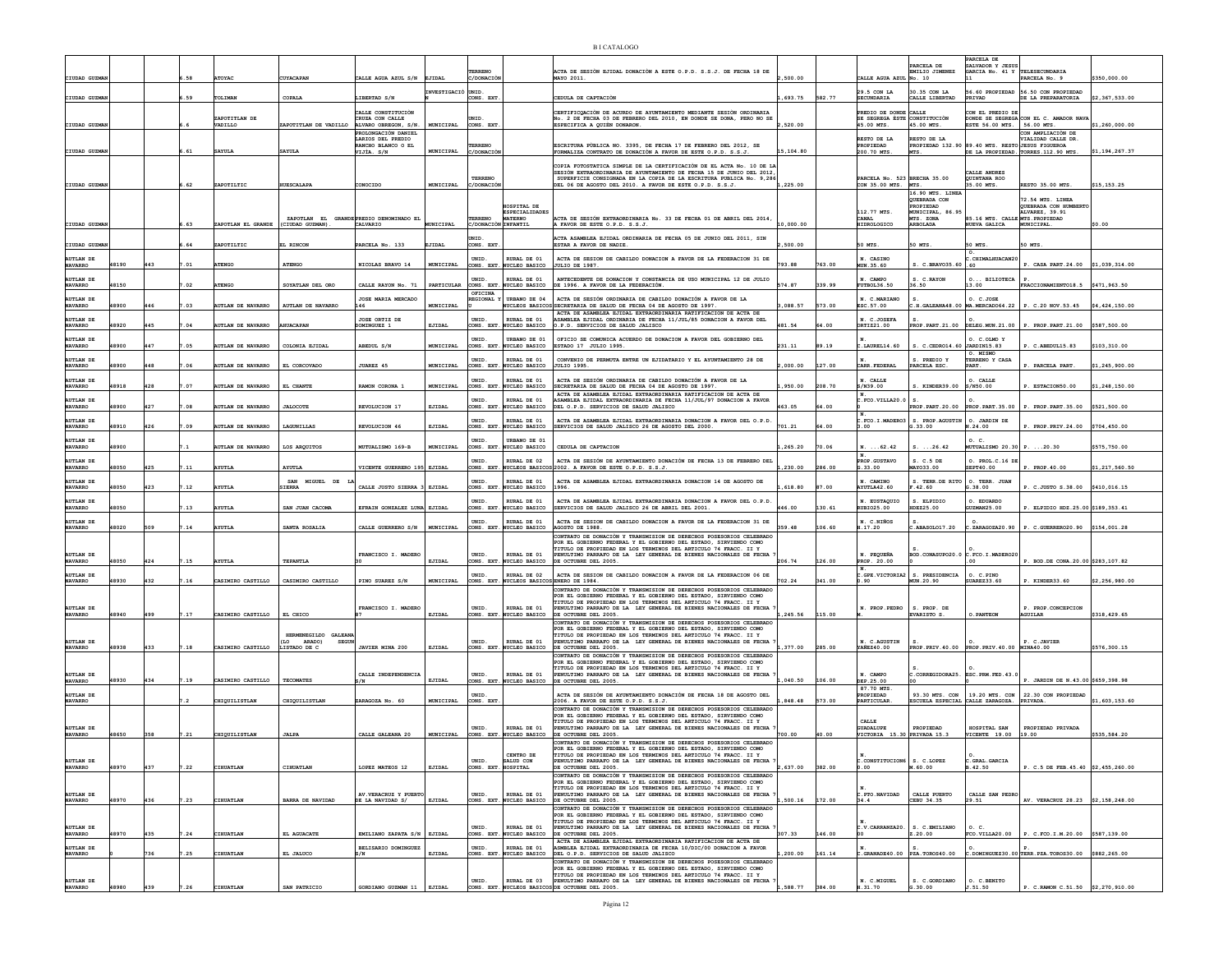| CIUDAD GUZM                        |       |     |      | <b>ATOYA</b>             | CUYACAPAN                                                  | CALLE AGUA AZUL S/N                                   | EJIDAL                  | TERRENO                        |                                                          | ACTA DE SESIÓN EJIDAL DONACIÓN A ESTE O.P.D. S.S.J. DE FECHA 18 DE<br>MAYO 2011                                                                                                                                                                                                 | 500.00         |        | CALLE AGUA AZUL                                                            | PARCELA DE<br>EMILIO JIMENEZ<br>No. 10                                  | ARCELA DE<br>SALVADOR Y JESUS<br>GARCIA No. 41 Y TELESECUNDARIA | PARCELA No. 9                                                | \$350,000.00   |
|------------------------------------|-------|-----|------|--------------------------|------------------------------------------------------------|-------------------------------------------------------|-------------------------|--------------------------------|----------------------------------------------------------|---------------------------------------------------------------------------------------------------------------------------------------------------------------------------------------------------------------------------------------------------------------------------------|----------------|--------|----------------------------------------------------------------------------|-------------------------------------------------------------------------|-----------------------------------------------------------------|--------------------------------------------------------------|----------------|
|                                    |       |     |      |                          |                                                            |                                                       | <b>NVESTIGACIÒ UNID</b> |                                |                                                          |                                                                                                                                                                                                                                                                                 |                |        | 29.5 CON LA                                                                | 30.35 CON LA                                                            |                                                                 | 56.60 PROPIEDAD 56.50 CON PROPIEDAD                          | \$2,367,533.00 |
| CIUDAD GUZMA                       |       |     | 589  | TOLIMAN<br>ZAPOTITLAN DE | COPALA                                                     | LIBERTAD S/N<br>CALLE CONSTITUCIÓN<br>CRUZA CON CALLE |                         | CONS. EXT<br>UNID              |                                                          | CEDULA DE CAPTACIÓN<br>CERTIFICOACIÓN DE ACURDO DE AYUNTAMIENTO MEDIANTE SESIÓN ORDINARIA<br>%. 2 DE FECHA 03 DE FEBRERO DEL 2010, EN DONDE SE DONA, PERO NO SE                                                                                                                 | , 693.75       | 582.77 | <b>SECUNDARIA</b><br>PREDIO DE DONDE CALLE<br>SE SEGREGA ÈSTE CONSTITUCIÓN | CALLE LIBERTAD                                                          | PRIVAD<br>ON EL PREDIO DE                                       | DE LA PREPARATORIA<br>DONDE SE SEGREGA CON EL C. AMADOR NAVA |                |
| CIUDAD GUZMAN                      |       |     |      | VADILLO                  | ZAPOTITLAN DE VADILLO ALVARO OBREGON, S/N.                 | PROLONGACIÓN DANTEL                                   | MUNICIPAL               | CONS. EXT                      |                                                          | ESPECIFICA A QUIÈN DONARON.                                                                                                                                                                                                                                                     | 520.00         |        | 45.00 MTS.                                                                 | 45.00 MTS.                                                              | ESTE 56.00 MTS. 56.00 MTS.                                      | CON AMPLIACIÓN DE                                            | \$1,260,000.00 |
| CIUDAD GUZMAN                      |       |     | 6.61 | <b>SAYULA</b>            | <b>SAYULA</b>                                              | LARIOS DEL PREDIO<br>RANCHO BLANCO O EL<br>VIJÌA. S/N | <b>MUNICIPAL</b>        | TERRENO<br>C/DONACIC           |                                                          | ESCRITURA PÚBLICA NO. 3395, DE FECHA 17 DE FEBRERO DEL 2012, SE<br>FORMALIZA CONTRATO DE DOMACIÓN A FAVOR DE ESTE O P.D. S.S.J.                                                                                                                                                 | 15,104.80      |        | RESTO DE LA<br>PROPIEDAD<br>200.70 MTS.                                    | RESTO DE LA<br>PROPIEDAD 132.90 89.40 MTS. RESTO JESUS FIGUEROA<br>MTS. |                                                                 | VIALIDAD CALLE DR.<br>DE LA PROPIEDAD. TORRES.112.90 MTS.    | \$1,194,267.37 |
|                                    |       |     |      |                          |                                                            |                                                       |                         |                                |                                                          | COPIA FOTOSTATICA SIMPLE DE LA CERTIFICACIÓN DE EL ACTA No. 10 DE LA<br>SESIÓN EXTRAORDINARIA DE AYUNTAMIENTO DE FECHA 15 DE JUNIO DEL 2012.                                                                                                                                    |                |        |                                                                            |                                                                         | CALLE ANDRES                                                    |                                                              |                |
| CIUDAD GUZMA                       |       |     | 62   | ZAPOTILTIC               | <b>UESCALAPA</b>                                           | CONOCIDO                                              | MUNICIPAL               | TERRENO<br>/DONACIĆ            |                                                          | SUPERFICIE CONSIGNADA EN LA COPIA DE LA ESCRITURA PUBLICA No. 9,286<br>DEL 06 DE AGOSTO DEL 2010. A FAVOR DE ESTE O.P.D. S.S.J.                                                                                                                                                 | ,225.00        |        | PARCELA No. 523 BRECHA 35.00<br>CON 35.00 MTS.                             | MTS.<br>16.90 MTS. LINES                                                | QUINTANA ROO<br>$.00$ MTS                                       | <b>RESTO 35.00 MTS</b>                                       | \$15,153.25    |
|                                    |       |     |      |                          |                                                            |                                                       |                         |                                | HOSPITAL DE<br><b>ESPECIALIDADES</b>                     |                                                                                                                                                                                                                                                                                 |                |        | 112.77 MTS.                                                                | QUEBRADA CON<br>PROPIEDAD<br>MINICIPAL, 86.95                           |                                                                 | 72.54 MTS. LINEA<br>QUEBRADA CON HUMBERT<br>ALVAREZ. 39.91   |                |
| CIUDAD GUZMAN                      |       |     | .63  | ZAPOTLAN EL GRANDE       | ZAPOTLAN EL GRANDE PREDIO DENOMINADO EL<br>(CIUDAD GUZMAN) | CALVARIO                                              | MUNICIPAL               | TERRENO<br>C/DONACIÓN INFANTIL | <b>MATERNO</b>                                           | ACTA DE SESIÓN EXTRAORDINARIA No. 33 DE FECHA 01 DE ABRIL DEL 2014<br>A FAVOR DE ESTE O.P.D. S.S.J                                                                                                                                                                              | 10,000.00      |        | CANAL<br><b>HIDROLOGICO</b>                                                | MTS. ZONA<br>ARBOLADA                                                   | 85.16 MTS. CALLE MTS. PROPIEDAD<br>NUEVA GALICA                 | MUNICIPAL                                                    | \$0.00         |
| CIUDAD GUZMAN                      |       |     | .64  | ZAPOTILTIC               | EL RINCON                                                  | PARCELA No. 133                                       | EJIDAL                  | <b>INTD</b><br>CONS. EXT       |                                                          | CTA ASAMBLEA EJIDAL ORDINARIA DE FECHA 05 DE JUNIO DEL 2011, SIN<br>ESTAR A FAVOR DE NADIE.                                                                                                                                                                                     | 500.00         |        | 50 MTS.                                                                    | 50 MTS                                                                  | 50 MTS.                                                         | 50 MTS.                                                      |                |
| <b>AUTLAN DE</b><br><b>NAVARRO</b> | 18190 | 443 | .01  | <b>ATENGO</b>            | ATENGO                                                     | NICOLAS BRAVO 14                                      | MUNICIPAL               | UNID.                          | RURAL DE 01<br>CONS. EXT. NUCLEO BASICO                  | ACTA DE SESION DE CABILDO DONACION A FAVOR DE LA FEDERACION 31 DE<br>JULIO DE 1987.                                                                                                                                                                                             | 793.88         | 763.00 | N. CASINO<br>MUN.35.60                                                     | C. BRAVO35.60                                                           | CHTMAT-HIJACAN20<br>. 60                                        | P. CASA PART.24.00                                           | \$1,039,314.00 |
| <b>AUTLAN DE</b><br><b>NAVARRO</b> | 48150 |     | .02  | <b>ATENGO</b>            | SOYATLAN DEL ORO                                           | CALLE RAYON No. 71                                    | PARTICULAR              | UNID.                          | RURAL DE 01<br>CONS. EXT. NUCLEO BASICO                  | ANTECEDENTE DE DONACION Y CONSTANCIA DE USO MUNICIPAL 12 DE JULIO<br>DE 1996. A FAVOR DE LA FEDERACIÓN.                                                                                                                                                                         | 574.87         | 339.99 | N. CAMPO<br><b>FUTBOL36.50</b>                                             | S. C. RAYON<br>36.50                                                    | O BILIOTECA<br>13.00                                            | FRACCIONAMIENTO18.5 \$471,963.50                             |                |
| AUTLAN DE<br><b>NAVARRO</b>        | 18900 | 446 | 7.03 | <b>AUTLAN DE NAVARRO</b> | AUTLAN DE NAVARRO                                          | <b>JOSE MARIA MERCADO</b><br>146                      | MUNICIPAL               | OFICINA<br><b>REGIONAL</b>     | <b>TRRANO DE 04</b><br><b>NCLEOS BASICOS</b>             | ACTA DE SESIÓN ORDINARIA DE CABILDO DONACIÓN A FAVOR DE LA<br>SECRETARIA DE SALUD DE FECHA 04 DE AGOSTO DE 1997.                                                                                                                                                                | 3.088.57       | 573.00 | N. C.MARIANO<br>ESC.57.00                                                  | .H.GALEANA48.00 MA.MERCADO64.22                                         | O. C.JOSE                                                       | P. C.20 NOV.53.45                                            | \$4,424,150.00 |
| <b>AUTLAN DE</b><br><b>NAVARRO</b> | 18920 | 445 |      | AUTLAN DE NAVARRO        | <b>HUACAPAN</b>                                            | JOSE ORTIZ DE<br>OOMINGUEZ 1                          | EJIDAL                  | UNID.<br>CONS. EXT             | RURAL DE 01<br>UCLEO BASICO                              | ACTA DE ASAMBLEA EJIDAL EXTRAORDINARIA RATIFICACION DE ACTA DE<br>ASAMBLEA EJIDAL ORDINARIA DE FECHA 11/JUL/85 DONACION A FAVOR DEL<br>.P.D. SERVICIOS DE SALUD JALISCO                                                                                                         | 481.54         | 64.00  | N. C.JOSEFA<br>ORTIZ21.00                                                  | PROP. PART. 21.00                                                       | DELEG.MUN.21.00                                                 | P. PROP.PART.21.00                                           | \$587,500.00   |
| <b>AUTLAN DE</b>                   |       | 447 |      |                          |                                                            |                                                       |                         | UNID.                          | URBANO DE 01                                             | OFICIO SE COMUNICA ACUERDO DE DONACION A FAVOR DEL GOBIERNO DEL                                                                                                                                                                                                                 |                |        |                                                                            |                                                                         | O. C.OLMO Y                                                     |                                                              |                |
| <b>NAVARRO</b><br>AUTLAN DE        | 48900 |     | .05  | <b>AUTLAN DE NAVARRO</b> | COLONIA EJIDAL                                             | ABEDUL S/N                                            | MUNICIPAL               | <b>INTD</b>                    | CONS. EXT. NUCLEO BASICO<br>RIJRAT, DE 01                | ESTADO 17 JULIO 1995.<br>CONVENIO DE PERMUTA ENTRE UN EJIDATARIO Y EL AYUNTAMIENTO 28 DE                                                                                                                                                                                        | 231.11         | 89.19  | LAUREL14.60                                                                | S. C.CEDRO14.60 JARDIN15.83<br>S. PREDIO Y                              | O. MISMO<br>TERRENO Y CASA                                      | P. C.ABEDUL15.83                                             | \$103,310.00   |
| <b>NAVARRO</b><br><b>AUTLAN DE</b> | 18900 | 448 | . 06 | UTLAN DE NAVARRO         | EL CORCOVADO                                               | JUAREZ 45                                             | MUNICIPAL               | CONS. EXT.<br>UNID.            | NUCLEO BASICO<br>RURAL DE 01                             | <b>JULIO 1995</b><br>ACTA DE SESTÓN ORDINARIA DE CARILDO DONACIÓN A FAVOR DE LA                                                                                                                                                                                                 | 00.000         | 127.00 | CARR. FEDERAL<br>N. CALLE                                                  | PARCELA ESC                                                             | PART.<br>O. CALLE                                               | . PARCELA PART.                                              | \$1,245,900.0  |
| <b>NAVARRO</b><br><b>AUTLAN DE</b> | 48918 | 428 | .07  | <b>AUTLAN DE NAVARRO</b> | EL CHANTE                                                  | RAMON CORONA 1                                        | MUNICIPAL               | CONS. EXT.<br>UNID             | NUCLEO BASICO<br>RURAL DE 01                             | SECRETARIA DE SALUD DE FECHA 04 DE AGOSTO DE 1997.<br>ACTA DE ASAMBLEA EJIDAL EXTRAORDINARIA RATIFICACION DE ACTA DE<br>SAMBLEA EJIDAL EXTRAORDINARIA DE FECHA 11/JUL/97 DONACION A FAVOR                                                                                       | ,950.00        | 208.70 | S/N39.00<br>C.FCO.VILLA20.0                                                | KINDER39.00                                                             | S/N50.00                                                        | P. ESTACION50.00                                             | \$1,248,150.00 |
| <b>NAVARRO</b><br>AUTLAN DE        | 48900 | 427 | .08  | <b>AUTLAN DE NAVARRO</b> | <b>JALOCOTE</b>                                            | REVOLUCION 17                                         | EJIDAL                  | CONS. EXT<br>UNID              | NUCLEO BASICO<br>RURAL DE 01                             | DEL O.P.D. SERVICIOS DE SALUD JALISCO<br>ACTA DE ASAMBLEA EJIDAL EXTRAORDINARIA DONACION A FAVOR DEL O.P.D                                                                                                                                                                      | 463.05         | 64.00  |                                                                            | PROP. PART. 20.00                                                       | O. JARDIN DE                                                    | PROP. PART. 35.00 P. PROP. PART. 35.00                       | \$521,500.00   |
| <b>NAVARRO</b>                     | 18910 | 426 | 7.09 | <b>AUTLAN DE NAVARRO</b> | LAGUNILLAS                                                 | <b>REVOLUCTON 46</b>                                  | EJIDAL                  | CONS. EXT                      | NUCLEO BASICO                                            | RERVICIOS DE SALUD JALISCO 26 DE AGOSTO DEL 2000                                                                                                                                                                                                                                | 701.21         | 64.00  | L. OO.                                                                     | FCO.I.MADERO3 S. PROP.AGUSTIN<br>G.33.00                                | N.24.00                                                         | P. PROP.PRIV.24.00                                           | \$704,450.00   |
| <b>AUTLAN DE</b><br><b>NAVARRO</b> | 18900 |     |      | AUTLAN DE NAVARRO        | LOS ARQUITOS                                               | MUTUALISMO 169-B                                      | MUNICIPAL               | UNID.<br>CONS. EXT.            | URBANO DE 01<br><b>WCLEO BASICO</b>                      | CEDULA DE CAPTACION                                                                                                                                                                                                                                                             | ,265.20        | 70.06  | $N. \ldots 62.42$<br>N.                                                    | 3.26.42                                                                 | 0 <sub>c</sub><br><b>NUTUALISMO 20.30</b>                       | .20.30                                                       | \$575,750.00   |
| AUTLAN DE<br><b>NAVARRO</b>        | 18050 | 425 | .11  | <b>AYUTLA</b>            | <b>AYUTLA</b>                                              | VICENTE GUERRERO 195 EJIDAL                           |                         | UNID.                          | RURAL DE 02                                              | ACTA DE SESIÓN DE AYUNTAMIENTO DONACIÓN DE FECHA 13 DE FEBRERO DE<br>CONS. EXT. NUCLEOS BASICOS 2002. A FAVOR DE ESTE O.P.D. S.S.J.                                                                                                                                             | ,230.00        | 286.00 | PROP. GUSTAVO<br>G.33.00                                                   | S. C.5 DE<br>MAY033.00                                                  | O. PROL.C.16 D<br>SEPT40.00                                     | P. PROP. 40.00                                               | \$1,217,560.50 |
| AUTLAN DE<br><b>NAVARRO</b>        | 18050 | 423 | .12  | <b>YUTLA</b>             | SAN MIGUEL DE<br><b>IERRA</b>                              | CALLE JUSTO STERRA                                    | EJIDAL                  | <b>INTD</b><br>CONS. EXT.      | RIJRAT, DE 01<br><b>NUCLEO BASICO</b>                    | ACTA DE ASAMBLEA EJIDAL EXTRAORDINARIA DONACION 14 DE AGOSTO DE<br>1996                                                                                                                                                                                                         | 618.80         | 37.00  | N. CAMTNO<br>AYUTLA42.60                                                   | S. TERR.DE RITO<br>.42.60                                               | O. TERR. JUAN<br>.38.00                                         | P. C.JUSTO S.38.00                                           | \$410,016.15   |
| <b>AUTLAN DE</b><br><b>NAVARRO</b> | 18050 |     | .13  | <b>AYUTLA</b>            | SAN JUAN CACOMA                                            | EFRAIN GONZALEZ LUNA EJIDAL                           |                         | UNID.<br>CONS. EXT             | RURAL DE 01<br>NUCLEO BASICO                             | ACTA DE ASAMBLEA EJIDAL EXTRAORDINARIA DONACION A FAVOR DEL O.P.D.<br>SERVICIOS DE SALUD JALISCO 26 DE ABRIL DEL 2001.                                                                                                                                                          | 446.00         | 130.61 | N. EUSTAOUIO<br>RUBIO25.00                                                 | S. ELPIDIO<br>IDEZ25.00                                                 | O. EDUARDO<br>JUZMAN25.00                                       | P. ELPIDIO HDZ.25.00 \$189,353.41                            |                |
| <b>AUTLAN DE</b><br><b>NAVARRO</b> | 48020 | 509 | 7.14 | <b>AYUTLA</b>            | SANTA ROSALIA                                              | CALLE GUERRERO S/N                                    | MUNICIPAL               | UNID.                          | RURAL DE 01<br>CONS. EXT. NUCLEO BASICO                  | ACTA DE SESION DE CABILDO DONACION A FAVOR DE LA FEDERACION 31 DE<br>AGOSTO DE 1988                                                                                                                                                                                             | 359.48         | 106.60 | N. C.NIÑOS<br>1.17.20                                                      | .ABASOLO17.20                                                           |                                                                 | ZARAGOZA20.90 P. C.GUERRERO20.90 \$154,001.28                |                |
|                                    |       |     |      |                          |                                                            |                                                       |                         |                                |                                                          | CONTRATO DE DONACIÓN Y TRANSMISION DE DERECHOS POSESORIOS CELEBRADO<br>POR EL GOBIERNO FEDERAL Y EL GOBIERNO DEL ESTADO, SIRVIENDO COMO<br>TITULO DE PROPIEDAD EN LOS TERMINOS DEL ARTICULO 74 FRACC. II Y                                                                      |                |        |                                                                            |                                                                         |                                                                 |                                                              |                |
| <b>AUTLAN DE</b><br><b>NAVARRO</b> | 18050 | 424 | .15  | <b>AYUTLA</b>            | TEPANTLA                                                   | FRANCISCO I. MADERO                                   | EJIDAL                  | UNID.                          | RURAL DE 01<br>CONS. EXT. NUCLEO BASICO                  | PENULTIMO PARRAFO DE LA LEY GENERAL DE BIENES NACIONALES DE FECHA<br>DE OCTUBRE DEL 2005                                                                                                                                                                                        | 206.74         | 126.00 | N. PEQUEÑA<br>PROP. 20.00                                                  | BOD.CONASUPO20.0                                                        | C.FCO.I.MADER020                                                | P. BOD.DE CONA.20.00 \$283,107.82                            |                |
| <b>NAVARRO</b>                     | 48930 | 432 | 7.16 | CASIMIRO CASTILLO        | CASIMIRO CASTILLO                                          | PINO SUAREZ S/N                                       | MUNICIPAL               |                                | RURAL DE 02<br>CONS. EXT. NUCLEOS BASICOS ENERO DE 1984. | ACTA DE SESION DE CABILDO DONACION A FAVOR DE LA FEDERACION 06 DE<br>CONTRATO DE DONACIÓN Y TRANSMISION DE DERECHOS POSESORIOS CELEBRADO                                                                                                                                        | 702.24         | 341.00 | 0.90                                                                       | C.GPE.VICTORIA2   S. PRESIDENCIA<br>MUN.20.90                           | <b>SUAREZ33.60</b>                                              | P. KINDER33.60                                               | \$2,256,980.00 |
| <b>AUTLAN DE</b><br><b>NAVARRO</b> | 48940 | 499 | 7.17 | CASIMIRO CASTILLO        | EL CHICO                                                   | FRANCISCO I. MADERO                                   | EJIDAL                  | UNID.<br>CONS. EXT.            | RURAL DE 01<br>NUCLEO BASICO                             | OR EL GOBIERNO FEDERAL Y EL GOBIERNO DEL ESTADO, SIRVIENDO COMO<br>TITULO DE PROPIEDAD EN LOS TERMINOS DEL ARTICULO 74 FRACC. II Y<br>PENULTIMO PARRAFO DE LA LEY GENERAL DE BIENES NACIONALES DE FECHA<br>DE OCTUBRE DEL 2005.                                                 | ,245.56        | 115.00 | N. PROP. PEDRO                                                             | S. PROP. DE<br>EVARISTO S                                               | . PANTEON                                                       | P. PROP.CONCEPCION<br><b><i><b>GUILAR</b></i></b>            | \$318,429.65   |
|                                    |       |     |      |                          | HERMENEGILDO GALEANA                                       |                                                       |                         |                                |                                                          | CONTRATO DE DONACIÓN Y TRANSMISION DE DERECHOS POSESORIOS CELEBRADO<br>FOR EL GOBIERNO FEDERAL Y EL GOBIERNO DEL ESTADO, SIRVIENDO COMO<br>TITULO DE PROPIEDAD EN LOS TERMINOS DEL ARTICULO 74 FRACC. II Y                                                                      |                |        |                                                                            |                                                                         |                                                                 |                                                              |                |
| AUTLAN DE NAVARRO                  | 48938 | 433 | 7.18 | CASIMIRO CASTILLO        | (LO ARADO)<br><b>SEGUN</b><br>LISTADO DE C                 | JAVIER MINA 200                                       | EJIDAL                  | UNID.<br>CONS. EXT.            | RURAL DE 01<br>NUCLEO BASICO                             | PENULTIMO PARRAFO DE LA LEY GENERAL DE BIENES NACIONALES DE FECHA<br>DE OCTUBRE DEL 2005.                                                                                                                                                                                       | 377.00         | 285.00 | N. C.AGUSTIN<br><b>YAÑEZ40.00</b>                                          | $\mathbf{S}$<br>PROP. PRIV. 40.00                                       | PROP. PRIV. 40.00 MINA40.00                                     | P. C.JAVIER                                                  | \$576,300.15   |
| <b>AUTLAN DE</b>                   |       |     |      |                          |                                                            |                                                       |                         | UNID.                          | RURAL DE 01                                              | CONTRATO DE DONACIÓN Y TRANSMISION DE DERECHOS POSESORIOS CELEBRADO<br>POR EL GOBIERNO FEDERAL Y EL GOBIERNO DEL ESTADO, SIRVIENDO COMO<br>TITULO DE PROPIEDAD EN LOS TERMINOS DEL ARTICULO 74 FRACC. II Y<br>PENULTIMO PARRAFO DE LA LEY GENERAL DE BIENES NACIONALES DE FECHA |                |        | N. CAMPO                                                                   | C.CORREGIDORA25.                                                        | ESC.PRM.FED.43.0                                                |                                                              |                |
| <b>NAVARRO</b>                     | 18930 | 434 | 7.19 | CASIMIRO CASTILLO        | <b>TECOMATES</b>                                           | CALLE INDEPENDENCIA                                   | EJIDAL                  | CONS. EXT.                     | NUCLEO BASICO                                            | DE OCTUBRE DEL 2005.                                                                                                                                                                                                                                                            | 040.50         | 106.00 | DEP.25.00<br>87.70 MTS.                                                    |                                                                         |                                                                 | P. JARDIN DE N.43.00 \$659,398.98                            |                |
| <b>AUTLAN DE</b><br><b>NAVARRO</b> |       |     |      | CHIQUILISTLAN            | CHIQUILISTLAN                                              | ZARAGOZA No. 60                                       | MUNICIPAL               | UNID.<br>CONS. EXT.            |                                                          | ACTA DE SESIÓN DE AYUNTAMIENTO DONACIÓN DE FECHA 18 DE AGOSTO DEL<br>2006. A FAVOR DE ESTE O.P.D. S.S.J.<br>CONTRATO DE DONACIÓN Y TRANSMISION DE DERECHOS POSESORIOS CELEBRADO                                                                                                 | ,848.48 573.00 |        | PROPIEDAD<br>PARTICULAR                                                    | 93.30 MTS. CON<br>ESCUELA ESPECIAL CALLE ZARAGOZA.                      | 19.20 MTS. CON                                                  | 22.30 CON PROPIEDAI<br>PRIVADA                               | \$1,603,153.6  |
| <b>AUTLAN DE</b>                   |       |     |      |                          |                                                            |                                                       |                         | UNID.                          | RURAL DE 01                                              | POR EL GOBIERNO FEDERAL Y EL GOBIERNO DEL ESTADO, SIRVIENDO COMO<br>TITULO DE PROPIEDAD EN LOS TERMINOS DEL ARTICULO 74 FRACC. II Y<br>PENULTIMO PARRAFO DE LA LEY GENERAL DE BIENES NACIONALES DE FECHA                                                                        |                |        | CALLE<br><b>GUADALUPE</b>                                                  | PROPIEDAD                                                               | HOSPITAL SAN                                                    | PROPIEDAD PRIVADA                                            |                |
| <b>NAVARRO</b>                     | 48650 | 358 | 7.21 | CHIQUILISTLAN            | <b>JALPA</b>                                               | CALLE GALEANA 20                                      | MUNICIPAL               |                                | CONS. EXT. NUCLEO BASICO                                 | DE OCTUBRE DEL 2005.<br>CONTRATO DE DONACIÓN Y TRANSMISION DE DERECHOS POSESORIOS CELEBRADO<br>POR EL GOBIERNO FEDERAL Y EL GOBIERNO DEL ESTADO. SIRVIENDO COMO                                                                                                                 | 700.00         | 40.00  | VICTORIA 15.30 PRIVADA 15.3                                                |                                                                         | VICENTE 19.00                                                   | 19.00                                                        | \$535,584.20   |
| <b>AUTLAN DE</b><br>NAVARRO        | 48970 | 437 | 7.22 | CIHUATLAN                | CIHUATLAN                                                  | LOPEZ MATEOS 12                                       | EJIDAL                  | INTD.<br>CONS. EXT. HOSPITAL   | CENTRO DE<br>SALUD CON                                   | <b>TITULO DE PROPIEDAD EN LOS TERMINOS DEL ARTICULO 74 FRACC.</b><br>PENULTIMO PARRAFO DE LA LEY GENERAL DE BIENES NACIONALES DE FECHA<br>DE OCTUBRE DEL 2005.                                                                                                                  | 2,637.00       | 382.00 | C.CONSTITUCION6 S. C.LOPEZ<br>0.00                                         | M.60.00                                                                 | C.GRAL.GARCIA<br>.42.50                                         | P. C.5 DE FEB. 45.40 \$2,455,260.00                          |                |
|                                    |       |     |      |                          |                                                            |                                                       |                         |                                |                                                          | CONTRATO DE DONACIÓN Y TRANSMISION DE DERECHOS POSESORIOS CELEBRADO<br>POR EL GOBIERNO FEDERAL Y EL GOBIERNO DEL ESTADO. SIRVIENDO COMO<br>TITULO DE PROPIEDAD EN LOS TERMINOS DEL ARTICULO 74 FRACC. II Y                                                                      |                |        |                                                                            |                                                                         |                                                                 |                                                              |                |
| AUTLAN DE                          | 48970 | 436 | 7.23 | CIHUATLAN                | <b>BARRA DE NAVIDAD</b>                                    | AV. VERACRUZ Y PUERTO<br>DE LA NAVIDAD S/             | EJIDAL                  | UNID.                          | RURAL DE 01<br>CONS EXT NUCLEO BASICO                    | PENULTIMO PARRAFO DE LA LEY GENERAL DE BIENES NACIONALES DE FECHA<br>DE OCTUBRE DEL 2005.                                                                                                                                                                                       | .500.16        | 172.00 | C. PTO. NAVIDAD<br>34.4                                                    | CALLE PUERTO<br>CEBU 34.35                                              | CALLE SAN PEDRO<br>29.51                                        | AV. VERACRUZ 28.23 \$2,158,248.00                            |                |
|                                    |       |     |      |                          |                                                            |                                                       |                         |                                |                                                          | CONTRATO DE DONACIÓN Y TRANSMISION DE DERECHOS POSESORIOS CELEBRADO<br>POR EL GOBIERNO FEDERAL Y EL GOBIERNO DEL ESTADO, SIRVIENDO COMO<br>TITULO DE PROPIEDAD EN LOS TERMINOS DEL ARTICULO 74 FRACC. II Y                                                                      |                |        |                                                                            |                                                                         |                                                                 |                                                              |                |
| <b>AUTLAN DE</b><br><b>NAVARRO</b> | 48970 | 435 | 7.24 | CIHUATLAN                | EL AGUACATE                                                | EMILIANO ZAPATA S/N                                   | EJIDAL                  | UNID.<br>CONS. EXT.            | RURAL DE 01<br>NUCLEO BASICO                             | PENULTIMO PARRAFO DE LA LEY GENERAL DE BIENES NACIONALES DE FECHA<br>DE OCTUBRE DEL 2005.<br>ACTA DE ASAMBLEA EJIDAL EXTRAORDINARIA RATIFICACION DE ACTA DE                                                                                                                     | 307.33         | 146.00 | C.V. CARRANZA20.                                                           | S. C. EMILIANO<br>Z.20.00                                               | $Ox$ .<br>FCO.VILLA20.00                                        | P. C.FCO.I.M.20.00 \$587,139.00                              |                |
| <b>AUTLAN DE</b><br><b>NAVARRO</b> |       | 736 | .25  | CIHUATLAN                | EL JALUCO                                                  | BELISARIO DOMINGUEZ<br>S/N                            | EJIDAL                  | UNID.                          | RURAL DE 01                                              | ASMBLEA EJIDAL EXTRAORDINARIA DE FECHA 10/DIC/00 DONACION A FAVOR<br>CONS. EXT. NUCLEO BASICO DEL O.P.D. SERVICIOS DE SALUD JALISCO<br>CONTRATO DE DONACIÓN Y TRANSMISION DE DERECHOS POSESORIOS CELEBRADO                                                                      | 200.00         | 161.14 |                                                                            | $\texttt{C.GRANADE40.00}$ PZA. TOROS40.00                               |                                                                 | C.DOMINGUEZ30.00 TERR. PZA. TOROS30.00 \$882,265.00          |                |
| AUTLAN DE                          |       |     |      |                          |                                                            |                                                       |                         | UNID.                          | RURAL DE 03                                              | POR EL GOBIERNO FEDERAL Y EL GOBIERNO DEL ESTADO, SIRVIENDO COMO TITULO DE PROPIEDAD EN LOS TERMINOS DEL ARTICULO 74 FRACC. II Y<br>PENULTIMO PARRAFO DE LA LEY GENERAL DE BIENES NACIONALES DE FECHA                                                                           |                |        | N. C.MIGUEL                                                                | S. C. GORDIANO                                                          | O. C.BENITO                                                     |                                                              |                |
| <b>NAVARRO</b>                     | 48980 | 439 | 7.26 | CIHUATLAN                | SAN PATRICIO                                               | GORDIANO GUZMAN 11                                    | EJIDAL                  |                                |                                                          | CONS. EXT. NUCLEOS BASICOS DE OCTUBRE DEL 2005.                                                                                                                                                                                                                                 | .588.77        | 384.00 | H.31.70                                                                    | G.30.00                                                                 | J.51.50                                                         | P. C.RAMON C.51.50 \$2,270,910.00                            |                |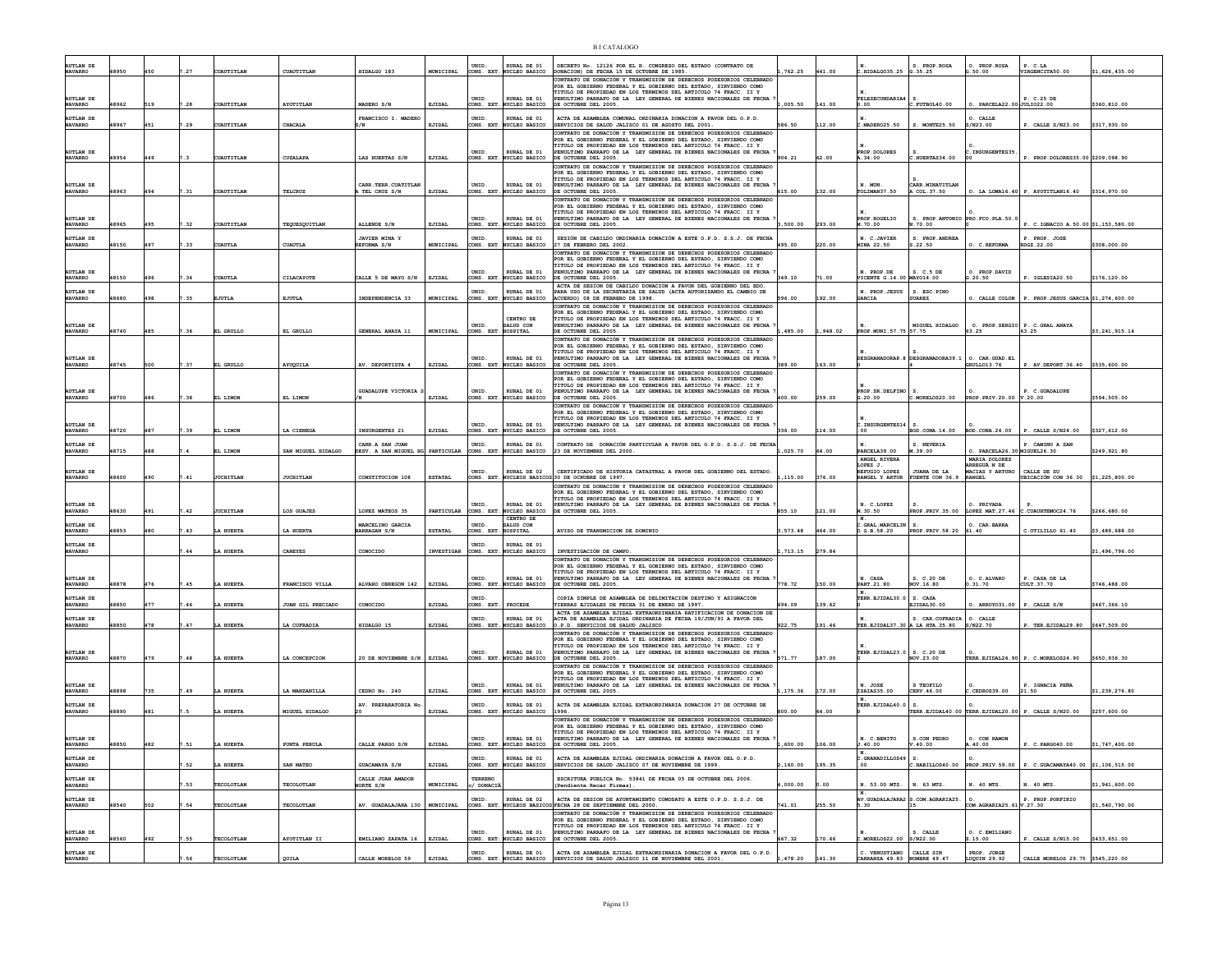| <b>AUTLAN DE</b><br><b>NAVARRO</b> | 48950 |     |      | <b>COAUTITLAN</b> | CUAUTITLAN               | HIDALGO 183                                         | MUNICIPAL      | UNID.<br>CONS. EXT.       | RURAL DE 01<br>NUCLEO BASICO              | DECRETO No. 12126 POR EL H. CONGRESO DEL ESTADO (CONTRATO DE<br>DONACION) DE FECHA 15 DE OCTUBRE DE 1985.                                                                                                                                                                                               | .762.25  | 441.00 | .HIDALG035.25 G.35.25                                    | S. PROP.ROSA                                       | O. PROP.ROSA<br>3.50.00                                              | P. C.LA<br>VIRGENCITA50.00                           | \$1,626,435.00 |
|------------------------------------|-------|-----|------|-------------------|--------------------------|-----------------------------------------------------|----------------|---------------------------|-------------------------------------------|---------------------------------------------------------------------------------------------------------------------------------------------------------------------------------------------------------------------------------------------------------------------------------------------------------|----------|--------|----------------------------------------------------------|----------------------------------------------------|----------------------------------------------------------------------|------------------------------------------------------|----------------|
| <b>AUTLAN DE</b>                   |       |     |      |                   |                          |                                                     |                | <b>INTD</b>               | RURAL DE 01                               | CONTRATO DE DONACIÓN Y TRANSMISION DE DERECHOS POSESORIOS CELEBRADO<br>POR EL GOBIERNO FEDERAL Y EL GOBIERNO DEL ESTADO, SIRVIENDO COMO<br>TITULO DE PROPIEDAD EN LOS TERMINOS DEL ARTICULO 74 FRACC. II Y<br>PENULTIMO PARRAFO DE LA LEY GENERAL DE BIENES NACIONALES DE FECHA                         |          |        | <b>TELESECUNDARIA4</b>                                   |                                                    |                                                                      | P. C. 25 DR                                          |                |
| <b>NAVARRO</b><br><b>AUTLAN DE</b> | 8962  |     |      | UAUTITLAN         | AYOTITLAN                | MADERO S/N<br>FRANCISCO I. MADERO                   | EJIDAL         | ONS. EXT<br>UNID.         | NUCLEO BASICO<br>RURAL DE 01              | DE OCTUBRE DEL 2005.<br>ACTA DE ASAMBLEA COMUNAL ORDINARIA DONACION A FAVOR DEL O.P.D.                                                                                                                                                                                                                  | ,005.50  | 141.00 | 0.00                                                     |                                                    | PAREELA22.00JJULIO22.00<br>. CALLE                                   |                                                      | \$360,810.00   |
| <b>NAVARRO</b>                     | 18967 | 451 | . 29 | UAUTITLAN         | CHACALA                  | 2N                                                  | EJIDAL         | ONS. EXT                  | NUCLEO BASICO                             | SERVICIOS DE SALUD JALISCO 01 DE AGOSTO DEL 2001<br>CONTRATO DE DONACIÓN Y TRANSMISION DE DERECHOS POSESORIOS CELEBRADO                                                                                                                                                                                 | 586.50   | 112.00 | MADER025.50                                              | S. MONTE25.50                                      | S/N23.00                                                             | P. CALLE S/N23.00                                    | \$317,930.00   |
| AUTLAN DE<br><b>NAVARRO</b>        | 48954 | 449 |      | CUAUTITLAN        | CUZALAPA                 | LAS HUERTAS S/N                                     | EJIDAL         | UNID.<br>CONS. EXT.       | RURAL DE 01<br>NUCLEO BASICO              | POR EL GOBIERNO FEDERAL Y EL GOBIERNO DEL ESTADO, SIRVIENDO COMO<br>TITULO DE PROPIEDAD EN LOS TERMINOS DEL ARTICULO 74 FRACC. II Y<br>PENULTIMO PARRAFO DE LA LEY GENERAL DE BIENES NACIONALES DE FECHA<br>DE OCTUBRE DEL 2005.                                                                        | 904.21   | 62.00  | PROP. DOLORES<br>A.34.00                                 | HUERTAS34.00                                       | .INSURGENTES35                                                       | P. PROP.DOLORES35.00 \$209.098.90                    |                |
| AUTLAN DE<br><b>NAVARRO</b>        | 8963  |     |      | UAUTITLAN         | <b>TELCRUZ</b>           | CARR. TERR. CUATITLA<br>TEL CRUZ S/N                | EJIDAL         | <b>INTD</b><br>ONS. EXT   | RURAL DE 01<br><b>WCLEO BASICO</b>        | CONTRATO DE DONACIÓN Y TRANSMISION DE DERECHOS POSESORIOS CELEBRADO<br>POR EL GOBIERNO FEDERAL Y EL GOBIERNO DEL ESTADO, SIRVIENDO COMO<br>TITULO DE PROPIEDAD EN LOS TERMINOS DEL ARTICULO 74 FRACC. II Y<br>PENULTIMO PARRAFO DE LA LEY GENERAL DE BIENES NACIONALES DE FECHA<br>DE OCTUBRE DEL 2005. | 615.00   | 32.00  | N. MUN<br>LIMAN37.50                                     | CARR.MINATITLAN<br>A COL.37.50                     |                                                                      | $\circ$ . LA LOMA16.40 P. AYOTITLAN16.40             | \$314,970.00   |
| AUTLAN DE                          |       |     |      |                   |                          |                                                     |                | UNID                      | <b>RURAL DE 01</b>                        | CONTRATO DE DONACIÓN Y TRANSMISION DE DERECHOS POSESORIOS CELEBRADO<br>POR EL GOBIERNO FEDERAL Y EL GOBIERNO DEL ESTADO, SIRVIENDO COMO<br>TITULO DE PROPIEDAD EN LOS TERMINOS DEL ARTICULO 74 FRACC. II Y<br>PENULTIMO PARRAFO DE LA LEY GENERAL DE BIENES NACIONALES DE FECHA                         |          |        | PROP. ROGELIO                                            | S. PROP. ANTONIO PRO. FCO. PLA.50.                 |                                                                      |                                                      |                |
| <b>NAVARRO</b><br><b>AUTLAN DE</b> | 48965 | 495 | .32  | <b>CUAUTITLAN</b> | TEQUESQUITLAN            | ALLENDE S/N<br>JAVIER MINA Y                        | EJIDAL         | ONS. EXT.<br>UNID.        | NUCLEO BASICO<br>RURAL DE 01              | DE OCTUBRE DEL 2005.<br>SESIÓN DE CABILDO ORDINARIA DONACIÓN A ESTE O.P.D. S.S.J. DE FECHA                                                                                                                                                                                                              | 3,500.00 | 293.00 | M.70.00<br>N. C.JAVIER                                   | .70.00<br>S. PROP. ANDREA                          |                                                                      | P. C.IGNACIO A.50.00 \$1,153,580.00<br>P. PROP. JOSE |                |
| <b>NAVARRO</b>                     | 18150 | 497 |      | UAUTLI            | <b>CUAUTLE</b>           | REFORMA S/N                                         | MUNICIPAL      | CONS. EXT.                | NUCLEO BASICO                             | 27 DE FEBRERO DEL 2002.<br>CONTRATO DE DONACIÓN Y TRANSMISION DE DERECHOS POSESORIOS CELEBRADO                                                                                                                                                                                                          | 495.00   | 220.00 | <b>MINA 22.50</b>                                        | S.22.50                                            | C. REFORMA                                                           | RDGZ.22.00                                           | \$308,000.00   |
| <b>AUTLAN DE</b><br><b>NAVARRO</b> | 18150 |     |      | <b>UAUTLA</b>     | CILACAYOTE               | CALLE 5 DE MAYO S/N                                 | EJIDAL         | <b>INTD</b><br>CONS. EXT. | RURAL DE 01<br>NUCLEO BASICO              | POR EL GOBIERNO FEDERAL Y EL GOBIERNO DEL ESTADO, SIRVIENDO COMO<br>TITULO DE PROPIEDAD EN LOS TERMINOS DEL ARTICULO 74 FRACC. II Y<br>PENULTIMO PARRAFO DE LA LEY GENERAL DE BIENES NACIONALES DE FECHA<br>DE OCTUBRE DEL 2005.                                                                        | 349.10   | 71.00  | N. PROP.DE<br>VICENTE G.14.00 MAY014.00                  | S. C.5 DE                                          | O. PROP.DAVID<br>G.20.50                                             | P. IGLESIA20.50                                      | \$176,120.00   |
| <b>AUTLAN DE</b>                   |       |     |      |                   |                          |                                                     |                | UNID.                     | RURAL DE 01                               | ACTA DE SESION DE CABILDO DONACION A FAVOR DEL GOBIERNO DEL EDO<br>PARA USO DE LA SECRETARIA DE SALUD (ACTA AUTORIZANDO EL CAMBIO DE                                                                                                                                                                    |          |        | N. PROP.JESUS                                            | S. ESC. PINO                                       |                                                                      |                                                      |                |
| <b>NAVARRO</b>                     | 18680 | 498 | 35   | JUTLI             | EJUTLA                   | INDEPENDENCIA 33                                    | MUNICIPAL      | CONS. EXT                 | NUCLEO BASICO                             | ACUERDO) 08 DE FEBRERO DE 1998.<br>CONTRATO DE DONACIÓN Y TRANSMISION DE DERECHOS POSESORIOS CELEBRADO<br>POR EL GOBIERNO FEDERAL Y EL GOBIERNO DEL ESTADO, SIRVIENDO COMO                                                                                                                              | 596.00   | 92.00  | <b>ARCIA</b>                                             | <b>SUAREZ</b>                                      | . CALLE COLON                                                        | P. PROP. JESUS GARCIA \$1,274,600.00                 |                |
| AUTLAN DE<br><b>NAVARRO</b>        | 48740 | 485 | 36   | EL GRULLO         | EL GRULLO                | GENERAL ANAYA 11                                    | MUNICIPAL      | <b>INTD</b><br>ONS. EXT.  | CENTRO DE<br>SALID CON<br>HOSPITAL        | TITULO DE PROPIEDAD EN LOS TERMINOS DEL ARTICULO 74 FRACC. II Y<br>PENULTIMO PARRAFO DE LA LEY GENERAL DE BIENES NACIONALES DE FECHA<br>DE OCTUBRE DEL 2005.                                                                                                                                            | ,485.00  | 948.02 | PROP.MUNI.57.75 57.75                                    | MIGUEL HIDALGO                                     | 0. PROP. SERGIO P. C.<br>63.25 63.25                                 | P. C.GRAL.ANAYA                                      | \$3,241,915.14 |
|                                    |       |     |      |                   |                          |                                                     |                |                           |                                           | CONTRATO DE DONACIÓN Y TRANSMISION DE DERECHOS POSESORIOS CELEBRADO<br>POR EL GOBIERNO FEDERAL Y EL GOBIERNO DEL ESTADO, SIRVIENDO COMO<br>TITULO DE PROPIEDAD EN LOS TERMINOS DEL ARTICULO 74 FRACC. II Y                                                                                              |          |        |                                                          |                                                    |                                                                      |                                                      |                |
| AUTLAN DE<br><b>NAVARRO</b>        | 18745 | 500 | .37  | EL GRULLO         | AYUQUILA                 | AV. DEPORTISTA 4                                    | EJIDAL         | <b>INTD</b><br>CONS. EXT. | RURAL DE 01<br><b>NUCLEO BASICO</b>       | PENULTIMO PARRAFO DE LA LEY GENERAL DE BIENES NACIONALES DE FECHA<br>DE OCTUBRE DEL 2005.                                                                                                                                                                                                               | 389.00   | 163.00 |                                                          | ESGRANADORA8.8 DESGRANADORA39.1                    | $0. \quad \texttt{CAR} \texttt{. GUAD} \texttt{. EL}$<br>GRULLO13.76 | P. AV. DEPORT. 36.40 \$535,600.00                    |                |
|                                    |       |     |      |                   |                          |                                                     |                |                           |                                           | CONTRATO DE DONACIÓN Y TRANSMISION DE DERECHOS POSESORIOS CELEBRADO<br>POR EL GOBIERNO FEDERAL Y EL GOBIERNO DEL ESTADO, SIRVIENDO COMO<br>TITULO DE PROPIEDAD EN LOS TERMINOS DEL ARTICULO 74 FRACC. II Y                                                                                              |          |        |                                                          |                                                    |                                                                      |                                                      |                |
| AUTLAN DE<br><b>NAVARRO</b>        | 18700 |     |      | L LIMON           | EL LIMON                 | GUADALUPE VICTORIA                                  | EJIDAL         | UNID<br>ONS. EXT          | RURAL DE 01<br><b>WCLEO BASICO</b>        | PENULTIMO PARRAFO DE LA LEY GENERAL DE BIENES NACIONALES DE FECHA<br>DE OCTUBRE DEL 2005.                                                                                                                                                                                                               | 400.00   | 259.00 | PROP. SR. DELFINO<br>G.20.00                             | $c.\texttt{MORELOS20.00}$                          | PROP.PRIV.20.00                                                      | . C.GUADALUPE<br>v.20.00                             | \$594,505.00   |
|                                    |       |     |      |                   |                          |                                                     |                |                           |                                           | CONTRATO DE DONACIÓN Y TRANSMISION DE DERECHOS POSESORIOS CELEBRADO<br>POR EL GOBIERNO FEDERAL Y EL GOBIERNO DEL ESTADO, SIRVIENDO COMO<br>TITULO DE PROPIEDAD EN LOS TERMINOS DEL ARTICULO 74 FRACC. II Y                                                                                              |          |        |                                                          |                                                    |                                                                      |                                                      |                |
| AUTLAN DE                          |       |     |      |                   |                          |                                                     |                | UNID.                     | RURAL DE 01                               | PENULTIMO PARRAFO DE LA LEY GENERAL DE BIENES NACIONALES DE FECHA                                                                                                                                                                                                                                       |          |        | .INSURGENTES14                                           |                                                    |                                                                      |                                                      |                |
| <b>NAVARRO</b><br><b>UTLAN DE</b>  | 18720 |     |      | LIMON             | A CIENEG                 | INSURGENTES 21                                      | EJIDAL         | NS. EXT                   | <b>JCLEO BASICO</b><br><b>RURAL DE 01</b> | DE OCTUBRE DEL 2005.                                                                                                                                                                                                                                                                                    | 336.00   | 14.00  |                                                          | 0. CONA. 14.00                                     | BOD.CONA.24.00                                                       | CALLE S/N24.00                                       | \$327,612.00   |
| <b>NAVARRO</b>                     | 18715 | 488 |      | L LIMON           | SAN MIGUEL HIDALGO       | CARR.A SAN JUAN<br>DESV. A SAN.MIGUEL HG PARTICULAR |                | CONS. EXT                 | NUCLEO BASICO                             | CONTRATO DE DONACIÓN PARTICULAR A FAVOR DEL O.P.D. S.S.J. DE FECHA 23 DE NOVIEMBRE DEL 2000.                                                                                                                                                                                                            | 1,025.70 | 64.00  | PARCELA39.00<br>ANGEL RIVERA                             | M.39.00                                            | $PARCELA26.30$ MIGUEL26.30<br>MARIA DOLORES                          |                                                      | \$249,921.80   |
| <b>AUTLAN DE</b><br><b>NAVARRO</b> | 18600 | 490 |      | <b>JUCHITLAN</b>  | <b>JUCHITLAN</b>         | CONSTITUCION 108                                    | ESTATAL        | <b>INTD</b><br>CONS. EXT  | RURAT, DR 02                              | CERTIFICADO DE HISTORIA CATASTRAL A FAVOR DEL GOBIERNO DEL ESTADO<br>NUCLEOS BASICOS 30 DE OCRUBRE DE 1997.                                                                                                                                                                                             | 1,115.00 | 376.00 | LOPEZ J<br>REFUGIO LOPEZ<br>RANGEL Y ARTUR               | <b>JUANA DE LA</b><br>FUENTE CON 36.               | RREGUÃ N DE<br>ACIAS Y ARTURO<br>NGEL                                | CALLE DE SIL<br>BICACIÓN CON 36.30 \$1,225,800.00    |                |
|                                    |       |     |      |                   |                          |                                                     |                |                           |                                           | CONTRATO DE DONACIÓN Y TRANSMISION DE DERECHOS POSESORIOS CELEBRADO<br>FOR EL GOBIERNO FEDERAL Y EL GOBIERNO DEL ESTADO. SIRVIENDO COMO                                                                                                                                                                 |          |        |                                                          |                                                    |                                                                      |                                                      |                |
| <b>AUTLAN DE</b><br><b>NAVARRO</b> | 48630 | 491 | .42  | JUCHITLAN         | LOS GUAJES               | LOPEZ MATEOS 35                                     | PARTICULAR     | UNID<br>ONS. EXT          | RURAL DE 01<br>NUCLEO BASICO              | FINULO DE PROPIEDAD EN LOS TERMINOS DEL ARTICULO 74 FRACC. II Y<br>PENULTIMO PARRAFO DE LA LEY GENERAL DE BIENES NACIONALES DE FECHA<br>DE OCTUBRE DEL 2005.                                                                                                                                            | 855.10   | 121.00 | N. C.LOPEZ<br>M.30.50                                    | PROP. PRIV. 35.00                                  | O. PRIVADA<br>LOPEZ MAT.27.46                                        | .CUAUHTEMOC24.76                                     | \$266,680.00   |
| <b>AUTLAN DE</b><br><b>NAVARRO</b> | 18853 |     |      | HUERTA            | LA HUERTA                | MARCELINO GARCIA<br>MARRAGAN S/N                    | <b>ESTATAL</b> | UNID.<br>ONS. EXT.        | CENTRO DE<br>SALUD CON<br><b>IOSPITAL</b> | AVISO DE TRANSMICION DE DOMINIO                                                                                                                                                                                                                                                                         | ,573.48  | 464.00 | GRAL. MARCELIN<br>G.B.58.20                              | s.<br>PROP. PRIV. 58.20                            | . CAR. BARRA<br>61.40                                                | C.OTILILLO 61.40                                     | \$3,489,688.00 |
| <b>AUTLAN DE</b>                   |       |     |      |                   |                          |                                                     |                | UNID                      | RURAL DE 01                               |                                                                                                                                                                                                                                                                                                         |          |        |                                                          |                                                    |                                                                      |                                                      |                |
| <b>NAVARRO</b>                     |       |     |      | LA HUERTA         | CAREYES                  | CONOCIDO                                            | INVESTIGAR     | CONS. EXT.                | NUCLEO BASICO                             | INVESTIGACIÓN DE CAMPO.<br>CONTRATO DE DONACIÓN Y TRANSMISION DE DERECHOS POSESORIOS CELEBRADO                                                                                                                                                                                                          | , 713.15 | 279.84 |                                                          |                                                    |                                                                      |                                                      | \$1,496,796.00 |
| <b>AUTLAN DE</b>                   |       |     |      |                   |                          |                                                     |                | UNID.                     | RURAL DE 01                               | POR EL GOBIERNO FEDERAL Y EL GOBIERNO DEL ESTADO, SIRVIENDO COMO POR EL GOBIERNO FEDERAL Y EL GOBIERNO DEL ESTADO, SIRVIENDO COMO<br>PENULTIMO PARRAFO DE LA LEY GENERAL DE BIENES NACIONALES DE FECHA                                                                                                  |          |        | N. CASA                                                  | S. C.20 DE                                         | O. C.ALVARO                                                          | P. CASA DE LA                                        |                |
| <b>NAVARRO</b>                     | 18878 | 476 |      | HUERTA            | FRANCISCO VILLA          | ALVARO OBREGON 142                                  | EJIDAL         | CONS. EXT.                | NUCLEO BASICO                             | DE OCTUBRE DEL 2005.                                                                                                                                                                                                                                                                                    | 778.72   | 150.00 | PART. 21.80                                              | ov.16.80                                           | .31.70                                                               | CULT.37.70                                           | \$746,488.00   |
| AUTLAN DE<br><b>NAVARRO</b>        | 18850 | 477 |      | HUERTA            | <b>JUAN GIL PRECIADO</b> | CONOCIDO                                            | EJIDAL         | <b>INTD</b><br>CONS. EXT  | PROCEDI                                   | COPIA SIMPLE DE ASAMBLEA DE DELIMITACIÓN DESTINO Y ASIGNACIÓN<br>FIERRAS EJIDALES DE FECHA 31 DE ENERO DE 1997.                                                                                                                                                                                         | 694.09   | 139.62 | TERR. EJIDAL30.0 S. CASA                                 | EJIDAL30.00                                        | . ARROYO31.00                                                        | P. CALLE S/N                                         | \$467,366.10   |
| <b>AUTLAN DE</b><br><b>NAVARRO</b> | 18850 | 478 |      | HUERTA            | LA COFRADIA              | HIDALGO 15                                          | EJIDAL         | UNID.<br>ONS. EXT         | RURAL DE 01<br>UCLEO BASICO               | ACTA DE ASAMBLEA EJIDAL EXTRAORDINARIA RATIFICACION DE DONACION DE<br>ACTA DE ASAMBLEA EJIDAL ORDINARIA DE FECHA 19/JUN/91 A FAVOR DEL<br>.P.D. SERVICIOS DE SALUD JALISCO                                                                                                                              | 922.75   | 91.46  |                                                          | S. CAR. COFRADIA<br>ER. EJIDAL37.30 A LA HTA.35.80 | O. CALLE<br>S/N22.70                                                 | TER.EJIDAL29.80                                      | \$647,509.00   |
|                                    |       |     |      |                   |                          |                                                     |                |                           |                                           | CONTRATO DE DONACIÓN Y TRANSMISION DE DERECHOS POSESORIOS CELEBRADO<br>POR EL GOBIERNO FEDERAL Y EL GOBIERNO DEL ESTADO, SIRVIENDO COMO<br>TITULO DE PROPIEDAD EN LOS TERMINOS DEL ARTICULO 74 FRACC. II Y                                                                                              |          |        |                                                          |                                                    |                                                                      |                                                      |                |
| <b>AUTLAN DE</b><br><b>NAVARRO</b> | 18870 | 479 |      | HUERT             | A CONCEPCION             | 20 DE NOVIEMBRE S/N                                 | EJIDAL         | UNID.<br>EXT.             | RURAL DE 01<br><b>CLEO BASICO</b>         | PENULTIMO PARRAFO DE LA LEY GENERAL DE BIENES NACIONALES DE FECHA<br>DE OCTUBRE DEL 2005.                                                                                                                                                                                                               | 571.77   | 187.00 | TERR.EJIDAL23.0 S. C.20 DE                               | VOV.23.00                                          | TERR.EJIDAL24.90                                                     | P. C.MORELOS24.90                                    | \$650,936.30   |
|                                    |       |     |      |                   |                          |                                                     |                |                           |                                           | CONTRATO DE DONACIÓN Y TRANSMISION DE DERECHOS POSESORIOS CELEBRADO<br>POR EL GOBIERNO FEDERAL Y EL GOBIERNO DEL ESTADO, SIRVIENDO COMO<br>TITULO DE PROPIEDAD EN LOS TERMINOS DEL ARTICULO 74 FRACC. II Y                                                                                              |          |        |                                                          |                                                    |                                                                      |                                                      |                |
| UTLAN DE<br><b>NAVARRO</b>         | 18898 | 735 |      | <b>HUERTA</b>     | LA MANZANILLA            | CEDRO No. 240                                       | EJIDAL         | UNID<br>ONS. EXT          | RURAL DE 01<br><b>WCLEO BASICO</b>        | NULTIMO PARRAFO DE LA LEY GENERAL DE BIENES NACIONALES DE FECHA<br>DE OCTUBRE DEL 2005.                                                                                                                                                                                                                 | 1,175.36 | 172.00 | $\begin{vmatrix} N. & JOSE \\ ISAIAS35.00 \end{vmatrix}$ | S TEOFILO<br>CERV.46.00                            | .CEDROS39.00                                                         | IGNACIA PEÑA<br>21.50                                | \$1,239,276.80 |
| AUTLAN DE<br><b>NAVARRO</b>        | 18890 |     |      | <b>HUERTI</b>     | MIGUEL HIDALGO           | AV. PREPARATORIA No                                 | EJIDAL         | UNID.<br>ONS EXT          | RURAL DE 01<br>UCLEO BASICO               | ACTA DE ASAMBLEA EJIDAL EXTARORDINARIA DONACION 27 DE OCTUBRE DE<br>1996.                                                                                                                                                                                                                               | no oo    | 00     | TERR. EJIDAL40.0   S.                                    | TERR.EJIDAL40.00                                   | TERR.EJIDAL20.00                                                     | P. CALLE S/N20.00                                    | \$257,600.00   |
|                                    |       |     |      |                   |                          |                                                     |                |                           |                                           | CONTRATO DE DONACTÓN Y TRANSMISION DE DERECHOS POSESORIOS CELEBRADO<br>POR EL GOBIERNO FEDERAL Y EL GOBIERNO DEL ESTADO, SIRVIENDO COMO<br>TITULO DE PROPIEDAD EN LOS TERMINOS DEL ARTICULO 74 FRACC. II Y                                                                                              |          |        |                                                          |                                                    |                                                                      |                                                      |                |
| <b>AUTLAN DE</b><br><b>NAVARRO</b> | 18850 | 482 | 51   | A HUERTA          | <b>FUNTA PERULA</b>      | CALLE PARGO S/N                                     | EJIDAL         | UNID<br>ONS. EXT          | RURAL DE 01<br>UCLEO BASICO               | PENULTIMO PARRAFO DE LA LEY GENERAL DE BIENES NACIONALES DE FECHA<br>E OCTUBRE DEL 2005.                                                                                                                                                                                                                | 600.00   | 106.00 | N. C.BENITO<br>40.00                                     | S.CON PEDRO<br>.40.00                              | O. CON RAMON<br>40.00                                                | C.PARG040.00                                         | 1,747,400.00   |
| <b>AUTLAN DE</b><br><b>NAVARRO</b> |       |     | .52  | A HUERTA          | SAN MATEO                | GUACAMAYA S/N                                       | EJIDAL         | UNID<br>ONS. EXT          | URAL DE 01<br>UCLEO BASICO                | ACTA DE ASAMBLEA EJIDAL ORDINARIA DONACION A FAVOR DEL O.P.D.<br>SERVICIOS DE SALUD JALISCO 07 DE NOVIEMBRE DE 1999.                                                                                                                                                                                    | 160.00   | 195.35 | .GRANADILLOS49<br>00                                     | $c.\mathtt{HABILLOS40.00}$                         | PROP. PRIV. 59.00                                                    | P. C.GUACAMAYA40.00 \$1,106,515.00                   |                |
| <b>AUTLAN DE</b><br><b>NAVARRO</b> |       |     |      | <b>TECOLOTLAN</b> | TECOLOTLAN               | CALLE JUAN AMADOR<br>NORTE S/N                      | MUNICIPAL      | TERRENO<br>/ DONAC        |                                           | ESCRITURA PUBLICA No. 53841 DE FECHA 05 DE OCTUBRE DEL 2006.<br>Pendiente Recar Firmas).                                                                                                                                                                                                                | 000.00   |        | 53.00 MTS.                                               | N. 63 MTS                                          | . 40 MTS.                                                            | 40 MTS                                               | \$1,941,600.00 |
| <b>AUTLAN DE</b>                   |       |     |      |                   |                          |                                                     |                | UNID.                     | <b>RURAL DE 02</b>                        | ACTA DE SESION DE AYUNTAMIENTO COMODATO A ESTE O.P.D. S.S.J. DE                                                                                                                                                                                                                                         |          |        | <b>AV. GUADALAJARA2</b>                                  | S.COM.AGRARIA25.                                   |                                                                      | P. PROP. PORFIRIO                                    |                |
| <b>NAVARRO</b>                     | 48540 | 502 | .54  | TECOLOTLAN        | TECOLOTLAN               | AV. GUADALAJARA 130   MUNICIPAL                     |                | CONS. EXT.                |                                           | NUCLEOS BASICOS FECHA 28 DE SEPTIEMBRE DEL 2000.<br>CONTRATO DE DONACIÓN Y TRANSMISION DE DERECHOS POSESORIOS CELEBRADO                                                                                                                                                                                 | 741.01   | 255.50 | 5.30                                                     |                                                    | COM. AGRARIA25.61 V.27.30                                            |                                                      | \$1,540,790.00 |
| <b>AUTLAN DE</b><br><b>NAVARRO</b> | 18560 |     |      | TECOLOTLA         | AYOTITLAN II             | EMILIANO ZAPATA 16 EJIDAL                           |                | UNID.<br>CONS. EXT        | RURAL DE 01<br>NUCLEO BASICO              | CONTROL DE PROPIEDAD EN LOS TERMINOS DEL ESTADO, SIRVIENDO COMO<br>FOR EL GOBIERNO FEDERAL Y EL GOBIERNO DEL ESTADO, SIRVIENDO COMO<br>TITULO DE PROPIEDAD EN LOS TERMINOS DEL ARTICULO 74 FRACC. II Y<br>PENULTIMO PARRAFO DE LA LEY GENERAL DE BIENES NACIONALES DE FECHA<br>DE OCTUBRE DEL 2005.     | 667.32   | 170.66 | MORELOS22.00                                             | S. CALLE<br>S/N22.00                               | O. C.EMILIANO<br>2.15.00                                             | P. CALLE S/N15.00                                    | \$433,651.00   |
| AUTLAN DE                          |       |     |      |                   |                          |                                                     |                | UNID                      | RURAL DE 01                               | ACTA DE ASAMBLEA EJIDAL EXTRAORDINARIA DONACION A FAVOR DEL O.P.D. SERVICIOS DE SALUD JALISCO 11 DE NOVIEMBRE DEL 2001.                                                                                                                                                                                 |          |        | C. VENUSTIANO<br>CARRANZA 49.83                          | CALLE SIN<br>NOMBRE 49.47                          | PROP. JORGE<br>LUQUIN 29.92                                          |                                                      |                |
|                                    |       |     |      |                   | QUILA                    | CALLE MORELOS 59                                    | EJIDAL         | EXT.                      | NUCLEO BASICO                             |                                                                                                                                                                                                                                                                                                         | ,478.20  | 141.30 |                                                          |                                                    |                                                                      | CALLE MORELOS 29.75 \$545,220.00                     |                |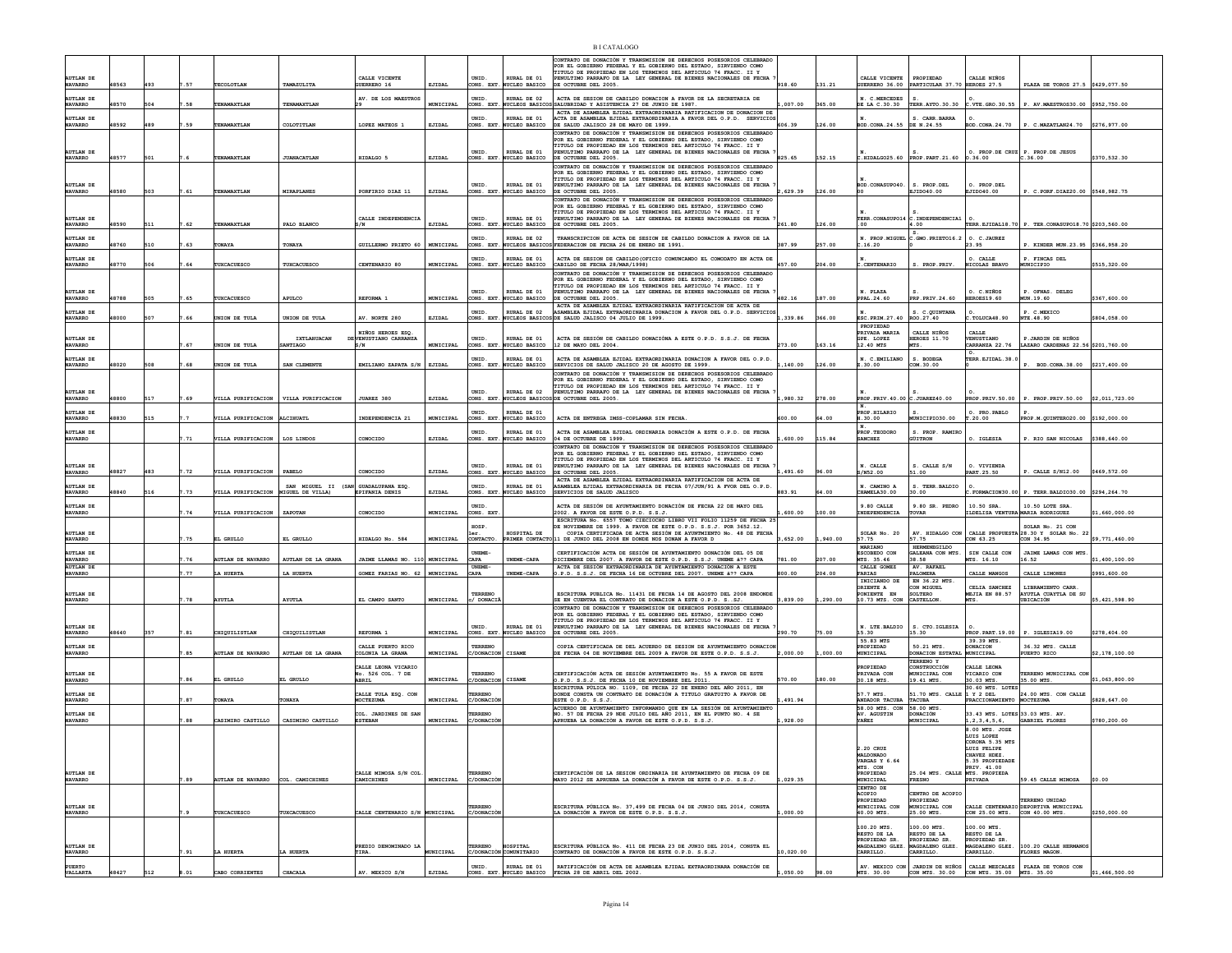| <b>AUTLAN DE</b>                                       | 48563 | 493 | .57  | TECOLOTLAN                          | TAMAZULITA                              | CALLE VICENTE                                     | EJIDAL    | <b>INTD</b><br>CONS. EXT.              | RURAL DE 01                                               | ONTRATO DE DONACIÓN Y TRANSMISION DE DERECHOS POSESORIOS CELEBRADO<br>FOR EL GOBIERNO FEDERAL Y EL GOBIERNO DEL ESTADO, SIRVIENDO COMO<br>TITULO DE PROPIEDAD EN LOS TERMINOS DEL ARTICULO 74 FRACC. II Y<br>PENULTIMO PARRAFO DE LA LEY GENERAL DE BIENES NACIONALES DE FECHA | 918.60   | 131.21   | CALLE VICENTE                                     | <b>PROPTEDAD</b><br>PARTICULAR 37.70 HEROES 27.5 | CALLE NTROS                                              | PLAZA DE TOROS 27.5 \$429,077.50                                      |                |
|--------------------------------------------------------|-------|-----|------|-------------------------------------|-----------------------------------------|---------------------------------------------------|-----------|----------------------------------------|-----------------------------------------------------------|--------------------------------------------------------------------------------------------------------------------------------------------------------------------------------------------------------------------------------------------------------------------------------|----------|----------|---------------------------------------------------|--------------------------------------------------|----------------------------------------------------------|-----------------------------------------------------------------------|----------------|
| <b>NAVARRO</b><br><b>AUTLAN DE</b><br><b>NAVARRO</b>   | 48570 | 504 | .58  | TENAMAXTLAN                         | TENAMAXTLAN                             | <b>JUERRERO 16</b><br>AV. DE LOS MAESTROS         | MUNICIPAL | UNID.                                  | NUCLEO BASICO<br>RURAL DE 02<br>CONS. EXT. NUCLEOS BASICO | E OCTUBRE DEL 2005.<br>ACTA DE SESION DE CABILDO DONACION A FAVOR DE LA SECRETARIA DE<br>SSALUBRIDAD Y ASISTENCIA 27 DE JUNIO DE 1987.                                                                                                                                         | ,007.00  | 365.00   | GUERRERO 36.00<br>N. C.MERCEDES<br>DE LA C.30.30  |                                                  |                                                          | TERR.AYTO.30.30 C.VTE.GRO.30.55 P. AV.MAESTROS30.00 \$952,750.00      |                |
| <b>AUTLAN DE</b>                                       |       |     |      |                                     |                                         |                                                   |           | UNID                                   | RURAL DE 01                                               | ACTA DE ASAMBLEA EJIDAL EXTRAORDINARIA RATIFICACION DE DONACION DE<br>ACTA DE ASAMBLEA EJIDAL EXTRAORDINARIA A FAVOR DEL O.P.D. SERVICIOS                                                                                                                                      |          |          |                                                   | S. CARR.BARRA                                    |                                                          |                                                                       |                |
| <b>NAVARRO</b>                                         | 48592 | 489 | 59   | TENAMAXTLAN                         | COLOTITLAN                              | LOPEZ MATEOS 1                                    | EJIDAL    | ONS. EXT                               | UCLEO BASICO                                              | DE SALUD JALISCO 28 DE MAYO DE 1999.<br>ONTRATO DE DONACIÓN Y TRANSMISION DE DERECHOS POSESORIOS CELEBRADO                                                                                                                                                                     | 606.39   | 126.00   | BOD.CONA.24.55                                    | DE N.24.55                                       | BOD.CONA.24.70                                           | P. C.MAZATLAN24.70 \$276,977.00                                       |                |
| <b>AUTLAN DE</b><br><b>NAVARRO</b>                     | 48577 | 501 |      | TENAMAXTLAN                         | <b>JUANACATLAN</b>                      | HIDALGO 5                                         | EJIDAL    | UNID.<br>CONS. EXT.                    | RURAL DE 01<br>NUCLEO BASICO                              | OR EL GOBIERNO FEDERAL Y EL GOBIERNO DEL ESTADO, SIRVIENDO COMO<br>TITULO DE PROPIEDAD EN LOS TERMINOS DEL ARTICULO 74 FRACC. II Y<br>PENULTIMO PARRAFO DE LA LEY GENERAL DE BIENES NACIONALES DE FECHA<br>E OCTUBRE DEL 2005                                                  | 825.65   | 152.15   |                                                   | $C.HIDALGO25.60$ PROP. PART. 21.60               | 0.36.00                                                  | O. PROP.DE CRUZ P. PROP.DE JESUS<br>C.36.00                           | \$370,532.30   |
| <b>AUTLAN DE</b>                                       |       |     |      |                                     |                                         |                                                   |           | UNID.                                  | RURAL DE 01                                               | CONTRATO DE DONACIÓN Y TRANSMISION DE DERECHOS POSESORIOS CELEBRADO<br>OR EL GOBIERNO FEDERAL Y EL GOBIERNO DEL ESTADO, SIRVIENDO COMO<br>TITULO DE PROPIEDAD EN LOS TERMINOS DEL ARTICULO 74 FRACC. II Y                                                                      |          |          | BOD. CONASUPO40.                                  | S. PROP.DEL                                      | O. PROP.DEL                                              |                                                                       |                |
| <b>NAVARRO</b>                                         | 48580 | 503 | .61  | TENAMAXTLAN                         | MIRAPLANES                              | PORFIRIO DIAZ 11                                  | EJIDAL    | CONS. EXT                              | <b>WCLEO BASICO</b>                                       | PENULTIMO PARRAFO DE LA LEY GENERAL DE BIENES NACIONALES DE FECHA<br>OCTUBRE DEL 2005.<br>CONTRATO DE DONACIÓN Y TRANSMISION DE DERECHOS POSESORIOS CELEBRADO                                                                                                                  | ,629.39  | 126.00   |                                                   | EJID040.00                                       | EJIDO40.00                                               | P. C.PORF.DIAZ20.00 \$548,982.75                                      |                |
| <b>AUTLAN DE</b><br><b>NAVARRO</b>                     | 48590 | 511 | .62  | TENAMAXTLAN                         | PALO BLANCO                             | CALLE INDEPENDENCIA<br>3/N                        | EJIDAL    | UNID<br>CONS. EXT.                     | RURAL DE 01<br>NUCLEO BASICO                              | OR EL GOBIERNO FEDERAL Y EL GOBIERNO DEL ESTADO, SIRVIENDO COMO<br>TITULO DE PROPIEDAD EN LOS TERMINOS DEL ARTICULO 74 FRACC. II Y<br>PENULTIMO PARRAFO DE LA LEY GENERAL DE BIENES NACIONALES DE FECHA<br>E OCTUBRE DEL 2005.                                                 | 261.80   | 126.00   | TERR. CONASUPO14                                  | C. INDEPENDENCIA1<br>1.00                        |                                                          | TERR. EJIDAL18.70 P. TER. CONASUPO18.70 \$203,560.00                  |                |
| <b>AUTLAN DE</b>                                       |       |     |      |                                     |                                         |                                                   |           | UNID.                                  | RURAL DE 02<br>CONS. EXT. NUCLEOS BASICO                  | TRANSCRIPCION DE ACTA DE SESION DE CABILDO DONACION A FAVOR DE LA<br>FEDERACION DE FECHA 26 DE ENERO DE 1991.                                                                                                                                                                  |          |          | N. PROP.MIGUEL                                    | $: GMO$ . PRIETO $16.2$                          | O. C. JAUREZ                                             |                                                                       |                |
| <b>NAVARRO</b><br><b>AUTLAN DE</b>                     | 48760 | 510 | .63  | <b>TONAYA</b>                       | TONAYA                                  | GUILLERMO PRIETO 60   MUNICIPAL                   |           | UNID                                   | RURAL DE 01                                               | ACTA DE SESION DE CABILDO (OFICIO COMUNCANDO EL COMODATO EN ACTA DE                                                                                                                                                                                                            | 387.99   | 257.00   | C.16.20                                           |                                                  | 23.95<br>O. CALLE                                        | P. KINDER MUN. 23.95 \$366,958.20<br>P. FINCAS DEL                    |                |
| <b>NAVARRO</b>                                         | 48770 | 506 | . 64 | TUXCACUESCO                         | TUXCACUESCO                             | CENTENARIO 80                                     | MUNICIPAL | CONS. EXT.                             | NUCLEO BASICO                                             | CABILDO DE FECHA 28/MAR/1998)<br>CONTRATO DE DONACIÓN Y TRANSMISION DE DERECHOS POSESORIOS CELEBRADO                                                                                                                                                                           | 457.00   | 204.00   | C. CENTENARIO                                     | S. PROP PRTV.                                    | NICOLAS BRAVO                                            | MUNICIPIO                                                             | \$515,320.00   |
| <b>AUTLAN DE</b><br><b>NAVARRO</b>                     | 48788 | 505 | .65  | TUXCACUESCO                         | APULCO                                  | REFORMA 1                                         | MUNICIPAL | UNID.<br>CONS. EXT.                    | RURAL DE 01<br>NUCLEO BASICO                              | OR EL GOBIERNO FEDERAL Y EL GOBIERNO DEL ESTADO, SIRVIENDO COMO<br>TITULO DE PROPIEDAD EN LOS TERMINOS DEL ARTICULO 74 FRACC. II Y<br>PENULTIMO PARRAFO DE LA LEY GENERAL DE BIENES NACIONALES DE FECHA<br>E OCTUBRE DEL 2005.                                                 | 482.16   | 187.00   | N. PLAZA<br>PPAL. 24.60                           | PRP.PRIV.24.60                                   | O. C.NIÑOS<br>HEROES19.60                                | P. OFNAS. DELEG<br>CON.19.60                                          | \$367,600.00   |
| AUTLAN DE                                              |       |     |      |                                     |                                         |                                                   |           | UNID                                   | RIJRAT, DR 02                                             | ACTA DE ASAMBLEA EJIDAL EXTRAORDINARIA RATIFICACION DE ACTA DE<br>SAMBLEA EJIDAL EXTRAORDINARIA DONACION A FAVOR DEL O.P.D. SERVICIOS                                                                                                                                          |          |          |                                                   | S. C. QUINTANA                                   |                                                          | P. C.MEXICO                                                           |                |
| <b>NAVARRO</b>                                         | 48000 | 507 | . 66 | UNION DE TULA                       | UNION DE TULA                           | AV. NORTE 280                                     | EJIDAL    | CONS. EXT.                             |                                                           | NUCLEOS BASICOS DE SALUD JALISCO 04 JULIO DE 1999.                                                                                                                                                                                                                             | 1,339.86 | 366.00   | ESC. PRIM. 27.40<br>PROPIEDAD                     | ROO.27.40                                        | .TOLUCA48.90                                             | NTE. 48.90                                                            | \$804,058.00   |
| <b>AUTLAN DE</b><br><b>NAVARRO</b>                     |       |     | .67  | UNION DE TULA                       | <b>IXTLAHUACAN</b><br>SANTIAGO          | NIÑOS HEROES ESO.<br>DEVENUSTIANO CARRANZA<br>S/N | MUNICIPAL | UNID.<br>CONS. EXT.                    | RURAL DE 01<br>NUCLEO BASICO                              | ACTA DE SESIÓN DE CABILDO DONACIÓNA A ESTE O.P.D. S.S.J. DE FECHA<br>2 DE MAYO DEL 2004                                                                                                                                                                                        | 273.00   | 163.16   | PRIVADA MARIA<br>GPE. LOPEZ<br>12.40 MTS          | CALLE NIÑOS<br>HEROES 11.70<br>ďБ.               | CALLE<br>VENUSTIANO<br>ARRANZA 22.76                     | P.JARDIN DE NIÑOS<br>LAZARO CARDENAS 22.56 \$201,760.00               |                |
| <b>AUTLAN DE</b><br><b>NAVARRO</b>                     | 48020 | 508 | .68  | UNION DE TULA                       | SAN CLEMENTE                            | EMILIANO ZAPATA S/N EIIDAL                        |           | UNID.                                  | RURAL DE 01<br>ONS. EXT. NUCLEO BASICO                    | ACTA DE ASAMBLEA EJIDAL EXTRAORDINARIA DONACION A FAVOR DEL O.P.D.<br>SERVICIOS DE SALID JALISCO 20 DE AGOSTO DE 1999.                                                                                                                                                         | .140.00  | 126.00   | N. C.EMILIANO<br>Z.30.00                          | S. BODEGA<br>COM.30.00                           | TERR.EJIDAL.38.                                          | P. BOD.CONA.38.00 \$217.400.00                                        |                |
|                                                        |       |     |      |                                     |                                         |                                                   |           |                                        |                                                           | ONTRATO DE DONACIÓN Y TRANSMISION DE DERECHOS POSESORIOS CELEBRADO<br>OR EL GOBIERNO FEDERAL Y EL GOBIERNO DEL ESTADO, SIRVIENDO COMO                                                                                                                                          |          |          |                                                   |                                                  |                                                          |                                                                       |                |
| <b>AUTLAN DE</b><br><b>NAVARRO</b>                     | 48800 | 517 | .69  |                                     | VILLA PURIFICACION   VILLA PURIFICACION | JUAREZ 380                                        | EJIDAL    | UNID.                                  | RURAL DE 02                                               | TITULO DE PROPIEDAD EN LOS TERMINOS DEL ARTICULO 74 FRACC. II Y<br>INULTIMO PARRAFO DE LA LEY GENERAL DE BIENES NACIONALES DE FECHA<br>CONS. EXT. NUCLEOS BASICOS DE OCTUBRE DEL 2005.                                                                                         | ,980.32  | 278.00   | PROP. PRIV. 40.00 C. JUAREZ40.00                  |                                                  |                                                          | PROP. PRIV.50.00   P. PROP. PRIV.50.00 \$2,011,723.00                 |                |
| <b>AUTLAN DE</b>                                       |       |     |      |                                     |                                         |                                                   |           | <b>INTD</b>                            | RIJRAT, DE 01                                             |                                                                                                                                                                                                                                                                                |          |          | N.<br>PROP HTTARTO                                |                                                  | O. PRO. PABLO                                            |                                                                       |                |
| <b>NAVARRO</b>                                         | 48830 | 515 |      | VILLA PURIFICACION ALCIHUATL        |                                         | <b>TNDEPENDENCTA 21</b>                           | MUNICIPAL |                                        | CONS. EXT. NUCLEO BASICO                                  | ACTA DE ENTREGA IMSS-COPLAMAR SIN FECHA                                                                                                                                                                                                                                        | 500.00   | 64.00    | H.30.00                                           | CONICIPIO30.00                                   | T.20.00                                                  | PROP M OUTNTERO20 00 \$192.000 00                                     |                |
| <b>AUTLAN DE</b><br><b>NAVARRO</b>                     |       |     | .71  | VILLA PURIFICACION                  | LOS LINDOS                              | CONOCIDO                                          | EJIDAL    | UNID.<br>CONS. EXT.                    | RURAL DE 01<br>NUCLEO BASICO                              | ACTA DE ASAMBLEA EJIDAL ORDINARIA DONACIÓN A ESTE O.P.D. DE FECHA<br>04 DE OCTUBRE DE 1999.                                                                                                                                                                                    | 600.00   | 115.84   | PROP. TEODORO<br><b>SANCHEZ</b>                   | S. PROP. RAMIRO<br>GÜITRON                       | O. IGLESIA                                               | P. RIO SAN NICOLAS \$388.640.00                                       |                |
|                                                        |       |     |      |                                     |                                         |                                                   |           |                                        |                                                           | CONTRATO DE DONACIÓN Y TRANSMISION DE DERECHOS POSESORIOS CELEBRADO<br>OR EL GORTERNO FEDERAL Y EL GORTERNO DEL ESTADO, STRVTENDO COMO<br>ITULO DE PROPIEDAD EN LOS TERMINOS DEL ARTICULO 74 FRACC. II Y                                                                       |          |          |                                                   |                                                  |                                                          |                                                                       |                |
| <b>AUTLAN DE</b><br><b>NAVARRO</b>                     | 48827 | 483 | .72  | VILLA PURIFICACION                  | PABELO                                  | CONOCIDO                                          | EJIDAL    | UNID.<br>CONS. EXT.                    | RURAL DE 01<br>NUCLEO BASICO                              | ENULTIMO PARRAFO DE LA LEY GENERAL DE BIENES NACIONALES DE FECHA<br>E OCTUBRE DEL 2005.                                                                                                                                                                                        | .491.60  | 96.00    | N. CALLE<br>/N52.00                               | S. CALLE S/N<br>00.11                            | O. VIVIENDA<br>PART. 25.50                               | P. CALLE S/N12.00                                                     | \$469,572.00   |
| <b>AUTLAN DE</b><br><b>NAVARRO</b>                     | 48840 | 516 | .73  | VILLA PURIFICACION MIGUEL DE VILLA) | SAN MIGUEL II (SAN GUADALUPANA ESO.     | EPIFANIA DENIS                                    | EJIDAL    | UNID.                                  | RURAL DE 01<br>CONS. EXT. NUCLEO BASICO                   | ACTA DE ASAMBLEA EJIDAL EXTRAORDINARIA RATIFICACION DE ACTA DE<br>SAMBLEA EJIDAL EXTRAORDINARIA DE FECHA 07/JUN/91 A FVOR DEL O.P.D.<br>BERVICIOS DE SALUD JALISCO                                                                                                             | 883.91   | 64.00    | N. CAMINO A<br>CHAMELA30.00                       | S. TERR BALDIO<br>30.00                          |                                                          | FORMACION30.00 P. TERR.BALDIO30.00 \$294.264.70                       |                |
| <b>AUTLAN DE</b><br><b>NAVARRO</b>                     |       |     | .74  | VILLA PURIFICACION                  | ZAPOTAN                                 | CONOCIDO                                          | MUNICIPAL | UNID<br>CONS. EXT                      |                                                           | ACTA DE SESIÓN DE AYUNTAMIENTO DONACIÓN DE FECHA 22 DE MAYO DEL<br>2002. A FAVOR DE ESTE O.P.D. S.S.J.                                                                                                                                                                         | 600.00   | 100.00   | 9.80 CALLE<br>INDEPENDENCIA                       | 9.80 SR. PEDRO<br><b>FOVAR</b>                   | 10.50 SRA<br>ILDELISA VENTURA MARIA RODRIGUEZ            | 10.50 LOTE SRA                                                        | 660,000.00     |
| <b>AUTLAN DE</b>                                       |       |     |      |                                     |                                         |                                                   |           | HOSP.<br>1er                           | HOSPITAL DE                                               | ESCRITURA No. 6557 TOMO CIECIOCHO LIBRO VII FOLIO 11259 DE FECHA 25<br>E NOVIEMBRE DE 1999. A FAVOR DE ESTE O.P.D. S.S.J. POR 3652.12.<br>COPIA CERTIFICADA DE ACTA SESIÓN DE AYUNTMIENTO No. 48 DE FECHA                                                                      |          |          | SOLAR No. 20                                      | AV. HIDALGO CON                                  |                                                          | SOLAR No. 21 CON<br>CALLE PROPUESTA 28.30 Y SOLAR No. 23              |                |
| <b>NAVARRO</b>                                         |       |     | .75  | EL GRULLO                           | EL GRULLO                               | HIDALGO No. 584                                   | MUNICIPAL | CONTACTO                               |                                                           | PRIMER CONTACTO 11 DE JUNIO DEL 2008 EN DONDE NOS DONAN A FAVOR D                                                                                                                                                                                                              | 3,652.00 | 1,940.00 | 57.75<br>MARIANO                                  | 57.75<br><b>HERMENEGILDO</b>                     | CON 63.25                                                | CON 34.95                                                             | \$9,771,460.00 |
| <b>AUTLAN DE</b><br><b>NAVARRO</b><br><b>AUTLAN DE</b> |       |     | .76  | <b>AUTLAN DE NAVARRO</b>            | AUTLAN DE LA GRANA                      | JAIME LLAMAS NO. 110 MUNICIPAL                    |           | <b>UNEME-</b><br>CAPA<br><b>UNEME-</b> | UNEME-CAPA                                                | ERTIFICACIÓN ACTA DE SESIÓN DE AYUNTAMIENTO DONACIÓN DEL 05 DE<br>ICIEMBRE DEL 2007. A FAVOR DE ESTE O.P.D. S.S.J. UNEME à ?? CAPA<br>ACTA DE SESIÓN EXTRAORDINARIA DE AYUNTAMIENTO DONACIÓN A ESTE                                                                            | 781.00   | 207.00   | ESCOBEDO CON<br>MTS. 35.46                        | GALEANA CON MTS.<br>38.58<br>AV. RAFAEL          | SIN CALLE CON<br>MTS. 16.10                              | JAIME LAMAS CON MTS<br>16.52                                          | \$1,400,100.00 |
| <b>NAVARRO</b>                                         |       |     | .77  | LA HUERTI                           | LA HUERTA                               | GOMEZ FARIAS NO. 62                               | MUNICIPAL | CAPA                                   | UNEME-CAPA                                                | .P.D. S.S.J. DE FECHA 16 DE OCTUBRE DEL 2007. UNEME à ?? CAPA                                                                                                                                                                                                                  | 300.00   | 204.00   | CALLE GOMEZ<br><b>FARIAS</b><br>INICIANDO DE      | PALOMERA<br>EN 36.22 MTS                         | CALLE MANGOS                                             | CALLE LIMONES                                                         | \$991,600.00   |
| <b>AUTLAN DE</b><br><b>NAVARRO</b>                     |       |     | 7.78 | <b>AYUTLA</b>                       | <b>AYUTLA</b>                           | EL CAMPO SANTO                                    | MUNICIPAL | TERRENO<br>c/ DONACI                   |                                                           | ESCRITURA PUBLICA No. 11431 DE FECHA 14 DE AGOSTO DEL 2008 ENDONDE<br>SE EN CUENTRA EL CONTRATO DE DONACION A ESTE O.P.D. SSJ.                                                                                                                                                 | 3,839.00 | 1,290.00 | ORIENTE A<br>PONIENTE EN<br>10.73 MTS. CON        | CON MIGUEL<br>SOLTERO<br>CASTELLON               | CELTA SANCHEZ<br><b>MEJIA EN 88.57</b><br>MTS.           | LIBRAMIENTO CARR<br>AYUTLA CUAYTLA DE SU<br>UBICACIÓN                 | \$5,421,598.90 |
|                                                        |       |     |      |                                     |                                         |                                                   |           |                                        |                                                           | CONTRATO DE DONACIÓN Y TRANSMISION DE DERECHOS POSESORIOS CELEBRADO<br>FOR EL GOBIERNO FEDERAL Y EL GOBIERNO DEL ESTADO. SIRVIENDO COMO<br>ITULO DE PROPIEDAD EN LOS TERMINOS DEL ARTICULO 74 FRACC. II Y                                                                      |          |          |                                                   |                                                  |                                                          |                                                                       |                |
| <b>AUTLAN DE</b><br><b>NAVARRO</b>                     | 48640 | 357 | .81  | CHIQUILISTLAN                       | CHIQUILISTLAN                           | REFORMA 1                                         | MUNICIPAL | <b>INTD</b><br>CONS. EXT.              | RIJRAT, DE 01<br><b>WCLEO BASICO</b>                      | PENULTIMO PARRAFO DE LA LEY GENERAL DE BIENES NACIONALES DE FECHA<br>E OCTUBRE DEL 2005.                                                                                                                                                                                       | 290.70   | 75.00    | N. LTE. BALDIO<br>15.30                           | S. CTO. IGLESIA<br>15.30                         |                                                          | PROP. PART. 19.00   P. IGLESIA19.00                                   | \$278,404.00   |
| <b>AUTLAN DE</b>                                       |       |     |      | AUTLAN DE NAVARRO                   | AUTLAN DE LA GRANA                      | CALLE PUERTO RICO<br>COLONIA LA GRANA             | MUNICIPAL | TERRENO                                | CISAME                                                    | COPIA CERTIFICADA DE DEL ACUERDO DE SESION DE AYUNTAMIENTO DONACION                                                                                                                                                                                                            | 2,000.00 | ,000.00  | 55.83 MTS<br>PROPIEDAD<br>UNICIPAL                | 50.21 MTS.                                       | 39.39 MTS.<br>DONACION<br><b>UNICIPAL</b>                | 36.32 MTS. CALLE<br>PUERTO RICO                                       | \$2,178,100.00 |
| <b>NAVARRO</b>                                         |       |     | .85  |                                     |                                         | ALLE LEONA VICARIO                                |           | C/DONACION                             |                                                           | DE FECHA 04 DE NOVIEMBRE DEL 2009 A FAVOR DE ESTE O.P.D. S.S.J.                                                                                                                                                                                                                |          |          | PROPIEDAD                                         | DONACION ESTATAI<br>TERRENO Y<br>CONSTRUCCIÓN    | ALLE LEONA                                               |                                                                       |                |
| <b>AUTLAN DE</b><br><b>NAVARRO</b>                     |       |     | .86  | EL GRULLO                           | EL GRULLO                               | No. 526 COL. 7 DE<br>ABRIL                        | MUNICIPAL | TERRENO<br>/DONACION                   | CISAME                                                    | CERTIFICACIÓN ACTA DE SESIÓN AYUNTAMIENTO No. 55 A FAVOR DE ESTE<br>O.P.D. S.S.J. DE FECHA 10 DE NOVIEMBRE DEL 2011.                                                                                                                                                           | 570.00   | 180.00   | PRIVADA CON<br>30.18 MTS                          | MUNICIPAL CON<br>19.41 MTS.                      | VICARIO CON<br>30.03 MTS.                                | TERRENO MUNICIPAL CON<br>35.00 MTS.                                   | \$1,063,800.00 |
| <b>AUTLAN DE</b><br><b>NAVARRO</b>                     |       |     | .87  | TONAYA                              | TONAYA                                  | CALLE TULA ESQ. CON<br>MOCTEZUMA                  | MUNICIPAL | <b><i>FERRENO</i></b><br>C/DONACI      |                                                           | ESCRITURA PÙLICA NO. 1109, DE FECHA 22 DE ENERO DEL AÑO 2011, EN<br><b>ONDE CONSTA UN CONTRATO DE DONACIÓN A TITULO GRATUITO A FAVOR DE</b><br>$STE$ O.P.D. $S.S.J$ .                                                                                                          | 491.94   |          | 57.7 MTS<br>ANDADOR TACUBA TACUBA                 | 51.70 MTS. CALLE                                 | 30.60 MTS. LOTES<br>1 Y 2 DEL<br>FRACCIONAMIENTO         | 24.00 MTS. CON CALLE<br>MOCTEZUMA                                     | \$828,647.00   |
| <b>AUTLAN DE</b><br><b>NAVARRO</b>                     |       |     | .88  | CASIMIRO CASTILLO                   | CASIMIRO CASTILLO                       | COL. JARDINES DE SAN<br><b>ESTEBAN</b>            | MUNICIPAL | <b><i>EERRENO</i></b><br>C/DONACIÓ     |                                                           | ACUERDO DE AVUNTAMIENTO INFORMANDO OUE EN LA SESIÓN DE AVUNTAMIENTO<br>(0. 57 DE FECHA 29 NDE JULIO DEL AÑO 2011, EN EL PUNTO NO. 4 SE<br>APRUEBA LA DONACIÓN A FAVOR DE ESTE O.P.D. S.S.J.                                                                                    | ,928.00  |          | 58.00 MTS. CON 58.00 MTS.<br>AV. AGUSTIN<br>YAÑEZ | DONACIÓN<br>MUNICIPAL                            | 33.43 MTS. LOTES 33.03 MTS. AV.<br>, 2 , 3 , 4 , 5 , 6 , | GABRIEL FLORES                                                        | \$780,200.00   |
|                                                        |       |     |      |                                     |                                         |                                                   |           |                                        |                                                           |                                                                                                                                                                                                                                                                                |          |          |                                                   |                                                  | 8.00 MTS. JOSE<br>LUIS LOPEZ                             |                                                                       |                |
|                                                        |       |     |      |                                     |                                         |                                                   |           |                                        |                                                           |                                                                                                                                                                                                                                                                                |          |          | 2.20 CRUZ<br><b>MALDONADO</b>                     |                                                  | CORONA 5.35 MTS<br>LUIS FELIPE<br>CHAVEZ HDEZ.           |                                                                       |                |
|                                                        |       |     |      |                                     |                                         |                                                   |           |                                        |                                                           |                                                                                                                                                                                                                                                                                |          |          | VARGAS Y 6.64<br>MTS. CON                         |                                                  | 5.35 PROPIEDADE<br>PRIV. 41.00                           |                                                                       |                |
| <b>AUTLAN DE</b><br><b>NAVARRO</b>                     |       |     | .89  | <b>NUTLAN DE NAVARRO</b>            | COL. CAMICHINES                         | CALLE MIMOSA S/N COL<br>CAMICHINES                | MUNICIPAL | TERRENO<br>C/DONACI                    |                                                           | CERTIFCACIÓN DE LA SESION ORDINARIA DE AYUNTAMIENTO DE FECHA 09 DE<br>AYO 2012 SE APRUEBA LA DONACIÓN A FAVOR DE ESTE O.P.D. S.S.J                                                                                                                                             | ,029.35  |          | PROPIEDAD<br>MUNICIPAL                            | 25.04 MTS. CALLE MTS. PROPIEDA<br><b>FRESNO</b>  | PRIVADA                                                  | 9.45 CALLE MIMOSA                                                     | \$0.00         |
|                                                        |       |     |      |                                     |                                         |                                                   |           |                                        |                                                           |                                                                                                                                                                                                                                                                                |          |          | CENTRO DE<br>ACOPIO<br>PROPIEDAD                  | CENTRO DE ACOPIO<br>PROPIEDAD                    |                                                          | TERRENO UNIDAD                                                        |                |
| AUTLAN DE<br><b>NAVARRO</b>                            |       |     |      | TUXCACUESCO                         | TUXCACUESCO                             | CALLE CENTENARIO S/N MUNICIPAL                    |           | <b>FERRENO</b><br><b>C/DONACIC</b>     |                                                           | ESCRITURA PÚBLICA No. 37.499 DE FECHA 04 DE JUNIO DEL 2014. CONSTA<br>LA DONACIÓN A FAVOR DE ESTE O.P.D. S.S.J.                                                                                                                                                                | ,000.00  |          | MUNICIPAL CON<br>40.00 MTS.                       | MUNICIPAL CON<br>25.00 MTS.                      |                                                          | CALLE CENTENARIO DEPORTIVA MUNICIPAL<br>CON 25.00 MTS. CON 40.00 MTS. | \$250,000.00   |
|                                                        |       |     |      |                                     |                                         |                                                   |           |                                        |                                                           |                                                                                                                                                                                                                                                                                |          |          | 100.20 MTS<br>RESTO DE LA                         | 100.00 MTS<br>RESTO DE LA                        | 100.00 MTS<br>RESTO DE LA                                |                                                                       |                |
| <b>AUTLAN DE</b>                                       |       |     |      |                                     |                                         | PREDIO DENOMINADO LA                              |           | <b>FERRENO</b>                         | HOSPITAL                                                  | ESCRITURA PÚBLICA No. 411 DE FECHA 23 DE JUNIO DEL 2014, CONSTA EL<br>CONTRATO DE DONACIÓN A FAVOR DE ESTE O.P.D. S.S.J.                                                                                                                                                       |          |          | PROPIEDAD SR.<br>MAGDALENO GLEZ.                  | PROPIEDAD SR.<br>MAGDALENO GLEZ.                 | PROPIEDAD SR<br>MAGDALENO GLEZ.                          | 100.20 CALLE HERMANO                                                  |                |
| <b>NAVARRO</b>                                         |       |     | .91  | LA HUERTA                           | LA HUERTA                               | TIRA.                                             | MUNICIPAL |                                        | C/DONACIÓN COMUNITARIO                                    |                                                                                                                                                                                                                                                                                | 0,020.00 |          | CARRILLO.                                         | CARRILLO.                                        | CARRILLO.                                                | <b>FLORES MAGON</b>                                                   |                |
| PUERTO<br>VALLARTA                                     | 48427 |     | .01  | CABO CORRIENTES                     | CHACALI                                 | AV. MEXICO S/N                                    | EJIDAL    | UNID.                                  | RURAL DE 01<br>CONS. EXT. NUCLEO BASICO                   | RATIFICACIÓN DE ACTA DE ASAMBLEA EJIDAL EXTRAORDINARA DONACIÓN DE<br>FECHA 28 DE ABRIL DEL 2002.                                                                                                                                                                               |          |          | MTS. 30.00                                        |                                                  | CON MTS. 30.00 CON MTS. 35.00 MTS. 35.00                 | AV. MEXICO CON JARDIN DE NIÑOS CALLE MEZCALES PLAZA DE TOROS CON      | \$1,466,500.00 |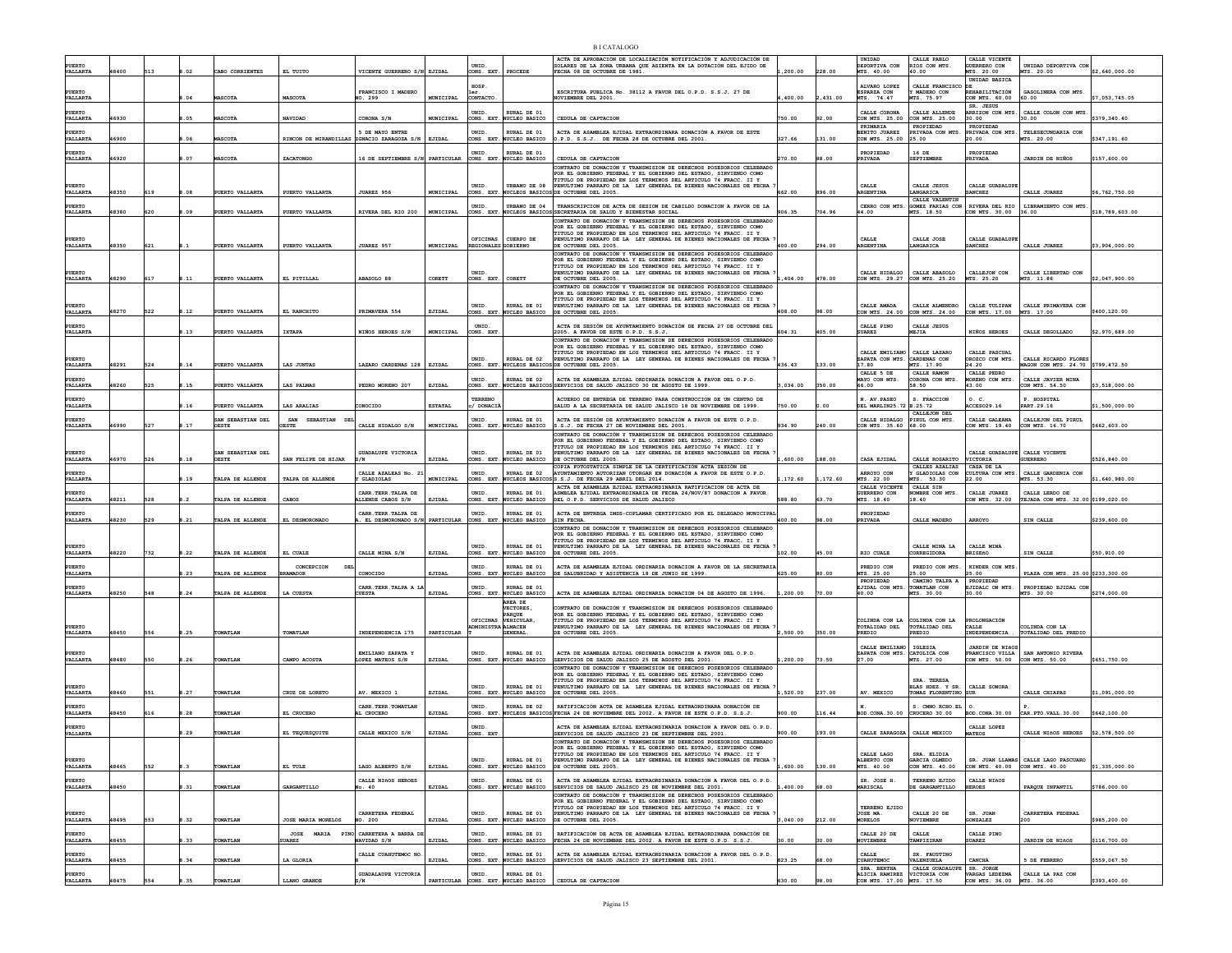|  | <b>BICATALOGO</b> |
|--|-------------------|
|--|-------------------|

| VALLARTA                       | 48400 |     |           | ABO CORRIENTES                    | EL TUITO                                   | VICENTE GUERRERO S/N EJIDAL                         |                  | UNID<br>CONS. EXT                              | PROCEDE                                 | ACTA DE APROBACIÓN DE LOCALIZACIÓN NOTIFICACIÓN Y ADJUDICACIÓN DE<br>SOLARES DE LA ZONA URBANA QUE ASIENTA EN LA DOTACIÓN DEL EJIDO DE<br>FECHA 08 DE OCTUBRE DE 1981.                             | 200.00   |         | UNIDAD<br>DEPORTIVA CON<br>MTS. 40.00       | CALLE PABLO<br>RIOS CON MTS.<br>40.00                  | CALLE VICENTE<br>GUERRERO CON<br>MTS. 20.00 | UNIDAD DEPORTIVA CON<br>MTS. 20.00                   | \$2,640,000.00  |
|--------------------------------|-------|-----|-----------|-----------------------------------|--------------------------------------------|-----------------------------------------------------|------------------|------------------------------------------------|-----------------------------------------|----------------------------------------------------------------------------------------------------------------------------------------------------------------------------------------------------|----------|---------|---------------------------------------------|--------------------------------------------------------|---------------------------------------------|------------------------------------------------------|-----------------|
|                                |       |     |           |                                   |                                            |                                                     |                  | <b>HOSP</b>                                    |                                         |                                                                                                                                                                                                    |          |         | ALVARO LOPEZ                                | CALLE FRANCISCO                                        | UNIDAD BASICA                               |                                                      |                 |
| <b>PUERTO</b><br>VALLARTA      |       |     | 8.04      | <b>ASCOTA</b>                     | MASCOTA                                    | FRANCISCO I MADERO<br>NO. 299                       | MUNICIPAL        | CONTACTO                                       |                                         | ESCRITURA PUBLICA No. 38112 A FAVOR DEL O.P.D. S.S.J. 27 DE<br><b>NOVIEMBRE DEL 2001.</b>                                                                                                          | ,400.00  | 431.00  | <b>ESPARZA CON</b><br>MTS. 74.47            | <b>MADERO CON</b><br>4TS. 75.97                        | REHABILITACIÓN<br>CON MTS. 60.00            | GASOLINERA CON MTS.<br>60.00                         | \$7,053,745.05  |
| PUERTO<br>VALLARTA             | 46930 |     | .05       | <b>ASCOTA</b>                     | NAVIDAD                                    | CORONA S/N                                          | MUNICIPAL        | UNID.<br>CONS. EXT                             | RURAL DE 01<br>NUCLEO BASICO            | CEDULA DE CAPTACION                                                                                                                                                                                | 750.00   | 92.00   | CALLE CORONA<br>CON MTS. 25.00              | CALLE ALLENDE<br>ON MTS. 25.00                         | SR. JESUS<br>30.00                          | ARRIZON CON MTS. CALLE COLON CON MTS<br>30.00        | \$379,340.40    |
| PUERTO                         |       |     |           |                                   |                                            | 5 DE MAYO ENTRE                                     |                  | UNID.                                          | RURAL DE 01                             | ACTA DE ASAMBLEA EJIDAL EXTRAORDINARA DONACIÓN A FAVOR DE ESTE                                                                                                                                     |          |         | PRIMARIA<br>BENITO JUAREZ                   | PROPIEDAD<br>RIVADA CON MTS                            | PROPIEDAD<br>RIVADA CON MTS.                | TELESECUNDARIA CON                                   |                 |
| VALLARTA                       | 46900 |     | 06        | <b>IASCOTA</b>                    | RINCON DE MIRANDILLAS IGNACIO ZARAGOZA S/N |                                                     | EJIDAL           |                                                | CONS. EXT. NUCLEO BASICO                | O.P.D. S.S.J. DE FECHA 28 DE OCTUBRE DEL 2001.                                                                                                                                                     | 327.66   | 131.00  | CON MTS. 25.00                              | 25.00                                                  | 20.00                                       | MTS. 20.00                                           | \$347.191.60    |
| <b>PUERTO</b><br>VALLARTA      | 46920 |     | 8.07      | <b>ASCOTA</b>                     | ZACATONGO                                  | 16 DE SEPTIEMBRE S/N PARTICULAR                     |                  | UNID.                                          | RURAL DE 01<br>CONS. EXT. NUCLEO BASICO | CEDULA DE CAPTACION                                                                                                                                                                                | 270.00   | 88.00   | PROPIEDAD<br>PRIVADA                        | 16 DE<br><b>SEPTIEMBRE</b>                             | PROPIEDAD<br>PRIVADA                        | JARDIN DE NIÑOS                                      | \$157,600.00    |
|                                |       |     |           |                                   |                                            |                                                     |                  |                                                |                                         | CONTRATO DE DONACTÓN Y TRANSMISION DE DERECHOS POSESORIOS CELEBRADO<br>POR EL GOBIERNO FEDERAL Y EL GOBIERNO DEL ESTADO. SIRVIENDO COMO                                                            |          |         |                                             |                                                        |                                             |                                                      |                 |
| PUERTO                         |       |     | <b>AO</b> |                                   |                                            | JUAREZ 956                                          |                  | UNID.                                          | URBANO DE 08                            | TITULO DE PROPIEDAD EN LOS TERMINOS DEL ARTICULO 74 FRACC. II Y<br>PENULTIMO PARRAFO DE LA LEY GENERAL DE BIENES NACIONALES DE FECHA                                                               |          |         | CALLE                                       | CALLE JESUS                                            | CALLE GUADALUPE                             |                                                      |                 |
| VALLARTA<br>PUERTO             | 48350 | 619 |           | PUERTO VALLARTA                   | PUERTO VALLARTA                            |                                                     | MUNICIPAL        | CONS. EXT<br>UNID.                             | NUCLEOS BASICO<br>URBANO DE 04          | DE OCTUBRE DEL 2005.                                                                                                                                                                               | 662.00   | 896.00  | RGENTINA<br>CERRO CON MTS                   | LANGARICA<br>CALLE VALENTIN<br><b>GOMEZ FARIAS CON</b> | <b>ANCHEZ</b>                               | CALLE JUAREZ<br>RIVERA DEL RIO   LIBRAMIENTO CON MTS | \$6,762,750.00  |
| VALLARTA                       | 48380 | 620 | .09       | UERTO VALLARTA                    | PUERTO VALLARTA                            | RIVERA DEL RIO 200                                  | MUNICIPAL        |                                                | CONS. EXT. NUCLEOS BASICO               | TRANSCRIPCION DE ACTA DE SESION DE CABILDO DONACION A FAVOR DE LA<br>SSECRETARIA DE SALUD Y BIENESTAR SOCIAL<br>CONTRATO DE DONACIÓN Y TRANSMISION DE DERECHOS POSESORIOS CELEBRADO                | 906.35   | 704.96  | 44.00                                       | MTS. 18.50                                             | CON MTS. 30.00                              | 36.00                                                | \$18,789,603.00 |
|                                |       |     |           |                                   |                                            |                                                     |                  |                                                |                                         | POR EL GOBIERNO FEDERAL Y EL GOBIERNO DEL ESTADO, SIRVIENDO COMO<br>TITULO DE PROPIEDAD EN LOS TERMINOS DEL ARTICULO 74 FRACC. II Y                                                                |          |         |                                             |                                                        |                                             |                                                      |                 |
| PUERTO<br>VALLARTA             | 18350 | 621 |           | PUERTO VALLARTA                   | PUERTO VALLARTA                            | JUAREZ 957                                          | MUNICIPAL        | OFICINAS<br>REGIONALES GOBIERNO                | CUERPO DE                               | PENULTIMO PARRAFO DE LA LEY GENERAL DE BIENES NACIONALES DE FECHA<br>DE OCTUBRE DEL 2005.                                                                                                          | 400.00   | 294.00  | CALLE<br><i><b>ARGENTINA</b></i>            | CALLE JOSE<br>LANGARICA                                | CALLE GUADALUP!<br><b>SANCHEZ</b>           | CALLE JUAREZ                                         | \$3,904,000.00  |
|                                |       |     |           |                                   |                                            |                                                     |                  |                                                |                                         | CONTRATO DE DONACIÓN Y TRANSMISION DE DERECHOS POSESORIOS CELEBRADO<br>POR EL GORTERNO FEDERAL Y EL GORTERNO DEL ESTADO, STRVTENDO COMO                                                            |          |         |                                             |                                                        |                                             |                                                      |                 |
| PUERTO                         |       |     |           |                                   |                                            |                                                     |                  | UNID.                                          |                                         | TITULO DE PROPIEDAD EN LOS TERMINOS DEL ARTICULO 74 FRACC. II Y<br>PENULTIMO PARRAFO DE LA LEY GENERAL DE BIENES NACIONALES DE FECHA                                                               |          |         | CALLE HIDALGO                               | CALLE ARASOLO                                          | CALLEJON CON                                | CALLE LIBERTAD CON                                   |                 |
| VALLARTA                       | 48290 | 617 | 8.11      | PUERTO VALLARTA                   | EL PITILLAL                                | ABASOLO 88                                          | CORETT           | CONS. EXT.                                     | CORETT                                  | DE OCTUBRE DEL 2005.<br>CONTRATO DE DONACIÓN Y TRANSMISION DE DERECHOS POSESORIOS CELEBRADO                                                                                                        | .404.00  | 478.00  | CON MTS. 29.27                              | CON MTS. 25.20                                         | MTS. 25.20                                  | MTS. 11.86                                           | \$2.047.900.00  |
|                                |       |     |           |                                   |                                            |                                                     |                  |                                                |                                         | POR EL GOBIERNO FEDERAL Y EL GOBIERNO DEL ESTADO, SIRVIENDO COMO<br>TITULO DE PROPIEDAD EN LOS TERMINOS DEL ARTICULO 74 FRACC. II Y                                                                |          |         |                                             |                                                        |                                             |                                                      |                 |
| PUERTO<br>VALLARTA             | 48270 | 522 | 3.12      | PUERTO VALLARTA                   | EL RANCHITO                                | PRIMAVERA 554                                       | EJIDAL           | UNID.                                          | RURAL DE 01<br>CONS. EXT. NUCLEO BASICO | PENULTIMO PARRAFO DE LA LEY GENERAL DE BIENES NACIONALES DE FECHA<br>DE OCTUBRE DEL 2005.                                                                                                          | 408.00   | 98.00   | CALLE AMADA<br>CON MTS. 24.00               | CALLE ALMENDRO<br>CON MTS. 24.00                       | CALLE TULIPAN<br>CON MTS. 17.00             | CALLE PRIMAVERA CON<br>MTS. 17.00                    | \$400,120.00    |
| <b>PURRTC</b><br>VALLARTA      |       |     | 3.13      | PUERTO VALLARTA                   | <b>IXTAPA</b>                              | NIÑOS HEROES S/N                                    | MUNICIPAL        | <b>INTD</b><br>CONS. EXT                       |                                         | ACTA DE SESIÓN DE AYUNTAMIENTO DONACIÓN DE FECHA 27 DE OCTUBRE DEL<br>2005. A FAVOR DE ESTE O.P.D. S.S.J.                                                                                          | 604.31   | 405.00  | CALLE PINO<br><b>SUAREZ</b>                 | CALLE JESUS<br>EJIA                                    | <b>NIÑOS HEROES</b>                         | CALLE DEGOLLADO                                      | \$2,970,689.00  |
|                                |       |     |           |                                   |                                            |                                                     |                  |                                                |                                         | CONTRATO DE DONACIÓN Y TRANSMISION DE DERECHOS POSESORIOS CELEBRADO<br>POR EL GOBIERNO FEDERAL Y EL GOBIERNO DEL ESTADO, SIRVIENDO COMO                                                            |          |         |                                             |                                                        |                                             |                                                      |                 |
|                                |       |     |           |                                   |                                            |                                                     |                  | UNID                                           | RURAL DE 02                             | TITULO DE PROPIEDAD EN LOS TERMINOS DEL ARTICULO 74 FRACC. II Y<br>PENULTIMO PARRAFO DE LA LEY GENERAL DE BIENES NACIONALES DE FECHA                                                               |          |         | CALLE EMILIANO<br>ZAPATA CON MTS            | CALLE LAZARO<br>CARDENAS CON                           | CALLE PASCUAL<br>DROZCO CON MTS.            | CALLE RICARDO FLORES                                 |                 |
| VALLARTA                       | 48291 | 524 | 8.14      | PUERTO VALLARTA                   | LAS JUNTAS                                 | LAZARO CARDENAS 128                                 | EJIDAL           |                                                |                                         | CONS. EXT. NUCLEOS BASICOS DE OCTUBRE DEL 2005.                                                                                                                                                    | 436.43   | 133.00  | 17.80<br>CALLE 5 DE                         | MTS. 17.90<br>CALLE RAMON                              | 24.20<br>CALLE PEDRO                        | MAGON CON MTS 24 70 \$799.472.50                     |                 |
| <b>PUERTO</b><br>VALLARTA      | 48260 | 525 | 1.15      | PUERTO VALLARTA                   | LAS PALMAS                                 | PEDRO MORENO 207                                    | EJIDAL           | UNID.<br>CONS. EXT.                            | RURAL DE 02                             | ACTA DE ASAMBLEA EJIDAL ORDINARIA DONACION A FAVOR DEL O.P.D.<br>NUCLEOS BASICOS SERVICIOS DE SALUD JALISCO 30 DE AGOSTO DE 1999.                                                                  | 3,034.00 | 350.00  | MAYO CON MTS.<br>66.00                      | CORONA CON MTS.<br>58.50                               | <b>JORENO CON MTS.</b><br>43.00             | CALLE JAVIER MINA<br>CON MTS. 54.50                  | \$3,518,000.00  |
| PUERTO                         |       |     |           |                                   |                                            |                                                     |                  | TERRENC                                        |                                         | ACUERDO DE ENTREGA DE TERRENO PARA CONSTRUCCION DE UN CENTRO DE                                                                                                                                    |          |         | N. AV. PASEO                                | S. FRACCION                                            | 0. C                                        | P. HOSPITAL                                          |                 |
| VALLARTA                       |       |     | 8.16      | UERTO VALLARTA                    | LAS ARALIAS                                | CONOCIDO                                            | <b>ESTATAL</b>   | / DONACI                                       |                                         | SALUD A LA SECRETARIA DE SALUD JALISCO 18 DE NOVIEMBRE DE 1999.                                                                                                                                    | 750.00   | .00     | DEL MARLIN25.72 B.25.72                     | CALLEJON DEL                                           | CCES029.16                                  | PART.29.16                                           | \$1,500,000.00  |
| PUERTO<br>VALLARTA             | 46990 | 527 | 8.17      | SAN SEBASTIAN DEL<br><b>OESTE</b> | SAN SEBASTIAN<br><b>ESTE</b>               | CALLE HIDALGO S/N                                   | <b>MUNICIPAL</b> | UNID.<br>CONS. EXT.                            | RURAL DE 01<br><b>NUCLEO BASICO</b>     | ACTA DE SESIÓN DE AYUNTAMIENTO DONACIÓN A FAVOR DE ESTE O.P.D.<br>S.S.J. DE FECHA 27 DE NOVIEMBRE DEL 2001.                                                                                        | 934.90   | 240.00  | CALLE HIDALGO<br>CON MTS. 35.60             | PIRUL CON MTS.<br>68.00                                | CALLE GALEANA<br>ON MTS. 19.40              | CALLEJON DEL PIRUL<br>CON MTS. 16.70                 | \$662.603.00    |
|                                |       |     |           |                                   |                                            |                                                     |                  |                                                |                                         | CONTRATO DE DONACIÓN Y TRANSMISION DE DERECHOS POSESORIOS CELEBRADO<br>POR EL GOBIERNO FEDERAL Y EL GOBIERNO DEL ESTADO, SIRVIENDO COMO                                                            |          |         |                                             |                                                        |                                             |                                                      |                 |
| PUERTO<br>VALLARTA             | 46970 | 526 | .18       | SAN SEBASTIAN DEL<br>OESTE        | SAN FELIPE DE HIJAR                        | GUADALUPE VICTORIA<br>s/N                           | EJIDAL           | UNID.<br>CONS. EXT.                            | RURAL DE 01<br>NUCLEO BASICO            | TITULO DE PROPIEDAD EN LOS TERMINOS DEL ARTICULO 74 FRACC. II Y<br>PENULTIMO PARRAFO DE LA LEY GENERAL DE BIENES NACIONALES DE FECHA<br>DE OCTUBRE DEL 2005.                                       | 600.00   | 188.00  | CASA EJIDAL                                 | CALLE ROSARITO                                         | CALLE GUADALUPE CALLE VICENTE<br>VICTORIA   | GUERRERO                                             | \$526,840.00    |
| PUERTO                         |       |     |           |                                   |                                            | CALLE AZALEAS No. 21                                |                  | UNID.                                          | RURAL DE 02                             | COPIA FOTOSTATICA SIMPLE DE LA CERTIFICACIÓN ACTA SESIÓN DE<br>AYUNTAMIENTO AUTORIZAN OTORGAR EN DONACIÓN A FAVOR DE ESTE O.P.D.                                                                   |          |         | ARROYO CON                                  | CALLES AZALIAS<br>GLADIOLAS CON                        | CASA DE LA<br>CULTURA CON MTS.              | CALLE GARDENIA CON                                   |                 |
| VALLARTA                       |       |     | .19       | TALPA DE ALLENDE                  | TALPA DE ALLENDE                           | Y GLADIOLAS                                         | MUNICIPAL        |                                                |                                         | CONS. EXT. NUCLEOS BASICOSS.S.J. DE FECHA 29 ABRIL DEL 2014.<br>ACTA DE ASAMBLEA EJIDAL EXTRAORDINARIA RATIFICACION DE ACTA DE                                                                     | .172.60  | .172.60 | MTS. 22.00<br>CALLE VICENTE                 | MTS. 53.30<br>CALLE SIN                                | 22.00                                       | MTS. 53.30                                           | \$1,640,980.00  |
| <b>PUERTO</b><br>VALLARTA      | 48211 | 528 |           | TALPA DE ALLENDE                  | CABOS                                      | CARR TERR TALPA DE<br>ALLENDE CABOS S/N             | EJIDAL           | UNID.                                          | RURAL DE 01<br>CONS. EXT. NUCLEO BASICO | ASMBLEA EJIDAL EXTRAORDINARIA DE FECHA 24/NOV/87 DONACION A FAVOR<br>DEL O.P.D. SERVICIOS DE SALUD JALISCO                                                                                         | 588.80   | 63.70   | GUERRERO CON<br>MTS. 18.40                  | MBRE CON MTS.<br>18.40                                 | CALLE JUAREZ<br>CON MTS. 32.00              | CALLE LERDO DE<br>TEJADA CON MTS. 32.00 \$199.020.00 |                 |
|                                |       |     |           |                                   |                                            | CARR. TERR. TALPA DE                                |                  | UNID.                                          | RURAL DE 01                             | ACTA DE ENTREGA IMSS-COPLAMAR CERTIFICADO POR EL DELEGADO MUNICIPAL                                                                                                                                |          |         | PROPIEDAD                                   |                                                        |                                             |                                                      |                 |
| VALLARTA                       | 48230 | 529 | .21       | TALPA DE ALLENDE                  | EL DESMORONADO                             | EL DESMORONADO S/M                                  | PARTICULAR       | CONS. EXT.                                     | NUCLEO BASICO                           | SIN FECHA.<br>CONTRATO DE DONACIÓN Y TRANSMISION DE DERECHOS POSESORIOS CELEBRADO                                                                                                                  | 400.00   | 8.00    | PRIVADA                                     | CALLE MADERO                                           | ARROYO                                      | SIN CALLE                                            | \$239,600.00    |
|                                |       |     |           |                                   |                                            |                                                     |                  |                                                |                                         | POR EL GOBIERNO FEDERAL Y EL GOBIERNO DEL ESTADO, SIRVIENDO COMO<br>TITULO DE PROPIEDAD EN LOS TERMINOS DEL ARTICULO 74 FRACC. II Y                                                                |          |         |                                             |                                                        |                                             |                                                      |                 |
| PUERTO<br>VALLARTA             | 48220 | 732 | 1.22      | TALPA DE ALLENDE                  | EL CUALE                                   | CALLE MINA S/N                                      | EJIDAL           | UNID.<br>CONS. EXT.                            | RURAL DE 01<br>NUCLEO BASICO            | PENULTIMO PARRAFO DE LA LEY GENERAL DE BIENES NACIONALES DE FECHA<br>OCTUBRE DEL 2005.                                                                                                             | 102.00   | 45.00   | RIO CUALE                                   | CALLE MINA LA<br>CORREGIDORA                           | CALLE MINA<br><b>BRISEñO</b>                | SIN CALLE                                            | \$50,910.00     |
| PUERTO<br>VALLARTA             |       |     | 1.23      | TALPA DE ALLENDE                  | CONCEPCION<br><b>BRAMADOR</b>              | CONOCIDO                                            | EJIDAL           | UNID.                                          | RURAL DE 01<br>CONS. EXT. NUCLEO BASICO | ACTA DE ASAMBLEA EJIDAL ORDINARIA DONACION A FAVOR DE LA SECRETARIA<br>DE SALUBRIDAD Y ASISTENCIA 18 DE JUNIO DE 1999.                                                                             | 625.00   | 0.00    | PREDIO CON<br>MTS. 25.00                    | PREDIO CON MTS.<br>25.00                               | KINDER CON MTS<br>25.00                     | PLAZA CON MTS. 25.00 \$233,300.00                    |                 |
| PUERTO                         |       |     |           |                                   |                                            | CARR. TERR. TALPA A LJ                              |                  | <b>INTD</b>                                    | RURAL DE 01                             |                                                                                                                                                                                                    |          |         | PROPIEDAD<br>EJIDAL CON MTS.                | CAMINO TALPA A<br>TOMATLAN CON                         | PROPIEDAD<br>EJIDALC ON MTS.                | PROPIEDAD EJIDAL CON                                 |                 |
| VALLARTA                       | 48250 | 548 | 8.24      | TALPA DE ALLENDE                  | LA CUESTA                                  | <b>CUESTA</b>                                       | EJIDAL           |                                                | CONS. EXT. NUCLEO BASICO<br>AREA DE     | ACTA DE ASAMBLEA EJIDAL ORDINARIA DONACION 04 DE AGOSTO DE 1996.                                                                                                                                   | 1,200.00 | 70.00   | 40.00                                       | MTS. 30.00                                             | 30.00                                       | MTS. 30.00                                           | \$274,000.00    |
|                                |       |     |           |                                   |                                            |                                                     |                  |                                                | <b>VECTORES</b><br><b>PAROUE</b>        | ONTRATO DE DONACIÓN Y TRANSMISION DE DERECHOS POSESORIOS CELEBRADO<br>POR EL GOBIERNO FEDERAL Y EL GOBIERNO DEL ESTADO. SIRVIENDO COMO                                                             |          |         |                                             |                                                        |                                             |                                                      |                 |
| PUERTO<br>VALLARTA             |       |     |           |                                   |                                            |                                                     |                  | OFICINAS VEHICULAR<br><b>DMINISTRA</b> ALMACEN |                                         | TITULO DE PROPIEDAD EN LOS TERMINOS DEL ARTICULO 74 FRACC. II Y<br>PENULTIMO PARRAFO DE LA LEY GENERAL DE BIENES NACIONALES DE FECHA                                                               |          |         | COLINDA CON LA<br>TOTALIDAD DEL             | COLINDA CON LA<br>TOTALIDAD DEL                        | ROLONGACIÓN<br>CALLE                        | COLINDA CON LA                                       |                 |
|                                | 48450 | 556 | 8.25      | TOMATLAN                          | TOMATLAN                                   | INDEPENDENCIA 175                                   | PARTICULAR       |                                                | <b>GENERAL</b>                          | OCTUBRE DEL 2005.                                                                                                                                                                                  | 2,500.00 | 350.00  | PREDIO                                      | PREDIO                                                 | INDEPENDENCIA                               | TOTALIDAD DEL PREDIO                                 |                 |
| PUERTO                         |       |     |           |                                   |                                            |                                                     |                  |                                                |                                         |                                                                                                                                                                                                    |          |         |                                             |                                                        |                                             |                                                      |                 |
| VALLARTA                       |       |     |           |                                   |                                            | EMILIANO ZAPATA Y                                   |                  | UNID.                                          | RURAL DE 01                             | ACTA DE ASAMBLEA EJIDAL ORDINARIA DONACION A FAVOR DEL O.P.D.                                                                                                                                      |          |         | CALLE EMILIANO<br>ZAPATA CON MTS.           | IGLESIA<br>CATOLICA CON                                | <b>JARDIN DE NIÑOS</b>                      | FRANCISCO VILLA   SAN ANTONIO RIVERA                 |                 |
|                                | 48480 | 550 | 8.26      | <b>TOMATLAI</b>                   | CAMPO ACOSTA                               | LOPEZ MATEOS S/N                                    | EJIDAL           | CONS. EXT.                                     | <b>NUCLEO BASICO</b>                    | SERVICIOS DE SALUD JALISCO 25 DE AGOSTO DEL 2001.<br>CONTRATO DE DONACIÓN Y TRANSMISION DE DERECHOS POSESORIOS CELEBRADO                                                                           | ,200.00  | 73.50   | 27.00                                       | MTS. 27.00                                             | CON MTS. 50.00                              | CON MTS. 50.00                                       | \$651,750.00    |
| <b>PUERTO</b>                  |       |     |           |                                   |                                            |                                                     |                  | UNID.                                          | RURAL DE 01                             | OR EL GOBIERNO FEDERAL Y EL GOBIERNO DEL ESTADO, SIRVIENDO COMO<br>TITULO DE PROPIEDAD EN LOS TERMINOS DEL ARTICULO 74 FRACC. II Y                                                                 |          |         |                                             | SRA. TERESA                                            |                                             |                                                      |                 |
| VALLARTA                       | 48460 | 551 | 1.27      | TOMATLAI                          | CRUZ DE LORETO                             | AV. MEXICO 1                                        | EJIDAL           | CONS. EXT.                                     | NUCLEO BASICO                           | PENULTIMO PARRAFO DE LA LEY GENERAL DE BIENES NACIONALES DE FECHA<br>OCTUBRE DEL 2005.                                                                                                             | 520.00   | 237.00  | AV. MEXICO                                  | BLAS HDEZ. Y SR.<br>TOMAS FLORENTINO                   | CALLE SONORA<br>SUR                         | CALLE CHIAPAS                                        | \$1,091,000.00  |
|                                |       |     |           |                                   |                                            | CARR. TERR. TOMATLAN                                |                  | UNID.                                          | RURAL DE 02                             | RATIFICACIÓN ACTA DE ASAMBLEA EJIDAL EXTRAORDINARA DONACIÓN DE                                                                                                                                     |          |         |                                             | S. CMNO.RCHO.EL                                        | о.                                          |                                                      |                 |
| VALLARTA<br><b>PURRTC</b>      | 48450 | 616 | 8.28      | <b>TOMATLAN</b>                   | EL CRUCERO                                 | AL CRUCERO                                          | EJIDAL           | UNID                                           |                                         | CONS. EXT. NUCLEOS BASICOS FECHA 24 DE NOVIEMBRE DEL 2002. A FAVOR DE ESTE O.P.D. S.S.J.                                                                                                           | 900.00   | 16.44   | BOD.CONA.30.00                              | CRUCERO 30.00                                          | BOD.CONA.30.00<br>CALLE LOPEZ               | CAR. PTO. VALL. 30.00                                | \$642,100.00    |
| VALLARTA                       |       |     | 8.29      | TOMATLAN                          | EL TEQUESQUITE                             | CALLE MEXICO S/N                                    | EJIDAL           | CONS. EXT                                      |                                         | ACTA DE ASAMBLEA EJIDAL EXTRAORDINARIA DONACION A FAVOR DEL O.P.D.<br>SERVICIOS DE SALUD JALISCO 23 DE SEPTIEMBRE DEL 2001.<br>CONTRATO DE DONACIÓN Y TRANSMISION DE DERECHOS POSESORIOS CELEBRADO | 900.00   | 193.00  | CALLE ZARAGOZA CALLE MEXICO                 |                                                        | <b>IATEOS</b>                               | CALLE NIñOS HEROES                                   | \$2,578,500.00  |
|                                |       |     |           |                                   |                                            |                                                     |                  |                                                |                                         | POR EL GORTERNO FEDERAL Y EL GORTERNO DEL ESTADO. STRVTENDO COMO<br><b>TITULO DE PROPIEDAD EN LOS TERMINOS DEL ARTICULO 74 FRACC. II</b>                                                           |          |         | CALLE LAGO                                  | SRA. ELIDIA                                            |                                             |                                                      |                 |
| PUERTO<br>VALLARTA             | 48465 | 552 |           | COMATLAN                          | EL TULE                                    | LAGO ALBERTO S/N                                    | EJIDAL           | INTD.                                          | RURAL DE 01<br>CONS. EXT. NUCLEO BASICO | PENULTIMO PARRAFO DE LA LEY GENERAL DE BIENES NACIONALES DE FECHA 7<br>DE OCTUBRE DEL 2005.                                                                                                        | .600.00  | 130.00  | ALBERTO CON<br>MTS. 40.00                   | GARCIA OLMEDO<br>CON MTS. 40.00                        | CON MTS 40.00 CON MTS 40.00                 | SR. JUAN LIAMAS CALLE LAGO PASCUARO                  | \$1,335,000.00  |
| PUERTO                         |       |     |           |                                   |                                            | CALLE NIÑOS HEROES                                  |                  | UNID.                                          | RURAL DE 01                             | ACTA DE ASAMBIEA EJIDAI, EXTRAORDINARIA DONACION A FAVOR DEL O P.D.                                                                                                                                |          |         | SR. JOSE H.                                 | TERRENO EJIDO                                          | CALLE NIÑOS                                 |                                                      |                 |
| VALLARTA                       | 48450 |     | 1.31      | <b>COMATLAN</b>                   | GARGANTILLO                                | No. 40                                              | EJIDAL           |                                                | CONS. EXT. NUCLEO BASICO                | SERVICIOS DE SALUD JALISCO 25 DE NOVIEMBRE DEL 2001.<br>CONTRATO DE DONACIÓN Y TRANSMISION DE DERECHOS POSESORIOS CELEBRADO                                                                        | 400.00   | 68.00   | <b>MARISCAL</b>                             | DE GARGANTILLO                                         | <b>HEROES</b>                               | PARQUE INFANTIL                                      | \$786,000.00    |
|                                |       |     |           |                                   |                                            |                                                     |                  |                                                |                                         | POR EL GOBIERNO FEDERAL Y EL GOBIERNO DEL ESTADO. SIRVIENDO COMO<br>TITULO DE PROPIEDAD EN LOS TERMINOS DEL ARTICULO 74 FRACC. II Y                                                                |          |         | TERRENO EJIDO                               |                                                        |                                             |                                                      |                 |
| PUERTO<br>VALLARTA             | 48495 | 553 | 1.32      | TOMATLAN                          | <b>JOSE MARIA MORELOS</b>                  | CARRETERA FEDERAL<br>NO. 200                        | EJIDAL           | UNID.                                          | RURAL DE 01<br>CONS. EXT. NUCLEO BASICO | PENULTIMO PARRAFO DE LA LEY GENERAL DE BIENES NACIONALES DE FECHA<br>DE OCTUBRE DEL 2005.                                                                                                          | .040.00  | 212.00  | JOSE MA.<br><b>MORELOS</b>                  | CALLE 20 DE<br>OVIEMBRE                                | SR. JUAN<br><b>CONZALEZ</b>                 | CARRETERA FEDERAL<br>200                             | \$985,200.00    |
| PUERTO<br>VALLARTA             | 48455 |     | 8.33      | <b>COMATLAN</b>                   | <b>SUAREZ</b>                              | JOSE MARIA PINO CARRETERA A BARRA DI<br>NAVIDAD S/N | EJIDAL           | UNID.                                          | RURAL DE 01<br>CONS. EXT. NUCLEO BASICO | RATIFICACIÓN DE ACTA DE ASAMBLEA EJIDAL EXTRAORDINARA DONACIÓN DE<br>FECHA 24 DE NOVIEMBRE DEL 2002. A FAVOR DE ESTE O.P.D. S.S.J.                                                                 | 30.00    | 30.00   | CALLE 20 DE                                 | CALLE<br>TAMPIZIRAN                                    | CALLE PINO<br><b>SUAREZ</b>                 | <b>JARDIN DE NIÑOS</b>                               | \$116,700.00    |
| PUERTO                         |       |     |           |                                   |                                            | CALLE CUAHUTEMOC NO                                 |                  |                                                | RURAL DE 01                             | ACTA DE ASAMBLEA EJIDAL EXTRAORDINARIA DONACION A FAVOR DEL O.P.D                                                                                                                                  |          |         | NOVIEMBRE<br>CALLE                          | SR. FAUSTINO                                           |                                             |                                                      |                 |
| VALLARTA<br>PUERTO<br>VALLARTA | 48455 |     | .34       | <b>COMATLAN</b>                   | LA GLORIA                                  | <b>GUADALAUPE VICTORIA</b>                          | EJIDAL           | UNID.                                          | CONS. EXT. NUCLEO BASICO<br>RURAL DE 01 | SERVICIOS DE SALUD JALISCO 23 SEPTIEMBRE DEL 2001                                                                                                                                                  | 823.25   | 68.00   | CUAHUTEMOC<br>SRA. BERTHA<br>ALICIA RAMIREZ | VALENZUELA<br>CALLE GUADALUPE<br>VICTORIA CON          | CANCHA<br>SR. JORGE<br>VARGAS LEDEZMA       | 5 DE FEBRERO<br>CALLE LA PAZ CON                     | \$559,067.50    |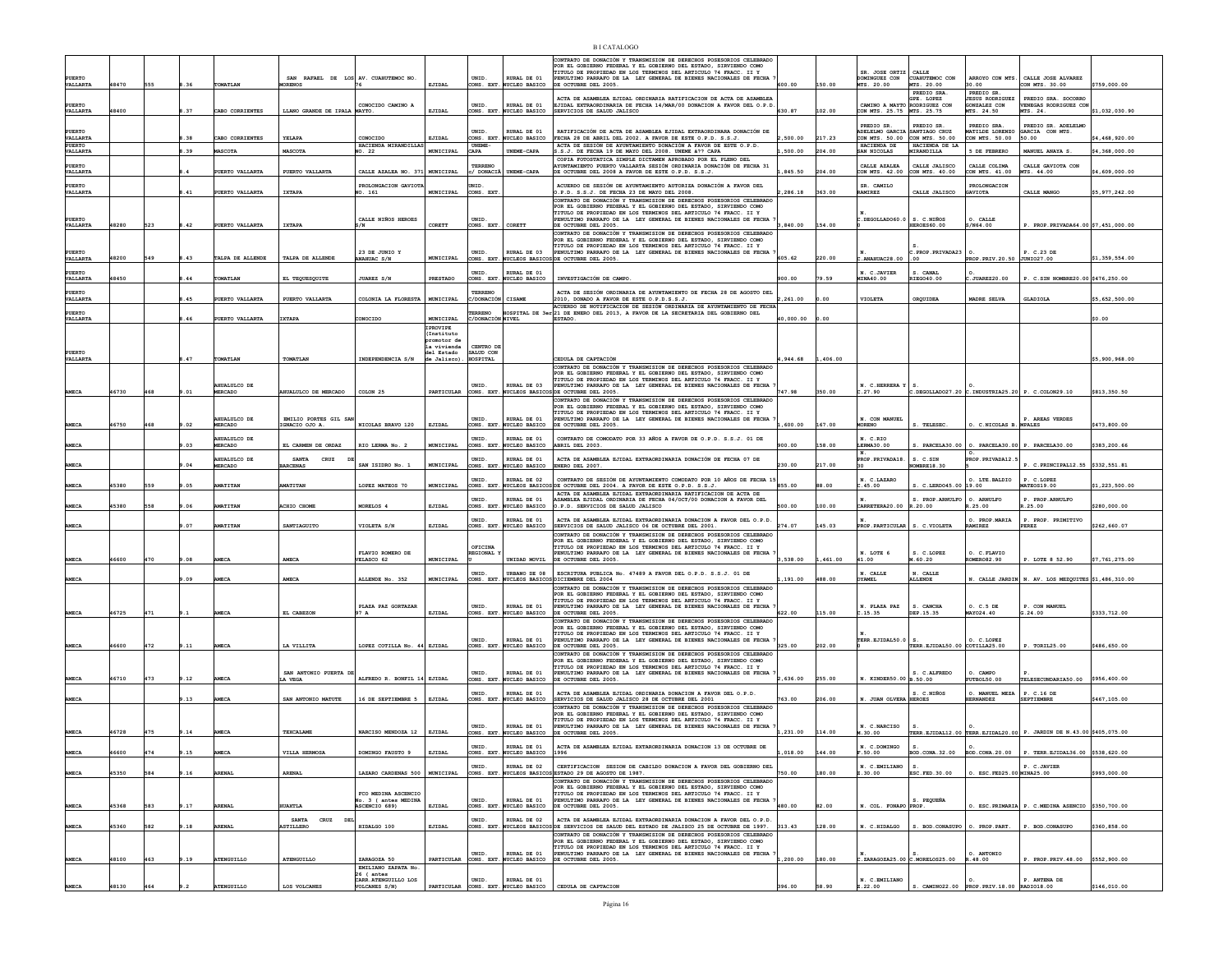|                           |       |     |      |                                |                                                |                                                  |                                         |                                          |                                         | <b>BI CATALOGO</b>                                                                                                                                                        |           |          |                                              |                                      |                                                                                    |                                                                     |                |
|---------------------------|-------|-----|------|--------------------------------|------------------------------------------------|--------------------------------------------------|-----------------------------------------|------------------------------------------|-----------------------------------------|---------------------------------------------------------------------------------------------------------------------------------------------------------------------------|-----------|----------|----------------------------------------------|--------------------------------------|------------------------------------------------------------------------------------|---------------------------------------------------------------------|----------------|
|                           |       |     |      |                                |                                                |                                                  |                                         |                                          |                                         | CONTRATO DE DONACIÓN Y TRANSMISION DE DERECHOS POSESORIOS CELEBRADO<br>POR EL GOBIERNO FEDERAL Y EL GOBIERNO DEL ESTADO, SIRVIENDO COMO                                   |           |          |                                              |                                      |                                                                                    |                                                                     |                |
| <b>PUERTO</b>             |       |     |      |                                | SAN RAFAEL DE LOS AV. CUAHUTEMOC NO.           |                                                  |                                         | UNID.                                    | RURAL DE 01                             | TITULO DE PROPIEDAD EN LOS TERMINOS DEL ARTICULO 74 FRACC. II Y<br>PENULTIMO PARRAFO DE LA LEY GENERAL DE BIENES NACIONALES DE FECHA                                      |           |          | SR. JOSE ORTIZ CALLE<br>DOMINGUEZ CON        | CUAHUTEMOC CON                       |                                                                                    | ARROYO CON MTS. CALLE JOSE ALVAREZ                                  |                |
| VALLARTA                  | 48470 | 555 | . 36 | TOMATLAN                       | <b>IORENOS</b>                                 |                                                  | EJIDAL                                  |                                          | ONS. EXT. NUCLEO BASICO                 | DE OCTUBRE DEL 2005.                                                                                                                                                      | 00.000    | 150.00   | MTS. 20.00                                   | MTS. 20.00<br>PREDIO SRA             | 10.00<br>PREDIO SR.                                                                | CON MTS. 30.00                                                      | \$759,000.00   |
| <b>PUERTO</b>             |       |     |      |                                |                                                | CONOCIDO CAMINO A                                |                                         | UNID.                                    | RURAL DE 01                             | ACTA DE ASAMBLEA EJIDAL ORDINARIA RATIFICACION DE ACTA DE ASAMBLEJ<br>EJIDAL EXTRAORDINARIA DE FECHA 14/MAR/00 DONACION A FAVOR DEL O.P.D.                                |           |          | CAMINO A MAYTO RODRIGUEZ CON                 | GPE. LOPEZ                           | ESUS RODRIGUEZ<br>GONZALEZ CON                                                     | PREDIO SRA. SOCORRO<br>VENEGAS RODRIGUEZ CON                        |                |
| VALLARTA                  | 48400 |     | .37  | CABO CORRIENTES                | LLANO GRANDE DE IPALA MAYTO.                   |                                                  | EJIDAL                                  |                                          | CONS. EXT. NUCLEO BASICO                | SERVICIOS DE SALUD JALISCO                                                                                                                                                | 630.87    | 102.00   | CON MTS. 25.75 MTS. 25.75                    |                                      | MTS. 24.50                                                                         | MTS. 24.                                                            | \$1,032,030.90 |
| PUERTO                    |       |     |      |                                |                                                |                                                  |                                         | UNID.                                    | RURAL DE 01                             | RATIFICACIÓN DE ACTA DE ASAMBLEA EJIDAL EXTRAORDINARA DONACIÓN DE                                                                                                         |           |          | PREDIO SR.<br>adeleimo garcia santiago cruz  | PREDIO SR.                           | PREDIO SRA.<br>MATILDE LORENZO                                                     | PREDIO SR. ADELELMO<br>GARCIA CON MTS.                              |                |
| VALLARTA<br><b>PUERTO</b> |       |     | .38  | CABO CORRIENTES                | YELAPA                                         | CONOCIDO<br>HACIENDA MIRANDILLAS                 | EJIDAL                                  | CONS. EXT<br><b>UNEME</b>                | NUCLEO BASICO                           | FECHA 28 DE ABRIL DEL 2002. A FAVOR DE ESTE O.P.D. S.S.J.<br>ACTA DE SESIÓN DE AYUNTAMIENTO DONACIÓN A FAVOR DE ESTE O.P.D.                                               | 500.00    |          | CON MTS. 50.00 CON MTS. 50.00<br>HACIENDA DE | HACIENDA DE LA                       | CON MTS. 50.00                                                                     | 50.00                                                               | 4,468,920.00   |
| VALLARTA                  |       |     | .39  | <b>MASCOTA</b>                 | MASCOTA                                        | 90. 22                                           | MUNICIPAL                               | CAPA                                     | INEME-CAPI                              | S.S.J. DE FECHA 19 DE MAYO DEL 2008. UNEME à ?? CAPA<br>COPIA FOTOSTATICA SIMPLE DICTAMEN APROBADO POR EL PLENO DEL                                                       | .500.00   | 204.00   | SAN NICOLAS                                  | MIRANDILLA                           | <b>5 DE FEBRERO</b>                                                                | MANUEL ANAYA S.                                                     | \$4,368,000.00 |
| <b>PUERTO</b><br>VALLARTA |       |     |      | PUERTO VALLARTA                | PUERTO VALLARTA                                | CALLE AZALEA NO. 371 MUNICIPAL                   |                                         | TERRENO<br>:/ DONACIA                    | UNEME-CAPA                              | <b>AYUNTAMIENTO PUERTO VALLARTA SESIÓN ORDINARIA DONACIÓN DE FECHA 31</b><br>DE OCTUBRE DEL 2008 A FAVOR DE ESTE O.P.D. S.S.J.                                            | ,845.50   | 204.00   | CALLE AZALEA<br>CON MTS. 42.00               | CALLE JALISCO<br>CON MTS. 40.00      | CALLE COLIMA<br>CON MTS. 41.00                                                     | CALLE GAVIOTA CON<br>MTS. 44.00                                     | 4,609,000.00   |
| <b>PUERTO</b>             |       |     |      |                                |                                                | PROLONGACION GAVIOT                              |                                         | JNID.                                    |                                         | ACUERDO DE SESIÓN DE AYUNTAMIENTO AUTORIZA DONACIÓN A FAVOR DEL                                                                                                           |           |          | SR. CAMILO                                   |                                      | PROLONGACION                                                                       |                                                                     |                |
| <b>VALLARTA</b>           |       |     | .41  | PUERTO VALLARTA                | IXTAPA                                         | NO. 161                                          | MUNICIPAL                               | CONS. EXT                                |                                         | .P.D. S.S.J. DE FECHA 23 DE MAYO DEL 2008.<br>CONTRATO DE DONACIÓN Y TRANSMISION DE DERECHOS POSESORIOS CELEBRADO                                                         | ,286.18   | 363.00   | RAMIREZ                                      | CALLE JALISCO                        | <b>GAVIOTA</b>                                                                     | CALLE MANGO                                                         | \$5,977,242.00 |
|                           |       |     |      |                                |                                                |                                                  |                                         |                                          |                                         | POR EL GOBIERNO FEDERAL Y EL GOBIERNO DEL ESTADO, SIRVIENDO COMO<br>TITULO DE PROPIEDAD EN LOS TERMINOS DEL ARTICULO 74 FRACC. II Y                                       |           |          |                                              |                                      |                                                                                    |                                                                     |                |
| <b>PUERTO</b><br>VALLARTA | 48280 | 523 | 1.42 | PUERTO VALLARTA                | IXTAPA                                         | CALLE NIÑOS HEROES<br>3/N                        | CORETT                                  | UNID.<br>CONS. EXT.                      | CORETT                                  | PENULTIMO PARRAFO DE LA LEY GENERAL DE BIENES NACIONALES DE FECHA<br>DE OCTUBRE DEL 2005.                                                                                 | 3,840.00  | 154.00   | $C.$ DEGOLLADO60.0                           | S. C.NIÑOS<br>HEROES60.00            | O. CALLE<br>S/N64.00                                                               | P. PROP. PRIVADA64.00 \$7,451,000.00                                |                |
|                           |       |     |      |                                |                                                |                                                  |                                         |                                          |                                         | CONTRATO DE DONACIÓN Y TRANSMISION DE DERECHOS POSESORIOS CELEBRADO<br>POR EL GOBIERNO FEDERAL Y EL GOBIERNO DEL ESTADO, SIRVIENDO COMO                                   |           |          |                                              |                                      |                                                                                    |                                                                     |                |
| PUERTO                    |       |     |      |                                |                                                | 23 DE JUNIO Y                                    |                                         | <b>INTD</b>                              | RITRAT, DR 03                           | TITULO DE PROPIEDAD EN LOS TERMINOS DEL ARTICULO 74 FRACC. II Y<br>PENULTIMO PARRAFO DE LA LEY GENERAL DE BIENES NACIONALES DE FECHA                                      |           |          |                                              | PROP. PRIVADA23                      |                                                                                    | P. C.23 DE                                                          |                |
| VALLARTA                  | 48200 | 549 | .43  | TALPA DE ALLENDE               | TALPA DE ALLENDE                               | <b>ANAHUAC S/N</b>                               | MUNICIPAL                               | CONS. EXT                                |                                         | NUCLEOS BASICOS DE OCTUBRE DEL 2005.                                                                                                                                      | 605.62    | 220.00   | . ANAHUAC28.00                               | 00                                   | PROP. PRIV.20.50 JUNIO27.00                                                        |                                                                     | \$1,359,554.00 |
| <b>PUERTO</b><br>VALLARTA | 18450 |     | .44  | TOMATLAN                       | EL TEQUESQUITE                                 | JUAREZ S/N                                       | PRESTADO                                | UNID.                                    | RURAL DE 01<br>ONS. EXT. NUCLEO BASICO  | INVESTIGACIÓN DE CAMPO                                                                                                                                                    | 900.00    |          | N. C.JAVIER<br>MINA40.00                     | S. CANAL<br>RIEGO40.00               | .JUAREZ20.00                                                                       | P. C.SIN NOMBRE20.00 \$476,250.00                                   |                |
| PUERTO                    |       |     |      |                                |                                                |                                                  |                                         | TERRENC                                  |                                         | ACTA DE SESIÓN ORDINARIA DE AYUNTAMIENTO DE FECHA 28 DE AGOSTO DEI                                                                                                        |           |          |                                              |                                      |                                                                                    |                                                                     |                |
| VALLARTA                  |       |     | .45  | PUERTO VALLARTA                | PUERTO VALLARTA                                | COLONIA LA FLORESTA                              | MUNICIPAL                               | :/DONACIÓN                               | CISAME                                  | 2010, DONADO A FAVOR DE ESTE O.P.D.S.S.J.                                                                                                                                 | 2.261.00  | 00.0     | <b>VIOLETA</b>                               | OROUIDEA                             | MADRE SELVA                                                                        | <b>GLADIOLA</b>                                                     | \$5,652,500.00 |
| PUERTO<br>VALLARTA        |       |     | 1.46 | PUERTO VALLARTA                | <b>IXTAPA</b>                                  | CONOCIDO                                         | MUNICIPAL                               | <b>ERRENO</b><br><b>C/DONACIÓN NIVEL</b> |                                         | ACUERDO DE NOTIFICACION DE SESIÓN ORDINARIA DE AYUNTAMIENTO DE FECHA<br><b>IOSPITAL DE 3er 21 DE ENERO DEL 2013, A FAVOR DE LA SECRETARIA DEL GOBIERNO DEL</b><br>ESTADO. | 40,000.00 | 0.00     |                                              |                                      |                                                                                    |                                                                     | \$0.00         |
|                           |       |     |      |                                |                                                |                                                  | IPROVIPE                                |                                          |                                         |                                                                                                                                                                           |           |          |                                              |                                      |                                                                                    |                                                                     |                |
|                           |       |     |      |                                |                                                |                                                  | (Instituto<br>xomotor de<br>la vivienda | CENTRO DI                                |                                         |                                                                                                                                                                           |           |          |                                              |                                      |                                                                                    |                                                                     |                |
| PUERTO<br>VALLARTA        |       |     | .47  | TOMATLAN                       | TOMATLAN                                       | INDEPENDENCIA S/N                                | del Estado<br>de Jalisco)               | ALUD CON<br><b>IOSPITAL</b>              |                                         | CEDULA DE CAPTACIÓN                                                                                                                                                       | ,944.68   | 1,406.00 |                                              |                                      |                                                                                    |                                                                     | \$5,900,968.00 |
|                           |       |     |      |                                |                                                |                                                  |                                         |                                          |                                         | CONTRATO DE DONACIÓN Y TRANSMISION DE DERECHOS POSESORIOS CELEBRADO<br>POR EL GOBIERNO FEDERAL Y EL GOBIERNO DEL ESTADO, SIRVIENDO COMO                                   |           |          |                                              |                                      |                                                                                    |                                                                     |                |
|                           |       |     |      | AHUALULCO DE                   |                                                |                                                  |                                         | UNID.                                    | RURAL DE 03                             | TITULO DE PROPIEDAD EN LOS TERMINOS DEL ARTICULO 74 FRACC. II Y<br>PENULTIMO PARRAFO DE LA LEY GENERAL DE BIENES NACIONALES DE FECHA                                      |           |          | N. C.HERRERA Y                               |                                      |                                                                                    |                                                                     |                |
| AMECA                     | 46730 | 468 | .01  | <b>MERCADO</b>                 | <b>MHUALULCO DE MERCADO</b>                    | COLON 25                                         | PARTICULAR                              |                                          |                                         | CONS. EXT. NUCLEOS BASICOS DE OCTUBRE DEL 2005.<br>CONTRATO DE DONACIÓN Y TRANSMISION DE DERECHOS POSESORIOS CELEBRADO                                                    | 747.98    | 350.00   | c.27.90                                      |                                      | $c.\texttt{DEGOLLADO27.20}$ $c.\texttt{INDUSTRIA25.20}$ P. $c.\texttt{COLON29.10}$ |                                                                     | \$813,350.50   |
|                           |       |     |      |                                |                                                |                                                  |                                         |                                          |                                         | POR EL GOBIERNO FEDERAL Y EL GOBIERNO DEL ESTADO, SIRVIENDO COMO<br>TITULO DE PROPIEDAD EN LOS TERMINOS DEL ARTICULO 74 FRACC. II Y                                       |           |          |                                              |                                      |                                                                                    |                                                                     |                |
| MECA                      | 16750 | 468 | .02  | AHUALULCO DE<br><b>MERCADO</b> | EMILIO PORTES GIL SA<br>IGNACIO OJO A.         | NICOLAS BRAVO 120                                | EJIDAL                                  | UNID.                                    | RURAL DE 01<br>CONS. EXT. NUCLEO BASICO | ENULTIMO PARRAFO DE LA LEY GENERAL DE BIENES NACIONALES DE FECHA<br>DE OCTUBRE DEL 2005.                                                                                  | ,600.00   | 167.00   | N. CON MANUEL<br><b>MORENO</b>               | S. TELESEC                           | O. C.NICOLAS B. MPALES                                                             | . AREAS VERDES                                                      | \$473,800.00   |
|                           |       |     |      | <b>SO ONESTRA</b>              |                                                |                                                  |                                         | <b>INTD</b>                              | RITRAT, DR 01                           | CONTRATO DE COMODATO POR 33 AÑOS A FAVOR DE O.P.D. S.S.J. 01 DE                                                                                                           |           |          | N C.RTO                                      |                                      |                                                                                    |                                                                     |                |
| <b>AMECA</b>              |       |     | .03  | <b>MERCADO</b>                 | EL CARMEN DE ORDAZ                             | RIO LERMA No. 2                                  | MUNICIPAL                               | CONS. EXT                                | NUCLEO BASICO                           | ABRIL DEL 2003                                                                                                                                                            | 900.00    | 158.00   | LERMA30.00                                   |                                      | S. PARCELA30.00 0. PARCELA30.00 P. PARCELA30.00                                    |                                                                     | \$383,200.66   |
|                           |       |     |      | <b>AHUALULCO DE</b>            | <b>SANTA</b><br>CRUZ                           |                                                  |                                         | UNID.                                    | RURAL DE 01<br>ONS. EXT. NUCLEO BASICO  | ACTA DE ASAMBLEA EJIDAL EXTRAORDINARIA DONACIÓN DE FECHA 07 DE                                                                                                            | 230.00    |          | PROP. PRIVADA18                              | S. C.SIN                             | PROP. PRIVADA12.                                                                   |                                                                     |                |
| <b>AMECA</b>              |       |     | .04  |                                | <b>BARCENAS</b>                                | SAN ISIDRO No. 1                                 | MUNICIPAL                               |                                          |                                         | ENERO DEL 2007                                                                                                                                                            |           | 217.00   |                                              | OMBRE18.30                           |                                                                                    | P. C.PRINCIPAL12.55 \$332,551.81                                    |                |
|                           |       |     |      | MERCADO                        |                                                |                                                  |                                         | UNID.                                    | RURAL DE 02                             | CONTRATO DE SESIÓN DE AYUNTAMIENTO COMODATO POR 10 AÑOS DE FECHA 15                                                                                                       |           |          | N. C.LAZARO                                  |                                      | O. LTE. BALDIO                                                                     | P. C.LOPEZ                                                          |                |
| MECA                      | 45380 | 559 | .05  | AMATITAN                       | <b>AMATITAN</b>                                | LOPEZ MATEOS 70                                  | MUNICIPAL                               | CONS. EXT                                |                                         | NUCLEOS BASICOS DE OCTUBRE DEL 2004. A FAVOR DE ESTE O.P.D. S.S.J.<br>ACTA DE ASAMBLEA EJIDAL EXTRAORDINARIA RATIFICACION DE ACTA DE                                      | 855.00    | 88.00    | .45.00                                       | S. C.LERD045.00 19.00                |                                                                                    | MATEOS19.00                                                         | 1,223,500.00   |
| <b>MECA</b>               | 45380 | 558 | ,06  | <b>AMATITAN</b>                | ACHIO CHOME                                    | MORELOS 4                                        | EJIDAL                                  | <b>INTD</b><br>ONS. EXT                  | RIJRAT, DE 01<br>UCLEO BASICO           | ASAMBLEA EJIDAL ORDINARIA DE FECHA 04/OCT/00 DONACION A FAVOR DEL<br>O.P.D. SERVICIOS DE SALUD JALISCO                                                                    | 500.00    | 100.00   | CARRETERA20.00                               | S. PROP.ARNULFO<br>R.20.00           | O. ARNULFO<br>3.25.00                                                              | P. PROP. ARNULFO<br>.25.00                                          | \$280,000.00   |
|                           |       |     |      |                                |                                                |                                                  |                                         | UNID.                                    | RURAL DE 01                             |                                                                                                                                                                           |           |          |                                              |                                      | O. PROP.MARIA                                                                      |                                                                     |                |
| AMECA                     |       |     | .07  | <b>AMATITAN</b>                | SANTIAGUITO                                    | VIOLETA S/N                                      | EJIDAL                                  | ONS. EXT                                 | <b>UCLEO BASICO</b>                     | ACTA DE ASAMBLEA EJIDAL EXTRAORDINARIA DONACION A FAVOR DEL O.P.D.<br>SERVICIOS DE SALUD JALISCO 06 DE OCTUBRE DEL 2001.                                                  | 274.07    | 145.03   | PROP. PARTICULAR                             | S. C.VIOLETA                         | RAMIREZ                                                                            | P. PROP. PRIMITIVO<br>PEREZ                                         | \$262,660.07   |
|                           |       |     |      |                                |                                                |                                                  |                                         | OFICINA                                  |                                         | CONTRATO DE DONACIÓN Y TRANSMISION DE DERECHOS POSESORIOS CELEBRADO<br>POR EL GOBIERNO FEDERAL Y EL GOBIERNO DEL ESTADO, SIRVIENDO COMO                                   |           |          |                                              |                                      |                                                                                    |                                                                     |                |
| <b>AMECA</b>              | 16600 | 470 | .08  | AMECA                          | <b>AMECA</b>                                   | FLAVIO ROMERO DE<br>VELASCO 62                   | MUNICIPAL                               | <b>EGIONAL</b>                           | UNIDAD MOVIL                            | TITULO DE PROPIEDAD EN LOS TERMINOS DEL ARTICULO 74 FRACC. II Y<br>PENULTIMO PARRAFO DE LA LEY GENERAL DE BIENES NACIONALES DE FECHA<br>DE OCTUBRE DEL 2005.              | 3,538.00  | ,461.00  | N. LOTE 6<br>41.00                           | S. C.LOPEZ<br>4.60.20                | O. C. FLAVIO<br><b>ROMERO82.90</b>                                                 | P. LOTE 8 52.90                                                     | \$7,761,275.00 |
|                           |       |     |      |                                |                                                |                                                  |                                         | UNID.                                    | URBANO DE 08                            | ESCRITURA PUBLICA No. 47489 A FAVOR DEL O.P.D. S.S.J. 01 DE                                                                                                               |           |          | N. CALLE                                     | N. CALLE                             |                                                                                    |                                                                     |                |
| AMECA                     |       |     | 09.  | <b>AMECZ</b>                   | AMECA                                          | ALLENDE No. 352                                  | MUNICIPAL                               |                                          |                                         | CONS. EXT. NUCLEOS BASICOS DICIEMBRE DEL 2004<br>CONTRATO DE DONACIÓN Y TRANSMISION DE DERECHOS POSESORIOS CELEBRADO                                                      | ,191.00   | 488.00   | OYAMEL                                       | <b>ALLENDE</b>                       |                                                                                    | N. CALLE JARDIN N. AV. LOS MEZQUITES \$1,486,310.00                 |                |
|                           |       |     |      |                                |                                                |                                                  |                                         |                                          |                                         | POR EL GOBIERNO FEDERAL Y EL GOBIERNO DEL ESTADO, SIRVIENDO COMO<br>TITULO DE PROPIEDAD EN LOS TERMINOS DEL ARTICULO 74 FRACC. II Y                                       |           |          |                                              |                                      |                                                                                    |                                                                     |                |
| <b>AMECA</b>              | 46725 | 471 | 9.1  | <b>AMECA</b>                   | EL CABEZON                                     | PLAZA PAZ GORTAZAR<br>97 A                       | EJIDAL                                  | UNID.                                    | RURAL DE 01<br>CONS. EXT. NUCLEO BASICO | PENULTIMO PARRAFO DE LA LEY GENERAL DE BIENES NACIONALES DE FECHA<br>DE OCTUBRE DEL 2005.                                                                                 | 622.00    | 115.00   | N. PLAZA PAZ<br>c.15.35                      | S. CANCHA<br>DEP.15.35               | O. C.5 DE<br>MAY024.40                                                             | P. CON MANUEL<br>G.24.00                                            | \$333,712.00   |
|                           |       |     |      |                                |                                                |                                                  |                                         |                                          |                                         | CONTRATO DE DONACIÓN Y TRANSMISION DE DERECHOS POSESORIOS CELEBRADO<br>POR EL GOBIERNO FEDERAL Y EL GOBIERNO DEL ESTADO. SIRVIENDO COMO                                   |           |          |                                              |                                      |                                                                                    |                                                                     |                |
|                           |       |     |      |                                |                                                |                                                  |                                         | <b>INTD</b>                              | RIJRAT, DE 01                           | TITULO DE PROPIEDAD EN LOS TERMINOS DEL ARTICULO 74 FRACC. II Y<br>PENULTIMO PARRAFO DE LA LEY GENERAL DE BIENES NACIONALES DE FECHA                                      |           |          | TERR.EJIDAL50.0                              |                                      | O. C. LOPEZ                                                                        |                                                                     |                |
| <b>MECA</b>               | 16600 | 472 | 9.11 | AMECA                          | LA VILLITA                                     | LOPEZ COTILLA No. 44 EJIDAL                      |                                         |                                          | ONS. EXT. NUCLEO BASICO                 | DE OCTUBRE DEL 2005.<br>CONTRATO DE DONACIÓN Y TRANSMISION DE DERECHOS POSESORIOS CELEBRAD                                                                                | 325.00    | 202.00   |                                              | TERR. EJIDAL50.00 COTILLA25.00       |                                                                                    | P. TORIL25.00                                                       | \$486,650.00   |
|                           |       |     |      |                                |                                                |                                                  |                                         |                                          |                                         | POR EL GORTERNO FEDERAL Y EL GORTERNO DEL ESTADO. STRVTENDO COMO<br>TITULO DE PROPIEDAD EN LOS TERMINOS DEL ARTICULO 74 FRACC. II Y                                       |           |          |                                              |                                      |                                                                                    |                                                                     |                |
| AMECA                     | 16710 | 473 | 9.12 | <b>AMECA</b>                   | SAN ANTONIO PUERTA D<br>LA VEGA                | ALFREDO R. BONFIL 14 EJIDAL                      |                                         | CONS. EXT.                               | RURAL DE 01<br>NUCLEO BASICO            | PENULTIMO PARRAFO DE LA LEY GENERAL DE BIENES NACIONALES DE FECHA<br>DE OCTUBRE DEL 2005.                                                                                 | 2.636.00  | 255.00   | N. KINDER50.00 B.50.00                       | S. C.ALFREDO                         | O. CAMPO<br>FUTBOL50.00                                                            | TELESECUNDARIA50.00                                                 | \$956,400.00   |
|                           |       |     |      |                                |                                                |                                                  |                                         | UNID.                                    | RURAL DE 01                             | ACTA DE ASAMBLEA EJIDAL ORDINARIA DONACION A FAVOR DEL O.P.D.                                                                                                             |           |          |                                              | S. C.NIÑOS                           | O. MANUEL MEZA                                                                     | P. C.16 DE                                                          |                |
| <b>AMECA</b>              |       |     | .13  | AMECA                          | SAN ANTONIO MATUTE                             | 16 DE SEPTIEMBRE 5                               | EJIDAL                                  |                                          | CONS. EXT. NUCLEO BASICO                | SERVICIOS DE SALUD JALISCO 28 DE OCTUBRE DEL 2001<br>CONTRATO DE DONACIÓN Y TRANSMISION DE DERECHOS POSESORIOS CELEBRADO                                                  | 763.00    | 206.00   | N. JUAN OLVERA HEROES                        |                                      | <b>HERNANDEZ</b>                                                                   | <b>SEPTIEMBRE</b>                                                   | \$467,105.00   |
|                           |       |     |      |                                |                                                |                                                  |                                         |                                          |                                         | POR EL GOBIERNO FEDERAL Y EL GOBIERNO DEL ESTADO. SIRVIENDO COMO<br>TITULO DE PROPIEDAD EN LOS TERMINOS DEL ARTICULO 74 FRACC. II Y                                       |           |          |                                              |                                      |                                                                                    |                                                                     |                |
| AMECA                     | 46728 | 475 | .14  | <b>AMECA</b>                   | TEXCALAME                                      | NARCISO MENDOZA 12                               | EJIDAL                                  | UNID.                                    | RURAL DE 01<br>CONS. EXT. NUCLEO BASICO | PENULTIMO PARRAFO DE LA LEY GENERAL DE BIENES NACIONALES DE FECHA<br>DE OCTUBBE DEL 2005.                                                                                 | 1.231.00  | 114.00   | N. C.NARCISO<br>4.30.00                      |                                      |                                                                                    | TERR.EJIDAL12.00 TERR.EJIDAL20.00 P. JARDIN DE N.43.00 \$405.075.00 |                |
|                           |       |     |      |                                |                                                |                                                  |                                         | UNID.                                    | RURAL DE 01                             | ACTA DE ASAMBLEA EJIDAL EXTARORDINARIA DONACION 13 DE OCTUBRE DE                                                                                                          |           |          | N. C.DOMINGO                                 | s.                                   |                                                                                    |                                                                     |                |
| AMECA                     | 16600 | 474 | .15  | AMECZ                          | VILLA HERMOSA                                  | DOMINGO FAUSTO 9                                 | EJIDAL                                  |                                          | CONS. EXT. NUCLEO BASICO                | 1996                                                                                                                                                                      | ,018.00   | 144.00   | F.50.00                                      | BOD.CONA.32.00                       | BOD.CONA.20.00                                                                     | P. TERR.EJIDAL36.00 \$538,620.00                                    |                |
| <b>AMECA</b>              | 45350 | 584 | .16  | ARENAL                         | <b>ARENAL</b>                                  | LAZARO CARDENAS 500 MUNICIPAL                    |                                         | UNID.<br>CONS. EXT.                      |                                         | RURAL DE 02 CERTIFICACION SESION DE CABILDO DONACION A FAVOR DEL GOBIERNO DEL<br>NUCLEOS BASICOS ESTADO 29 DE AGOSTO DE 1987.                                             | 750.00    | 180.00   | N. C.EMILIANO<br>Z.30.00                     | s.<br>ESC. FED. 30.00                | 0. ESC. FED25.00 MINA25.00                                                         | P. C.JAVIER                                                         | \$993,000.00   |
|                           |       |     |      |                                |                                                |                                                  |                                         |                                          |                                         | CONTRATO DE DONACIÓN Y TRANSMISION DE DERECHOS POSESORIOS CELEBRADO<br>POR EL GOBIERNO FEDERAL Y EL GOBIERNO DEL ESTADO, SIRVIENDO COMO                                   |           |          |                                              |                                      |                                                                                    |                                                                     |                |
|                           |       |     |      |                                |                                                | FCO MEDINA ASCENCIO<br>No. 3 ( antes MEDINA      |                                         | UNID.                                    | RURAL DE 01                             | TITULO DE PROPIEDAD EN LOS TERMINOS DEL ARTICULO 74 FRACC. II Y PENULTIMO PARRAFO DE LA LEY GENERAL DE BIENES NACIONALES DE FECHA                                         |           |          |                                              | S. PEQUEÑA                           |                                                                                    |                                                                     |                |
| AMECA                     | 15368 | 583 | 9.17 | ARENAL                         | <b>HUAXTLA</b>                                 | ASCENCIO 689)                                    | EJIDAL                                  |                                          | ONS. EXT. NUCLEO BASICO                 | DE OCTUBRE DEL 2005.                                                                                                                                                      | 480.00    | 82.00    | N. COL. FONAPO PROP.                         |                                      |                                                                                    | ESC. PRIMARIA P. C. MEDINA ASENCIO \$350,700.00                     |                |
| AMECA                     | 45360 | 582 | , 18 | <b>ARENAL</b>                  | <b>SANTA</b><br>CRUZ<br>DE<br><b>ASTILLERO</b> | HIDALGO 100                                      | EJIDAL                                  | UNID.                                    | RURAL DE 02                             | ACTA DE ASAMBLEA EJIDAL EXTRAORDINARIA DONACION A FAVOR DEL O.P.D.<br>CONS. EXT. NUCLEOS BASICOS DE SERVICIOS DE SALUD DEL ESTADO DE JALISCO 25 DE OCTUBRE DE 1997.       | 313.43    | 128.00   | N. C.HIDALGO                                 | S. BOD. CONASUPO                     | O. PROP. PART.                                                                     | P. BOD.CONASUPO                                                     | \$360,858.00   |
|                           |       |     |      |                                |                                                |                                                  |                                         |                                          |                                         | CONTRATO DE DONACIÓN Y TRANSMISION DE DERECHOS POSESORIOS CELEBRADO<br>POR EL GOBIERNO FEDERAL Y EL GOBIERNO DEL ESTADO, SIRVIENDO COMO                                   |           |          |                                              |                                      |                                                                                    |                                                                     |                |
|                           |       |     |      |                                |                                                |                                                  |                                         | UNID.                                    | RURAL DE 01                             | TITULO DE PROPIEDAD EN LOS TERMINOS DEL ARTICULO 74 FRACC. II Y<br>PENULTIMO PARRAFO DE LA LEY GENERAL DE BIENES NACIONALES DE FECHA                                      |           |          |                                              |                                      | O. ANTONIO                                                                         |                                                                     |                |
| AMECA                     | 48100 | 463 | 9.19 | ATENGUILLO                     | ATENGUILLO                                     | ZARAGOZA 50<br>EMILIANO ZAPATA No.<br>26 ( antes | PARTICULAR                              |                                          | CONS. EXT. NUCLEO BASICO                | DE OCTUBRE DEL 2005.                                                                                                                                                      | ,200.00   | 180.00   |                                              | $c.$ ZARAGOZA25.00 $c.$ MORELOS25.00 | R.48.00                                                                            | P. PROP. PRIV. 48.00 \$552,900.00                                   |                |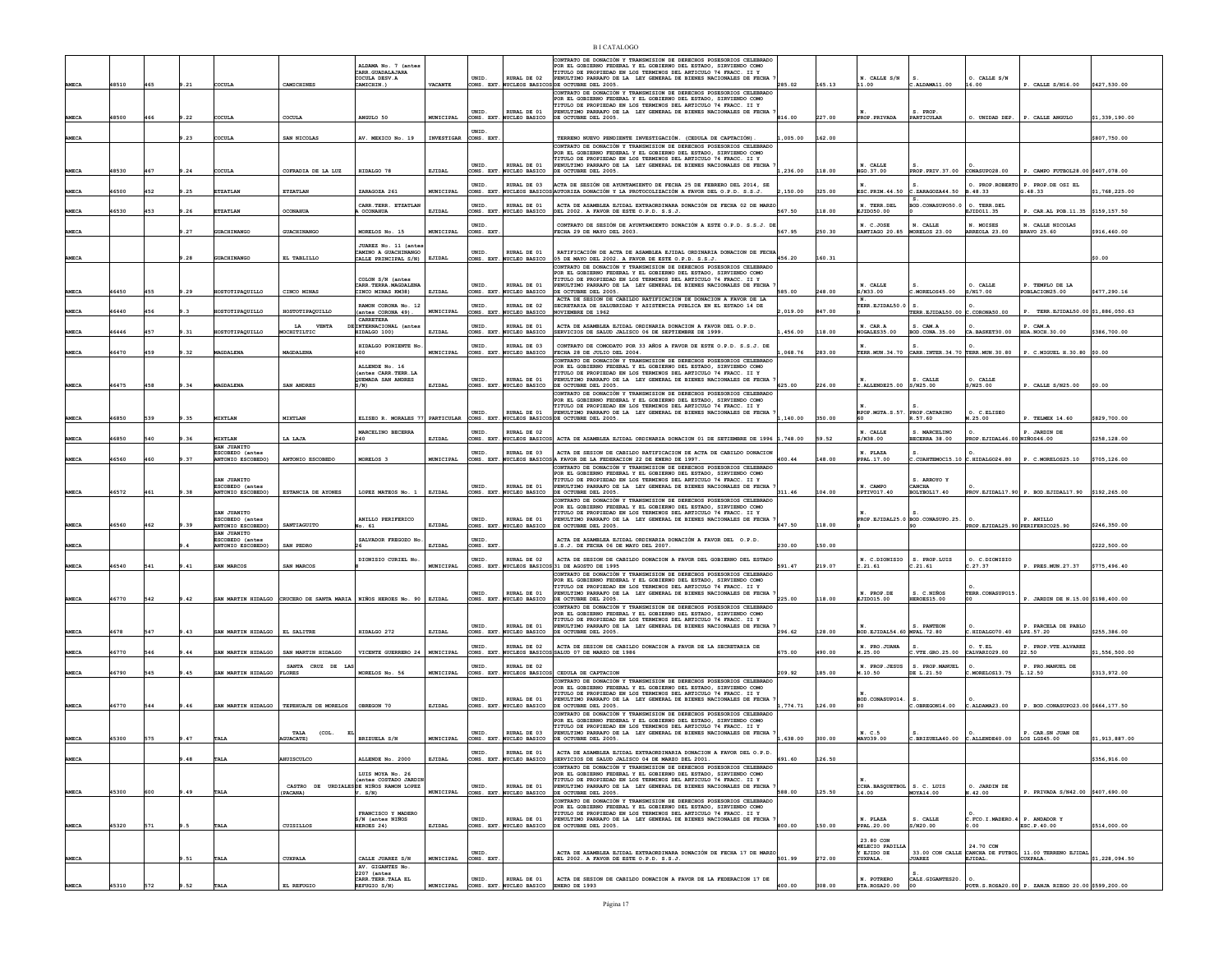|              |       |     |      |                                                     |                                                                          | ALDAMA No. 7 (antes<br>CARR. GUADALAJARA<br>COCULA DESV.A |                  | UNID.                    | RURAL DE 02                               | CONTRATO DE DONACIÓN Y TRANSMISION DE DERECHOS POSESORIOS CELEBRAD<br>POR EL GORTERNO FEDERAL Y EL GORTERNO DEL ESTADO, STRVIENDO COMO<br>TITULO DE PROPIEDAD EN LOS TERMINOS DEL ARTICULO 74 FRACC. II Y<br>PENULTIMO PARRAFO DE LA LEY GENERAL DE BIENES NACIONALES DE FECHA |          |        | N. CALLE S/N                           |                                                      | O. CALLE S/N                      |                                                   |                |
|--------------|-------|-----|------|-----------------------------------------------------|--------------------------------------------------------------------------|-----------------------------------------------------------|------------------|--------------------------|-------------------------------------------|--------------------------------------------------------------------------------------------------------------------------------------------------------------------------------------------------------------------------------------------------------------------------------|----------|--------|----------------------------------------|------------------------------------------------------|-----------------------------------|---------------------------------------------------|----------------|
| <b>AMECA</b> | 48510 | 465 | 9.21 | COCULA                                              | CAMICHINES                                                               | CAMICHIN.)                                                | <b>VACANTE</b>   |                          |                                           | CONS. EXT. NUCLEOS BASICOS DE OCTUBRE DEL 2005.                                                                                                                                                                                                                                | 285.02   | 165.13 | 11.00                                  | .ALDAMA11.00                                         | 16.00                             | P. CALLE S/N16.00                                 | \$427,530.00   |
|              |       |     |      |                                                     |                                                                          |                                                           |                  | UNID.                    | RURAL DE 01                               | CONTRATO DE DONACIÓN Y TRANSMISION DE DERECHOS POSESORIOS CELEBRADO<br>POR EL GOBIERNO FEDERAL Y EL GOBIERNO DEL ESTADO, SIRVIENDO COMO<br>TITULO DE PROPIEDAD EN LOS TERMINOS DEL ARTICULO 74 FRACC. II Y<br>NULTIMO PARRAFO DE LA LEY GENERAL DE BIENES NACIONALES DE FECHA  |          |        |                                        | S. PROP                                              |                                   |                                                   |                |
| AMECA        | 48500 | 466 | 9.22 | <b>COULA</b>                                        | COCULA                                                                   | ANGULO 50                                                 | MUNICIPAL        |                          | CONS. EXT. NUCLEO BASICO                  | DE OCTUBRE DEL 2005.                                                                                                                                                                                                                                                           | 816.00   | 227.00 | PROP. PRIVADA                          | PARTICULAR                                           | O. UNIDAD DEP.                    | P. CALLE ANGULO                                   | \$1,339,190.00 |
| AMECA        |       |     | 9.23 | <b>COULA</b>                                        | SAN NICOLAS                                                              | AV. MEXICO No. 19                                         | INVESTIGAR       | <b>INTD</b><br>CONS. EXT |                                           | TERRENO NUEVO PENDIENTE INVESTIGACIÓN. (CEDULA DE CAPTACIÓN)                                                                                                                                                                                                                   | .005.00  | 162.00 |                                        |                                                      |                                   |                                                   | \$807,750.00   |
|              |       |     |      |                                                     |                                                                          |                                                           |                  |                          |                                           | CONTRATO DE DONACIÓN Y TRANSMISION DE DERECHOS POSESORIOS CELEBRADO<br>POR EL GORTERNO FEDERAL Y EL GORTERNO DEL ESTADO, STRUTENDO COMO                                                                                                                                        |          |        |                                        |                                                      |                                   |                                                   |                |
|              |       |     |      |                                                     |                                                                          |                                                           |                  | UNID.                    | RURAL DE 01                               | TITULO DE PROPIEDAD EN LOS TERMINOS DEL ARTICULO 74 FRACC. II Y<br>PENULTIMO PARRAFO DE LA LEY GENERAL DE BIENES NACIONALES DE FECHA                                                                                                                                           |          |        | N. CALLE                               |                                                      |                                   |                                                   |                |
|              | 18530 | 467 | .24  | <b>COULA</b>                                        | COFRADIA DE LA LUZ                                                       | HIDALGO 78                                                | EJIDAL           | CONS. EXT                | UCLEO BASICO                              | DE OCTUBRE DEL 2005.                                                                                                                                                                                                                                                           | 236.00   | 18.00  | HGO.37.00                              | PROP. PRIV. 37.00                                    | CONASUPO28.00                     | P. CAMPO FUTBOL28.00 \$407,078.00                 |                |
| <b>AMECA</b> | 16500 | 452 | .25  | <b>ETZATLAN</b>                                     | ETZATLAN                                                                 | ZARAGOZA 261                                              | MUNICIPAL        | INTD.                    | RURAL DE 03                               | ACTA DE SESIÓN DE AYUNTAMIENTO DE FECHA 25 DE FEBRERO DEL 2014, SE<br>CONS. EXT. NUCLEOS BASICOS AUTORIZA DONACIÓN Y LA PROTOCOLIZACIÓN A FAVOR DEL O.P.D. S.S.J                                                                                                               | 150.00   | 325.00 | ESC. PRIM. 44.50                       | $c$ . ZARAGOZA $44.50$                               | B.48.33                           | O. PROP.ROBERTO P. PROP.DE OSI EL<br>3.48.33      | \$1,768,225.00 |
|              |       |     |      |                                                     |                                                                          | CARR. TERR. ETZATLAN                                      |                  | UNID.                    | RURAL DE 01                               | ACTA DE ASAMBLEA EJIDAL EXTRAORDINARA DONACIÓN DE FECHA 02 DE MARZO                                                                                                                                                                                                            |          |        | N. TERR.DEL                            | BOD.CONASUPO50.0                                     | O. TERR.DEL                       |                                                   |                |
| <b>AMECA</b> | 46530 | 453 | 9.26 | <b>ETZATLAN</b>                                     | OCONAHUA                                                                 | A OCONAHUA                                                | EJIDAL           |                          | CONS. EXT. NUCLEO BASICO                  | DEL 2002. A FAVOR DE ESTE O.P.D. S.S.J.                                                                                                                                                                                                                                        | 567.50   | 118.00 | EJID050.00                             |                                                      | EJID011.35                        | P. CAR.AL POB.11.35 \$159.157.50                  |                |
| AMECA        |       |     | .27  | <b>SUACHINANGO</b>                                  | GUACHINANGO                                                              | MORELOS No. 15                                            | MUNICIPAL        | UNID.<br>CONS. EXT       |                                           | CONTRATO DE SESIÓN DE AYUNTAMIENTO DONACIÓN A ESTE O.P.D. S.S.J. DE<br>FECHA 29 DE MAYO DEL 2003.                                                                                                                                                                              | 567.95   | 50.30  | N. C.JOSE<br>SANTIAGO 20.85            | N. CALLE<br>MORELOS 23.00                            | N. MOISES<br>ARREOLA 23.00        | N. CALLE NICOLAS<br><b>BRAVO 25.60</b>            | \$916,460.00   |
|              |       |     |      |                                                     |                                                                          | JUAREZ No. 11 (ante                                       |                  |                          |                                           |                                                                                                                                                                                                                                                                                |          |        |                                        |                                                      |                                   |                                                   |                |
| AMECA        |       |     | 9.28 | GUACHINANGO                                         | EL TABLILLO                                                              | CAMINO A GUACHINANGO<br>CALLE PRINCIPAL S/N)              | EJIDAI           | UNID.                    | RURAL DE 01<br>CONS. EXT. NUCLEO BASICO   | RATIFICACIÓN DE ACTA DE ASAMBLEA EJIDAL ORDINARIA DONACION DE FECHA<br>05 DE MAYO DEL 2002. A FAVOR DE ESTE O.P.D. S.S.J.                                                                                                                                                      | 456.20   | 160.31 |                                        |                                                      |                                   |                                                   | \$0.00         |
|              |       |     |      |                                                     |                                                                          |                                                           |                  |                          |                                           | CONTRATO DE DONACIÓN Y TRANSMISION DE DERECHOS POSESORIOS CELEBRADO<br>POR EL GOBIERNO FEDERAL Y EL GOBIERNO DEL ESTADO, SIRVIENDO COMO                                                                                                                                        |          |        |                                        |                                                      |                                   |                                                   |                |
|              |       |     |      |                                                     |                                                                          | COLON S/N (antes<br>CARR. TERRA. MAGDALENA                |                  | INTD.                    | RURAL DE 01                               | TITULO DE PROPIEDAD EN LOS TERMINOS DEL ARTICULO 74 FRACC. II Y<br>PENULTIMO PARRAFO DE LA LEY GENERAL DE BIENES NACIONALES DE FECHA                                                                                                                                           |          |        | N. CALLE                               |                                                      | O. CALLE                          | P. TEMPLO DE LA                                   |                |
| <b>AMECA</b> | 46450 | 455 | 9.29 | <b>IOSTOTIPAQUILLO</b>                              | CINCO MINAS                                                              | CINCO MINAS KM38)                                         | EJIDAL           | CONS. EXT.               | NUCLEO BASICO                             | DE OCTUBRE DEL 2005.                                                                                                                                                                                                                                                           | 585.00   | 248.00 | S/N33.00                               | .MORELOS45.00                                        | S/N17.00                          | OBLACION25.00                                     | \$477,290.16   |
| AMECA        | 6440  |     |      | OSTOTIPAQUILLO                                      | HOSTOTIPAQUILLO                                                          | RAMON CORONA No. 12<br>(antes CORONA 49).                 | MUNICIPAL        | UNID.<br>ONS. EXT        | RURAL DE 02<br><b>JCLEO BASICO</b>        | ACTA DE SESION DE CABILDO RATIFICACION DE DONACION A FAVOR DE LA SECRETARIA DE SALUBRIDAD Y ASISTENCIA PUBLICA EN EL ESTADO 14 DE<br>VIEMBRE DE 1962                                                                                                                           | 019.00   | 47.00  | TERR.EJIDAL50.0                        | s.<br>FERR. EJIDAL50.00                              | C.CORONA50.00                     | TERR.EJIDAL50.00 \$1,886,050.63                   |                |
|              |       |     |      |                                                     | LA<br><b>VENTA</b>                                                       | CARRETERA<br>INTERNACIONAL (antes                         |                  | UNID.                    | RURAL DE 01                               | ACTA DE ASAMBLEA EJIDAL ORDINARIA DONACION A FAVOR DEL O.P.D.                                                                                                                                                                                                                  |          |        | N. CAR.A                               | S. CAM.A                                             |                                   | P. CAM.A                                          |                |
| AMECA        | 16446 | 457 | .31  | <b>IOSTOTIPAOUILLO</b>                              | OCHITILTIC                                                               | HIDALGO 100)                                              | EJIDAL           |                          | CONS. EXT. NUCLEO BASICO                  | SERVICIOS DE SALUD JALISCO 06 DE SEPTIEMBRE DE 1999.                                                                                                                                                                                                                           | .456.00  | 118.00 | NOGALES35.00                           | BOD.CONA.35.00                                       | CA. BASKET30.00                   | <b>HDA. NOCH. 30.00</b>                           | \$386,700.00   |
|              | 46470 | 459 |      | <b>AGDALENA</b>                                     | MAGDALENA                                                                | HIDALGO PONIENTE No                                       | MUNICIPAL        | INTD.                    | RURAL DE 03                               | CONTRATO DE COMODATO POR 33 AÑOS A FAVOR DE ESTE O.P.D. S.S.J. DE<br>FECHA 28 DE JULIO DEL 2004.                                                                                                                                                                               | ,068.76  | 283.00 |                                        | TERR. MUN. 34.70 CARR. INTER. 34.70 TERR. MUN. 30.80 |                                   | P. C.MIGUEL H.30.80 \$0.00                        |                |
| AMECA        |       |     | 9.32 |                                                     |                                                                          | 400                                                       |                  |                          | CONS. EXT. NUCLEO BASICO                  | CONTRATO DE DONACIÓN Y TRANSMISION DE DERECHOS POSESORIOS CELEBRADO                                                                                                                                                                                                            |          |        |                                        |                                                      |                                   |                                                   |                |
|              |       |     |      |                                                     |                                                                          | ALLENDE No. 16<br>(antes CARR.TERR.LA                     |                  |                          |                                           | POR EL GORTERNO FEDERAL Y EL GORTERNO DEL ESTADO, STRVIENDO COMO<br>TITULO DE PROPIEDAD EN LOS TERMINOS DEL ARTICULO 74 FRACC. II Y                                                                                                                                            |          |        |                                        |                                                      |                                   |                                                   |                |
| AMECA        | 46475 | 458 | 9.34 | MAGDALENA                                           | SAN ANDRES                                                               | QUEMADA SAN ANDRES<br>S/N                                 | EJIDAL           | INTD.<br>CONS. EXT.      | RURAL DE 01<br><b>NUCLEO BASICO</b>       | PENULTIMO PARRAFO DE LA LEY GENERAL DE BIENES NACIONALES DE FECHA<br>DE OCTUBRE DEL 2005.                                                                                                                                                                                      | 625.00   | 226.00 | $c.\mathtt{ALLENDE25.00}$ $ s/n25.00$  | S. CALLE                                             | $O$ $CATE$<br>S/N25.00            | P. CALLE S/N25.00                                 | \$0.00         |
|              |       |     |      |                                                     |                                                                          |                                                           |                  |                          |                                           | CONTRATO DE DONACIÓN Y TRANSMISION DE DERECHOS POSESORIOS CELEBRADO<br>POR EL GORTERNO FEDERAL Y EL GORTERNO DEL ESTADO. STRVTENDO COMO                                                                                                                                        |          |        |                                        |                                                      |                                   |                                                   |                |
|              |       |     |      |                                                     |                                                                          |                                                           |                  | UNID.                    | RURAL DE 01                               | TITULO DE PROPIEDAD EN LOS TERMINOS DEL ARTICULO 74 FRACC. II Y<br>PENULTIMO PARRAFO DE LA LEY GENERAL DE BIENES NACIONALES DE FECHA                                                                                                                                           |          |        | RPOP.MGTA.S.57                         | PROP. CATARINO                                       | O. C.ELISEO                       |                                                   |                |
| AMECA        | 46850 | 539 | 9.35 | MIXTLAN                                             | MIXTLAN                                                                  | ELISEO R. MORALES 77                                      | PARTICULAR       | CONS. EXT.               | NUCLEOS BASICOS                           | DE OCTUBRE DEL 2005.                                                                                                                                                                                                                                                           | ,140.00  | 350.00 |                                        | R.57.60                                              | M.25.00                           | P. TELMEX 14.60                                   | \$829,700.00   |
| <b>AMECA</b> | 16850 | 540 | .36  | <b>IIXTLAN</b>                                      | LA LAJA                                                                  | MARCELINO BECERRA<br>240                                  | EJIDAL           | <b>INTD</b>              | RURAL DE 02<br>CONS. EXT. NUCLEOS BASICOS | ACTA DE ASAMBLEA EJIDAL ORDINARIA DONACION 01 DE SETIEMBRE DE 1996 $\vert$ 1,748.00                                                                                                                                                                                            |          | 59.52  | N. CALLE<br>S/N38.00                   | C MADCELTNO<br><b>BECERRA 38.00</b>                  | PROP. EJIDAL46.00 NIÑOS46.00      | P. JARDIN DE                                      | \$258,128.00   |
|              |       |     |      | SAN JUANITO<br>ESCOBEDO (antes                      |                                                                          |                                                           |                  | UNID.                    | RURAL DE 03                               | ACTA DE SESION DE CABILDO RATIFICACION DE ACTA DE CABILDO DONACION                                                                                                                                                                                                             |          |        | N. PLAZA                               |                                                      |                                   |                                                   |                |
| AMECA        | 46560 | 460 | 9.37 | <b>ANTONIO ESCOBEDO)</b>                            | ANTONIO ESCOBEDO                                                         | MORELOS 3                                                 | MUNICIPAL        |                          |                                           | CONS. EXT. NUCLEOS BASICOSA FAVOR DE LA FEDERACION 22 DE ENERO DE 1997.<br>CONTRATO DE DONACIÓN Y TRANSMISION DE DERECHOS POSFSORTOS CELEBRADO                                                                                                                                 | 400.44   | 148.00 | PPAL. 17.00                            | $c$ . CUAHTEMOC15.10 $c$ . HIDALGO24.80              |                                   | P. C.MORELOS25.10                                 | \$705,126.00   |
|              |       |     |      |                                                     |                                                                          |                                                           |                  |                          |                                           |                                                                                                                                                                                                                                                                                |          |        |                                        |                                                      |                                   |                                                   |                |
|              |       |     |      |                                                     |                                                                          |                                                           |                  |                          |                                           | POR EL GOBIERNO FEDERAL Y EL GOBIERNO DEL ESTADO, SIRVIENDO COMO                                                                                                                                                                                                               |          |        |                                        |                                                      |                                   |                                                   |                |
| <b>AMECA</b> | 46572 | 461 | 9.38 | SAN JUANITO<br>ESCOBEDO (antes<br>ANTONIO ESCOBEDO) | ESTANCIA DE AYONES                                                       | LOPEZ MATEOS No. 1                                        | EJIDAL           | UNID.<br>CONS. EXT.      | RURAL DE 01<br>NUCLEO BASICO              | TITULO DE PROPIEDAD EN LOS TERMINOS DEL ARTICULO 74 FRACC. II Y<br>PENULTIMO PARRAFO DE LA LEY GENERAL DE BIENES NACIONALES DE FECHA<br>DE OCTUBRE DEL 2005.                                                                                                                   | 311.46   | 104.00 | N. CAMPO<br>DPTIVO17.40                | S. ARROYO Y<br>CANCHA<br>BOLYBOL17.40                |                                   | PROV.EJIDAL17.90 P. BOD.EJIDAL17.90 \$192,265.00  |                |
|              |       |     |      |                                                     |                                                                          |                                                           |                  |                          |                                           | COMPRATO DE DOMACTÓN Y TRANSMISTON DE DERECHOS DOSESORTOS CELEBRADO                                                                                                                                                                                                            |          |        |                                        |                                                      |                                   |                                                   |                |
|              |       |     |      | SAN JUANITO                                         |                                                                          |                                                           |                  |                          |                                           | POR EL GOBIERNO FEDERAL Y EL GOBIERNO DEL ESTADO, SIRVIENDO COMO<br>TITULO DE PROPIEDAD EN LOS TERMINOS DEL ARTICULO 74 FRACC. II Y                                                                                                                                            |          |        |                                        |                                                      |                                   |                                                   |                |
| AMECA        | 16560 | 462 | 9.39 | ESCOBEDO (antes<br><b>ANTONIO ESCOBEDO)</b>         | SANTIAGUITO                                                              | ANILLO PERIFERICO<br>lo. 61                               | EJIDAL           | UNID.<br>CONS. EXT       | RURAL DE 01<br><b>WCLEO BASICO</b>        | PENULTIMO PARRAFO DE LA LEY GENERAL DE BIENES NACIONALES DE FECHA<br>DE OCTUBRE DEL 2005.                                                                                                                                                                                      | 647.50   | 118.00 |                                        | <b>PROP.EJIDAL25.0 BOD.CONASUPO.25.</b>              | PROP. EJIDAL25.90 PERIFERICO25.90 | P. ANILLO                                         | \$246,350.00   |
|              |       |     |      | SAN JUANITO<br>ESCOBEDO (antes                      |                                                                          | SALVADOR FREGOZO No                                       |                  | UNID.                    |                                           | ACTA DE ASAMBLEA EJIDAL ORDINARIA DONACIÓN A FAVOR DEL 0.P.D.                                                                                                                                                                                                                  |          |        |                                        |                                                      |                                   |                                                   |                |
| AMECA        |       |     |      | <b>INTONIO ESCOBEDO)</b>                            | SAN PEDRO                                                                |                                                           | <b>EJIDAI</b>    | CONS. EXT                |                                           | .S.J. DE FECHA 06 DE MAYO DEL 2007.                                                                                                                                                                                                                                            | 230.00   | 50.00  |                                        |                                                      |                                   |                                                   | \$222,500.00   |
| AMECA        | 46540 | 541 | 9.41 | SAN MARCOS                                          | SAN MARCOS                                                               | DIONISIO CURIEL No.                                       | MUNICIPAL        | UNID.                    | RURAL DE 02                               | ACTA DE SESION DE CABILDO DONACION A FAVOR DEL GOBIERNO DEL ESTADO<br>CONS. EXT. NUCLEOS BASICOS 31 DE AGOSTO DE 1995                                                                                                                                                          | 591.47   | 219.07 | N. C.DIONISIO<br>2.21.61               | S. PROP.LUIS<br>.21.61                               | O. C.DIONISIO<br>C.27.37          | P. PRES.MUN.27.37 \$775,496.40                    |                |
|              |       |     |      |                                                     |                                                                          |                                                           |                  |                          |                                           | CONTRATO DE DONACIÓN Y TRANSMISION DE DERECHOS POSESORIOS CELEBRADO<br>POR EL GOBIERNO FEDERAL Y EL GOBIERNO DEL ESTADO, SIRVIENDO COMO                                                                                                                                        |          |        |                                        |                                                      |                                   |                                                   |                |
|              |       |     |      |                                                     |                                                                          |                                                           |                  | UNID.                    | RURAL DE 01                               | TITULO DE PROPIEDAD EN LOS TERMINOS DEL ARTICULO 74 FRACC. II Y<br>PENULTIMO PARRAFO DE LA LEY GENERAL DE BIENES NACIONALES DE FECHA                                                                                                                                           |          |        | N. PROP.DE                             | S. C.NIÑOS                                           | TERR.CONASUPO15.                  |                                                   |                |
| <b>AMECA</b> | 46770 | 542 | 9.42 |                                                     | SAN MARTIN HIDALGO CRUCERO DE SANTA MARIA   NIÑOS HEROES No. 90   EJIDAL |                                                           |                  |                          | CONS. EXT. NUCLEO BASICO                  | DE OCTUBRE DEL 2005.<br>CONTRATO DE DONACIÓN Y TRANSMISION DE DERECHOS POSESORIOS CELEBRADO                                                                                                                                                                                    | 225.00   | 18.00  | EJID015.00                             | <b>HEROES15.00</b>                                   |                                   | P. JARDIN DE N.15.00 \$198,400.00                 |                |
|              |       |     |      |                                                     |                                                                          |                                                           |                  |                          |                                           | POR EL GOBIERNO FEDERAL Y EL GOBIERNO DEL ESTADO, SIRVIENDO COMO<br>TITULO DE PROPIEDAD EN LOS TERMINOS DEL ARTICULO 74 FRACC. II Y                                                                                                                                            |          |        |                                        |                                                      |                                   |                                                   |                |
| <b>AMECA</b> | 4678  | 547 | 9.43 | SAN MARTIN HIDALGO                                  | EL SALITRE                                                               | HIDALGO 272                                               | EJIDAL           | UNID.                    | RURAL DE 01<br>CONS. EXT. NUCLEO BASICO   | PENULTIMO PARRAFO DE LA LEY GENERAL DE BIENES NACIONALES DE FECHA<br>DE OCTUBRE DEL 2005.                                                                                                                                                                                      | 296.62   | 128.00 | BOD. EJIDAL54.60 MPAL. 72.80           | S. PANTEON                                           | HIDALGO70.40                      | P. PARCELA DE PABLO<br>LPZ.57.20                  | \$255,386.00   |
|              |       |     |      |                                                     |                                                                          |                                                           |                  | UNID.                    | RURAL DE 02                               | ACTA DE SESION DE CABILDO DONACION A FAVOR DE LA SECRETARIA DE                                                                                                                                                                                                                 |          |        | N. PRO.JUANA                           |                                                      | 0. T.EL                           | P. PROP. VTE. ALVAREZ                             |                |
| AMECA        | 16770 | 546 |      | AN MARTIN HIDALGO                                   | SAN MARTIN HIDALGO                                                       | VICENTE GUERRERO 24                                       | MUNICIPAL        |                          | CONS. EXT. NUCLEOS BASICO                 | SALUD 07 DE MARZO DE 1986                                                                                                                                                                                                                                                      | 675.00   | 190.00 | M.25.00                                | C.VTE.GRO.25.00                                      | CALVARIO29.00                     | 22.50                                             | \$1,556,500.00 |
| AMECA        | 46790 | 545 | 9.45 | SAN MARTIN HIDALGO                                  | SANTA<br>CRUZ DE<br><b>FLORES</b>                                        | MORELOS No. 56                                            | <b>MUNICIPAL</b> | UNID.                    | RURAL DE 02<br>CONS. EXT. NUCLEOS BASICOS | CEDULA DE CAPTACION                                                                                                                                                                                                                                                            | 209.92   | 185.00 | N. PROP.JESUS<br>M.10.50               | S. PROP. MANUEL<br>DE L.21.50                        | C.MORELOS13.75                    | P. PRO.MANUEL DE<br>L.12.50                       | \$313,972.00   |
|              |       |     |      |                                                     |                                                                          |                                                           |                  |                          |                                           | CONTRATO DE DONACIÓN Y TRANSMISION DE DERECHOS POSESORIOS CELEBRADO<br>POR EL GOBIERNO FEDERAL Y EL GOBIERNO DEL ESTADO, SIRVIENDO COMO                                                                                                                                        |          |        |                                        |                                                      |                                   |                                                   |                |
|              |       |     |      |                                                     |                                                                          |                                                           |                  | UNID.                    | RURAL DE 01                               | TITULO DE PROPIEDAD EN LOS TERMINOS DEL ARTICULO 74 FRACC. II Y<br>NULTIMO PARRAFO DE LA LEY GENERAL DE BIENES NACIONALES DE FECHA                                                                                                                                             |          |        | BOD.CONASUPO14.                        |                                                      |                                   |                                                   |                |
| AMECA        | 46770 | 544 | 9.46 | SAN MARTIN HIDALGO                                  | TEPERUAJE DE MORELOS OBREGON 70                                          |                                                           | EJIDAL           |                          | CONS. EXT. NUCLEO BASICO                  | DE OCTUBRE DEL 2005.<br>CONTRATO DE DONACIÓN Y TRANSMISION DE DERECHOS POSESORIOS CELEBRADO                                                                                                                                                                                    | ,774.71  | 126.00 |                                        | C.OBREGON14.00 C.ALDAMA23.00                         |                                   | P. BOD.CONASUP023.00 \$664,177.50                 |                |
|              |       |     |      |                                                     |                                                                          |                                                           |                  |                          |                                           | FOR EL GOBIERNO FEDERAL Y EL GOBIERNO DEL ESTADO, SIRVIENDO COMO<br>TITULO DE PROPIEDAD EN LOS TERMINOS DEL ARTICULO 74 FRACC. II Y                                                                                                                                            |          |        |                                        |                                                      |                                   |                                                   |                |
| AMECA        | 45300 | 575 | 9.47 | TALA                                                | TALA<br>(COL.<br><b>JUACATE)</b>                                         | BRIZUELA S/N                                              | MUNICIPAL        | UNID.                    | RURAL DE 03                               | PENULTIMO PARRAFO DE LA LEY GENERAL DE BIENES NACIONALES DE FECHA<br>CONS. EXT. NUCLEO BASICO DE OCTUBRE DEL 2005.                                                                                                                                                             | 1,638.00 | 300.00 | N. C.5<br>MAY039.00                    | $C.BRIZUELA40.00$ $C.ALLENDE40.00$                   |                                   | P. CAR. SN JUAN DE<br>LOS LGS45.00                | \$1,913,887.00 |
|              |       |     |      |                                                     |                                                                          |                                                           |                  |                          | RURAL DE 01                               | ACTA DE ASAMBLEA EJIDAL EXTRAORDINARIA DONACION A FAVOR DEL O.P.D.                                                                                                                                                                                                             |          |        |                                        |                                                      |                                   |                                                   |                |
|              |       |     | 48   |                                                     | HUISCULCO                                                                | ALLENDE No. 2000                                          | EJIDAL           |                          | CONS. EXT. NUCLEO BASICO                  | SERVICIOS DE SALUD JALISCO 04 DE MARZO DEL 2001.                                                                                                                                                                                                                               | 691.60   | 126.50 |                                        |                                                      |                                   |                                                   | 356, 916.00    |
|              |       |     |      |                                                     |                                                                          | LUIS MOYA No. 26<br>(antes COSTADO JARDIM                 |                  |                          |                                           | CONTRATO DE DONACIÓN Y TRANSMISION DE DERECHOS POSESORIOS CELEBRADO<br>POR EL GOBIERNO FEDERAL Y EL GOBIERNO DEL ESTADO, SIRVIENDO COMO<br>TITULO DE PROPIEDAD EN LOS TERMINOS DEL ARTICULO 74 FRACC. II Y                                                                     |          |        |                                        |                                                      |                                   |                                                   |                |
|              | 45300 | 600 | .49  | TALA                                                | CASTRO DE URDIALES DE NIÑOS RAMON LOPEZ<br>(PACANA)                      | V. S/N                                                    | <b>MUNICIPAL</b> | UNID.                    | RURAL DE 01<br>CONS. EXT. NUCLEO BASICO   | PENULTIMO PARRAFO DE LA LEY GENERAL DE BIENES NACIONALES DE FECHA 7<br>DE OCTUBRE DEL 2005.                                                                                                                                                                                    | 588.00   | 125.50 | CCHA. BASQUETBOL   S. C. LUIS<br>14.00 | MOYA14.00                                            | O. JARDIN DE<br>N.42.00           | P. PRIVADA S/N42.00 \$407,690.00                  |                |
| AMECA        |       |     |      |                                                     |                                                                          |                                                           |                  |                          |                                           | CONTRATO DE DONACIÓN Y TRANSMISION DE DERECHOS POSESORIOS CELEBRADO                                                                                                                                                                                                            |          |        |                                        |                                                      |                                   |                                                   |                |
|              |       |     |      |                                                     |                                                                          | FRANCISCO Y MADERO<br>S/N (antes NTÑOS                    |                  | UNID.                    | RURAL DE 01                               | POR EL GOBIERNO FEDERAL Y EL GOBIERNO DEL ESTADO, SIRVIENDO COMO<br>TITULO DE PROPIEDAD EN LOS TERMINOS DEL ARTICULO 74 FRACC. II Y<br>PENULTIMO PARRAFO DE LA LEY GENERAL DE BIENES NACIONALES DE FECHA                                                                       |          |        | N. PLAZA                               | S. CALLE                                             | C.FCO.I.MADERO.4 P. ANDADOR Y     |                                                   |                |
| AMECA        | 45320 | 571 |      | TALA                                                | CUISILLOS                                                                | HEROES 24)                                                | EJIDAI           | CONS. EXT.               | NUCLEO BASICO                             | DE OCTUBRE DEL 2005.                                                                                                                                                                                                                                                           | 800.00   | 150.00 | PPAL.20.00                             | s/N20.00                                             |                                   | ESC.P.40.00                                       | \$514,000.00   |
|              |       |     |      |                                                     |                                                                          |                                                           |                  |                          |                                           |                                                                                                                                                                                                                                                                                |          |        | 23.80 CON<br>MELECIO PADILLI           |                                                      | 24.70 CON                         |                                                   |                |
| <b>AMECA</b> |       |     | .51  | TALA                                                | CUXPALA                                                                  | CALLE JUAREZ S/N                                          | MUNICIPAL        | UNID.<br>CONS. EXT       |                                           | ACTA DE ASAMBLEA EJIDAL EXTRAORDINARA DONACIÓN DE FECHA 17 DE MARZO<br>DEL 2002. A FAVOR DE ESTE O.P.D. S.S.J.                                                                                                                                                                 | 501.99   | 272.00 | Y EJIDO DE<br><b>CUXPALA</b>           | 33.00 CON CALLE<br><b>JUAREZ</b>                     | EJIDAL.                           | CANCHA DE FUTBOL 11.00 TERRENO EJIDAL<br>CUXPALA. | \$1,228,094.50 |
|              |       |     |      |                                                     |                                                                          | AV. GIGANTES No.<br>2207 (antes<br>CARR. TERR. TALA EL    |                  |                          |                                           | ACTA DE SESION DE CABILDO DONACION A FAVOR DE LA FEDERACION 17 DE                                                                                                                                                                                                              |          |        | N. POTRERO                             | CALZ.GIGANTES20.                                     |                                   |                                                   |                |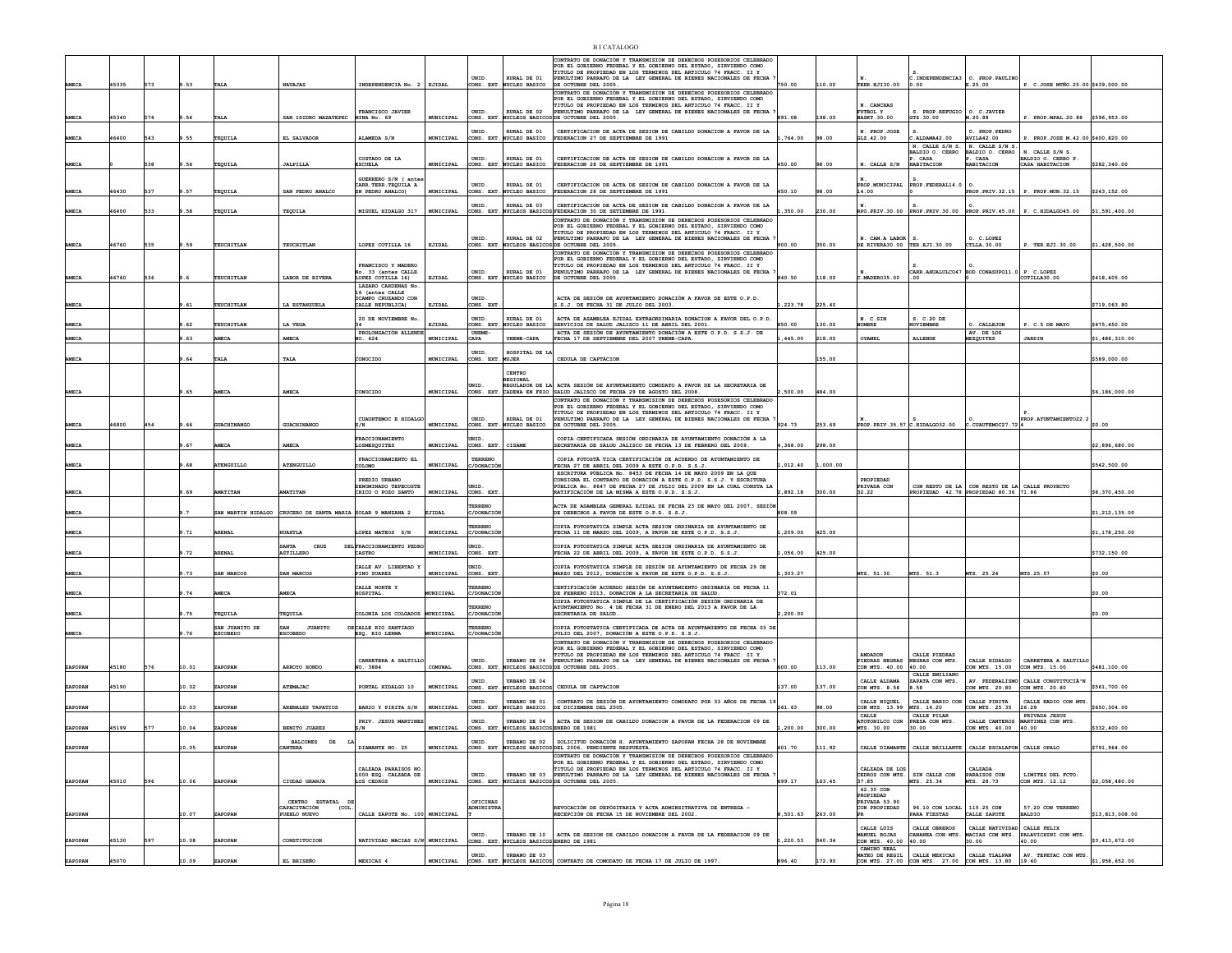|              |       |     |       |                 |                                                             |                                                                  |                  |                               |                                                          | <b>BI CATALOGO</b>                                                                                                                                                                                                                                                                                      |          |        |                                             |                                                            |                                                |                                                                              |                 |
|--------------|-------|-----|-------|-----------------|-------------------------------------------------------------|------------------------------------------------------------------|------------------|-------------------------------|----------------------------------------------------------|---------------------------------------------------------------------------------------------------------------------------------------------------------------------------------------------------------------------------------------------------------------------------------------------------------|----------|--------|---------------------------------------------|------------------------------------------------------------|------------------------------------------------|------------------------------------------------------------------------------|-----------------|
| MECA         | 45335 | 573 | 9.53  | TALA            | <b>NAVAJAS</b>                                              | INDEPENDENCIA No. 2 EJIDAL                                       |                  | UNID.                         | RURAL DE 01<br>CONS. EXT. NUCLEO BASICO                  | CONTRATO DE DONACIÓN Y TRANSMISION DE DERECHOS POSESORIOS CELEBRADO<br>POR EL GOBIERNO FEDERAL Y EL GOBIERNO DEL ESTADO, SIRVIENDO COMO<br>TITULO DE PROPIEDAD EN LOS TERMINOS DEL ARTICULO 74 FRACC. II Y<br>PENULTIMO PARRAFO DE LA LEY GENERAL DE BIENES NACIONALES DE FECHA<br>DE OCTUBRE DEL 2005. | 750.00   | 110.00 | TERR. EJ130.00                              | 0.00                                                       | . INDEPENDENCIA3 0. PROP. PAULINO<br>E.25.00   | P. C.JOSE MTÑO.25.00 \$439,000.00                                            |                 |
|              |       |     |       |                 |                                                             |                                                                  |                  |                               |                                                          | CONTRATO DE DONACIÓN Y TRANSMISION DE DERECHOS POSESORIOS CELEBRADO<br>POR EL GOBIERNO FEDERAL Y EL GOBIERNO DEL ESTADO, SIRVIENDO COMO<br>TITULO DE PROPIEDAD EN LOS TERMINOS DEL ARTICULO 74 FRACC. II Y PENULTIMO PARRAFO DE LA LEY GENERAL DE BIENES NACIONALES DE FECHA                            |          |        | N. CANCHAS                                  |                                                            |                                                |                                                                              |                 |
| <b>AMECA</b> | 45340 | 574 | 9.54  | TALA            | SAN ISIDRO MAZATEPEC MINA No. 69                            | FRANCISCO JAVIER                                                 | MUNICIPAL        | UNID.<br>CONS. EXT            | RURAL DE 02<br>NUCLEOS BASICO                            | SDE OCTUBRE DEL 2005                                                                                                                                                                                                                                                                                    | 891.08   | 198.00 | FUTBOL Y<br><b>BASKT.30.00</b>              | S. PROP.REFUGIO<br>GTZ.30.00                               | O. C.JAVIER<br>M.20.88                         | P. PROP.MPAL.20.88 \$596,953.00                                              |                 |
| AMECA        | 6400  | 543 | .55   | TEQUILA         | EL SALVADOR                                                 | ALAMEDA S/N                                                      | MUNICIPAL        | ONS. EXT                      | URAL DE 01<br>UCLEO BASICO                               | CERTIFICACION DE ACTA DE SESION DE CABILDO DONACION A FAVOR DE LA<br>FEDERACION 27 DE SEPTIEMBRE DE 1991                                                                                                                                                                                                | 764.00   | 98.00  | N. PROP.JOSE<br>GLZ.42.00                   | .ALDAMA42.00                                               | O. PROP. PEDRO<br><b>AVILA42.00</b>            | P. PROP.JOSE M.42.00 \$400,820.00                                            |                 |
|              |       |     |       |                 |                                                             | COSTADO DE LA                                                    |                  | UNID.                         | RURAL DE 01                                              |                                                                                                                                                                                                                                                                                                         |          |        |                                             | N. CALLE S/N S.<br>BALDIO O. CERRO<br>P. CASA              | N. CALLE S/N S<br>MALDIO O. CERRO<br>CASA      | N. CALLE S/N S.                                                              |                 |
| AMECA        |       | 538 | 9.56  | TEQUILA         | <b>JALPILLA</b>                                             | ESCUELA                                                          | MUNICIPAL        | CONS. EXT                     | . NUCLEO BASICO                                          | CERTIFICACION DE ACTA DE SESION DE CABILDO DONACION A FAVOR DE LA<br>FEDERACION 28 DE SEPTIEMBRE DE 1991                                                                                                                                                                                                | 450.00   | 98.00  | N. CALLE S/N                                | HABITACION                                                 | <b>ABITACION</b>                               | BALDIO O. CERRO P.<br>CASA HABITACION                                        | \$282,340.00    |
| <b>AMECA</b> | 6430  | 537 | .57   |                 | SAN PEDRO ANALCO                                            | GUERRERO S/N ( ante<br>CARR. TERR. TEQUILA A<br>SN PEDRO ANALCO) | MUNICIPAL        | UNID.                         | RURAL DE 01<br>ONS. EXT. NUCLEO BASICO                   | CERTIFICACION DE ACTA DE SESION DE CABILDO DONACION A FAVOR DE LA<br>FEDERACION 28 DE SEPTIEMBRE DE 1991                                                                                                                                                                                                | 450.10   | 98.00  | ROP.MUNICIPAL<br>14.00                      | PROP. FEDERAL14.0                                          |                                                | PROP.PRIV.32.15 P. PROP.MUN.32.15                                            | \$243,152.00    |
|              |       |     |       | TEQUILA         |                                                             |                                                                  |                  | UNID.                         | RURAL DE 03                                              | CERTIFICACION DE ACTA DE SESION DE CABILDO DONACION A FAVOR DE LA                                                                                                                                                                                                                                       |          |        |                                             |                                                            |                                                |                                                                              |                 |
| AMECA        | 16400 | 533 | 9.58  | TEQUILA         | TEQUILA                                                     | MIGUEL HIDALGO 317                                               | MUNICIPAL        |                               |                                                          | CONS. EXT. NUCLEOS BASICOS FEDERACION 30 DE SETIEMBRE DE 1991<br>CONTRATO DE DONACIÓN Y TRANSMISION DE DERECHOS POSESORIOS CELEBRADO                                                                                                                                                                    | ,350.00  | 230.00 |                                             |                                                            |                                                | $ {\rm RPO, PRIV.30.00} \$ PROP.PRIV.30.00 PROP.PRIV.45.00 P. C.HIDALGO45.00 | \$1,591,400.00  |
|              |       |     |       |                 |                                                             |                                                                  |                  | UNID.                         | RURAL DE 02                                              | POR EL GOBIERNO FEDERAL Y EL GOBIERNO DEL ESTADO, SIRVIENDO COMO<br>TITULO DE PROPIEDAD EN LOS TERMINOS DEL ARTICULO 74 FRACC. II Y<br>PENULTIMO PARRAFO DE LA LEY GENERAL DE BIENES NACIONALES DE FECHA                                                                                                |          |        | N. CAM.A LABOR                              |                                                            | O. C.LOPEZ                                     |                                                                              |                 |
| AMECA        | 16760 | 535 | 9.59  | TEUCHITLAN      | <b>TEUCHITLAN</b>                                           | LOPEZ COTILLA 16                                                 | EJIDAL           | ONS. EXT                      |                                                          | NUCLEOS BASICOS DE OCTUBBE DEL 2005.<br>CONTRATO DE DONACIÓN Y TRANSMISION DE DERECHOS POSESORIOS CELEBRADO                                                                                                                                                                                             | 900.00   | 350.00 | DE RIVERA30.00 TER ETT.30.00                |                                                            | CTLLA. 30.00                                   | P. TER.EJI.30.00                                                             | \$1,428,500.00  |
|              |       |     |       |                 |                                                             | FRANCISCO Y MADERO<br>No. 33 (antes CALLE                        |                  | UNID.                         | RURAL DE 01                                              | POR EL GOBIERNO FEDERAL Y EL GOBIERNO DEL ESTADO, SIRVIENDO COMO<br>TITULO DE PROPIEDAD EN LOS TERMINOS DEL ARTICULO 74 FRACC. II Y<br>PENULTIMO PARRAFO DE LA LEY GENERAL DE BIENES NACIONALES DE FECHA                                                                                                |          |        |                                             |                                                            | CARR.AHUALULCO47 BOD.CONASUPO11.0 P. C.LOPEZ   |                                                                              |                 |
| AMECA        | 46760 | 536 |       | TEUCHITLAN      | LABOR DE RIVERA                                             | LOPEZ COTILLA 16)<br>LAZARO CARDENAS No                          | EJIDAL           | CONS. EXT                     | <b>WCLEO BASICO</b>                                      | DE OCTUBRE DEL 2005.                                                                                                                                                                                                                                                                                    | 840.50   | 118.00 | C.MADER035.00                               | .00.                                                       |                                                | COTILLA30.00                                                                 | \$418,405.00    |
|              |       |     |       |                 |                                                             | 16 (antes CALLE<br>OCAMPO CRUZANDO CON                           |                  | UNID.                         |                                                          | ACTA DE SESIÓN DE AYUNTAMIENTO DONACIÓN A FAVOR DE ESTE O.P.D.                                                                                                                                                                                                                                          |          |        |                                             |                                                            |                                                |                                                                              |                 |
| AMECA        |       |     | .61   | TEUCHITLAN      | LA ESTANZUELJ                                               | CALLE REPUBLICA)<br>20 DE NOVIEMBRE No                           | EJIDAL           | CONS. EXT<br>UNID.            | RURAL DE 01                                              | S.J. DE FECHA 31 DE JULIO DEL 2003.<br>ACTA DE ASAMBLEA EJIDAL EXTRAORDINARIA DONACION A FAVOR DEL O.P.D                                                                                                                                                                                                | ,223.78  | 225.40 | N. C.SIN                                    | S. C.20 DE                                                 |                                                |                                                                              | \$719,063.80    |
| <b>MECZ</b>  |       |     | 62    | TEUCHITLAN      | LA VEGA                                                     | PROLONGACIÓN ALLEND                                              | EJIDAI           | CONS. EXT.<br><b>UNEME-</b>   | <b>WCLEO BASICO</b>                                      | SERVICIOS DE SALUD JALISCO 11 DE ABRIL DEL 2001.<br>ACTA DE SESIÓN DE AYUNTAMIENTO DONACIÓN A ESTE O.P.D. S.S.J. DE                                                                                                                                                                                     | 850.00   | 130.00 | <b>COMBRE</b>                               | <b>SOVIEMBRE</b>                                           | O. CALLEJON<br>AV. DE LOS                      | P. C.5 DE MAYO                                                               | \$475,450.00    |
| <b>AMECA</b> |       |     | .63   | <b>AMECA</b>    | <b>AMECA</b>                                                | IO. 424                                                          | MUNICIPAL        | <b>APA</b>                    | UNEME-CAPA                                               | FECHA 17 DE SEPTIEMBRE DEL 2007 UNEME-CAPA                                                                                                                                                                                                                                                              | .445.00  | 218.00 | OYAMEL                                      | <b>ALLENDE</b>                                             | EZQUITES                                       | <b>JARDIN</b>                                                                | \$1,486,310.00  |
| <b>AMECA</b> |       |     | . 64  | TALJ            | TALA                                                        | CONOCIDO                                                         | MUNICIPAL        | UNID.<br>CONS. EXT. MUJER     | HOSPITAL DE L                                            | CEDULA DE CAPTACION                                                                                                                                                                                                                                                                                     |          | 55.00  |                                             |                                                            |                                                |                                                                              | \$589,000.00    |
|              |       |     |       |                 |                                                             |                                                                  |                  |                               | CENTRO<br><b>REGIONAL</b>                                |                                                                                                                                                                                                                                                                                                         |          |        |                                             |                                                            |                                                |                                                                              |                 |
| AMECA        |       |     | .65   | <b>AMECA</b>    | <b>AMECA</b>                                                | CONOCIDO                                                         | MUNICIPAL        | UNID.                         |                                                          | GULADOR DE LA ACTA SESIÓN DE AYUNTAMIENTO COMODATO A FAVOR DE LA SECRETARIA DE<br>CONS. EXT. CADENA EN FRIO SALUD JALISCO DE FECHA 29 DE AGOSTO DEL 2008.                                                                                                                                               | 500.00   | 484.00 |                                             |                                                            |                                                |                                                                              | \$6,186,000.00  |
|              |       |     |       |                 |                                                             |                                                                  |                  |                               |                                                          | CONTRATO DE DONACIÓN Y TRANSMISION DE DERECHOS POSESORIOS CELEBRADO<br>POR EL GOBIERNO FEDERAL Y EL GOBIERNO DEL ESTADO, SIRVIENDO COMO<br>TTTILO DE PROPTEDAD EN LOS TERMINOS DEL ARTICULO 74 FRACC. II Y                                                                                              |          |        |                                             |                                                            |                                                |                                                                              |                 |
| AMECA        | 6800  |     | .66   | GUACHINANGC     | GUACHINANGO                                                 | CUAUHTEMOC E HIDALG<br>s/m                                       | MUNICIPAL        | UNID.                         | RURAL DE 01<br>CONS. EXT. NUCLEO BASICO                  | ENULTIMO PARRAFO DE LA LEY GENERAL DE BIENES NACIONALES DE FECHA<br>DE OCTUBRE DEL 2005                                                                                                                                                                                                                 | 924.73   | 253.69 |                                             | PROP. PRIV. 35.57 C. HIDALGO32.00 C. CUAUTEMOC27.72 4      |                                                | PROP.AYUNTAMIENTO22.2                                                        | \$0.00          |
|              |       |     |       |                 |                                                             | <b>FRACCTONAMTENTO</b>                                           |                  | NTD                           |                                                          | COPIA CERTIFICADA SESIÓN ORDINARIA DE AYUNTAMIENTO DONACIÓN A LA                                                                                                                                                                                                                                        |          |        |                                             |                                                            |                                                |                                                                              |                 |
| AMECA        |       |     | .67   | <b>AMECA</b>    | AMECA                                                       | <b>LOSMESQUITES</b><br>FRACCIONAMIENTO EL                        | MUNICIPAL        | CONS. EXT.                    | CISAME                                                   | SECRETARIA DE SALUD JALISCO DE FECHA 13 DE FEBRERO DEL 2009.<br>COPIA FOTOSTÀ TICA CERTIFICACIÓN DE ACUERDO DE AYUNTAMIENTO DE                                                                                                                                                                          | 4,368.00 | 298.00 |                                             |                                                            |                                                |                                                                              | \$2,896,680.00  |
| AMECA        |       |     |       | ATENGUILLO      | ATENGUILLO                                                  | COLOMO                                                           | MUNICIPAL        | TERRENO<br>:/DONACIÓ          |                                                          | FECHA 27 DE ABRIL DEL 2009 A ESTE O.P.D. S.S.J.<br>ESCRITURA PÚBLICA No. 8453 DE FECHA 14 DE MAYO 2009 EN LA OUE                                                                                                                                                                                        | ,012.40  | 000.00 |                                             |                                                            |                                                |                                                                              | \$542,500.00    |
|              |       |     |       |                 |                                                             | PREDIO URBANO<br>DENOMINADO TEPECOSTE                            |                  |                               |                                                          | CONSIGNA EL CONTRATO DE DONACIÓN A ESTE O.P.D. S.S.J. Y ESCRITURA<br>PÚBLICA No. 8647 DE FECHA 27 DE JULIO DEL 2009 EN LA CUAL CONSTA LA                                                                                                                                                                |          |        | PROPIEDAD<br>PRIVADA CON                    |                                                            | CON RESTO DE LA CON RESTO DE LA CALLE PROYECTO |                                                                              |                 |
| <b>AMECA</b> |       |     | .69   | <b>AMATITAN</b> | <b>MATITAN</b>                                              | CHICO O POZO SANTO                                               | <b>MUNICIPAL</b> | CONS. EXT<br>TERRENO          |                                                          | RATIFICACIÓN DE LA MISMA A ESTE O.P.D. S.S.J.                                                                                                                                                                                                                                                           | 2.892.18 | 300.00 | 32.22                                       |                                                            | PROPIEDAD 42.78 PROPIEDAD 80.36 71.86          |                                                                              | \$8,370,450.00  |
| <b>AMECA</b> |       |     |       |                 | SAN MARTIN HIDALGO CRUCERO DE SANTA MARIA SOLAR 9 MANZANA 2 |                                                                  | EJIDAL           | <i>C/DONACIÓ</i>              |                                                          | ACTA DE ASAMBLEA GENERAL EJIDAL DE FECHA 23 DE MAYO DEL 2007, SESIÓN<br>DE DERECHOS A FAVOR DE ESTE O.P.D. S.S.J.                                                                                                                                                                                       | 808.09   |        |                                             |                                                            |                                                |                                                                              | \$1,212,135.00  |
| MECA         |       |     | .71   | <b>ARENAL</b>   | <b>IUAXTLA</b>                                              | LOPEZ MATEOS S/N                                                 | MUNICIPAL        | ERRENO<br>C/DONACIÒ           |                                                          | COPIA FOTOSTATICA SIMPLE ACTA SESION ORDINARIA DE AYUNTAMIENTO DE<br>FECHA 11 DE MARZO DEL 2009, A FAVOR DE ESTE O.P.D. S.S.J.                                                                                                                                                                          | ,209.00  | 425.00 |                                             |                                                            |                                                |                                                                              | \$1,178,250.00  |
| <b>AMECA</b> |       |     | $-72$ | <b>ARENAL</b>   | ${\tt CRUZ}$<br><b>ASTILLERO</b>                            | DEL FRACCIONAMIENTO PEDR<br><b>CASTRO</b>                        | MUNICIPAL        | CONS. EXT                     |                                                          | COPIA FOTOSTATICA SIMPLE ACTA SESION ORDINARIA DE AYUNTAMIENTO DE<br>FECHA 22 DE ABRIL DEL 2009, A FAVOR DE ESTE O.P.D. S.S.J.                                                                                                                                                                          | .056.00  | 425.00 |                                             |                                                            |                                                |                                                                              | \$732,150.00    |
|              |       |     |       |                 |                                                             | CALLE AV. LIBERTAD 1                                             |                  | <b>INTD</b>                   |                                                          | COPIA FOTOSTATICA SIMPLE DE SESIÓN DE AYUNTAMIENTO DE FECHA 29 DE                                                                                                                                                                                                                                       |          |        |                                             |                                                            |                                                |                                                                              |                 |
| AMECA        |       |     | .73   | SAN MARCOS      | SAN MARCOS                                                  | PINO SUAREZ                                                      | MUNICIPAL        | CONS. EXT                     |                                                          | MARZO DEL 2012, DONACIÓN A FAVOR DE ESTE O.P.D. S.S.J                                                                                                                                                                                                                                                   | 303.27   |        | MTS. 51.30                                  | MTS. 51.3                                                  | MTS. 25.24                                     | MTS.25.57                                                                    | \$0.00          |
| <b>MECA</b>  |       |     | .74   | <b>MECA</b>     | MECA                                                        | CALLE NORTE Y<br>HOSPITAL                                        | UNICIPAL         | <b>ERRENO</b><br>/DONACIÓ     |                                                          | CERTIFICACIÓN ACUERDO SESIÓN DE AYUNTAMIENTO ORDINARIA DE FECHA 11<br>DE FEBRERO 2013, DONACIÓN A LA SECRETARIA DE SALUD.<br>COPIA FOTOSTATICA SIMPLE DE LA CERTIFICACIÓN SESIÓN ORDINARIA DE                                                                                                           | 372.01   |        |                                             |                                                            |                                                |                                                                              | \$0.00          |
| AMECA        |       |     | .75   | TEQUILA         | TEQUILA                                                     | COLONIA LOS COLGADOS MUNICIPAL                                   |                  | /DONACIC                      |                                                          | AYUNTAMIENTO No. 4 DE FECHA 31 DE ENERO DEL 2013 A FAVOR DE LA<br>SECRETARIA DE SALUD.                                                                                                                                                                                                                  | .200.00  |        |                                             |                                                            |                                                |                                                                              | \$0.00          |
|              |       |     |       | SAN JUANITO DE  | <b>JUANITO</b><br>SAN                                       | DECALLE RIO SANTIAGO                                             |                  | <b><i>FERRENC</i></b>         |                                                          | COPIA FOTOSTATICA CERTIFICADA DE ACTA DE AYUNTAMIENTO DE FECHA 03 DE                                                                                                                                                                                                                                    |          |        |                                             |                                                            |                                                |                                                                              |                 |
| AMECA        |       |     | .76   | <b>ESCOBEDO</b> | <b>ESCOBEDO</b>                                             | ESQ. RIO LERMA                                                   | <b>MUNICIPAL</b> | C/DONACIÓ                     |                                                          | JULIO DEL 2007, DONACIÓN A ESTE O.P.D. S.S.J.<br>CONTRATO DE DONACIÓN Y TRANSMISION DE DERECHOS POSESORIOS CELEBRADO<br>POR EL GOBIERNO FEDERAL Y EL GOBIERNO DEL ESTADO. SIRVIENDO COMO                                                                                                                |          |        |                                             |                                                            |                                                |                                                                              |                 |
|              |       |     |       |                 |                                                             | CARRETERA A SALTILLO                                             |                  | UNID.                         | URBANO DE 04                                             | TITULO DE PROPIEDAD EN LOS TERMINOS DEL ARTICULO 74 FRACC. II Y<br>PENULTIMO PARRAFO DE LA LEY GENERAL DE BIENES NACIONALES DE FECHA                                                                                                                                                                    |          |        | <b>ANDADOR</b><br>PIEDRAS NEGRAS            | CALLE PIEDRAS<br>NEGRAS CON MTS.                           | CALLE HIDALGO                                  | CARRETERA A SALTILLO                                                         |                 |
| ZAPOPAN      | 15180 | 576 | 10.01 | ZAPOPAN         | ARROYO HONDO                                                | NO. 3884                                                         | COMUNAL          | UNID.                         | URBANO DE 04                                             | CONS. EXT. NUCLEOS BASICOS DE OCTUBRE DEL 2005.                                                                                                                                                                                                                                                         | 600.00   | 113.00 | CON MTS. 40.00<br>CALLE ALDAMA              | 40.00<br>CALLE EMILIANO                                    | CON MTS. 15.00                                 | CON MTS. 15.00<br>AV. FEDERALISMO CALLE CONSTITUCIÃ <sup>3</sup> N           | \$481,100.00    |
| ZAPOPAN      | 45190 |     | 10.02 | ZAPOPAN         | <b>ATEMAJAC</b>                                             | PORTAL HIDALGO 10                                                | MUNICIPAL        |                               |                                                          | CONS. EXT. NUCLEOS BASICOS CEDULA DE CAPTACION                                                                                                                                                                                                                                                          | 137.00   | 137.00 | CON MTS. 8.58                               | ZAPATA CON MTS.<br>3.58                                    | CON MTS. 20.80 CON MTS. 20.80                  |                                                                              | \$561,700.00    |
| ZAPOPAN      |       |     | 10.03 | ZAPOPAN         | ARENALES TAPATIOS                                           | BARIO Y PIRITA S/N                                               | MUNICIPAL        | CONS. EXT                     | URBANO DE 01<br><b>NUCLEO BASICO</b>                     | CONTRATO DE SESIÓN DE AYUNTAMIENTO COMODATO POR 33 AÑOS DE FECHA 19<br>DE DICIEMBRE DEL 2005.                                                                                                                                                                                                           | 261.63   | 98.00  | CALLE NIOUEL<br>CON MTS. 13.99              | CALLE BARIO CON<br>MTS. 14.20                              | CALLE PIRITA<br>CON MTS. 25.35                 | CALLE RADIO CON MTS<br>26.29                                                 | \$650,304.00    |
| ZAPOPAN      | 45199 | 577 | 10.04 | ZAPOPAN         | <b>BENITO JUAREZ</b>                                        | PRIV. JESUS MARTINE:<br>S/N                                      | MUNICIPAL        | UNID.                         | CONS. EXT. NUCLEOS BASICOS ENERO DE 1981                 | URBANO DE 04   ACTA DE SESION DE CABILDO DONACION A FAVOR DE LA FEDERACION 09 DE                                                                                                                                                                                                                        | ,200.00  | 300.00 | CALLE<br>ATOTONILCO CON<br>MTS. 30.00       | CALLE PILAR<br>PRESA CON MTS.<br>30.00                     | CALLE CANTEROS<br>CON MTS. 40.00               | PRIVADA JESUS<br>MARTINEZ CON MTS.<br>40.00                                  | \$332,400.00    |
|              |       |     |       |                 | <b>BALCONES</b><br>DE<br>T.A                                |                                                                  |                  |                               |                                                          |                                                                                                                                                                                                                                                                                                         |          |        |                                             |                                                            |                                                |                                                                              |                 |
| ZAPOPAN      |       |     | 10.05 | ZAPOPAN         | <b>ANTERA</b>                                               | DIAMANTE NO. 25                                                  | MUNICIPAL        |                               |                                                          | UNID. URBANO DE 02 SOLICITUD DONACIÓN H. AYUNTAMIENTO ZAPOPAN FECHA 28 DE NOVIEMBRE CONS. EXT. NUCLEOS BASICOS DEL 2006. PENDIENTE RESPUESTA.<br>CONTRATO DE DONACIÓN Y TRANSMISION DE DERECHOS POSESORIOS CELEBRADO                                                                                    | 601.70   | 111.92 |                                             | CALLE DIAMANTE CALLE BRILLANTE CALLE ESCALAFON CALLE OPALO |                                                |                                                                              | \$791,964.00    |
|              |       |     |       |                 |                                                             | CALZADA PARAISOS NO<br>1000 ESQ. CALZADA DE                      |                  | UNID.                         |                                                          | POR EL GOBIERNO FEDERAL Y EL GOBIERNO DEL ESTADO, SIRVIENDO COMO<br>TITULO DE PROPIEDAD EN LOS TERMINOS DEL ARTICULO 74 FRACC. II Y<br>URBANO DE 03 PENULTIMO PARRAFO DE LA LEY GENERAL DE BIENES NACIONALES DE FECHA                                                                                   |          |        | CALZADA DE LOS                              | CEDROS CON MTS. SIN CALLE CON                              | CALZADA<br>PARATSOS CON                        | LIMITES DEL ECTO.                                                            |                 |
| ZAPOPAN      | 45010 | 596 | 10.06 | ZAPOPAN         | CIUDAD GRANJA                                               | LOS CEDROS                                                       | MUNICIPAL        | CONS. EXT.                    |                                                          | NUCLEOS BASICOS DE OCTUBRE DEL 2005.                                                                                                                                                                                                                                                                    | 699.17   | 163.45 | 37.85<br>42.30 CON                          | MTS. 25.34                                                 | MTS. 28.73                                     | CON MTS. 12.12                                                               | \$2,058,480.00  |
|              |       |     |       |                 | CENTRO ESTATAL DE<br>(COL                                   |                                                                  |                  | OFICINAS<br><b>LDMINISTRA</b> |                                                          |                                                                                                                                                                                                                                                                                                         |          |        | PROPIEDAD<br>PRIVADA 53.90<br>CON PROPIEDAD |                                                            | 115.25 CON                                     | 57.20 CON TERRENO                                                            |                 |
| ZAPOPAN      |       |     | 10.07 | ZAPOPAN         | CAPACITACIÓN<br>PUEBLO NUEVO                                | CALLE ZAPOTE No. 100 MUNICIPAL                                   |                  |                               |                                                          | REVOCACIÓN DE DEPÓSITARIA Y ACTA ADMINSITRATIVA DE ENTREGA -<br>RECEPCIÓN DE FECHA 15 DE NOVIEMBRE DEL 2002.                                                                                                                                                                                            | 501.63   | 263.00 |                                             | 96.10 CON LOCAL<br>PARA FIESTAS                            | CALLE ZAPOTE                                   | <b>BALDIO</b>                                                                | \$13.813.008.00 |
|              |       |     |       |                 |                                                             |                                                                  |                  | UNID.                         |                                                          | URBANO DE 10   ACTA DE SESION DE CABILDO DONACION A FAVOR DE LA FEDERACION 09 DE                                                                                                                                                                                                                        |          |        | CALLE LUIS<br>MANUEL ROJAS                  | CALLE OBBEROS                                              | CALLE NATIVIDAD CALLE FELIX                    | CANANEA CON MTS. MACIAS CON MTS. PALAVICHINI CON MTS.                        |                 |
| ZAPOPAN      | 45130 | 597 | 10.08 | ZAPOPAN         | CONSTITUCION                                                | NATIVIDAD MACIAS S/N MUNICIPAL                                   |                  | UNID.                         | CONS. EXT. NUCLEOS BASICOS ENERO DE 1981<br>URBANO DE 03 |                                                                                                                                                                                                                                                                                                         | ,220.53  | 540.34 | CON MTS. 40.00<br>CAMTNO REAL               | 40.00<br>CALLE MEXICAS                                     | 30.00<br>CALLE TLALPAN                         | 40.00<br>AV. TEPEYAC CON MTS.                                                | \$3,413,672.00  |
| ZAPOPAN      | 45070 |     | 10.09 | ZAPOPAN         | EL BRISEÑO                                                  | MEXICAS 4                                                        | MUNICIPAL        |                               |                                                          | CONS. EXT. NUCLEOS BASICOS CONTRATO DE COMODATO DE FECHA 17 DE JULTO DE 1997                                                                                                                                                                                                                            | 896.40   | 172.90 | MATEO DE REGIL                              | CON MTS. 27.00 CON MTS. 27.00 CON MTS. 13.80 19.40         |                                                |                                                                              | \$1,958,652.00  |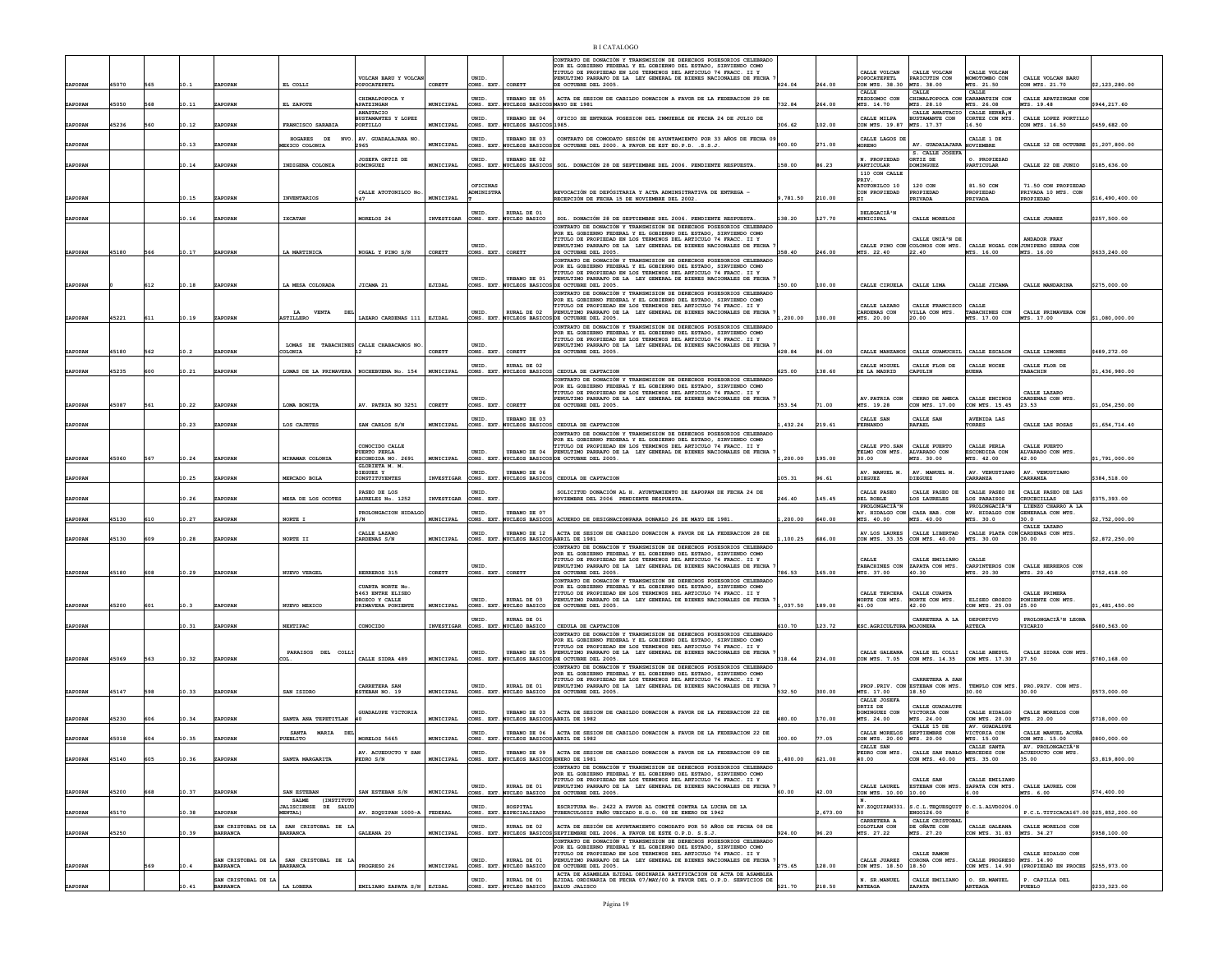|         |       |              |                                 |                                                    |                                                           |                   |                      |                                                          | B LCATALOGO                                                                                                                                                                                                                            |         |        |                                              |                                                              |                                            |                                                                                  |                 |
|---------|-------|--------------|---------------------------------|----------------------------------------------------|-----------------------------------------------------------|-------------------|----------------------|----------------------------------------------------------|----------------------------------------------------------------------------------------------------------------------------------------------------------------------------------------------------------------------------------------|---------|--------|----------------------------------------------|--------------------------------------------------------------|--------------------------------------------|----------------------------------------------------------------------------------|-----------------|
|         |       |              |                                 |                                                    |                                                           |                   |                      |                                                          | CONTRATO DE DONACIÓN Y TRANSMISION DE DERECHOS POSESORIOS CELEBRADO<br>POR EL GOBIERNO FEDERAL Y EL GOBIERNO DEL ESTADO, SIRVIENDO COMO<br>TITULO DE PROPIEDAD EN LOS TERMINOS DEL ARTICULO 74 FRACC. II Y                             |         |        | CALLE VOLCAN                                 | CALLE VOLCAN                                                 | CALLE VOLCAN                               |                                                                                  |                 |
| ZAPOPAN | 45070 | 565<br>10.1  | ZAPOPAN                         | EL COLLI                                           | VOLCAN BARU Y VOLCAI<br>POPOCATEPETL                      | CORETT            | UNID.<br>CONS. EXT   | CORETT                                                   | PENULTIMO PARRAFO DE LA LEY GENERAL DE BIENES NACIONALES DE FECHA<br>DE OCTUBRE DEL 2005.                                                                                                                                              | 824.04  | 264.00 | POPOCATEPETL<br>CON MTS. 38.30               | PARICUTIN CON<br>MTS. 38.00                                  | MOMOTOMBO CON<br>MTS. 21.50                | CALLE VOLCAN BARU<br>CON MTS. 21.70                                              | \$2,123,280.00  |
| ZAPOPAN | 45050 | 10.11<br>568 | ZAPOPAN                         | EL ZAPOTE                                          | CHIMALPOPOCA Y<br><b>APATZINGAN</b>                       | MUNICIPAL         | INTD.<br>CONS. EXT.  | URBANO DE 05<br>NUCLEOS BASICOS MAYO DE 1981             | ACTA DE SESION DE CABILDO DONACION A FAVOR DE LA FEDERACION 29 DE                                                                                                                                                                      | 732.84  | 264.00 | <b>CALLE</b><br>TEZOZOMOC CON<br>MTS. 14.70  | CALLE<br>CHTMAT.POPOCA CON<br>TS. 28.10                      | CALLE<br>CARAMATZIN CON<br>MTS. 26.08      | CALLE APATZINGAN COM<br>MTS. 19.48                                               | \$944,217.60    |
| ZAPOPAN | 45236 | 10.12        | ZAPOPA                          | FRANCISCO SARABIA                                  | <b>ANASTACIO</b><br>BUSTAMANTES Y LOPEZ<br>PORTILLO       | MUNICIPAL         | UNID.                | URBANO DE 04<br>CONS. EXT. NUCLEOS BASICOS 1985          | OFICIO SE ENTREGA POSESION DEL INMUEBLE DE FECHA 24 DE JULIO DE                                                                                                                                                                        | 306.62  | 102.00 | CALLE MILPA<br>CON MTS. 19.87                | CALLE ANASTACIO<br>USTAMANTE CON<br>MTS. 17.37               | CALLE HERNÂ; N<br>CORTEZ CON MTS.<br>6.50  | CALLE LOPEZ PORTILLO<br>CON MTS. 16.50                                           | \$459,682.00    |
|         |       |              |                                 | $\texttt{HOGARES} \qquad \texttt{DE}$<br><b>NV</b> | AV. GUADALAJARA NO                                        |                   | UNID.                | URBANO DE 03                                             | CONTRATO DE COMODATO SESIÓN DE AYUNTAMIENTO POR 33 AÑOS DE FECHA 09                                                                                                                                                                    |         |        | CALLE LAGOS DI                               |                                                              | CALLE 1 DE                                 |                                                                                  |                 |
| ZAPOPAN |       | 10.13        | ZAPOPAN                         | EXICO COLONIA                                      | 2965<br><b>JOSEFA ORTIZ DE</b>                            | MUNICIPAL         | CONS. EXT<br>UNID.   | TRRANO DE 02                                             | NUCLEOS BASICOS DE OCTUBRE DEL 2000. A FAVOR DE EST EO.P.D. .S.S.J                                                                                                                                                                     | 900.00  | 271.00 | <b>MORENO</b><br>N. PROPIEDAD                | AV. GUADALAJARA<br>S. CALLE JOSEFA<br>ORTIZ DE               | NOVIEMBRE<br>O. PROPIEDAD                  | CALLE 12 DE OCTUBRE \$1,207,800.00                                               |                 |
| ZAPOPAN |       | 10.14        | ZAPOPAN                         | INDIGENA COLONIA                                   | DOMINGUEZ                                                 | MUNICIPAL         |                      |                                                          | CONS. EXT. NUCLEOS BASICOS SOL. DONACIÓN 28 DE SEPTIEMBRE DEL 2006. PENDIENTE RESPUESTA                                                                                                                                                | 158.00  | 86.23  | PARTICULAR<br>110 CON CALLE                  | OMINGUEZ                                                     | PARTICULAR                                 | CALLE 22 DE JUNIO                                                                | \$185,636.00    |
|         |       |              |                                 |                                                    | CALLE ATOTONILCO No                                       |                   | OFICINAS<br>DMINISTR |                                                          | REVOCACIÓN DE DEPÓSITARIA Y ACTA ADMINSITRATIVA DE ENTREGA -                                                                                                                                                                           |         |        | PRIV.<br>ATOTONILCO 10<br>CON PROPIEDAD      | 120 CON<br>PROPIEDAD                                         | 81.50 CON<br>PROPIEDAD                     | 71.50 CON PROPIEDAD<br>PRIVADA 10 MTS. CON                                       |                 |
| ZAPOPAN |       | 10.15        | ZAPOPAN                         | <b>INVENTARIOS</b>                                 | 547                                                       | MUNICIPAL         |                      |                                                          | RECEPCIÓN DE FECHA 15 DE NOVIEMBRE DEL 2002.                                                                                                                                                                                           | ,781.50 | 210.00 | lят                                          | PRIVADA                                                      | PRIVADA                                    | PROPIEDAD                                                                        | \$16,490,400.00 |
| ZAPOPAN |       | 10.16        | ZAPOPAN                         | <b>IXCATAN</b>                                     | MORELOS 24                                                | INVESTIGAR        | <b>INTD</b>          | RURAL DE 01<br>CONS. EXT. NUCLEO BASICO                  | SOL, DONACIÓN 28 DE SEPTIEMBRE DEL 2006, PENDIENTE RESPUESTA<br>CONTRATO DE DONACIÓN Y TRANSMISION DE DERECHOS POSESORIOS CELEBRADO                                                                                                    | 138.20  | 127.70 | DELEGACIÃ <sup>3</sup> N<br><b>MUNICIPAL</b> | CALLE MORELOS                                                |                                            | CALLE JUAREZ                                                                     | \$257,500.00    |
|         |       |              |                                 |                                                    |                                                           |                   |                      |                                                          | POR EL GOBIERNO FEDERAL Y EL GOBIERNO DEL ESTADO. SIRVIENDO COMO<br>TITULO DE PROPIEDAD EN LOS TERMINOS DEL ARTICULO 74 FRACC. II Y                                                                                                    |         |        |                                              | CALLE UNIA'N DE                                              |                                            | ANDADOR FRAY                                                                     |                 |
| ZAPOPAN | 45180 | 10.17<br>566 | ZAPOPAN                         | LA MARTINICA                                       | NOGAL Y PINO S/N                                          | CORETT            | UNID.<br>CONS. EXT.  | CORETT                                                   | ENULTIMO PARRAFO DE LA LEY GENERAL DE BIENES NACIONALES DE FECHA<br>DE OCTUBRE DEL 2005.<br>CONTRATO DE DONACIÓN Y TRANSMISION DE DERECHOS POSESORIOS CELEBRADO                                                                        | 358.40  | 246.00 | MTS. 22.40                                   | CALLE PINO CON COLONOS CON MTS.<br>22.40                     | MTS. 16.00                                 | CALLE NOGAL CON JUNIPERO SERRA CON<br>MTS. 16.00                                 | \$633,240.00    |
|         |       |              |                                 |                                                    |                                                           |                   |                      |                                                          | POR EL GOBIERNO FEDERAL Y EL GOBIERNO DEL ESTADO, SIRVIENDO COMO<br>TITULO DE PROPIEDAD EN LOS TERMINOS DEL ARTICULO 74 FRACC. II Y                                                                                                    |         |        |                                              |                                                              |                                            |                                                                                  |                 |
| ZAPOPAN |       | 10.18<br>612 | ZAPOPAN                         | LA MESA COLORADA                                   | JICAMA 21                                                 | EJIDAL            | UNID.                | URBANO DE 01                                             | PENULTIMO PARRAFO DE LA LEY GENERAL DE BIENES NACIONALES DE FECHA<br>CONS. EXT. NUCLEOS BASICOS DE OCTUBRE DEL 2005<br>CONTRATO DE DONACIÓN Y TRANSMISION DE DERECHOS POSESORIOS CELEBRADO                                             | 150.00  | 100.00 | CALLE CIRUELA                                | CALLE LIMA                                                   | CALLE JICAMA                               | CALLE MANDARINA                                                                  | \$275,000.00    |
|         |       |              |                                 | LA                                                 |                                                           |                   | UNID.                | RURAL DE 02                                              | POR EL GOBIERNO FEDERAL Y EL GOBIERNO DEL ESTADO, SIRVIENDO COMO<br>TITULO DE PROPIEDAD EN LOS TERMINOS DEL ARTICULO 74 FRACC. II Y                                                                                                    |         |        | CALLE LAZARO                                 | CALLE FRANCISCO                                              | CALLE<br>TABACHINES CON                    | CALLE PRIMAVERA CON                                                              |                 |
| ZAPOPAN | 45221 | 10.19<br>611 | ZAPOPAN                         | VENTA<br>DEL<br><b>ASTILLERO</b>                   | LAZARO CARDENAS 111 EJIDAL                                |                   |                      |                                                          | PENULTIMO PARRAFO DE LA LEY GENERAL DE BIENES NACIONALES DE FECHA<br>CONS. EXT. NUCLEOS BASICOS DE OCTUBRE DEL 2005.<br>CONTRATO DE DONACIÓN Y TRANSMISION DE DERECHOS POSESORIOS CELEBRADO                                            | ,200.00 | 100.00 | CARDENAS CON<br>MTS. 20.00                   | VILLA CON MTS.<br>20.00                                      | MTS. 17.00                                 | MTS. 17.00                                                                       | \$1,080,000.00  |
|         |       |              |                                 | LOMAS DE TABACHINES CALLE CHABACANOS NO            |                                                           |                   |                      |                                                          | POR EL GOBIERNO FEDERAL Y EL GOBIERNO DEL ESTADO, SIRVIENDO COMO<br>TITULO DE PROPIEDAD EN LOS TERMINOS DEL ARTICULO 74 FRACC. II Y                                                                                                    |         |        |                                              |                                                              |                                            |                                                                                  |                 |
| ZAPOPAN | 45180 | 562<br>10.2  | ZAPOPAN                         | COLONIA                                            |                                                           | CORETT            | UNID.<br>CONS. EXT.  | CORETT                                                   | PENULTIMO PARRAFO DE LA LEY GENERAL DE BIENES NACIONALES DE FECHA<br>DE OCTUBRE DEL 2005.                                                                                                                                              | 428.84  | 86.00  | CALLE MANZANOS                               | CALLE GUAMUCHIL                                              | CALLE ESCALON                              | CALLE LIMONES                                                                    | \$489,272.00    |
| ZAPOPAN | 45235 | 10.21<br>600 | ZAPOPAN                         | LOMAS DE LA PRIMAVERA   NOCHEBUENA No. 154         |                                                           | MUNICIPAL         | UNID.                | RURAL DE 02<br>CONS. EXT. NUCLEOS BASICOS                | CEDULA DE CAPTACION                                                                                                                                                                                                                    | 625.00  | 138.60 | CALLE MIGUEL<br>DE LA MADRID                 | CALLE FLOR DE<br>CAPULIN                                     | CALLE NOCHE<br><b>BUENA</b>                | CALLE FLOR DE<br>TABACHIN                                                        | \$1,436,980.00  |
|         |       |              |                                 |                                                    |                                                           |                   |                      |                                                          | CONTRATO DE DONACIÓN Y TRANSMISION DE DERECHOS POSESORIOS CELEBRADO<br>FOR EL GOBIERNO FEDERAL Y EL GOBIERNO DEL ESTADO, SIRVIENDO COMO<br>TITULO DE PROPIEDAD EN LOS TERMINOS DEL ARTICULO 74 FRACC. II Y                             |         |        |                                              |                                                              |                                            | CATTE TATAPO                                                                     |                 |
| ZAPOPAN | 45087 | 561<br>10.22 | ZAPOPAN                         | LOMA BONITA                                        | AV. PATRIA NO 3251                                        | CORETT            | UNID.<br>CONS. EXT   | CORETT                                                   | PENULTIMO PARRAFO DE LA LEY GENERAL DE BIENES NACIONALES DE FECHA<br>E OCTUBRE DEL 2005                                                                                                                                                | 353.54  | 71.00  | AV. PATRIA CON<br>MTS. 19.28                 | CERRO DE AMECA<br>CON MTS. 17.00                             | CALLE ENCINOS<br>CON MTS. 15.45            | CARDENAS CON MTS.<br>23.53                                                       | \$1,054,250.00  |
| ZAPOPAN |       | 10.23        | ZAPOPAN                         | LOS CAJETES                                        | SAN CARLOS S/N                                            | MUNICIPAL         | UNID.                | URBANO DE 03                                             | CONS. EXT. NUCLEOS BASICOS CEDULA DE CAPTACION                                                                                                                                                                                         | 432.24  | 219.61 | CALLE SAN<br><b>FERNANDO</b>                 | CALLE SAN<br>RAFAEL                                          | <b>AVENIDA LAS</b><br>ORRES                | CALLE LAS ROSAS                                                                  | \$1,654,714.40  |
|         |       |              |                                 |                                                    |                                                           |                   |                      |                                                          | CONTRATO DE DONACIÓN Y TRANSMISION DE DERECHOS POSESORIOS CELEBRADO<br>POR EL GOBIERNO FEDERAL Y EL GOBIERNO DEL ESTADO, SIRVIENDO COMO                                                                                                |         |        |                                              |                                                              |                                            |                                                                                  |                 |
| ZAPOPAN | 45060 | 567<br>10.24 | ZAPOPAN                         | MIRAMAR COLONIA                                    | CONOCIDO CALLE<br>PUERTO PERLA<br>ESCONDIDA NO. 2691      | MUNICIPAL         | UNID.                | URBANO DE 04                                             | TTTILO DE PROPTEDAD EN LOS TERMINOS DEL ARTICULO 74 FRACC. II Y<br>PENULTIMO PARRAFO DE LA LEY GENERAL DE BIENES NACIONALES DE FECHA<br>CONS. EXT. NUCLEOS BASICOS DE OCTUBRE DEL 2005.                                                | ,200.00 | 195.00 | CALLE PTO. SAN<br>TELMO CON MTS.<br>30.00    | CALLE PUERTO<br>ALVARADO CON<br>MTS. 30.00                   | CALLE PERLA<br>ESCONDIDA CON<br>MTS. 42.00 | CALLE PUERTO<br>ALVARADO CON MTS.<br>42.00                                       | 1,791,000.00    |
|         |       |              |                                 |                                                    | GLORIETA M. M.<br>DIEGUEZ Y                               |                   | UNID.                | URBANO DE 06                                             |                                                                                                                                                                                                                                        |         |        | AV. MANUEL M                                 | AV. MANUEL M                                                 | AV. VENUSTIANO                             | AV. VENUSTIANO                                                                   |                 |
| ZAPOPAN |       | 10.25        | ZAPOPAN                         | MERCADO BOLA                                       | CONSTITUYENTES<br>PASEO DE LOS                            | <b>INVESTIGAR</b> | UNID.                | CONS. EXT. NUCLEOS BASICOS                               | CEDITA DE CAPTACION<br>SOLICITUD DONACIÓN AL H. AYUNTAMIENTO DE ZAPOPAN DE FECHA 24 DE                                                                                                                                                 | 105.31  | 96.61  | <b>DIEGUEZ</b><br>CALLE PASEO                | <b>IEGUEZ</b><br>CALLE PASEO DE                              | CARRANZA<br>CALLE PASEO DE                 | CARRANZA<br>CALLE PASEO DE LAS                                                   | \$384,518.00    |
| ZAPOPAN |       | 10.26        | ZAPOPAN                         | MESA DE LOS OCOTES                                 | LAURELES No. 1252                                         |                   |                      |                                                          |                                                                                                                                                                                                                                        |         |        |                                              |                                                              |                                            |                                                                                  |                 |
| ZAPOPAN |       |              |                                 |                                                    |                                                           | INVESTIGAR        | CONS. EXT            |                                                          | OVIEMBRE DEL 2006 PENDIENTE RESPUESTA.                                                                                                                                                                                                 | 246.40  | 145.45 | DEL ROBLE<br>PROLONGACIÃ <sup>3</sup> N      | LOS LAURELES                                                 | LOS PARAISOS<br>PROLONGACIÃ <sup>3</sup> N | CRUCECILLAS<br>LIENZO CHARRO A LA                                                | \$375,393.00    |
|         | 45130 | 610<br>10.27 | ZAPOPAN                         | NORTE I                                            | PROLONGACION HIDALG                                       | MUNICIPAL         | UNID.                | URBANO DE 07                                             | CONS. EXT. NUCLEOS BASICOS ACUERDO DE DESIGNACIONPARA DONARIO 26 DE MAYO DE 1981.                                                                                                                                                      | ,200.00 | 640.00 | AV. HIDALGO CON<br>MTS. 40.00                | CASA HAB. CON<br>MTS. 40.00                                  | MTS. 30.0                                  | AV. HIDALGO CON GENERALA CON MTS.                                                | \$2,752,000.00  |
| ZAPOPAN | 45130 | 609<br>10.28 | ZAPOPAN                         | NORTE II                                           | CALLE LAZARO<br>CARDENAS S/N                              | <b>MUNICIPAL</b>  |                      | URBANO DE 12<br>CONS. EXT. NUCLEOS BASICOS ABRIL DE 1981 | ACTA DE SESION DE CABILDO DONACION A FAVOR DE LA FEDERACION 28 DE                                                                                                                                                                      | .100.25 | 686.00 | AV.LOS LAURES<br>CON MTS. 33.35              | CALLE LIBERTAD<br>CON MTS. 40.00                             | CALLE PLATA CON<br>MTS. 30.00              | CALLE LAZARO<br>CARDENAS CON MTS.<br>30.00                                       | \$2.872.250.00  |
|         |       |              |                                 |                                                    |                                                           |                   |                      |                                                          | CONTRATO DE DONACIÓN Y TRANSMISION DE DERECHOS POSESORIOS CELEBRADO<br>OR EL GOBIERNO FEDERAL Y EL GOBIERNO DEL ESTADO, SIRVIENDO COMO                                                                                                 |         |        |                                              |                                                              |                                            |                                                                                  |                 |
| ZAPOPAN | 45180 | 10.29        | ZAPOPAN                         | NUEVO VERGEL                                       | HERREROS 315                                              | CORETT            | UNID.<br>CONS. EXT.  | CORETT                                                   | TITULO DE PROPIEDAD EN LOS TERMINOS DEL ARTICULO 74 FRACC. II Y<br>PENULTIMO PARRAFO DE LA LEY GENERAL DE BIENES NACIONALES DE FECHA<br>DE OCTUBRE DEL 2005                                                                            | 786.53  | 165.00 | CALLE<br>TABACHINES CON<br>MTS. 37.00        | CALLE EMILIANO<br>ZAPATA CON MTS.<br>40.30                   | CALLE<br>MTS. 20.30                        | CARPINTEROS CON CALLE HERREROS CON<br>MTS. 20.40                                 | \$752,418.00    |
|         |       |              |                                 |                                                    | CUARTA NORTE No                                           |                   |                      |                                                          | CONTRATO DE DONACIÓN Y TRANSMISION DE DERECHOS POSESORIOS CELEBRADO<br>POR EL GOBIERNO FEDERAL Y EL GOBIERNO DEL ESTADO, SIRVIENDO COMO                                                                                                |         |        |                                              |                                                              |                                            |                                                                                  |                 |
| ZAPOPAN | 45200 | 601<br>10.3  | ZAPOPAN                         | NUEVO MEXICO                                       | 5463 ENTRE ELISEO<br>OROZCO Y CALLE<br>PRIMAVERA PONIENTE | MUNICIPAL         | UNID.                | RURAL DE 03<br>CONS. EXT. NUCLEO BASICO                  | TITULO DE PROPIEDAD EN LOS TERMINOS DEL ARTICULO 74 FRACC. II Y<br>PENULTIMO PARRAFO DE LA LEY GENERAL DE BIENES NACIONALES DE FECHA<br>E OCTUBRE DEL 2005                                                                             | ,037.50 | 189.00 | CALLE TERCERA<br>NORTE CON MTS.<br>41.00     | CALLE CUARTA<br><b>SORTE CON MTS.</b><br>42.00               | ELISEO OROZCO<br>ON MTS. 25.00             | CALLE PRIMERA<br>PONIENTE CON MTS.<br>25.00                                      | \$1,481,450.00  |
| ZAPOPAN |       | 10.31        | ZAPOPAN                         | NEXTIPAC                                           |                                                           |                   | UNID.                | RURAL DE 01                                              | CEDULA DE CAPTACION                                                                                                                                                                                                                    | 610.70  | 123.72 |                                              | CARRETERA A LA<br><b>MOJONERA</b>                            | DEPORTIVO                                  | PROLONGACIÃ <sup>3</sup> N LEONA                                                 |                 |
|         |       |              |                                 |                                                    | CONOCIDO                                                  | INVESTIGAR        |                      | CONS. EXT. NUCLEO BASICO                                 | CONTRATO DE DONACIÓN Y TRANSMISION DE DERECHOS POSESORIOS CELEBRADO<br>POR EL GOBIERNO FEDERAL Y EL GOBIERNO DEL ESTADO, SIRVIENDO COMO                                                                                                |         |        | <b>ESC.AGRICULTURA</b>                       |                                                              | <b>AZTECA</b>                              | VICARIO                                                                          | \$680,563.00    |
| ZAPOPAN | 45069 | 563<br>10.32 | ZAPOPAN                         | PARAISOS DEL COLLI                                 | CALLE SIDRA 489                                           | MUNICIPAL         | UNID.                |                                                          | TITULO DE PROPIEDAD EN LOS TERMINOS DEL ARTICULO 74 FRACC. II Y<br>URBANO DE 05 PENULTIMO PARRAFO DE LA LEY GENERAL DE BIENES NACIONALES DE FECHA<br>CONS. EXT. NUCLEOS BASICOS DE OCTUBRE DEL 2005.                                   | 318.64  | 234.00 | CALLE GALEANA<br>CON MTS. 7.05               | CALLE EL COLLI<br>CON MTS. 14.35                             | CALLE ABEDUL<br>CON MTS. 17.30             | CALLE SIDRA CON MTS<br>27.50                                                     | \$780,168.00    |
|         |       |              |                                 |                                                    |                                                           |                   |                      |                                                          | CONTRATO DE DONACIÓN Y TRANSMISION DE DERECHOS POSESORIOS CELEBRADO<br>POR EL GOBIERNO FEDERAL Y EL GOBIERNO DEL ESTADO, SIRVIENDO COMO                                                                                                |         |        |                                              |                                                              |                                            |                                                                                  |                 |
| ZAPOPAN | 45147 | 598<br>10.33 | ZAPOPAN                         | SAN ISIDRO                                         | CARRETERA SAN<br>ESTEBAN NO. 19                           | MUNICIPAL         | UNID.                | RURAL DE 01<br>CONS. EXT. NUCLEO BASICO                  | TTERO DE PROPTEDAD EN LOS TERMINOS DEL ARTICULO 74 FRACC. II Y<br>PENULTIMO PARRAFO DE LA LEY GENERAL DE BIENES NACIONALES DE FECHA<br>DE OCTUBRE DEL 2005.                                                                            | 532.50  | 300.00 | MTS. 17.00                                   | CARRETERA A SAN<br>PROP. PRIV. CON ESTEBAN CON MTS.<br>18.50 | 30.00                                      | TEMPLO CON MTS. PRO. PRIV. CON MTS.<br>30.00                                     | \$573,000.00    |
|         |       |              |                                 |                                                    |                                                           |                   |                      |                                                          |                                                                                                                                                                                                                                        |         |        | CALLE JOSEFA<br>ORTIZ DE                     | CALLE GUADALUPE                                              |                                            |                                                                                  |                 |
| ZAPOPAN | 45230 | 606<br>10.34 | ZAPOPAN                         | SANTA ANA TEPETITLAN                               | GUADALUPE VICTORIA<br>140                                 | MUNICIPAL         | UNID.                | CONS. EXT. NUCLEOS BASICOS ABRIL DE 1982                 | URBANO DE 03 ACTA DE SESION DE CABILDO DONACION A FAVOR DE LA FEDERACION 22 DE                                                                                                                                                         | 480.00  | 170.00 | DOMINGUEZ CON<br>MTS. 24.00                  | VICTORIA CON<br>MTS. 24.00                                   | CALLE HIDALGO<br>CON MTS. 20.00            | CALLE MORELOS CON<br>MTS. 20.00                                                  | \$718,000.00    |
|         | 5018  | .35          |                                 | SANTA MARIA DEL                                    | MORELOS 5665                                              | <b>MUNICIPAL</b>  | UNID.<br>ONS. EX     | URBANO DE 06                                             | ACTA DE SESION DE CABILDO DONACION A FAVOR DE LA FEDERACION 22 DE                                                                                                                                                                      |         | 77.05  | CALLE MORELOS<br>N MTS. 20.00                | CALLE 15 DE<br>SEPTIEMBRE CON<br>rs. 20.00                   | AV. GUADALUPE<br>VICTORIA CON<br>S. 15.00  | CALLE MANUEL ACUÑA                                                               | 800.000.0       |
|         | 45140 | 10.36        | ZAPOPAI                         | SANTA MARGARITA                                    | AV. ACUEDUCTO Y SAN<br>PEDRO S/N                          | MUNICIPAL         | UNID.                | URBANO DE 09                                             | ACTA DE SESION DE CABILDO DONACION A FAVOR DE LA FEDERACION 09 DE                                                                                                                                                                      | 400.00  | 621.00 | CALLE SAN<br>PEDRO CON MTS<br>40.00          | CALLE SAN PABLO MERCEDES CON                                 | CALLE SANTA<br>MTS. 35.00                  | AV. PROLONGACIÃ'N<br>ACUEDUCTO CON MTS.<br>35.00                                 | \$3,819,800.00  |
| ZAPOPAN |       |              |                                 |                                                    |                                                           |                   |                      | CONS. EXT. NUCLEOS BASICOS ENERO DE 1981                 | CONTRATO DE DONACIÓN Y TRANSMISION DE DERECHOS POSESORIOS CELEBRADO<br>POR EL GOBIERNO FEDERAL Y EL GOBIERNO DEL ESTADO, SIRVIENDO COMO                                                                                                |         |        |                                              | CON MTS. 40.00                                               |                                            |                                                                                  |                 |
| ZAPOPAN | 45200 | 668<br>10.37 | ZAPOPAN                         | SAN ESTEBAN                                        | SAN ESTEBAN S/N                                           | MUNICIPAL         | UNID.                | RURAL DE 01<br>CONS. EXT. NUCLEO BASICO                  | TITULO DE PROPIEDAD EN LOS TERMINOS DEL ARTICULO 74 FRACC. II Y<br>PENULTIMO PARRAFO DE LA LEY GENERAL DE BIENES NACIONALES DE FECHA<br>DE OCTUBRE DEL 2005.                                                                           | 60.00   | 42.00  | CALLE LAUREL<br>CON MTS. 10.00               | CALLE SAN<br>ESTEBAN CON MTS. ZAPATA CON MTS.<br>10.00       | CALLE EMILIANO<br>6.00                     | CALLE LAUREL CON<br>MTS. 6.00                                                    | \$74,400.00     |
|         |       |              |                                 | SALME (INSTITUTO<br><b>JALISCIENSE</b> DE SALUD    |                                                           |                   | UNID.                | HOSPITAL                                                 | ESCRITURA No. 2422 A FAVOR AL COMITÉ CONTRA LA LUCHA DE LA                                                                                                                                                                             |         |        | AV. ZOQUIPAN331                              | S.C.L.TEQUESQUIT                                             | 0.C.L.ALVD0206.                            |                                                                                  |                 |
| ZAPOPAN | 45170 | 10.38        | ZAPOPAN<br>SAN CRISTOBAL DE LA  | MENTAL)<br>SAN CRISTOBAL DE                        | AV. ZOQUIPAN 1000-A                                       | FEDERAL           | UNID.                | CONS. EXT. ESPECIALIZADO<br>RURAL DE 02                  | TUBERCULOSIS PAÑO UBICADO H.G.O. 08 DE ENERO DE 1942<br>ACTA DE SESIÓN DE AYUNTAMIENTO COMODATO POR 50 AÑOS DE FECHA 08 DE                                                                                                             |         | 673.00 | CARRETERA A                                  | ENGO126.00<br>CALLE CRISTOBAL                                | CALLE GALEANA                              | P.C.L.TITICACA167.00 \$25,852,200.00<br>CALLE MORELOS CON                        |                 |
| ZAPOPAN | 45250 | 10.39        | <b>BARRANCA</b>                 | <b>JARRANCA</b>                                    | GALEANA 20                                                | MUNICIPAL         | CONS. EXT.           |                                                          | NUCLEOS BASICOS SEPTIEMBRE DEL 2006. A FAVOR DE ESTE O.P.D. S.S.J.<br>CONTRATO DE DONACIÓN Y TRANSMISION DE DERECHOS POSESORIOS CELEBRADO                                                                                              | 924.00  | 96.20  | COLOTIAN CON<br>MTS. 27.22                   | DE OÑATE CON<br>MTS. 27.20                                   | CON MTS. 31.83                             | MTS. 34.27                                                                       | \$958,100.00    |
|         |       |              | SAN CRISTOBAL DE LA             | SAN CRISTOBAL DE                                   |                                                           |                   | UNID.                | RURAL DE 01                                              | POR EL GOBIERNO FEDERAL Y EL GOBIERNO DEL ESTADO, SIRVIENDO COMO<br>TITULO DE PROPIEDAD EN LOS TERMINOS DEL ARTICULO 74 FRACC. II Y                                                                                                    |         |        | CALLE JUAREZ                                 | CALLE RAMON                                                  |                                            | CALLE HIDALGO CON                                                                |                 |
| ZAPOPAN |       | 569<br>10.4  | BARRANCA<br>SAN CRISTOBAL DE LJ | <b>BARRANCA</b>                                    | PROGRESO 26                                               | <b>MUNICIPAL</b>  | CONS. EXT<br>UNID.   | NUCLEO BASICO<br>RURAL DE 01                             | PENULTIMO PARRAFO DE LA LEY GENERAL DE BIENES NACIONALES DE FECHA<br>DE OCTUBRE DEL 2005.<br>ACTA DE ASAMBLEA EJIDAL ORDINARIA RATIFICACION DE ACTA DE ASAMBLEA<br>EJIDAL ORDINARIA DE FECHA 07/MAY/00 A FAVOR DEL O.P.D. SERVICIOS DE | 275.65  | 128.00 | CON MTS. 18.50<br>N. SR. MANUEL              | CORONA CON MTS.<br>18.50<br>CALLE EMILIANO                   | CALLE PROGRESO<br>O. SR.MANUEL             | MTS. 14.90<br>CON MTS. 14.90 (PROPIEDAD EN PROCES \$255,973.00<br>P. CAPILLA DEL |                 |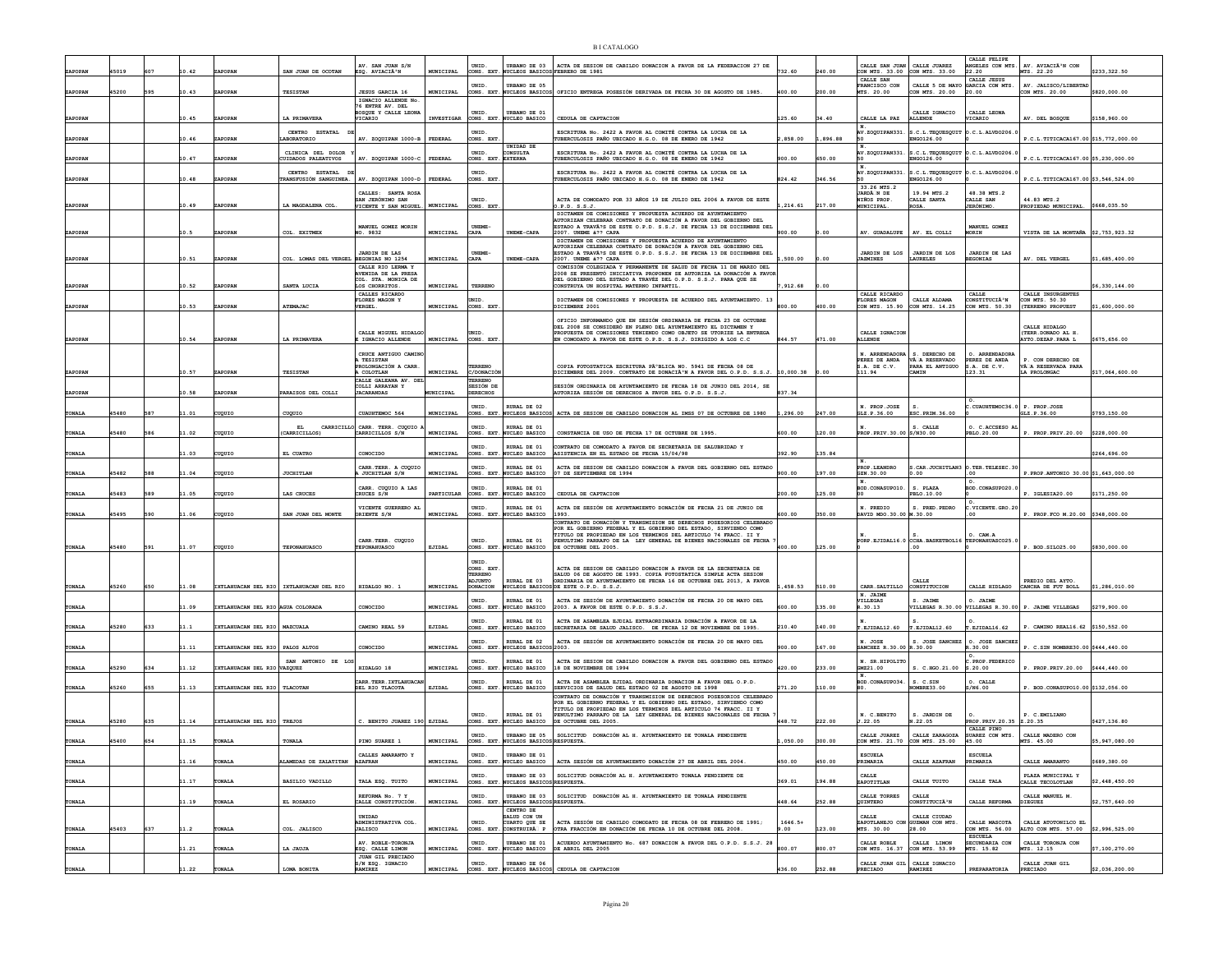|         |       |     |       |                                   |                                           |                                                 |                         |                              |                                                            |                                                                                                                                               |           |         |                                                 |                                     | CALLE FELTPE                        |                                                     |                 |
|---------|-------|-----|-------|-----------------------------------|-------------------------------------------|-------------------------------------------------|-------------------------|------------------------------|------------------------------------------------------------|-----------------------------------------------------------------------------------------------------------------------------------------------|-----------|---------|-------------------------------------------------|-------------------------------------|-------------------------------------|-----------------------------------------------------|-----------------|
| ZAPOPAN | 45019 |     | 10.42 | ZAPOPAN                           | SAN JUAN DE OCOTAN                        | AV. SAN JUAN S/N<br>ESQ. AVIACIÃ <sup>3</sup> N | MUNICIPAL               | UNID                         | JRBANO DE 03<br>CONS. EXT. NUCLEOS BASICOS FEBRERO DE 1981 | ACTA DE SESION DE CABILDO DONACION A FAVOR DE LA FEDERACION 27 DE                                                                             | 732.60    | 240.00  | CALLE SAN JUAN<br>CON MTS. 33.00 CON MTS. 33.00 | CALLE JUAREZ                        | NGELES CON MTS.<br>22.20            | AV. AVIACIÃ'N CON<br>MTS. 22.20                     | \$233,322.50    |
|         |       |     |       |                                   |                                           |                                                 |                         |                              |                                                            |                                                                                                                                               |           |         | CALLE SAN                                       |                                     | CALLE JESUS                         |                                                     |                 |
| ZAPOPAN | 45200 | 595 | 10.43 | ZAPOPAN                           | <b>TESISTAN</b>                           | <b>JESUS GARCIA 16</b>                          | MUNICIPAL               | <b>INTD</b><br>CONS. EXT     | <b>TRRANO DE 05</b><br>NUCLEOS BASTCOS                     | OFICIO ENTREGA POSESIÓN DERIVADA DE FECHA 30 DE AGOSTO DE 1985.                                                                               | 400.00    | 200.00  | FRANCISCO CON<br>MTS. 20.00                     | CALLE 5 DE MAYO<br>CON MTS. 20.00   | GARCIA CON MTS.<br>20.00            | AV. JALISCO/LIBERTA<br>CON MTS. 20.00               | \$820,000.00    |
|         |       |     |       |                                   |                                           | IGNACIO ALLENDE No                              |                         |                              |                                                            |                                                                                                                                               |           |         |                                                 |                                     |                                     |                                                     |                 |
|         |       |     |       |                                   |                                           | 76 ENTRE AV. DEL<br>BOSQUE Y CALLE LEONI        |                         | UNID.                        | URBANO DE 01                                               |                                                                                                                                               |           |         |                                                 | CALLE IGNACIO                       | CALLE LEONA                         |                                                     |                 |
| ZAPOPAN |       |     | 10.45 | ZAPOPAN                           | LA PRIMAVERA                              | VICARIO                                         | <b>INVESTIGAR</b>       |                              | CONS. EXT. NUCLEO BASICO                                   | CEDULA DE CAPTACION                                                                                                                           | 125.60    | 34.40   | CALLE LA PAZ                                    | <b>ALLENDE</b>                      | <b>JICARIO</b>                      | AV. DEL BOSQUE                                      | \$158,960.00    |
|         |       |     |       |                                   | CENTRO ESTATAL                            |                                                 |                         | <b>INTD</b>                  |                                                            | ESCRITURA No. 2422 A FAVOR AL COMITÉ CONTRA LA LUCHA DE LA                                                                                    |           |         | AV.ZOQUIPAN331                                  | .C.L.TEQUESQUIT                     | .C.L.D.                             |                                                     |                 |
| ZAPOPAN |       |     | 10.46 | ZAPOPAN                           | LABORATORIO                               | AV. ZOQUIPAN 1000-B                             | FEDERAL                 | CONS. EXT                    | UNIDAD DE                                                  | UBERCULOSIS PAÑO UBICADO H.G.O. 08 DE ENERO DE 1942                                                                                           | 1.858.00  | .896.88 |                                                 | ENG0126.00                          |                                     | P.C.L.TITICACA167.00 \$15,772,000.00                |                 |
|         |       |     |       |                                   | CLINICA DEL DOLOR                         |                                                 |                         | UNID.                        | <b>NSULTA</b>                                              | ESCRITURA No. 2422 A FAVOR AL COMITÉ CONTRA LA LUCHA DE LA                                                                                    |           |         | AV.ZOQUIPAN331                                  | S.C.L. TEQUESQUIT                   | 0.C.L.NLVD0206.                     |                                                     |                 |
| ZAPOPAN |       |     | 10.47 | <b>ZAPOPAN</b>                    | CUIDADOS PALEATIVOS                       | AV. ZOQUIPAN 1000-C                             | <b>FEDERAL</b>          | CONS. EXT                    | <b>EXTERNA</b>                                             | UBERCULOSIS PAÑO UBICADO H.G.O. 08 DE ENERO DE 1942                                                                                           | 900.00    | 550.00  | $_{\rm N}$                                      | ENG0126.00                          |                                     | P.C.L.TITICACA167.00 \$5,230,000.00                 |                 |
|         |       |     |       |                                   | CENTRO ESTATAL                            |                                                 |                         | UNID                         |                                                            | ESCRITURA No. 2422 A FAVOR AL COMITÉ CONTRA LA LUCHA DE LA                                                                                    |           |         | AV.ZOQUIPAN331                                  | S.C.L. TEQUESQUIT                   | 0.C.L.ALVDO206.                     |                                                     |                 |
| ZAPOPAN |       |     | 10.48 | ZAPOPAN                           | <b>RANSFUSIÓN SANGUINEA.</b>              | AV. ZOQUIPAN 1000-D FEDERAL                     |                         | CONS. EXT                    |                                                            | UBERCULOSIS PAÑO UBICADO H.G.O. 08 DE ENERO DE 1942                                                                                           | 824.42    | 346.56  | 33.26 MTS.2                                     | ENGO126.00                          |                                     | P.C.L. TITICACA167.00 \$3,546,524.00                |                 |
|         |       |     |       |                                   |                                           | CALLES: SANTA ROSA                              |                         |                              |                                                            |                                                                                                                                               |           |         | JARDÃ N DE                                      | 19.94 MTS.2                         | 48.38 MTS.2                         |                                                     |                 |
| ZAPOPAN |       |     | 10.49 | <b>ZAPOPAN</b>                    | LA MAGDALENA COL                          | SAN JERÓNIMO SAN<br>VICENTE Y SAN MIGUEL.       | MUNICIPAL               | UNID<br>CONS. EXT            |                                                            | ACTA DE COMODATO POR 33 AÑOS 19 DE JULIO DEL 2006 A FAVOR DE ESTE<br>).P.D. S.S.J.                                                            | .214.61   | 217.00  | <b>NIÑOS PROP</b><br><b>MUNICIPAL</b>           | CALLE SANTA<br>ROSA.                | CALLE SAN<br><b>JERÓNIMO</b>        | 44.83 MTS.2<br>PROPIEDAD MUNICIPAL.                 | \$668,035.50    |
|         |       |     |       |                                   |                                           |                                                 |                         |                              |                                                            | DICTAMEN DE COMISIONES Y PROPUESTA ACUERDO DE AYUNTAMIENTO<br>AUTORIZAN CELERRAR CONTRATO DE DONACIÓN A FAVOR DEL GORIERNO DEL                |           |         |                                                 |                                     |                                     |                                                     |                 |
|         |       |     |       |                                   |                                           | MANUEL GOMEZ MORIN                              |                         | <b>INEME</b>                 |                                                            | STADO A TRAVÃ?S DE ESTE O.P.D. S.S.J. DE FECHA 13 DE DICIEMBRE DEL                                                                            |           |         |                                                 |                                     | MANUEL GOMEZ                        |                                                     |                 |
| ZAPOPAN |       |     |       | ZAPOPAN                           | COL. EXITMEX                              | NO. 9832                                        | MUNICIPAL               | CAPA                         | UNEME-CAPA                                                 | 2007. UNEME & ?? CAPA<br>DICTAMEN DE COMISIONES Y PROPUESTA ACUERDO DE AYUNTAMIENTO                                                           | 1900.00   | .00     | AV. GUADALUPE                                   | AV. EL COLLI                        | MORIN                               | VISTA DE LA MONTAÑA                                 | \$2,753,923.32  |
|         |       |     |       |                                   |                                           |                                                 |                         |                              |                                                            | UTORIZAN CELEBRAR CONTRATO DE DONACIÓN A FAVOR DEL GOBIERNO DEL                                                                               |           |         |                                                 |                                     |                                     |                                                     |                 |
| ZAPOPAN |       |     | 10.51 | ZAPOPAN                           | COL. LOMAS DEL VERGEL BEGONIAS NO 1254    | <b>JARDIN DE LAS</b>                            | MUNICIPAL               | <b>UNEME-</b><br>CAPA        | UNEME-CAPA                                                 | ESTADO A TRAVÃ?S DE ESTE O.P.D. S.S.J. DE FECHA 13 DE DICIEMBRE DEL<br>2007. UNEME & ?? CAPA                                                  | ,500.00   | ,00     | <b>ZARDIN DE LOS</b><br><b><i>JAZMINES</i></b>  | <b>JARDIN DE LOS</b><br>LAURELES    | JARDIN DE LAS<br><b>EGONIAS</b>     | AV. DEL VERGEL                                      | \$1,685,400.00  |
|         |       |     |       |                                   |                                           | CALLE RTO LERMA Y                               |                         |                              |                                                            | COMISIÓN COLEGIADA Y PERMANENTE DE SALUD DE FECHA 11 DE MARZO DEL                                                                             |           |         |                                                 |                                     |                                     |                                                     |                 |
|         |       |     |       |                                   |                                           | AVENIDA DE LA PRESJ<br>COL. STA. MONICA DE      |                         |                              |                                                            | 2008 SE PRESENTÓ INICIATIVA PROPONEN SE AUTORIZA LA DONACIÓN A FAVOR<br>DEL GOBIERNO DEL ESTADO A TRAVÉZ DEL O.P.D. S.S.J. PARA QUE SE        |           |         |                                                 |                                     |                                     |                                                     |                 |
| ZAPOPAN |       |     | 10.52 | ZAPOPAN                           | SANTA LUCIA                               | LOS CHORRITOS                                   | <b>MUNICIPAL</b>        | TERRENO                      |                                                            | CONSTRUYA UN HOSPITAL MATERNO INFANTIL                                                                                                        | .912.68   | ,00     |                                                 |                                     |                                     |                                                     | 6.330.144.00    |
|         |       |     |       |                                   |                                           | CALLES RICARDO<br>FLORES MAGON Y                |                         | ern                          |                                                            | DICTAMEN DE COMISIONES Y PROPUESTA DE ACUERDO DEL AYUNTAMIENTO. 13                                                                            |           |         | CALLE RICARDO<br><b>FLORES MAGON</b>            | CALLE ALDAMA                        | CALLE<br>CONSTITUCIÃ <sup>3</sup> N | CALLE INSURGENTES<br>CON MTS. 50.30                 |                 |
| ZAPOPAN |       |     | 10.53 | ZAPOPAN                           | ATEMAJAC                                  | <b>VERGEL.</b>                                  | MUNICIPAL               | CONS. EXT                    |                                                            | ICIEMBRE 2001                                                                                                                                 | 800.00    | 400.00  | CON MTS. 15.90                                  | CON MTS. 14.25                      | CON MTS. 50.30                      | (TERRENO PROPUEST                                   | \$1,600,000.00  |
|         |       |     |       |                                   |                                           |                                                 |                         |                              |                                                            | OFICIO INFORMANDO OUE EN SESIÓN ORDINARIA DE FECHA 23 DE OCTUBRE                                                                              |           |         |                                                 |                                     |                                     |                                                     |                 |
|         |       |     |       |                                   |                                           | CALLE MIGUEL HIDALGO                            |                         | <b>INID</b>                  |                                                            | DEL 2008 SE CONSIDERÓ EN PLENO DEL AYUNTAMIENTO EL DICTAMEN Y<br>PROPUESTA DE COMISIONES TENIENDO COMO OBJETO SE UTORIZE LA ENTREGA           |           |         | CALLE IGNACION                                  |                                     |                                     | CALLE HIDALGO<br>(TERR.DONADO AL H.                 |                 |
| ZAPOPAN |       |     | 10.54 | ZAPOPAN                           | LA PRIMAVERA                              | I IGNACIO ALLENDE                               | MUNICIPAL               | CONS. EXT                    |                                                            | EN COMODATO A FAVOR DE ESTE O.P.D. S.S.J. DIRIGIDO A LOS C.C                                                                                  | 844.57    | 471.00  | <b>ALLENDE</b>                                  |                                     |                                     | AYTO.DEZAP.PARA L                                   | \$675,656.00    |
|         |       |     |       |                                   |                                           | CRUCE ANTIGUO CAMINO                            |                         |                              |                                                            |                                                                                                                                               |           |         | N. ARRENDADOR                                   | S. DERECHO DE                       | O. ARRENDADORJ                      |                                                     |                 |
|         |       |     |       |                                   |                                           | <b>TESISTAN</b>                                 |                         |                              |                                                            |                                                                                                                                               |           |         | PEREZ DE ANDA                                   | VÃ A RESERVADO                      | PEREZ DE ANDA                       | P. CON DERECHO DE                                   |                 |
| ZAPOPAN |       |     | 10.57 | ZAPOPAN                           | TESISTAN                                  | OLONGACIÓN A<br>COLOTLAN                        | MUNICIPAL               | TERREN<br>C/DONACIO          |                                                            | COPIA FOTOSTATICA ESCRITURA PúBLICA NO. 5941 DE FECHA 08 DE<br>ICIEMBRE DEL 2009. CONTRATO DE DONACIÃ <sup>3</sup> N A FAVOR DEL O.P.D. S.S.J | 10,000.38 |         | S.A. DE C.V.<br>111.94                          | PARA EL ANTIGUO<br>CAMIN            | .A. DE C.V.<br>123.31               | VÃ A RESERVADA PARA<br>LA PROLONGAC                 | \$17,064,600.00 |
|         |       |     |       |                                   |                                           | CALLE GALEANA AV. DE                            |                         | TERRENC                      |                                                            |                                                                                                                                               |           |         |                                                 |                                     |                                     |                                                     |                 |
| ZAPOPAN |       |     | 10.58 | <b>ZAPOPAN</b>                    | PARAISOS DEL COLLI                        | COLLI ARRAYAN Y<br><b>JACARANDAS</b>            | <b><i>EUNICIPAL</i></b> | SESIÓN DE<br><b>DERECHOS</b> |                                                            | BESIÓN ORDINARIA DE AYUNTAMIENTO DE FECHA 18 DE JUNIO DEL 2014, SE<br><b>NUTORIZA SESIÓN DE DERECHOS A FAVOR DEL O.P.D. S.S.J.</b>            | 837.34    |         |                                                 |                                     |                                     |                                                     |                 |
|         |       |     |       |                                   |                                           |                                                 |                         |                              |                                                            |                                                                                                                                               |           |         |                                                 |                                     |                                     |                                                     |                 |
| TONALA  | 45480 | 587 | 11.01 | orugus                            | CUQUIO                                    | CUAUHTEMOC 564                                  | MUNICIPAL               | UNID.                        | RURAL DE 02<br>CONS. EXT. NUCLEOS BASICOS                  | ACTA DE SESION DE CABILDO DONACION AL IMSS 07 DE OCTUBRE DE 1980                                                                              | 1,296.00  | 247.00  | N. PROP.JOSE<br>GLZ.P.36.00                     | ESC. PRIM. 36.00                    | CUAUHTEMOC36.0 P. PROP.JOSE         | GLZ.P.36.00                                         | \$793,150.00    |
|         |       |     |       |                                   |                                           | CARRICILLO CARR. TERR. CUOUIO                   |                         | UNID                         | RURAL DE 01                                                |                                                                                                                                               |           |         |                                                 | S. CALLE                            | O. C.ACCSESO AL                     |                                                     |                 |
| TONALA  | 15480 | 586 | 11.02 | UQUIC                             | CARRICILLOS)                              | CARRICILLOS S/N                                 | MUNICIPAL               | CONS. EXT                    | NUCLEO BASICO                                              | CONSTANCIA DE USO DE FECHA 17 DE OCTUBRE DE 1995                                                                                              | 600.00    | 120.00  | PROP.PRIV.30.00                                 | S/N30.00                            | PBLO.20.00                          | P. PROP.PRIV.20.00                                  | \$228,000.00    |
|         |       |     |       |                                   |                                           |                                                 |                         | UNID                         | <b>RURAL DE 01</b>                                         | NTRATO DE COMODATO A FAVOR DE SECRETARIA DE SALUBRIDAD Y                                                                                      |           |         |                                                 |                                     |                                     |                                                     |                 |
| TONALA  |       |     | 11.03 | cuouro                            | EL CUATRO                                 | CONOCIDO                                        | MUNICIPAL               | CONS. EXT                    | NUCLEO BASICO                                              | ASISTENCIA EN EL ESTADO DE FECHA 15/04/98                                                                                                     | 392.90    | 135.84  |                                                 |                                     |                                     |                                                     | \$264,696.00    |
|         |       |     |       |                                   |                                           | CARR. TERR. A CUQUIO                            |                         | UNID.                        | RURAL DE 01                                                | ACTA DE SESION DE CABILDO DONACION A FAVOR DEL GOBIERNO DEL ESTADO                                                                            |           |         | PROP. LEANDRO                                   | CAR JUCHTTLANS                      | O.TER.TELESEC.30                    |                                                     |                 |
| TONALA  | 45482 | 588 | 11.04 | cuguio                            | <b>JUCHITLAN</b>                          | <b>A JUCHITLAN S/N</b>                          | MUNICIPAL               |                              | CONS. EXT. NUCLEO BASICO                                   | 07 DE SEPTIEMBRE DE 1994                                                                                                                      | 900.00    | 197.00  | GZN.30.00                                       | .00                                 | . 00                                | P.PROP.ANTONIO 30.00 \$1,643,000.00                 |                 |
|         |       |     |       |                                   |                                           | CARR. CUQUIO A LAS                              |                         | UNID                         | RURAL DE 01                                                |                                                                                                                                               |           |         | $\mathbf{N}$<br>BOD.CONASUPO10                  | S. PLAZA                            | GOD. CONASUPO20                     |                                                     |                 |
| TONALI  | 15483 | 589 | 1.05  | ugurc                             | LAS CRUCES                                | CRUCES S/N                                      | PARTICULAR              | CONS. EXT                    | NUCLEO BASICO                                              | CEDULA DE CAPTACION                                                                                                                           | 200.00    | 125.00  |                                                 | PBLO.10.00                          |                                     | P. IGLESIA20.00                                     | \$171,250.00    |
|         |       |     |       |                                   |                                           | VICENTE GUERRERO AL                             |                         | UNID.                        | RURAL DE 01                                                | ACTA DE SESIÓN DE AYUNTAMIENTO DONACIÓN DE FECHA 21 DE JUNIO DE                                                                               |           |         | N. PREDIO                                       | S. PRED. PEDRO                      | .VICENTE.GRO.20                     |                                                     |                 |
| TONALA  | 45495 | 590 | 11.06 | cuouro                            | SAN JUAN DEL MONTE                        | ORIENTE S/N                                     | MUNICIPAL               |                              | CONS. EXT. NUCLEO BASICO                                   | 1993<br>ONTRATO DE DONACIÓN Y TRANSMISION DE DERECHOS POSESORIOS CELEBRADO                                                                    | 00.00     | 50.00   | DAVID MDO.30.00 M.30.00                         |                                     | 00                                  | P. PROP.FCO M.20.00 \$348,000.00                    |                 |
|         |       |     |       |                                   |                                           |                                                 |                         |                              |                                                            | POR EL GOBIERNO FEDERAL Y EL GOBIERNO DEL ESTADO. SIRVIENDO COMO                                                                              |           |         |                                                 |                                     |                                     |                                                     |                 |
|         |       |     |       |                                   |                                           | CARR. TERR. CUQUIO                              |                         | UNID                         | URAL DE 01                                                 | TITULO DE PROPIEDAD EN LOS TERMINOS DEL ARTICULO 74 FRACC. II Y<br>NULTIMO PARRAFO DE LA LEY GENERAL DE BIENES NACIONALES DE FECHA            |           |         | PORP.EJIDAL16.0                                 | s.<br>CCHA. BASKETBOL16             | O. CAM.A<br>TEPONAHUASCO25.         |                                                     |                 |
| TONALA  | 45480 | 591 | 11.07 | cuouro                            | TEPONAHUASCO                              | TEPONAHUASCO                                    | EJIDAL                  |                              | CONS. EXT. NUCLEO BASICO                                   | DE OCTUBRE DEL 2005.                                                                                                                          | 400.00    | 125.00  |                                                 | .00.                                |                                     | P. BOD. SILO25.00                                   | \$830,000.00    |
|         |       |     |       |                                   |                                           |                                                 |                         | UNID                         |                                                            |                                                                                                                                               |           |         |                                                 |                                     |                                     |                                                     |                 |
|         |       |     |       |                                   |                                           |                                                 |                         | CONS. EXT                    |                                                            | ACTA DE SESION DE CABILDO DONACION A FAVOR DE LA SECRETARIA DE                                                                                |           |         |                                                 |                                     |                                     |                                                     |                 |
|         |       |     |       |                                   |                                           |                                                 |                         | TERRENO<br><b>JUNTO</b>      | RURAL DE 03                                                | SALUD 06 DE AGOSTO DE 1993. COPIA FOTOSTATICA SIMPLE ACTA SESION<br>ORDINARIA DE AYUNTAMIENTO DE FECHA 16 DE OCTUBRE DEL 2013, A FAVOR        |           |         |                                                 |                                     |                                     | PREDIO DEL AYTO.                                    |                 |
| TONALA  | 45260 | 650 | 11.08 |                                   | IXTLAHUACAN DEL RIO   IXTLAHUACAN DEL RIO | HIDALGO NO. 1                                   | MUNICIPAL               | DONACION                     | <b>NUCLEOS BASICOS</b>                                     | DE ESTE O.P.D. S.S.J.                                                                                                                         | .458.53   | 510.00  | CARR. SALTILLO<br>N. JAIME                      | CONSTITUCION                        | CALLE HIDLAGO                       | CANCHA DE FUT BOLL                                  | \$1,286,010.00  |
|         |       |     |       |                                   |                                           |                                                 |                         | UNID.                        | RURAL DE 01                                                | ACTA DE SESIÓN DE AYUNTAMIENTO DONACIÓN DE FECHA 20 DE MAYO DEL                                                                               |           |         | <b><i>VILLEGAS</i></b>                          | S. JAIME                            | O. JAIME                            |                                                     |                 |
| TONALA  |       |     | 11.09 | IXTLAHUACAN DEL RIO AGUA COLORADA |                                           | CONOCIDO                                        | MUNICIPAL               |                              | CONS. EXT. NUCLEO BASICO                                   | 2003. A FAVOR DE ESTE O.P.D. S.S.J.                                                                                                           | 600.00    | 135.00  | R. 30.13                                        |                                     |                                     | VILLEGAS R.30.00 VILLEGAS R.30.00 P. JAIME VILLEGAS | \$279,900.00    |
|         | 45280 | 633 | 11.1  |                                   |                                           | CAMINO REAL 59                                  | EJIDAL                  | UNID.                        | RURAL DE 01                                                | ACTA DE ASAMBLEA EJDIAL EXTRAORDINARIA DONACIÓN A FAVOR DE LA                                                                                 | 210.40    | 140.00  |                                                 |                                     |                                     |                                                     |                 |
| TONALA  |       |     |       | IXTLAHUACAN DEL RIO   MAZCUALA    |                                           |                                                 |                         | CONS. EXT                    | . NUCLEO BASICO                                            | SECRETARIA DE SALUD JALISCO. DE FECHA 12 DE NOVIEMBRE DE 1995.                                                                                |           |         | T.EJIDAL12.60                                   | T.EJIDAL12.60                       | T.EJIDAL16.62                       | P. CAMINO REAL16.62 \$150,552.00                    |                 |
| TONALA  |       |     | 11.11 | IXTLAHUACAN DEL RIO PALOS ALTOS   |                                           | CONOCIDO                                        | MUNICIPAL               | UNID<br>CONS. EXT            | URAL DE 02<br>NUCLEOS BASICO                               | ACTA DE SESIÓN DE AYUNTAMIENTO DONACIÓN DE FECHA 20 DE MAYO DEL<br>2003.                                                                      | 900.00    | 167.00  | N. JOSE<br>SANCHEZ R.30.00                      | S. JOSE SANCHEZ<br>R.30.00          | O. JOSE SANCHES<br>R.30.00          | P. C.SIN NOMBRE30.00 \$444,440.00                   |                 |
|         |       |     |       |                                   |                                           |                                                 |                         |                              |                                                            |                                                                                                                                               |           |         |                                                 |                                     |                                     |                                                     |                 |
| TONALA  | 45290 | 634 | 11.12 | IXTLAHUACAN DEL RIO VAZQUEZ       | SAN ANTONIO DE LO                         | HIDALGO 18                                      | MUNICIPAL               | UNID.<br>CONS. EXT.          | RURAL DE 01<br><b>NUCLEO BASICO</b>                        | ACTA DE SESION DE CABILDO DONACION A FAVOR DEL GOBIERNO DEL ESTADO<br>18 DE NOVIEMBRE DE 1994                                                 | 420.00    | 233.00  | N. SR. HIPOLIT<br>GMZ21.00                      | C.HGO.21.00                         | PROP. FEDERICO<br>.20.00            | PROP. PRIV. 20.00                                   | \$444,440.00    |
|         |       |     |       |                                   |                                           |                                                 |                         |                              |                                                            |                                                                                                                                               |           |         | N.                                              |                                     |                                     |                                                     |                 |
| TONALA  | 45260 | 655 | 11.13 | IXTLAHUACAN DEL RIO TLACOTAN      |                                           | CARR. TERR. IXTLAHUACA<br>DEL RIO TLACOTA       | EJIDAL                  | UNID.                        | RURAL DE 01<br>CONS. EXT. NUCLEO BASICO                    | ACTA DE ASAMBLEA EJIDAL ORDINARIA DONACION A FAVOR DEL O.P.D.<br>SERVICIOS DE SALUD DEL ESTADO 02 DE AGOSTO DE 1998                           | 271.20    | 110.00  | BOD. CONASUPO34                                 | S. C.SIN<br>MBRE33.00               | O. CALLE<br>3/N6.00                 | P. BOD.CONASUP010.00 \$132,056.00                   |                 |
|         |       |     |       |                                   |                                           |                                                 |                         |                              |                                                            | ONTRATO DE DONACIÓN Y TRANSMISION DE DERECHOS POSESORIOS CELEBRADO                                                                            |           |         |                                                 |                                     |                                     |                                                     |                 |
|         |       |     |       |                                   |                                           |                                                 |                         |                              |                                                            | OR EL GOBIERNO FEDERAL Y EL GOBIERNO DEL ESTADO, SIRVIENDO COMO<br>TITULO DE PROPIEDAD EN LOS TERMINOS DEL ARTICULO 74 FRACC. II Y            |           |         |                                                 |                                     |                                     |                                                     |                 |
| TONALA  | 45280 | 635 | 11.14 | IXTLAHUACAN DEL RIO TREJOS        |                                           | C. BENITO JUAREZ 190 EJIDAL                     |                         | UNID.<br>CONS. EXT           | RURAL DE 01<br>NUCLEO BASICO                               | PENULTIMO PARRAFO DE LA LEY GENERAL DE BIENES NACIONALES DE FECHA<br>OCTUBRE DEL 2005.                                                        | 448.72    | 222.00  | N. C.BENITO                                     | S. JARDIN DE                        | PROP. PRIV. 20.35 2.20.35           | P. C.EMILIANO                                       | \$427,136.80    |
|         |       |     |       |                                   |                                           |                                                 |                         |                              |                                                            |                                                                                                                                               |           |         | J.22.05                                         | 8.22.05                             | CALLE PINO                          |                                                     |                 |
|         | 45400 | 654 |       | ONATJ                             | TONALI                                    | PINO SUAREZ 1                                   |                         | UNID                         | URBANO DE 05                                               | SOLICITUD DONACIÓN AL H. AYUNTAMIENTO DE TONALA PENDIENTE                                                                                     | ,050.00   | 300.00  | CALLE JUAREZ                                    | CALLE ZARAGOZA                      | SUAREZ CON MTS.<br>45.00            | CALLE MADERO CON                                    | \$5,947,080.00  |
| TONALA  |       |     | 11.15 |                                   |                                           |                                                 | MUNICIPAL               | CONS. EXT                    | NUCLEOS BASICOS RESPUESTA.                                 |                                                                                                                                               |           |         | CON MTS. 21.70                                  | CON MTS. 25.00                      |                                     | MTS. 45.00                                          |                 |
| TONALA  |       |     | 11.16 | <b>TONALA</b>                     | LAMEDAS DE ZALATITAN                      | CALLES AMARANTO Y<br><b>AZAFRAN</b>             | MUNICIPAL               | UNID.                        | URBANO DE 01<br>CONS. EXT. NUCLEO BASICO                   | ACTA SESIÓN DE AYUNTAMIENTO DONACIÓN 27 DE ABRIL DEL 2004                                                                                     | 450.00    | 450.00  | <b>ESCUELA</b><br>PRIMARIA                      | CALLE AZAFRAN                       | <b>ESCUELA</b><br>PRIMARIA          | CALLE AMARANTO                                      | \$689,380,00    |
|         |       |     |       |                                   |                                           |                                                 |                         |                              |                                                            |                                                                                                                                               |           |         |                                                 |                                     |                                     |                                                     |                 |
| TONALA  |       |     | 11.17 | <b>FONALA</b>                     | <b>BASILIO VADILLO</b>                    | TALA ESQ. TUITO                                 | MUNICIPAL               | UNID.                        | URBANO DE 03<br>CONS. EXT. NUCLEOS BASICOS RESPUESTA.      | SOLICITUD DONACIÓN AL H. AYUNTAMIENTO TONALA PENDIENTE DE                                                                                     | 369.01    | 194.88  | CALLE<br>ZAPOTITLAN                             | CALLE TUITO                         | CALLE TALA                          | PLAZA MUNICIPAL Y<br>CALLE TECOLOTLAN               | \$2,448,450.00  |
|         |       |     |       |                                   |                                           |                                                 |                         |                              |                                                            |                                                                                                                                               |           |         |                                                 |                                     |                                     |                                                     |                 |
| TONALA  |       |     | 11.19 | <b>TONALA</b>                     | EL ROSARIO                                | REFORMA No. 7 Y<br>CALLE CONSTITUCIÓN.          | MUNICIPAL               | UNID.                        | URBANO DE 03<br>CONS. EXT. NUCLEOS BASICOS RESPUESTA.      | SOLICITUD DONACIÓN AL H. AYUNTAMIENTO DE TONALA PENDIENTE                                                                                     | 448.64    | 252.88  | CALLE TORRES<br>QUINTERO                        | CALLE<br>CONSTITUCIÀ <sup>3</sup> N | CALLE REFORMA                       | CALLE MANUEL M<br><b>DIEGUEZ</b>                    | \$2,757,640.00  |
|         |       |     |       |                                   |                                           |                                                 |                         |                              | CENTRO DE                                                  |                                                                                                                                               |           |         |                                                 |                                     |                                     |                                                     |                 |
|         |       |     |       |                                   |                                           | UNIDAD<br>ADMINISTRATIVA COL                    |                         | UNID.                        | ALUD CON UN<br>CUARTO OUE SE                               | ACTA SESIÓN DE CARILDO COMODATO DE FECHA OS DE FERRERO DE 1991-                                                                               | $1646.5+$ |         | CALLE<br>ZAPOTLANEJO CON                        | CALLE CIUDAD<br>GUZMAN CON MTS.     | CALLE MASCOTA                       | CALLE ATOTONILCO EL                                 |                 |
| TONALA  | 45403 | 637 | 11.2  | TONALA                            | COL. JALISCO                              | <b>JALISCO</b>                                  | MUNICIPAL               |                              | CONS. EXT. CONSTRUIRA P                                    | OTRA FRACCIÓN EN DONACIÓN DE FECHA 10 DE OCTUBRE DEL 2008                                                                                     | . 00      | 123.00  | MTS. 30.00                                      | 28.00                               | CON MTS. 56.00                      | ALTO CON MTS. 57.00                                 | \$2,996,525.00  |
|         |       |     |       |                                   |                                           | AV. ROBLE-TORONJA                               |                         | UNID.                        | URBANO DE 01                                               | ACUERDO AYUNTAMIENTO No. 687 DONACION A FAVOR DEL O.P.D. S.S.J. 28                                                                            |           |         | CALLE ROBLE                                     | CALLE LIMON                         | <b>ESCUELA</b><br>SECUNDARIA CON    | CALLE TORONJA CON                                   |                 |
| TONALA  |       |     | 11.21 | ONALA                             | LA JAUJA                                  | ESQ. CALLE LIMON                                | MUNICIPAL               |                              | CONS. EXT. NUCLEO BASICO                                   | DE ABRIL DEL 2005                                                                                                                             | 800.07    | 800.07  | CON MTS. 16.37                                  | CON MTS. 53.99                      | MTS. 15.82                          | MTS. 12.15                                          | \$7,100,270.00  |
|         |       |     |       |                                   |                                           | <b>JUAN GIL PRECIADO</b><br>S/N ESQ. IGNACIO    |                         | UNID.                        | URBANO DE 06                                               |                                                                                                                                               |           |         | CALLE JUAN GIL CALLE IGNACIO                    |                                     |                                     | CALLE JUAN GIL                                      |                 |
| TONALA  |       |     | 11.22 | <b>FONALA</b>                     | LOMA BONITA                               | <b>RAMIREZ</b>                                  | <b>MUNICIPAL</b>        |                              |                                                            | CONS. EXT. NUCLEOS BASICOS CEDULA DE CAPTACION                                                                                                | 436.00    | 252.88  | PRECIADO                                        | RAMIREZ                             | PREPARATORIA                        | PRECIADO                                            | \$2,036,200.00  |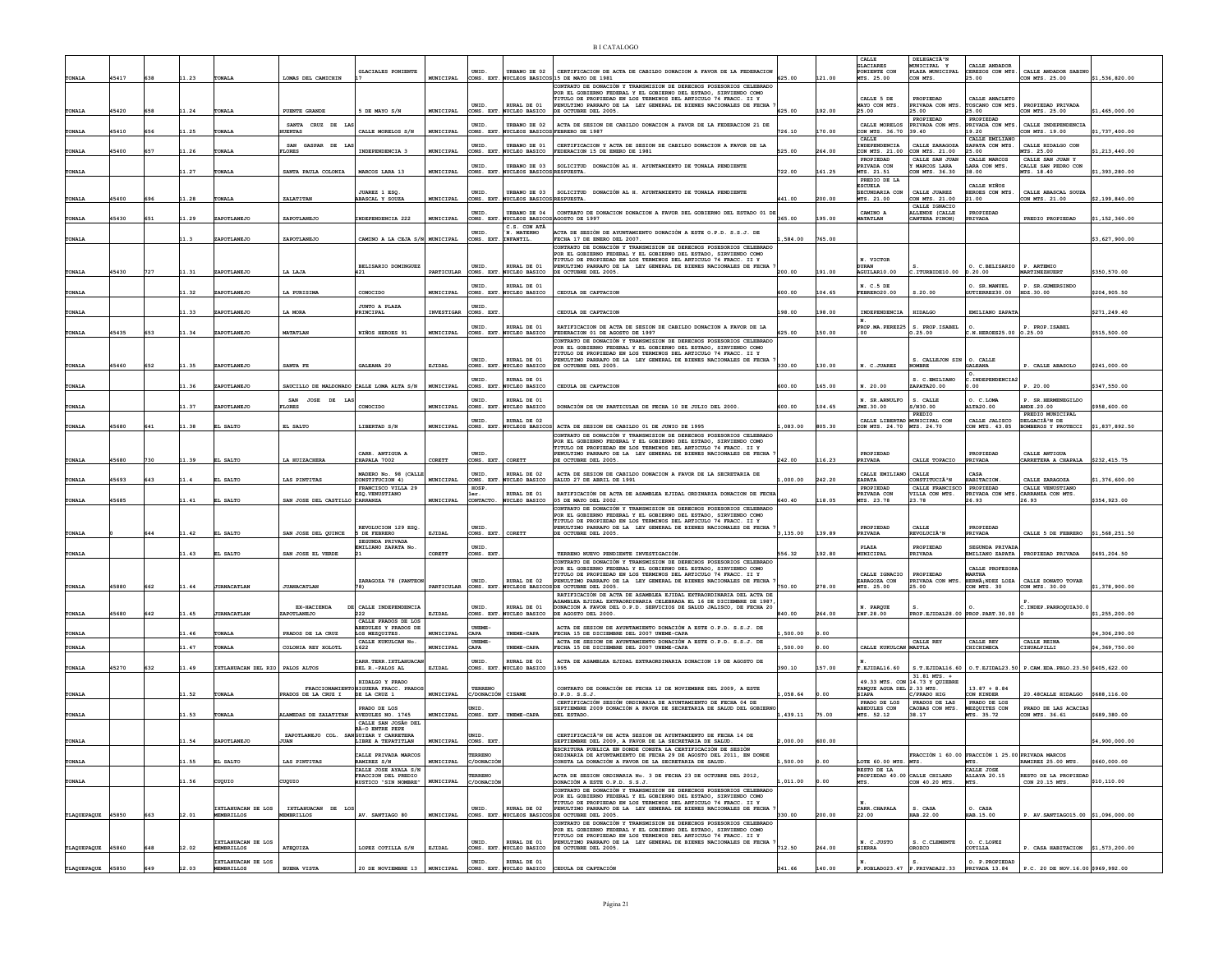|                   |       |     |       |                                 |                                        |                                                                         |            |                                   |                                                | <b>BICATALOGO</b>                                                                                                                                                                                                                                                               |            |        |                                                  |                                                                      |                                                                        |                                                                   |                |
|-------------------|-------|-----|-------|---------------------------------|----------------------------------------|-------------------------------------------------------------------------|------------|-----------------------------------|------------------------------------------------|---------------------------------------------------------------------------------------------------------------------------------------------------------------------------------------------------------------------------------------------------------------------------------|------------|--------|--------------------------------------------------|----------------------------------------------------------------------|------------------------------------------------------------------------|-------------------------------------------------------------------|----------------|
| TONALA            | 45417 | 638 | 11.23 | <b>FONALI</b>                   | LOMAS DEL CAMICHIN                     | <b>GLACIALES PONIENTE</b>                                               | MUNICIPAL  | UNID.                             |                                                | URBANO DE 02 CERTIFICACION DE ACTA DE CABILDO DONACION A FAVOR DE LA FEDERACION<br>CONS. EXT. NUCLEOS BASICOS 15 DE MAYO DE 1981                                                                                                                                                | 625.00     | 121.00 | CALLE<br>GLACTARES<br>PONIENTE CON<br>MTS. 25.00 | DELEGACIÃ <sup>3</sup><br>MUNICIPAL Y<br>PLAZA MUNICIPAL<br>CON MTS. | CALLE ANDADOR<br>CEREZOS CON MTS.<br>25.00                             | CALLE ANDADOR SABINO<br>CON MTS. 25.00                            | \$1,536,820.00 |
|                   |       |     |       |                                 |                                        |                                                                         |            | UNID.                             | RURAL DE 01                                    | CONTRATO DE DONACIÓN Y TRANSMISION DE DERECHOS POSESORIOS CELEBRADO<br>POR EL GOBIERNO FEDERAL Y EL GOBIERNO DEL ESTADO, SIRVIENDO COMO<br>TITULO DE PROPIEDAD EN LOS TERMINOS DEL ARTICULO 74 FRACC. II Y<br>PENULTIMO PARRAFO DE LA LEY GENERAL DE BIENES NACIONALES DE FECHA |            |        | CALLE 5 DE<br>MAYO CON MTS.                      | PROPIEDAD<br>PRIVADA CON MTS                                         | CALLE ANACLETO<br>TOSCANO CON MTS.                                     | PROPIEDAD PRIVADA                                                 |                |
| TONALA            | 45420 | 658 | 11.24 | <b>FONALA</b>                   | PUENTE GRANDE<br>SANTA CRUZ DE LJ      | 5 DE MAYO S/N                                                           | MUNICIPAL  | UNID.                             | CONS. EXT. NUCLEO BASICO<br>URBANO DE 02       | DE OCTUBRE DEL 2005.<br>ACTA DE SESION DE CABILDO DONACION A FAVOR DE LA FEDERACION 21 DE                                                                                                                                                                                       | 625.00     | 192.00 | 25.00<br>CALLE MORELOS                           | 25.00<br>PROPIEDAD<br>PRIVADA CON MTS.                               | 25.00<br>PROPIEDAD<br>PRIVADA CON MTS.                                 | CON MTS. 25.00<br>CALLE INDEPENDENCIA                             | \$1,465,000.00 |
| TONALA            | 45410 | 656 | 11.25 | <b>FONALA</b>                   | <b>UERTAS</b><br>SAN GASPAR DE LI      | CALLE MORELOS S/N                                                       | MUNICIPAL  | UNID.                             | RBANO DE 01                                    | CONS. EXT. NUCLEOS BASICOS FEBRERO DE 1987<br>CERTIFICACION Y ACTA DE SESION DE CABILDO DONACION A FAVOR DE LA                                                                                                                                                                  | 726.10     | 170.00 | CON MTS. 36.70<br>CALLE<br>INDEPENDENCIA         | 39.40<br>CALLE ZARAGOZA                                              | 19.20<br>CALLE EMILIANO<br>ZAPATA CON MTS.                             | CON MTS. 19.00<br>CALLE HIDALGO CON                               | \$1,737,400.00 |
| TONALA            | 45400 | 657 | 11.26 | TONALA                          | <b>LORES</b>                           | <b>TNDEPENDENCTA 3</b>                                                  | MUNICIPAL  | CONS. EXT<br>UNID.                | UCLEO BASICO                                   | FEDERACION 15 DE ENERO DE 1981<br>URBANO DE 03 SOLICITUD DONACIÓN AL H. AYUNTAMIENTO DE TONALA PENDIENTE                                                                                                                                                                        | 525.00     | 264.00 | CON MTS. 21.00<br>PROPIEDAD<br>PRIVADA CON       | CON MTS. 21.00<br>CALLE SAN JUAN<br>MARCOS LARA                      | 25.00<br>CALLE MARCOS<br>LARA CON MTS.                                 | MTS. 25.00<br>CALLE SAN JUAN Y<br>CALLE SAN PEDRO CON             | \$1,213,440.00 |
| TONALA            |       |     | 11.27 | <b>FONALA</b>                   | SANTA PAULA COLONIA                    | MARCOS LARA 13                                                          | MUNICIPAL  |                                   | CONS. EXT. NUCLEOS BASICOS RESPUESTA           |                                                                                                                                                                                                                                                                                 | 722.00     | 161.25 | MTS. 21.51<br>PREDIO DE LA<br><b>ESCUELA</b>     | CON MTS. 36.30                                                       | 38.00<br>CALLE NIÑOS                                                   | MTS. 18.40                                                        | \$1,393,280.00 |
| TONALA            | 45400 | 696 | 11.28 | <b>FONALI</b>                   | ZALATITAN                              | JUAREZ 1 ESQ<br>ABASCAL Y SOUZA                                         | MUNICIPAL  | UNID.<br>CONS. EXT                | UCLEOS BASICOS RESPUESTA                       | URBANO DE 03 SOLICITUD DONACIÓN AL H. AYUNTAMIENTO DE TONALA PENDIENTE                                                                                                                                                                                                          | 41.00      | 200.00 | SECUNDARIA CON<br>MTS. 21.00                     | CALLE JUAREZ<br>CON MTS. 21.00<br>CALLE IGNACIO                      | BEROES CON MTS.<br>21.00                                               | CALLE ABASCAL SOUZA<br>CON MTS. 21.00                             | \$2,199,840.00 |
| <b>TONALA</b>     | 45430 | 651 | 11.29 | ZAPOTLANEJO                     | ZAPOTLANEJO                            | INDEPENDENCIA 222                                                       | MUNICIPAL  | INTD.<br>CONS. EXT.               | URBANO DE 04<br>NUCLEOS BASICOS AGOSTO DE 1997 | CONTRATO DE DONACION DONACION A FAVOR DEL GOBIERNO DEL ESTADO 01 DE                                                                                                                                                                                                             | 365.00     | 195.00 | CAMTNO <sub>A</sub><br><b>SATATLAN</b>           | ALLENDE (CALLE<br>CANTERA PINON)                                     | PROPIEDAD<br>PRIVADA                                                   | PREDIO PROPIEDAD                                                  | \$1,152,360.00 |
| TONALA            |       |     | 11.3  | ZAPOTLANEJO                     | ZAPOTLANEJO                            | CAMINO A LA CEJA S/N MUNICIPAL                                          |            | UNID.<br>CONS. EXT. INFANTIL.     | C.S. CON ATÂ<br>. MATERNO                      | ACTA DE SESIÓN DE AYUNTAMIENTO DONACIÓN A ESTE O.P.D. S.S.J. DE<br>FECHA 17 DE ENERO DEL 2007.                                                                                                                                                                                  | ,584.00    | 765.00 |                                                  |                                                                      |                                                                        |                                                                   | \$3,627,900.00 |
|                   |       |     |       |                                 |                                        |                                                                         |            |                                   |                                                | CONTRATO DE DONACIÓN Y TRANSMISION DE DERECHOS POSESORIOS CELEBRADO<br>POR EL GOBIERNO FEDERAL Y EL GOBIERNO DEL ESTADO, SIRVIENDO COMO<br>TITULO DE PROPIEDAD EN LOS TERMINOS DEL ARTICULO 74 FRACC. II Y                                                                      |            |        | N. VICTOR                                        |                                                                      |                                                                        |                                                                   |                |
| <b>TONALA</b>     | 45430 | 727 | 11.31 | ZAPOTLANEJO                     | LA LAJA                                | BELISARIO DOMINGUEZ<br>1421                                             | PARTICULAR | UNID.<br>CONS. EXT                | RURAL DE 01<br>NUCLEO BASICO                   | PENULTIMO PARRAFO DE LA LEY GENERAL DE BIENES NACIONALES DE FECHA<br>DE OCTUBRE DEL 2005.                                                                                                                                                                                       | 200.00     | 191.00 | <b>ITRAN</b><br>AGUILAR10.00                     | : ITURBIDE10.00                                                      | O. C.BELISARIO<br>D.20.00                                              | P. ARTEMIO<br>MARTINEZHUERT                                       | \$350,570.00   |
| TONALA            |       |     | 11.32 | ZAPOTLANEJC                     | LA PURISIMA                            | CONOCIDO                                                                | MUNICIPAL  | UNID.<br>CONS. EXT.               | RURAL DE 01<br>NUCLEO BASICO                   | CEDULA DE CAPTACION                                                                                                                                                                                                                                                             | 500.00     | 104.65 | N. C.5 DE<br>FEBRER020.00                        | 3.20.00                                                              | O. SR.MANUEL<br>GUTIERREZ30.00                                         | P. SR. GUMERSINDO<br>HDZ.30.00                                    | \$204,905.50   |
| TONALA            |       |     | 11.33 | ZAPOTLANEJO                     | LA MORA                                | JUNTO A PLAZA<br>PRINCIPAL                                              | INVESTIGAR | UNID.<br>CONS. EXT                |                                                | CEDULA DE CAPTACION                                                                                                                                                                                                                                                             | 198.00     | 198.00 | INDEPENDENCIA                                    | <b>HIDALGO</b>                                                       | EMILIANO ZAPATA                                                        |                                                                   | \$271.249.40   |
| <b>TONALA</b>     | 45435 | 653 | 11.34 | ZAPOTLANEJO                     | MATATLAN                               | NIÑOS HEROES 91                                                         | MUNICIPAL  | UNID.                             | RURAL DE 01<br>CONS. EXT. NUCLEO BASICO        | RATIFICACION DE ACTA DE SESION DE CABILDO DONACION A FAVOR DE LA<br>FEDERACION 01 DE AGOSTO DE 1997                                                                                                                                                                             | 525.00     | 150.00 | PROP.MA.PEREZ25<br>00                            | S. PROP. ISABEL<br>0.25.00                                           | N. HEROES25.00 0.25.00                                                 | P. PROP. ISABEL                                                   | \$515,500.00   |
|                   |       |     |       |                                 |                                        |                                                                         |            |                                   |                                                | CONTRATO DE DONACIÓN Y TRANSMISION DE DERECHOS POSESORIOS CELEBRADO<br>POR EL GORTERNO FEDERAL Y EL GORTERNO DEL ESTADO, STRVTENDO COMO                                                                                                                                         |            |        |                                                  |                                                                      |                                                                        |                                                                   |                |
| <b>TONALA</b>     | 45460 | 652 | 11.35 | ZAPOTLANEJO                     | SANTA FE                               | <b>GALEANA 20</b>                                                       | EJIDAL     | UNID.<br>ONS. EXT                 | RURAL DE 01<br>NUCLEO BASICO                   | TITULO DE PROPIEDAD EN LOS TERMINOS DEL ARTICULO 74 FRACC. II Y<br>PENULTIMO PARRAFO DE LA LEY GENERAL DE BIENES NACIONALES DE FECHA<br>DE OCTUBRE DEL 2005.                                                                                                                    | 330.00     | 130.00 | N. C.JUAREZ                                      | S. CALLEJON SIN 0. CALLE<br><b>MRRE</b>                              | <b>GALEANA</b>                                                         | P. CALLE ARASOLO                                                  | \$241,000.00   |
| TONALA            |       |     | 11.36 | ZAPOTLANEJC                     | SAUCILLO DE MALDONADO                  | CALLE LOMA ALTA S/N                                                     | MUNICIPAL  | UNID.                             | RURAL DE 01<br>ONS. EXT. NUCLEO BASICO         | CEDULA DE CAPTACION                                                                                                                                                                                                                                                             | 600.00     | 165.00 | N. 20.00                                         | S. C.EMILIANO<br>ZAPATA20.00                                         | C. INDEPENDENCIA2<br>.00                                               | P. 20.00                                                          | \$347,550.00   |
| <b>TONALA</b>     |       |     | 11.37 | ZAPOTLANEJO                     | SAN JOSE DE<br><b>LORES</b>            | CONOCIDO                                                                | MUNICIPAL  | UNID.                             | URAL DE 01<br>CONS. EXT. NUCLEO BASICO         | DONACIÓN DE UN PARTICULAR DE FECHA 10 DE JULIO DEL 2000                                                                                                                                                                                                                         | 500.00     | 104.65 | N. SR. ARNULFO<br>JMZ.30.00                      | S. CALLE<br>5/N30.00                                                 | O. C.LOMA<br>ALTA20.00                                                 | P. SR. HERMENEGILDO<br><b>ANDE.20.00</b>                          | \$958,600.00   |
|                   |       |     |       |                                 |                                        |                                                                         |            | INTD.                             | RURAL DE 02                                    |                                                                                                                                                                                                                                                                                 |            |        | CALLE LIBERTAD MUNICIPAL CON                     | PREDIO                                                               | CALLE JALISCO                                                          | PREDIO MUNICIPAL<br>DELGACIÃ <sup>3</sup> N DE                    |                |
| <b>TONALA</b>     | 45680 | 641 | 11.38 | EL SALTO                        | EL SALTO                               | LIBERTAD S/N                                                            | MUNICIPAL  | CONS. EXT.                        |                                                | NUCLEOS BASICOS ACTA DE SESION DE CABILDO 01 DE JUNIO DE 1995<br>CONTRATO DE DONACIÓN Y TRANSMISION DE DERECHOS POSESORIOS CELEBRADO<br>POR EL GOBIERNO FEDERAL Y EL GOBIERNO DEL ESTADO, SIRVIENDO COMO                                                                        | $00.683$ . | 805.30 | CON MTS. 24.70 MTS. 24.70                        |                                                                      | CON MTS. 43.85                                                         | BOMBEROS Y PROTECCI                                               | \$1,837,892.50 |
| <b>TONALA</b>     | 45680 | 730 | 11.39 | EL SALTO                        | LA HUIZACHERA                          | CARR. ANTIGUA A<br>CHAPALA 7002                                         | CORETT     | UNID.<br>CONS. EXT.               | CORETT                                         | TITULO DE PROPIEDAD EN LOS TERMINOS DEL ARTICULO 74 FRACC. II Y<br>PENULTIMO PARRAFO DE LA LEY GENERAL DE BIENES NACIONALES DE FECHA<br>DE OCTUBRE DEL 2005.                                                                                                                    | 242.00     | 116.23 | PROPIEDAD<br>PRIVADA                             | CALLE TOPACIO                                                        | PROPIEDAD<br>PRIVADA                                                   | CALLE ANTIGUA<br>CARRETERA A CHAPALA                              | \$232,415.75   |
|                   | 45693 | 643 |       | L SALTO                         | LAS PINTITAS                           | MADERO No. 98 (CALLE                                                    | MUNICIPAL  | UNID.                             | RURAL DE 02                                    | ACTA DE SESION DE CABILDO DONACION A FAVOR DE LA SECRETARIA DE<br>SALUD 27 DE ABRIL DE 1991                                                                                                                                                                                     | ,000.00    | 242.20 | CALLE EMILIAN                                    | CALLE<br><b>CONSTITUCIÀ "N</b>                                       | CASA<br>ABITACION                                                      | CALLE ZARAGOZA                                                    | \$1,376,600.00 |
| <b>TONALA</b>     |       |     |       |                                 |                                        | CONSTITUCION 4)<br>FRANCISCO VILLA 29<br><b>ESQ.VENUSTIANO</b>          |            | HOSP.<br>ar.                      | CONS. EXT. NUCLEO BASICO<br>RURAL DE 01        | RATIFICACIÓN DE ACTA DE ASAMBLEA EJIDAL ORDINARIA DONACION DE FECH.                                                                                                                                                                                                             |            |        | <b>ZAPATA</b><br>PROPIEDAD<br>PRIVADA CON        | CALLE FRANCISCO<br>VILLA CON MTS.                                    | <b>PROPTEDAD</b><br>PRIVADA CON MTS                                    | CALLE VENUSTIANO<br>CARRANZA CON MTS.                             |                |
| TONALA            | 45685 |     | 11.41 | EL SALTO                        | SAN JOSE DEL CASTILLO CARRANZA         |                                                                         | MUNICIPAL  | сонтасто.                         | NUCLEO BASICO                                  | 05 DE MAYO DEL 2002.<br>CONTRATO DE DONACIÓN Y TRANSMISION DE DERECHOS POSESORIOS CELEBRADO<br>POR EL GOBIERNO FEDERAL Y EL GOBIERNO DEL ESTADO, SIRVIENDO COMO                                                                                                                 | 640.40     | 118.05 | MTS. 23.78                                       | 23.78                                                                | 26.93                                                                  | 26.93                                                             | \$354,923.00   |
| <b>TONALA</b>     |       | 644 | 11.42 | EL SALTO                        | SAN JOSE DEL QUINCE                    | REVOLUCION 129 ESQ<br>5 DE FEBRERO                                      | EJIDAL     | UNID.<br>CONS. EXT.               | CORETT                                         | TITULO DE PROPIEDAD EN LOS TERMINOS DEL ARTICULO 74 FRACC. II Y<br>PENULTIMO PARRAFO DE LA LEY GENERAL DE BIENES NACIONALES DE FECHA<br>DE OCTUBRE DEL 2005.                                                                                                                    | ,135.00    | 139.89 | PROPIEDAD<br>PRIVADA                             | CALLE<br><b>REVOLUCIÀ'N</b>                                          | PROPIEDAD<br>PRIVADA                                                   | CALLE 5 DE FEBRERO                                                | \$1,568,251.50 |
|                   |       |     |       |                                 |                                        | SEGUNDA PRIVADA<br>EMILIANO ZAPATA No.                                  |            | UNID.                             |                                                |                                                                                                                                                                                                                                                                                 |            |        | PLAZA                                            | PROPIEDAD                                                            | SEGUNDA PRIVADA                                                        |                                                                   |                |
| TONALA            |       |     | 11.43 | EL SALTO                        | SAN JOSE EL VERDI                      |                                                                         | CORETT     | CONS. EXT                         |                                                | TERRENO NUEVO PENDIENTE INVESTIGACIÓN<br>CONTRATO DE DONACIÓN Y TRANSMISION DE DERECHOS POSESORIOS CELEBRADO<br>POR EL GOBIERNO FEDERAL Y EL GOBIERNO DEL ESTADO, SIRVIENDO COMO                                                                                                | 556.32     | 192.80 | <b>CONICIPAL</b>                                 | PRIVADA                                                              | <b>EMILIANO ZAPATA</b><br>CALLE PROFESOR                               | PROPIEDAD PRIVADA                                                 | \$491,204.50   |
| TONALA            | 45880 | 662 | 11.44 | <b>JUANACATLAN</b>              | <b>JUANACATLAN</b>                     | ZARAGOZA 78 (PANTEO)<br>78)                                             | PARTICULAR | UNID.                             | RURAL DE 02                                    | TITULO DE PROPIEDAD EN LOS TERMINOS DEL ARTICULO 74 FRACC. II Y<br>PENULTIMO PARRAFO DE LA LEY GENERAL DE BIENES NACIONALES DE FECHA<br>CONS. EXT. NUCLEOS BASICOS DE OCTUBRE DEL 2005.                                                                                         | 750.00     | 278.00 | CALLE IGNACIO<br>ZARAGOZA CON<br>MTS. 25.00      | PROPIEDAD<br>PRIVADA CON MTS<br>25.00                                | <b>ARTHA</b><br>HERNÀ; NDEZ LOZA<br>CON MTS. 30                        | CALLE DONATO TOVAR<br>CON MTS. 30.00                              | \$1,378,900.00 |
|                   |       |     |       |                                 | EX-HACIENDA                            |                                                                         |            | UNID.                             | RURAL DE 01                                    | RATIFICACIÓN DE ACTA DE ASAMBLEA EJIDAL EXTRAORDINARIA DEL ACTA DE<br>SAMBLEA EJIDAL EXTRAORDINARIA CELEBRADA EL 16 DE DICIEMBRE DE 1987                                                                                                                                        |            |        |                                                  |                                                                      |                                                                        |                                                                   |                |
| <b>TONALA</b>     | 45680 | 642 | 11.45 | <b>JUANACATLAN</b>              | <b>APOTLANEJO</b>                      | DE CALLE INDEPENDENCIA<br>222<br>CALLE PRADOS DE LOS                    | EJIDAL     | CONS. EXT                         | NUCLEO BASICO                                  | DONACION A FAVOR DEL O.P.D. SERVICIOS DE SALUD JALISCO, DE FECHA 20<br>DE AGOSTO DEL 2000.                                                                                                                                                                                      | 840.00     | 264.00 | N. PARQUE<br>INF.28.00                           | PROP.EJIDAL28.00 PROP.PART.30.00                                     |                                                                        | C. INDEP. PARROQUIA30.0                                           | \$1,255,200.00 |
| <b>TONALA</b>     |       |     | 1.46  | <b>ONALA</b>                    | PRADOS DE LA CRUZ                      | ABEDULES Y PRADOS DE<br>LOS MEZQUITES.<br>CALLE KUKULCAN No.            | MUNICIPAL  | <b>UNEME-</b><br>CAPA<br>UNEME-   | <b>INEME-CAPA</b>                              | ACTA DE SESION DE AYUNTAMIENTO DONACIÓN A ESTE O.P.D. S.S.J. DE<br>FECHA 15 DE DICIEMBRE DEL 2007 UNEME-CAPA<br>ACTA DE SESION DE AYUNTAMIENTO DONACIÓN A ESTE O.P.D. S.S.J. DE                                                                                                 | 500.00     | 0.00   |                                                  | CALLE REY                                                            | CALLE REY                                                              | CALLE REINA                                                       | \$4,306,290.00 |
| TONALA            |       |     | 11.47 | <b>FONALI</b>                   | COLONIA REY XOLOTL                     | 1622<br>CARR.TERR.IXTLAHUACJ                                            | MUNICIPAL  | CAPA<br>UNID.                     | NEME-CAPA<br>URAL DE 01                        | FECHA 15 DE DICIEMBRE DEL 2007 UNEME-CAPA<br>ACTA DE ASAMBLEA EJIDAL EXTRAORDINARIA DONACION 19 DE AGOSTO DE                                                                                                                                                                    | ,500.00    | 0.00   | CALLE KUKULCAN                                   | MAZTLA                                                               | CHICHIMECA                                                             | CIHUALPILLI                                                       | \$4,369,750.00 |
| <b>TONALA</b>     | 45270 | 632 | 11.49 | IXTLAHUACAN DEL RIO PALOS ALTOS |                                        | DEL R.-PALOS AL                                                         | EJIDAL     | CONS. EXT                         | NUCLEO BASICO                                  | 1995                                                                                                                                                                                                                                                                            | 390.10     | 157.00 | T.EJIDAL16.60                                    | 31.81 MTS. +                                                         |                                                                        | S.T.EJIDAL16.60 0.T.EJIDAL23.50 P.CAM.EDA.PBLO.23.50 \$405,622.00 |                |
| <b>TONALA</b>     |       |     | 11.52 | <b>FONALI</b>                   | <b>PRADOS DE LA CRUZ I</b>             | HIDALGO Y PRADO<br>FRACCIONAMIENTO HIGUERA FRACC. PRADO<br>DE LA CRUZ 1 | MUNICIPAL  | TERRENO<br><b>C/DONACIÓN</b>      | <b>CISAME</b>                                  | CONTRATO DE DONACIÓN DE FECHA 12 DE NOVIEMBRE DEL 2009, A ESTE<br>0.P.D. S.S.J.                                                                                                                                                                                                 | , 058.64   |        | TANQUE AGUA DEL 2.33 MTS.<br>SIAPA               | 49.33 MTS. CON 14.73 Y QUIEBRE<br>C/PRADO HIG                        | $13.87 + 8.84$<br>ON KINDER                                            | 20.48 CALLE HIDALGO                                               | \$688,116.00   |
| <b>TONALA</b>     |       |     | 11.53 | <b>FONALA</b>                   | LAMEDAS DE ZALATITAN AVEDULES NO. 1745 | PRADO DE LOS                                                            | MUNICIPAL  | NID<br>CONS. EXT.                 | UNEME-CAPA                                     | CERTIFICACIÓN SESIÓN ORDINARIA DE AYUNTAMIENTO DE FECHA 04 DE<br>SEPTIEMBRE 2009 DONACIÓN A FAVOR DE SECRETARIA DE SALUD DEL GOBIERN<br>DEL ESTADO                                                                                                                              | ,439.11    | 75.00  | PRADO DE LOS<br>ABEDULES CON<br>MTS. 52.12       | PRADOS DE LAS<br>CAOBAS CON MTS.<br>38.17                            | PRADO DE LOS<br>MEZQUITES CON<br>MTS. 35.72                            | PRADO DE LAS ACACIAS<br>CON MTS. 36.61                            | \$689,380.00   |
|                   |       |     |       |                                 | ZAPOTLANEJO COL. SANGUIZAR Y CARRETERA | CALLE SAN JOSÃO DEL<br>RÃ-O ENTRE PEPE                                  |            | UNID.                             |                                                | CERTIFICACIÃ <sup>3</sup> N DE ACTA SESION DE AYUNTAMIENTO DE FECHA 14 DE                                                                                                                                                                                                       |            |        |                                                  |                                                                      |                                                                        |                                                                   |                |
| TONALA            |       |     | 11.54 | ZAPOTLANEJO                     | JUAN                                   | LIBRE A TEPATITLAN                                                      | MUNICIPAL  | CONS. EXT                         |                                                | SEPTIEMBRE DEL 2009, A FAVOR DE LA SECRETARIA DE SALUD.<br>ESCRITURA PUBLICA EN DONDE CONSTA LA CERTIFICACIÓN DE SESIÓN                                                                                                                                                         | ,000.00    | 600.00 |                                                  |                                                                      |                                                                        |                                                                   | \$4,900,000.00 |
| TONALA            |       |     | 11.55 | EL SALTO                        | LAS PINTITAS                           | CALLE PRIVADA MARCOS<br>RAMIREZ S/N<br>CALLE JOSE AYALA S/N             | MUNICIPAL  | <b><i>ERRENO</i></b><br>C/DONACIÓ |                                                | ORDINARIA DE AYUNTAMIENTO DE FECHA 29 DE AGOSTO DEL 2011, EN DONDE<br>CONSTA LA DONACIÓN A FAVOR DE LA SECRETARIA DE SALUD.                                                                                                                                                     | ,500.00    | 0.00   | OTE 60.00 MTS. MTS.<br>RESTO DE LA               |                                                                      | FRACCIÓN 1 60.00 FRACCIÓN 1 25.00 PRIVADA MARCOS<br>MTS.<br>CALLE JOSE | RAMIREZ 25.00 MTS                                                 | \$660,000.00   |
| TONALA            |       |     | 11.56 | CUQUIO                          | CUQUIO                                 | FRACCION DEL PREDIO<br>RUSTICO "SIN NOMBRE"                             | MUNICIPAL  | ERRENO<br>C/DONACIÓN              |                                                | ACTA DE SESION ORDINARIA No. 3 DE FECHA 23 DE OCTUBRE DEL 2012,<br>DONACIÓN A ESTE O.P.D. S.S.J.<br>CONTRATO DE DONACIÓN Y TRANSMISION DE DERECHOS POSESORIOS CELEBRADO                                                                                                         | .011.00    | 0.00   | PROPIEDAD 40.00 CALLE CHILARD<br>MTS.            | CON 40.20 MTS.                                                       | ALLAYA 20.15<br>MTS.                                                   | RESTO DE LA PROPIEDAD<br>CON 20.15 MTS.                           | \$10,110.00    |
|                   |       |     |       | IXTLAHUACAN DE LOS              |                                        |                                                                         |            |                                   |                                                | POR EL GOBIERNO FEDERAL Y EL GOBIERNO DEL ESTADO, SIRVIENDO COMO<br>TTTILO DE PROPTEDAD EN LOS TERMINOS DEL ARTICULO 74 FRACC. II Y                                                                                                                                             |            |        |                                                  |                                                                      |                                                                        |                                                                   |                |
| TLAQUEPAQUE 45850 |       | 663 | 12.01 | <b>EMBRILLOS</b>                | IXTLAHUACAN DE LOS<br><b>GBRILLOS</b>  | AV. SANTIAGO 80                                                         | MUNICIPAL  | UNID.<br>CONS. EXT.               | RURAL DE 02                                    | PENULTIMO PARRAFO DE LA LEY GENERAL DE BIENES NACIONALES DE FECHA<br>NUCLEOS BASICOS DE OCTUBRE DEL 2005.<br>CONTRATO DE DONACIÓN Y TRANSMISION DE DERECHOS POSESORIOS CELEBRADO                                                                                                | 330.00     | 200.00 | CARR. CHAPALA<br>22.00                           | S. CASA<br>IAB.22.00                                                 | O. CASA<br>HAB.15.00                                                   | P. AV. SANTIAGO15.00 \$1,096,000.00                               |                |
|                   |       |     |       | IXTLAHUACAN DE LOS              |                                        |                                                                         |            | UNID.                             | RURAL DE 01                                    | POR EL GOBIERNO FEDERAL Y EL GOBIERNO DEL ESTADO, SIRVIENDO COMO<br>TITULO DE PROPIEDAD EN LOS TERMINOS DEL ARTICULO 74 FRACC. II Y<br>PENULTIMO PARRAFO DE LA LEY GENERAL DE BIENES NACIONALES DE FECHA                                                                        |            |        | N. C.JUSTO                                       | S. C. CLEMENTE                                                       | O. C.LOPEZ                                                             |                                                                   |                |
| TLAQUEPAQUE 45860 |       | 648 | 12.02 | EMBRILLOS<br>IXTLAHUACAN DE LOS | ATEQUIZA                               | LOPEZ COTILLA S/N                                                       | EJIDAL     | UNID.                             | CONS. EXT. NUCLEO BASICO<br>RURAL DE 01        | DE OCTUBRE DEL 2005.                                                                                                                                                                                                                                                            | 712.50     | 264.00 | <b>SIERRA</b>                                    | OROZCO                                                               | COTILLA<br>O. P. PROPIEDAD                                             | P. CASA HABITACION                                                | \$1,573,200.00 |
| TLAQUEPAQUE 45850 |       | 649 | 12.03 | <b>MEMBRILLOS</b>               | <b>BUENA VISTA</b>                     | 20 DE NOVIEMBRE 13 MUNICIPAL                                            |            |                                   |                                                | CONS. EXT. NUCLEO BASICO CEDULA DE CAPTACIÓN                                                                                                                                                                                                                                    | 341.66     | 140.00 |                                                  | P.POBLADO23.47 P.PRIVADA22.33 PRIVADA 13.84                          |                                                                        | P.C. 20 DE NOV.16.00 \$969,992.00                                 |                |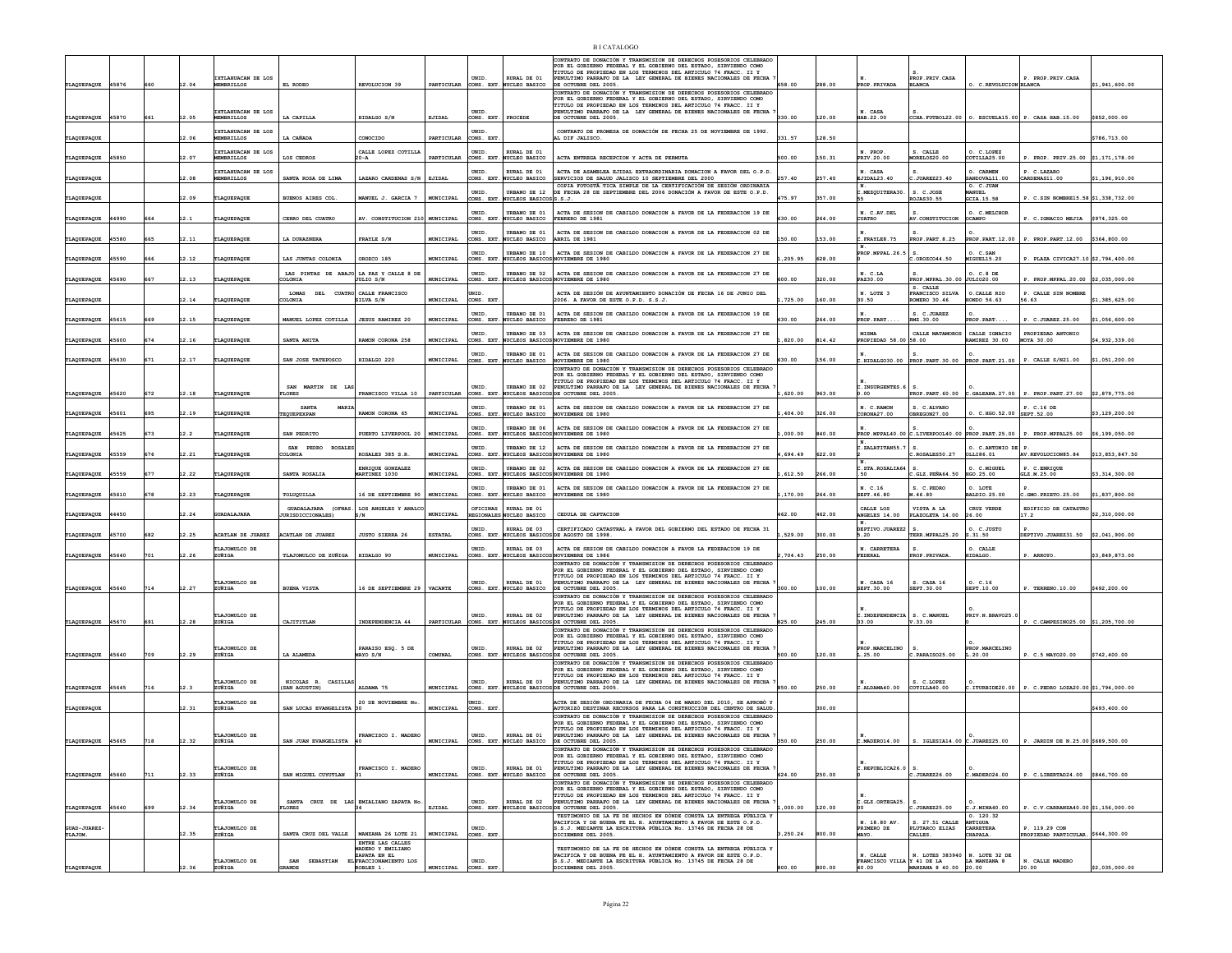| TLAQUEPAQUE                   | 45876 | 660 | 12.04 | TXTLARIJACAN DE LOS<br><b>MEMBRILLOS</b> | EL RODEO                                           | REVOLUCION 39                                                | PARTICULAR     | UNID.                  | RURAL DE 01<br>CONS. EXT. NUCLEO BASICO          | CONTRATO DE DONACIÓN Y TRANSMISION DE DERECHOS POSESORIOS CELEBRADO<br>OR EL GOBIERNO FEDERAL Y EL GOBIERNO DEL ESTADO, SIRVIENDO COMO<br>TITULO DE PROPIEDAD EN LOS TERMINOS DEL ARTICULO 74 FRACC. II Y<br>PENULTIMO PARRAFO DE LA LEY GENERAL DE BIENES NACIONALES DE FECHA<br>DE OCTUBRE DEL 2005.  | 658.00   | 288.00 | PROP. PRIVADA                       | PROP. PRIV. CASA<br><b>BLANCA</b>                  | O. C. REVOLUCION BLANCA                    | P. PROP. PRIV. CASA                                   | \$1,941,600.00  |
|-------------------------------|-------|-----|-------|------------------------------------------|----------------------------------------------------|--------------------------------------------------------------|----------------|------------------------|--------------------------------------------------|---------------------------------------------------------------------------------------------------------------------------------------------------------------------------------------------------------------------------------------------------------------------------------------------------------|----------|--------|-------------------------------------|----------------------------------------------------|--------------------------------------------|-------------------------------------------------------|-----------------|
| TLAQUEPAQUE                   | 45870 | 661 | 12.05 | IXTLAHUACAN DE LOS<br><b>MEMBRILLOS</b>  | LA CAPILLA                                         | HIDALGO S/N                                                  | EJIDAL         | UNID.<br>CONS. EXT     | PROCEDE                                          | CONTRATO DE DONACIÓN Y TRANSMISION DE DERECHOS POSESORIOS CELEBRADO<br>POR EL GOBIERNO FEDERAL Y EL GOBIERNO DEL ESTADO, SIRVIENDO COMO<br>TITULO DE PROPIEDAD EN LOS TERMINOS DEL ARTICULO 74 FRACC. II Y<br>PENULTIMO PARRAFO DE LA LEY GENERAL DE BIENES NACIONALES DE FECHA<br>DE OCTUBRE DEL 2005. | 330.00   | 120.00 | N. CASA<br>HAB.22.00                |                                                    |                                            | CCHA. FUTBOL22.00 0. ESCUELA15.00 P. CASA HAB.15.00   | \$852,000.00    |
| TLAQUEPAQUE                   |       |     | 12.06 | IXTLAHUACAN DE LOS<br>MEMBRILLOS         | LA CAÑADA                                          | CONOCIDO                                                     | PARTICULAR     | UNID.<br>CONS. EXT     |                                                  | CONTRATO DE PROMESA DE DONACIÓN DE FECHA 25 DE NOVIEMBRE DE 1992.<br>AL DIF JALISCO.                                                                                                                                                                                                                    | 331.57   | 128.50 |                                     |                                                    |                                            |                                                       | \$786,713.00    |
| TLAQUEPAQUE                   | 45850 |     | 12.07 | IXTLAHUACAN DE LOS<br><b>MEMBRILLOS</b>  | LOS CEDROS                                         | CALLE LOPEZ COTILLA<br>20-A                                  | PARTICULAR     | UNID                   | RURAL DE 01<br>CONS. EXT. NUCLEO BASICO          | ACTA ENTREGA RECEPCION Y ACTA DE PERMUTA                                                                                                                                                                                                                                                                | 500.00   | 150.31 | PRIV.20.00                          | S. CALLE<br>MORELOS20.00                           | O. C.LOPEI<br>COTILLA25.00                 | P. PROP. PRIV.25.00 \$1,171,178.00                    |                 |
|                               |       |     |       | IXTLAHUACAN DE LOS                       |                                                    |                                                              |                | UNID.                  | RURAL DE 01                                      | ACTA DE ASAMBLEA EJIDAL EXTRAORDINARIA DONACION A FAVOR DEL O.P.D.                                                                                                                                                                                                                                      | 257.40   |        | N. CASA                             | .JUAREZ23.40                                       | O. CARMEN                                  | P. C.LAZARO                                           |                 |
| TLAQUEPAQUE                   |       |     | 12.08 | <b>MEMBRILLOS</b>                        | SANTA ROSA DE LIMA                                 | LAZARO CARDENAS S/N   EJIDAL                                 |                | UNID.                  | CONS. EXT. NUCLEO BASICO<br>URBANO DE 12         | SERVICIOS DE SALUD JALISCO 10 SEPTIEMBRE DEL 2000<br>COPIA FOTOSTÀ TICA SIMPLE DE LA CERTIFICACIÓN DE SESIÓN ORDINARIA<br>DE FECHA 28 DE SEPTIEMBRE DEL 2006 DONACIÓN A FAVOR DE ESTE O.P.D.                                                                                                            |          | 257.40 | EJIDAL23.40<br>.MEZQUITERA30        | S. C.JOSE                                          | ANDOVAL11.00<br>O. C.JUAN<br><b>IANUEL</b> | CARDENAS11.00                                         | \$1,196,910.00  |
| TLAQUEPAQUE                   |       |     | 12.09 | TLAQUEPAQUE                              | BUENOS AIRES COL.                                  | MANUEL J. GARCIA 7                                           | MUNICIPAL      | UNID                   | CONS. EXT. NUCLEOS BASICOSS.S.J.<br>URBANO DE 01 | ACTA DE SESION DE CABILDO DONACION A FAVOR DE LA FEDERACION 19 DE                                                                                                                                                                                                                                       | 475.97   | 357.00 | N. C.AV.DEL                         | <b>OJAS30.55</b>                                   | <b>GCIA.15.58</b><br>O. C.MELCHOR          | P. C.SIN NOMBRE15.58 \$1,338,732.00                   |                 |
| TLAQUEPAQUE                   | 44990 | 664 | 12.1  | TLAQUEPAQUE                              | CERRO DEL CUATRO                                   | AV. CONSTITUCION 210 MUNICIPAL                               |                | CONS. EXT.             | NUCLEO BASICO<br><b>IRBANO DE 01</b>             | FEBRERO DE 1981<br>ACTA DE SESTON DE CARTLDO DONACTON A FAVOR DE LA FEDERACTON 02 DE                                                                                                                                                                                                                    | 630.00   | 264.00 | <b>CUATRO</b>                       | V.CONSTITUCION                                     | <b>OCAMPO</b>                              | P. C. TGNACTO METTA                                   | \$974,325.00    |
| TLAQUEPAQUE                   | 45580 | 665 | 12.11 | TLAQUEPAQUE                              | LA DURAZNERA                                       | FRAYLE S/N                                                   | MUNICIPAL      | UNID.<br>CONS. EXT.    | NUCLEO BASICO                                    | ABRIL DE 1981                                                                                                                                                                                                                                                                                           | 50.00    | 153.00 | . FRAYLE8.75                        | PROP. PART. 8.25                                   | PROP. PART. 12.00                          | P. PROP.PART.12.00 \$364.800.00                       |                 |
| TLAQUEPAQUE                   | 45590 | 666 | 12.12 | TLAQUEPAQUE                              | LAS JUNTAS COLONIA                                 | OROZCO 185                                                   | MUNICIPAL      | UNID.                  | URBANO DE 10                                     | ACTA DE SESION DE CABILDO DONACION A FAVOR DE LA FEDERACION 27 DE<br>CONS. EXT. NUCLEOS BASICOS NOVIEMBRE DE 1980                                                                                                                                                                                       | ,205.95  | 628.00 | PROP. MPPAL.26.5                    | .OR0ZC044.50                                       | O. C.SAN<br>MIGUEL15.20                    | P. PLAZA CIVICA27.10 \$2,794,400.00                   |                 |
| TLAQUEPAQUE                   | 45690 | 667 | 12.13 | TLAQUEPAQUE                              | LAS PINTAS DE ABAJO LA PAZ Y CALLE 8 DI<br>COLONIA | JULIO S/N                                                    | MUNICIPAL      | UNID<br>CONS. EXT.     |                                                  | URBANO DE 02 ACTA DE SESION DE CABILDO DONACION A FAVOR DE LA FEDERACION 27 DE<br>NUCLEOS BASICOS NOVIEMBRE DE 1980                                                                                                                                                                                     | 600.00   | 320.00 | PAZ30.00                            | PROP.MPPAL.30.00 JULIO20.00<br>S. CALLE            | O. C.8 DE                                  | P. PROP.MPPAL.20.00 \$2.035.000.00                    |                 |
| TLAQUEPAQUE                   |       |     | 12.14 | TLAQUEPAQUE                              | LOMAS<br>COLONIA                                   | DEL CUATRO CALLE FRANCISCO<br>SILVA S/N                      | MUNICIPAL      | UNID<br>CONS. EXT      |                                                  | ACTA DE SESIÓN DE AYUNTAMIENTO DONACIÓN DE FECHA 16 DE JUNIO DEL<br>2006. A FAVOR DE ESTE O.P.D. S.S.J.                                                                                                                                                                                                 | ,725.00  | 160.00 | N. LOTE 3<br>30.50                  | FRANCISCO SILVA<br>OMERO 30.46                     | O. CALLE RIO<br><b>IONDO 56.63</b>         | P. CALLE SIN NOMBRE<br>56.63                          | \$1,385,625.00  |
| <b>FLAQUE PAQUE</b>           | 45615 | 669 | 12.15 | TLAQUEPAQUE                              | MANUEL LOPEZ COTILLA                               | <b>JESUS RAMIREZ 20</b>                                      | MUNICIPAL      | UNID.                  | URBANO DE 01<br>CONS. EXT. NUCLEO BASICO         | ACTA DE SESION DE CABILDO DONACION A FAVOR DE LA FEDERACION 19 DE<br>FEBRERO DE 1981                                                                                                                                                                                                                    | 630.00   | 264.00 | PROP. PART.                         | S. C. JUAREZ<br>RMZ.30.00                          | ROP.PART                                   | P. C.JUAREZ.25.00                                     | \$1,056,600.00  |
| TLAQUEPAQUE                   | 45600 | 674 | 12.16 | TLAQUEPAQUE                              | SANTA ANITA                                        | RAMON CORONA 258                                             | MUNICIPAL      | UNID<br>CONS. EXT.     |                                                  | URBANO DE 03 ACTA DE SESION DE CABILDO DONACION A FAVOR DE LA FEDERACION 27 DE<br>NUCLEOS BASICOS NOVIEMBRE DE 1980                                                                                                                                                                                     | .820.00  | 814.42 | <b>MISM</b><br>PROPIEDAD 58.00      | CALLE MATAMOROS<br>58.00                           | CALLE IGNACIO<br>RAMIREZ 30.00             | PROPIEDAD ANTONIO<br><b>MOYA 30.00</b>                | \$4,932,339,00  |
| TLAQUEPAQUE                   | 45630 | 671 | 12.17 | TLAQUEPAQUE                              | SAN JOSE TATEPOSCO                                 | HIDALGO 220                                                  | MUNICIPAL      | UNID.<br>CONS. EXT.    | URBANO DE 01<br><b>NUCLEO BASICO</b>             | ACTA DE SESION DE CABILDO DONACION A FAVOR DE LA FEDERACION 27 DE<br>NOVIEMBRE DE 1980                                                                                                                                                                                                                  | 530.00   | 156.00 |                                     | C.HIDALGO30.00 PROP.PART.30.00 PROP.PART.21.00     |                                            | P. CALLE S/N21.00                                     | \$1,051,200.00  |
|                               |       |     |       |                                          |                                                    |                                                              |                |                        |                                                  | CONTRATO DE DONACIÓN Y TRANSMISION DE DERECHOS POSESORIOS CELEBRADO<br>POR EL GOBIERNO FEDERAL Y EL GOBIERNO DEL ESTADO. SIRVIENDO COMO                                                                                                                                                                 |          |        |                                     |                                                    |                                            |                                                       |                 |
| TLAQUEPAQUE                   | 45620 | 672 | 12.18 | TLAQUEPAQUE                              | <b>SAN</b><br>MARTIN DE<br>LA<br><b>TLORES</b>     | FRANCISCO VILLA 10                                           | PARTICULAR     | UNID.                  | URBANO DE 02                                     | TITULO DE PROPIEDAD EN LOS TERMINOS DEL ARTICULO 74 FRACC. II Y<br>PENULTIMO PARRAFO DE LA LEY GENERAL DE BIENES NACIONALES DE FECHA<br>CONS. EXT. NUCLEOS BASICOS DE OCTUBRE DEL 2005.                                                                                                                 | .620.00  | 963.00 | C. INSURGENTES. 6<br>0.00           |                                                    |                                            | $PROP.PART. 60.00$ C.GALEANA.27.00 P. PROP.PART.27.00 | \$2,879,775.00  |
| TLAQUEPAQUE                   | 45601 | 695 | 12.19 | TLAQUEPAQUE                              | <b>SANTA</b><br>MARI<br>TEQUEPEXPAN                | RAMON CORONA 65                                              | MUNICIPAL      | UNID.                  | <b>URBANO DE 01</b><br>CONS. EXT. NUCLEO BASICO  | ACTA DE SESION DE CABILDO DONACION A FAVOR DE LA FEDERACION 27 DE<br>NOVIEMBRE DE 1980                                                                                                                                                                                                                  | 404.00   | 326.00 | N. C.RAMON<br>CORONA27.00           | S. C.ALVARO<br>OBREGON27.00                        | $0. C.HGO.52.00$ SEPT.52.00                | P. C.16 DE                                            | \$3,129,200.00  |
| TLAQUEPAQUE                   | 45625 | 673 | 12.2  | TLAQUEPAQUE                              | SAN PEDRITO                                        | PUERTO LIVERPOOL 20                                          | MUNICIPAL      | UNID.<br>CONS. EXT     |                                                  | URBANO DE 06 ACTA DE SESION DE CABILDO DONACION A FAVOR DE LA FEDERACION 27 DE<br>UCLEOS BASICOS NOVIEMBRE DE 1980                                                                                                                                                                                      | 00.000   | 840.00 |                                     | PROP. MPPAL40.00 C.LIVERPOOL40.00 PROP. PART.25.00 |                                            | P. PROP.MPPAL25.00                                    | \$6,199,050.00  |
|                               |       |     |       |                                          | SAN PEDRO ROSALES                                  |                                                              |                | UNID.                  | URBANO DE 12                                     | ACTA DE SESION DE CABILDO DONACION A FAVOR DE LA FEDERACION 27 DE<br>NUCLEOS BASICOS NOVIEMBRE DE 1980                                                                                                                                                                                                  |          |        | C.ZALATITAN55.7                     |                                                    | O. C.ANTONIO DE P                          |                                                       |                 |
| TLAQUEPAQUE                   | 45559 | 676 | 12.21 | TLAQUEPAQUE                              | AIMOJO:                                            | ROSALES 385 S.R.<br>ENRIOUE GONZALEZ                         | MUNICIPAL      | CONS. EXT.<br>UNID.    | URBANO DE 02                                     | ACTA DE SESION DE CABILDO DONACION A FAVOR DE LA FEDERACION 27 DE                                                                                                                                                                                                                                       | 694.49   | 622.00 | C. STA. ROSALIA64                   | ROSALES50.27                                       | OLLI86.01<br>O. C.MIGUEL                   | AV.REVOLUCION85.84<br>P. C.ENRIOUE                    | \$13,853,847.50 |
| TLAQUEPAQUE 45559             |       | 677 | 12.22 | TLAQUEPAQUE                              | SANTA ROSALIA                                      | MARTINEZ 1030                                                | MUNICIPAL      | UNID                   | URBANO DE 01                                     | CONS. EXT. NUCLEOS BASICOS NOVIEMBRE DE 1980<br>ACTA DE SESION DE CABILDO DONACION A FAVOR DE LA FEDERACION 27 DE                                                                                                                                                                                       | ,612.50  | 266.00 | 50<br>N. C.16                       | <b>.GLZ.PEÑA64.50</b><br>S. C. PEDRO               | HGO.25.00<br>O. LOTE                       | GLZ.M.25.00                                           | \$3,314,300.00  |
| TLAQUEPAQUE                   | 45610 | 678 | 12.23 | TLAQUEPAQUE                              | TOLUQUILLA                                         | 16 DE SEPTIEMBRE 90<br>LOS ANGELES Y ANALC                   | MUNICIPAL      | CONS. EXT.<br>OFTCINAS | NUCLEO BASICO<br>RURAL DE 01                     | NOVIEMBRE DE 1980                                                                                                                                                                                                                                                                                       | ,170.00  | 264.00 | SEPT. 46.80<br>CALLE LOS            | 1.46.80<br>VISTA A LA                              | ALDIO.25.00<br>CRUZ VERDE                  | .GMO.PRIETO.25.00<br>EDIFICIO DE CATASTRO             | \$1,837,800.00  |
| TLAQUEPAQUE                   | 44450 |     | 12.24 | <b>GUADALAJARA</b>                       | GUADALAJARA (OFNAS.<br><b>JURISDICCIONALES)</b>    | s/N                                                          | MUNICIPAL      |                        | REGIONALES NUCLEO BASICO                         | CEDULA DE CAPTACION                                                                                                                                                                                                                                                                                     | 462.00   | 462.00 | ANGELES 14.00                       | PLAZOLETA 14.00                                    | 26.00                                      | 17.2                                                  | \$2,310,000.00  |
| TLAQUEPAQUE                   | 45700 | 682 | 12.25 | ACATLAN DE JUAREZ                        | ACATLAN DE JUAREZ                                  | <b>JUSTO SIERRA 26</b>                                       | <b>ESTATAL</b> | UNID.                  | RURAL DE 03                                      | CERTIFICADO CATASTRAL A FAVOR DEL GOBIERNO DEL ESTADO DE FECHA 31<br>CONS. EXT. NUCLEOS BASICOS DE AGOSTO DE 1998.                                                                                                                                                                                      | 529.00   | 300.00 | DEPTIVO.JUAREZ2<br>5.20             | 8.<br>TERR.MPPAL25.20 S.31.50                      | O. C.JUSTO                                 | DEPTIVO.JUAREZ31.50 \$2,041,900.00                    |                 |
| TLAQUEPAQUE                   | 45640 | 701 | 12.26 | TLAJOMULCO DE<br>ZUÑIGA                  | TLAJOMULCO DE ZUÑIGA                               | HIDALGO 90                                                   | MUNICIPAL      | UNID.<br>CONS. EXT.    | RURAL DE 03                                      | ACTA DE SESION DE CABILDO DONACION A FAVOR LA FEDERACION 19 DE<br>UCLEOS BASICOS NOVIEMBRE DE 1986<br>CONTRATO DE DONACIÓN Y TRANSMISION DE DERECHOS POSESORIOS CELEBRADO                                                                                                                               | ,704.43  | 250.00 | N. CARRETERA<br><b>FEDERAL</b>      | s.<br><b>PROP. PRIVADJ</b>                         | O. CALLE<br>IIDALGO.                       | . ARROYO                                              | \$3,849,873.00  |
|                               |       |     |       |                                          |                                                    |                                                              |                |                        | RURAL DE 01                                      | OR EL GOBIERNO FEDERAL Y EL GOBIERNO DEL ESTADO, SIRVIENDO COMO<br>TITULO DE PROPIEDAD EN LOS TERMINOS DEL ARTICULO 74 FRACC. II Y                                                                                                                                                                      |          |        |                                     |                                                    |                                            |                                                       |                 |
| TLAQUEPAQUE                   | 45640 | 714 | 12.27 | TLAJOMULCO DE<br>ZUÑIGA                  | <b>BUENA VISTA</b>                                 | 16 DE SEPTIEMBRE 29                                          | <b>VACANTE</b> | UNID.<br>CONS. EXT     | <b>WCLEO BASICO</b>                              | PENULTIMO PARRAFO DE LA LEY GENERAL DE BIENES NACIONALES DE FECHA<br>DE OCTUBRE DEL 2005.<br>CONTRATO DE DONACIÓN Y TRANSMISION DE DERECHOS POSESORIOS CELEBRADO                                                                                                                                        | 300.00   | 100.00 | N. CASA 16<br>SEPT.30.00            | S. CASA 16<br>SEPT.30.00                           | 0. C.16<br>SEPT.10.00                      | P. TERRENO.10.00                                      | \$492,200.00    |
|                               |       |     |       | TLAJOMULCO DE                            |                                                    |                                                              |                | UNID.                  | RURAL DE 02                                      | POR EL GOBIERNO FEDERAL Y EL GOBIERNO DEL ESTADO, SIRVIENDO COMO<br>TITULO DE PROPIEDAD EN LOS TERMINOS DEL ARTICULO 74 FRACC. II Y<br>PENULTIMO PARRAFO DE LA LEY GENERAL DE BIENES NACIONALES DE FECHA                                                                                                |          |        | C. INDEPENDENCIA                    | S. C.MANUEL                                        | PRIV.N.BRAVO25.                            |                                                       |                 |
| TLAQUEPAQUE                   | 45670 | 691 | 12.28 | ZUÑIGA                                   | CAJITITLAN                                         | INDEPENDENCIA 44                                             | PARTICULAR     | CONS. EXT.             |                                                  | NUCLEOS BASICOS DE OCTUBRE DEL 2005.<br>CONTRATO DE DONACIÓN Y TRANSMISION DE DERECHOS POSESORIOS CELEBRADO<br>POR EL GOBIERNO FEDERAL Y EL GOBIERNO DEL ESTADO. SIRVIENDO COMO                                                                                                                         | 825.00   | 245.00 | 33.00                               | 7.33.00                                            |                                            | P. C.CAMPESINO25.00 \$1,205,700.00                    |                 |
|                               |       | 709 | 12.29 | TLAJOMULCO DE<br>ZUÑIGA                  | LA ALAMEDA                                         | PARAISO ESQ. 5 DE<br>MAYO S/N                                | COMUNAL        | UNID.                  | RURAL DE 02                                      | TITULO DE PROPIEDAD EN LOS TERMINOS DEL ARTICULO 74 FRACC. II Y<br>PENULTIMO PARRAFO DE LA LEY GENERAL DE BIENES NACIONALES DE FECHA<br>CONS. EXT. NUCLEOS BASICOS DE OCTUBRE DEL 2005                                                                                                                  | 500.00   | 120.00 | PROP.MARCELINO<br>L.25.00           | .PARAIS025.00                                      | PROP.MARCELING<br>L.20.00                  | P. C.5 MAY020.00                                      | \$742,400.00    |
| TLAQUEPAQUE 45640             |       |     |       |                                          |                                                    |                                                              |                |                        |                                                  | CONTRATO DE DONACIÓN Y TRANSMISION DE DERECHOS POSESORIOS CELEBRADO<br>POR EL GOBIERNO FEDERAL Y EL GOBIERNO DEL ESTADO, SIRVIENDO COMO                                                                                                                                                                 |          |        |                                     |                                                    |                                            |                                                       |                 |
| TLAQUEPAQUE                   | 45645 | 716 | 12.3  | TLAJOMULCO DE<br>ZUÑIGA                  | NICOLAS R. CASILLA<br>(SAN AGUSTIN)                | ALDAMA 75                                                    | MUNICIPAL      | UNID.                  | RURAL DE 03                                      | TITULO DE PROPIEDAD EN LOS TERMINOS DEL ARTICULO 74 FRACC. II Y<br>PENULTIMO PARRAFO DE LA LEY GENERAL DE BIENES NACIONALES DE FECHA<br>CONS. EXT. NUCLEOS BASICOS DE OCTUBRE DEL 2005                                                                                                                  | 850.00   | 250.00 | ALDAMA40.00                         | S. C.LOPEZ<br>COTILLA40.00                         |                                            | C.ITURBIDE20.00 P. C.PEDRO LOZA20.00 \$1,794,000.00   |                 |
| TLAQUEPAQUE                   |       |     | 12.31 | TLAJOMULCO DE<br>ZUÑIGA                  | SAN LUCAS EVANGELISTA                              | 20 DE NOVIEMBRE No                                           | MUNICIPAL      | mirn<br>CONS. EXT      |                                                  | ACTA DE SESIÓN ORDINARIA DE FECHA 04 DE MARZO DEL 2010. SE APROBÓ ?<br>AUTORIZÓ DESTINAR RECURSOS PARA LA CONSTRUCCIÓN DEL CENTRO DE SALUI                                                                                                                                                              |          | 300.00 |                                     |                                                    |                                            |                                                       | \$493,400.00    |
|                               |       |     |       |                                          |                                                    |                                                              |                |                        |                                                  | CONTRATO DE DONACIÓN Y TRANSMISION DE DERECHOS POSESORIOS CELEBRADO<br>POR EL GOBIERNO FEDERAL Y EL GOBIERNO DEL ESTADO. SIRVIENDO COMO                                                                                                                                                                 |          |        |                                     |                                                    |                                            |                                                       |                 |
| TLAQUEPAQUE                   | 45665 | 718 | 12.32 | TLAJOMULCO DE<br>ZUÑIGA                  | SAN JUAN EVANGELISTA                               | FRANCISCO I. MADERO                                          | MUNICIPAL      | UNID.                  | RURAL DE 01<br>CONS. EXT. NUCLEO BASICO          | TITULO DE PROPIEDAD EN LOS TERMINOS DEL ARTICULO 74 FRACC. II Y<br>PENULTIMO PARRAFO DE LA LEY GENERAL DE BIENES NACIONALES DE FECHA<br>DE OCTUBRE DEL 2005.                                                                                                                                            | 350.00   | 250.00 | C.MADERO14.00                       | S. IGLESIA14.00 C.JUAREZ25.00                      |                                            | P. JARDIN DE N.25.00 \$689.500.00                     |                 |
|                               |       |     |       |                                          |                                                    |                                                              |                |                        |                                                  | CONTRATO DE DONACIÓN Y TRANSMISION DE DERECHOS POSESORIOS<br>CELEBRADO<br>POR EL GOBIERNO FEDERAL Y EL GOBIERNO DEL ESTADO, SIRVIENDO COMO<br>TTTIILO DE PROPTEDAD EN LOS TERMINOS DEL ARTICULO 74 FRACC. II Y                                                                                          |          |        |                                     |                                                    |                                            |                                                       |                 |
| TLAQUEPAQUE                   | 45660 | 711 | 12.33 | TLAJOMULCO DE<br>ZUÑIGA                  | SAN MIGUEL CUYUTLAN                                | FRANCISCO I. MADERO                                          | MUNICIPAL      | UNID.                  | RURAL DE 01<br>CONS. EXT. NUCLEO BASICO          | PENULTIMO PARRAFO DE LA LEY GENERAL DE BIENES NACIONALES DE FECHA<br>DE OCTUBRE DEL 2005.<br>CONTRATO DE DONACIÓN Y TRANSMISION DE DERECHOS POSESORIOS CELEBRADO                                                                                                                                        | 624.00   | 250.00 | C.REPUBLICA26.0                     | .JUAREZ26.00                                       | C.MADER024.00                              | P. C.LIBERTAD24.00 \$846,700.00                       |                 |
|                               |       |     |       | TLAJOMULCO DE                            |                                                    | SANTA CRUZ DE LAS EMIALIANO ZAPATA No                        |                | UNID.                  | RURAL DE 02                                      | OR EL GOBIERNO FEDERAL Y EL GOBIERNO DEL ESTADO, SIRVIENDO COMO<br>TITULO DE PROPIEDAD EN LOS TERMINOS DEL ARTICULO 74 FRACC. II Y<br>PENULTIMO PARRAFO DE LA LEY GENERAL DE BIENES NACIONALES DE FECHA                                                                                                 |          |        | C.GLZ.ORTEGA25.                     |                                                    |                                            |                                                       |                 |
| TLAQUEPAQUE                   | 45640 | 699 | 12.34 | ZUÑIGA                                   | LORES                                              |                                                              | EJIDAL         | CONS. EXT.             |                                                  | NUCLEOS BASICOS DE OCTUBRE DEL 2005.<br>TESTIMONIO DE LA FE DE HECHOS EN DÓNDE CONSTA LA ENTREGA PÚBLICA Y                                                                                                                                                                                              | ,000.00  | 120.00 |                                     | s.<br>.JUAREZ25.00                                 | C.J.MINAA0.00<br>0.120.32                  | 2. C.V.CARRANZA40.00 \$1,156,000.00                   |                 |
| <b>GUAD-JUAREZ</b><br>TLAJOM. |       |     | 12.35 | TLAJOMULCO DE<br>ZUÑIGA                  | SANTA CRUZ DEL VALLE   MANZANA 26 LOTE 21          |                                                              | MUNICIPAL      | UNID.<br>CONS. EXT     |                                                  | ACIFICA Y DE BUENA FE EL H. AYUNTAMIENTO A FAVOR DE ESTE O.P.D.<br>S.S.J. MEDIANTE LA ESCRITURA PÚBLICA No. 13746 DE FECHA 28 DE<br>DICIEMBRE DEL 2005.                                                                                                                                                 | , 250.24 | 800.00 | N. 18.80 AV.<br>PRIMERO DE<br>MAYO. | S. 27.51 CALLE<br>PLUTARCO ELIAS<br>CALLES.        | ANTIGUA<br>CARRETERA<br>CHAPALA.           | P. 119.29 CON<br>PROPIEDAD PARTICULAR, \$644,300.00   |                 |
|                               |       |     |       |                                          |                                                    | ENTRE LAS CALLES<br><b>GADERO Y EMILIANO</b><br>ZAPATA EN EL |                |                        |                                                  | TESTIMONIO DE LA FE DE HECHOS EN DÓNDE CONSTA LA ENTREGA PÚBLICA Y<br>PACIFICA Y DE BUENA FE EL H. AYUNTAMIENTO A FAVOR DE ESTE O.P.D.                                                                                                                                                                  |          |        | N. CALLE                            | N. LOTES 383940 N. LOTE 32 DE                      |                                            |                                                       |                 |
| TLAQUEPAOUE                   |       |     | 12.36 | TLAJOMULCO DE<br>ZUÑIGA                  | SAN<br><b>SEBASTIAN</b><br>RANDE                   | EL FRACCIONAMIENTO LOS<br>ROBLES 1.                          | MUNICIPAL      | UNID<br>CONS. EXT      |                                                  | .S.J. MEDIANTE LA ESCRITURA PÚBLICA No. 13745 DE FECHA 28 DE<br>DICIEMBRE DEL 2005.                                                                                                                                                                                                                     | 300.00   | 800.00 | FRANCISCO VILLA Y 41 DE LA<br>40.00 | <b>MANZANA 8 40.00 20.00</b>                       | LA MANZANA 8                               | N. CALLE MADERO<br>20.00                              | \$2,035,000.00  |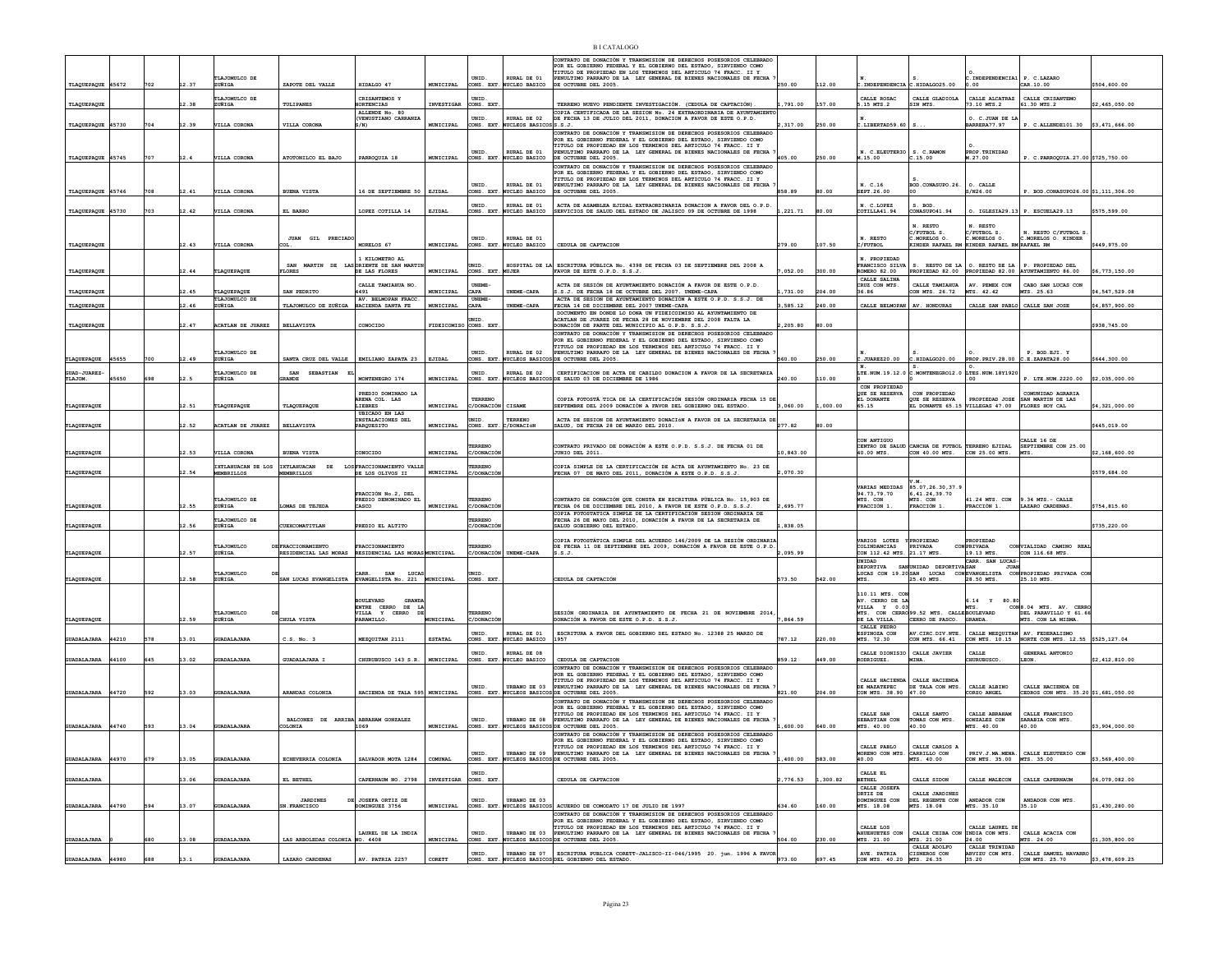|                         |       |     |       |                          |                                                     |                                                    |                       |                                |                                            | CONTRATO DE DONACIÓN Y TRANSMISION DE DERECHOS POSESORIOS CELEBRADO<br>POR EL GOBIERNO FEDERAL Y EL GOBIERNO DEL ESTADO, SIRVIENDO COMO                                                                  |               |         |                                              |                                                                                   |                                                                  |                                                                                                                                                                                                                                                                                                                                                                                                                                                                                                    |                |
|-------------------------|-------|-----|-------|--------------------------|-----------------------------------------------------|----------------------------------------------------|-----------------------|--------------------------------|--------------------------------------------|----------------------------------------------------------------------------------------------------------------------------------------------------------------------------------------------------------|---------------|---------|----------------------------------------------|-----------------------------------------------------------------------------------|------------------------------------------------------------------|----------------------------------------------------------------------------------------------------------------------------------------------------------------------------------------------------------------------------------------------------------------------------------------------------------------------------------------------------------------------------------------------------------------------------------------------------------------------------------------------------|----------------|
|                         |       |     |       | TLAJOMULCO DE            |                                                     |                                                    |                       | UNID.                          | EURAL DE 01                                | TITULO DE PROPIEDAD EN LOS TERMINOS DEL ARTICULO 74 FRACC. II Y<br>ENULTIMO PARRAFO DE LA LEY GENERAL DE BIENES NACIONALES DE FECHA                                                                      |               |         |                                              |                                                                                   | .INDEPENDENCIA1                                                  | P. C.LAZARO                                                                                                                                                                                                                                                                                                                                                                                                                                                                                        |                |
| TLAQUEPAQUE 45672       |       | 702 | 12.37 | ZUÑIGA                   | ZAPOTE DEL VALLE                                    | HIDALGO 47                                         | MUNICIPAL             | ONS. EXT.                      | UCLEO BASICO                               | DE OCTUBRE DEL 2005.                                                                                                                                                                                     | 250.00        | 112.00  | INDEPENDENCIA                                | .HIDALGO25.00                                                                     |                                                                  | CAR. 10.00                                                                                                                                                                                                                                                                                                                                                                                                                                                                                         | \$504,600.00   |
|                         |       |     |       | TLAJOMULCO DE            |                                                     | CRISANTEMOS Y                                      |                       | UNID.                          |                                            |                                                                                                                                                                                                          |               |         | CALLE ROSAC                                  | CALLE GLADIOLA                                                                    | CALLE ALCATRAZ                                                   | CALLE CRISANTEMO                                                                                                                                                                                                                                                                                                                                                                                                                                                                                   |                |
| TLAQUEPAQUE             |       |     | 2.38  | ZUÑIGA                   | TULIPANES                                           | RTENCIAS<br>ALLENDE No. 80                         | INVESTIGAR            | ONS. EXT                       |                                            | TERRENO NUEVO PENDIENTE INVESTIGACIÓN. (CEDULA DE CAPTACIÓN)                                                                                                                                             | ,791.00       | 157.00  | 15 MTS.2                                     | IN MTS.                                                                           | .10 MTS.2                                                        | 61.30 MTS.2                                                                                                                                                                                                                                                                                                                                                                                                                                                                                        | 2,465,050.00   |
|                         |       |     |       |                          |                                                     | (VENUSTIANO CARRANZI                               |                       | UNID.                          | <b>RURAL DE 02</b>                         | COPIA CERTIFICADA DE LA SESION No. 24 EXTRAORDINARIA DE AYUNTAMIENT DE FECHA 13 DE JULIO DEL 2011, DONACION A FAVOR DE ESTE O.P.D.                                                                       |               |         |                                              |                                                                                   | O. C. JUAN DE LA                                                 |                                                                                                                                                                                                                                                                                                                                                                                                                                                                                                    |                |
| TLAQUEPAQUE 45730       |       | 704 | 12.39 | VILLA CORONA             | VILLA CORONA                                        | 8/N)                                               | MUNICIPAL             | ONS. EXT                       | UCLEOS BASICOSS.S.J.                       | CONTRATO DE DONACIÓN Y TRANSMISION DE DERECHOS POSESORIOS CELEBRADO                                                                                                                                      | 317.00        | 250.00  | .LIBERTAD59.60                               |                                                                                   | ARRERA77.97                                                      | P. C.ALLENDE101.30 \$3,471,666.00                                                                                                                                                                                                                                                                                                                                                                                                                                                                  |                |
|                         |       |     |       |                          |                                                     |                                                    |                       |                                |                                            | POR EL GOBIERNO FEDERAL Y EL GOBIERNO DEL ESTADO. SIRVIENDO COMO                                                                                                                                         |               |         |                                              |                                                                                   |                                                                  |                                                                                                                                                                                                                                                                                                                                                                                                                                                                                                    |                |
|                         |       |     |       |                          |                                                     |                                                    |                       | UNID.                          | RURAL DE 01                                | TITULO DE PROPIEDAD EN LOS TERMINOS DEL ARTICULO 74 FRACC. II Y<br>PENULTIMO PARRAFO DE LA LEY GENERAL DE BIENES NACIONALES DE FECHA                                                                     |               |         | N. C.ELEUTERIO                               | S. C. RAMON                                                                       | PROP. TRINIDAD                                                   |                                                                                                                                                                                                                                                                                                                                                                                                                                                                                                    |                |
| TLAQUEPAQUE 45745       |       | 707 | 12.4  | VILLA CORONA             | ATOTONILCO EL BAJO                                  | PARROQUIA 18                                       | MUNICIPAL             | ONS. EXT                       | <b>JCLEO BASICO</b>                        | DE OCTUBRE DEL 2005.                                                                                                                                                                                     | 405.00        | 250.00  | M.15.00                                      | : 15.00                                                                           | M.27.00                                                          | P. C.PARROQUIA.27.00 \$725,750.00                                                                                                                                                                                                                                                                                                                                                                                                                                                                  |                |
|                         |       |     |       |                          |                                                     |                                                    |                       |                                |                                            | CONTRATO DE DONACIÓN Y TRANSMISION DE DERECHOS POSESORIOS CELEBRADO                                                                                                                                      |               |         |                                              |                                                                                   |                                                                  |                                                                                                                                                                                                                                                                                                                                                                                                                                                                                                    |                |
|                         |       |     |       |                          |                                                     |                                                    |                       |                                |                                            | CONSIDER OBJERNO FEDERAL Y EL GOBIERNO DEL ESTADO, SIRVIENDO COMO<br>POR EL GOBIERNO FEDERAL Y EL GOBIERNO DEL ESTADO, SIRVIENDO COMO<br>TITULO DE PROPIEDAD EN LOS TERMINOS DEL ARTICULO 74 FRACC. II Y |               |         |                                              |                                                                                   |                                                                  |                                                                                                                                                                                                                                                                                                                                                                                                                                                                                                    |                |
| TLAQUEPAQUE             | 45746 |     | 12.41 | VILLA CORON              | <b>BURNA VISTA</b>                                  | 16 DE SEPTIEMBRE 50                                | ETTDAT.               | UNID.<br>NS. EXT               | RURAL DE 01<br>CLEO BASTCO                 | PENULTIMO PARRAFO DE LA LEY GENERAL DE BIENES NACIONALES DE FECHA<br><b>E OCTUBER DEL 2005.</b>                                                                                                          | <b>858.89</b> | 00      | N. C.16<br><b>EPT 26.00</b>                  | BOD.CONASUPO.26.                                                                  | O. CALLE<br>00.35M                                               | BOD. CONASUPO26.00 \$1,111,306.00                                                                                                                                                                                                                                                                                                                                                                                                                                                                  |                |
|                         |       |     |       |                          |                                                     |                                                    |                       |                                |                                            |                                                                                                                                                                                                          |               |         |                                              |                                                                                   |                                                                  |                                                                                                                                                                                                                                                                                                                                                                                                                                                                                                    |                |
| TLAQUEPAQUE 45730       |       | 703 | 12.42 | VILLA CORONA             | EL BARRO                                            | LOPEZ COTILLA 14                                   | EJIDAL                | UNIP-                          | RURAT, DE 01<br>ONS. EXT. NUCLEO BASICO    | ACTA DE ASAMBLEA EJIDAL EXTRAORDINARIA DONACION A FAVOR DEL O.P.D.<br>SERVICIOS DE SALUD DEL ESTADO DE JALISCO 09 DE OCTUBRE DE 1998                                                                     | .221.71       | 80.00   | N. C. LOPEZ<br>COTILLA41.94                  | S. BOD<br>ONASUPO41.94                                                            |                                                                  | $0.$ IGLESIA29.13 P. ESCUELA29.13                                                                                                                                                                                                                                                                                                                                                                                                                                                                  | \$575,599.00   |
|                         |       |     |       |                          |                                                     |                                                    |                       |                                |                                            |                                                                                                                                                                                                          |               |         |                                              |                                                                                   |                                                                  |                                                                                                                                                                                                                                                                                                                                                                                                                                                                                                    |                |
|                         |       |     |       |                          |                                                     |                                                    |                       |                                |                                            |                                                                                                                                                                                                          |               |         |                                              | N. RESTO                                                                          | N. RESTO                                                         | RESTO C/FUTBOL S                                                                                                                                                                                                                                                                                                                                                                                                                                                                                   |                |
|                         |       |     |       |                          | <b>JUAN GIL PRECIADO</b>                            |                                                    |                       | UNID.                          | EURAL DE 01                                |                                                                                                                                                                                                          |               |         | N. RESTO                                     | C/FUTBOL S.<br>C.MORELOS O                                                        | <br>/FUTBOL S.<br>.MORELOS O.                                    | C.MORELOS O. KINDER                                                                                                                                                                                                                                                                                                                                                                                                                                                                                |                |
| TLAQUEPAQUE             |       |     | 12.43 | VILLA CORONA             |                                                     | MORELOS 67                                         | MUNICIPAL             | CONS. EXT.                     | UCLEO BASICO                               | CEDULA DE CAPTACION                                                                                                                                                                                      | 279.00        | 107.50  | /FUTBOL                                      | INDER RAFAEL RM                                                                   | KINDER RAFAEL RM RAFAEL RM                                       |                                                                                                                                                                                                                                                                                                                                                                                                                                                                                                    | \$449,975.00   |
|                         |       |     |       |                          |                                                     | 1 KTLOMETRO AT.                                    |                       |                                |                                            |                                                                                                                                                                                                          |               |         | N PROPTEDAD                                  |                                                                                   |                                                                  |                                                                                                                                                                                                                                                                                                                                                                                                                                                                                                    |                |
|                         |       |     | 12.44 | TLAQUEPAQUE              | MARTIN<br>LORES                                     | LASORIENTE DE SAN MARTI<br>DE LAS FLORES           | MUNICIPAL             | UNID<br>CONS. EXT              | UJER                                       | HOSPITAL DE LA ESCRITURA PÚBLICA No. 4398 DE FECHA 03 DE SEPTIEMBRE DEL 2008 A<br>FAVOR DE ESTE O.P.D. S.S.J.                                                                                            | ,052.00       | 300.00  | <b>TRANCISCO SILVA</b><br><b>OMERO 82.00</b> | RESTO DE LA                                                                       | O. RESTO DE LA                                                   | P. PROPIEDAD DEL<br>PROPIEDAD 82.00 PROPIEDAD 82.00 AYUNTAMIENTO 86.00                                                                                                                                                                                                                                                                                                                                                                                                                             | \$6,773,150.00 |
| TLAQUEPAQUE             |       |     |       |                          |                                                     |                                                    |                       |                                |                                            |                                                                                                                                                                                                          |               |         | CALLE SALINA                                 |                                                                                   |                                                                  |                                                                                                                                                                                                                                                                                                                                                                                                                                                                                                    |                |
| TLAQUEPAQUE             |       |     | 12.45 | TLAQUEPAQUE              | SAN PEDRITO                                         | CALLE TAMIAHUA NO.<br>4491                         | <b>MUNICIPAL</b>      | <b>UNEME-</b><br>CAPA          | INEME-CAPA                                 | ACTA DE SESIÓN DE AYUNTAMIENTO DONACIÓN A FAVOR DE ESTE O.P.D.<br>.S.J. DE FECHA 18 DE OCTUBRE DEL 2007. UNEME-CAPA                                                                                      | 731.00        | 204.00  | CRUZ CON MTS.<br>36.86                       | CALLE TAMIAHUA<br>ON MTS. 26.72                                                   | AV. PEMEX CON<br>MTS 42.42                                       | CABO SAN LUCAS CON<br>MTS. 25.63                                                                                                                                                                                                                                                                                                                                                                                                                                                                   | 4.547.529.08   |
|                         |       |     |       | TLAJOMULCO DE            |                                                     | AV. BELMOPAN FRACC                                 |                       | UNEME                          |                                            | ACTA DE SESION DE AYUNTAMIENTO DONACIÓN A ESTE O.P.D. S.S.J. DE                                                                                                                                          |               |         |                                              |                                                                                   |                                                                  |                                                                                                                                                                                                                                                                                                                                                                                                                                                                                                    |                |
| TLAQUEPAQUE             |       |     | 12.46 | ZUÑIGA                   | TLAJOMULCO DE ZUÑIGA                                | HACIENDA SANTA FE                                  | MUNICIPAL             | CAPA                           | <b>INEME-CAPA</b>                          | ECHA 14 DE DICIEMBRE DEL 2007 UNEME-CAPA                                                                                                                                                                 | 585.12        | 240.00  | CALLE BELMOPAN                               | AV. HONDURAS                                                                      |                                                                  | CALLE SAN PABLO CALLE SAN JOSE                                                                                                                                                                                                                                                                                                                                                                                                                                                                     | 4,857,900.00   |
|                         |       |     |       |                          |                                                     |                                                    |                       |                                |                                            | DOCUMENTO EN DONDE LO DONA UN FIDEICOIMISO AL AYUNTAMIENTO DE<br>CATLAN DE JUAREZ DE FECHA 28 DE NOVIEMBRE DEL 2008 FALTA LA                                                                             |               |         |                                              |                                                                                   |                                                                  |                                                                                                                                                                                                                                                                                                                                                                                                                                                                                                    |                |
| TLAQUEPAQUE             |       |     | 12.47 | ACATLAN DE JUAREZ        | <b>BELLAVISTA</b>                                   | CONOCIDO                                           | FIDEICOMISO CONS. EXT |                                |                                            | ONACIÓN DE PARTE DEL MUNICIPIO AL O.P.D. S.S.J.                                                                                                                                                          | 2,205.80      | 80.00   |                                              |                                                                                   |                                                                  |                                                                                                                                                                                                                                                                                                                                                                                                                                                                                                    | \$938,745.00   |
|                         |       |     |       |                          |                                                     |                                                    |                       |                                |                                            | CONTRATO DE DONACIÓN Y TRANSMISION DE DERECHOS POSESORIOS CELEBRADO<br>POR EL GOBIERNO FEDERAL Y EL GOBIERNO DEL ESTADO. SIRVIENDO COMO                                                                  |               |         |                                              |                                                                                   |                                                                  |                                                                                                                                                                                                                                                                                                                                                                                                                                                                                                    |                |
|                         |       |     |       |                          |                                                     |                                                    |                       |                                |                                            | TITULO DE PROPIEDAD EN LOS TERMINOS DEL ARTICULO 74 FRACC. II Y                                                                                                                                          |               |         |                                              |                                                                                   |                                                                  |                                                                                                                                                                                                                                                                                                                                                                                                                                                                                                    |                |
| TLAQUEPAQUE             | 45655 |     | 12.49 | TLAJOMULCO DE<br>ZUÑIGA  | SANTA CRUZ DEL VALLE                                | EMILIANO ZAPATA 23                                 | EJIDAL                | UNID.<br>ONS. EXT.             | RURAL DE 02<br>UCLEOS BASICOS              | PENULTIMO PARRAFO DE LA LEY GENERAL DE BIENES NACIONALES DE FECHA<br>DE OCTUBRE DEL 2005.                                                                                                                | 560.00        | 250.00  | :JUREZ20.00                                  | C.HIDALGO20.00                                                                    | PROP. PRIV.28.00                                                 | P. BOD.EJI. Y<br>C.E.ZAPATA28.00                                                                                                                                                                                                                                                                                                                                                                                                                                                                   | \$644,300.00   |
|                         |       |     |       |                          |                                                     |                                                    |                       |                                |                                            |                                                                                                                                                                                                          |               |         |                                              |                                                                                   |                                                                  |                                                                                                                                                                                                                                                                                                                                                                                                                                                                                                    |                |
| GUAD-JUAREZ-<br>TLAJOM. | 5650  |     |       | TLAJOMULCO DE<br>ZUÑIGA  | SAN SEBASTIAN<br>- 12<br>RANDE                      | MONTENEGRO 174                                     | MUNICIPAL             | UNID.<br>CONS. EXT             | RURAL DE 02<br>NUCLEOS BASICO              | CERTIFICACION DE ACTA DE CABILDO DONACION A FAVOR DE LA SECRETARIA<br>DE SALUD 03 DE DICIEMBRE DE 1986                                                                                                   | 240.00        | 10.00   |                                              |                                                                                   | LTE. NUM. 19.12.0 C. MONTENEGRO12.0 LTES. NUM. 18Y1920           | P. LTE.NUM.2220.00                                                                                                                                                                                                                                                                                                                                                                                                                                                                                 | \$2,035,000.00 |
|                         |       |     |       |                          |                                                     |                                                    |                       |                                |                                            |                                                                                                                                                                                                          |               |         | CON PROPIEDAD                                |                                                                                   |                                                                  |                                                                                                                                                                                                                                                                                                                                                                                                                                                                                                    |                |
|                         |       |     |       |                          |                                                     | PREDIO DOMINADO LA<br>ARENA COL. LAS               |                       | TERRENC                        |                                            | COPIA FOTOSTÁ TICA DE LA CERTIFICACIÓN SESIÓN ORDINARIA FECHA 15 DI                                                                                                                                      |               |         | QUE SE RESERVA<br>EL DONANTE                 | CON PROPIEDAD<br>OUE SE RESERVA                                                   |                                                                  | COMUNIDAD AGRARIA<br>PROPIEDAD JOSE SAN MARTIN DE LAS                                                                                                                                                                                                                                                                                                                                                                                                                                              |                |
| TLAQUEPAQUE             |       |     | 12.51 | TLAQUEPAQUE              | TLAQUEPAQUI                                         | LIEBRES                                            | MUNICIPAL             | /DONACIÓN                      | CISAME                                     | SEPTEMBRE DEL 2009 DONACIÓN A FAVOR DEL GOBIERNO DEL ESTADO.                                                                                                                                             | 3,060.00      | 000.00  | 65.15                                        | EL DONANTE 65.15                                                                  | VILLEGAS 47.00                                                   | FLORES HOY CAL                                                                                                                                                                                                                                                                                                                                                                                                                                                                                     | 4,321,000.00   |
|                         |       |     |       |                          |                                                     | <b>IBICADO EN LAS</b><br>NSTALACIONES DEL          |                       |                                | FERREN                                     | CTA DE SESION DE AYUNTAMIENTO DONACIÓN A FAVOR DE LA SECRETARIA DE                                                                                                                                       |               |         |                                              |                                                                                   |                                                                  |                                                                                                                                                                                                                                                                                                                                                                                                                                                                                                    |                |
| TLAQUEPAQUE             |       |     | 12.52 | <b>ACATLAN DE JUAREZ</b> | <b>BELLAVISTA</b>                                   | PARQUESITO                                         | MUNICIPAL             | CONS. EXT                      | /DONACIÓN                                  | SALUD, DE FECHA 28 DE MARZO DEL 2010.                                                                                                                                                                    | 277.82        | 80.00   |                                              |                                                                                   |                                                                  |                                                                                                                                                                                                                                                                                                                                                                                                                                                                                                    | \$445,019.00   |
|                         |       |     |       |                          |                                                     |                                                    |                       |                                |                                            |                                                                                                                                                                                                          |               |         | CON ANTIGUO                                  |                                                                                   |                                                                  | CALLE 16 DE                                                                                                                                                                                                                                                                                                                                                                                                                                                                                        |                |
|                         |       |     |       |                          |                                                     |                                                    |                       |                                |                                            |                                                                                                                                                                                                          |               |         |                                              |                                                                                   |                                                                  |                                                                                                                                                                                                                                                                                                                                                                                                                                                                                                    |                |
|                         |       |     |       |                          |                                                     |                                                    |                       | RREN                           |                                            | NTRATO PRIVADO DE DONACIÓN A ESTE O.P.D. S.S.J. DE FECHA 01 DE                                                                                                                                           |               |         |                                              |                                                                                   |                                                                  |                                                                                                                                                                                                                                                                                                                                                                                                                                                                                                    |                |
| TLAQUEPAQUE             |       |     | 12.53 | VILLA CORON              | <b>BUENA VISTA</b>                                  | ONOCIDO                                            | MUNICIPAL             | DONAC                          |                                            | JUNIO DEL 2011                                                                                                                                                                                           | 0,843.00      |         | CENTRO DE SALUD<br>40.00 MTS.                |                                                                                   | CANCHA DE FUTBOL TERRENO EJIDAL<br>CON 40.00 MTS. CON 25.00 MTS. | SEPTIEMBRE CON 25.00                                                                                                                                                                                                                                                                                                                                                                                                                                                                               | \$2,168,600.00 |
|                         |       |     |       | IXTLAHUACAN DE LOS       | IXTLAHUACAN DE                                      | LOS FRACCIONAMIENTO VALLI                          |                       | <b>ERRENO</b>                  |                                            | COPIA SIMPLE DE LA CERTIFICACIÓN DE ACTA DE AYUNTAMIENTO No. 23 DE                                                                                                                                       |               |         |                                              |                                                                                   |                                                                  |                                                                                                                                                                                                                                                                                                                                                                                                                                                                                                    |                |
| <b>LAQUEPAQUE</b>       |       |     | 2.54  | <b>MEMBRILLOS</b>        | EMBRILLOS                                           | DE LOS OLIVOS II                                   | MUNICIPAL             | /DONACIC                       |                                            | FECHA 07 DE MAYO DEL 2011, DONACIÓN A ESTE O.P.D. S.S.J.                                                                                                                                                 | 070.30        |         |                                              |                                                                                   |                                                                  |                                                                                                                                                                                                                                                                                                                                                                                                                                                                                                    | \$579,684.00   |
|                         |       |     |       |                          |                                                     |                                                    |                       |                                |                                            |                                                                                                                                                                                                          |               |         | VARIAS MEDIDAS                               | <b>U</b> M                                                                        |                                                                  |                                                                                                                                                                                                                                                                                                                                                                                                                                                                                                    |                |
|                         |       |     |       |                          |                                                     | FRACCIÓN No.2, DEL                                 |                       |                                |                                            |                                                                                                                                                                                                          |               |         | 94.73,79.70                                  | 85.07, 26.30, 37.                                                                 |                                                                  |                                                                                                                                                                                                                                                                                                                                                                                                                                                                                                    |                |
| <b>FLAQUEPAQUE</b>      |       |     | 12.55 | TLAJOMULCO DE<br>ZUÑIGA  | OMAS DE TEJEDA                                      | PREDIO DENOMINADO EL<br>CASCO                      | MINTCTPAT.            | <b><i>ERRENO</i></b><br>DONACI |                                            | CONTRATO DE DONACIÓN OUE CONSTA EN ESCRITURA PÚBLICA No. 15.903 DE<br>ECHA 06 DE DICIEMBRE DEL 2010, A FAVOR DE ESTE O.P.D. S.S.J.                                                                       | 695.77        |         | MTS. CON<br>FRACCIÓN                         | MTS. CON<br>FRACCIÓN 1                                                            | 41.24 MTS. CON<br>RACCIÓN 1.                                     | $9.34$ MTS. - CALLE<br>LAZARO CARDENAS                                                                                                                                                                                                                                                                                                                                                                                                                                                             | 3754.815.60    |
|                         |       |     |       |                          |                                                     |                                                    |                       |                                |                                            | COPIA FOTOSTATICA SIMPLE DE LA CERTIFICACIÓN SESION ORDINARIA DE                                                                                                                                         |               |         |                                              |                                                                                   |                                                                  |                                                                                                                                                                                                                                                                                                                                                                                                                                                                                                    |                |
| TLAQUEPAQUE             |       |     | 12.56 | TLAJOMULCO DE<br>ZUÑIGA  | CUEXCOMATITLAN                                      | PREDIO EL ALTITO                                   |                       | RREN<br><i>C/DONACIÓ</i>       |                                            | FECHA 26 DE MAYO DEL 2010, DONACIÓN A FAVOR DE LA SECRETARIA DE<br>SALUD GOBIERNO DEL ESTADO.                                                                                                            | 1.838.05      |         |                                              |                                                                                   |                                                                  |                                                                                                                                                                                                                                                                                                                                                                                                                                                                                                    | \$735,220.00   |
|                         |       |     |       |                          |                                                     |                                                    |                       |                                |                                            |                                                                                                                                                                                                          |               |         |                                              |                                                                                   |                                                                  |                                                                                                                                                                                                                                                                                                                                                                                                                                                                                                    |                |
|                         |       |     |       |                          |                                                     |                                                    |                       | RRENO                          |                                            | COPIA FOTOSTÁTICA SIMPLE DEL ACUERDO 146/2009 DE LA SESIÓN ORDINARIA<br>DE FECHA 11 DE SEPTIEMBRE DEL 2009, DONACIÓN A FAVOR DE ESTE O.P.D                                                               |               |         | VARIOS LOTES                                 | YPROPIEDAD                                                                        | PROPIEDAD                                                        |                                                                                                                                                                                                                                                                                                                                                                                                                                                                                                    |                |
| TLAQUEPAQUE             |       |     | 12.57 | TLAJOMULCO<br>ZUÑIGA     | FRACCIONAMIENTO<br>RESIDENCIAL LAS MORAS            | FRACCIONAMIENTO<br>RESIDENCIAL LAS MORAS MUNICIPAL |                       | C/DONACIÓN                     | UNEME-CAPA                                 |                                                                                                                                                                                                          | ,095.99       |         | COLINDANCIAS<br>CON 112.42 MTS.              | PRIVADA<br>21.17 MTS                                                              | CON PRIVADA<br>19.13 MTS                                         | $\begin{tabular}{ll} \multicolumn{2}{l}{{\small\texttt{CON}}}\texttt{VIALIDAD} & \multicolumn{2}{c}{\small\texttt{CAMINO}} & \multicolumn{2}{c}{\small\texttt{READ}}\\ & \multicolumn{2}{c}{\small\texttt{CON}} & \multicolumn{2}{c}{\small\texttt{NLON}} & \multicolumn{2}{c}{\small\texttt{NLON}} & \multicolumn{2}{c}{\small\texttt{NLON}}\\ \multicolumn{2}{c}{\small\texttt{CON}} & \multicolumn{2}{c}{\small\texttt{NLON}} & \multicolumn{2}{c}{\small\texttt{NLON}} & \multicolumn{2}{c}{\$ |                |
|                         |       |     |       |                          |                                                     |                                                    |                       |                                |                                            |                                                                                                                                                                                                          |               |         | UNIDAD<br>DEPORTIVA                          | SAN UNIDAD DEPORTIVA SAN                                                          | CARR. SAN LUCAS<br><b>JUAN</b>                                   |                                                                                                                                                                                                                                                                                                                                                                                                                                                                                                    |                |
|                         |       |     | 12.58 | <b>TLAJOMIT.CO</b>       | SAN LUCAS EVANGELISTA EVANGELISTA No. 221 MUNICIPAL | CARR.<br>SAN LUCAS                                 |                       | mern<br>CONS. EXT              |                                            | <b>EDULA DE CAPTACIÓN</b>                                                                                                                                                                                | 573.50        | 42.00   |                                              |                                                                                   |                                                                  | LUCAS CON 19.20 SAN LUCAS CONEVANGELISTA CON PROPIEDAD PRIVADA CON<br>25.10 MTS.                                                                                                                                                                                                                                                                                                                                                                                                                   |                |
| TLAQUEPAQUE             |       |     |       | ZUÑIGA                   |                                                     |                                                    |                       |                                |                                            |                                                                                                                                                                                                          |               |         |                                              | 25.40 MTS.                                                                        | 28.50 MTS.                                                       |                                                                                                                                                                                                                                                                                                                                                                                                                                                                                                    |                |
|                         |       |     |       |                          |                                                     | BOITLEVARD<br>GRAND                                |                       |                                |                                            |                                                                                                                                                                                                          |               |         | 110.11 MTS. COM                              |                                                                                   |                                                                  |                                                                                                                                                                                                                                                                                                                                                                                                                                                                                                    |                |
|                         |       |     |       |                          |                                                     | CERRO DE                                           |                       |                                |                                            |                                                                                                                                                                                                          |               |         | AV. CERRO DE LA<br>VILLA Y 0.03              |                                                                                   | 5.14 Y 80.80                                                     | CON8.04 MTS. AV. CERRO                                                                                                                                                                                                                                                                                                                                                                                                                                                                             |                |
|                         |       |     | 12.59 | TLAJOMULCO<br>ZUÑIGA     | CHIILA VISTA                                        | ENTRE<br>ENTRE<br>VILLA<br>Y CERRO<br>PARAMTT.T.O  | INTCTPAT              | TERRENO<br>/DONACTI            |                                            | SESIÓN ORDINARIA DE AYUNTAMIENTO DE FECHA 21 DE NOVIEMBRE 2014<br>ONACIÓN A FAVOR DE ESTE O.P.D. S.S.J                                                                                                   | 864.59        |         | DE LA VILLA.                                 | VILLA Y 0.03 MTS.<br>MTS. CON CERRO 99.52 MTS. CALLE BOULEVARD<br>CERRO DE PASCO. | GRANDA                                                           | DEL PARAVILLO Y 61.66<br>MTS. CON LA MISMA                                                                                                                                                                                                                                                                                                                                                                                                                                                         |                |
| TLAQUEPAQUE             |       |     |       |                          |                                                     |                                                    |                       |                                |                                            |                                                                                                                                                                                                          |               |         | CALLE PEDRO                                  |                                                                                   |                                                                  |                                                                                                                                                                                                                                                                                                                                                                                                                                                                                                    |                |
| <b>JUADALAJARA</b>      | 44210 | 578 | 13.01 | <b>GUADALAJARJ</b>       | c.s. No. 3                                          | MEZQUITAN 2111                                     | ESTATAL               | <b>INTD</b>                    | RURAL DE 01                                | ESCRITURA A FAVOR DEL GOBIERNO DEL ESTADO No. 12388 25 MARZO DE                                                                                                                                          | 187.12        | 220.00  | ESPINOZA CON                                 |                                                                                   |                                                                  |                                                                                                                                                                                                                                                                                                                                                                                                                                                                                                    |                |
|                         |       |     |       |                          |                                                     |                                                    |                       |                                | ONS. EXT. NUCLEO BASICO                    |                                                                                                                                                                                                          |               |         | MTS. 72.30                                   | AV.CIRC.DIV.NTE.<br>CON MTS. 66.41                                                |                                                                  | CALLE MEZQUITAN AV. FEDERALISMO<br>CON MTS. 10.15 NORTE CON MTS. 12.55 \$525,127.04                                                                                                                                                                                                                                                                                                                                                                                                                |                |
| <b>GUADALAJARA</b>      | 44100 | 645 | 13.02 | <b>GUADALAJARA</b>       | GUADALAJARA I                                       | CHURUBUSCO 143 S.R.                                | MUNICIPAL             | UNID.<br>ONS. EXT.             | RURAL DE 08<br>NUCLEO BASICO               | CEDULA DE CAPTACION                                                                                                                                                                                      | 859.12        | 149.00  | CALLE DIONISIC<br><b>ODRIGUEZ</b>            | CALLE JAVIER<br>MINA.                                                             | CALLE<br><b>IURUBUSCO</b>                                        | GENERAL ANTONIO<br><b>LEON</b>                                                                                                                                                                                                                                                                                                                                                                                                                                                                     | \$2,412,810.00 |
|                         |       |     |       |                          |                                                     |                                                    |                       |                                |                                            | CONTRATO DE DONACIÓN Y TRANSMISION DE DERECHOS POSESORIOS CELEBRADO                                                                                                                                      |               |         |                                              |                                                                                   |                                                                  |                                                                                                                                                                                                                                                                                                                                                                                                                                                                                                    |                |
|                         |       |     |       |                          |                                                     |                                                    |                       |                                |                                            |                                                                                                                                                                                                          |               |         |                                              |                                                                                   |                                                                  |                                                                                                                                                                                                                                                                                                                                                                                                                                                                                                    |                |
|                         |       |     |       |                          |                                                     |                                                    |                       | UNID.                          | URBANO DE 03                               | CONTAIN DE PROPIEDAD EN LOS TERMINOS DEL ESTADO, SIRVIENDO COMO<br>TITULO DE PROPIEDAD EN LOS TERMINOS DEL ARTICULO 74 FRACC. II Y<br>PENULTIMO PARRAFO DE LA LEY GENERAL DE BIENES NACIONALES DE FECHA  |               |         | CALLE HACIENDA<br>DE MAZATEPEC               | CALLE HACIENDA<br>DE TALA CON MTS                                                 | CALLE ALBINO                                                     | CALLE HACIENDA DE                                                                                                                                                                                                                                                                                                                                                                                                                                                                                  |                |
| <b>GUADALAJARA</b>      | 44720 | 592 | 13.03 | GUADALA.TARA             | ARANDAS COLONIA                                     | HACIENDA DE TALA 595 MUNICIPAL                     |                       |                                |                                            | CONS. EXT. NUCLEOS BASICOS DE OCTUBRE DEL 2005.<br>CONTRATO DE DONACIÓN Y TRANSMISION DE DERECHOS POSESORIOS CELEBRADO                                                                                   | 821.00        | 204.00  | CON MTS. 38.90 47.00                         |                                                                                   | ORSO ANGEL                                                       | CEDROS CON MTS. 35.20 \$1,681,050.00                                                                                                                                                                                                                                                                                                                                                                                                                                                               |                |
|                         |       |     |       |                          |                                                     |                                                    |                       |                                |                                            | OR EL GOBIERNO FEDERAL Y EL GOBIERNO DEL ESTADO, SIRVIENDO COMO                                                                                                                                          |               |         |                                              |                                                                                   |                                                                  |                                                                                                                                                                                                                                                                                                                                                                                                                                                                                                    |                |
|                         |       |     |       |                          | BALCONES DE ARRIBA                                  | ABRAHAM GONZALEZ                                   |                       | INTD.                          | <b>IRRANO DE OR</b>                        | TITULO DE PROPIEDAD EN LOS TERMINOS DEL ARTICULO 74 FRACC. II Y<br>PENULTIMO PARRAFO DE LA LEY GENERAL DE BIENES NACIONALES DE FECHA                                                                     |               |         | CALLE SAN<br>SEBASTIAN CON                   | CALLE SANTO                                                                       | CALLE ABRAHAM<br>ONZALEZ CON                                     | CALLE FRANCISCO                                                                                                                                                                                                                                                                                                                                                                                                                                                                                    |                |
| <b>GUADALAJARA</b>      | 44740 |     | 13.04 | <b>GUADALAJAR</b>        | <b>LONIA</b>                                        | 1069                                               | MUNICIPAL             | CONS. EXT                      |                                            | UCLEOS BASICOS DE OCTUBRE DEL 2005.                                                                                                                                                                      | 600.00        | 640.00  | ms. 40.00                                    | OMAS CON MTS                                                                      | TS. 40.00                                                        | SARABIA CON MTS.<br>.00                                                                                                                                                                                                                                                                                                                                                                                                                                                                            | 3,904,000.00   |
|                         |       |     |       |                          |                                                     |                                                    |                       |                                |                                            | CONTRATO DE DONACIÓN Y TRANSMISION DE DERECHOS POSESORIOS CELEBRADO                                                                                                                                      |               |         |                                              |                                                                                   |                                                                  |                                                                                                                                                                                                                                                                                                                                                                                                                                                                                                    |                |
|                         |       |     |       |                          |                                                     |                                                    |                       |                                |                                            | FOR EL GOBIERNO FEDERAL Y EL GOBIERNO DEL ESTADO, SIRVIENDO COMO<br>TITULO DE PROPIEDAD EN LOS TERMINOS DEL ARTICULO 74 FRACC. II Y                                                                      |               |         | CALLE PABLO                                  | CALLE CARLOS A                                                                    |                                                                  |                                                                                                                                                                                                                                                                                                                                                                                                                                                                                                    |                |
| <b>GUADALAJARA</b>      | 44970 | 679 | 13.05 | <b>GUADALAJARA</b>       | ECHEVERRIA COLONIA                                  | SALVADOR MOTA 1284                                 | COMUNAL               | UNID.<br>CONS. EXT             | <b>TRRANO DE 09</b>                        | ENULTIMO PARRAFO DE LA LEY GENERAL DE BIENES NACIONALES DE FECHA<br>UCLEOS BASICOS DE OCTUBRE DEL 2005.                                                                                                  | L,400.00      | 583.00  | ORENO CON MTS<br>40.00                       | CARRILLO CON<br>MTS. 40.00                                                        | PRIV.J.MA.MENA.<br>ON MTS. 35.00                                 | CALLE ELEUTERIO CON<br>MTS. 35.00                                                                                                                                                                                                                                                                                                                                                                                                                                                                  | \$3,569,400.00 |
|                         |       |     |       |                          |                                                     |                                                    |                       |                                |                                            |                                                                                                                                                                                                          |               |         |                                              |                                                                                   |                                                                  |                                                                                                                                                                                                                                                                                                                                                                                                                                                                                                    |                |
| <b>GUADALAJARA</b>      |       |     | 13.06 | <b>GUADALAJARA</b>       | EL BETHEL                                           | CAPERNAUM NO. 2798                                 | INVESTIGAR            | UNID.<br>ONS. EXT              |                                            | CEDULA DE CAPTACION                                                                                                                                                                                      | .776.53       | .300.82 | CALLE EL<br>BETHEL                           | CALLE SIDON                                                                       | CALLE MALECON                                                    | CALLE CAPERNAUM                                                                                                                                                                                                                                                                                                                                                                                                                                                                                    | \$6,079,082.00 |
|                         |       |     |       |                          |                                                     |                                                    |                       |                                |                                            |                                                                                                                                                                                                          |               |         | CALLE JOSEFA                                 |                                                                                   |                                                                  |                                                                                                                                                                                                                                                                                                                                                                                                                                                                                                    |                |
|                         |       |     |       |                          | <b>JARDINES</b>                                     | DE JOSEFA ORTIZ DE                                 |                       | UNID.                          |                                            |                                                                                                                                                                                                          |               |         |                                              | CALLE JARDINE:                                                                    | MDADOR CON                                                       |                                                                                                                                                                                                                                                                                                                                                                                                                                                                                                    |                |
| <b>GUADALAJARA</b>      | 44790 | 594 | 13.07 | <b>GUADALAJARA</b>       | <b>J. FRANCISCO</b>                                 | DOMINGUEZ 3756                                     | MUNICIPAL             |                                | URBANO DE 03<br>CONS. EXT. NUCLEOS BASICOS | ACUERDO DE COMODATO 17 DE JULIO DE 1997                                                                                                                                                                  | 634.60        | 160.00  | ORTIZ DE<br>DOMINGUEZ CON<br>MTS. 18.08      | DEL REGENTE CON<br>MTS. 18.08                                                     | TS. 35.10                                                        | ANDADOR CON MTS.<br>35.10                                                                                                                                                                                                                                                                                                                                                                                                                                                                          | \$1,430,280.00 |
|                         |       |     |       |                          |                                                     |                                                    |                       |                                |                                            | CONTRATO DE DONACIÓN Y TRANSMISION DE DERECHOS POSESORIOS CELEBRADO                                                                                                                                      |               |         |                                              |                                                                                   |                                                                  |                                                                                                                                                                                                                                                                                                                                                                                                                                                                                                    |                |
|                         |       |     |       |                          |                                                     |                                                    |                       |                                |                                            | FOR EL GOBIERNO FEDERAL Y EL GOBIERNO DEL ESTADO, SIRVIENDO COMO<br>TITULO DE PROPIEDAD EN LOS TERMINOS DEL ARTICULO 74 FRACC. II Y                                                                      |               |         | CALLE LOS                                    |                                                                                   | CALLE LAUREL DE                                                  |                                                                                                                                                                                                                                                                                                                                                                                                                                                                                                    |                |
| <b>GUADALAJARA</b>      |       | 680 | 13.08 | <b>GUADALAJARA</b>       | LAS ARBOLEDAS COLONIA NO. 4408                      | LAUREL DE LA INDIA                                 | MUNICIPAL             | UNID.                          | URBANO DE 03                               | PENULTIMO PARRAFO DE LA LEY GENERAL DE BIENES NACIONALES DE FECHA<br>CONS. EXT. NUCLEOS BASICOS DE OCTUBRE DEL 2005.                                                                                     | 504.00        | 230.00  | <b>HUEHUETES CON</b><br>MTS. 21.00           | CALLE CEIBA CON INDIA CON MTS.<br>MTS. 21.00                                      | 24.00                                                            | CALLE ACACIA CON<br>MTS. 24.00                                                                                                                                                                                                                                                                                                                                                                                                                                                                     | \$1,305,800.00 |
|                         |       |     |       |                          |                                                     |                                                    |                       | UNID.                          | URBANO DE 07                               | ESCRITURA PUBLICA CORETT-JALISCO-II-046/1995 20. jun. 1996 A FAVOR                                                                                                                                       |               |         | AVE. PATRIA                                  | CALLE ADOLFO<br>CISNEROS CON                                                      | CALLE TRINIDAD<br>RVIZU CON MTS.                                 | CALLE SAMUEL NAVARRO                                                                                                                                                                                                                                                                                                                                                                                                                                                                               |                |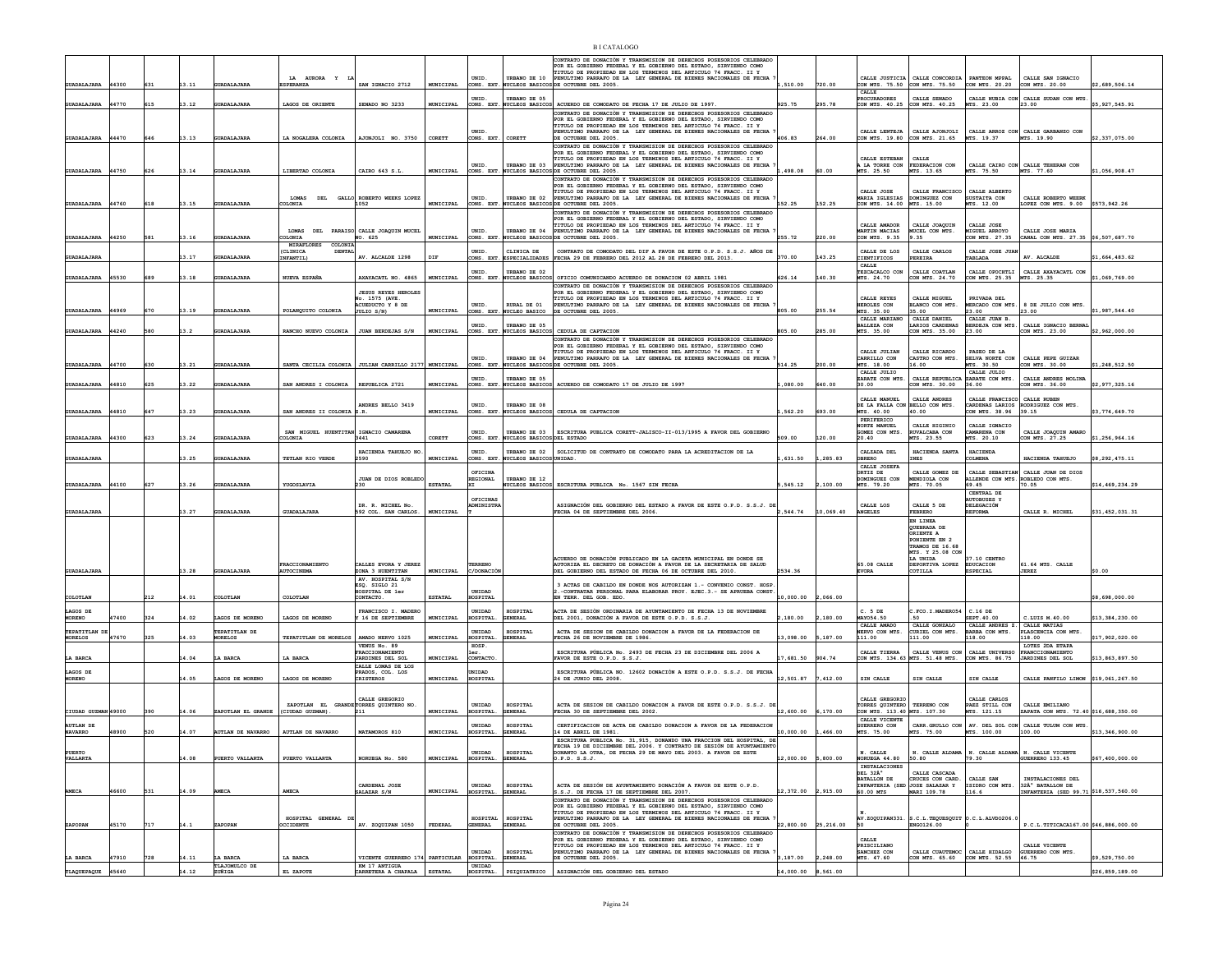|                           |                |     |                |                                     | AURORA Y                                              |                                                        |                  | UNID.                            | URBANO DE 10                           | NTRATO DE DONACIÓN Y TRANSMISION DE DERECHOS POSESORIOS CELEBRADO<br>POR EL GOBIERNO FEDERAL Y EL GOBIERNO DEL ESTADO, SIRVIENDO COMO<br>TITULO DE PROPIEDAD EN LOS TERMINOS DEL ARTICULO 74 FRACC. II Y<br>PENULTIMO PARRAFO DE LA LEY GENERAL DE BIENES NACIONALES DE FECHA |                               |           | CALLE JUSTICIA                                | CALLE CONCORDIA PANTEON MPPAL                                     |                                             | CALLE SAN IGNACIO                                                       |                                   |
|---------------------------|----------------|-----|----------------|-------------------------------------|-------------------------------------------------------|--------------------------------------------------------|------------------|----------------------------------|----------------------------------------|-------------------------------------------------------------------------------------------------------------------------------------------------------------------------------------------------------------------------------------------------------------------------------|-------------------------------|-----------|-----------------------------------------------|-------------------------------------------------------------------|---------------------------------------------|-------------------------------------------------------------------------|-----------------------------------|
| <b>GUADALAJARA</b>        | 44300          | 631 | 13.11          | <b>GUADALAJARA</b>                  | <b>ESPERANZA</b>                                      | SAN IGNACIO 2712                                       | MUNICIPAL        |                                  |                                        | CONS. EXT. NUCLEOS BASICOS DE OCTUBRE DEL 2005.                                                                                                                                                                                                                               | .510.00                       | 720.00    |                                               | CON MTS. 75.50 CON MTS. 75.50                                     | CON MTS. 20.20                              | CON MTS. 20.00                                                          | \$2,689,506.14                    |
|                           |                |     |                |                                     |                                                       |                                                        |                  | UNID.                            | URBANO DE 05                           |                                                                                                                                                                                                                                                                               |                               |           | CALLE<br><b>PROCURADORES</b>                  | CALLE SENADO                                                      |                                             | CALLE NUBIA CON CALLE SUDAN CON MTS.                                    |                                   |
| <b>GUADALAJARA</b>        | 44770          | 615 | 13.12          | GUADALAJARA                         | LAGOS DE ORIENTE                                      | SENADO NO 3233                                         | MUNICIPAL        |                                  |                                        | CONS. EXT. NUCLEOS BASICOS ACUERDO DE COMODATO DE FECHA 17 DE JULIO DE 1997<br>CONTRATO DE DONACIÓN Y TRANSMISION DE DERECHOS POSESORIOS CELEBRADO                                                                                                                            | 925.75                        | 295.78    | CON MTS. 40.25                                | CON MTS. 40.25                                                    | MTS. 23.00                                  | 23.00                                                                   | \$5,927,545.91                    |
|                           |                |     |                |                                     |                                                       |                                                        |                  |                                  |                                        | POR EL GOBIERNO FEDERAL Y EL GOBIERNO DEL ESTADO. SIRVIENDO COMO                                                                                                                                                                                                              |                               |           |                                               |                                                                   |                                             |                                                                         |                                   |
|                           |                |     |                |                                     |                                                       |                                                        |                  | UNID                             |                                        | TITULO DE PROPIEDAD EN LOS TERMINOS DEL ARTICULO 74 FRACC. II Y<br>PENULTIMO PARRAFO DE LA LEY GENERAL DE BIENES NACIONALES DE FECHA                                                                                                                                          |                               |           | CALLE LEWERTS                                 | CALLE AJONJOLT                                                    |                                             | CALLE ARROZ CON CALLE GARBANZO CON                                      |                                   |
| <b>GUADALAJARA</b>        | 44470          | 646 | 13.13          | <b>GUADALAJARA</b>                  | LA NOGALERA COLONIA                                   | AJONJOLI NO. 3750                                      | CORETT           | CONS. EXT                        | CORETT                                 | DE OCTUBBE DEL 2005.<br>CONTRATO DE DONACIÓN Y TRANSMISION DE DERECHOS POSESORIOS CELEBRADO                                                                                                                                                                                   | 406.83                        | 264.00    | CON MTS. 19.80                                | CON MTS 21.65                                                     | MTS. 19.37                                  | MTS. 19.90                                                              | \$2,337,075.00                    |
|                           |                |     |                |                                     |                                                       |                                                        |                  |                                  |                                        | POR EL GOBIERNO FEDERAL Y EL GOBIERNO DEL ESTADO, SIRVIENDO COMO<br>TITULO DE PROPIEDAD EN LOS TERMINOS DEL ARTICULO 74 FRACC. II Y                                                                                                                                           |                               |           | CALLE ESTEBAN                                 | CALLE                                                             |                                             |                                                                         |                                   |
|                           |                |     |                |                                     |                                                       |                                                        |                  | UNID.                            | URBANO DE 03                           | PENULTIMO PARRAFO DE LA LEY GENERAL DE BIENES NACIONALES DE FECHA                                                                                                                                                                                                             |                               |           | A LA TORRE CON                                | FEDERACION CON                                                    |                                             | CALLE CAIRO CON CALLE TEHERAN CON                                       |                                   |
| <b>GUADALAJARA</b>        | 44750          | 626 | 3.14           | GUADALAJARA                         | LIBERTAD COLONIA                                      | CAIRO 643 S.L                                          | MUNICIPAL        | ONS. EXT                         | <b>NUCLEOS BASICO</b>                  | DE OCTUBRE DEL 2005.<br>CONTRATO DE DONACIÓN Y TRANSMISION DE DERECHOS POSESORIOS CELEBRADO                                                                                                                                                                                   | 498.08                        | 60.00     | MTS. 25.50                                    | MTS. 13.65                                                        | MTS. 75.50                                  | MTS. 77.60                                                              | \$1,056,908.47                    |
|                           |                |     |                |                                     |                                                       |                                                        |                  |                                  |                                        | OR EL GOBIERNO FEDERAL Y EL GOBIERNO DEL ESTADO, SIRVIENDO COMO<br>TITULO DE PROPIEDAD EN LOS TERMINOS DEL ARTICULO 74 FRACC. II Y                                                                                                                                            |                               |           | CALLE JOSE                                    | CALLE FRANCISCO                                                   | CALLE ALBERTO                               |                                                                         |                                   |
| <b>GUADALAJARA</b>        | 44760          | 618 | 13.15          | <b>GUADALAJARA</b>                  | OLONIA                                                | LOMAS DEL GALLO ROBERTO WEEKS LOPEZ<br>1052            | MUNICIPAL        | UNID.<br>CONS. EXT.              | URBANO DE 02<br><b>NUCLEOS BASICOS</b> | PENULTIMO PARRAFO DE LA LEY GENERAL DE BIENES NACIONALES DE FECHA<br>DE OCTUBRE DEL 2005                                                                                                                                                                                      | 152.25                        | 152.25    | <b>MARIA IGLESIAS</b><br>CON MTS. 14.00       | DOMINGUEZ CON<br>MTS. 15.00                                       | SUSTAITA CON<br>MTS. 12.00                  | CALLE ROBERTO WEERK<br>LOPEZ CON MTS. 9.00                              | \$573,942.26                      |
|                           |                |     |                |                                     |                                                       |                                                        |                  |                                  |                                        | CONTRATO DE DONACIÓN Y TRANSMISION DE DERECHOS POSESORIOS CELEBRADO                                                                                                                                                                                                           |                               |           |                                               |                                                                   |                                             |                                                                         |                                   |
|                           |                |     |                |                                     |                                                       |                                                        |                  |                                  |                                        | OR EL GOBIERNO FEDERAL Y EL GOBIERNO DEL ESTADO. SIRVIENDO COMO<br>TITULO DE PROPIEDAD EN LOS TERMINOS DEL ARTICULO 74 FRACC. II Y                                                                                                                                            |                               |           | CALLE AMADOR                                  | CALLE JOAOUIN                                                     | SROT, SJLTAD                                |                                                                         |                                   |
| <b>GUADALAJARA</b>        | 44250          | 581 | 13.16          | <b>GUADALAJARI</b>                  | LOMAS DEL PARAISO CALLE JOAQUIN MUCEI<br><b>LONIA</b> | 40. 625                                                | MUNICIPAL        | UNID.<br>ONS. EXT                | URBANO DE 04<br>UCLEOS BASICO          | PENULTIMO PARRAFO DE LA LEY GENERAL DE BIENES NACIONALES DE FECHA<br>OCTUBRE DEL 2005.                                                                                                                                                                                        | 255.72                        | 220.00    | MARTIN MACIAS<br>CON MTS. 9.35                | <b>IUCEL CON MTS.</b><br>.35                                      | <b>MIGUEL ARROYO</b><br>ON MTS. 27.35       | CALLE JOSE MARIA<br>ANAL CON MTS. 27.35 \$6.507.687.70                  |                                   |
|                           |                |     |                |                                     | MIRAFLORES COLONI                                     |                                                        |                  |                                  |                                        | CONTRATO DE COMODATO DEL DIF A FAVOR DE ESTE O.P.D. S.S.J. AÑOS DE                                                                                                                                                                                                            |                               |           |                                               |                                                                   |                                             |                                                                         |                                   |
| <b>GUADALAJARA</b>        |                |     | 13.17          | <b>GUADALAJARA</b>                  | (CLINICA<br><b>DENTA</b><br>INFANTIL)                 | AV. ALCALDE 1298                                       | DIF              | UNID                             | CLINICA DE<br>ONS. EXT. ESPECIALIDADES | FECHA 29 DE FEBRERO DEL 2012 AL 28 DE FEBRERO DEL 2013.                                                                                                                                                                                                                       | 370.00                        | 143.25    | CALLE DE LOS<br>CIENTIFICOS                   | CALLE CARLOS<br>PEREIRA                                           | CALLE JOSE JUA<br>TABLADA                   | AV. ALCALDE                                                             | \$1,664,483.62                    |
|                           |                |     |                |                                     |                                                       |                                                        |                  | UNID                             | <b>TRRANO DE 02</b>                    |                                                                                                                                                                                                                                                                               |                               |           | CALLE<br>TEZCACALCO CON                       | CALLE COATLAN                                                     | CALLE OPOCHTLI                              | CALLE AXAYACATL CON                                                     |                                   |
| <b>GUADALAJARA</b>        | 45530          | 689 | 13.18          | GUADALAJARA                         | NUEVA ESPAÑA                                          | AXAYACATL NO. 4865                                     | MUNICIPAL        |                                  |                                        | CONS. EXT. NUCLEOS BASICOS OFICIO COMUNICANDO ACUERDO DE DONACION 02 ABRIL 1981                                                                                                                                                                                               | 626.14                        | 140.30    | MTS. 24.70                                    | CON MTS. 24.70                                                    | CON MTS. 25.35                              | MTS. 25.35                                                              | \$1,069,769.00                    |
|                           |                |     |                |                                     |                                                       | <b>JESUS REYES HEROLES</b>                             |                  |                                  |                                        | CONTRATO DE DONACIÓN Y TRANSMISION DE DERECHOS POSESORIOS CELEBRADO<br>OR EL GOBIERNO FEDERAL Y EL GOBIERNO DEL ESTADO, SIRVIENDO COMO                                                                                                                                        |                               |           |                                               |                                                                   |                                             |                                                                         |                                   |
|                           |                |     |                |                                     |                                                       | No. 1575 (AVE.<br>CUEDUCTO Y 8 DE                      |                  | UNID.                            | RURAL DE 01                            | TITULO DE PROPIEDAD EN LOS TERMINOS DEL ARTICULO 74 FRACC. II Y<br>PENULTIMO PARRAFO DE LA LEY GENERAL DE BIENES NACIONALES DE FECHA                                                                                                                                          |                               |           | CALLE REYES<br>HEROLES CON                    | CALLE MIGUEL<br>BLANCO CON MTS.                                   | PRIVADA DEL<br>ERCADO CON MTS               | 8 DE JULIO CON MTS.                                                     |                                   |
| <b>GUADALAJARA</b>        | 44969          | 670 | 13.19          | <b>GUADALAJARA</b>                  | POLANOUITO COLONIA                                    | JULIO S/N)                                             | MUNICIPAL        | CONS. EXT                        | <b>WCLEO BASICO</b>                    | DE OCTUBRE DEL 2005.                                                                                                                                                                                                                                                          | 805.00                        | 255.54    | MTS. 35.00<br>CALLE MARIANO                   | 35.00<br>CALLE DANIEL                                             | 23.00<br>CALLE JUAN B                       | 23.00                                                                   | \$1,987,544.40                    |
|                           | 44240          |     |                |                                     |                                                       |                                                        | MUNICIPAL        | <b>INTD</b>                      | <b>ITRRANO DE 05</b>                   |                                                                                                                                                                                                                                                                               |                               |           | <b>BALLEZA CON</b>                            | LARIOS CARDENAS                                                   | BERDEJA CON MTS.                            | CALLE IGNACIO BERNAI                                                    | \$2,962,000.00                    |
| <b>GUADALAJARA</b>        |                | 580 | 3.2            | GUADALAJARA                         | RANCHO NUEVO COLONIA                                  | JUAN BERDEJAS S/N                                      |                  | CONS. EXT.                       | <b>NUCLEOS BASICOS</b>                 | CEDULA DE CAPTACION<br>CONTRATO DE DONACIÓN Y TRANSMISION DE DERECHOS POSESORIOS CELEBRADO                                                                                                                                                                                    | 805.00                        | 285.00    | MTS. 35.00                                    | CON MTS. 35.00                                                    | 23.00                                       | CON MTS. 23.00                                                          |                                   |
|                           |                |     |                |                                     |                                                       |                                                        |                  |                                  |                                        | POR EL GOBIERNO FEDERAL Y EL GOBIERNO DEL ESTADO. SIRVIENDO COMO<br>TITULO DE PROPIEDAD EN LOS TERMINOS DEL ARTICULO 74 FRACC. II Y                                                                                                                                           |                               |           | CALLE JULIAN                                  | CALLE RICARDO                                                     | PASEO DE LA                                 |                                                                         |                                   |
| <b>GUADALAJARA</b>        | 44700          | 630 | 13.21          | <b>GUADALAJARA</b>                  |                                                       | SANTA CECILIA COLONIA   JULIAN CARRILLO 2177 MUNICIPAL |                  | UNID.                            | URBANO DE 04                           | PENULTIMO PARRAFO DE LA LEY GENERAL DE BIENES NACIONALES DE FECHA<br>CONS. EXT. NUCLEOS BASICOS DE OCTUBRE DEL 2005.                                                                                                                                                          | 514.25                        | 200.00    | CARRILLO CON<br>MTS. 18.00                    | CASTRO CON MTS.<br>16.00                                          | SELVA NORTE CON<br>MTS. 30.50               | CALLE PEPE GUIZAR<br>CON MTS. 30.00                                     | \$1,248,512.50                    |
|                           |                |     |                |                                     |                                                       |                                                        |                  |                                  |                                        |                                                                                                                                                                                                                                                                               |                               |           | CALLE JULIO                                   |                                                                   | CALLE JULIO                                 |                                                                         |                                   |
| <b>GUADALAJARA</b>        | 44810          | 625 | 13.22          | <b>GUADALAJARA</b>                  | SAN ANDRES I COLONIA                                  | REPUBLICA 2721                                         | MUNICIPAL        | UNID.                            | URBANO DE 05                           | CONS. EXT. NUCLEOS BASICOS ACUERDO DE COMODATO 17 DE JULIO DE 1997                                                                                                                                                                                                            | ,080.00                       | 640.00    | ZARATE CON MTS.<br>30.00                      | CALLE REPUBLICA ZARATE CON MTS.<br>CON MTS. 30.00                 | 36.00                                       | CALLE ANDRES MOLINA<br>CON MTS. 36.00                                   | \$2,977,325.16                    |
|                           |                |     |                |                                     |                                                       |                                                        |                  |                                  |                                        |                                                                                                                                                                                                                                                                               |                               |           | CALLE MANUEL                                  | CALLE ANDRES                                                      | CALLE FRANCISCO CALLE RUBEN                 |                                                                         |                                   |
|                           |                |     |                |                                     |                                                       | MNDRES BELLO 3419                                      |                  | UNID.                            | URBANO DE 08                           |                                                                                                                                                                                                                                                                               |                               |           | DE LA FALLA CON BELLO CON MTS.                |                                                                   | ARDENAS LARIOS                              | RODRIGUEZ CON MTS.                                                      |                                   |
| <b>GUADALAJARA</b>        | 44810          | 647 | 13.23          | <b>GUADALAJARA</b>                  | SAN ANDRES II COLONIA S. R.                           |                                                        | <b>MUNICIPAL</b> |                                  |                                        | CONS. EXT. NUCLEOS BASICOS CEDULA DE CAPTACION                                                                                                                                                                                                                                | .562.20                       | 693.00    | MTS. 40.00<br>PERIFERICO                      | 40.00                                                             | CON MTS. 38.96                              | 39.15                                                                   | \$3,774,649.70                    |
|                           |                |     |                |                                     | SAN MIGUEL HUENTITAN IGNACIO CAMARENA                 |                                                        |                  | UNID.                            |                                        | URBANO DE 03   ESCRITURA PUBLICA CORETT-JALISCO-II-013/1995 A FAVOR DEL GOBIERNO                                                                                                                                                                                              |                               |           | NORTE MANUEL<br>GOMEZ CON MTS                 | CALLE HIGINIO<br>RUVALCABA CON                                    | CALLE TONACTO<br><b>AMARENA CON</b>         | CALLE JOAQUIN AMARO                                                     |                                   |
| <b>GUADALAJARA</b>        | 44300          | 623 | 13.24          | <b>GUADALAJARA</b>                  | COLONIA                                               | 3441                                                   | CORETT           | CONS. EXT                        | <b>WCLEOS BASICOSDEL ESTADO</b>        |                                                                                                                                                                                                                                                                               | 509.00                        | 120.00    | 20.40                                         | TS. 23.55                                                         | MTS. 20.10                                  | CON MTS. 27.25                                                          | \$1,256,964.16                    |
|                           |                |     |                |                                     |                                                       | HACIENDA TAHUEJO NO                                    |                  | UNID.                            | URBANO DE 02                           | SOLICITUD DE CONTRATO DE COMODATO PARA LA ACREDITACION DE LA                                                                                                                                                                                                                  |                               |           | CALZADA DEL                                   | HACIENDA SANTA                                                    | HACIENDA                                    |                                                                         |                                   |
| GUADALAJARA               |                |     | 13.25          | GUADALAJARA                         | TETLAN RIO VERDE                                      | 2590                                                   | MUNICIPAL        |                                  | CONS. EXT. NUCLEOS BASICOS UNIDAD      |                                                                                                                                                                                                                                                                               | ,631.50                       | ,285.83   | OBRERO<br>CALLE JOSEFA                        | INES                                                              | COLMENA                                     | HACIENDA TAHUEJO                                                        | \$8,292,475.11                    |
|                           |                |     |                |                                     |                                                       |                                                        |                  | OFTCTNA                          |                                        |                                                                                                                                                                                                                                                                               |                               |           | ORTIZ DE                                      | CALLE GOMEZ DE                                                    |                                             | CALLE SEBASTIAN CALLE JUAN DE DIOS<br>ALLENDE CON MTS. ROBLEDO CON MTS. |                                   |
| <b>GUADALAJARA</b>        | 44100          | 627 | 13.26          | <b>GUADALAJARA</b>                  | YUGOSLAVIA                                            | JUAN DE DIOS ROBLEDO<br>230                            | <b>ESTATAI</b>   | <b>REGIONAL</b>                  | URBANO DE 12<br>NUCLEOS BASICOS        | ESCRITURA PUBLICA No. 1567 SIN FECHA                                                                                                                                                                                                                                          | ,545.12                       | 100.00    | <b>DOMINGUEZ CON</b><br>MTS. 79.20            | MENDIOLA CON<br>MTS. 70.05                                        | 69.45                                       | 70.05                                                                   | \$14,469,234.29                   |
|                           |                |     |                |                                     |                                                       |                                                        |                  | OFICINAS                         |                                        |                                                                                                                                                                                                                                                                               |                               |           |                                               |                                                                   | CENTRAL DE<br><b>UTOBUSES Y</b>             |                                                                         |                                   |
| <b>GUADALAJARA</b>        |                |     | 13.27          | <b>GUADALAJARA</b>                  | <b>GUADALAJARA</b>                                    | DR. R. MICHEL No.<br>592 COL. SAN CARLOS.              | MUNICIPAL        | DMINISTR                         |                                        | ASIGNACIÓN DEL GOBIERNO DEL ESTADO A FAVOR DE ESTE O.P.D. S.S.J. DE<br>FECHA 04 DE SEPTIEMBRE DEL 2006.                                                                                                                                                                       | 2.544.74                      | 10,069.40 | CALLE LOS<br><b>ANGELES</b>                   | CALLE 5 DE<br>FEBRERO                                             | <b>DELEGACIÓN</b><br><b>REFORMA</b>         | CALLE R. MICHEL                                                         | \$31,452,031.31                   |
|                           |                |     |                |                                     |                                                       |                                                        |                  |                                  |                                        |                                                                                                                                                                                                                                                                               |                               |           |                                               | EN LINEA                                                          |                                             |                                                                         |                                   |
|                           |                |     |                |                                     |                                                       |                                                        |                  |                                  |                                        |                                                                                                                                                                                                                                                                               |                               |           |                                               | QUEBRADA DE<br>ORIENTE A                                          |                                             |                                                                         |                                   |
|                           |                |     |                |                                     |                                                       |                                                        |                  |                                  |                                        |                                                                                                                                                                                                                                                                               |                               |           |                                               |                                                                   |                                             |                                                                         |                                   |
|                           |                |     |                |                                     |                                                       |                                                        |                  |                                  |                                        |                                                                                                                                                                                                                                                                               |                               |           |                                               | PONIENTE EN 2                                                     |                                             |                                                                         |                                   |
|                           |                |     |                |                                     |                                                       |                                                        |                  |                                  |                                        |                                                                                                                                                                                                                                                                               |                               |           |                                               | TRAMOS DE 16.68<br>MTS. Y 25.08 COM                               |                                             |                                                                         |                                   |
| <b>GUADALAJARA</b>        |                |     |                |                                     | FRACCIONAMIENTO                                       | CALLES EVORA Y JEREZ                                   |                  | TERRENO                          |                                        | ACUERDO DE DONACIÓN PUBLICADO EN LA GACETA MUNICIPAL EN DONDE SE<br>NUTORIZA EL DECRETO DE DONACIÓN A FAVOR DE LA SECRETARIA DE SALUD                                                                                                                                         |                               |           | 65.08 CALLE                                   | <b>LA INTDA</b><br>DEPORTIVA LOPEZ                                | 37.10 CENTRO<br><b>EDUCACION</b>            | 61.64 MTS. CALLE                                                        |                                   |
|                           |                |     | 13.28          | GUADALAJARA                         | AUTOCINEMA                                            | ZONA 3 HUENTITAN                                       | MUNICIPAL        | C/DONACIC                        |                                        | DEL GOBIERNO DEL ESTADO DE FECHA 06 DE OCTUBRE DEL 2010.                                                                                                                                                                                                                      | 2534.36                       |           | <b>EVORA</b>                                  | COTILLA                                                           | <b>ESPECIAL</b>                             | JEREZ                                                                   | \$0.00                            |
|                           |                |     |                |                                     |                                                       | AV. HOSPITAL S/N<br>ESQ. SIGLO 21                      |                  |                                  |                                        | 3 ACTAS DE CABILDO EN DONDE NOS AUTORIZAN 1.- CONVENIO CONST. HOSP                                                                                                                                                                                                            |                               |           |                                               |                                                                   |                                             |                                                                         |                                   |
| COLOTLAN                  |                | 212 | 4.01           | COLOTLAN                            | COLOTLAN                                              | <b>MOSPITAL DE ler</b><br>ONTACTO                      | <b>ESTATAL</b>   | <b>INTDAD</b><br><b>IOSPITAL</b> |                                        | -CONTRATAR PERSONAL PARA ELABORAR PROY. EJEC.3.- SE APRUEBA CONST<br>TERR. DEL GOB. EDO.                                                                                                                                                                                      | 10,000.00                     | ,066.00   |                                               |                                                                   |                                             |                                                                         | \$8,698,000.00                    |
| LAGOS DE                  |                |     |                |                                     |                                                       | FRANCISCO I. MADERO                                    |                  | UNIDAD                           | HOSPITAL                               | ACTA DE SESIÓN ORDINARIA DE AYUNTAMIENTO DE FECHA 13 DE NOVIEMBRE                                                                                                                                                                                                             |                               |           | $C. 5$ DE                                     | .FCO. I. MADERO54                                                 | $C.16$ DE                                   |                                                                         |                                   |
| <b>MORENO</b>             | 47400          | 324 | 14.02          | LAGOS DE MORENO                     | LAGOS DE MORENO                                       | 16 DE SEPTIEMBRE                                       | MUNICIPAL        | HOSPITAL                         | GENERAL                                | DEL 2001, DONACIÓN A FAVOR DE ESTE O.P.D. S.S.J.                                                                                                                                                                                                                              | ,180.00                       | 2,180.00  | MAY054.50                                     |                                                                   | SEPT. 40.00<br>CALLE ANDRES Z. CALLE MATIAS | C.LUIS M.40.00                                                          | \$13,384,230.00                   |
| TEPATITLAN DI             |                |     |                | TEPATITLAN DE                       |                                                       |                                                        |                  | UNIDAD                           | HOSPITAL                               | ACTA DE SESION DE CABILDO DONACION A FAVOR DE LA FEDERACION DE                                                                                                                                                                                                                |                               |           | CALLE AMADO<br>ERVO CON MTS.                  | CALLE GONZALO<br>CURIEL CON MTS.                                  | ARBA CON MTS.                               | PLASCENCIA CON MTS.                                                     |                                   |
| <b>MORELOS</b>            | 47670          | 325 | 14.03          | <b>MORELOS</b>                      | TEPATITLAN DE MORELOS                                 | AMADO NERVO 1025<br>VENUS No. 89                       | MUNICIPAL        | <b>IOSPITAL</b><br>HOSP.         | ENERAL                                 | ECHA 26 DE NOVIEMBRE DE 1986.                                                                                                                                                                                                                                                 | 3,098.00                      | 187.00    | 111.00                                        | 111.00                                                            | 18.00                                       | 118.00<br>LOTES 2DA ETAPA                                               | 17,902,020.00                     |
| LA BARCA                  |                |     | 4.04           | A BARCI                             | LA BARCA                                              | RACCIONAMIENTO<br><b>JARDINES DEL SOL</b>              | MUNICIPAL        | CONTACTO                         |                                        | ESCRITURA PÚBLICA No. 2493 DE FECHA 23 DE DICIEMBRE DEL 2006 A<br>FAVOR DE ESTE O.P.D. S.S.J                                                                                                                                                                                  | 17,681.50                     | 904.74    | CALLE TIERRA                                  | CALLE VENUS CON<br>ON MTS. 134.63 MTS. 51.48 MTS.                 | CALLE UNIVERSO<br>ON MTS. 86.75             | <b>FRANCCIONAMIENTO</b><br>JARDINES DEL SOL                             | \$13,863,897.50                   |
|                           |                |     |                |                                     |                                                       | CALLE LOMAS DE LOS                                     |                  |                                  |                                        |                                                                                                                                                                                                                                                                               |                               |           |                                               |                                                                   |                                             |                                                                         |                                   |
| LAGOS DE<br><b>MORENO</b> |                |     | 14.05          | LAGOS DE MORENO                     | LAGOS DE MORENO                                       | RADOS, COL. LOS<br><b>CRISTEROS</b>                    | MUNICIPAL        | INIDAD<br>HOSPITAL               |                                        | ESCRITURA PÚBLICA NO. 12602 DONACIÓN A ESTE O.P.D. S.S.J. DE FECHJ<br>24 DE JUNIO DEL 2008                                                                                                                                                                                    | 12,501.87                     | 7,412.00  | SIN CALLE                                     | SIN CALLE                                                         | SIN CALLE                                   | CALLE PANFILO LIMON \$19,061,267.50                                     |                                   |
|                           |                |     |                |                                     |                                                       |                                                        |                  |                                  |                                        |                                                                                                                                                                                                                                                                               |                               |           |                                               |                                                                   |                                             |                                                                         |                                   |
|                           |                |     |                |                                     | ZAPOTLAN EL GRANDE TORRES QUINTERO NO.                | CALLE GREGORIO                                         |                  | UNIDAD                           | HOSPITAL                               | ACTA DE SESION DE CABILDO DONACION A FAVOR DE ESTE O.P.D. S.S.J. DE                                                                                                                                                                                                           |                               |           | CALLE GREGORIC<br>TORRES OUINTERO TERRENO CON |                                                                   | CALLE CARLOS<br>PAEZ STILL CON              | CALLE EMILIANO                                                          |                                   |
| CIUDAD GUZMAN 49000       |                | 390 | 14.06          | ZAPOTLAN EL GRANDE                  | (CIUDAD GUZMAN)                                       | 211                                                    | MUNICIPAL        | HOSPITAL                         | ENERAL                                 | FECHA 30 DE SEPTIEMBRE DEL 2002.                                                                                                                                                                                                                                              | 12,600.00                     | 6,170.00  | CON MTS. 113.40 MTS. 107.30                   |                                                                   | MTS. 121.15                                 | ZAPATA CON MTS. 72.40 \$16.688.350.00                                   |                                   |
| <b>AUTLAN DE</b>          |                |     |                |                                     |                                                       |                                                        |                  | UNIDAD                           | HOSPITAL                               | CERTIFICACION DE ACTA DE CABILDO DONACION A FAVOR DE LA FEDERACION                                                                                                                                                                                                            |                               |           | CALLE VICENTE<br>GUERRERO CON                 |                                                                   |                                             | CARR. GRULLO CON   AV. DEL SOL CON   CALLE TULUM CON MTS.               |                                   |
| <b>NAVARRO</b>            | 48900          |     | 14.07          | <b>AUTLAN DE NAVARRO</b>            | <b>AUTLAN DE NAVARRO</b>                              | MATAMOROS 810                                          | MUNICIPAL        | HOSPITAL                         |                                        | 14 DE ABRIL DE 1981.<br>ESCRITURA PUBLICA No. 31,915, DONANDO UNA FRACCION DEL HOSPITAL, DE                                                                                                                                                                                   | 10,000.00                     | 466.00    | MTS. 75.00                                    | MTS. 75.00                                                        | MTS. 100.00                                 | 100.00                                                                  | \$13,346,900.00                   |
| PUERTO                    |                |     |                |                                     |                                                       |                                                        |                  | <b>INTDAD</b>                    | HOSPITAL                               | FECHA 19 DE DICIEMBRE DEL 2006. Y CONTRATO DE SESIÓN DE AYUNTAMIENTO                                                                                                                                                                                                          |                               |           |                                               |                                                                   |                                             |                                                                         |                                   |
| VALLARTA                  |                |     | 14.08          | PUERTO VALLARTA                     | PUERTO VALLARTA                                       | NORUEGA No. 580                                        | MUNICIPAL        | HOSPITAL. GENERAL                |                                        | DONANTO LA OTRA, DE FECHA 29 DE MAYO DEL 2003. A FAVOR DE ESTE<br>0.P.D. S.S.J.                                                                                                                                                                                               | 12,000.00 5,800.00            |           | N. CALLE<br>NORUEGA 44.80 50.80               |                                                                   | 79.30                                       | N. CALLE ALDAMA   N. CALLE ALDAMA   N. CALLE VICENTE<br>GUERRERO 133.45 | \$67,400,000.00                   |
|                           |                |     |                |                                     |                                                       |                                                        |                  |                                  |                                        |                                                                                                                                                                                                                                                                               |                               |           | INSTALACIONES<br>DEL 32°                      | CALLE CASCADA                                                     |                                             |                                                                         |                                   |
|                           |                |     |                |                                     |                                                       |                                                        |                  |                                  |                                        |                                                                                                                                                                                                                                                                               |                               |           | BATALLON DE                                   | CRUCES CON CARD.                                                  | CALLE SAN                                   | INSTALACIONES DEL                                                       |                                   |
| AMECA                     | 46600          | 531 | 14.09          | <b>AMECA</b>                        | <b>AMECA</b>                                          | CARDENAL JOSE<br>SALAZAR S/N                           | MUNICIPAL        | UNIDAD<br>HOSPITAL.              | ${\tt HOSPITAL}$<br>GENERAL            | ACTA DE SESIÓN DE AYUNTAMIENTO DONACIÓN A FAVOR DE ESTE O.P.D.<br>S.S.J. DE FECHA 17 DE SEPTIEMBRE DEL 2007.                                                                                                                                                                  | 12.372.00 2.915.00            |           | 60.00 MTS                                     | INFANTERIA (SED JOSE SALAZAR Y<br>MARI 109.78                     | ISIDRO CON MTS.<br>116.6                    | 32Ű BATALLON DE<br>INFANTERIA (SED 99.71 \$18,537,560.00                |                                   |
|                           |                |     |                |                                     |                                                       |                                                        |                  |                                  |                                        | CONTRATO DE DONACIÓN Y TRANSMISION DE DERECHOS POSESORIOS CELEBRADO<br>POR EL GOBIERNO FEDERAL Y EL GOBIERNO DEL ESTADO, SIRVIENDO COMO                                                                                                                                       |                               |           |                                               |                                                                   |                                             |                                                                         |                                   |
|                           |                |     |                |                                     | HOSPITAL GENERAL DI                                   |                                                        |                  | HOSPITAL HOSPITAL                |                                        | TITULO DE PROPIEDAD EN LOS TERMINOS DEL ARTICULO 74 FRACC. II Y                                                                                                                                                                                                               |                               |           |                                               |                                                                   |                                             |                                                                         |                                   |
| ZAPOPAN                   | 45170          | 717 | 14.1           | ZAPOPAN                             | CCIDENTE                                              | AV. ZOQUIPAN 1050                                      | <b>FEDERAL</b>   | <b>GENERAL</b>                   | <b>GENERAL</b>                         | PENULTIMO PARRAFO DE LA LEY GENERAL DE BIENES NACIONALES DE FECHA<br>DE OCTUBRE DEL 2005.                                                                                                                                                                                     | 22,800.00                     | 25,216.00 |                                               | AV. ZOQUIPAN331. S.C.L. TEQUESQUIT 0.C.L. ALVDO206.<br>ENG0126.00 |                                             | P.C.L.TITICACA167.00 \$46,886,000.00                                    |                                   |
|                           |                |     |                |                                     |                                                       |                                                        |                  |                                  |                                        | CONTRATO DE DONACIÓN Y TRANSMISION DE DERECHOS POSESORIOS CELEBRADO<br>OR EL GOBIERNO FEDERAL Y EL GOBIERNO DEL ESTADO, SIRVIENDO COMO                                                                                                                                        |                               |           | CALLE                                         |                                                                   |                                             |                                                                         |                                   |
|                           |                |     |                |                                     |                                                       |                                                        |                  | UNIDAD                           | HOSPITAL                               | TITULO DE PROPIEDAD EN LOS TERMINOS DEL ARTICULO 74 FRACC. II Y PENULTIMO PARRAFO DE LA LEY GENERAL DE BIENES NACIONALES DE FECHA                                                                                                                                             |                               |           | PRISCILIANO<br>SANCHEZ CON                    | CALLE CUAUTEMOC CALLE HIDALGO                                     |                                             | CALLE VICENTE<br>GUERRERO CON MTS.                                      |                                   |
| LA BARCA<br>TLAQUEPAQUE   | 47910<br>45640 | 728 | 14.11<br>14.12 | LA BARCA<br>TLAJOMULCO DE<br>ZUÑIGA | LA BARCA<br>EL ZAPOTE                                 | VICENTE GUERRERO 174 PARTICULAR<br>KM 17 ANTIGUA       | <b>ESTATAL</b>   | HOSPITAL.<br>UNIDAD              | <b>GENERAL</b><br>PSIQUIATRICO         | DE OCTUBRE DEL 2005.<br>ASIGNACIÓN DEL GOBIERNO DEL ESTADO                                                                                                                                                                                                                    | ,187.00<br>14,000.00 8,561.00 | , 248.00  | MTS. 47.60                                    | CON MTS. 65.60 CON MTS. 52.55                                     |                                             | 46.75                                                                   | \$9,529,750.00<br>\$26,859,189.00 |